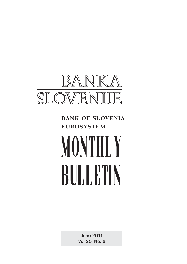

**BANK OF SLOVENIA EUROSYSTEM**

# MONTHLY **BULLETIN**

**June 2011 Vol 20 No. 6**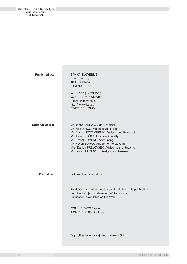

| Published by:           | <b>BANKA SLOVENIJE</b><br>Slovenska 35,<br>1000 Ljubljana<br>Slovenija<br>tel.: +386 (1) 4719000<br>fax.: +386 (1) 2515516<br>E-mail: bilten@bsi.si<br>http://www.bsi.si/<br>SWIFT: BSLJ SI 2X                                                                                                                                               |
|-------------------------|----------------------------------------------------------------------------------------------------------------------------------------------------------------------------------------------------------------------------------------------------------------------------------------------------------------------------------------------|
| <b>Editorial Board:</b> | Mr. Janez FABIJAN, Vice Governor<br>Mr. Matjaž NOČ, Financial Statistics<br>Mr. Damjan KOZAMERNIK, Analysis and Research<br>Mr. Tomaž KOŠAK, Financial Stability<br>Mr. Ernest ERMENC, Accounting<br>Mr. Neven BORAK, Advisor to the Governor<br>Mrs. Danica PRELOVŠEK, Advisor to the Governor<br>Mr. Franc DRENOVEC, Analysis and Research |
| Printed by:             | Tiskarna Radovljica d.o.o.                                                                                                                                                                                                                                                                                                                   |
|                         | Publication and other public use of data from this publication is<br>permitted subject to statement of the source.<br>Publication is available on the Web.<br>ISSN 1318-0770 (print)                                                                                                                                                         |
|                         | ISSN 1518-209X (online)<br>Ta publikacija je na voljo tudi v slovenščini.                                                                                                                                                                                                                                                                    |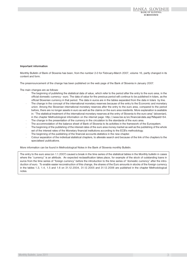#### **Important information**

Monthly Bulletin of Bank of Slovenia has been, from the number 2-3 for February-March 2007, volume 16, partly changed in its content and form.

The preannouncement of the change has been published on the web page of the Bank of Slovenia in January 2007.

The main changes are as follows:

- The beginning of publishing the statistical data of value, which refer to the period after the entry to the euro area, in the official domestic currency - euro. The data of value for the previous period will continue to be published in tolars, as the official Slovenian currency in that period. The data in euros are in the tables separated from the data in tolars by line.
- The change in the concept of the international monetary reserves because of the entry to the Economic and monetary union. Among the Slovenian international monetary reserves after the entry to the euro area, compared to the period before, there are no longer assets in euro as well as the claims on the euro area residents. More explanation is available in: "The statistical treatment of the international monetary reserves at the entry of Slovenia to the euro area" (slovenian), in the chapter Methodological information on the internet page: http://www.bsi.si/en/financial-data.asp?MapaId=64.
- The change in the presentation of the currency in the circulation to the standards of the euro area.
- The accommodation of the balance sheet of Bank of Slovenia to its activities in the framework of the Eurosystem.
- The beginning of the publishing of the interest rates of the euro area money market as well as the publishing of the whole set of the interest rates of the Monetary financial institutions according to the ECB's methodology.
- The beginning of the publishing of the financial accounts statistics in the new chapter.
- · Colour separation of the individual statistical chapters, to alleviate search and because of the link of the chapters to the specialised publications.

More information can be found in Methodological Notes in the Bank of Slovenia monthly Bulletin.

The entry to the euro area (on 1.1.2007) caused a break in the time series of the statistical tables in the Monthly bulletin in cases where the "currency" is an attribute. An expected reclassification takes place, for example of the stock of outstanding loans in euros from the time series of "foreign currency" before the introduction to the time series of "domestic currency" after the introduction of euro. To enable easier reconstruction of this change, the shares of the Euro amounts in stocks of the foreign currency in the tables 1.3, 1.4, 1.5 and 1.6 on 31.12.2004, 31.12.2005 and 31.12.2006 are published in the chapter Methodological notes.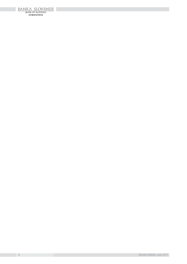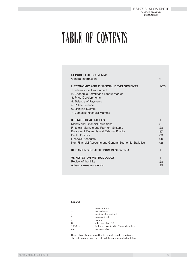# TABLE OF CONTENTS

#### **REPUBLIC OF SLOVENIA:** General Information **I. ECONOMIC AND FINANCIAL DEVELOPMENTS** 1. International Environment 2. Economic Activity and Labour Market 3. Price Developments 4. Balance of Payments 5. Public Finance 6. Banking System 7. Domestic Financial Markets **II. STATISTICAL TABLES** Money and Financial Institutions Financial Markets and Payment Systems Balance of Payments and External Position Public Finance Financial Accounts Non-Financial Accounts and General Economic Statistics **III. BANKING INSTITUTIONS IN SLOVENIA VI. NOTES ON METHODOLOGY** Review of the links Advance release calendar 6 1-26 1 3 28 47 83 90 98 1 1 28 29

#### **Legend:**

|                   | no occurence                           |
|-------------------|----------------------------------------|
|                   | not available                          |
|                   | provisional or estimated               |
| $\star$           | corrected data                         |
|                   | average                                |
| $\Omega$          | value less than 0.5                    |
| $1, 2, 3, \ldots$ | footnote, explained in Notes Methology |
| n.a.              | not applicable                         |

Sums of part figures may differ from totals due to roundings. The data in euros and the data in tolars are separated with line.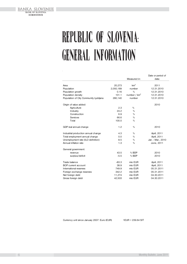# REPUBLIC OF SLOVENIA: GENERAL INFORMATION

|                                        |           |                 | Date or period of |
|----------------------------------------|-----------|-----------------|-------------------|
|                                        |           | Measured in:    | data:             |
|                                        |           |                 |                   |
| Area                                   | 20,273    | km <sup>2</sup> | 2011              |
| Population                             | 2,050,189 | number          | 12.31.2010        |
| Population growth                      | 0.16      | $\frac{0}{0}$   | 12.31.2010        |
| Population density                     | 101.1     | number / $km^2$ | 12.31.2010        |
| Population of City Community Ljubljana | 280,140   | number          | 12.31.2010        |
| Origin of value added:                 |           |                 | 2010              |
| Agriculture                            | 2.3       | $\%$            |                   |
| Industry                               | 24.2      | $\frac{0}{0}$   |                   |
| Construction                           | 6.9       | $\frac{0}{0}$   |                   |
| Services                               | 66.6      | $\frac{0}{0}$   |                   |
| Total                                  | 100.0     | $\frac{0}{0}$   |                   |
| GDP real annual change                 | 1.2       | $\frac{0}{0}$   | 2010              |
| Industrial production annual change    | 4.3       | $\frac{0}{0}$   | April, 2011       |
| Total employment annual change         | 0.0       | $\frac{0}{0}$   | April, 2011       |
| Unemployment rate (ILO definition)     | 8.5       | $\frac{0}{0}$   | Jan. - Mar., 2010 |
| Annual inflation rate                  | 1.3       | $\frac{0}{0}$   | June, 2011        |
| General government:                    |           |                 |                   |
| revenue                                | 43.5      | % BDP           | 2010              |
| surplus/deficit                        | $-5.5$    | % BDP           | 2010              |
| Trade balance                          | $-83.3$   | mio EUR         | April, 2011       |
| BOP current account                    | 38.9      | mio EUR         | April, 2011       |
| Intemational reserves                  | 749.9     | mio EUR         | 05.31.2011        |
| Foreign exchange reserves              | 342.2     | mio EUR         | 05.31.2011        |
| Net foreign debt                       | 11,274    | mio EUR         | 04.30.2011        |
| Gross foreign debt                     | 42,503    | mio EUR         | 04.30.2011        |

Currency unit since January 2007: Euro (EUR) 1EUR = 239.64 SIT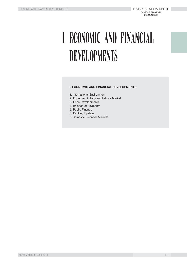# I. ECONOMIC AND FINANCIAL DEVELOPMENTS

#### **I. ECONOMIC AND FINANCIAL DEVELOPMENTS**

- 1. International Environment
- 2. Economic Activity and Labour Market
- 3. Price Developments
- 4. Balance of Payments
- 5. Public Finance
- 6. Banking System
- 7. Domestic Financial Markets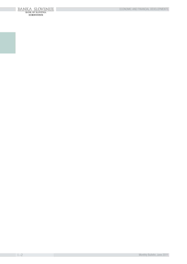**EUROSYSTEM**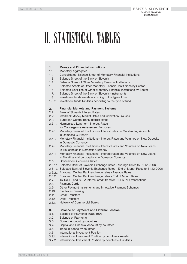# II. STATISTICAL TABLES

#### **1. Money and Financial Institutions**

- 1.1. Monetary Aggregates
- 1.2. Consolidated Balance Sheet of Monetary Financial Institutions
- 1.3. Balance Sheet of the Bank of Slovenia
- 1.4. Balance Sheet of Other Monetary Financial Institutions
- 1.5. Selected Assets of Other Monetary Financial Institutions by Sector
- 1.6. Selected Liabilities of Other Monetary Financial Institutions by Sector
- 1.7. Balance Sheet of the Bank of Slovenia - instruments
- 1.8.1. Investment funds assets according to the type of fund
- 1.8.2. Investment funds liabilities according to the type of fund

#### **2. Financial Markets and Payment Systems**

- 2.1. Bank of Slovenia Interest Rates
- 2.2. Interbank Money Market Rates and Indexation Clauses
- 2.3. European Central Bank Interest Rates
- 2.3.1. Harmonised Long-term Interest Rates for Convergence Assessment Purposes
- 2.4.1. Monetary Financial Institutions - Interest rates on Outstanding Amounts in Domestic Currency
- 2.4.2. Monetary Financial Institutions Interest Rates and Volumes on New Deposits in Domestic Currency
- 2.4.3. Monetary Financial Institutions Interest Rates and Volumes on New Loans to Households in Domestic Currency
- 2.4.4. Monetary Financial Institutions Interest Rates and Volumes on New Loans to Non-financial corporations in Domestic Currency
- 2.5. Government Securities Rates
- 2.6.1a. Selected Bank of Slovenia Exchange Rates Average Rates to 31.12.2006
- 2.6.1b. Selected Bank of Slovenia Exchange Rates End of Month Rates to 31.12.2006
- 2.6.2a. European Central Bank exchange rates Average Rates
- 2.6.2b. European Central Bank exchange rates End of Month Rates
- 2.7. TARGET2 and SEPA internal credit transfer (SEPA IKP) transactions
- 2.8. Payment Cards
- 2.9. Other Payment Instruments and Innovative Payment Schemes
- 2.10. Electronic Banking
- $2.11.$ Credit Transfers
- 2.12. Debit Transfers
- 2.13. Network of Commercial Banks

#### **3. Balance of Payments and External Position**

- 3.1. Balance of Payments 1988-1993
- 3.2. Balance of Payments
- 3.3. Current Account by countries
- 3.4. Capital and Financial Account by countries
- 3.5. Trade in goods by countries
- 3.6. International Investment Position
- 3.7.1. International Investment Position by countries - Assets
- 3.7.2. International Investment Position by countries Liabilities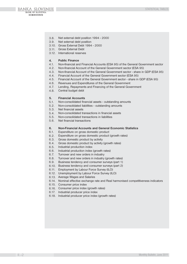- 3.8. Net external debt position 1994 2000
- 3.9. Net external debt position
- 3.10. Gross External Debt 1994 2000
- 3.11. Gross External Debt
- 3.12. International reserves

#### **4. Public Finance**

- 4.1. Non-financial and Financial Accounts (ESA 95) of the General Government sector
- 4.2. Non-financial Account of the General Government sector (ESA 95)
- 4.3. Non-financial Account of the General Government sector - share in GDP (ESA 95)
- 4.4. Financial Account of the General Government sector (ESA 95)
- 4.5. Financial Account of the General Government sector - share in GDP (ESA 95)
- 4.6. Revenues and Expenditures of the General Government
- 4.7. Lending, Repayments and Financing of the General Government
- 4.8. Central budget debt

#### **5. Financial Accounts**

- 5.1. Non-consolidated financial assets - outstanding amounts
- 5.2. Non-consolidated liabilities outstanding amounts
- 5.3. Net financial assets
- 5.4. Non-consolidated transactions in financial assets
- 5.5. Non-consolidated transactions in liabilities
- 5.6. Net financial transactions

#### **6. Non-Financial Accounts and General Economic Statistics**

- 6.1. Expenditure on gross domestic product
- 6.2. Expenditure on gross domestic product (growth rates)
- 6.3. Gross domestic product by activity
- 6.4. Gross domestic product by activity (growth rates)
- 6.5. Industrial production index
- 6.6. Industrial production index (growth rates)
- 6.7. Turnover and new orders in industry
- 6.8. Turnover and new orders in industry (growth rates)
- 6.9. Business tendency and consumer surveys (part 1)
- 6.10. Business tendency and consumer surveys (part 2)
- 6.11. Employment by Labour Force Survey (ILO)
- 6.12. Unemployment by Labour Force Survey (ILO)
- 6.13. Average Wages and Salaries
- 6.14. Nominal effective exchange rate and Real harmonised competitiveness indicators
- 6.15. Consumer price index
- 6.16. Consumer price index (growth rates)
- 6.17. Industrial producer price index
- 6.18. Industrial producer price index (growth rates)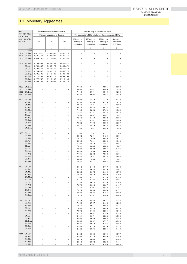# 1.1. Monetary Aggregates

| Until        |                |                            | Before the entry of Slovenia into EMU |                              | After the entry of Slovenia into EMU |                                                            |              |             |  |  |
|--------------|----------------|----------------------------|---------------------------------------|------------------------------|--------------------------------------|------------------------------------------------------------|--------------|-------------|--|--|
|              | 31.12.2006 in  |                            | Monetary aggregates of Slovenia       |                              |                                      | The contribution of Slovenia to monetary aggregates of EMU |              |             |  |  |
| mio SIT from |                |                            |                                       |                              |                                      |                                                            |              |             |  |  |
|              | 01.01.2007 in  |                            |                                       |                              | M1 (without                          | M2 (without                                                | M3 (without  | Currency in |  |  |
| mio EUR      |                | M1<br>M <sub>2</sub><br>ΜЗ |                                       |                              | currency in                          | currency in                                                | currency in  | circulation |  |  |
|              |                |                            |                                       |                              | circulation)                         | circulation)                                               | circulation) | (ECB key)   |  |  |
|              |                | 1                          | 2                                     | 3                            | 4                                    | 5                                                          | 6            | 7           |  |  |
|              | Column<br>Code |                            |                                       |                              |                                      |                                                            |              |             |  |  |
| 2004         | 31. Dec.       | 1,370,415                  | 3,239,945                             | 3,980,215                    | $\frac{1}{2}$                        | $\overline{a}$                                             | i,           | ٠           |  |  |
| 2005         | 31. Dec.       | 1,682,477                  | 3,493,226                             | 3,502,771                    |                                      |                                                            | ٠            |             |  |  |
| 2006         | 31. Dec.       | 1,834,106                  | 3,778,032                             | 3,786,146                    |                                      |                                                            | ä,           |             |  |  |
|              |                |                            |                                       |                              |                                      |                                                            |              |             |  |  |
| 2006         | 31. May.       | 1,764,568                  | 3,622,482                             | 3,631,570                    |                                      |                                                            | ٠            |             |  |  |
|              | 30. Jun.       | 1,791,682                  | 3,650,179                             | 3,656,871                    |                                      |                                                            | i.           |             |  |  |
|              | 31. Jul.       | 1,781,345                  | 3,658,570                             | 3,665,574                    |                                      |                                                            | ä,           |             |  |  |
|              | 31. Aug.       | 1,784,442                  | 3,648,121                             | 3,655,773                    |                                      |                                                            | i.           |             |  |  |
|              | 30. Sep.       | 1,795,790                  | 3,713,480                             | 3,720,733                    |                                      |                                                            | ٠            |             |  |  |
|              | 31. Oct.       | 1,777,451                  | 3,690,771                             | 3,698,299                    |                                      |                                                            |              |             |  |  |
|              | 30. Nov.       | 1,777,757                  | 3,710,262                             | 3,718,196                    |                                      |                                                            | ä,           |             |  |  |
|              | 31. Dec.       | 1,834,106                  | 3,778,032                             | 3,786,146                    |                                      |                                                            |              |             |  |  |
|              |                |                            |                                       |                              |                                      |                                                            |              |             |  |  |
| 2007         | 31. Dec.       |                            |                                       | $\overline{a}$               | 7,149                                | 17,441                                                     | 16,595       | 2,698       |  |  |
| 2008         | 31. Dec.       |                            | ä,                                    | ÷,                           | 6,886                                | 18,341                                                     | 18,065       | 2,995       |  |  |
| 2009         | 31. Dec.       |                            |                                       |                              | 7,419                                | 18,791                                                     | 18,540       | 3,288       |  |  |
| 2010         | 31. Dec.       |                            |                                       | $\overline{a}$               | 8,420                                | 19,094                                                     | 18,984       | 3,449       |  |  |
|              |                |                            |                                       |                              |                                      |                                                            |              |             |  |  |
| 2007         | 31. Jan.       |                            |                                       | ٠                            | 6,993                                | 15,373                                                     | 15,412       | 2,340       |  |  |
|              | 28. Feb.       |                            |                                       | ×,                           | 6,955                                | 15,353                                                     | 15,276       | 2,420       |  |  |
|              | 31. Mar.       |                            |                                       | ٠                            | 6,948                                | 15,581                                                     | 15,451       | 2,500       |  |  |
|              | 30. Apr.       |                            |                                       | ×,                           | 6,974                                | 15,520                                                     | 15,422       | 2,487       |  |  |
|              | 31. May.       |                            |                                       | ÷,                           | 7,146                                | 15,856                                                     | 15,764       | 2,536       |  |  |
|              | 30. Jun.       |                            |                                       | ×,                           | 7,287                                | 16,157                                                     | 16,073       | 2,575       |  |  |
|              | 31. Jul.       |                            |                                       | ٠                            | 7,355                                | 16,557                                                     | 16,447       | 2,597       |  |  |
|              | 31. Aug.       |                            |                                       |                              | 7,240                                | 16,740                                                     | 16,552       | 2,584       |  |  |
|              | 30. Sep.       |                            | ä,                                    | ÷,                           | 7,257                                | 16,767                                                     | 16,598       | 2,599       |  |  |
|              | 31. Oct.       |                            |                                       | ×,                           | 7,028                                | 17,106                                                     | 16,686       | 2,587       |  |  |
|              | 30. Nov.       |                            |                                       | $\overline{a}$               | 6,871                                | 16,819                                                     | 15,943       | 2,625       |  |  |
|              | 31. Dec.       |                            |                                       | ×,                           | 7,149                                | 17,441                                                     | 16,595       | 2,698       |  |  |
|              |                |                            |                                       |                              |                                      |                                                            |              |             |  |  |
| 2008         | 31. Jan.       |                            |                                       | ×,                           | 7,168                                | 17,261                                                     | 16,557       | 2,580       |  |  |
|              | 29. Feb.       |                            |                                       | $\overline{a}$               | 6,862                                | 17,201                                                     | 16,425       | 2,601       |  |  |
|              | 31. Mar.       |                            |                                       | ×,                           | 7,070                                | 17,489                                                     | 16,456       | 2,627       |  |  |
|              | 30. Apr.       |                            |                                       | ÷,                           | 6,944                                | 17,641                                                     | 16,500       | 2,648       |  |  |
|              | 31. May.       |                            |                                       | ×,                           | 7,120                                | 17,853                                                     | 16,385       | 2,681       |  |  |
|              | 30. Jun.       |                            |                                       | ٠                            | 7,341                                | 18,083                                                     | 16,589       | 2,687       |  |  |
|              | 31. Jul.       |                            |                                       | ×,                           | 7,020                                | 18,029                                                     | 16,694       | 2,734       |  |  |
|              | 31. Aug.       |                            |                                       | ÷,                           | 6,986                                | 17,999                                                     | 16,669       | 2,737       |  |  |
|              | 30. Sep.       |                            |                                       | ×,                           | 7,191                                | 18,283                                                     | 17,058       | 2,731       |  |  |
|              | 31. Oct.       |                            |                                       | $\overline{a}$               | 6,880                                | 17,921                                                     | 16,836       | 2,898       |  |  |
|              | 30. Nov.       |                            |                                       | ×,                           | 6,888                                | 17,935                                                     | 17,472       | 2,932       |  |  |
|              | 31. Dec.       |                            |                                       | ٠                            | 6,886                                | 18,341                                                     | 18,065       | 2,995       |  |  |
|              |                |                            |                                       |                              |                                      |                                                            |              |             |  |  |
| 2009         | 31. Jan.       |                            |                                       | ٠                            | 6,716                                | 18,416                                                     | 18,177       | 3,043       |  |  |
|              | 28. Feb.       |                            |                                       |                              | 6,712                                | 18,630                                                     | 18,019       | 3,061       |  |  |
|              | 31. Mar.       |                            |                                       | ×,                           | 6,838                                | 18,675                                                     | 18,462       | 3,075       |  |  |
|              | 30. Apr.       |                            |                                       | ÷,                           | 6,839                                | 18,563                                                     | 18,250       | 3,102       |  |  |
|              | 31. May.       |                            | ÷,                                    | $\overline{a}$               | 7,184                                | 18,711                                                     | 18,713       | 3,136       |  |  |
|              | 30. Jun.       |                            | ÷,                                    | $\qquad \qquad \blacksquare$ | 7,419                                | 18,787                                                     | 18,783       | 3,131       |  |  |
|              | 31. Jul.       | ä,                         | ä,                                    | ä,                           | 7,135                                | 18,613                                                     | 18,370       | 3,166       |  |  |
|              | 31. Aug.       |                            | i,                                    | ÷,                           | 7,279                                | 18,643                                                     | 18,387       | 3,147       |  |  |
|              | 30. Sep.       | ä,                         | ÷,                                    | ×,                           | 7,340                                | 18,701                                                     | 18,445       | 3,151       |  |  |
|              | 31. Oct.       | ÷,                         | ÷,                                    | $\qquad \qquad \blacksquare$ | 7,224                                | 18,600                                                     | 18,343       | 3,172       |  |  |
|              | 30. Nov.       |                            | L,                                    | ä,                           | 7,330                                | 18,664                                                     | 18,434       | 3,182       |  |  |
|              | 31. Dec.       |                            | i,                                    | ×,                           | 7,419                                | 18,791                                                     | 18,540       | 3,288       |  |  |
|              |                |                            |                                       |                              |                                      |                                                            |              |             |  |  |
|              | 2010 31. Jan.  |                            |                                       | $\qquad \qquad \blacksquare$ | 7,449                                | 18,856                                                     | 18,677       | 3,228       |  |  |
|              | 28. Feb.       | ä,                         | ä,                                    | ä,                           | 7,429                                | 18,757                                                     | 18,463       | 3,235       |  |  |
|              | 31. Mar.       | ÷                          | ÷,                                    | ÷,                           | 7,617                                | 18,917                                                     | 18,653       | 3,276       |  |  |
|              | 30. Apr.       | ä,                         | ÷,                                    | ×,                           | 7,663                                | 18,928                                                     | 18,633       | 3,273       |  |  |
|              | 31. May.       | ÷,                         | ÷,                                    | $\qquad \qquad \blacksquare$ | 7,976                                | 19,184                                                     | 18,884       | 3,310       |  |  |
|              | 30. Jun.       | L,                         | L,                                    | ä,                           | 8,272                                | 19,037                                                     | 18,750       | 3,339       |  |  |
|              | 31. Jul.       | ÷,                         | i,                                    | ÷,                           | 8,191                                | 19,071                                                     | 18,888       | 3,393       |  |  |
|              | 31. Aug.       | ä,                         | i,                                    | ×,                           | 8,292                                | 19,083                                                     | 18,868       | 3,352       |  |  |
|              | 30. Sep.       |                            | ÷,                                    | $\qquad \qquad \blacksquare$ | 8,233                                | 18,962                                                     | 18,777       | 3,346       |  |  |
|              | 31. Oct.       | ÷,                         | L,                                    | ä,                           | 8,231                                | 18,948                                                     | 18,754       | 3,369       |  |  |
|              | 30. Nov.       |                            | i,                                    | ÷,                           | 8,363                                | 19,115                                                     | 18,979       | 3,373       |  |  |
|              | 31. Dec.       |                            | ä,                                    | $\overline{\phantom{a}}$     | 8,420                                | 19,094                                                     | 18,984       | 3,449       |  |  |
|              |                |                            |                                       |                              |                                      |                                                            |              |             |  |  |
| 2011         | 31. Jan.       |                            |                                       | ÷,                           | 8,482                                | 19,086                                                     | 18,969       | 3,377       |  |  |
|              | 28. Feb.       | ä,                         | ÷,                                    | ×,                           | 8,492                                | 19,143                                                     | 19,020       | 3,369       |  |  |
|              | 31. Mar.       |                            | i,                                    | ×,                           | 8,424                                | 19,008                                                     | 18,891       | 3,384       |  |  |
|              | 30. Apr.       |                            |                                       | $\qquad \qquad \blacksquare$ | 8,514                                | 18,998                                                     | 18,923       | 3,411       |  |  |
|              | 31. May.       |                            |                                       |                              | 8,553                                | 19,207                                                     | 19,149       | 3,445       |  |  |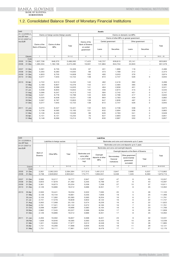**EUROSYSTEM**

### 1.2. Consolidated Balance Sheet of Monetary Financial Institutions

| Until        |               | <b>Assets</b>                     |                                            |             |                                              |                                            |            |                             |                  |                 |  |  |
|--------------|---------------|-----------------------------------|--------------------------------------------|-------------|----------------------------------------------|--------------------------------------------|------------|-----------------------------|------------------|-----------------|--|--|
|              | 31.12.2006 in |                                   | Claims on foreign sectors (foreign assets) |             |                                              |                                            |            | Claims on domestic non-MFIs |                  |                 |  |  |
| mio SIT from | 01.01.2007 in |                                   |                                            |             |                                              | Claims of other MFIs on general government |            |                             |                  |                 |  |  |
| mio EUR      |               |                                   |                                            |             | Claims of the                                | Central government                         |            |                             | Other government |                 |  |  |
|              |               | Claims of the<br>Bank of Slovenia | Claims of other<br><b>MFIs</b>             | Total       | Bank of Slovenia<br>on central<br>government | Loans                                      | Securities | Loans                       | Securities       | Total           |  |  |
|              | Column        | $\mathbf{1}$                      | $\overline{2}$                             | $3 = 1 + 2$ | $\overline{4}$                               | 5                                          | 6          | $\overline{7}$              | 8                | $9 = 5 + . + 8$ |  |  |
|              | Code          |                                   |                                            |             |                                              |                                            |            |                             |                  |                 |  |  |
| 2005         | 31.Dec.       | 1,637,708                         | 848,375                                    | 2,486,083   | 17,423                                       | 140.707                                    | 639,815    | 23,141                      | ÷,               | 803,663         |  |  |
| 2006         | 31.Dec.       | 1,290,334                         | 1,182,156                                  | 2,472,490   | 16,591                                       | 131,884                                    | 644,754    | 24,940                      |                  | 801,579         |  |  |
|              |               |                                   |                                            |             |                                              |                                            |            |                             |                  |                 |  |  |
| 2007         | 31.Dec.       | 5,591                             | 9,735                                      | 15,326      | 67                                           | 401                                        | 1,966      | 118                         |                  | 2,486           |  |  |
| 2008         | 31.Dec.       | 5,350                             | 9,280                                      | 14,630      | 68                                           | 373                                        | 1.789      | 212                         |                  | 2,374           |  |  |
| 2009         | 31.Dec.       | 4,903                             | 9,705                                      | 14,608      | 160                                          | 495                                        | 3,003      | 376                         | ٠                | 3,874           |  |  |
| 2010         | 31.Dec.       | 5.077                             | 7.645                                      | 12.722      | 138                                          | 672                                        | 2.747      | 526                         | 0                | 3,945           |  |  |
|              |               |                                   |                                            |             |                                              |                                            |            |                             |                  |                 |  |  |
| 2010         | 30.Apr.       | 4,722                             | 9,510                                      | 14,232      | 140                                          | 482                                        | 2,416      | 392                         | ٠                | 3,289           |  |  |
|              | 31.May        | 5,169                             | 9,907                                      | 15,076      | 142                                          | 517                                        | 2,484      | 395                         | ×                | 3,396           |  |  |
|              | 30.Jun.       | 5,035                             | 9,599                                      | 14,633      | 141                                          | 464                                        | 2,656      | 401                         | 0                | 3,521           |  |  |
|              | 31.Jul.       | 5,008                             | 8,834                                      | 13,842      | 140                                          | 456                                        | 2,674      | 415                         | 0                | 3,545           |  |  |
|              | 31.Aug.       | 5,066                             | 9,247                                      | 14,313      | 142                                          | 584                                        | 2,742      | 421                         | 0                | 3,747           |  |  |
|              | 30.Sep.       | 5,021                             | 8,778                                      | 13,799      | 140                                          | 626                                        | 2,796      | 417                         | 0                | 3,840           |  |  |
|              | 31.Oct.       | 5,025                             | 8,506                                      | 13,531      | 139                                          | 664                                        | 2,783      | 434                         | $\Omega$         | 3,882           |  |  |
|              | 30.Nov.       | 5,067                             | 8,787                                      | 13,853      | 139                                          | 647                                        | 2,806      | 497                         | 0                | 3,951           |  |  |
|              | 31.Dec.       | 5.077                             | 7,645                                      | 12,722      | 138                                          | 672                                        | 2,747      | 526                         | 0                | 3,945           |  |  |
|              |               |                                   |                                            |             |                                              |                                            |            |                             |                  |                 |  |  |
| 2011         | 31.Jan.       | 5.074                             | 8,347                                      | 13,421      | 132                                          | 625                                        | 2,708      | 538                         | 0                | 3,870           |  |  |
|              | 28.Feb.       | 5,108                             | 8,085                                      | 13,193      | 101                                          | 632                                        | 2,694      | 536                         | 0                | 3,862           |  |  |
|              | 31.Mar.       | 5,106                             | 8,430                                      | 13,536      | 99                                           | 626                                        | 2,783      | 541                         | 0                | 3,949           |  |  |
|              | 30.Apr.       | 5,101                             | 8,131                                      | 13,232      | 76                                           | 627                                        | 2,693      | 532                         | 0                | 3,851           |  |  |
|              | 31.May        | 5,148                             | 8,066                                      | 13,214      | 76                                           | 630                                        | 2,697      | 530                         | 0                | 3,857           |  |  |
|              |               |                                   |                                            |             |                                              |                                            |            |                             |                  |                 |  |  |

| Until        |               |                     | Liabilities                    |           |                                                       |                                              |                                           |                                                                |         |                 |  |  |  |
|--------------|---------------|---------------------|--------------------------------|-----------|-------------------------------------------------------|----------------------------------------------|-------------------------------------------|----------------------------------------------------------------|---------|-----------------|--|--|--|
| mio SIT from | 31.12.2006 in |                     | Liabilities to foreign sectors |           |                                                       |                                              |                                           | Banknotes and coins and instruments up to 2 years              |         |                 |  |  |  |
|              | 01.01.2007 in |                     |                                |           |                                                       |                                              |                                           | Banknotes and coins and deposits up to 2 years                 |         |                 |  |  |  |
| mio EUR      |               |                     |                                |           |                                                       |                                              | Banknotes and coins and ovemight deposits |                                                                |         |                 |  |  |  |
|              |               |                     |                                |           |                                                       |                                              |                                           | Ovemight deposits at the Bank of Slovenia                      |         |                 |  |  |  |
|              |               | Bank of<br>Slovenia | Other MFIs                     | Total     | Banknotes and<br>coins (after<br>1.1.2007 ECB<br>key) | Ovemight<br>deposits at other<br><b>MFIs</b> | Non-monetary<br>financial<br>institutions | Other government<br>sector (Central<br>government<br>excluded) | Total   | Total           |  |  |  |
|              | Column        | $\mathbf{1}$        | $\overline{2}$                 | $3=1+2$   | $\overline{4}$                                        | $\overline{5}$                               | 6                                         | $\overline{7}$                                                 | $8=6+7$ | $9 = 4 + 5 + 8$ |  |  |  |
|              | Code          |                     |                                |           |                                                       |                                              |                                           |                                                                |         |                 |  |  |  |
| 2005         | 31.Dec.       | 2,061               | 2,062,303                      | 2,064,364 | 217,313                                               | 1,491,012                                    | 2,847                                     | 2,690                                                          | 5,537   | 1,713,862       |  |  |  |
| 2006         | 31.Dec.       | 3,738               | 2,649,902                      | 2,653,641 | 172,771                                               | 1,694,551                                    | 5,048                                     | 1,345                                                          | 6,393   | 1,873,715       |  |  |  |
| 2007         | 31.Dec.       | 3,560               | 16,217                         | 19,777    | 2,947                                                 | 7,057                                        | 47                                        | 6                                                              | 53      | 10,057          |  |  |  |
| 2008         | 31.Dec.       | 3,603               | 17,879                         | 21,482    | 3,255                                                 | 6,799                                        | 37                                        | 6                                                              | 43      | 10,097          |  |  |  |
| 2009         | 31.Dec.       | 3,361               | 16,673                         | 20.034    | 3,536                                                 | 7,338                                        | 27                                        | 10                                                             | 37      | 10,911          |  |  |  |
| 2010         | 31.Dec.       | 2,126               | 16,886                         | 19,012    | 3,686                                                 | 8,351                                        | 17                                        | 8                                                              | 25      | 12,062          |  |  |  |
| 2010         | 30.Apr.       | 2,593               | 16,441                         | 19,034    | 3,502                                                 | 7,595                                        | 20                                        | 5                                                              | 26      | 11,122          |  |  |  |
|              | 31.May        | 3,128               | 16.734                         | 19,861    | 3,535                                                 | 7,906                                        | 19                                        | 5                                                              | 25      | 11,466          |  |  |  |
|              | 30.Jun.       | 3,105               | 17.280                         | 20.385    | 3,565                                                 | 8,204                                        | 16                                        | 6                                                              | 21      | 11.791          |  |  |  |
|              | 31.Jul.       | 2,731               | 17,078                         | 19,809    | 3,602                                                 | 8,122                                        | 16                                        | 6                                                              | 22      | 11,747          |  |  |  |
|              | 31.Aug.       | 3,062               | 17,068                         | 20,130    | 3,574                                                 | 8,226                                        | 16                                        | 6                                                              | 22      | 11,822          |  |  |  |
|              | 30.Sep.       | 2,781               | 17.321                         | 20.102    | 3,572                                                 | 8,165                                        | 16                                        | $\overline{7}$                                                 | 24      | 11,761          |  |  |  |
|              | 31.Oct.       | 3,099               | 16,897                         | 19,996    | 3,580                                                 | 8,164                                        | 16                                        | 6                                                              | 23      | 11,766          |  |  |  |
|              | 30.Nov.       | 2,982               | 17,045                         | 20,027    | 3,588                                                 | 8,294                                        | 17                                        | 9                                                              | 26      | 11,908          |  |  |  |
|              | 31.Dec.       | 2,126               | 16,886                         | 19,012    | 3,686                                                 | 8,351                                        | 17                                        | 8                                                              | 25      | 12,062          |  |  |  |
| 2011         | 31.Jan.       | 2,265               | 16,592                         | 18,857    | 3,598                                                 | 8,401                                        | 23                                        | 9                                                              | 32      | 12,031          |  |  |  |
|              | 28.Feb.       | 1.939               | 16.646                         | 18.585    | 3,593                                                 | 8,420                                        | 16                                        | 10                                                             | 26      | 12.039          |  |  |  |
|              | 31.Mar.       | 1,321               | 16,656                         | 17,977    | 3,612                                                 | 8,348                                        | 16                                        | 10                                                             | 26      | 11,985          |  |  |  |
|              | 30.Apr.       | 1,731               | 16,266                         | 17,998    | 3,656                                                 | 8,435                                        | 18                                        | 11                                                             | 29      | 12,121          |  |  |  |
|              | 31.May        | 1,751               | 16,111                         | 17,861    | 3,672                                                 | 8,476                                        | 17                                        | 11                                                             | 27      | 12,176          |  |  |  |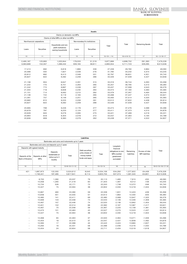2,495,187 125,683 1,025,944 179,533 51,319 3,877,666 4,698,752 291,393 7,476,228 3,083,689 152,357 1,289,432 309,165 58,911 4,893,554 5,711,723 329,295 8,513,508 17,413 692 6,818 1,966 339 27,228 29,780 3,984 49,090 20,599 550 7,827 2,539 276 31,790 34,232 4,374 53,235 20,812 892 8,413 2,349 331 32,797 36,831 4,301 55,740 20,827 822 9,282 2,209 286 33,426 37,509 4,427 54,658 21,158 904 8,647 2,291 315 33,316 36,744 4,293 55,268 21,222 775 8,701 2,263 295 33,257 36,795 4,410 56,280 21,242 772 8,897 2,228 297 33,437 37,099 4,543 56,276 21,304 718 8,928 2,230 294 33,474 37,160 4,483 55,485 21,101 714 9,062 2,210 292 33,379 37,267 4,464 56,044 21,139 722 9,119 2,193 295 33,468 37,447 4,374 55,621 21,091 757 9,149 2,201 295 33,493 37,514 4,320 55,365 20,980 810 9,225 2,206 291 33,512 37,602 4,458 55,914 20,827 822 9,282 2,209 286 33,426 37,509 4,427 54,658 20,995 799 9,226 2,176 277 33,474 37,476 4,389 55,286 20,979 797 9,233 2,124 277 33,411 37,373 4,310 54,876 20,929 845 9,276 2,095 275 33,421 37,469 4,216 55,221 20,964 818 9,304 2,078 272 33,437 37,364 4,194 54,789 20,906 808 9,383 2,079 262 33,438 37,371 4,322 54,907 10 | 11 | 12 | 13 | 14 | 15=10+..+14 | 16=4+9+15 | 17 | 18=3+16+17 Non-financial corporations Households and nonprofit institutions Loans | Securities | serving households | Loans | Securities Non-monetary fin.institutions **Assets** Claims on domestic non-MFIs Total Remaining Assets Total Claims of other MFIs on other non-MFIs Total

|                                     |                                                |                                                       |                                                   | Liabilities                                                            |                                                |                                                                 |                                                |                                                          |                                                |
|-------------------------------------|------------------------------------------------|-------------------------------------------------------|---------------------------------------------------|------------------------------------------------------------------------|------------------------------------------------|-----------------------------------------------------------------|------------------------------------------------|----------------------------------------------------------|------------------------------------------------|
|                                     |                                                |                                                       | Banknotes and coins and instruments up to 2 years |                                                                        |                                                |                                                                 |                                                |                                                          |                                                |
|                                     | Banknotes and coins and deposits up to 2 years |                                                       |                                                   |                                                                        |                                                | Long-term<br>financial                                          |                                                |                                                          |                                                |
|                                     | Deposits with agreed maturity                  |                                                       |                                                   |                                                                        |                                                |                                                                 |                                                |                                                          |                                                |
| Deposits at the<br>Bank of Slovenia | Deposits at other<br><b>MFIs</b>               | Deposits<br>reedemable at<br>notice up to 3<br>months | Total                                             | Debt securities,<br>units/shares of<br>money market<br>funds and repos | Total                                          | obligations to non-<br>MFIs (central<br>government<br>excluded) | Remaining<br>liabilities                       | Excess of inter-<br><b>MFI</b> liabilities               | Total                                          |
| 10                                  | 11                                             | 12                                                    | $13=9+10+11+12$                                   | 14                                                                     | $15 = 13 + 14$                                 | 16                                                              | 17                                             | 18                                                       | $19=3+15+16+17+18$                             |
|                                     |                                                |                                                       |                                                   |                                                                        |                                                |                                                                 |                                                |                                                          |                                                |
| 421                                 | 1,687,973                                      | 122,355                                               | 3,524,612                                         | 9,545                                                                  | 3,534,156                                      | 534,292                                                         | 1,377,822                                      | $-34,406$                                                | 7,476,228                                      |
| $\sim$                              | 1,746,441                                      | 197,485                                               | 3,817,641                                         | 8,114                                                                  | 3,825,755                                      | 507,374                                                         | 1,581,540                                      | $-54,801$                                                | 8,513,508                                      |
|                                     | 8,700<br>10,058<br>10,734<br>10,427<br>10,667  | 1,280<br>1,265<br>526<br>75<br>490                    | 20,037<br>21,419<br>22,171<br>22,564<br>22,280    | 76<br>83<br>72<br>38<br>59                                             | 20,113<br>21,503<br>22,243<br>22,602<br>22,339 | 1,485<br>1,397<br>1,738<br>2,330<br>1,931                       | 7,915<br>9,012<br>12,072<br>12,218<br>12,403   | $-200$<br>$-159$<br>$-346$<br>$-1,504$<br>$-439$         | 49,090<br>53,235<br>55,740<br>54,658<br>55,268 |
|                                     | 10,638                                         | 451                                                   | 22,555                                            | 57                                                                     | 22,612                                         | 1,982                                                           | 12,330                                         | $-505$                                                   | 56,280                                         |
|                                     | 10.480                                         | 141                                                   | 22,411                                            | 69                                                                     | 22,480                                         | 2,089                                                           | 12,647                                         | $-1,325$                                                 | 56,276                                         |
|                                     | 10,569                                         | 143                                                   | 22,458                                            | 74                                                                     | 22,533                                         | 2,106                                                           | 12,346                                         | $-1,309$                                                 | 55,485                                         |
|                                     | 10,467                                         | 157                                                   | 22,446                                            | 74                                                                     | 22,520                                         | 2,136                                                           | 12,662                                         | $-1,404$                                                 | 56,044                                         |
|                                     | 10,401                                         | 152                                                   | 22,314                                            | 68                                                                     | 22,382                                         | 2,167                                                           | 12,387                                         | $-1, 417$                                                | 55,621                                         |
|                                     | 10.467                                         | 75                                                    | 22,308                                            | 59                                                                     | 22,367                                         | 2,225                                                           | 12.158                                         | $-1,381$                                                 | 55,365                                         |
|                                     | 10,475                                         | 101                                                   | 22,483                                            | 43                                                                     | 22,527                                         | 2,275                                                           | 12,523                                         | $-1,437$                                                 | 55,914                                         |
|                                     | 10.427                                         | 75                                                    | 22,564                                            | 38                                                                     | 22,602                                         | 2,330                                                           | 12,218                                         | $-1,504$                                                 | 54,658                                         |
|                                     | 10,368<br>10,454<br>10,395<br>10,294<br>10,454 | 65<br>18<br>17<br>16<br>24                            | 22,463<br>22,510<br>22,398<br>22,431<br>22,654    | 37<br>37<br>45<br>58<br>58                                             | 22,500<br>22,547<br>22,443<br>22,489<br>22,711 | 2,364<br>2,427<br>2,424<br>2,436<br>2,434                       | 13,071<br>12,808<br>13,985<br>13,416<br>13,519 | $-1,506$<br>$-1,492$<br>$-1,607$<br>$-1,550$<br>$-1,618$ | 55,286<br>54,876<br>55,221<br>54,789<br>54,907 |
|                                     |                                                |                                                       |                                                   |                                                                        |                                                |                                                                 |                                                |                                                          |                                                |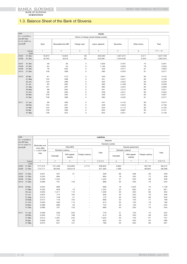**EUROSYSTEM**

#### 1.3. Balance Sheet of the Bank of Slovenia

| Until                   |               |                |                     |                         | Assets          |                |              |                |
|-------------------------|---------------|----------------|---------------------|-------------------------|-----------------|----------------|--------------|----------------|
|                         | 31.12.2006 in |                |                     |                         |                 |                |              |                |
| mio SIT from<br>mio EUR | 01.01.2007 in | Gold           | Receivable from IMF | Foreign cash            | Loans, deposits | Securities     | Other claims | Total          |
|                         | Column        | $\overline{1}$ | $\overline{2}$      | $\overline{\mathbf{3}}$ | $\overline{4}$  | $\overline{5}$ | 6            | $7 = 1 +  + 6$ |
|                         | Code          |                |                     |                         |                 |                |              |                |
| 2005                    | 31.Dec.       | 16,873         | 12,803              | 58                      | 305,094         | 1,297,370      | 5,511        | 1,637,708      |
| 2006                    | 31.Dec.       | 18,793         | 8,919               | 60                      | 222,681         | 1,034,539      | 5,343        | 1,290,334      |
|                         |               |                |                     |                         |                 |                |              |                |
| 2007                    | 31.Dec.       | 58             | 26                  | $\mathsf O$             | 1,635           | 3,797          | 75           | 5,591          |
| 2008                    | 31.Dec.       | 64             | 42                  | 0                       | 1,165           | 4,003          | 78           | 5,350          |
| 2009                    | 31.Dec.       | 78             | 262                 | 0                       | 405             | 4,077          | 81           | 4,903          |
| 2010                    | 31.Dec.       | 108            | 288                 | 0                       | 390             | 4,200          | 91           | 5,077          |
|                         |               |                |                     |                         |                 |                |              |                |
| 2010                    | 30.Apr.       | 91             | 273                 | $\mathsf{O}\xspace$     | 435             | 3,841          | 82           | 4,722          |
|                         | 31.May        | 100            | 288                 | 0                       | 451             | 4,247          | 82           | 5,169          |
|                         | 30.Jun.       | 103            | 289                 | 0                       | 355             | 4,203          | 84           | 5,035          |
|                         | 31.Jul.       | 92             | 280                 | 0                       | 365             | 4,188          | 83           | 5,008          |
|                         | 31.Aug.       | 101            | 297                 | $\circ$                 | 380             | 4,204          | 84           | 5,066          |
|                         | 30.Sep.       | 98             | 284                 | $\circ$                 | 341             | 4,215          | 84           | 5,021          |
|                         | 31.Oct.       | 99             | 283                 | 0                       | 339             | 4,221          | 83           | 5,025          |
|                         | 30.Nov.       | 109            | 293                 | 0                       | 349             | 4,231          | 84           | 5,067          |
|                         | 31.Dec.       | 108            | 288                 | $\mathsf{O}\xspace$     | 390             | 4,200          | 91           | 5,077          |
|                         |               |                |                     |                         |                 |                |              |                |
| 2011                    | 31.Jan.       | 99             | 296                 | 0                       | 447             | 4,142          | 90           | 5,074          |
|                         | 28.Feb.       | 104            | 281                 | 0                       | 429             | 4,203          | 90           | 5,108          |
|                         | 31.Mar.       | 103            | 295                 | 0                       | 503             | 4,115          | 90           | 5,106          |
|                         | 30.Apr.       | 106            | 288                 | 0                       | 630             | 3,987          | 90           | 5,101          |
|                         | 31.May        | 109            | 324                 | 0                       | 622             | 4,001          | 91           | 5,148          |
|                         |               |                |                     |                         |                 |                |              |                |

| Until        |               |                              | Liabilities       |                         |                  |           |                    |                         |                  |           |  |  |  |
|--------------|---------------|------------------------------|-------------------|-------------------------|------------------|-----------|--------------------|-------------------------|------------------|-----------|--|--|--|
|              | 31.12.2006 in |                              |                   |                         |                  | Deposits  |                    |                         |                  |           |  |  |  |
| mio SIT from | 01.01.2007 in |                              |                   |                         |                  |           | Domestic sectors   |                         |                  |           |  |  |  |
| mio EUR      |               | Banknotes and                |                   | Other MFIs              |                  |           | General government |                         |                  |           |  |  |  |
|              |               | coins (after<br>1.1.2007 ECB | Domestic currency |                         |                  |           |                    | Domestic currency       |                  |           |  |  |  |
|              |               | key)                         |                   |                         |                  | Total     |                    |                         |                  | Total     |  |  |  |
|              |               |                              | Ovemight          | With agreed<br>maturity | Foreign currency |           | Overnight          | With agreed<br>maturity | Foreign currency |           |  |  |  |
|              | Column        | $\mathbf{1}$                 | $\overline{2}$    | $\overline{3}$          | $\overline{4}$   | $5=2+3+4$ | 6                  | $\overline{7}$          | $\overline{8}$   | $9=6+7+8$ |  |  |  |
|              | Code          |                              |                   |                         |                  |           |                    |                         |                  |           |  |  |  |
| 2005         | 31.Dec.       | 217,313                      | 101,438           | 204,990                 | 2,174            | 308,602   | 2,682              | ä,                      | 66,730           | 69,412    |  |  |  |
| 2006         | 31.Dec.       | 172,771                      | 95,946            | 325,519                 | $\overline{a}$   | 421,465   | 1,296              | ÷.                      | 96,992           | 98,288    |  |  |  |
|              |               |                              |                   |                         |                  |           |                    |                         |                  |           |  |  |  |
| 2007         | 31.Dec.       | 2,947                        | 337               | 21                      | ÷                | 358       | 86                 | 306                     | 66               | 458       |  |  |  |
| 2008         | 31.Dec.       | 3,255                        | 994               |                         |                  | 994       | 18                 | 250                     | 72               | 339       |  |  |  |
| 2009         | 31.Dec.       | 3,536                        | 1,234             |                         |                  | 1,234     | 21                 | 250                     | 69               | 339       |  |  |  |
| 2010         | 31.Dec.       | 3,686                        | 761               | 135                     | ÷                | 896       | 20                 | 250                     | 76               | 345       |  |  |  |
| 2010         | 30.Apr.       | 3,502                        | 968               | ٠                       |                  | 968       | 16                 | 1,050                   | 74               | 1,139     |  |  |  |
|              | 31.May        | 3,535                        | 949               | 75                      | ٠                | 1,024     | 20                 | 850                     | 81               | 951       |  |  |  |
|              | 30.Jun.       | 3,565                        | 1,311             | 115                     | ä,               | 1,426     | 20                 | 250                     | 80               | 350       |  |  |  |
|              | 31.Jul.       | 3,602                        | 774               | 162                     | ÷                | 936       | 20                 | 250                     | 76               | 346       |  |  |  |
|              | 31.Aug.       | 3,574                        | 749               | 21                      | ÷.               | 770       | 20                 | 200                     | 83               | 303       |  |  |  |
|              | 30.Sep.       | 3,572                        | 718               | 150                     | ÷.               | 868       | 22                 | 100                     | 77               | 198       |  |  |  |
|              | 31.Oct.       | 3,580                        | 495               | 115                     | ٠                | 610       | 20                 | 100                     | 76               | 196       |  |  |  |
|              | 30.Nov.       | 3,588                        | 699               | 25                      | ÷                | 724       | 23                 | 100                     | 77               | 200       |  |  |  |
|              | 31.Dec.       | 3,686                        | 761               | 135                     | ٠                | 896       | 20                 | 250                     | 76               | 345       |  |  |  |
|              |               |                              |                   |                         |                  |           |                    |                         |                  |           |  |  |  |
| 2011         | 31.Jan.       | 3,598                        | 528               | 250                     | ÷.               | 778       | 31                 | 100                     | 70               | 202       |  |  |  |
|              | 28.Feb.       | 3,593                        | 715               | 198                     |                  | 913       | 26                 | 250                     | 69               | 345       |  |  |  |
|              | 31.Mar.       | 3,612                        | 1,287             | 245                     | ÷.               | 1,532     | 25                 | 100                     | 67               | 191       |  |  |  |
|              | 30.Apr.       | 3,656                        | 567               | 85                      |                  | 652       | 24                 | 500                     | 64               | 588       |  |  |  |
|              | 31.May        | 3,672                        | 641               | 127                     |                  | 768       | 25                 | 500                     | 66               | 591       |  |  |  |
|              |               |                              |                   |                         |                  |           |                    |                         |                  |           |  |  |  |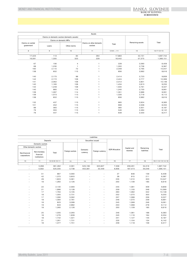|                                 |                         |                                              | Assets                              |                  |                  |              |
|---------------------------------|-------------------------|----------------------------------------------|-------------------------------------|------------------|------------------|--------------|
|                                 |                         | Claims on domestic sectors (domestic assets) |                                     |                  |                  |              |
|                                 | Claims on domestic MFIs |                                              |                                     |                  |                  |              |
| Claims on central<br>government | Loans                   | Other claims                                 | Claims on other domestic<br>sectors | Total            | Remaining assets | Total        |
| $\overline{8}$                  | $\overline{9}$          | 10                                           | $\overline{11}$                     | $12 = 8 +  + 11$ | $\overline{13}$  | $14=7+12+13$ |
|                                 |                         |                                              |                                     |                  |                  |              |
| 17,423                          | 113                     | 84                                           | 264                                 | 17,883           | 42,151           | 1,697,742    |
| 16,591                          | 1,300                   | 323                                          | 229                                 | 18,442           | 57,375           | 1,366,151    |
| 67                              | 156                     | $\overline{4}$                               | $\overline{1}$                      | 228              | 2,590            | 8,409        |
| 68                              | 1,230                   | $\mathbf{1}$                                 |                                     | 1,300            | 2,736            | 9,387        |
| 160                             | 2,115                   | 72                                           | $\mathbf{1}$                        | 2,349            | 2,795            | 10,047       |
| 138                             | 602                     | 115                                          |                                     | 856              | 2,682            | 8,616        |
|                                 |                         |                                              |                                     |                  |                  |              |
| 140                             | 2,175                   | 98                                           |                                     | 2,414            | 2,723            | 9,859        |
| 142                             | 2,172                   | 109                                          |                                     | 2,424            | 2,777            | 10,369       |
| 141                             | 2,062                   | 108                                          |                                     | 2,312            | 2,801            | 10,148       |
| 140                             | 1,185                   | 108                                          |                                     | 1,434            | 2,813            | 9,255        |
| 142                             | 1,249                   | 108                                          |                                     | 1,500            | 2,761            | 9,327        |
| 140                             | 985                     | 114                                          |                                     | 1,240            | 2,730            | 8,991        |
| 139                             | 1,097                   | 114                                          |                                     | 1,351            | 2,686            | 9,061        |
| 139                             | 1,073                   | 113                                          | 1                                   | 1,326            | 2,719            | 9,112        |
| 138                             | 602                     | 115                                          |                                     | 856              | 2,682            | 8,616        |
|                                 |                         |                                              |                                     |                  |                  |              |
| 132                             | 437                     | 115                                          |                                     | 685              | 2,624            | 8,383        |
| 101                             | 452                     | 115                                          |                                     | 668              | 2,558            | 8,334        |
| 99                              | 365                     | 115                                          |                                     | 580              | 2,501            | 8,187        |
| 76                              | 355                     | 115                                          |                                     | 546              | 2,494            | 8,142        |
| 76                              | 447                     | 115                                          |                                     | 639              | 2,530            | 8,317        |
|                                 |                         |                                              |                                     |                  |                  |              |

|                               | Liabilities                               |                |                 |                      |                          |                |                         |                          |                    |  |  |  |  |
|-------------------------------|-------------------------------------------|----------------|-----------------|----------------------|--------------------------|----------------|-------------------------|--------------------------|--------------------|--|--|--|--|
|                               |                                           | Deposits       |                 |                      | Securities issued        |                |                         |                          |                    |  |  |  |  |
|                               | Domestic sectors                          |                |                 |                      |                          |                |                         |                          |                    |  |  |  |  |
|                               | Other domestic sectors                    |                |                 |                      |                          |                |                         |                          |                    |  |  |  |  |
| Non-financial<br>corporations | Non-monetary<br>financial<br>institutions | Total          | Foreign sectors | Domestic<br>currency | Foreign currency         | SDR Allocation | Capital and<br>reserves | Remaining<br>liabilities | Total              |  |  |  |  |
| 10                            | 11                                        | $12=5+9+10+11$ | 13              | 14                   | 15                       | 16             | 17                      | 18                       | $19=1+12+13+14+18$ |  |  |  |  |
|                               |                                           |                |                 |                      |                          |                |                         |                          |                    |  |  |  |  |
|                               | 3,268                                     | 381,282        | 2,061           | 525,195              | 323,927                  | 7,358          | 206,291                 | 34,316                   | 1,697,742          |  |  |  |  |
| ÷                             | 5,582                                     | 525,335        | 3,738           | 402,381              | 32,449                   | 6,956          | 187,473                 | 35,049                   | 1,366,151          |  |  |  |  |
|                               | 51                                        | 867            | 3,560           |                      | ×                        | 27             | 848                     | 159                      | 8,409              |  |  |  |  |
|                               | 42                                        | 1,375          | 3,603           |                      | ٠                        | 28             | 915                     | 211                      | 9,387              |  |  |  |  |
|                               | 29                                        | 1,603          | 3,361           |                      | $\overline{\phantom{a}}$ | 235            | 1,010                   | 303                      | 10,047             |  |  |  |  |
|                               | 18                                        | 1,260          | 2,126           |                      | ٠                        | 250            | 1,109                   | 185                      | 8,616              |  |  |  |  |
|                               | 22                                        | 2,130          | 2,593           |                      | $\overline{a}$           | 245            | 1,081                   | 309                      | 9,859              |  |  |  |  |
|                               | 21                                        | 1,996          | 3,128           |                      | $\overline{\phantom{a}}$ | 259            | 1,105                   | 348                      | 10,369             |  |  |  |  |
|                               | 17                                        | 1,794          | 3,105           |                      | $\overline{\phantom{a}}$ | 260            | 1,082                   | 342                      | 10,148             |  |  |  |  |
|                               | 18                                        | 1,300          | 2,731           |                      | ٠                        | 252            | 1,070                   | 300                      | 9,255              |  |  |  |  |
|                               | 17                                        | 1.090          | 3,062           |                      | ×                        | 257            | 1,088                   | 256                      | 9,327              |  |  |  |  |
|                               | 18                                        | 1,084          | 2,781           |                      | ÷                        | 246            | 1,070                   | 239                      | 8,991              |  |  |  |  |
|                               | 18                                        | 823            | 3,099           |                      | ÷                        | 245            | 1,068                   | 246                      | 9,061              |  |  |  |  |
|                               | 19                                        | 943            | 2,982           |                      | ×                        | 253            | 1,068                   | 278                      | 9,112              |  |  |  |  |
|                               | 18                                        | 1,260          | 2,126           |                      |                          | 250            | 1,109                   | 185                      | 8,616              |  |  |  |  |
|                               |                                           |                |                 |                      |                          |                |                         |                          |                    |  |  |  |  |
|                               | 25                                        | 1,005          | 2,265           |                      | ٠                        | 246            | 1,081                   | 188                      | 8,383              |  |  |  |  |
|                               | 18                                        | 1,276          | 1,939           |                      | ×                        | 245            | 1,116                   | 164                      | 8,334              |  |  |  |  |
|                               | 18                                        | 1,742          | 1,321           |                      | ٠                        | 241            | 1,127                   | 145                      | 8,187              |  |  |  |  |
|                               | 21                                        | 1,261          | 1,731           |                      | ٠                        | 235            | 1,104                   | 154                      | 8,142              |  |  |  |  |
|                               | 18                                        | 1,377          | 1,751           |                      | ä,                       | 239            | 1,118                   | 159                      | 8,317              |  |  |  |  |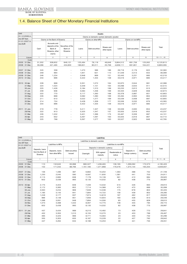# 1.4. Balance Sheet of Other Monetary Financial Institutions

| Until        |                                                              | Assets                   |                                                                         |                                          |                                  |                                              |                            |                                      |                                  |                            |                                      |
|--------------|--------------------------------------------------------------|--------------------------|-------------------------------------------------------------------------|------------------------------------------|----------------------------------|----------------------------------------------|----------------------------|--------------------------------------|----------------------------------|----------------------------|--------------------------------------|
|              | 31.12.2006 in                                                |                          |                                                                         |                                          |                                  | Claims on domestic sectors (domestic assets) |                            |                                      |                                  |                            |                                      |
| mio SIT from |                                                              |                          | Claims on the Bank of Slovenia                                          |                                          |                                  | Claims on other MFIs                         |                            | Claims on non-MFIs                   |                                  |                            |                                      |
| mio EUR      | 01.01.2007 in                                                | Cash                     | Accounts and<br>deposits at the<br>Bank of<br>Slovenia, other<br>claims | Securities of the<br>Bank of<br>Slovenia | Loans                            | Debt securities                              | Shares and<br>other equity | Loans                                | Debt securities                  | Shares and<br>other equity | Total                                |
|              | Column                                                       | $\mathbf{1}$             | $\overline{2}$                                                          | $\overline{\mathbf{3}}$                  | $\overline{4}$                   | 5                                            | 6                          | $\overline{7}$                       | 8                                | $\overline{9}$             | $10 = 1 +  + 9$                      |
|              | Code                                                         |                          |                                                                         |                                          |                                  |                                              |                            |                                      |                                  |                            |                                      |
|              | 2005 31.Dec.                                                 | 31,302                   | 308,602                                                                 | 849,121                                  | 125,494                          | 78,119                                       | 46,846                     | 3,864,512                            | 691,756                          | 125,062                    | 6,120,813                            |
|              | 2006 31.Dec.                                                 | 39,286                   | 421,465                                                                 | 434,830                                  | 186,601                          | 90,011                                       | 25,769                     | 4,839,111                            | 691,801                          | 164,221                    | 6,893,095                            |
|              | 2007 31.Dec.<br>2008 31.Dec.<br>2009 31.Dec.<br>2010 31.Dec. | 245<br>259<br>246<br>234 | 358<br>994<br>1,234<br>896                                              | ٠<br>٠<br>ä,                             | 1,470<br>1,941<br>2,948<br>3,422 | 386<br>621<br>969<br>1,334                   | 186<br>110<br>151<br>159   | 26,716<br>31,549<br>32,445<br>33,516 | 2,176<br>2,013<br>3,231<br>2,971 | 822<br>602<br>995<br>885   | 32,360<br>38,089<br>42,218<br>43,417 |
|              | 2010 30.Apr.<br>31.May                                       | 228<br>224               | 968<br>1,024                                                            | ٠<br>٠                                   | 3,351<br>3,349                   | 1,072<br>1,101                               | 164<br>164                 | 32,970<br>33,098                     | 2,644<br>2,643                   | 991<br>911                 | 42,388<br>42,515                     |
|              | 30.Jun.                                                      | 225                      | 1,426                                                                   | ٠                                        | 3,184                            | 1,310                                        | 199                        | 33,233                               | 2,812                            | 913                        | 43,303                               |
|              | 31.Jul.                                                      | 209                      | 936                                                                     | ä,                                       | 3,084                            | 1,256                                        | 169                        | 33,333                               | 2,829                            | 858                        | 42,673                               |
|              | 31.Aug.                                                      | 222                      | 770                                                                     |                                          | 3,117                            | 1,260                                        | 168                        | 33,378                               | 2,897                            | 851                        | 42,663                               |
|              | 30.Sep.                                                      | 226                      | 868                                                                     |                                          | 3,082                            | 1,280                                        | 169                        | 33,494                               | 2,950                            | 864                        | 42,933                               |
|              | 31.Oct.                                                      | 211                      | 610                                                                     |                                          | 3,022                            | 1,277                                        | 169                        | 33,539                               | 2,938                            | 897                        | 42,665                               |
|              | 30.Nov.                                                      | 214                      | 724                                                                     | ٠                                        | 3,428                            | 1,359                                        | 177                        | 33,556                               | 3,032                            | 876                        | 43,365                               |
|              | 31.Dec.                                                      | 234                      | 896                                                                     | ٠                                        | 3,422                            | 1,334                                        | 159                        | 33,516                               | 2,971                            | 885                        | 43,417                               |
|              | 2011 31.Jan.                                                 | 219                      | 778                                                                     | ä,                                       | 3,411                            | 1,327                                        | 158                        | 33,559                               | 2,930                            | 854                        | 43,237                               |
|              | 28.Feb.                                                      | 222                      | 913                                                                     | ٠                                        | 3,325                            | 1,347                                        | 157                        | 33,505                               | 2,916                            | 852                        | 43,237                               |
|              | 31.Mar.                                                      | 226                      | 1,532                                                                   | ä,                                       | 3,401                            | 1,396                                        | 175                        | 33,467                               | 3,006                            | 897                        | 44,101                               |
|              | 30.Apr.                                                      | 243                      | 652                                                                     | ä,                                       | 3,267                            | 1,097                                        | 163                        | 33,505                               | 2,916                            | 867                        | 42,710                               |
|              | 31.May                                                       | 225                      | 768                                                                     |                                          | 3,267                            | 1,077                                        | 163                        | 33,527                               | 2,922                            | 846                        | 42,795                               |

| Until        |                              |                                                 |                                    |                           |                                 | Liabilities                   |                         |                                 |                           |                  |
|--------------|------------------------------|-------------------------------------------------|------------------------------------|---------------------------|---------------------------------|-------------------------------|-------------------------|---------------------------------|---------------------------|------------------|
|              | 31.12.2006 in                |                                                 |                                    |                           | Liabilities to domestic sectors |                               |                         |                                 |                           |                  |
| mio SIT from | 01.01.2007 in                |                                                 | Liabilities to MFIs                |                           |                                 |                               | Liabilities to non-MFIs |                                 |                           |                  |
| mio EUR      |                              |                                                 |                                    |                           |                                 | Deposits in domestic currency |                         |                                 |                           | Total            |
|              |                              | Deposits, Ioans<br>from the Bank of<br>Slovenia | Deposits, Ioans<br>from other MFIs | Debt securities<br>issued | Ovemight                        | With agreed<br>maturity       | Reedemable at<br>notice | Deposits in<br>foreign currency | Debt securities<br>issued |                  |
|              | Column                       | $\mathbf{1}$                                    | $\overline{c}$                     | 3                         | $\overline{4}$                  | 5                             | 6                       | $\overline{7}$                  | 8                         | $9 = 1 +  + 8$   |
|              | Code                         |                                                 |                                    |                           |                                 |                               |                         |                                 |                           |                  |
|              | 2005 31.Dec.                 | 110                                             | 132,645                            | 65,998                    | 980,327                         | 1,438,465                     | 136,195                 | 1,269,092                       | 172,573                   | 4,195,405        |
|              | 2006 31.Dec.                 | 102                                             | 171,042                            | 88,766                    | 1,161,185                       | 1,471,968                     | 179,476                 | 1,374,144                       | 163,254                   | 4,609,937        |
|              | 2007 31.Dec.<br>2008 31.Dec. | 156<br>1,230                                    | 1,496<br>2.040                     | 387<br>590                | 6,882<br>6,597                  | 10,202<br>11.930              | 1,363<br>1.381          | 488<br>441                      | 752<br>703                | 21,726<br>24,911 |
|              | 2009 31.Dec.                 | 2,115                                           | 2,995                              | 838                       | 7,178                           | 15,139                        | 561                     | 410                             | 684                       | 29,920           |
|              | 2010 31.Dec.                 | 602                                             | 3,439                              | 993                       | 8,135                           | 14,532                        | 82                      | 438                             | 775                       | 28,997           |
|              |                              |                                                 |                                    |                           |                                 |                               |                         |                                 |                           |                  |
|              | 2010 30.Apr.                 | 2.175                                           | 3.404                              | 849                       | 7,346                           | 14,532                        | 515                     | 426                             | 663                       | 29,910           |
|              | 31.May                       | 2,172                                           | 3,385                              | 852                       | 7,714                           | 14,368                        | 472                     | 470                             | 666                       | 30,099           |
|              | 30.Jun.                      | 2,063                                           | 3,234                              | 969                       | 7,946                           | 14,538                        | 175                     | 678                             | 802                       | 30,405           |
|              | 31.Jul.                      | 1.185                                           | 3.145                              | 941                       | 7,894                           | 14.722                        | 156                     | 439                             | 802                       | 29,285           |
|              | 31.Aug.                      | 1,249                                           | 3.177                              | 937                       | 7.974                           | 14.819                        | 167                     | 462                             | 817                       | 29,602           |
|              | 30.Sep.                      | 986                                             | 3.148                              | 951                       | 7,956                           | 14.604                        | 160                     | 428                             | 813                       | 29,046           |
|              | 31.Oct.                      | 1,098                                           | 3,091                              | 948                       | 7,894                           | 14,556                        | 83                      | 430                             | 809                       | 28,910           |
|              | 30.Nov.                      | 1,073                                           | 3,488                              | 1,022                     | 8,067                           | 14,775                        | 108                     | 445                             | 794                       | 29,772           |
|              | 31.Dec.                      | 602                                             | 3,439                              | 993                       | 8,135                           | 14,532                        | 82                      | 438                             | 775                       | 28,997           |
|              | 2011 31.Jan.                 | 437                                             | 3.434                              | 989                       | 8,215                           | 15.492                        | 73                      | 429                             | 772                       | 29,841           |
|              | 28.Feb.                      | 452                                             | 3,355                              | 1,010                     | 8,155                           | 15,270                        | 23                      | 433                             | 769                       | 29,467           |
|              | 31.Mar.                      | 365                                             | 3,425                              | 966                       | 8,771                           | 15,564                        | 23                      | 430                             | 752                       | 30,296           |
|              | 30.Apr.                      | 355                                             | 3,305                              | 655                       | 8,187                           | 15,229                        | 22                      | 427                             | 762                       | 28,942           |
|              | 31.May                       | 447                                             | 3,294                              | 634                       | 8.198                           | 15,253                        | 30                      | 441                             | 755                       | 29,051           |
|              |                              |                                                 |                                    |                           |                                 |                               |                         |                                 |                           |                  |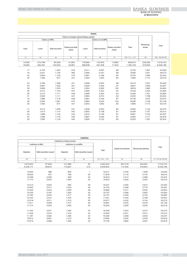|        | <b>Assets</b> |                 |                                            |         |                    |                            |                   |                     |                 |  |  |  |  |  |
|--------|---------------|-----------------|--------------------------------------------|---------|--------------------|----------------------------|-------------------|---------------------|-----------------|--|--|--|--|--|
|        |               |                 | Claims on foreign sectors (foreign assets) |         |                    |                            |                   |                     |                 |  |  |  |  |  |
|        |               | Claims on MFIs  |                                            |         | Claims on non-MFIs |                            |                   |                     |                 |  |  |  |  |  |
| Cash   | Loans         | Debt securities | Shares and other<br>equity                 | Loans   | Debt securities    | Shares and other<br>equity | Total             | Remaining<br>assets | Total           |  |  |  |  |  |
| 11     | 12            | 13              | 14                                         | 15      | 16                 | 17                         | $18 = 11 +  + 17$ | 19                  | $20 = 10+18+19$ |  |  |  |  |  |
|        |               |                 |                                            |         |                    |                            |                   |                     |                 |  |  |  |  |  |
| 13,096 | 374,789       | 90,238          | 51,954                                     | 179,985 | 123,453            | 14,860                     | 848,375           | 250,536             | 7,219,724       |  |  |  |  |  |
| 18,080 | 362,491       | 153,235         | 52,661                                     | 286,638 | 291,509            | 17,542                     | 1,182,156         | 273,935             | 8,349,186       |  |  |  |  |  |
| 17     | 2,753         | 1.452           | 318                                        | 2,511   | 2.587              | 98                         | 9,735             | 1.397               | 43,493          |  |  |  |  |  |
| 16     | 2,221         | 1,135           | 385                                        | 2,995   | 2,441              | 86                         | 9,280             | 1,641               | 49,010          |  |  |  |  |  |
| 22     | 2,930         | 1,123           | 419                                        | 2,961   | 2,168              | 82                         | 9,705             | 1,480               | 53,404          |  |  |  |  |  |
| 20     | 1,492         | 977             | 441                                        | 2,944   | 1,933              | 82                         | 7,890             | 1,712               | 53,019          |  |  |  |  |  |
| 24     | 2,186         | 1,309           | 441                                        | 2,958   | 2,504              | 88                         | 9,510             | 1,557               | 53,455          |  |  |  |  |  |
| 23     | 2,667         | 1,333           | 441                                        | 2,945   | 2,400              | 97                         | 9,907             | 1,639               | 54,061          |  |  |  |  |  |
| 26     | 2.693         | 1.243           | 441                                        | 2.954   | 2.362              | 100                        | 9.819             | 1.682               | 54,804          |  |  |  |  |  |
| 26     | 2,012         | 1.134           | 437                                        | 2,993   | 2,354              | 94                         | 9.049             | 1.640               | 53,363          |  |  |  |  |  |
| 26     | 2.415         | 1.171           | 438                                        | 2.989   | 2,335              | 94                         | 9.468             | 1.761               | 53,892          |  |  |  |  |  |
| 21     | 2,093         | 1,111           | 447                                        | 2,964   | 2,274              | 94                         | 9,003             | 1,708               | 53,644          |  |  |  |  |  |
| 19     | 1,886         | 1,116           | 448                                        | 2,981   | 2,190              | 97                         | 8,736             | 1,672               | 53,073          |  |  |  |  |  |
| 20     | 2,365         | 1,091           | 472                                        | 2,963   | 2,022              | 103                        | 9,036             | 1,746               | 54,148          |  |  |  |  |  |
| 20     | 1,492         | 977             | 441                                        | 2,944   | 1,933              | 82                         | 7,890             | 1,712               | 53,019          |  |  |  |  |  |
|        |               |                 |                                            |         |                    |                            |                   |                     |                 |  |  |  |  |  |
| 17     | 2,012         | 1,038           | 441                                        | 2,939   | 2,063              | 84                         | 8,594             | 1,744               | 53,575          |  |  |  |  |  |
| 20     | 1.613         | 1.112           | 442                                        | 2.923   | 2,138              | 91                         | 8,339             | 1.737               | 53,313          |  |  |  |  |  |
| 20     | 1,966         | 1.140           | 442                                        | 2,910   | 2,126              | 87                         | 8,691             | 1.745               | 54,537          |  |  |  |  |  |
| 24     | 1,566         | 1,170           | 440                                        | 2,897   | 2,206              | 87                         | 8,390             | 1,717               | 52,818          |  |  |  |  |  |
| 25     | 1,592         | 1,118           | 440                                        | 2,905   | 2,152              | 92                         | 8,323             | 1,797               | 52,916          |  |  |  |  |  |
|        |               |                 |                                            |         |                    |                            |                   |                     |                 |  |  |  |  |  |

| Liabilities      |                        |                                |                         |                   |                      |                       |                         |  |  |  |  |  |
|------------------|------------------------|--------------------------------|-------------------------|-------------------|----------------------|-----------------------|-------------------------|--|--|--|--|--|
|                  |                        | Liabilities to foreign sectors |                         |                   |                      |                       |                         |  |  |  |  |  |
|                  | Liabilities to MFIs    |                                | Liabilities to non-MFIs |                   |                      |                       |                         |  |  |  |  |  |
| Deposits         | Debt securities issued | Deposits                       | Debt securities issued  | Total             | Capital and reserves | Remaining liabilities | Total                   |  |  |  |  |  |
| 10               | 11                     | 12                             | 13                      | $14 = 10 +  + 13$ | 15                   | 16                    | $17 = 9 + 14 + 15 + 16$ |  |  |  |  |  |
|                  |                        |                                |                         |                   |                      |                       |                         |  |  |  |  |  |
| 1,872,623        | 87,606                 | 101,988                        | 85                      | 2,062,303         | 657,418              | 304,597               | 7,219,724               |  |  |  |  |  |
| 2,439,177        | 99,644                 | 110,867                        | 215                     | 2,649,902         | 712,426              | 376,922               | 8,349,186               |  |  |  |  |  |
| 14,925<br>16,643 | 388<br>437             | 902<br>768                     | $\overline{1}$<br>30    | 16,217<br>17,879  | 3,700<br>4,118       | 1,849<br>2,102        | 43,493<br>49,010        |  |  |  |  |  |
| 13,436           | 2,263                  | 929                            | 45                      | 16,673            | 4,414                | 2,396                 | 53,404                  |  |  |  |  |  |
| 11,774           | 3,254                  | 1,460                          | 34                      | 16,522            | 4,258                | 3,242                 | 53,019                  |  |  |  |  |  |
|                  |                        |                                |                         |                   |                      |                       |                         |  |  |  |  |  |
| 12,410           | 3,002                  | 984                            | 46                      | 16,441            | 4,492                | 2,612                 | 53,455                  |  |  |  |  |  |
| 12,652           | 3,011                  | 1,023                          | 48                      | 16,734            | 4,458                | 2,770                 | 54,061                  |  |  |  |  |  |
| 12,403           | 3,224                  | 1,295                          | 38                      | 16,960            | 4,417                | 3,022                 | 54,804                  |  |  |  |  |  |
| 12,225           | 3,197                  | 1,300                          | 35                      | 16,757            | 4,399                | 2,922                 | 53,363                  |  |  |  |  |  |
| 12,192           | 3,203                  | 1,317                          | 35                      | 16,747            | 4,439                | 3,103                 | 53,892                  |  |  |  |  |  |
| 12,424           | 3,221                  | 1,320                          | 35                      | 17,001            | 4,430                | 3,168                 | 53,644                  |  |  |  |  |  |
| 12,018           | 3,211                  | 1,313                          | 35                      | 16,577            | 4,432                | 3,154                 | 53,073                  |  |  |  |  |  |
| 11,911           | 3,259                  | 1.477                          | 35                      | 16.681            | 4,376                | 3,319                 | 54,148                  |  |  |  |  |  |
| 11,774           | 3,254                  | 1,460                          | 34                      | 16,522            | 4,258                | 3,242                 | 53,019                  |  |  |  |  |  |
| 11,434           | 3,261                  | 1,480                          | 34                      | 16,209            | 4,253                | 3,272                 | 53,575                  |  |  |  |  |  |
| 11,508           | 3,243                  | 1,479                          | 34                      | 16,263            | 4,251                | 3,331                 | 53,313                  |  |  |  |  |  |
| 11,197           | 3,582                  | 1,480                          | 33                      | 16,292            | 4,308                | 3,642                 | 54,537                  |  |  |  |  |  |
| 10,814           | 3,581                  | 1,472                          | 33                      | 15,900            | 4,530                | 3,446                 | 52,818                  |  |  |  |  |  |
| 10,616           | 3,589                  | 1,494                          | 33                      | 15,733            | 4,665                | 3,467                 | 52,916                  |  |  |  |  |  |
|                  |                        |                                |                         |                   |                      |                       |                         |  |  |  |  |  |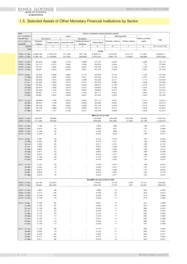**EUROSYSTEM**

# 1.5. Selected Assets of Other Monetary Financial Institutions by Sector

| Until              | Claims on domestic sectors (domestic assets) |                         |                 |                            |                                |                   |                  |                  |                         |  |  |  |
|--------------------|----------------------------------------------|-------------------------|-----------------|----------------------------|--------------------------------|-------------------|------------------|------------------|-------------------------|--|--|--|
| 31.12.2006 in      |                                              |                         | Loans           |                            |                                | Debt securities   |                  |                  |                         |  |  |  |
| mio SIT from       |                                              | By currency             |                 | By purpose                 |                                |                   |                  | Shares and other | Total                   |  |  |  |
| 01.01.2007 in      | Domestic                                     | Foreign currency        | Consumer credit | Lending for house          | Other lending                  | Domestic currency | Foreign currency | equity           |                         |  |  |  |
| mio EUR            | currency<br>$\mathbf{1}$                     |                         |                 | purchase<br>$\overline{4}$ |                                |                   |                  |                  |                         |  |  |  |
| Column<br>Code     |                                              | $\overline{\mathbf{c}}$ | 3               |                            | 5                              | 6                 | $\overline{7}$   | 8                | $9 = 1 + 2 + 6 + 7 + 8$ |  |  |  |
|                    |                                              |                         |                 |                            | Total                          |                   |                  |                  |                         |  |  |  |
| 2005 31.Dec.       | 2,099,189                                    | 2,199,419               | 471,462         | 327,736                    | 3,499,410                      | 1,203,222         | 415,774          | 171,907          | 6,089,511               |  |  |  |
| 2006 31.Dec.       | 2,298,192                                    | 3,148,985               | 547,955         | 468,689                    | 4,430,534                      | 1,096,779         | 119,864          | 189,989          | 6,853,809               |  |  |  |
|                    |                                              |                         |                 |                            |                                |                   |                  |                  |                         |  |  |  |
| 2007 31.Dec.       | 26,555                                       | 1,990                   | 2,743           | 2,668                      | 23,134                         | 2,562             | ä,               | 1,008            | 32,115                  |  |  |  |
| 2008 31.Dec.       | 32,113                                       | 2,370                   | 2,884           | 3,395                      | 28,204                         | 2,634             |                  | 712              | 37,830                  |  |  |  |
| 2009 31.Dec.       | 34,731                                       | 1,895                   | 2,900           | 3,927                      | 29,799                         | 4,199             |                  | 1,146            | 41,972                  |  |  |  |
| 2010 31.Dec.       | 35,991                                       | 1,843                   | 2,833           | 4,837                      | 30,164                         | 4,305             | ä,               | 1,044            | 43,183                  |  |  |  |
|                    |                                              |                         |                 |                            |                                |                   |                  |                  |                         |  |  |  |
| 2010 30.Apr.       | 35,430                                       | 1,859                   | 2,887           | 4,174                      | 30,228                         | 3,716             |                  | 1,155            | 42,160                  |  |  |  |
| 31.May.            | 35,620                                       | 1,852                   | 2,887           | 4,251                      | 30,333                         | 3,744             |                  | 1,075            | 42,291                  |  |  |  |
| 30.Jun.            | 35,929                                       | 1,915                   | 2,826           | 4,490                      | 30,528                         | 4,121             |                  | 1,113            | 43,078                  |  |  |  |
| 31.Jul.            | 35,493                                       | 1,860                   | 2,813           | 4,537                      | 30,003                         | 4,086             |                  | 1,026            | 42,465                  |  |  |  |
| 31.Aug.            | 35,381                                       | 1,884                   | 2,822           | 4,634                      | 29,810                         | 4,156             | ä,               | 1,019            | 42,441                  |  |  |  |
| 30.Sep.<br>31.Oct. | 35,616<br>35,430                             | 1,828<br>1,742          | 2,818<br>2,810  | 4,672<br>4,697             | 29,953<br>29,665               | 4,230<br>4,215    |                  | 1,033<br>1,067   | 42,707<br>42,454        |  |  |  |
| 30.Nov.            | 35,931                                       | 1,777                   | 2,850           | 4,740                      | 30,117                         | 4,391             |                  | 1,053            | 43,151                  |  |  |  |
| 31.Dec.            | 35,991                                       | 1,843                   | 2,833           | 4,837                      | 30,164                         | 4,305             | ä,               | 1,044            | 43,183                  |  |  |  |
|                    |                                              |                         |                 |                            |                                |                   |                  |                  |                         |  |  |  |
| 2011 31.Jan.       | 35,989                                       | 1,760                   | 2,816           | 4,820                      | 30,113                         | 4,257             | ä,               | 1,012            | 43,018                  |  |  |  |
| 28.Feb.            | 36,004                                       | 1,739                   | 2,803           | 4,852                      | 30,089                         | 4,262             |                  | 1,009            | 43,015                  |  |  |  |
| 31.Mar.            | 36,709                                       | 1,691                   | 2,803           | 4,880                      | 30,716                         | 4,402             |                  | 1,073            | 43,874                  |  |  |  |
| 30.Apr.            | 35,736                                       | 1,689                   | 2,786           | 4,926                      | 29,712                         | 4,013             | ä,               | 1,030            | 42,467                  |  |  |  |
| 31.May.            | 35,811                                       | 1,751                   | 2,783           | 5,021                      | 29,758                         | 3,999             |                  | 1,009            | 42,570                  |  |  |  |
|                    |                                              |                         |                 |                            |                                |                   |                  |                  |                         |  |  |  |
|                    |                                              |                         |                 |                            | MFIs (S.121, S.122)            |                   |                  |                  |                         |  |  |  |
| 2005 31.Dec.       | 345,097                                      | 88,999                  |                 | ä,<br>÷                    | 434,096<br>608,066             | 594,946           | 332,295          | 46,846           | 1,408,182               |  |  |  |
| 2006 31.Dec.       | 511,086                                      | 96,980                  |                 |                            |                                | 482,995           | 41,846           | 25,769           | 1,158,676               |  |  |  |
| 2007 31.Dec.       | 1,758                                        | 71                      |                 |                            | 1,829                          | 386               |                  | 186              | 2,401                   |  |  |  |
| 2008 31.Dec.       | 2,918                                        | 16                      |                 | ä,                         | 2,935                          | 621               |                  | 110              | 3,666                   |  |  |  |
| 2009 31.Dec.       | 4,160                                        | 22                      |                 |                            | 4,182                          | 969               |                  | 151              | 5,302                   |  |  |  |
| 2010 31.Dec.       | 4,294                                        | 24                      |                 |                            | 4,318                          | 1,334             |                  | 159              | 5,812                   |  |  |  |
|                    |                                              |                         |                 |                            |                                |                   |                  |                  |                         |  |  |  |
| 2010 30.Apr.       | 4,297                                        | 23                      |                 |                            | 4,319                          | 1,072             |                  | 164              | 5,555                   |  |  |  |
| 31.May.            | 4,348                                        | 26                      |                 | ä,                         | 4,373                          | 1,101             |                  | 164              | 5,638                   |  |  |  |
| 30.Jun.            | 4,584                                        | 26                      |                 |                            | 4,611                          | 1,310             |                  | 199              | 6,120                   |  |  |  |
| 31.Jul.            | 3,995                                        | 25                      |                 |                            | 4,020                          | 1,256             |                  | 169              | 5,445                   |  |  |  |
| 31.Aug.            | 3,860                                        | 27                      |                 | í.                         | 3,887                          | 1,260             |                  | 168              | 5,315                   |  |  |  |
| 30.Sep.            | 3,917                                        | 33                      |                 | í.                         | 3,950                          | 1,280             |                  | 169              | 5,399                   |  |  |  |
| 31.Oct.            | 3,607                                        | 25                      |                 |                            | 3,632                          | 1,277             |                  | 169              | 5,079                   |  |  |  |
| 30.Nov.<br>31.Dec. | 4,126<br>4,294                               | 26<br>24                |                 | Ĭ.                         | 4,152<br>4,318                 | 1,359<br>1,334    |                  | 177<br>159       | 5,688<br>5,812          |  |  |  |
|                    |                                              |                         |                 |                            |                                |                   |                  |                  |                         |  |  |  |
| 2011 31.Jan.       | 4,167                                        | 22                      |                 |                            | 4,190                          | 1,327             |                  | 158              | 5,674                   |  |  |  |
| 28.Feb.            | 4,220                                        | 18                      |                 |                            | 4,239                          | 1,347             |                  | 157              | 5,742                   |  |  |  |
| 31.Mar.            | 4,916                                        | 17                      |                 |                            | 4,933                          | 1,396             |                  | 175              | 6,504                   |  |  |  |
| 30.Apr.            | 3,902                                        | 17                      |                 |                            | 3,919                          | 1,097             |                  | 163              | 5,179                   |  |  |  |
| 31.May.            | 4,018                                        | 16                      |                 |                            | 4,035                          | 1,077             |                  | 163              | 5,275                   |  |  |  |
|                    |                                              |                         |                 |                            |                                |                   |                  |                  |                         |  |  |  |
|                    |                                              |                         |                 |                            | Non-MFIs (S.123, S.124, S.125) |                   |                  |                  |                         |  |  |  |
| 2005 31.Dec.       | 39,180                                       | 140,353                 |                 | ÷.                         | 179,533                        | 2,419             | 1,799            | 47,101           | 230,852                 |  |  |  |
| 2006 31.Dec.       | 46,800                                       | 262,365                 |                 |                            | 309,165                        | 2,753             | 857              | 55,301           | 368,076                 |  |  |  |
| 2007 31.Dec.       | 1,867                                        | 99                      |                 |                            | 1,966                          | 15                |                  | 324              | 2,305                   |  |  |  |
| 2008 31.Dec.       | 2,413                                        | 126                     |                 |                            | 2,539                          | 20                |                  | 255              | 2,815                   |  |  |  |
| 2009 31.Dec.       | 2,248                                        | 100                     |                 |                            | 2,349                          | 14                |                  | 317              | 2,680                   |  |  |  |
| 2010 31.Dec.       | 2,136                                        | 73                      |                 |                            | 2,209                          | 11                |                  | 275              | 2,496                   |  |  |  |
|                    |                                              |                         |                 |                            |                                |                   |                  |                  |                         |  |  |  |
| 2010 30.Apr.       | 2,196                                        | 95                      |                 |                            | 2,291                          | 14                |                  | 301              | 2,606                   |  |  |  |
| 31.May.            | 2,166                                        | 97                      |                 |                            | 2,263                          | 14                |                  | 281              | 2,558                   |  |  |  |
| 30.Jun.            | 2,138                                        | 90                      |                 |                            | 2,228                          | 11                |                  | 286              | 2,525                   |  |  |  |
| 31.Jul.            | 2,143                                        | 87                      |                 |                            | 2,230                          | 11                |                  | 283              | 2,524                   |  |  |  |
| 31.Aug.            | 2,132                                        | 78                      |                 |                            | 2,210                          | 11                |                  | 280              | 2,502                   |  |  |  |
| 30.Sep.            | 2,120                                        | 73                      |                 |                            | 2,193                          | 11                |                  | 284              | 2,488                   |  |  |  |
| 31.Oct.            | 2,130                                        | 71                      |                 |                            | 2,201                          | 11                |                  | 284              | 2,496                   |  |  |  |
| 30.Nov.            | 2,132                                        | 73                      |                 |                            | 2,206                          | 11                |                  | 280              | 2,497                   |  |  |  |
| 31.Dec.            | 2,136                                        | 73                      |                 |                            | 2,209                          | 11                |                  | 275              | 2,496                   |  |  |  |
| 2011 31.Jan.       | 2,106                                        | 69                      |                 |                            | 2,176                          | 11                |                  | 266              | 2,453                   |  |  |  |
| 28.Feb.            | 2,055                                        | 70                      |                 |                            | 2,124                          | 11                |                  | 265              | 2,401                   |  |  |  |
| 31.Mar.            | 2,030                                        | 65                      |                 |                            | 2,095                          | 11                |                  | 264              | 2,371                   |  |  |  |
| 30.Apr.            | 2,014                                        | 65                      |                 |                            | 2,078                          | 11                |                  | 261              | 2,350                   |  |  |  |
| 31.May.            | 2,011                                        | 68                      |                 |                            | 2,079                          | $10$              |                  | 252              | 2,341                   |  |  |  |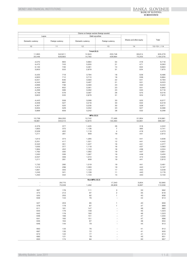| Claims on foreign sectors (foreign assets) |                  |                          |                  |                         |                   |  |  |  |  |
|--------------------------------------------|------------------|--------------------------|------------------|-------------------------|-------------------|--|--|--|--|
| Loans                                      |                  | Debt securities          |                  |                         |                   |  |  |  |  |
| Domestic currency                          | Foreign currency | Domestic currency        | Foreign currency | Shares and other equity | Total             |  |  |  |  |
| 10                                         | 11               | 12                       | 13               | 14                      | $15 = 10 +  + 14$ |  |  |  |  |
|                                            |                  |                          |                  |                         |                   |  |  |  |  |
|                                            |                  | Total $(S.2)$            |                  |                         |                   |  |  |  |  |
| 11,963                                     | 542,811          | 12,943                   | 200,748          | 66,814                  | 835,279           |  |  |  |  |
| 20,446                                     | 628,683          | 14,760                   | 429,984          | 70,203                  | 1,164,076         |  |  |  |  |
|                                            |                  |                          |                  |                         |                   |  |  |  |  |
| 4,570                                      | 693              | 3,984                    | 54               | 416                     | 9,718             |  |  |  |  |
| 4,472                                      | 743              | 3,555                    | 21               | 471                     | 9,263             |  |  |  |  |
| 5,145                                      | 746              | 3,281                    | 10               | 502                     | 9,683             |  |  |  |  |
| 3,903                                      | 533              | 2,879                    | 31               | 524                     | 7,870             |  |  |  |  |
|                                            |                  |                          |                  |                         |                   |  |  |  |  |
|                                            |                  |                          |                  |                         |                   |  |  |  |  |
| 4,425                                      | 719              | 3,794                    | 18               | 529                     | 9,486             |  |  |  |  |
| 4,900                                      | 712              | 3,715                    | 18               | 538                     | 9,884             |  |  |  |  |
| 5,001                                      | 646              | 3,583                    | 22               | 541                     | 9,793             |  |  |  |  |
| 4,343                                      | 662              | 3,467                    | 21               | 531                     | 9,023             |  |  |  |  |
| 4,666                                      | 738              | 3,483                    | 23               | 532                     | 9,442             |  |  |  |  |
| 4,454                                      | 602              | 3,361                    | 23               | 541                     | 8,982             |  |  |  |  |
| 4,269                                      | 599              | 3,282                    | 23               | 545                     | 8,718             |  |  |  |  |
| 4,749                                      | 579              | 3,087                    | 26               | 575                     | 9,016             |  |  |  |  |
| 3,903                                      | 533              | 2,879                    | 31               | 524                     | 7,870             |  |  |  |  |
|                                            |                  |                          |                  |                         |                   |  |  |  |  |
|                                            |                  |                          |                  |                         |                   |  |  |  |  |
| 4,443                                      | 508              | 3,068                    | 33               | 525                     | 8,577             |  |  |  |  |
| 4,009                                      | 527              | 3,218                    | 33               | 532                     | 8,319             |  |  |  |  |
| 4,357                                      | 520              | 3,235                    | 30               | 529                     | 8,671             |  |  |  |  |
| 3,934                                      | 529              | 3,352                    | 23               | 527                     | 8,366             |  |  |  |  |
| 3,889                                      | 608              | 3,242                    | 28               | 532                     | 8,299             |  |  |  |  |
|                                            |                  |                          |                  |                         |                   |  |  |  |  |
|                                            |                  | MFIs(S.2)                |                  |                         |                   |  |  |  |  |
| 10,739                                     | 364,050          | 12,742                   | 77,495           | 51,954                  | 516,981           |  |  |  |  |
| 18,981                                     | 343,510          | 12,870                   | 140,364          | 52,661                  | 568,387           |  |  |  |  |
|                                            |                  |                          |                  |                         |                   |  |  |  |  |
| 2,376                                      | 377              | 1,425                    | 26               | 318                     | 4,522             |  |  |  |  |
| 1,850                                      | 370              | 1,128                    | $\overline{7}$   | 385                     | 3,741             |  |  |  |  |
| 2,528                                      | 402              | 1,119                    | $\overline{4}$   | 419                     | 4,473             |  |  |  |  |
|                                            |                  |                          |                  |                         |                   |  |  |  |  |
| 1,211                                      | 281              | 959                      | 19               | 441                     | 2,910             |  |  |  |  |
|                                            |                  |                          |                  |                         |                   |  |  |  |  |
| 1,812                                      | 374              | 1,295                    | 13               | 441                     | 3,936             |  |  |  |  |
| 2,251                                      | 417              | 1,321                    | 12               | 441                     | 4,442             |  |  |  |  |
| 2,342                                      | 351              | 1,227                    | 16               | 441                     | 4,377             |  |  |  |  |
| 1,635                                      | 377              | 1,118                    | 16               | 437                     | 3,583             |  |  |  |  |
| 1,964                                      | 452              | 1,153                    | 18               | 438                     | 4,024             |  |  |  |  |
| 1,762                                      | 330              | 1,092                    | 19               | 447                     | 3,651             |  |  |  |  |
| 1,550                                      | 336              | 1,097                    | 18               | 448                     | 3,450             |  |  |  |  |
| 2,057                                      | 308              | 1,072                    | 19               | 472                     | 3,928             |  |  |  |  |
| 1,211                                      | 281              | 959                      | 19               | 441                     | 2,910             |  |  |  |  |
|                                            |                  |                          |                  |                         |                   |  |  |  |  |
|                                            | 280              |                          | 19               | 441                     |                   |  |  |  |  |
| 1,732                                      |                  | 1,019                    |                  |                         | 3,491             |  |  |  |  |
| 1,315                                      | 298              | 1,093                    | 19               | 442                     | 3,167             |  |  |  |  |
| 1,661                                      | 305              | 1,123                    | 17               | 442                     | 3,548             |  |  |  |  |
| 1,245                                      | 321              | 1,159                    | 11               | 440                     | 3,176             |  |  |  |  |
| 1,250                                      | 342              | 1,103                    | 15               | 440                     | 3,150             |  |  |  |  |
|                                            |                  |                          |                  |                         |                   |  |  |  |  |
|                                            |                  | Non-MFIs (S.2)           |                  |                         |                   |  |  |  |  |
| $\overline{\phantom{a}}$                   | 29,770           | $\overline{\phantom{a}}$ | 17,340           | 5,854                   | 52,965            |  |  |  |  |
|                                            | 75,559           | 1,492                    | 26,809           | 6,697                   | 110,556           |  |  |  |  |
|                                            |                  |                          |                  |                         |                   |  |  |  |  |
| 367                                        | 178              | 111                      | 3                | 33                      | 692               |  |  |  |  |
| 473                                        | 212              | 97                       | $\sqrt{2}$       | 35                      | 819               |  |  |  |  |
| 520                                        | 205              | 92                       | $\mathbf{1}$     | 40                      | 858               |  |  |  |  |
| 646                                        | 144              | 79                       | ×                | 44                      | 913               |  |  |  |  |
|                                            |                  |                          |                  |                         |                   |  |  |  |  |
| 527                                        | 203              | 85                       | $\mathbf{1}$     | 40                      | 856               |  |  |  |  |
| 576                                        | 179              | 87                       | $\overline{1}$   | 47                      | 889               |  |  |  |  |
| 611                                        | 181              | 147                      |                  |                         | 985               |  |  |  |  |
|                                            |                  |                          |                  | 46                      |                   |  |  |  |  |
| 643                                        | 176              | 158                      |                  | 45                      | 1,023             |  |  |  |  |
| 642                                        | 176              | 160                      |                  | 46                      | 1,023             |  |  |  |  |
| 636                                        | 166              | 151                      |                  | 47                      | 1,000             |  |  |  |  |
| 641                                        | 160              | 151                      |                  | 47                      | 998               |  |  |  |  |
| 635                                        | 164              | 87                       |                  | 48                      | 934               |  |  |  |  |
| 646                                        | 144              | 79                       |                  | 44                      | 913               |  |  |  |  |
|                                            |                  |                          |                  |                         |                   |  |  |  |  |
| 662                                        | 133              | 76                       |                  | 41                      | 912               |  |  |  |  |
| 687                                        | 135              | 72                       |                  | 41                      | 935               |  |  |  |  |
| 672                                        | 122              | $7\,7$                   |                  | 41                      | 913               |  |  |  |  |
| 685                                        | 121              | 79                       |                  | 45                      | 931               |  |  |  |  |
| 650                                        | 174              | 84                       |                  | 50                      | 957               |  |  |  |  |
|                                            |                  |                          |                  |                         |                   |  |  |  |  |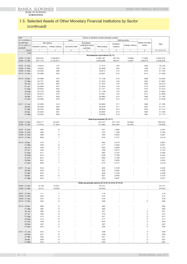# 1.5. Selected Assets of Other Monetary Financial Institutions by Sector (continued)

| Until                    | Claims on domestic sectors (domestic assets) |                       |                           |                                                   |                                   |                |                           |                          |                |
|--------------------------|----------------------------------------------|-----------------------|---------------------------|---------------------------------------------------|-----------------------------------|----------------|---------------------------|--------------------------|----------------|
| 31.12.2006 in            |                                              |                       | Loans                     |                                                   |                                   |                | Debt securities           |                          |                |
| mio SIT from             | By currency                                  |                       |                           | By purpose                                        |                                   | Domestic       |                           | Shares and other         | Total          |
| 01.01.2007 in<br>mio EUR | Domestic currency                            | Foreign currency      | Consumer credit           | Lending for house<br>purchase                     | Other lending                     | currency       | Foreign currency          | equity                   |                |
| Column                   | $\mathbf{1}$                                 | $\,2$                 | $\ensuremath{\mathsf{3}}$ | $\sqrt{4}$                                        | $\sqrt{5}$                        | 6              | $\overline{\mathfrak{c}}$ | 8                        | $9=1+2+6+7+8$  |
| Code                     |                                              |                       |                           |                                                   |                                   |                |                           |                          |                |
|                          |                                              |                       |                           |                                                   | Non-financial corporations (S.11) |                |                           |                          |                |
| 2005 31.Dec.             | 956,334                                      | 1,538,853             | ÷,                        | ÷,                                                | 2,495,187                         | 28,724         | 18,999                    | 77,960                   | 2,620,870      |
| 2006 31.Dec.             | 927,775                                      | 2,155,914             | ÷,                        | $\bar{a}$                                         | 3,083,689                         | 28,541         | 14,897                    | 108,919                  | 3,236,046      |
|                          |                                              |                       |                           |                                                   |                                   |                |                           |                          |                |
| 2007 31.Dec.             | 16,643                                       | 770                   | ٠                         | $\overline{\phantom{a}}$                          | 17,413                            | 194            | ٠                         | 498                      | 18,105         |
| 2008 31.Dec.             | 19,834                                       | 765                   |                           |                                                   | 20,599                            | 204            |                           | 346                      | 21,149         |
| 2009 31.Dec.             | 20,326                                       | 486                   |                           | ä,                                                | 20,812                            | 214            | ÷,                        | 678                      | 21,704         |
| 2010 31.Dec.             | 20,396                                       | 430                   |                           | ۰                                                 | 20,827                            | 212            |                           | 610                      | 21,648         |
| 2010 30.Apr.             | 20,688                                       | 470                   |                           | ٠                                                 | 21,158                            | 215            |                           | 689                      | 22,062         |
| 31.May.                  | 20,757                                       | 465                   |                           | ÷                                                 | 21,222                            | 145            | ä,                        | 630                      | 21,997         |
| 30.Jun.                  | 20,780                                       | 463                   |                           | ٠                                                 | 21,242                            | 144            |                           | 628                      | 22,015         |
| 31.Jul.                  | 20,848                                       | 457                   |                           | ÷                                                 | 21,304                            | 143            |                           | 574                      | 22,022         |
| 31.Aug.                  | 20,650                                       | 452                   |                           |                                                   | 21,101                            | 143            |                           | 570                      | 21,815         |
| 30.Sep.                  | 20,700                                       | 439                   |                           | ٠                                                 | 21,139                            | 142            |                           | 581                      | 21,862         |
| 31.Oct.                  | 20,674                                       | 416                   |                           | ä,                                                | 21,091                            | 144            | ä,                        | 614                      | 21,848         |
| 30.Nov.                  | 20,571                                       | 409                   |                           | ä,                                                | 20,980                            | 214            | ä,                        | 596                      | 21,790         |
| 31.Dec.                  | 20,396                                       | 430                   |                           |                                                   | 20,827                            | 212            |                           | 610                      | 21,648         |
|                          |                                              |                       |                           |                                                   |                                   |                |                           |                          |                |
| 2011 31.Jan.             | 20,585                                       | 410                   |                           |                                                   | 20,995                            | 211            |                           | 588                      | 21,794         |
| 28.Feb.                  | 20,585                                       | 394                   |                           | ä,                                                | 20,979                            | 211            |                           | 587                      | 21,777         |
| 31.Mar.                  | 20,544                                       | 386                   |                           | ٠                                                 | 20,929                            | 212            | ٠                         | 633                      | 21,774         |
| 30.Apr.                  | 20,583                                       | 381                   | ÷                         | ä,<br>ä,                                          | 20,964                            | 212            | ä,                        | 606                      | 21,782         |
| 31.May.                  | 20,520                                       | 386                   |                           |                                                   | 20,906                            | 215            |                           | 594                      | 21,714         |
|                          |                                              |                       |                           |                                                   | Central government (S.1311)       |                |                           |                          |                |
| 2005 31.Dec.             | 108,217                                      | 32,491                | ×,                        | ä,                                                | 140,707                           | 577,133        | 62,682                    |                          | 780,523        |
| 2006 31.Dec.             | 110,035                                      | 21,849                | ä,                        | $\sim$                                            | 131,884                           | 582,490        | 62,265                    |                          | 776,638        |
|                          |                                              |                       |                           |                                                   |                                   |                |                           |                          |                |
| 2007 31.Dec.             | 394                                          | $\,6\,$               | ä,                        | ÷,                                                | 401                               | 1,966          |                           |                          | 2,367          |
| 2008 31.Dec.             | 366                                          | $\boldsymbol{7}$      |                           |                                                   | 373                               | 1,789          |                           |                          | 2,162          |
| 2009 31.Dec.             | 488                                          | $\,6\,$               |                           |                                                   | 495                               | 3,003          |                           |                          | 3,497          |
| 2010 31.Dec.             | 665                                          | $\boldsymbol{7}$      |                           | ٠                                                 | 672                               | 2,747          |                           |                          | 3,419          |
|                          |                                              |                       |                           |                                                   |                                   |                |                           |                          |                |
| 2010 30.Apr.             | 475<br>509                                   | $\boldsymbol{7}$<br>8 |                           | ÷.                                                | 482                               | 2,416          |                           |                          | 2,897          |
| 31.May.<br>30.Jun.       | 456                                          | 8                     |                           |                                                   | 517<br>464                        | 2,484<br>2,656 |                           |                          | 3,001<br>3,120 |
| 31.Jul.                  | 449                                          | $\boldsymbol{7}$      |                           | ÷.                                                | 456                               | 2,674          |                           |                          | 3,130          |
| 31.Aug.                  | 577                                          | $\overline{7}$        |                           |                                                   | 584                               | 2,742          |                           |                          | 3,326          |
| 30.Sep.                  | 619                                          | $\boldsymbol{7}$      |                           |                                                   | 626                               | 2,796          |                           |                          | 3,422          |
| 31.Oct.                  | 657                                          | $\overline{7}$        |                           |                                                   | 664                               | 2,783          |                           |                          | 3,447          |
| 30.Nov.                  | 640                                          | $\boldsymbol{7}$      |                           | ٠                                                 | 647                               | 2,806          |                           |                          | 3,453          |
| 31.Dec.                  | 665                                          | $\overline{7}$        |                           | ÷.                                                | 672                               | 2,747          |                           |                          | 3,419          |
|                          |                                              |                       |                           |                                                   |                                   |                |                           |                          |                |
| 2011 31.Jan.             | 618                                          | $\boldsymbol{7}$      |                           |                                                   | 625                               | 2,708          |                           |                          | 3,332          |
| 28.Feb.                  | 625                                          | $\overline{7}$        |                           |                                                   | 632                               | 2,694          |                           |                          | 3,326          |
| 31.Mar.                  | 620                                          | $\overline{7}$        |                           |                                                   | 626                               | 2,783          |                           |                          | 3,409          |
| 30.Apr.                  | 620                                          | 6                     |                           |                                                   | 627                               | 2,693          |                           |                          | 3,319          |
| 31.May.                  | 623                                          | $\boldsymbol{7}$      |                           |                                                   | 630                               | 2,697          |                           |                          | 3,327          |
|                          |                                              |                       |                           | Other government sectors (S.1312, S.1313, S.1314) |                                   |                |                           |                          |                |
| 2005 31.Dec.             | 8,139                                        | 15,001                | $\overline{\phantom{a}}$  | ÷,                                                | 23,141                            | Ĭ.             | ÷                         |                          | 23,141         |
| 2006 31.Dec.             | 8,412                                        | 16,529                | ä,                        | ÷,                                                | 24,940                            | J.             |                           |                          | 24,940         |
|                          |                                              |                       |                           |                                                   |                                   |                |                           |                          |                |
| 2007 31.Dec.             | 111                                          | $\boldsymbol{7}$      |                           |                                                   | 118                               |                |                           |                          | 118            |
| 2008 31.Dec.             | 204                                          | $\boldsymbol{7}$      |                           | ٠                                                 | 212                               |                |                           | $\overline{\phantom{a}}$ | 212            |
| 2009 31.Dec.             | 370                                          | 6                     |                           |                                                   | 376                               |                |                           |                          | 376            |
| 2010 31.Dec.             | 520                                          | 6                     |                           | ä,                                                | 526                               |                |                           | 0                        | 526            |
|                          |                                              |                       |                           |                                                   |                                   |                |                           |                          |                |
| 2010 30.Apr.             | 386                                          | $\,6\,$               |                           |                                                   | 392                               |                |                           |                          | 392            |
| 31.May.                  | 390                                          | 6                     |                           |                                                   | 395                               |                |                           | $\blacksquare$           | 395            |
| 30.Jun.                  | 395                                          | 6                     |                           |                                                   | 401                               |                |                           | 0                        | 401            |
| 31.Jul.                  | 409                                          | 6                     |                           |                                                   | 415                               |                |                           | 0                        | 415            |
| 31.Aug.                  | 415                                          | 6                     |                           |                                                   | 421                               |                |                           | 0<br>0                   | 421            |
| 30.Sep.<br>31.Oct.       | 412<br>429                                   | 6<br>$\,6\,$          |                           | ٠                                                 | 417<br>434                        |                |                           | 0                        | 417<br>434     |
| 30.Nov.                  | 491                                          | $\,6\,$               |                           |                                                   | 497                               |                |                           | 0                        | 497            |
| 31.Dec.                  | 520                                          | 6                     |                           | ٠                                                 | 526                               |                |                           | 0                        | 526            |
|                          |                                              |                       |                           |                                                   |                                   |                |                           |                          |                |
| 2011 31.Jan.             | 532                                          | $\,6\,$               |                           |                                                   | 538                               |                |                           | $\mathsf O$              | 538            |
| 28.Feb.                  | 531                                          | 6                     |                           |                                                   | 536                               |                |                           | 0                        | 536            |
| 31.Mar.                  | 535                                          | 6                     |                           |                                                   | 541                               |                |                           | 0                        | 541            |
| 30.Apr.                  | 526                                          | $\,6\,$               |                           |                                                   | 532                               |                |                           | 0                        | 532            |
| 31.May.                  | 524                                          | $\,6\,$               |                           |                                                   | 530                               |                |                           | 0                        | 530            |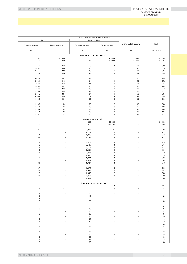|                           |                  | Claims on foreign sectors (foreign assets) |                         |                         |                      |
|---------------------------|------------------|--------------------------------------------|-------------------------|-------------------------|----------------------|
| Loans                     |                  | Debt securities                            |                         |                         |                      |
| Domestic currency         | Foreign currency | Domestic currency                          | Foreign currency        | Shares and other equity | Total                |
| $10$                      | 11               | 12                                         | 13                      | $14$                    | $15=10++14$          |
|                           |                  |                                            |                         |                         |                      |
|                           |                  | Non-financial corporations (S.2)           |                         |                         |                      |
| 633                       | 147,193          | ÷,                                         | 40,464                  | 9,005                   | 197,296              |
| 1,119                     | 203,109          | 198                                        | 50,084                  | 10,845                  | 265,354              |
|                           |                  |                                            |                         |                         |                      |
| 1,772                     | 138              | 110                                        | $\sqrt{4}$              | 65                      | 2,089                |
| 2,068                     | 160              | 95                                         | $\mathsf{O}$            | 50                      | 2,374                |
| 2,045                     | 138              | 80                                         | $\mathsf{O}\xspace$     | 42                      | 2,305                |
| 1,982                     | 106              | 69                                         | $\boldsymbol{9}$        | 38                      | 2,205                |
|                           |                  |                                            |                         |                         |                      |
| 2,036                     | 141              | 85                                         | $\mathsf{O}\xspace$     | 47                      | 2,309                |
| 2,021                     | 115              | 84                                         | $\mathbf{1}$            | 50                      | 2,272                |
| 1,986                     | 112              | 84                                         | $\mathbf{1}$            | 55                      | 2,237                |
| 2,001                     | 107              | 85                                         | $\mathbf{1}$            | 48                      | 2,243                |
| 1,998                     | 110              | 85                                         | 1                       | 48                      | 2,242                |
| 1,994                     | 105              | 85                                         | $\mathbf{1}$            | 47                      | 2,233                |
| 2,015                     | 101              | 64                                         | $\mathbf{1}$            | 50                      | 2,231                |
| 2,008                     | 106              | 78                                         | 3                       | 55                      | 2,249                |
| 1,982                     | 106              | 69                                         | $\mathbf 9$             | 38                      | 2,205                |
|                           |                  |                                            |                         |                         |                      |
| 1,989                     | 94               | 68                                         | 8                       | 43                      | 2,203                |
| 1,947                     | 93               | 69                                         | 8                       | 50                      | 2,168                |
| 1,964                     | 92               | 62                                         | $\mathbf{1}$            | 46                      | 2,164                |
| 1,944                     | 86               | 63                                         | 1                       | 42                      | 2,135                |
| 1,930                     | 91               | 65                                         | $\mathbf{1}$            | 42                      | 2,129                |
|                           |                  |                                            |                         |                         |                      |
|                           |                  | Central government (S.2)                   |                         |                         |                      |
| ÷,                        | ä,               | 200                                        | 62,994                  | ä,                      | 63,195               |
| $\overline{\phantom{a}}$  | 5,032            | 200                                        | 212,727                 | ٠                       | 217,959              |
|                           |                  |                                            |                         |                         |                      |
| 20                        |                  | 2,328                                      | 20                      |                         | 2,368                |
| 20                        |                  | 2,219                                      | 12                      |                         | 2,252                |
| 17                        |                  | 1,990                                      | $\,$ 5 $\,$             |                         | 2,012                |
| 31                        |                  | 1,744                                      | $\sqrt{4}$              |                         | 1,779                |
|                           |                  |                                            |                         |                         |                      |
| 16                        |                  | 2,305                                      | $\sqrt{4}$              |                         | 2,325                |
| 16                        |                  | 2,197                                      | $\overline{\mathbf{4}}$ |                         | 2,217                |
| 16                        |                  | 2,101                                      | 4                       |                         | 2,121                |
| 16                        |                  | 2,081                                      | $\overline{\mathbf{4}}$ |                         | 2,101                |
| 15                        |                  | 2,056                                      | 4                       |                         | 2,076                |
| 15                        |                  | 1,996                                      | $\overline{\mathbf{4}}$ |                         | 2,016                |
| 17                        |                  |                                            | $\overline{\mathbf{4}}$ |                         |                      |
|                           |                  | 1,941                                      | $\sqrt{4}$              |                         | 1,962                |
| 17<br>31                  |                  | 1,822<br>1,744                             | $\sqrt{4}$              |                         | 1,843<br>1,779       |
|                           |                  |                                            |                         |                         |                      |
| 27                        |                  |                                            | 5                       |                         |                      |
|                           |                  | 1,877                                      |                         |                         | 1,909                |
| 26                        |                  | 1,955                                      | $\,$ 5 $\,$             |                         | 1,987                |
| 25<br>25                  |                  | 1,945                                      | 13<br>12                |                         | 1,983                |
|                           |                  | 2,019                                      |                         |                         | 2,056                |
| 25                        |                  | 1,957                                      | 13                      |                         | 1,995                |
|                           |                  | Other government sectors (S.2)             |                         |                         |                      |
|                           | ×.               | ÷                                          | 2,454                   |                         | 2,454                |
|                           | 391              |                                            |                         |                         | 391                  |
|                           |                  |                                            |                         |                         |                      |
| $\mathbf{1}$              |                  | 10                                         |                         |                         |                      |
| 8                         |                  | 15                                         |                         |                         | 11<br>23             |
| $\overline{\mathfrak{c}}$ |                  | $\mathsf{O}\xspace$                        |                         |                         |                      |
| 6                         |                  | 28                                         |                         |                         | $\overline{7}$<br>34 |
|                           |                  |                                            |                         |                         |                      |
|                           |                  |                                            |                         |                         |                      |
| 6                         |                  | 25                                         |                         |                         | 31                   |
| 6                         |                  | 25                                         |                         |                         | 31                   |
| 6                         |                  | 25                                         |                         |                         | 31                   |
| 6                         |                  | 25                                         |                         |                         | 31                   |
| 6                         |                  | 30                                         |                         |                         | 36                   |
| 6                         |                  | 37                                         |                         |                         | 43                   |
| 6                         |                  | 30                                         |                         |                         | 35                   |
| 6                         |                  | 28                                         |                         |                         | 34                   |
| 6                         |                  | 28                                         |                         |                         | 34                   |
|                           |                  |                                            |                         |                         |                      |
| 5                         |                  | 28                                         |                         |                         | 33                   |
| 5                         |                  | 28                                         |                         |                         | 33                   |
| 5                         |                  | 28                                         |                         |                         | 33                   |
| 5                         |                  | 33                                         |                         |                         | 38                   |
| 5                         |                  | 33                                         |                         |                         | 38                   |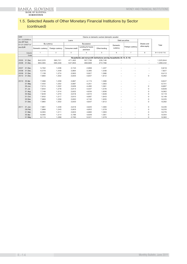# 1.5. Selected Assets of Other Monetary Financial Institutions by Sector (continued)

| Until        |               |                   |                  |                 |                                                                        | Claims on domestic sectors (domestic assets) |                 |                  |              |               |
|--------------|---------------|-------------------|------------------|-----------------|------------------------------------------------------------------------|----------------------------------------------|-----------------|------------------|--------------|---------------|
|              | 31.12.2006 in |                   |                  | Loans           |                                                                        |                                              | Debt securities |                  |              |               |
| mio SIT from | 01.01.2007 in |                   | By currency      |                 | By purpose                                                             |                                              | Domestic        |                  | Shares and   | Total         |
| mio EUR      |               | Domestic currency | Foreign currency | Consumer credit | Lending for house<br>purchase                                          | Other lending                                | currency        | Foreign currency | other equity |               |
|              | Column        | $\overline{1}$    | $\overline{c}$   | 3               | $\overline{4}$                                                         | 5                                            | 6               | $\overline{7}$   | 8            | $9=1+2+6+7+8$ |
|              | Code          |                   |                  |                 |                                                                        |                                              |                 |                  |              |               |
|              |               |                   |                  |                 | Households and non-profit institutions serving households (S.14, S.15) |                                              |                 |                  |              |               |
|              | 2005 31.Dec.  | 642,223           | 383,721          | 471,462         | 327,736                                                                | 226,746                                      |                 |                  |              | 1,025,944     |
|              | 2006 31.Dec.  | 694,085           | 595,348          | 547,955         | 468,689                                                                | 272,788                                      |                 | ٠                |              | 1,289,432     |
|              |               |                   |                  |                 |                                                                        |                                              |                 |                  |              |               |
| 2007         | 31.Dec.       | 5,782             | 1,036            | 2,743           | 2,668                                                                  | 1,407                                        |                 |                  |              | 6,818         |
| 2008         | 31.Dec.       | 6,378             | 1.449            | 2.884           | 3,395                                                                  | 1,548                                        |                 |                  |              | 7,827         |
| 2009         | 31.Dec.       | 7,139             | 1,274            | 2,900           | 3,927                                                                  | 1,586                                        |                 |                  |              | 8,413         |
|              | 2010 31.Dec.  | 7,980             | 1,302            | 2,833           | 4,837                                                                  | 1,612                                        |                 |                  | $\mathbf 0$  | 9,282         |
|              |               |                   |                  |                 |                                                                        |                                              |                 |                  |              |               |
| 2010         | 30.Apr.       | 7,388             | 1,259            | 2,887           | 4,174                                                                  | 1,586                                        |                 |                  |              | 8,647         |
|              | 31.May.       | 7,450             | 1,252            | 2,887           | 4,251                                                                  | 1,563                                        |                 |                  |              | 8,701         |
|              | 30.Jun.       | 7,574             | 1,322            | 2,826           | 4,490                                                                  | 1,581                                        |                 |                  | $\mathbf 0$  | 8,897         |
|              | 31.Jul.       | 7,650             | 1,278            | 2,813           | 4,537                                                                  | 1,578                                        |                 |                  | $\Omega$     | 8,928         |
|              | 31.Aug.       | 7,748             | 1,314            | 2,822           | 4,634                                                                  | 1,606                                        |                 |                  | 0            | 9,062         |
|              | 30.Sep.       | 7,849             | 1,270            | 2,818           | 4,672                                                                  | 1,628                                        |                 |                  | $\mathbf 0$  | 9,119         |
|              | 31.Oct.       | 7,932             | 1,217            | 2,810           | 4,697                                                                  | 1,643                                        |                 |                  | $\Omega$     | 9,149         |
|              | 30.Nov.       | 7,969             | 1,256            | 2,850           | 4,740                                                                  | 1,635                                        |                 |                  | 0            | 9,225         |
|              | 31.Dec.       | 7,980             | 1,302            | 2,833           | 4,837                                                                  | 1,612                                        |                 |                  | $\circ$      | 9,282         |
|              |               |                   |                  |                 |                                                                        |                                              |                 |                  |              |               |
| 2011         | 31.Jan.       | 7,981             | 1.246            | 2.816           | 4,820                                                                  | 1,590                                        |                 |                  | $\circ$      | 9,226         |
|              | 28.Feb.       | 7,988             | 1,245            | 2,803           | 4,852                                                                  | 1,578                                        |                 |                  | $\mathbf 0$  | 9,233         |
|              | 31.Mar.       | 8,065             | 1,211            | 2,803           | 4,880                                                                  | 1,593                                        |                 |                  | $\mathbf 0$  | 9,276         |
|              | 30.Apr.       | 8,090             | 1,214            | 2,786           | 4,926                                                                  | 1,591                                        |                 |                  | $\Omega$     | 9,304         |
|              | 31.May.       | 8,115             | 1,268            | 2,783           | 5,021                                                                  | 1,579                                        |                 |                  | 0            | 9,383         |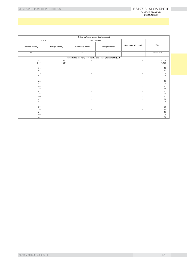| Claims on foreign sectors (foreign assets) |                   |                  |                                                                 |                  |                         |              |  |  |  |  |  |  |
|--------------------------------------------|-------------------|------------------|-----------------------------------------------------------------|------------------|-------------------------|--------------|--|--|--|--|--|--|
|                                            | Loans             |                  |                                                                 | Debt securities  |                         |              |  |  |  |  |  |  |
|                                            | Domestic currency | Foreign currency | Domestic currency                                               | Foreign currency | Shares and other equity | Total        |  |  |  |  |  |  |
|                                            | 10                | 11               | 12                                                              | 13               | 14                      | $15=10+.+14$ |  |  |  |  |  |  |
|                                            |                   |                  |                                                                 |                  |                         |              |  |  |  |  |  |  |
|                                            |                   |                  | Households and non-profit institutions serving households (S.2) |                  |                         |              |  |  |  |  |  |  |
|                                            | 591<br>346        | 1,797            |                                                                 |                  |                         | 2,388        |  |  |  |  |  |  |
|                                            |                   | 1,083            |                                                                 | ٠                |                         | 1,429        |  |  |  |  |  |  |
|                                            | 34                |                  |                                                                 |                  |                         | 35           |  |  |  |  |  |  |
|                                            | 53                |                  |                                                                 |                  |                         | 54           |  |  |  |  |  |  |
|                                            | 29                |                  |                                                                 |                  |                         | 30           |  |  |  |  |  |  |
|                                            | 27                |                  |                                                                 |                  |                         | 29           |  |  |  |  |  |  |
|                                            |                   |                  |                                                                 |                  |                         |              |  |  |  |  |  |  |
|                                            | 28                |                  |                                                                 |                  |                         | 29           |  |  |  |  |  |  |
|                                            | 31                |                  |                                                                 |                  |                         | 32           |  |  |  |  |  |  |
|                                            | 40                |                  |                                                                 |                  |                         | 41           |  |  |  |  |  |  |
|                                            | 42                |                  |                                                                 |                  |                         | 43           |  |  |  |  |  |  |
|                                            | 41                |                  |                                                                 |                  |                         | 42           |  |  |  |  |  |  |
|                                            | 40                |                  |                                                                 |                  |                         | 41           |  |  |  |  |  |  |
|                                            | 40                |                  |                                                                 |                  |                         | 41           |  |  |  |  |  |  |
|                                            | 27                |                  |                                                                 |                  |                         | 28           |  |  |  |  |  |  |
|                                            | 27                |                  |                                                                 |                  |                         | 29           |  |  |  |  |  |  |
|                                            |                   |                  |                                                                 |                  |                         |              |  |  |  |  |  |  |
|                                            | 28                |                  |                                                                 |                  |                         | 29           |  |  |  |  |  |  |
|                                            | 28                |                  |                                                                 |                  |                         | 29           |  |  |  |  |  |  |
|                                            | 29                |                  |                                                                 |                  |                         | 30           |  |  |  |  |  |  |
|                                            | 29                |                  |                                                                 |                  |                         | 30           |  |  |  |  |  |  |
|                                            | 29                |                  |                                                                 |                  |                         | 30           |  |  |  |  |  |  |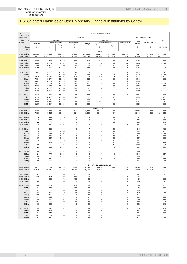**EUROSYSTEM**

# 1.6. Selected Liabilities of Other Monetary Financial Institutions by Sector

| Until                       | Liabilities to domestic sectors |                         |                                           |                                            |                 |                                               |                     |                                          |                  |                          |                        |
|-----------------------------|---------------------------------|-------------------------|-------------------------------------------|--------------------------------------------|-----------------|-----------------------------------------------|---------------------|------------------------------------------|------------------|--------------------------|------------------------|
| 31.12.2006 in               |                                 |                         |                                           | Deposits                                   |                 |                                               |                     |                                          |                  | Debt securities issued   |                        |
| mio SIT from                |                                 |                         |                                           |                                            |                 |                                               |                     |                                          |                  |                          |                        |
| 01.01.2007 in<br>mio EUR    |                                 |                         | Domestic currency<br>With agreed maturity | Reedemable at                              |                 | Foreign currency<br>With agreed maturity      |                     | Reedemable at                            | Domestic         | Foreign currency         | Total                  |
|                             | Overnight                       | Short-term              | Long-term                                 | notice                                     | Ovemight        | Short-term                                    | Long-term           | notice                                   | currency         |                          |                        |
| Column                      | $\mathbf{1}$                    | $\overline{\mathbf{c}}$ | 3                                         | $\overline{4}$                             | 5               | 6                                             | $\overline{7}$      | 8                                        | 9                | 10                       | $11 = 3 +  + 10$       |
| Code                        |                                 |                         |                                           |                                            |                 |                                               |                     |                                          |                  |                          |                        |
| 2005 31.Dec.                |                                 |                         | 309,939                                   | 137,836                                    | 534,802         | Total<br>481,200                              |                     |                                          | 177,327          |                          |                        |
| 2006 31.Dec.                | 986,985<br>1,178,571            | 1,175,499<br>1,251,225  | 292,397                                   | 181,198                                    | 552,743         | 545,504                                       | 295,169<br>318,261  | 35,404<br>38,019                         | 193,038          | 61,245<br>58,982         | 4,195,405<br>4,609,937 |
|                             |                                 |                         |                                           |                                            |                 |                                               |                     |                                          |                  |                          |                        |
| 2007 31.Dec.                | 6,887                           | 8,913                   | 2,857                                     | 1,372                                      | 218             | 248                                           | 56                  | 37                                       | 1,139            | $\overline{\phantom{a}}$ | 21,726                 |
| 2008 31.Dec.                | 6,605                           | 10,971                  | 4,157                                     | 1,396                                      | 215             | 198                                           | 41                  | 36                                       | 1,293            |                          | 24,911                 |
| 2009 31.Dec                 | 7,200                           | 10,408                  | 9,788                                     | 569                                        | 238             | 141                                           | 45                  | 10                                       | 1,521            |                          | 29,920                 |
| 2010 31.Dec                 | 8,155                           | 8,192                   | 10,336                                    | 82                                         | 285             | 121                                           | 55                  | $\overline{\mathbf{c}}$                  | 1,768            | ÷,                       | 28,997                 |
| 2010 30.Apr.                | 7,351                           | 9,006                   | 11,067                                    | 525                                        | 270             | 121                                           | 55                  | 4                                        | 1,512            | $\ddot{\phantom{a}}$     | 29,910                 |
| 31.May.                     | 7,732                           | 8,674                   | 11,196                                    | 483                                        | 299             | 130                                           | 59                  | 8                                        | 1,518            |                          | 30,099                 |
| 30.Jun.                     | 7,976                           | 8,377                   | 11,401                                    | 175                                        | 513             | 129                                           | 61                  | $\overline{\mathbf{c}}$                  | 1,771            |                          | 30,405                 |
| 31.Jul.                     | 7,934                           | 8,574                   | 10,413                                    | 156                                        | 283             | 122                                           | 58                  | $\mathbf 2$                              | 1,743            |                          | 29,285                 |
| 31.Aug.                     | 8,041                           | 8,621                   | 10,529                                    | 167                                        | 307             | 121                                           | 60                  | 3                                        | 1,754            | ä,                       | 29,602                 |
| 30.Sep<br>31.Oct.           | 8,031<br>7,926                  | 8,096<br>8,100          | 10,532<br>10,587                          | 160<br>83                                  | 277<br>286      | 125<br>113                                    | 57<br>55            | $\ensuremath{\mathsf{3}}$<br>$\mathbf 2$ | 1,763<br>1,758   | $\ddot{\phantom{a}}$     | 29,046<br>28,910       |
| 30.Nov.                     | 8,119                           | 8,256                   | 11,003                                    | 108                                        | 291             | 118                                           | 59                  | 3                                        | 1,816            |                          | 29,772                 |
| 31.Dec.                     | 8,155                           | 8,192                   | 10,336                                    | 82                                         | 285             | 121                                           | 55                  | $\sqrt{2}$                               | 1,768            | $\overline{a}$           | 28,997                 |
|                             |                                 |                         |                                           |                                            |                 |                                               |                     |                                          |                  |                          |                        |
| 2011 31.Jan.                | 8,245                           | 8,814                   | 10,496                                    | 73                                         | 282             | 115                                           | 53                  | $\mathbf 2$                              | 1,761            |                          | 29,841                 |
| 28.Feb.                     | 8,179                           | 8,483                   | 10,550                                    | 23                                         | 287             | 116                                           | 49                  | 1                                        | 1,779            |                          | 29,467                 |
| 31.Mar.                     | 8,799                           | 8,724                   | 10,583                                    | 23                                         | 284             | 113                                           | 51                  | $\overline{1}$                           | 1,717            |                          | 30,296                 |
| 30.Apr.                     | 8,206                           | 8,477                   | 10,375                                    | 22                                         | 286             | 107                                           | 50                  | $\overline{1}$<br>$\mathbf{1}$           | 1,417            |                          | 28,942                 |
| 31.May.                     | 8,237                           | 8,614                   | 10,324                                    | 30                                         | 295             | 111                                           | 52                  |                                          | 1,389            |                          | 29,051                 |
|                             |                                 |                         |                                           |                                            |                 | MFIs (S.121, S.122)                           |                     |                                          |                  |                          |                        |
| 2005 31.Dec.                | 6,658                           | 26,368                  | 20,605                                    | 1,641                                      | 10,605          | 17,442                                        | 49,437              | ÷,                                       | 62,759           | 3,239                    | 198,754                |
| 2006 31.Dec.                | 17,386                          | 49,451                  | 22,204                                    | 1,721                                      | 13,434          | 18,484                                        | 48,464              | ÷,                                       | 85,143           | 3,623                    | 259,910                |
|                             |                                 |                         |                                           |                                            |                 |                                               |                     |                                          |                  |                          |                        |
| 2007 31.Dec.<br>2008 31.Dec | 5<br>8                          | 458<br>1,492            | 1,110<br>1,705                            | 9<br>16                                    | 9<br>5          | 47<br>35                                      | 15<br>9             |                                          | 387<br>590       |                          | 2,039<br>3,860         |
| 2009 31.Dec.                | 22                              | 777                     | 4,280                                     | $\mathbf 9$                                | $\overline{7}$  | $_{\rm 3}$                                    | 12                  |                                          | 838              |                          | 5,948                  |
| 2010 31.Dec.                | 20                              | 998                     | 2,997                                     | $\mathsf{O}\xspace$                        | 6               | 14                                            | 6                   | ٠                                        | 993              |                          | 5,034                  |
|                             |                                 |                         |                                           |                                            |                 |                                               |                     |                                          |                  |                          |                        |
| 2010 30.Apr.                | 5                               | 986                     | 4,555                                     | 10                                         | $\overline{7}$  | $_{\rm 3}$                                    | 13                  |                                          | 849              |                          | 6,428                  |
| 31.May.                     | 18                              | 952                     | 4,550                                     | 11                                         | 8               | $\sqrt{4}$                                    | 14                  | ÷,                                       | 852              |                          | 6,408                  |
| 30.Jun.                     | 30                              | 735                     | 4,505                                     | 0<br>$\mathsf{O}\xspace$                   | 6<br>6          | $\overline{\mathfrak{c}}$<br>$\boldsymbol{7}$ | 14<br>13            | ä,                                       | 969<br>941       |                          | 6,265                  |
| 31.Jul.<br>31.Aug.          | 40<br>67                        | 824<br>897              | 3,441<br>3,434                            | $\mathsf{O}\xspace$                        | 10              | 6                                             | 13                  | ä,                                       | 937              |                          | 5,271<br>5,363         |
| 30.Sep.                     | 75                              | 655                     | 3,370                                     | $\mathsf{O}\xspace$                        | $\overline{7}$  | 15                                            | 13                  |                                          | 951              |                          | 5,085                  |
| 31.Oct                      | 33                              | 696                     | 3,435                                     | 0                                          | 6               | $\overline{7}$                                | 12                  |                                          | 948              |                          | 5,138                  |
| 30.Nov.                     | 52                              | 689                     | 3,795                                     | $\mathsf{O}\xspace$                        | $\overline{7}$  | $\overline{7}$                                | 12                  | $\overline{a}$                           | 1,022            |                          | 5,584                  |
| 31.Dec.                     | 20                              | 998                     | 2,997                                     | 0                                          | 6               | 14                                            | 6                   | ä,                                       | 993              |                          | 5,034                  |
|                             |                                 |                         |                                           |                                            |                 |                                               |                     |                                          |                  |                          |                        |
| 2011 31.Jan.<br>28.Feb.     | 30<br>24                        | 833<br>777              | 2,985<br>2,985                            | $\mathsf{O}\xspace$<br>$\mathsf{O}\xspace$ | 6<br>6          | 11<br>$\overline{7}$                          | 6<br>6              | ÷,                                       | 989              |                          | 4,860<br>4,817         |
| 31.Mar.                     | 28                              | 772                     | 2,971                                     | 0                                          | 6               | $\overline{7}$                                | 6                   |                                          | 1,010<br>966     |                          | 4,756                  |
| 30.Apr.                     | 19                              | 689                     | 2,935                                     | $\mathsf{O}\xspace$                        | 6               | 6                                             | 5                   |                                          | 655              |                          | 4,315                  |
| 31.May.                     | 38                              | 837                     | 2,848                                     | $\mathsf{O}\xspace$                        | 6               | 5                                             | 6                   | ÷,                                       | 634              | $\ddot{\phantom{a}}$     | 4,374                  |
|                             |                                 |                         |                                           |                                            |                 |                                               |                     |                                          |                  |                          |                        |
| 2005 31.Dec.                |                                 |                         |                                           |                                            |                 | Non-MFIs (S.123, S.124, S.125)                |                     | 35                                       |                  |                          |                        |
| 2006 31.Dec.                | 10,513<br>21,978                | 73,011<br>86.140        | 75,832<br>55,483                          | 18,349<br>36,869                           | 5,086<br>18,536 | 11,650<br>10,513                              | 110,765<br>134,836  | 138                                      | 63,255<br>71,909 | 34,923<br>32,264         | 403,418<br>468,666     |
|                             |                                 |                         |                                           |                                            |                 |                                               |                     |                                          |                  |                          |                        |
| 2007 31.Dec.                | 181                             | 504                     | 259                                       | 213                                        | 16              | 3                                             |                     | $\boldsymbol{7}$                         | 493              | ä,                       | 1,676                  |
| 2008 31.Dec.                | 118                             | 491                     | 303                                       | 151                                        | 17              | 1                                             | $\mathsf{O}\xspace$ | $\mathsf{O}\xspace$                      | 481              | ä,                       | 1,562                  |
| 2009 31.Dec.                | 111                             | 322                     | 578                                       | 150                                        | 36              | $\mathsf{O}\xspace$                           | $\sim$              | $\mathsf{O}\xspace$                      | 489              | ÷,                       | 1,686                  |
| 2010 31.Dec.                | 163                             | 335                     | 756                                       | 18                                         | 39              | $\mathsf{O}$                                  |                     | $\mathsf{O}\xspace$                      | 538              | $\overline{\phantom{a}}$ | 1,848                  |
| 2010 30.Apr.                | 122                             | 324                     | 671                                       | 146                                        | 37              | ÷,                                            |                     | $\mathsf{O}\xspace$                      | 486              |                          | 1,785                  |
| 31.May.                     | 134                             | 392                     | 686                                       | 150                                        | 36              | $\mathsf{O}\xspace$                           |                     | 1                                        | 498              | ÷,                       | 1,898                  |
| 30.Jun.                     | 157                             | 372                     | 655                                       | 42                                         | 55              | $\mathsf{O}\xspace$                           |                     | $\mathsf{O}\xspace$                      | 576              | $\ddot{\phantom{a}}$     | 1,857                  |
| 31.Jul.                     | 204                             | 394                     | 669                                       | 46                                         | 28              | $\mathsf{O}\xspace$                           |                     | 0                                        | 570              | $\overline{\phantom{a}}$ | 1,911                  |
| 31.Aug.                     | 192                             | 422                     | 685                                       | 46                                         | 44              | $\mathsf O$                                   |                     | $\overline{1}$                           | 577              | ä,                       | 1,968                  |
| 30.Sep.                     | 174                             | 356                     | 687                                       | 46                                         | 31              |                                               |                     | $\mathsf{O}\xspace$                      | 569              |                          | 1,862                  |
| 31.Oct.                     | 204                             | 388                     | 697                                       | 19                                         | 37              | $\mathsf{O}\xspace$                           |                     | $\mathsf{O}\xspace$                      | 566              | ÷,                       | 1,911                  |
| 30.Nov.                     | 187                             | 397                     | 720                                       | 21                                         | 43              | $\mathsf{O}\xspace$                           |                     | 0                                        | 556              | ÷,                       | 1,924                  |
| 31.Dec.                     | 163                             | 335                     | 756                                       | 18                                         | 39              | $\mathsf{O}$                                  | $\sim$              | $\mathsf{O}\xspace$                      | 538              | $\overline{\phantom{a}}$ | 1,848                  |
| 2011 31.Jan.                | 199                             | 343                     | 767                                       | 23                                         | 33              | ÷,                                            |                     | $\mathsf{O}\xspace$                      | 536              | ÷,                       | 1,901                  |
| 28.Feb.                     | 199                             | 396                     | 771                                       | 9                                          | 36              | $\mathsf O$                                   |                     | ÷,                                       | 542              | ÷,                       | 1,954                  |
| 31.Mar.                     | 181                             | 342                     | 794                                       | 9                                          | 28              | $\mathsf{O}\xspace$                           |                     | ÷,                                       | 525              | ÷,                       | 1,880                  |
| 30.Apr.                     | 201                             | 351                     | 804                                       | 10                                         | 30              | 0                                             |                     | ÷,                                       | 534              | ÷,                       | 1,930                  |
| 31.May.                     | 191                             | 459                     | 837                                       | 14                                         | 33              | $\mathsf{O}\xspace$                           |                     | ÷.                                       | 532              | $\sim$                   | 2,067                  |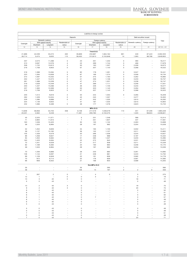| Liabilities to foreign sectors |                           |                         |                     |                     |                      |                  |                             |                          |                          |                   |  |
|--------------------------------|---------------------------|-------------------------|---------------------|---------------------|----------------------|------------------|-----------------------------|--------------------------|--------------------------|-------------------|--|
|                                |                           |                         |                     | Deposits            |                      |                  |                             | Debt securities issued   |                          |                   |  |
|                                |                           | Domestic currency       |                     |                     |                      | Foreign currency |                             |                          |                          | Total             |  |
| Ovemight                       |                           | With agreed maturity    | Reedemable at       | Ovemight            | With agreed maturity |                  | Reedemable at               | Domestic currency        | Foreign currency         |                   |  |
|                                | Short-term                | Long-term               | notice              |                     | Short-term           | Long-term        | notice                      |                          |                          |                   |  |
| 12                             | 13                        | 14                      | 15                  | $16\,$              | 17                   | 18               | 19                          | $20\,$                   | 21                       | $22 - 12 +  + 21$ |  |
|                                |                           |                         |                     |                     | Total (S.2)          |                  |                             |                          |                          |                   |  |
| 21,896                         | 42,339                    | 55,272                  | 463                 | 36,869              | 232,897              | 1,584,184        | 691                         | 249                      | 87,443                   | 2,062,303         |  |
| 28,714                         | 5,474                     | 9,620                   | 110                 | 38,450              | 313,813              | 2,153,848        | 14                          | 1,093                    | 98,766                   | 2,649,902         |  |
|                                |                           |                         |                     |                     |                      |                  |                             |                          |                          |                   |  |
| 257                            | 2,573                     | 11,288                  | $\mathbf 5$         | 23                  | 251                  | 1,432            | $\mathsf{O}$                | 390                      | ÷                        | 16,217            |  |
| 210                            | 3,087                     | 12,076                  | $\sqrt{4}$          | 22                  | 269                  | 1,744            | $\mathsf{O}$                | 468                      | ÷,                       | 17,879            |  |
| 308                            | 1,722                     | 10,813                  | $\bar{2}$           | 50                  | 163                  | 1,307            | $\mathsf{O}$                | 2,308                    | ÷,                       | 16,673            |  |
| 216                            | 1,708                     | 9,903                   | $\mathsf{O}\xspace$ | 57                  | 207                  | 1,143            | $\mathsf{O}$                | 3,288                    | $\overline{\phantom{a}}$ | 16,522            |  |
| 218                            | 1,388                     | 10,284                  | 5                   | 60                  | 178                  | 1,261            | $\mathsf{O}$                | 3,047                    |                          | 16,441            |  |
| 223                            | 1,284                     | 10,658                  | 5                   | 67                  | 166                  | 1,274            | $\mathsf O$                 | 3,058                    | ÷                        | 16,734            |  |
| 274                            | 1,597                     | 10,332                  | $\mathsf{O}\xspace$ | 57                  | 275                  | 1,163            | $\mathsf{O}$                | 3,262                    | ÷,                       | 16,960            |  |
| 252                            | 1,447                     | 10,373                  | $\mathsf{O}\xspace$ | 41                  | 256                  | 1,156            | $\mathsf{O}$                | 3,233                    | $\overline{\phantom{a}}$ | 16,757            |  |
| 261                            | 1,388                     | 10,339                  | $\mathsf{O}\xspace$ | 47                  | 274                  | 1,201            | $\mathsf{O}$                | 3,238                    | ÷,                       | 16,747            |  |
| 318                            | 1,629                     | 10,349                  | $\mathsf{O}\xspace$ | 47                  | 289                  | 1,111            | $\mathsf{O}$                | 3,256                    | ä,                       | 17,001            |  |
| 230                            | 1,437                     | 10,288                  | 0<br>$\mathbf 2$    | 46<br>53            | 226                  | 1,105            | $\mathsf O$<br>$\mathsf{O}$ | 3,245                    | ÷,                       | 16,577            |  |
| 237<br>216                     | 1,383<br>1,708            | 10,369<br>9,903         | $\mathsf{O}\xspace$ | 57                  | 203<br>207           | 1,140<br>1,143   | $\mathsf O$                 | 3,294<br>3,288           | ÷                        | 16,681<br>16,522  |  |
|                                |                           |                         |                     |                     |                      |                  |                             |                          |                          |                   |  |
| 230                            | 1,514                     | 9,816                   | $\sqrt{2}$          | 53                  | 244                  | 1,054            | $\mathsf{O}$                | 3,295                    | ÷,                       | 16,209            |  |
| 292                            | 1,329                     | 10,024                  | $\mathsf{O}\xspace$ | 45                  | 240                  | 1,057            | ÷,                          | 3,277                    | ÷                        | 16,263            |  |
| 229                            | 1,286                     | 9,888                   | $\mathsf{O}\xspace$ | 47                  | 202                  | 1,025            |                             | 3,615                    |                          | 16,292            |  |
| 224                            | 1,149                     | 9,653                   | Ĭ.                  | 47                  | 187                  | 1,025            | ÷,                          | 3,615                    | ÷                        | 15,900            |  |
| 232                            | 1,086                     | 9,489                   | $\mathsf{O}\xspace$ | 48                  | 177                  | 1,078            |                             | 3,623                    | ÷,                       | 15,733            |  |
|                                |                           |                         |                     |                     | MFIs (S.2)           |                  |                             |                          |                          |                   |  |
| 14,836                         | 38,958                    | 54,705                  | 308                 | 8,108               | 217,019              | 1,538,579        | 110                         | 201                      | 87,406                   | 1,960,229         |  |
| 20,031                         | 2,562                     | 9,249                   | ÷,                  | 11,281              | 293,780              | 2,102,275        | ÷,                          | 1,020                    | 98,624                   | 2,538,821         |  |
|                                |                           |                         |                     |                     |                      |                  |                             |                          |                          |                   |  |
| 45                             | 2,225                     | 11,071                  | ÷,                  | $\,$ 5 $\,$         | 231                  | 1,348            |                             | 388                      | ÷                        | 15,314            |  |
| 71                             | 2,893                     | 11,815                  | ä,                  | $\boldsymbol{7}$    | 251                  | 1,607            |                             | 437                      | ÷,                       | 17,081            |  |
| 163                            | 1,538                     | 10,403                  |                     | 30                  | 150                  | 1,152            | ÷,                          | 2,263                    | ÷                        | 15,699            |  |
| 59                             | 1,533                     | 8,994                   |                     | 29                  | 197                  | 962              | ÷,                          | 3,254                    | ÷,                       | 15,028            |  |
|                                |                           |                         |                     |                     |                      |                  |                             |                          |                          |                   |  |
| 52                             | 1,252                     | 9,806                   |                     | 34<br>36            | 165                  | 1,100            |                             | 3,002                    | ÷,<br>ä,                 | 15,411            |  |
| 59<br>105                      | 1,137<br>1,428            | 10,160<br>9,579         |                     | 20                  | 152<br>266           | 1,107<br>1,006   | $\sim$                      | 3,011<br>3,224           | $\overline{\phantom{a}}$ | 15,663<br>15,627  |  |
| 86                             | 1,258                     | 9,627                   |                     | 17                  | 248                  | 988              |                             | 3,197                    | ÷,                       | 15,422            |  |
| 94                             | 1,202                     | 9,584                   |                     | 21                  | 265                  | 1,027            |                             | 3,203                    | ä,                       | 15,395            |  |
| 163                            | 1,433                     | 9,594                   |                     | 22                  | 272                  | 940              |                             | 3,221                    | ÷                        | 15,645            |  |
| 72                             | 1,241                     | 9,529                   |                     | 21                  | 217                  | 938              | $\overline{a}$              | 3,211                    | ÷,                       | 15,229            |  |
| 82                             | 1,189                     | 9,460                   |                     | 23                  | 193                  | 963              | ÷,                          | 3,259                    | ÷,                       | 15,170            |  |
| 59                             | 1,533                     | 8,994                   | J.                  | 29                  | 197                  | 962              | ÷,                          | 3,254                    | ÷,                       | 15,028            |  |
|                                |                           |                         |                     |                     |                      |                  |                             |                          |                          |                   |  |
| 70<br>136                      | 1,336<br>1,144            | 8,888<br>9,097          |                     | 28<br>21            | 233<br>228           | 880<br>881       | ÷,                          | 3,261<br>3,243           | ÷                        | 14,695            |  |
| 69                             | 1,109                     | 8,949                   | ä,                  | 22                  | 191                  | 856              | ÷,                          | 3,582                    | ÷,                       | 14,750<br>14,778  |  |
| 70                             | 972                       | 8,714                   | ä,                  | 22                  | 176                  | 859              |                             | 3,581                    | ÷,                       | 14,395            |  |
| 66                             | 908                       | 8,552                   | ä,                  | 21                  | 166                  | 903              | ÷,                          | 3,589                    | $\overline{\phantom{a}}$ | 14,205            |  |
|                                |                           |                         |                     |                     |                      |                  |                             |                          |                          |                   |  |
|                                |                           |                         |                     |                     | Non-MFIs (S.2)       |                  |                             |                          |                          |                   |  |
| 35                             |                           | ÷,                      | ÷,                  | 35                  |                      | 295              | $\overline{1}$              | $\overline{\phantom{a}}$ | ÷,                       | 366               |  |
| 38                             | $\overline{a}$            | L.                      | ÷,                  | 106                 | 13                   | 197              | $\sqrt{2}$                  | $\overline{c}$           | 0                        | 359               |  |
| $\mathbf{1}$                   | 267                       | $\overline{\mathbf{c}}$ | 0                   |                     | 4                    | 0                |                             | $\mathsf{O}\xspace$      |                          | 275               |  |
| 12                             | $\mathbf{1}$              |                         | 0                   | 0                   | 3                    |                  |                             | $\overline{\mathbf{c}}$  |                          | 19                |  |
| $10$                           | $\ensuremath{\mathsf{3}}$ | 40                      | 0                   | $\mathsf{O}\xspace$ |                      |                  |                             | 18                       |                          | 71                |  |
| 5                              | $\mathsf{O}\xspace$       | 43                      |                     | 0                   |                      |                  |                             | $\mathsf{O}\xspace$      |                          | 49                |  |
|                                |                           |                         |                     |                     |                      |                  |                             |                          |                          |                   |  |
| 10                             | $\sqrt{2}$                | 40                      | 3                   | $\mathsf O$         |                      |                  |                             | 19                       |                          | 75                |  |
| $\boldsymbol{9}$               | $\sqrt{2}$                | 40                      | 3                   | $\mathsf O$         |                      |                  |                             | 20                       |                          | 75                |  |
| $\boldsymbol{9}$               | $\overline{c}$            | 40                      |                     | $\mathsf O$         |                      |                  |                             | $\mathsf{O}\xspace$      |                          | 52                |  |
| 8<br>8                         | $\mathbf{1}$<br>-1        | 40<br>40                |                     | 0<br>0              |                      |                  |                             | 1<br>0                   |                          | 51<br>50          |  |
| 8                              |                           | 40                      |                     | 0                   | 7                    |                  |                             | 0                        |                          | 57                |  |
| 8                              | $\mathbf{1}$              | 40                      |                     | $\mathsf O$         |                      |                  |                             | 0                        |                          | 49                |  |
| 6                              | $\mathbf{1}$              | 40                      |                     | $\mathsf O$         |                      |                  |                             | 0                        |                          | 47                |  |
| 5                              | 0                         | 43                      |                     | $\mathsf O$         |                      |                  |                             | 0                        |                          | 49                |  |
|                                |                           |                         |                     |                     |                      |                  |                             |                          |                          |                   |  |
| 5                              | 0                         | 43                      |                     | $\mathsf O$         |                      |                  |                             | $\mathsf{O}\xspace$      |                          | 49                |  |
| 5                              | $\mathsf{O}\xspace$       | 43                      |                     | $\mathsf O$         |                      |                  |                             | 0                        |                          | 49                |  |
| $\boldsymbol{7}$               | $\mathsf{O}\xspace$       | 43                      |                     | $\mathsf O$         |                      |                  |                             | 0                        |                          | 51                |  |
| 5                              | $\mathsf{O}\xspace$       | 43                      |                     | 0                   |                      |                  |                             | $\mathsf{O}\xspace$      |                          | 49                |  |

70 43 - 0 - - -20 -71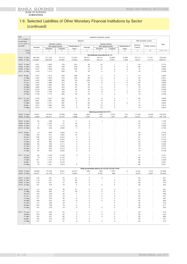# 1.6. Selected Liabilities of Other Monetary Financial Institutions by Sector (continued)

| Until                         | Liabilities to domestic sectors |                      |                   |                                  |                                            |                                                 |                                     |                                     |                  |                          |                    |
|-------------------------------|---------------------------------|----------------------|-------------------|----------------------------------|--------------------------------------------|-------------------------------------------------|-------------------------------------|-------------------------------------|------------------|--------------------------|--------------------|
| 31.12.2006 in                 |                                 |                      |                   | Deposits                         |                                            |                                                 |                                     |                                     |                  | Debt securities issued   |                    |
| mio SIT from<br>01.01.2007 in |                                 |                      |                   |                                  |                                            |                                                 |                                     |                                     |                  |                          |                    |
| mio EUR                       |                                 | With agreed maturity | Domestic currency | Reedemable at                    |                                            | With agreed maturity                            | Foreign currency                    | Reedemable at                       | Domestic         | Foreign currency         | Total              |
|                               | Overnight                       | Short-term           | Long-term         | notice                           | Ovemight                                   | Short-term                                      | Long-term                           | notice                              | currency         |                          |                    |
| Column                        | $\mathbf{1}$                    | $\sqrt{2}$           | 3                 | $\overline{4}$                   | $\mathbf 5$                                | 6                                               | $\overline{7}$                      | 8                                   | 9                | 10                       | $11=3++10$         |
| Code                          |                                 |                      |                   |                                  |                                            |                                                 |                                     |                                     |                  |                          |                    |
|                               |                                 |                      |                   |                                  |                                            | Non-financial corporations (S.11)               |                                     |                                     |                  |                          |                    |
| 2005 31.Dec.<br>2006 31.Dec.  | 185,785<br>219,967              | 317,159<br>305,864   | 34,773<br>30,992  | 51,807<br>72,094                 | 85,077<br>89,487                           | 53,414<br>63,215                                | 22,685<br>18,941                    | 6,835<br>7,486                      | 26,714<br>18,331 | 11,241<br>12,170         | 795,490<br>838,547 |
|                               |                                 |                      |                   |                                  |                                            |                                                 |                                     |                                     |                  |                          |                    |
| 2007 31.Dec.                  | 1,301                           | 1,800                | 126               | 351                              | 49                                         | 24                                              | $\overline{1}$                      | $\overline{7}$                      | 116              | ÷,                       | 3,774              |
| 2008 31.Dec.                  | 1,250                           | 1,881                | 166               | 339                              | 45                                         | 12                                              | $\mathsf{O}$                        | 8                                   | 99               |                          | 3,800              |
| 2009 31.Dec.                  | 1,372                           | 1,829                | 225               | 306                              | 41                                         | 14                                              | $\mathsf{O}$                        | 6                                   | 74               |                          | 3,868              |
| 2010 31.Dec.                  | 1,748                           | 1,713                | 395               | 52                               | 43                                         | $\sqrt{4}$                                      | $\sqrt{2}$                          | $\mathbf{1}$                        | 79               | ä,                       | 4,038              |
| 2010 30.Apr.                  | 1,391                           | 1,814                | 293               | 296                              | 60                                         | $\overline{7}$                                  | $\mathsf{O}\xspace$                 | $\mathbf{1}$                        | 73               |                          | 3,936              |
| 31.May.                       | 1,423                           | 1,800                | 318               | 253                              | 68                                         | 12                                              | $\circ$                             | $\overline{4}$                      | 63               |                          | 3,941              |
| 30.Jun.                       | 1,400                           | 1,680                | 366               | 93                               | 238                                        | $\mathsf g$                                     | $\overline{1}$                      | $\circ$                             | 78               |                          | 3,865              |
| 31.Jul.                       | 1,544                           | 1,699                | 373               | 87                               | 61                                         | 8                                               | $\mathsf{O}$                        | $\mathsf{O}\xspace$                 | 85               |                          | 3,858              |
| 31.Aug.<br>30.Sep.            | 1,600<br>1,585                  | 1,592<br>1,621       | 394<br>404        | 98<br>91                         | 56<br>53                                   | $\boldsymbol{7}$<br>10                          | $\mathsf{O}$<br>$\mathsf{O}\xspace$ | $\mathsf{O}\xspace$<br>$\mathbf{1}$ | 84<br>75         | ä,                       | 3,832<br>3,842     |
| 31.Oct.                       | 1,618                           | 1,665                | 406               | 50                               | 59                                         | 8                                               | $\mathsf{O}$                        | $\mathbf{1}$                        | 75               |                          | 3,882              |
| 30.Nov.                       | 1,726                           | 1,780                | 384               | 72                               | 51                                         | 9                                               | $\overline{1}$                      | $\sqrt{2}$                          | 75               |                          | 4,100              |
| 31.Dec.                       | 1,748                           | 1,713                | 395               | 52                               | 43                                         | $\sqrt{4}$                                      | $\sqrt{2}$                          | $\mathbf{1}$                        | 79               | Ĭ.                       | 4,038              |
|                               |                                 |                      |                   |                                  |                                            |                                                 |                                     |                                     |                  |                          |                    |
| 2011 31.Jan.                  | 1,703                           | 1,637                | 383               | 37                               | 54                                         | $\,6\,$                                         | $\sqrt{2}$                          | $\mathbf{1}$                        | 80               | ä,                       | 3,904              |
| 28.Feb.<br>31.Mar.            | 1,691<br>1,658                  | 1,681<br>1,707       | 390<br>397        | 5<br>6                           | 57<br>63                                   | 10<br>$\mathsf g$                               | $\mathsf{O}$<br>$_{\rm 3}$          | $\mathsf{O}\xspace$                 | 74<br>77         |                          | 3,909<br>3,922     |
| 30.Apr.                       | 1,674                           | 1,690                | 380               | 5                                | 67                                         | 10                                              | $\overline{4}$                      |                                     | 79               |                          | 3,910              |
| 31.May.                       | 1,579                           | 1,702                | 379               | $\mathbf 9$                      | 62                                         | 12                                              | $\ensuremath{\mathsf{3}}$           | $\overline{a}$                      | 74               | ä,                       | 3,820              |
|                               |                                 |                      |                   |                                  |                                            |                                                 |                                     |                                     |                  |                          |                    |
|                               |                                 |                      |                   |                                  |                                            | Central government (S.1311)                     |                                     |                                     |                  |                          |                    |
| 2005 31.Dec.<br>2006 31.Dec.  | 12,647<br>4,659                 | 97,654<br>154,577    | 12,958<br>16,720  | 1,609<br>2,998                   | 865<br>1,283                               | 432<br>704                                      | 3,223<br>1,647                      | 410<br>627                          | 17,106<br>10,347 | 5,649<br>4,187           | 152,553<br>197,749 |
|                               |                                 |                      |                   |                                  |                                            |                                                 |                                     |                                     |                  |                          |                    |
| 2007 31.Dec.                  | 34                              | 928                  | 77                | 11                               | $\mathsf{O}\xspace$                        | $\overline{1}$                                  |                                     |                                     | 53               |                          | 1,105              |
| 2008 31.Dec.                  | 8                               | 1,364                | 37                | 22                               | $\mathsf 0$                                |                                                 |                                     |                                     | 40               |                          | 1,470              |
| 2009 31.Dec.<br>2010 31.Dec.  | 71<br>64                        | 1,722<br>555         | 1,715<br>2,060    | 29<br>3                          | $\mathsf 0$<br>$\circ$                     | ä,                                              |                                     |                                     | 43<br>73         | ä,<br>÷,                 | 3,580<br>2,756     |
|                               |                                 |                      |                   |                                  |                                            |                                                 |                                     |                                     |                  |                          |                    |
| 2010 30.Apr.                  | 14                              | 809                  | 1,882             | 15                               | $\circ$                                    |                                                 |                                     |                                     | 35               |                          | 2,755              |
| 31.May                        | 100                             | 641                  | 1,884             | 16                               | 0                                          |                                                 |                                     |                                     | 33               |                          | 2,673              |
| 30.Jun.                       | 248                             | 810                  | 2,054             | 5                                | $\mathsf{O}\xspace$                        |                                                 |                                     |                                     | 57               | ä,                       | 3,174              |
| 31.Jul.                       | 49                              | 867                  | 2,040             | 5                                | $\circ$                                    |                                                 |                                     |                                     | 55               |                          | 3,016              |
| 31.Aug.<br>30.Sep.            | 46<br>62                        | 985<br>769           | 2,097<br>2,111    | 5<br>$\overline{4}$              | $\mathsf{O}\xspace$<br>$\circ$             |                                                 |                                     |                                     | 64<br>76         | ä,                       | 3,196<br>3,023     |
| 31.Oct                        | 10                              | 668                  | 2,040             | 3                                | $\circ$                                    |                                                 |                                     |                                     | 75               |                          | 2,797              |
| 30.Nov.                       | 57                              | 805                  | 2,074             | 3                                | 0                                          | ä,                                              |                                     |                                     | 75               |                          | 3,015              |
| 31.Dec.                       | 64                              | 555                  | 2,060             | 3                                | $\mathsf{O}\xspace$                        |                                                 |                                     |                                     | 73               | ÷,                       | 2,756              |
|                               |                                 |                      |                   |                                  |                                            |                                                 |                                     |                                     |                  |                          |                    |
| 2011 31.Jan.<br>28.Feb.       | 90<br>16                        | 1,448<br>1,073       | 2,148<br>2,153    | 3                                | $\circ$<br>$\circ$                         |                                                 |                                     |                                     | 71<br>69         |                          | 3,761<br>3,310     |
| 31.Mar.                       | 701                             | 1,416                | 2,144             |                                  | $\circ$                                    |                                                 |                                     |                                     | 68               |                          | 4,329              |
| 30.Apr.                       | 32                              | 1,291                | 2,019             | ł,                               | 0                                          |                                                 |                                     |                                     | 66               | ä,                       | 3,407              |
| 31.May.                       | 10                              | 1,201                | 1,973             | $\circ$                          | $\mathsf{O}\xspace$                        |                                                 |                                     |                                     | 66               | ä,                       | 3,251              |
|                               |                                 |                      |                   |                                  |                                            | Other government sectors (S.1312,S.1313,S.1314) |                                     |                                     |                  |                          |                    |
| 2005 31.Dec.                  | 18,488                          | 37,244               | 8,257             | 18,215                           | 386                                        | 264                                             | 1,020                               | $\mathsf O$                         | 6,182            | 1,612                    | 91,668             |
| 2006 31.Dec.                  | 20,507                          | 42,158               | 4,711             | 15,994                           | 5                                          | 2,763                                           | 696                                 | ÷,                                  | 6,243            | 2,284                    | 95,363             |
|                               |                                 |                      |                   |                                  |                                            |                                                 |                                     |                                     |                  |                          |                    |
| 2007 31.Dec.                  | 122                             | 281                  | 40                | 57                               | 0                                          | $\overline{\mathbf{c}}$<br>÷,                   |                                     |                                     | 50               | ä,                       | 551                |
| 2008 31.Dec.<br>2009 31.Dec.  | 119<br>123                      | 247<br>231           | 19<br>47          | 60<br>46                         | 0<br>$\mathsf{O}\xspace$                   | ÷,                                              | $\mathsf{O}$<br>$\mathsf O$         | $\sim$<br>$\overline{\phantom{a}}$  | 36<br>28         | ä,<br>$\overline{a}$     | 482<br>476         |
| 2010 31.Dec.                  | 157                             | 219                  | 19                | $\mathsf{O}\xspace$              | $\mathsf{O}\xspace$                        | $\mathsf{O}$                                    | $\mathsf O$                         | ÷,                                  | 28               | $\overline{\phantom{a}}$ | 425                |
|                               |                                 |                      |                   |                                  |                                            |                                                 |                                     |                                     |                  |                          |                    |
| 2010 30.Apr.                  | 110                             | 259                  | 46                | 31                               | $\mathsf{O}\xspace$                        | 0                                               | $\mathsf O$                         | $\sim$                              | 21               | $\overline{a}$           | 467                |
| 31.May.                       | 109                             | 250                  | 47                | 30                               | 0                                          | $\mathsf{O}\xspace$                             | $\mathsf O$                         | $\sim$                              | 21               | ä,                       | 457                |
| 30.Jun.<br>31.Jul.            | 146<br>135                      | 238<br>242           | 48<br>43          | $\overline{7}$<br>$\overline{7}$ | $\mathsf{O}\xspace$<br>$\mathsf{O}\xspace$ | 0<br>0                                          | $\mathsf O$<br>$\mathsf O$          | ÷,<br>÷,                            | 30<br>30         | ÷,<br>$\overline{a}$     | 469<br>457         |
| 31.Aug.                       | 151                             | 242                  | 32                | 6                                | 0                                          | 0                                               | $\circ$                             |                                     | 30               | ÷,                       | 461                |
| 30.Sep.                       | 169                             | 243                  | 33                | 8                                | 0                                          | 0                                               | $\mathsf{O}\xspace$                 | $\overline{a}$                      | 30               | $\overline{a}$           | 484                |
| 31.Oct.                       | 174                             | 236                  | 33                | 1                                | 0                                          | ÷,                                              | $\mathsf O$                         | ÷,                                  | 32               | $\overline{a}$           | 476                |
| 30.Nov.                       | 164                             | 199                  | 18                | $\boldsymbol{2}$                 | 0                                          | $\overline{\phantom{a}}$                        | $\mathsf{O}$                        | $\sim$                              | 28               | $\sim$                   | 411                |
| 31.Dec.                       | 157                             | 219                  | 19                | $\mathsf{O}\xspace$              | $\mathsf{O}\xspace$                        | $\mathsf{O}\xspace$                             | $\mathsf O$                         | $\overline{\phantom{a}}$            | 28               | ÷,                       | 425                |
| 2011 31.Jan.                  | 141                             | 225                  | 24                | $\mathsf{O}\xspace$              | 0                                          | $\mathsf{O}\xspace$                             | $\circ$                             |                                     | 28               | $\overline{a}$           | 418                |
| 28.Feb.                       | 139                             | 225                  | 50                | $\mathsf{O}\xspace$              | 0                                          | 0                                               | 0                                   | ÷,                                  | 29               | $\overline{a}$           | 443                |
| 31.Mar.                       | 152                             | 227                  | 60                | $\mathsf{O}\xspace$              | 1                                          | 0                                               | $\mathsf O$                         | ÷,                                  | 28               | ÷,                       | 469                |
| 30.Apr.                       | 146                             | 219                  | 62                | $\mathsf{O}\xspace$              | 0                                          | ÷,                                              | $\mathsf O$                         | $\overline{\phantom{a}}$            | 29               | $\overline{\phantom{a}}$ | 457                |
| 31.May.                       | 121                             | 221                  | 47                | $\mathsf{O}\xspace$              | 0                                          | $\mathsf 0$                                     | $\mathsf O$                         | ÷,                                  | 30               | $\overline{a}$           | 419                |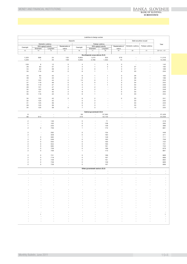|                              |                                            |                          | Deposits                                       |                                                                                                                                                                    |                                          |                                           |                                                                                     | Debt securities issued                                                                                                          |                                               |                             |
|------------------------------|--------------------------------------------|--------------------------|------------------------------------------------|--------------------------------------------------------------------------------------------------------------------------------------------------------------------|------------------------------------------|-------------------------------------------|-------------------------------------------------------------------------------------|---------------------------------------------------------------------------------------------------------------------------------|-----------------------------------------------|-----------------------------|
| Ovemight                     | With agreed maturity                       | Domestic currency        | Reedemable at                                  | Ovemight                                                                                                                                                           |                                          | Foreign currency<br>With agreed maturity  | Reedemable at                                                                       | Domestic currency                                                                                                               | Foreign currency                              | Total                       |
| 12                           | Short-term<br>13                           | Long-term<br>$14$        | notice<br>15                                   | 16                                                                                                                                                                 | Short-term<br>17                         | Long-term<br>$18\,$                       | notice<br>19                                                                        | 20                                                                                                                              | 21                                            | $22 - 12 +  + 21$           |
|                              |                                            |                          |                                                |                                                                                                                                                                    |                                          |                                           |                                                                                     |                                                                                                                                 |                                               |                             |
|                              |                                            |                          |                                                |                                                                                                                                                                    | Non-financial corporations (S.2)         |                                           |                                                                                     |                                                                                                                                 |                                               |                             |
| 1,329                        | 686                                        | 24                       | 155                                            | 6,864                                                                                                                                                              | 1,075                                    | 304                                       | 579                                                                                 | $\overline{a}$                                                                                                                  | -                                             | 11,016                      |
| 1,229                        | 1                                          | 33                       | 109                                            | 5,955                                                                                                                                                              | 3,768                                    | 1,352                                     | 10                                                                                  | ÷.                                                                                                                              | $\overline{a}$                                | 12,458                      |
|                              |                                            |                          |                                                |                                                                                                                                                                    |                                          |                                           |                                                                                     |                                                                                                                                 |                                               |                             |
| 109<br>28                    | 6<br>83                                    | 12<br>37                 | $\sqrt{5}$<br>$_{\rm 3}$                       | $\sqrt{4}$<br>3                                                                                                                                                    | 1<br>1                                   | $\,$ 5 $\,$<br>$\sqrt{2}$                 | $\mathsf{O}$<br>$\mathsf{o}$                                                        | $\ddot{\phantom{1}}$<br>27                                                                                                      | ÷,<br>Ĭ.                                      | 142<br>184                  |
| 34                           | 82                                         | 39                       | $\sqrt{2}$                                     | $\mathbf 5$                                                                                                                                                        | 0                                        | 1                                         | $\mathsf{O}\xspace$                                                                 | 27                                                                                                                              |                                               | 189                         |
| 35                           | 116                                        | 42                       | $\circ$                                        | 6                                                                                                                                                                  | 1                                        | ł,                                        | $\mathsf O$                                                                         | 33                                                                                                                              | -                                             | 234                         |
|                              |                                            |                          |                                                |                                                                                                                                                                    |                                          |                                           |                                                                                     |                                                                                                                                 |                                               |                             |
| 45                           | 60                                         | 42                       | $\overline{1}$                                 | 6                                                                                                                                                                  | 1                                        | 1                                         | $\mathsf{O}\xspace$                                                                 | 26                                                                                                                              | ä,                                            | 183                         |
| 39                           | 75                                         | 43                       | $\mathbf{1}$                                   | $\mathbf 9$                                                                                                                                                        | $\mathbf{1}$                             | 1                                         | $\mathsf{O}\xspace$                                                                 | 28                                                                                                                              | ÷                                             | 196                         |
| 41                           | 100                                        | 44                       | $\mathsf 0$                                    | 13                                                                                                                                                                 | 0                                        | 1                                         | $\mathsf{o}$                                                                        | 34                                                                                                                              |                                               | 234                         |
| 37                           | 119                                        | 46                       | $\circ$                                        | $\overline{4}$                                                                                                                                                     | 0                                        | 1                                         | $\mathsf{o}$                                                                        | 34                                                                                                                              |                                               | 242                         |
| 39                           | 119                                        | 47                       | $\circ$                                        | 5                                                                                                                                                                  | 1                                        | 1                                         | $\mathsf O$                                                                         | 34                                                                                                                              |                                               | 246                         |
| 29                           | 131                                        | 47                       | $\mathsf{O}\xspace$                            | $\sqrt{4}$                                                                                                                                                         | $\boldsymbol{2}$                         |                                           | $\mathsf O$                                                                         | 34                                                                                                                              |                                               | 248                         |
| 32<br>32                     | 130<br>131                                 | 46                       | $\mathsf{O}\xspace$<br>$\overline{\mathbf{c}}$ | $\overline{4}$<br>$\mathbf 9$                                                                                                                                      | $\overline{\mathbf{c}}$<br>1             | ä,                                        | $\mathsf O$<br>$\mathsf{O}\xspace$                                                  | 34                                                                                                                              | ż<br>ä,                                       | 249<br>255                  |
| 35                           | 116                                        | 45<br>42                 | $\circ$                                        | 6                                                                                                                                                                  | 1                                        | ä,                                        | $\mathsf{o}$                                                                        | 34<br>33                                                                                                                        | $\overline{a}$                                | 234                         |
|                              |                                            |                          |                                                |                                                                                                                                                                    |                                          |                                           |                                                                                     |                                                                                                                                 |                                               |                             |
| 34                           | 122                                        | 42                       | $\sqrt{2}$                                     | 6                                                                                                                                                                  | $\overline{c}$                           |                                           | $\mathsf{o}$                                                                        | 33                                                                                                                              |                                               | 241                         |
| 32                           | 125                                        | 42                       | ÷,                                             | $\mathbf 5$                                                                                                                                                        | 3                                        |                                           | $\overline{a}$                                                                      | 33                                                                                                                              | L,                                            | 240                         |
| 31                           | 125                                        | 36                       |                                                | 6                                                                                                                                                                  | $\overline{c}$                           |                                           | $\overline{a}$                                                                      | 33                                                                                                                              | ż                                             | 233                         |
| 29                           | 125                                        | 36                       |                                                | $\mathbf 5$                                                                                                                                                        | 3                                        |                                           |                                                                                     | 33                                                                                                                              |                                               | 231                         |
| 34                           | 125                                        | 39                       | $\mathsf{O}$                                   | $\overline{\mathfrak{c}}$                                                                                                                                          | 3                                        |                                           | ÷,                                                                                  | 13                                                                                                                              | ÷,                                            | 220                         |
|                              |                                            |                          |                                                |                                                                                                                                                                    |                                          |                                           |                                                                                     |                                                                                                                                 |                                               |                             |
| 8                            | ÷,                                         | ÷,                       | $\overline{\phantom{a}}$                       | 58                                                                                                                                                                 | Central government (S.2)<br>÷            | 37,363                                    | $\overline{\phantom{a}}$                                                            | $\overline{\phantom{a}}$                                                                                                        | ÷,                                            | 37,428                      |
| 98                           | 610                                        | ÷,                       | $\overline{\phantom{a}}$                       | 416                                                                                                                                                                | $\sim$                                   | 42,133                                    | $\sim$                                                                              | $\sim$                                                                                                                          | ÷                                             | 43,258                      |
|                              |                                            |                          |                                                |                                                                                                                                                                    |                                          |                                           |                                                                                     |                                                                                                                                 |                                               |                             |
| $\overline{c}$               | $\overline{\phantom{a}}$                   | 146                      | $\overline{\phantom{a}}$                       | $\mathsf 0$                                                                                                                                                        | ÷,                                       | 71                                        |                                                                                     |                                                                                                                                 | L                                             | 219                         |
| $\overline{c}$               |                                            | 163                      |                                                | $\mathsf{O}\xspace$                                                                                                                                                |                                          | 128                                       |                                                                                     |                                                                                                                                 |                                               | 293                         |
| $\mathbf{1}$                 | $\overline{a}$                             | 235                      |                                                | $\mathsf{O}\xspace$                                                                                                                                                | ÷                                        | 149                                       |                                                                                     |                                                                                                                                 |                                               | 386                         |
| $\sqrt{2}$                   | $\mathsf{O}\xspace$                        | 706                      |                                                | 1                                                                                                                                                                  | ÷,                                       | 172                                       | $\overline{a}$                                                                      |                                                                                                                                 | ä,                                            | 881                         |
|                              |                                            |                          |                                                |                                                                                                                                                                    |                                          |                                           |                                                                                     |                                                                                                                                 |                                               |                             |
| $\sqrt{2}$                   | $\sim$                                     | 292                      |                                                | $\mathsf{O}\xspace$                                                                                                                                                | ä,                                       | 154                                       |                                                                                     |                                                                                                                                 | ÷                                             | 448                         |
| $\sqrt{2}$<br>$\mathbf{1}$   | J.<br>$\mathsf{O}\xspace$                  | 309<br>560               |                                                | $\mathsf{O}\xspace$<br>1                                                                                                                                           |                                          | 160<br>149                                |                                                                                     |                                                                                                                                 |                                               | 471<br>711                  |
| $\overline{c}$               | $\mathsf 0$                                | 546                      |                                                | $\mathsf{O}\xspace$                                                                                                                                                |                                          | 160                                       |                                                                                     |                                                                                                                                 |                                               | 708                         |
| $\sqrt{2}$                   | $\mathsf{O}\xspace$                        | 555                      |                                                | $\mathsf 0$                                                                                                                                                        |                                          | 165                                       |                                                                                     |                                                                                                                                 |                                               | 722                         |
| $\sqrt{2}$                   | $\mathsf{O}\xspace$                        | 554                      |                                                | $\mathsf{O}\xspace$                                                                                                                                                | ÷                                        | 165                                       |                                                                                     |                                                                                                                                 | J.                                            | 721                         |
| $\boldsymbol{2}$             | $\mathsf{O}\xspace$                        | 560                      |                                                | $\mathsf{O}\xspace$                                                                                                                                                |                                          | 161                                       |                                                                                     |                                                                                                                                 |                                               | 722                         |
| $\overline{c}$               | $\mathsf{O}\xspace$                        | 708                      |                                                | $\mathsf 0$                                                                                                                                                        |                                          | 168                                       |                                                                                     |                                                                                                                                 |                                               | 878                         |
| $\overline{2}$               | $\mathsf{O}\xspace$                        | 706                      |                                                | $\mathbf{1}$                                                                                                                                                       | ÷,                                       | 172                                       |                                                                                     |                                                                                                                                 | Ĭ.                                            | 881                         |
|                              |                                            |                          |                                                |                                                                                                                                                                    |                                          |                                           |                                                                                     |                                                                                                                                 |                                               |                             |
| $\overline{c}$<br>$\sqrt{2}$ | $\mathsf{O}\xspace$<br>$\mathsf{O}\xspace$ | 721<br>719               |                                                | $\mathsf 0$<br>$\mathsf{O}\xspace$                                                                                                                                 | ä,<br>ä,                                 | 166                                       |                                                                                     |                                                                                                                                 |                                               | 889                         |
| $\sqrt{2}$                   | $\mathsf{O}\xspace$                        | 729                      |                                                | $\mathsf{O}\xspace$                                                                                                                                                | ٠                                        | 167<br>161                                |                                                                                     |                                                                                                                                 |                                               | 888<br>892                  |
| $\overline{c}$               | $\mathsf{O}\xspace$                        | 728                      |                                                | $\mathsf{O}\xspace$                                                                                                                                                | ä,                                       | 159                                       |                                                                                     |                                                                                                                                 |                                               | 889                         |
| $\overline{c}$               | $\mathsf{O}\xspace$                        | 728                      |                                                | $\mathsf{O}\xspace$                                                                                                                                                |                                          | 167                                       |                                                                                     |                                                                                                                                 |                                               | 898                         |
|                              |                                            |                          |                                                |                                                                                                                                                                    |                                          |                                           |                                                                                     |                                                                                                                                 |                                               |                             |
|                              |                                            |                          |                                                |                                                                                                                                                                    | Other government sectors (S.2)           |                                           |                                                                                     |                                                                                                                                 |                                               |                             |
| $\sim$                       | $\overline{\phantom{a}}$                   | ä,                       |                                                | ÷,                                                                                                                                                                 |                                          |                                           | $\sim$                                                                              |                                                                                                                                 | ÷                                             | $\sim$                      |
| $\overline{a}$               |                                            | ä,                       |                                                | $\sim$                                                                                                                                                             | $\sim$                                   | ÷.                                        | $\sim$                                                                              |                                                                                                                                 | L,                                            | $\sim$                      |
|                              | $\overline{\phantom{a}}$                   | $\overline{\phantom{a}}$ |                                                |                                                                                                                                                                    |                                          |                                           |                                                                                     |                                                                                                                                 |                                               |                             |
|                              | $\overline{\phantom{a}}$                   | $\overline{\phantom{a}}$ | $\sim$                                         |                                                                                                                                                                    | $\overline{\phantom{a}}$                 | $\sim$                                    | $\overline{\phantom{a}}$                                                            |                                                                                                                                 |                                               |                             |
|                              | $\sim$                                     | $\sim$                   | $\omega$                                       |                                                                                                                                                                    |                                          | $\sim$                                    | $\mathcal{L}_{\mathcal{A}}$                                                         |                                                                                                                                 |                                               |                             |
|                              | $\omega$ .                                 | $\sim$                   | $\omega_{\rm{eff}}$                            | $\sim$                                                                                                                                                             | $\mathbb{Z}^{\mathbb{Z}}$                | $\mathcal{L}^{\pm}$                       | $\omega$                                                                            | $\mathbb{L}^2$                                                                                                                  | $\mathcal{L}_{\mathcal{A}}$                   |                             |
|                              |                                            |                          |                                                |                                                                                                                                                                    |                                          |                                           |                                                                                     |                                                                                                                                 |                                               |                             |
|                              | $\sigma_{\rm{max}}$ and                    |                          |                                                | $\frac{1}{2} \left( \frac{1}{2} \right)$ , $\frac{1}{2} \left( \frac{1}{2} \right)$ , $\frac{1}{2} \left( \frac{1}{2} \right)$<br>$\frac{1}{2} \frac{1}{\sqrt{2}}$ | $\frac{1}{2} \left( \frac{1}{2} \right)$ |                                           | $\frac{1}{2} \left( \frac{1}{2} \right)$ , $\frac{1}{2} \left( \frac{1}{2} \right)$ | $\frac{1}{2} \left( \frac{1}{2} \right)$ , $\frac{1}{2} \left( \frac{1}{2} \right)$<br>$\frac{1}{2} \left( \frac{1}{2} \right)$ | $\frac{1}{2} \frac{1}{\sqrt{2}}$              |                             |
| $\blacksquare$               | $\omega_{\rm{max}}$                        |                          |                                                |                                                                                                                                                                    |                                          |                                           |                                                                                     |                                                                                                                                 |                                               |                             |
| $\sim$                       | $\Delta \sim 10^4$<br>$\omega$ .           |                          | $\Delta \sim 10^4$<br>$\omega$                 | $\sim$<br>$\mathbb{Z}^{\mathbb{Z}}$                                                                                                                                | $\omega_{\rm{max}}$                      | $\Delta \sim 10^4$<br>$\omega_{\rm{max}}$ | $\omega_{\rm{max}}$<br>$\omega$                                                     | $\omega_{\rm{max}}$<br>$\omega_{\rm{max}}$                                                                                      | $\mathcal{L}$                                 |                             |
|                              | $\sim$                                     | $\omega$                 | $\omega_{\rm{max}}$                            | $\sim$                                                                                                                                                             | $\frac{1}{2} \frac{1}{\sqrt{2}}$         | $\Delta \sim 100$                         | $\mathbb{Z}^2$                                                                      | $\omega_{\rm{max}}$                                                                                                             | $\blacksquare$<br>$\mathcal{L}_{\mathcal{A}}$ | $\Box$                      |
|                              | $\sim$                                     | $\omega$                 | $\omega_{\rm{max}}$                            | $\omega_{\rm{max}}$                                                                                                                                                | $\sigma_{\rm{max}}$                      | $\omega_{\rm{max}}$                       | $\omega_{\rm{max}}$                                                                 | $\sigma_{\rm{max}}$                                                                                                             | $\blacksquare$                                |                             |
|                              | $\sim$                                     | $\omega$                 | $\omega_{\rm{eff}}$                            | $\sim$                                                                                                                                                             | $\sim$                                   | $\sim$                                    | $\mathcal{L}^{\pm}$                                                                 | $\omega$ .                                                                                                                      | $\mathcal{L}_{\mathcal{A}}$                   | $\mathcal{L}_{\mathcal{A}}$ |
|                              | $\sim$                                     | ÷.                       | $\omega_{\rm c}$                               | $\mathbb{Z}^{\mathbb{Z}}$                                                                                                                                          | ÷,                                       | $\omega_{\rm{eff}}$                       | $\Box$                                                                              | ÷,                                                                                                                              | ÷.                                            |                             |
|                              | $\mathbb{Z}^2$                             | ÷,                       | $\omega$                                       | $\omega$                                                                                                                                                           | ä,                                       | $\omega$                                  | $\mathbb{Z}^2$                                                                      | ÷.                                                                                                                              | $\blacksquare$                                |                             |
|                              |                                            |                          |                                                |                                                                                                                                                                    |                                          |                                           |                                                                                     |                                                                                                                                 |                                               |                             |
|                              | $\sim$                                     | $\overline{\phantom{a}}$ | $\sigma_{\rm{max}}$                            | $\sigma_{\rm{eff}}$                                                                                                                                                | $\sigma_{\rm{max}}$                      | $\sigma_{\rm{max}}$                       | $\sigma_{\rm{max}}$                                                                 | $\sigma_{\rm{max}}$                                                                                                             | $\overline{\phantom{a}}$                      |                             |
|                              | $1 -$                                      | $\sim$                   | $\sim$                                         | $\sim$                                                                                                                                                             | $\sim$                                   | $\sim$                                    | $\omega_{\rm c}$                                                                    | $\omega$                                                                                                                        | $\sim$                                        | $\mathbf{1}$                |
|                              | $\sim$                                     | t.<br>E                  | $\omega$                                       |                                                                                                                                                                    | $\omega$                                 |                                           |                                                                                     |                                                                                                                                 |                                               |                             |
|                              |                                            |                          |                                                |                                                                                                                                                                    |                                          |                                           |                                                                                     |                                                                                                                                 |                                               |                             |
|                              |                                            |                          |                                                |                                                                                                                                                                    |                                          |                                           |                                                                                     |                                                                                                                                 |                                               |                             |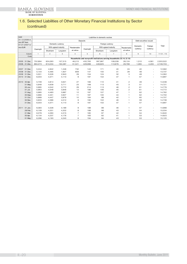# 1.6. Selected Liabilities of Other Monetary Financial Institutions by Sector (continued)

| Until        |               |                         |                |                      |                |           |                                 |                                                                        |                |          |                        |            |
|--------------|---------------|-------------------------|----------------|----------------------|----------------|-----------|---------------------------------|------------------------------------------------------------------------|----------------|----------|------------------------|------------|
|              | 31.12.2006 in |                         |                |                      |                |           | Liabilities to domestic sectors |                                                                        |                |          |                        |            |
| mio SIT from |               |                         |                |                      |                | Deposits  |                                 |                                                                        |                |          | Debt securities issued |            |
|              | 01.01.2007 in |                         |                | Domestic currency    |                |           |                                 | Foreign currency                                                       |                |          |                        |            |
| mio EUR      |               |                         |                | With agreed maturity | Reedemable     |           |                                 | With agreed maturity                                                   | Reedemable     | Domestic | Foreign                | Total      |
|              |               | Overnight               | Short-term     | Long-term            | at notice      | Overnight | Short-term                      | Long-term                                                              | at notice      | currency | currency               |            |
|              | Column        | 1                       | $\overline{2}$ | 3                    | $\overline{4}$ | 5         | 6                               | $\overline{7}$                                                         | 8              | 9        | 10                     | $11=3++10$ |
|              | Code          |                         |                |                      |                |           |                                 |                                                                        |                |          |                        |            |
|              |               |                         |                |                      |                |           |                                 | Households and non-profit institutions serving households (S.14, S.15) |                |          |                        |            |
|              | 2005 31.Dec.  | 752.894                 | 624,063        | 157.515              | 46,215         | 432.783   | 397.997                         | 108.039                                                                | 28.124         | 1.310    | 4.581                  | 2,553,522  |
|              | 2006 31.Dec.  | 894,073                 | 613,034        | 162,287              | 51,521         | 429,998   | 449,825                         | 113,676                                                                | 29,769         | 1,065    | 4,455                  | 2,749,703  |
|              |               |                         |                |                      |                |           |                                 |                                                                        |                |          |                        |            |
|              | 2007 31.Dec.  | 5,244                   | 4,942          | 1,246                | 732            | 143       | 171                             | 40                                                                     | 24             | 40       | ۰                      | 12,582     |
|              | 2008 31.Dec.  | 5,103                   | 5,495          | 1,927                | 809            | 147       | 150                             | 31                                                                     | 29             | 48       |                        | 13,737     |
|              | 2009 31.Dec.  | 5,501                   | 5,526          | 2,943                | 29             | 154       | 124                             | 32                                                                     | 3              | 49       |                        | 14,362     |
|              | 2010 31.Dec.  | 6,003                   | 4,371          | 4,110                | 9              | 197       | 102                             | 47                                                                     | $\mathbf{1}$   | 57       |                        | 14,897     |
|              |               |                         |                |                      |                |           |                                 |                                                                        |                |          |                        |            |
|              | 2010 30.Apr.  | 5,709                   | 4,814          | 3,621                | 27             | 166       | 110                             | 41                                                                     | $\overline{c}$ | 49       |                        | 14,538     |
|              | 31.Mav.       | 5,948                   | 4,639          | 3,711                | 23             | 188       | 113                             | 45                                                                     | 3              | 51       | ä,                     | 14,721     |
|              | 30.Jun.       | 5,995                   | 4,542          | 3,772                | 29             | 214       | 113                             | 46                                                                     | $\overline{c}$ | 61       | ۰                      | 14,776     |
|              | 31.Jul.       | 5,963                   | 4,548          | 3,846                | 12             | 188       | 106                             | 45                                                                     | $\overline{c}$ | 61       | ٠                      | 14,772     |
|              | 31.Aug.       | 5,985                   | 4,483          | 3,887                | 12             | 197       | 107                             | 47                                                                     |                | 62       |                        | 14,782     |
|              | 30.Sep.       | 5,966                   | 4,451          | 3,927                | 11             | 187       | 100                             | 44                                                                     |                | 62       | ۰                      | 14,750     |
|              | 31.Oct.       | 5,889                   | 4,447          | 3,976                | 10             | 184       | 98                              | 42                                                                     |                | 60       | ٠                      | 14,707     |
|              | 30.Nov.       | 5,933                   | 4,386          | 4,012                | 9              | 190       | 102                             | 46                                                                     |                | 59       | ٠                      | 14,739     |
|              | 31.Dec.       | 6,003                   | 4,371          | 4,110                | 9              | 197       | 102                             | 47                                                                     |                | 57       | ٠                      | 14,897     |
|              |               |                         |                |                      |                |           |                                 |                                                                        |                |          |                        |            |
| 2011         | 31.Jan.       | 6,083                   | 4,328          | 4,189                | 9              | 188       | 98                              | 46                                                                     | 1              | 57       | ٠                      | 14,998     |
|              | 28.Feb.       | 6,109                   | 4,331          | 4,202                | 8              | 188       | 98                              | 43                                                                     |                | 54       |                        | 15,034     |
|              | 31.Mar.       | 6,078                   | 4,260          | 4,215                | $\overline{7}$ | 185       | 97                              | 42                                                                     |                | 54       | ۰                      | 14,940     |
|              | 30.Apr.       | 6,134<br>4,237<br>4.176 |                |                      | $\overline{7}$ | 183       | 92                              | 41                                                                     |                | 53       |                        | 14,923     |
|              | 31.May.       | 6,296                   | 4,193<br>4,240 |                      |                |           | 94                              | 43                                                                     |                | 53       |                        | 15,120     |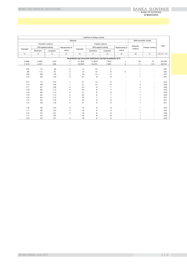|          | Liabilities to foreign sectors |                      |               |          |                |                                                                 |                |                      |                        |             |  |  |
|----------|--------------------------------|----------------------|---------------|----------|----------------|-----------------------------------------------------------------|----------------|----------------------|------------------------|-------------|--|--|
|          |                                |                      |               | Deposits |                |                                                                 |                |                      | Debt securities issued |             |  |  |
|          |                                | Domestic currency    |               |          |                | Foreign currency                                                |                |                      |                        |             |  |  |
|          |                                | With agreed maturity | Reedemable at |          |                | With agreed maturity                                            | Reedemable at  | Domestic<br>currency | Foreign currency       | Total       |  |  |
| Ovemight | Short-term                     | Long-term            | notice        | Ovemight | Short-term     | Long-term                                                       | notice         |                      |                        |             |  |  |
| 12       | 13                             | 14                   | 15            | 16       | 17             | 18                                                              | 19             | 20                   | 21                     | $22=12++21$ |  |  |
|          |                                |                      |               |          |                |                                                                 |                |                      |                        |             |  |  |
|          |                                |                      |               |          |                | Households and non-profit institutions serving households (S.2) |                |                      |                        |             |  |  |
| 5,688    | 2,695                          | 543                  | 0             | 21,805   | 14,803         | 7,642                                                           | $\mathbf{1}$   | 48                   | 37                     | 53,263      |  |  |
| 7,319    | 2,301                          | 338                  | 1             | 20,692   | 16,252         | 7,891                                                           | $\overline{c}$ | 71                   | 142                    | 55,007      |  |  |
|          |                                |                      |               |          |                |                                                                 |                |                      |                        |             |  |  |
| 100      | 75                             | 56                   | 0             | 14       | 15             | $\overline{7}$                                                  | ٠              | 1                    | ٠                      | 267         |  |  |
| 96       | 110                            | 61                   | 0             | 13       | 15             | 6                                                               | $\circ$        | 1                    | ٠                      | 302         |  |  |
| 100      | 99                             | 95                   | 0             | 16       | 12             | 5                                                               | ä,             | 1                    | ٠                      | 327         |  |  |
| 115      | 59                             | 118                  | 0             | 21       | 8              | $\overline{9}$                                                  | ٠              | $\mathbf{1}$         | ٠                      | 331         |  |  |
|          |                                |                      |               |          |                |                                                                 |                |                      |                        |             |  |  |
| 107      | 73                             | 104                  | 1             | 21       | 12             | 6                                                               | ٠              | 1                    | ٠                      | 324         |  |  |
| 113      | 69                             | 106                  | 1             | 21       | 13             | 6                                                               | ä,             | $\mathbf 0$          | ٠                      | 329         |  |  |
| 117      | 67                             | 109                  | 0             | 23       | 9              | $\overline{7}$                                                  |                | $\overline{4}$       | ٠                      | 336         |  |  |
| 118      | 69                             | 113                  | 0             | 20       | 8              | $\overline{7}$                                                  |                | 1                    | ٠                      | 335         |  |  |
| 119      | 66                             | 113                  | 0             | 21       | 8              | 8                                                               | ä,             | 1                    | ٠                      | 335         |  |  |
| 116      | 64                             | 114                  | 0             | 20       | 8              | $\overline{7}$                                                  | ٠              |                      | ٠                      | 329         |  |  |
| 116      | 64                             | 112                  | 0             | 20       | $\overline{7}$ | $\overline{7}$                                                  |                | 1                    | ٠                      | 327         |  |  |
| 115      | 62                             | 116                  | 0             | 20       | 9              | 9                                                               |                | $\mathbf{1}$         | ٠                      | 331         |  |  |
| 115      | 59                             | 118                  | 0             | 21       | 8              | 9                                                               | ä,             | 1                    | ×                      | 331         |  |  |
|          |                                |                      |               |          |                |                                                                 |                |                      |                        |             |  |  |
| 119      | 56                             | 123                  | 0             | 19       | 9              | 8                                                               | ٠              | 1                    | ٠                      | 334         |  |  |
| 117      | 58                             | 124                  | 0             | 19       | 8              | 9                                                               | ä,             |                      | ٠                      | 335         |  |  |
| 119      | 52                             | 131                  | 0             | 19       | 8              | 8                                                               |                |                      | ٠                      | 338         |  |  |
| 117      | 52                             | 132                  | ٠             | 20       | 8              | 8                                                               |                |                      | ۰                      | 336         |  |  |
| 123      | 53                             | 127                  | 0             | 19       | 8              | 8                                                               |                |                      | ۰                      | 339         |  |  |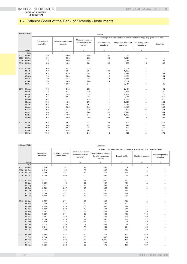**EUROSYSTEM**

#### 1.7. Balance Sheet of the Bank of Slovenia - instruments

| Millions of EUR |         |                              | Assets                               |                                                         |                                |                                                                                       |                                   |                |  |  |  |  |  |  |
|-----------------|---------|------------------------------|--------------------------------------|---------------------------------------------------------|--------------------------------|---------------------------------------------------------------------------------------|-----------------------------------|----------------|--|--|--|--|--|--|
|                 |         |                              |                                      |                                                         |                                | Lending to euro area credit institutionsrelated to monetary policy operations in euro |                                   |                |  |  |  |  |  |  |
|                 |         | Gold and gold<br>receivables | Claims on non-euro area<br>residents | Claims on euro area<br>residents in foreign<br>currency | Main refinancing<br>operations | Longer-term refinancing<br>operations                                                 | Fine-tuning reverse<br>operations | Securities     |  |  |  |  |  |  |
|                 | Column  | $\mathbf{1}$                 | $\overline{c}$                       | 3                                                       | $\overline{4}$                 | 5                                                                                     | 6                                 | $\overline{7}$ |  |  |  |  |  |  |
|                 | Code    |                              |                                      |                                                         |                                |                                                                                       |                                   |                |  |  |  |  |  |  |
| 2007 31.Dec.    |         | 58                           | 1,740                                | 498                                                     | 76<br>80                       |                                                                                       | $\cdots$                          | $\cdots$       |  |  |  |  |  |  |
| 2008 31.Dec.    |         | 64                           | 1,758                                | 262                                                     | 134                            | 1,064                                                                                 | $\cdots$                          | $\cdots$       |  |  |  |  |  |  |
| 2009 31.Dec.    |         | 78                           | 1,550                                | 245                                                     | $\mathbf{1}$                   | 2,114                                                                                 | $\cdots$                          | 85             |  |  |  |  |  |  |
| 2010 31.Dec.    |         | 108                          | 1,459                                | 259                                                     | 53                             | 539                                                                                   | 10                                | 669            |  |  |  |  |  |  |
|                 |         |                              |                                      |                                                         |                                |                                                                                       |                                   |                |  |  |  |  |  |  |
| 2009 30.Jun.    |         | 68                           | 1,452                                | 313                                                     | 177                            | 1,702                                                                                 | $\cdots$                          |                |  |  |  |  |  |  |
|                 | 31.Jul. | 68                           | 1,531                                | 234                                                     | 109                            | 1,632                                                                                 | $\cdots$                          | $\cdots$       |  |  |  |  |  |  |
|                 | 31.Aug. | 68                           | 1,679                                | 244                                                     | 74                             | 1,287                                                                                 |                                   | 64             |  |  |  |  |  |  |
|                 | 30.Sep. | 70                           | 1,704                                | 235                                                     | 13                             | 1,251                                                                                 | $\cdots$                          | 64             |  |  |  |  |  |  |
|                 | 31.Oct. | 70                           | 1,724                                | 243                                                     | 14                             | 1,286                                                                                 | $\cdots$                          | 64             |  |  |  |  |  |  |
|                 | 30.Nov. | 70                           | 1,665                                | 248                                                     | 14                             | 1,277                                                                                 | $\cdots$                          | 77             |  |  |  |  |  |  |
|                 | 31.Dec. | 78                           | 1,550                                | 245                                                     | $\mathbf{1}$                   | 2,114                                                                                 |                                   | 85             |  |  |  |  |  |  |
|                 |         |                              |                                      |                                                         |                                |                                                                                       |                                   |                |  |  |  |  |  |  |
| 2010 31.Jan.    |         | 78                           | 1,542                                | 298                                                     | $\mathbf{1}$                   | 2,104                                                                                 | $\cdots$                          | 95             |  |  |  |  |  |  |
|                 | 28.Feb. | 78                           | 1,637                                | 316                                                     | $\mathbf{1}$                   | 2,094                                                                                 | $\cdots$                          | 150            |  |  |  |  |  |  |
|                 | 31.Mar. | 84                           | 1,556                                | 319                                                     | $\mathbf{1}$                   | 2,084                                                                                 |                                   | 179            |  |  |  |  |  |  |
|                 | 30.Apr. | 84                           | 1,504                                | 333                                                     | $\mathbf{1}$                   | 2,174                                                                                 |                                   | 213            |  |  |  |  |  |  |
|                 | 31.May. | 84                           | 1,572                                | 273                                                     | $\mathbf{1}$                   | 2,171                                                                                 | $\ddotsc$                         | 615            |  |  |  |  |  |  |
|                 | 30.Jun. | 103                          | 1,480                                | 276                                                     | 11                             | 2,051                                                                                 | $\cdots$                          | 665            |  |  |  |  |  |  |
|                 | 31.Jul. | 103                          | 1,597                                | 262                                                     | $\mathbf{1}$                   | 1,184                                                                                 | $\ddotsc$                         | 665            |  |  |  |  |  |  |
|                 | 31.Aug. | 103                          | 1,505                                | 249                                                     | $\mathbf{1}$                   | 1,248                                                                                 | $\cdots$                          | 665            |  |  |  |  |  |  |
|                 | 30.Sep. | 98                           | 1,475                                | 240                                                     | 21                             | 929                                                                                   | 35                                | 664            |  |  |  |  |  |  |
|                 | 31.Oct. | 98                           | 1,452                                | 260                                                     | 48                             | 1,049                                                                                 | $\cdots$                          | 664            |  |  |  |  |  |  |
|                 | 30.Nov. | 98                           | 1,460                                | 245                                                     | 8                              | 1,065                                                                                 | $\cdots$                          | 664            |  |  |  |  |  |  |
|                 | 31.Dec. | 108                          | 1,459                                | 259                                                     | 53                             | 539                                                                                   | 10                                | 669            |  |  |  |  |  |  |
|                 |         |                              |                                      |                                                         |                                |                                                                                       |                                   |                |  |  |  |  |  |  |
| 2011 31.Jan.    |         | 108                          | 1,467                                | 277                                                     | 28                             | 409                                                                                   | $\cdots$                          | 677            |  |  |  |  |  |  |
|                 | 28.Feb. | 108                          | 1,466                                | 272                                                     | 38                             | 414                                                                                   | $\cdots$                          | 681            |  |  |  |  |  |  |
|                 | 31.Mar. | 103                          | 1,508                                | 231                                                     | 38                             | 327                                                                                   | $\cdots$                          | 673            |  |  |  |  |  |  |
|                 | 30.Apr. | 103                          | 1,494                                | 245                                                     | $\cdots$                       | 355                                                                                   |                                   | 673            |  |  |  |  |  |  |
|                 | 31.May. | 103                          | 1,488                                | 243                                                     | 18                             | 429                                                                                   |                                   | 673            |  |  |  |  |  |  |

| Millions of EUR |                             |                                           |                                                              | Liabilities                                                  |                                                                                           |                     |                                   |
|-----------------|-----------------------------|-------------------------------------------|--------------------------------------------------------------|--------------------------------------------------------------|-------------------------------------------------------------------------------------------|---------------------|-----------------------------------|
|                 |                             |                                           |                                                              |                                                              | Liabilities to euro area credit instiutions related to monetary policy operations in euro |                     |                                   |
|                 | Banknotes in<br>circulation | Liabilities to non-euro<br>area residents | Liabilities to euro area<br>residents in foreign<br>currency | Current accounts (covering<br>the minimum reserve<br>system) | Deposit facility                                                                          | Fixed-term deposits | Fine-tuning reverse<br>operations |
| Column          | $\mathbf{1}$                | $\overline{c}$                            | 3                                                            | $\overline{4}$                                               | 5                                                                                         | 6                   | $7\overline{ }$                   |
| Code            |                             |                                           |                                                              |                                                              |                                                                                           |                     |                                   |
| 2007 31.Dec.    | 2,900                       | 97                                        | 66                                                           | 335                                                          | 16                                                                                        | 5                   | $\cdots$                          |
| 2008 31. Dec.   | 3,215                       | 62                                        | 72                                                           | 403                                                          | 582                                                                                       | $\cdots$            |                                   |
| 2009 31. Dec.   | 3,496                       | 251                                       | 69                                                           | 415                                                          | 805                                                                                       | $\cdots$            |                                   |
| 2010 31. Dec.   | 3,640                       | 283                                       | 76                                                           | 442                                                          | 305                                                                                       | 135                 |                                   |
|                 |                             |                                           |                                                              |                                                              |                                                                                           |                     |                                   |
| 2009 30. Jun.   | 3,311                       | 37                                        | 69                                                           | 466                                                          | 461                                                                                       | $\ldots$            | $\cdots$                          |
| 31. Jul.        | 3,350                       | 40                                        | 69                                                           | 464                                                          | 437                                                                                       | $\cdots$            | $\cdots$                          |
| 31. Aug.        | 3,327                       | 227                                       | 69                                                           | 396                                                          | 426                                                                                       | $\cdots$            |                                   |
| 30. Sep.        | 3,326                       | 267                                       | 67                                                           | 350                                                          | 689                                                                                       | $\cdots$            | $\cdots$                          |
| 31. Oct.        | 3,344                       | 286                                       | 69                                                           | 430                                                          | 465                                                                                       | $\cdots$            | $\cdots$                          |
| 30. Nov.        | 3,364                       | 317                                       | 68                                                           | 407                                                          | 480                                                                                       | $\cdots$            |                                   |
| 31. Dec.        | 3,496                       | 251                                       | 69                                                           | 415                                                          | 805                                                                                       | $\cdots$            |                                   |
|                 |                             |                                           |                                                              |                                                              |                                                                                           |                     |                                   |
| 2010 31. Jan.   | 3,397                       | 271                                       | 69                                                           | 408                                                          | 1,725                                                                                     | $\cdots$            | $\cdots$                          |
| 28. Feb.        | 3,400                       | 244                                       | 70                                                           | 455                                                          | 623                                                                                       | $\cdots$            |                                   |
| 31. Mar.        | 3,455                       | 276                                       | 72                                                           | 557                                                          | 270                                                                                       | $\cdots$            |                                   |
| 30. Apr.        | 3,460                       | 273                                       | 73                                                           | 444                                                          | 510                                                                                       | $\cdots$            | $\cdots$                          |
| 31. May.        | 3,491                       | 247                                       | 74                                                           | 447                                                          | 490                                                                                       | 75                  |                                   |
| 30. Jun.        | 3,520                       | 271                                       | 80                                                           | 566                                                          | 732                                                                                       | 115                 | $\cdots$                          |
| 31. Jul.        | 3,557                       | 280                                       | 80                                                           | 455                                                          | 308                                                                                       | 162                 |                                   |
| 31. Aug.        | 3,528                       | 278                                       | 84                                                           | 448                                                          | 289                                                                                       | 21                  | $\cdots$                          |
| 30. Sep.        | 3,526                       | 310                                       | 77                                                           | 459                                                          | 230                                                                                       | 150                 |                                   |
| 31. Oct.        | 3,533                       | 299                                       | 77                                                           | 409                                                          | 74                                                                                        | 115                 |                                   |
| 30. Nov.        | 3,541                       | 256                                       | 74                                                           | 422                                                          | 264                                                                                       | 25                  |                                   |
| 31. Dec.        | 3,640                       | 283                                       | 76                                                           | 442                                                          | 305                                                                                       | 135                 |                                   |
|                 |                             |                                           |                                                              |                                                              |                                                                                           |                     |                                   |
| 2011 31. Jan.   | 3,552                       | 267                                       | 72                                                           | 415                                                          | 101                                                                                       | 250                 | $\cdots$                          |
| 28. Feb.        | 3,548                       | 261                                       | 72                                                           | 535                                                          | 168                                                                                       | 198                 | $\cdots$                          |
| 31. Mar.        | 3,564                       | 284                                       | 67                                                           | 1,079                                                        | 192                                                                                       | 245                 | $\cdots$                          |
| 30. Apr.        | 3,609                       | 276                                       | 67                                                           | 453                                                          | 99                                                                                        | 85                  |                                   |
| 31. May.        | 3,585                       | 253                                       | 66                                                           | 476                                                          | 153                                                                                       | 127                 |                                   |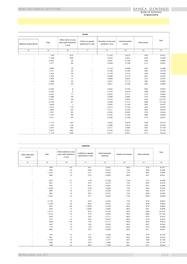| Assets                    |       |                                                                                                        |          |                                              |                            |     |        |  |  |  |  |  |
|---------------------------|-------|--------------------------------------------------------------------------------------------------------|----------|----------------------------------------------|----------------------------|-----|--------|--|--|--|--|--|
| Marginal lending facility | Total | Other claims on euro<br>Claims on general<br>area credit institutions<br>government in euro<br>in euro |          | Securities of euro area<br>residents in euro | Intra-Eurosystem<br>claims |     | Total  |  |  |  |  |  |
| 8                         | 9     | 10                                                                                                     | 11       | 12                                           | 13                         | 14  | 15     |  |  |  |  |  |
|                           |       |                                                                                                        |          |                                              |                            |     |        |  |  |  |  |  |
| $\cdots$                  | 156   | 972                                                                                                    |          | 2,103                                        | 2,574                      | 220 | 8,321  |  |  |  |  |  |
|                           | 1,198 | 636                                                                                                    |          | 2,442                                        | 2,651                      | 329 | 9,338  |  |  |  |  |  |
| $\cdots$                  | 2,200 | 20                                                                                                     | $\cdots$ | 2,857                                        | 2,756                      | 283 | 9,990  |  |  |  |  |  |
| $\cdots$                  | 1,271 | 95                                                                                                     |          | 2,428                                        | 2,728                      | 214 | 8,561  |  |  |  |  |  |
|                           |       |                                                                                                        |          |                                              |                            |     |        |  |  |  |  |  |
| $\cdots$                  | 1,880 | 76                                                                                                     |          | 2,719                                        | 2,688                      | 293 | 9,489  |  |  |  |  |  |
| $\cdots$                  | 1,741 | 43                                                                                                     | $\cdots$ | 2,768                                        | 2,700                      | 294 | 9,379  |  |  |  |  |  |
| $\cdots$                  | 1,425 | 55                                                                                                     |          | 2,778                                        | 2,710                      | 306 | 9,265  |  |  |  |  |  |
|                           | 1,328 | 10                                                                                                     |          | 2,888                                        | 2,716                      | 281 | 9,232  |  |  |  |  |  |
| $\cdots$                  | 1,364 | 17                                                                                                     |          | 2,868                                        | 2,697                      | 275 | 9,257  |  |  |  |  |  |
| $\cdots$                  | 1,369 | 22                                                                                                     |          | 2,921                                        | 2,715                      | 284 | 9,294  |  |  |  |  |  |
|                           | 2,200 | 20                                                                                                     |          | 2,857                                        | 2,756                      | 283 | 9,990  |  |  |  |  |  |
|                           |       |                                                                                                        |          |                                              |                            |     |        |  |  |  |  |  |
| $\cdots$                  | 2,200 | 8                                                                                                      |          | 2,834                                        | 2,700                      | 282 | 9,943  |  |  |  |  |  |
| $\cdots$                  | 2,245 | 5                                                                                                      | $\cdots$ | 2,734                                        | 2,679                      | 288 | 9,982  |  |  |  |  |  |
| $\cdots$                  | 2,264 | 77                                                                                                     |          | 2,632                                        | 2,717                      | 310 | 9,960  |  |  |  |  |  |
| $\cdots$                  | 2,388 | 49                                                                                                     |          | 2,489                                        | 2,680                      | 310 | 9,836  |  |  |  |  |  |
| $\cdots$                  | 2,787 | 59                                                                                                     | $\cdots$ | 2,472                                        | 2,691                      | 332 | 10,270 |  |  |  |  |  |
| $\cdots$                  | 2,726 | 97                                                                                                     | $\cdots$ | 2,358                                        | 2,710                      | 399 | 10,150 |  |  |  |  |  |
| $\cdots$                  | 1,849 | 1                                                                                                      | $\cdots$ | 2,364                                        | 2,746                      | 383 | 9,307  |  |  |  |  |  |
|                           | 1,913 | 119                                                                                                    |          | 2,372                                        | 2,750                      | 332 | 9,344  |  |  |  |  |  |
| $\cdots$                  | 1,650 | 84                                                                                                     | $\cdots$ | 2,411                                        | 2,732                      | 284 | 8,975  |  |  |  |  |  |
| $\cdots$                  | 1,761 | 82                                                                                                     | $\cdots$ | 2,425                                        | 2,697                      | 279 | 9,054  |  |  |  |  |  |
| $\cdots$                  | 1,737 | 89                                                                                                     | $\cdots$ | 2,425                                        | 2,725                      | 286 | 9,066  |  |  |  |  |  |
| $\cdots$                  | 1,271 | 95                                                                                                     | $\cdots$ | 2,428                                        | 2,728                      | 214 | 8,561  |  |  |  |  |  |
|                           |       |                                                                                                        |          |                                              |                            |     |        |  |  |  |  |  |
| $\cdots$                  | 1,113 | 163                                                                                                    | $\cdots$ | 2,355                                        | 2,678                      | 209 | 8,370  |  |  |  |  |  |
| $\cdots$                  | 1,132 | 126                                                                                                    | $\cdots$ | 2,398                                        | 2,616                      | 206 | 8,324  |  |  |  |  |  |
| $\cdots$                  | 1,037 | 185                                                                                                    | $\cdots$ | 2,311                                        | 2,560                      | 204 | 8,139  |  |  |  |  |  |
|                           | 1,027 | 292                                                                                                    | $\cdots$ | 2,216                                        | 2,551                      | 202 | 8,130  |  |  |  |  |  |
|                           | 1,119 | 309                                                                                                    | $\cdots$ | 2,217                                        | 2,551                      | 214 | 8,243  |  |  |  |  |  |

| Liabilities                 |       |                                                                  |                                              |                                 |                      |                   |        |  |  |  |  |  |
|-----------------------------|-------|------------------------------------------------------------------|----------------------------------------------|---------------------------------|----------------------|-------------------|--------|--|--|--|--|--|
| Debt certificates<br>issued | Total | Other liabilities to euro<br>area credit institutions<br>in euro | Liabilities to general<br>government in euro | Intra-Eurosystem<br>liabilities | Capital and reserves | Other liabilities | Total  |  |  |  |  |  |
| 8                           | 9     | 10                                                               | 11                                           | 12                              | 13                   | 14                | 15     |  |  |  |  |  |
|                             |       |                                                                  |                                              |                                 |                      |                   |        |  |  |  |  |  |
| $\cdots$                    | 356   | 53                                                               | 341                                          | 3,491                           | 800                  | 218               | 8,321  |  |  |  |  |  |
| $\cdots$                    | 984   | 10                                                               | 268                                          | 3,570                           | 752                  | 406               | 9,338  |  |  |  |  |  |
|                             | 1,220 | 14                                                               | 271                                          | 3,345                           | 724                  | 600               | 9,990  |  |  |  |  |  |
| $\cdots$                    | 882   | 14                                                               | 270                                          | 2,093                           | 802                  | 501               | 8,561  |  |  |  |  |  |
|                             |       |                                                                  |                                              |                                 |                      |                   |        |  |  |  |  |  |
| $\cdots$                    | 927   | 21                                                               | 176                                          | 3,708                           | 722                  | 517               | 9,489  |  |  |  |  |  |
| $\cdots$                    | 901   | 17                                                               | 275                                          | 3,474                           | 722                  | 532               | 9,379  |  |  |  |  |  |
|                             | 822   | 17                                                               | 231                                          | 3,303                           | 722                  | 547               | 9,265  |  |  |  |  |  |
| $\cdots$                    | 1,039 | 11                                                               | 278                                          | 2,939                           | 722                  | 584               | 9,232  |  |  |  |  |  |
| $\cdots$                    | 895   | 15                                                               | 277                                          | 3,056                           | 722                  | 593               | 9,257  |  |  |  |  |  |
| $\cdots$                    | 887   | 13                                                               | 287                                          | 3,027                           | 722                  | 608               | 9,294  |  |  |  |  |  |
|                             | 1,220 | 14                                                               | 271                                          | 3,345                           | 724                  | 600               | 9,990  |  |  |  |  |  |
|                             |       |                                                                  |                                              |                                 |                      |                   |        |  |  |  |  |  |
|                             | 2,132 | 13                                                               | 279                                          | 2,440                           | 724                  | 618               | 9,943  |  |  |  |  |  |
|                             | 1,078 | 16                                                               | 820                                          | 3,001                           | 724                  | 628               | 9,982  |  |  |  |  |  |
| $\ldots$                    | 827   | 84                                                               | 1,069                                        | 2,759                           | 802<br>802           | 616               | 9,960  |  |  |  |  |  |
| $\cdots$                    | 954   | 14                                                               | 1,066                                        | 2,563                           |                      | 631               | 9,836  |  |  |  |  |  |
|                             | 1,012 | 12                                                               | 870                                          | 3,124                           | 802                  | 639               | 10,270 |  |  |  |  |  |
| $\cdots$                    | 1,414 | 13                                                               | 270                                          | 3,094                           | 802                  | 686               | 10,150 |  |  |  |  |  |
|                             | 925   | 11                                                               | 270                                          | 2,711                           | 802                  | 670               | 9,307  |  |  |  |  |  |
|                             | 757   | 12                                                               | 220                                          | 3,044                           | 802                  | 618               | 9,344  |  |  |  |  |  |
|                             | 839   | 29                                                               | 122                                          | 2,717                           | 802                  | 554               | 8,975  |  |  |  |  |  |
|                             | 597   | 13                                                               | 120                                          | 3,046                           | 802                  | 567               | 9,054  |  |  |  |  |  |
| $\ldots$                    | 710   | 13                                                               | 123                                          | 2,972                           | 802                  | 575               | 9,066  |  |  |  |  |  |
| $\cdots$                    | 882   | 14                                                               | 270                                          | 2,093                           | 802                  | 501               | 8,561  |  |  |  |  |  |
|                             | 767   |                                                                  | 131                                          |                                 | 802                  | 519               | 8,370  |  |  |  |  |  |
| $\cdots$                    |       | 12                                                               |                                              | 2,248                           |                      |                   |        |  |  |  |  |  |
|                             | 901   | 12                                                               | 276<br>125                                   | 1,927                           | 802                  | 525<br>459        | 8,324  |  |  |  |  |  |
| $\cdots$                    | 1,516 | 16                                                               |                                              | 1,277                           | 831                  | 475               | 8,139  |  |  |  |  |  |
| $\cdots$                    | 636   | 16                                                               | 524                                          | 1,696                           | 831                  |                   | 8,130  |  |  |  |  |  |
|                             | 756   | 12                                                               | 525                                          | 1,739                           | 831                  | 477               | 8,243  |  |  |  |  |  |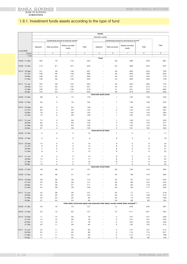#### **EUROSYSTEM**

### 1.8.1. Investment funds assets according to the type of fund

|            |                  | Assets         |                                           |                                                      |                |                       |                     |                                                                                                    |                |                |  |  |
|------------|------------------|----------------|-------------------------------------------|------------------------------------------------------|----------------|-----------------------|---------------------|----------------------------------------------------------------------------------------------------|----------------|----------------|--|--|
|            |                  |                |                                           |                                                      |                | Domestic assets       |                     |                                                                                                    |                |                |  |  |
|            |                  |                |                                           | Outstanding amount to financial sectors <sup>1</sup> |                |                       |                     | Outstanding amount to non-financial sectors <sup>2</sup>                                           |                |                |  |  |
|            |                  | Deposits       | Debt securities                           | Shares and other<br>equity                           | Total          | Deposits              | Debt securities     | Shares and other<br>equity                                                                         | Total          | Total          |  |  |
| in mio EUR | Column           | 1              | $\overline{2}$                            | $\overline{\mathbf{3}}$                              | $\overline{4}$ | $\overline{5}$        | $\overline{6}$      | $\overline{7}$                                                                                     | $\overline{8}$ | $\overline{9}$ |  |  |
|            | Code             |                |                                           |                                                      |                |                       |                     |                                                                                                    |                |                |  |  |
|            |                  |                |                                           |                                                      |                | Total                 |                     |                                                                                                    |                |                |  |  |
|            | 2008 31.Dec      | 182            | 76                                        | 175                                                  | 434            |                       | 58                  | 489                                                                                                | 546            | 981            |  |  |
|            | 2009 31.Dec      | 173            | 61                                        | 191                                                  | 425            |                       | 54                  | 468                                                                                                | 522            | 947            |  |  |
|            | 2010 30.Sep      | 151            | 58                                        | 148                                                  | 357            |                       | 49                  | 384                                                                                                | 433            | 790            |  |  |
|            | 31.Oct           | 158            | 59                                        | 149                                                  | 366            |                       | 46                  | 390                                                                                                | 436            | 802            |  |  |
|            | 30.Nov           | 149            | 60                                        | 147                                                  | 356            |                       | 44                  | 376                                                                                                | 420            | 776            |  |  |
|            | 31.Dec           | 148            | 58                                        | 146                                                  | 352            |                       | 43                  | 363                                                                                                | 406            | 759            |  |  |
|            | 2011 31.Jan      | 150            | 58                                        | 142                                                  | 350            |                       | 43                  | 350                                                                                                | 393            | 743            |  |  |
|            | 28.Feb           | 147            | 55                                        | 140                                                  | 341            |                       | 43                  | 331                                                                                                | 374            | 715            |  |  |
|            | 31.Mar           | 126            | 53                                        | 139                                                  | 318            |                       | 41                  | 331                                                                                                | 372            | 690            |  |  |
|            | 30.Apr           | 134            | 53                                        | 117                                                  | 305            |                       | 39                  | 316                                                                                                | 355            | 660            |  |  |
|            | 2008 31.Dec      | 99             | 5                                         | 72                                                   | 176            | Open-end equity funds | $\mathbf{1}$        | 155                                                                                                | 156            | 332            |  |  |
|            | 2009 31.Dec      | 84             | 3                                         | 76                                                   | 164            |                       | $\mathbf{1}$        | 158                                                                                                | 158            | 322            |  |  |
|            | 2010 30.Sep      | 82             | $\overline{4}$                            | 64                                                   | 149            |                       | $\mathbf{1}$        | 139                                                                                                | 140            | 289            |  |  |
|            | 31.Oct           | 83             | $\overline{\mathbf{4}}$                   | 65                                                   | 152            |                       | $\overline{c}$      | 144                                                                                                | 145            | 297            |  |  |
|            | 30.Nov           | 78             | $\overline{4}$                            | 69                                                   | 150            |                       | $\mathbf{1}$        | 142                                                                                                | 144            | 294            |  |  |
|            | 31.Dec           | 72             | $\,$ 5 $\,$                               | 69                                                   | 146            |                       | 1                   | 150                                                                                                | 152            | 297            |  |  |
|            | 2011 31.Jan      | 74             | 5                                         | 68                                                   | 146            |                       | 1                   | 146                                                                                                | 147            | 293            |  |  |
|            | 28.Feb           | 65             | $\overline{4}$                            | 65                                                   | 134            |                       | $\overline{c}$      | 142                                                                                                | 143            | 277            |  |  |
|            | 31.Mar           | 59             | 4                                         | 63                                                   | 126            |                       | $\sqrt{2}$          | 142                                                                                                | 144            | 270            |  |  |
|            | 30.Apr           | 67             | $\overline{4}$                            | 59                                                   | 130            |                       | $\overline{c}$      | 161                                                                                                | 162            | 293            |  |  |
|            |                  |                |                                           |                                                      |                | Open-end bond funds   |                     |                                                                                                    |                |                |  |  |
|            | 2008 31.Dec      | 5              | 5                                         | $\mathsf O$                                          | 10             |                       | $\overline{7}$      | $\mathsf O$                                                                                        | $\overline{7}$ | 17             |  |  |
|            | 2009 31.Dec      | 5              | $\overline{4}$                            | $\mathsf O$                                          | 9              |                       | 8                   | $\mathsf O$                                                                                        | 8              | 18             |  |  |
|            | 2010 30.Sep      | 10             | 5                                         | $\mathsf O$                                          | 15             |                       | 9                   | $\mathsf O$                                                                                        | 9              | 24             |  |  |
|            | 31.Oct           | 8              | 5                                         | $\mathsf{O}\xspace$                                  | 13             |                       | 8                   | $\circ$                                                                                            | 8              | 22             |  |  |
|            | 30.Nov           | $\overline{7}$ | 5                                         | 0                                                    | 13             |                       | 8                   | $\mathsf O$                                                                                        | 8              | 21             |  |  |
|            | 31.Dec           | $\mathsf g$    | $\overline{\mathbf{4}}$                   | $\mathsf O$                                          | 14             |                       | 8                   | $\mathsf{O}\xspace$                                                                                | 8              | 22             |  |  |
|            | 2011 31.Jan      | $\mathsf g$    | $\overline{\mathbf{4}}$                   | $\mathsf O$                                          | 13             |                       | 8                   | $\mathsf{O}\xspace$                                                                                | 8              | 21             |  |  |
|            | 28.Feb           | 12             | $\overline{4}$                            | $\circ$                                              | 17             |                       | 8                   | $\mathsf O$                                                                                        | 8              | 25             |  |  |
|            | 31.Mar<br>30.Apr | 11<br>13       | $\overline{\mathbf{4}}$<br>$\overline{4}$ | $\mathsf O$<br>$\circ$                               | 16<br>17       |                       | 8<br>$\overline{7}$ | $\mathsf{O}\xspace$<br>$\circ$                                                                     | 8<br>8         | 24<br>25       |  |  |
|            |                  |                |                                           |                                                      |                | Open-end mixed funds  |                     |                                                                                                    |                |                |  |  |
|            | 2008 31.Dec      | 46             | 48                                        | 27                                                   | 121            |                       | 38                  | 106                                                                                                | 144            | 265            |  |  |
|            | 2009 31.Dec      | 62             | 38                                        | 31                                                   | 131            |                       | 35                  | 99                                                                                                 | 134            | 265            |  |  |
|            | 2010 30.Sep      | 48             | 38                                        | 28                                                   | 113            |                       | 40                  | 87                                                                                                 | 127            | 240            |  |  |
|            | 31.Oct           | 55             | 38                                        | 28                                                   | 121            |                       | 36                  | 86                                                                                                 | 122            | 243            |  |  |
|            | 30.Nov           | 51             | 39                                        | 27                                                   | 117            |                       | 35                  | 83                                                                                                 | 118            | 235            |  |  |
|            | 31.Dec           | 44             | 38                                        | 28                                                   | 109            |                       | 34                  | 83                                                                                                 | 117            | 226            |  |  |
|            | 2011 31.Jan      | 44             | 38                                        | 26                                                   | 107            |                       | 34                  | 77                                                                                                 | 111            | 218            |  |  |
|            | 28.Feb           | 45             | 35                                        | 25                                                   | 104            |                       | 34                  | 74                                                                                                 | 108            | 212            |  |  |
|            | 31.Mar           | 35             | 34                                        | 25                                                   | 94             |                       | 32                  | 73                                                                                                 | 105            | 199            |  |  |
|            | 30.Apr           | 37             | 34                                        | 24                                                   | 95             |                       | 30                  | 69                                                                                                 | 99             | 194            |  |  |
|            |                  |                |                                           |                                                      |                |                       |                     | other funds (close-end equity and open-end other funds; money market funds excluded <sup>3</sup> ) |                |                |  |  |
|            | 2008 31.Dec      | 33             | 19                                        | 75                                                   | 127            |                       | 12                  | 228                                                                                                | 240            | 367            |  |  |
|            | 2009 31.Dec      | 22             | 15                                        | 84                                                   | 121            |                       | 10                  | 211                                                                                                | 221            | 342            |  |  |
|            | 2010 30.Sep      | 11             | 12                                        | 56                                                   | 79             |                       | $\mathsf O$         | 157                                                                                                | 157            | 236            |  |  |
|            | 31.Oct           | 12             | 12                                        | 56                                                   | 79             |                       | 0                   | 161                                                                                                | 161            | 240            |  |  |
|            | 30.Nov           | 13             | 13                                        | 51                                                   | 76             |                       | $\mathsf{O}\xspace$ | 150                                                                                                | 150            | 226            |  |  |
|            | 31.Dec           | 23             | 11                                        | 49                                                   | 84             |                       | $\mathsf{O}\xspace$ | 130                                                                                                | 130            | 214            |  |  |
|            | 2011 31.Jan      | 24             | 11                                        | 48                                                   | 83             |                       | $\mathsf{O}\xspace$ | 127                                                                                                | 127            | 210            |  |  |
|            | 28.Feb           | 24             | 11                                        | 50                                                   | 86             |                       | $\mathsf{O}\xspace$ | 115                                                                                                | 115            | 201            |  |  |
|            | 31.Mar           | 21             | 11                                        | 50                                                   | 83             |                       | 0                   | 115                                                                                                | 115            | 198            |  |  |
|            | 30.Apr           | 17             | 11                                        | 34                                                   | 62             |                       | $\mathsf{O}\xspace$ | 86                                                                                                 | 86             | 148            |  |  |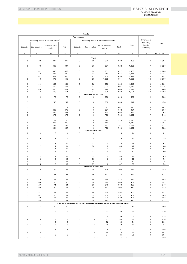|                                            | Assets                       |                                                                                    |                         |                                            |                       |                                                                                                  |                |                |                                       |                    |  |
|--------------------------------------------|------------------------------|------------------------------------------------------------------------------------|-------------------------|--------------------------------------------|-----------------------|--------------------------------------------------------------------------------------------------|----------------|----------------|---------------------------------------|--------------------|--|
|                                            |                              |                                                                                    |                         | Foreign assets                             |                       |                                                                                                  |                |                | Other assets                          |                    |  |
| Deposits                                   | Debt securities              | Outstanding amount to financial sectors <sup>1</sup><br>Shares and other<br>equity | Total                   | Deposits                                   | Debt securities       | Outstanding amount to non-financial sectors <sup>2</sup><br>Shares and other<br>equity           | Total          | Total          | (including<br>financial<br>derivates) | Total              |  |
| 10                                         | 11                           | 12                                                                                 | 13                      | 14                                         | 15                    | 16                                                                                               | 17             | 18             | 19                                    | $20 = 9 + 18 + 19$ |  |
|                                            |                              |                                                                                    |                         |                                            |                       |                                                                                                  |                |                |                                       |                    |  |
| $\overline{c}$                             | 28                           | 247                                                                                | 277                     | $\mathsf O$                                | Total<br>59           | 571                                                                                              | 630            | 908            | 6                                     | 1,894              |  |
| 3                                          | 38                           | 303                                                                                | 344                     | $\mathsf O$                                | 70                    | 851                                                                                              | 922            | 1,266          | $\overline{7}$                        | 2,220              |  |
| $\mathbf{1}$                               | 41                           | 340                                                                                | 382                     | $\mathsf O$                                | 92                    | 931                                                                                              | 1,022          | 1,405          | 6                                     | 2,200              |  |
| $\mathbf{1}$                               | 43                           | 338                                                                                | 382                     | $\mathsf{O}\xspace$                        | 93                    | 944                                                                                              | 1,036          | 1,418          | 18                                    | 2,238              |  |
| $\overline{c}$<br>$\overline{\mathbf{c}}$  | 41<br>43                     | 339<br>370                                                                         | 383<br>415              | $\mathsf O$<br>$\mathsf{O}\xspace$         | 91<br>89              | 968<br>1,002                                                                                     | 1,059<br>1,091 | 1,442<br>1,506 | 19<br>12                              | 2,237<br>2,277     |  |
|                                            |                              |                                                                                    |                         |                                            |                       |                                                                                                  |                |                |                                       |                    |  |
| $\overline{c}$                             | 44                           | 385<br>409                                                                         | 431<br>456              | $\mathsf{O}\xspace$                        | 92                    | 990                                                                                              | 1,082          | 1,513          | 13                                    | 2,269              |  |
| 3<br>$\ensuremath{\mathsf{3}}$             | 44<br>45                     | 410                                                                                | 457                     | $\mathsf{O}\xspace$<br>$\mathsf{O}\xspace$ | 94<br>93              | 1,003<br>996                                                                                     | 1,096<br>1,089 | 1,552<br>1,547 | 9<br>9                                | 2,276<br>2,246     |  |
| 3                                          | 46                           | 403                                                                                | 451                     | $\mathsf O$                                | 94                    | 985                                                                                              | 1,080          | 1,531          | 13                                    | 2,203              |  |
|                                            |                              |                                                                                    |                         |                                            | Open-end equity funds |                                                                                                  |                |                |                                       |                    |  |
| $\overline{c}$                             | $\sqrt{2}$                   | 172                                                                                | 175                     | $\mathsf O$                                | 0                     | 396                                                                                              | 396            | 570            | $\overline{c}$                        | 905                |  |
| $\overline{c}$                             | $\mathbf{1}$                 | 243                                                                                | 247                     | $\mathsf{O}\xspace$                        | 0                     | 600                                                                                              | 600            | 847            | $\overline{4}$                        | 1,173              |  |
| $\mathbf{1}$                               | $\mathbf{1}$                 | 270                                                                                | 272                     | $\mathsf{O}\xspace$                        | $\mathsf{O}\xspace$   | 641                                                                                              | 642            | 913            | $\overline{4}$                        | 1,207              |  |
| $\mathbf{1}$                               | $\mathbf{1}$                 | 268                                                                                | 270                     | $\mathsf O$                                | 0                     | 661                                                                                              | 662            | 931            | $\overline{7}$                        | 1,236              |  |
| $\overline{c}$<br>$\sqrt{2}$               | $\mathbf{1}$<br>$\mathbf{1}$ | 264                                                                                | 267                     | $\mathsf O$<br>$\mathsf O$                 | 0<br>0                | 690                                                                                              | 690<br>730     | 957            | 11<br>$\overline{7}$                  | 1,262              |  |
|                                            |                              | 276                                                                                | 279                     |                                            |                       | 730                                                                                              |                | 1,009          |                                       | 1,313              |  |
| $\sqrt{2}$                                 | $\mathbf{1}$                 | 284                                                                                | 286                     | $\mathsf{O}\xspace$                        | $\mathsf 0$           | 729                                                                                              | 729            | 1,015          | 5                                     | 1,313              |  |
| $\sqrt{2}$<br>$\sqrt{2}$                   | 1<br>$\mathbf{1}$            | 296<br>294                                                                         | 299<br>296              | $\mathsf{O}\xspace$<br>$\mathsf{O}\xspace$ | 0<br>0                | 741<br>741                                                                                       | 741<br>741     | 1,040<br>1,038 | 5<br>3                                | 1,321<br>1,311     |  |
| $\overline{c}$                             | $\mathbf{1}$                 | 294                                                                                | 297                     | $\mathsf{O}\xspace$                        | 0                     | 760                                                                                              | 760            | 1,057          | 8                                     | 1,358              |  |
|                                            |                              |                                                                                    |                         |                                            | Open-end bond funds   |                                                                                                  |                |                |                                       |                    |  |
| $\mathsf{O}\xspace$                        | 4                            | $\mathbf 0$                                                                        | $\sqrt{4}$              | $\overline{a}$                             | 10                    | $\mathbf{1}$                                                                                     | 10             | 14             | 0                                     | 32                 |  |
| 0                                          | 5                            | $\mathbf{1}$                                                                       | 6                       | ۳                                          | 15                    | $\mathbf{1}$                                                                                     | 15             | 21             | 0                                     | 39                 |  |
| $\mathsf O$<br>$\mathsf{O}\xspace$         | 11<br>12                     | $\mathbf{1}$<br>$\mathbf{1}$                                                       | 12<br>14                |                                            | 31<br>33              | $\mathsf{O}\xspace$<br>$\mathsf{O}\xspace$                                                       | 32<br>33       | 44<br>47       | 0<br>0                                | 68<br>68           |  |
| $\mathsf O$                                | 11                           | $\mathbf{1}$                                                                       | 13                      |                                            | 31                    | 0                                                                                                | 31             | 44             | $\overline{c}$                        | 67                 |  |
| $\mathsf{O}\xspace$                        | 12                           | $\sqrt{2}$                                                                         | 13                      | ۰                                          | 31                    | $\mathsf O$                                                                                      | 32             | 45             | $\mathbf{1}$                          | 68                 |  |
|                                            |                              |                                                                                    |                         | ۰                                          |                       |                                                                                                  |                |                |                                       |                    |  |
| $\mathsf{O}\xspace$<br>$\mathsf{O}\xspace$ | 12<br>13                     | $\sqrt{2}$<br>$\sqrt{2}$                                                           | 14<br>15                |                                            | 33<br>35              | $\mathsf{O}\xspace$<br>$\mathsf{O}\xspace$                                                       | 33<br>35       | 47<br>50       | $\mathsf{O}\xspace$<br>0              | 69<br>75           |  |
| $\mathsf{O}\xspace$                        | 14                           | $\sqrt{2}$                                                                         | 16                      | $\blacksquare$                             | 36                    | $\mathbf{1}$                                                                                     | 37             | 53             | 0                                     | 76                 |  |
| 0                                          | 15                           | $\overline{c}$                                                                     | 17                      | $\overline{a}$                             | 37                    | $\mathsf{O}\xspace$                                                                              | 37             | 53             | $\mathbf{1}$                          | 79                 |  |
|                                            |                              |                                                                                    |                         |                                            | Open-end mixed funds  |                                                                                                  |                |                |                                       |                    |  |
| $\mathsf{O}\xspace$                        | 23                           | 65                                                                                 | 89                      | $\overline{\phantom{a}}$                   | 50                    | 154                                                                                              | 203            | 292            | 3                                     | 559                |  |
| $\mathbf{1}$                               | 31                           | 57                                                                                 | 88                      |                                            | 56                    | 217                                                                                              | 273            | 361            | $\mathbf{1}$                          | 628                |  |
| $\mathsf{O}\xspace$                        | 30                           | 65                                                                                 | 95                      |                                            | 60                    | 256                                                                                              | 316            | 411            | $\mathbf{1}$                          | 652                |  |
| $\mathsf{O}\xspace$                        | 30                           | 65                                                                                 | 95                      |                                            | 60                    | 249                                                                                              | 309            | 404            | 10                                    | 657                |  |
| $\mathsf{O}\xspace$<br>$\mathsf O$         | 29<br>30                     | 71<br>90                                                                           | 101<br>121              |                                            | 60<br>58              | 246<br>247                                                                                       | 306<br>304     | 407<br>425     | 6<br>$\overline{\mathbf{4}}$          | 648<br>655         |  |
| $\mathbf{1}$                               | 31                           | 95                                                                                 | 127                     |                                            | 59                    | 236                                                                                              | 295            | 422            | 8                                     | 647                |  |
| $\mathbf{1}$                               | 31                           | 106                                                                                | 137                     |                                            | 59                    | 238                                                                                              | 297            | 434            | $\overline{4}$                        | 649                |  |
| $\mathbf 1$                                | 30                           | 105                                                                                | 136                     |                                            | 58                    | 230                                                                                              | 288            | 424            | 5                                     | 628                |  |
| $\mathbf{1}$                               | 30                           | 106                                                                                | 137                     | J.                                         | 58                    | 225                                                                                              | 283            | 420            | 3                                     | 617                |  |
| $\mathsf{O}\xspace$                        |                              | 10                                                                                 | 10                      |                                            |                       | other funds (close-end equity and open-end other funds; money market funds excluded $^3$ )<br>21 | 21             | 31             | $\mathbf{1}$                          | 399                |  |
|                                            |                              | 3                                                                                  | 3                       |                                            |                       | 33                                                                                               | 33             | 36             | $\mathbf{1}$                          | 379                |  |
|                                            |                              | 3                                                                                  | 3                       |                                            |                       | 33                                                                                               | 33             | 36             | $\mathsf 0$                           | 273                |  |
|                                            |                              | $\ensuremath{\mathsf{3}}$                                                          | 3                       |                                            |                       | 33                                                                                               | 33             | 36             | $\mathsf{O}\xspace$                   | 276                |  |
|                                            |                              | $\sqrt{2}$                                                                         | $\overline{c}$          |                                            |                       | 32                                                                                               | 32             | 34             | $\mathsf{O}\xspace$                   | 260                |  |
|                                            |                              | $\overline{c}$                                                                     | $\sqrt{2}$              |                                            |                       | 25                                                                                               | 25             | 27             | $\mathsf{O}\xspace$                   | 241                |  |
|                                            |                              | $\overline{4}$                                                                     | $\overline{\mathbf{4}}$ |                                            |                       | 25                                                                                               | 25             | 29             | 0                                     | 239                |  |
|                                            |                              | $\mathbf 5$                                                                        | 5                       |                                            |                       | 24                                                                                               | 24             | 29             | 0                                     | 231                |  |
|                                            |                              | $\mathsf g$                                                                        | 9<br>ä,                 |                                            |                       | 24                                                                                               | 24<br>ä,       | 32             | 0<br>$\mathbf{1}$                     | 231<br>149         |  |
|                                            |                              |                                                                                    |                         |                                            |                       |                                                                                                  |                |                |                                       |                    |  |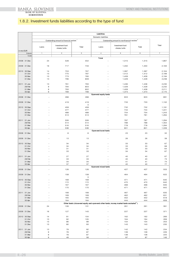# 1.8.2. Investment funds liabilities according to the type of fund

|            |                       |                |                                                      |                     | Liabilities                                                                                        |                                                          |                |                |
|------------|-----------------------|----------------|------------------------------------------------------|---------------------|----------------------------------------------------------------------------------------------------|----------------------------------------------------------|----------------|----------------|
|            |                       |                |                                                      |                     | Domestic liabilities                                                                               |                                                          |                |                |
|            |                       |                | Outstanding amount to financial sectors <sup>1</sup> |                     |                                                                                                    | Outstanding amount to non-financial sectors <sup>2</sup> |                |                |
|            |                       |                |                                                      |                     |                                                                                                    |                                                          |                |                |
|            |                       | Loans          | Investment fund                                      | Total               | Loans                                                                                              | Investment fund                                          | Total          | Total          |
|            |                       |                | shares/units                                         |                     |                                                                                                    | shares/units                                             |                |                |
| in mio EUR | Column                | 1              | $\overline{2}$                                       | $\overline{3}$      | $\overline{4}$                                                                                     | $\overline{5}$                                           | $\overline{6}$ | $\overline{7}$ |
|            | Code                  |                |                                                      |                     |                                                                                                    |                                                          |                |                |
|            |                       |                |                                                      |                     | Total                                                                                              |                                                          |                |                |
|            | 2008 31.Dec           | 24             | 528                                                  | 552                 |                                                                                                    | 1,315                                                    | 1,315          | 1,867          |
|            | 2009 31.Dec           | 16             | 717                                                  | 733                 |                                                                                                    | 1,450                                                    | 1,450          | 2,183          |
|            |                       |                |                                                      |                     |                                                                                                    |                                                          |                |                |
|            | 2010 30.Sep           | 14             | 753                                                  | 767                 |                                                                                                    | 1,397                                                    | 1,397          | 2,164          |
|            | 31.Oct                | 13             | 775                                                  | 787                 |                                                                                                    | 1,412                                                    | 1,412          | 2,199          |
|            | 30.Nov                | 13             | 773                                                  | 785                 |                                                                                                    | 1,409                                                    | 1,409          | 2,194          |
|            | 31.Dec                | 13             | 796                                                  | 809                 |                                                                                                    | 1,429                                                    | 1,429          | 2,238          |
|            | 2011 31.Jan           | 13             | 781                                                  | 793                 |                                                                                                    | 1,436                                                    | 1,436          | 2,230          |
|            | 28.Feb                | 9              | 794                                                  | 803                 |                                                                                                    | 1,429                                                    | 1,429          | 2,232          |
|            | 31.Mar                | 9              | 793                                                  | 802                 |                                                                                                    | 1,409                                                    | 1,409          | 2,211          |
|            | 30.Apr                | 9              | 789                                                  | 798                 |                                                                                                    | 1,373                                                    | 1,373          | 2,170          |
|            | 2008 31.Dec           |                | 288                                                  | 288                 | Open-end equity funds                                                                              | 603                                                      | 603            | 891            |
|            |                       |                |                                                      |                     |                                                                                                    |                                                          |                |                |
|            | 2009 31.Dec           |                | 419                                                  | 419                 |                                                                                                    | 733                                                      | 733            | 1,152          |
|            |                       |                |                                                      | $\mathsf O$         |                                                                                                    |                                                          |                |                |
|            | 2010 30.Sep           |                | 459                                                  | 459                 |                                                                                                    | 732                                                      | 732            | 1,191          |
|            | 31.Oct                |                | 477                                                  | 477                 |                                                                                                    | 744                                                      | 744            | 1,221<br>1,243 |
|            | 30.Nov<br>31.Dec      |                | 488<br>513                                           | 488<br>513          |                                                                                                    | 754<br>781                                               | 754<br>781     | 1,294          |
|            |                       |                |                                                      |                     |                                                                                                    |                                                          |                |                |
|            | 2011 31.Jan           |                | 506                                                  | 506                 |                                                                                                    | 787                                                      | 787            | 1,294          |
|            | 28.Feb                |                | 514                                                  | 514                 |                                                                                                    | 788                                                      | 788            | 1,302          |
|            | 31.Mar                |                | 516                                                  | 516                 |                                                                                                    | 778                                                      | 778            | 1,294          |
|            | 30.Apr                | ä,             | 538                                                  | 538                 | Open-end bond funds                                                                                | 801                                                      | 801            | 1,339          |
|            | 2008 31.Dec           |                | 8                                                    | 8                   | ×                                                                                                  | 23                                                       | 23             | 32             |
|            |                       |                |                                                      |                     |                                                                                                    |                                                          |                |                |
|            | 2009 31.Dec           |                | 13                                                   | 13                  |                                                                                                    | 26                                                       | 26             | 39             |
|            |                       |                | 34                                                   | 34                  |                                                                                                    | 33                                                       | 33             | 67             |
|            | 2010 30.Sep<br>31.Oct |                | 34                                                   | 34                  |                                                                                                    | 33                                                       | 33             | 68             |
|            | 30.Nov                |                | 31                                                   | 31                  |                                                                                                    | 33                                                       | 33             | 64             |
|            | 31.Dec                |                | 33                                                   | 33                  |                                                                                                    | 34                                                       | 34             | 67             |
|            |                       |                |                                                      |                     |                                                                                                    |                                                          |                |                |
|            | 2011 31.Jan<br>28.Feb |                | 27<br>33                                             | 27<br>33            |                                                                                                    | 40<br>40                                                 | 40<br>40       | 67<br>73       |
|            | 31.Mar                |                | 34                                                   | 34                  |                                                                                                    | 41                                                       | 41             | 74             |
|            | 30.Apr                | $\overline{a}$ | 37                                                   | 37                  |                                                                                                    | 40                                                       | 40             | 77             |
|            |                       |                |                                                      |                     | Open-end mixed funds                                                                               |                                                          |                |                |
|            | 2008 31.Dec           |                | 126                                                  | 126                 | ٠                                                                                                  | 427                                                      | 427            | 553            |
|            | 2009 31.Dec           |                | 158                                                  | 158                 |                                                                                                    | 464                                                      | 464            | 622            |
|            |                       |                |                                                      | $\mathsf{O}\xspace$ |                                                                                                    |                                                          |                |                |
|            | 2010 30.Sep           |                | 169                                                  | 169                 |                                                                                                    | 471                                                      | 471            | 640            |
|            | 31.Oct                |                | 172                                                  | 172                 |                                                                                                    | 470                                                      | 470            | 642            |
|            | 30.Nov                |                | 167                                                  | 167                 |                                                                                                    | 468                                                      | 468            | 635            |
|            | 31.Dec                |                | 170                                                  | 170                 |                                                                                                    | 471                                                      | 471            | 642            |
|            | 2011 31.Jan           |                | 168                                                  | 168                 |                                                                                                    | 467                                                      | 467            | 635            |
|            | 28.Feb                |                | 169                                                  | 169                 |                                                                                                    | 462                                                      | 462            | 631            |
|            | 31.Mar                | ×,             | 165                                                  | 165                 |                                                                                                    | 452                                                      | 452            | 618            |
|            | 30.Apr                | $\overline{a}$ | 164                                                  | 164                 |                                                                                                    | 444                                                      | 444            | 608            |
|            |                       |                |                                                      |                     | Other funds (close-end equity and open-end other funds; money market funds excluded <sup>3</sup> ) |                                                          |                |                |
|            | 2008 31.Dec           | 24             | 106                                                  | 131                 |                                                                                                    | 261                                                      | 261            | 391            |
|            | 2009 31.Dec           | 16             | 127                                                  | 143                 |                                                                                                    | 227                                                      | 227            | 371            |
|            |                       |                |                                                      |                     |                                                                                                    |                                                          |                |                |
|            | 2010 30.Sep           | 14             | 91                                                   | 104                 |                                                                                                    | 162                                                      | 162            | 266            |
|            | 31.Oct                | 13             | 92                                                   | 105                 |                                                                                                    | 164                                                      | 164            | 269            |
|            | 30.Nov<br>31.Dec      | 13<br>13       | 86<br>80                                             | 99<br>93            |                                                                                                    | 154<br>143                                               | 154<br>143     | 253<br>235     |
|            |                       |                |                                                      |                     |                                                                                                    |                                                          |                |                |
|            | 2011 31.Jan           | 13             | 79                                                   | 92                  |                                                                                                    | 142                                                      | 142            | 234            |
|            | 28.Feb                | $\hbox{9}$     | 78                                                   | 87                  |                                                                                                    | 139                                                      | 139            | 226            |
|            | 31.Mar                | $\hbox{9}$     | 78                                                   | 87                  |                                                                                                    | 138                                                      | 138            | 225            |
|            | 30.Apr                | 9              | 49                                                   | 58                  |                                                                                                    | 87                                                       | 87             | 146            |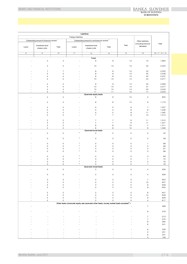| Liabilities             |                                                      |                         |                          |                                                                                                    |                         |                     |                                    |                    |
|-------------------------|------------------------------------------------------|-------------------------|--------------------------|----------------------------------------------------------------------------------------------------|-------------------------|---------------------|------------------------------------|--------------------|
|                         |                                                      |                         | Foreign liabilities      |                                                                                                    |                         |                     |                                    |                    |
|                         | Outstanding amount to financial sectors <sup>1</sup> |                         |                          | Outstanding amount to non-financial sectors <sup>2</sup>                                           |                         |                     | Other liabilities                  |                    |
| Loans                   | Investment fund<br>shares/units                      | Total                   | Loans                    | Investment fund<br>shares/units                                                                    | Total                   | Total               | (including financial<br>derivates) | Total              |
| $\overline{\mathbf{8}}$ | $\overline{9}$                                       | 10                      | 11                       | 12                                                                                                 | 13                      | 14                  | 15                                 | $16 = 7 + 14 + 15$ |
|                         |                                                      |                         |                          |                                                                                                    |                         |                     |                                    |                    |
|                         | $\overline{\mathbf{4}}$                              | $\overline{4}$          |                          | Total<br>$\boldsymbol{9}$                                                                          | $\boldsymbol{9}$        | 13                  | 15                                 | 1,894              |
|                         | $\overline{\mathbf{4}}$                              | $\overline{4}$          |                          | 10                                                                                                 | 10                      | 15                  | 22                                 | 2,220              |
|                         | $\overline{\mathcal{I}}$                             | $\overline{7}$          | ä,                       | 8                                                                                                  | 8                       | 15                  | 22                                 | 2,200              |
|                         | 5                                                    | 5                       |                          | 8                                                                                                  | 8                       | 13                  | 25                                 | 2,238              |
|                         | $\overline{\mathbf{4}}$                              | $\overline{4}$          |                          | 8                                                                                                  | 8                       | 13                  | 30                                 | 2,237              |
|                         | 5                                                    | 5                       |                          | 10                                                                                                 | 10                      | 14                  | 24                                 | 2,277              |
|                         | 4                                                    | $\overline{4}$          |                          | $\mathsf g$                                                                                        | $\mathbf 9$             | 14                  | 25                                 | 2,269              |
|                         | $\overline{\mathbf{4}}$                              | $\overline{4}$          | ä,                       | 10                                                                                                 | 10                      | 14                  | 31                                 | 2,277              |
|                         | 4                                                    | $\overline{4}$          | ä,                       | 10                                                                                                 | 10                      | 14                  | 20                                 | 2,246              |
| ÷,                      | 5                                                    | 5                       | $\overline{\phantom{a}}$ | 11<br>Open-end equity funds                                                                        | 11                      | 15                  | 17                                 | 2,203              |
|                         | $\overline{\mathbf{4}}$                              | $\overline{4}$          | ÷,                       | 6                                                                                                  | $\,6$                   | 10                  | $\overline{4}$                     | 905                |
|                         | 4                                                    | $\overline{4}$          | ÷.                       | 8                                                                                                  | 8                       | 12                  | $\mathsf g$                        | 1,173              |
|                         | 4                                                    | $\overline{4}$          |                          | $\,$ 5 $\,$                                                                                        | $\sqrt{5}$              | $\mathsf g$         | $\overline{\mathcal{I}}$           | 1,207              |
|                         | $\overline{\mathbf{c}}$                              | $\overline{c}$          |                          | $\,$ 5 $\,$                                                                                        | $\sqrt{5}$              | 8                   | 8                                  | 1,236              |
|                         | $\overline{\mathbf{c}}$                              | $\overline{c}$          |                          | 5                                                                                                  | 5                       | 8                   | 11                                 | 1,262              |
|                         | $\overline{\mathbf{c}}$                              | $\overline{c}$          |                          | $\overline{\mathcal{I}}$                                                                           | $\overline{7}$          | $\mathsf g$         | 10                                 | 1,313              |
|                         | 2                                                    | $\sqrt{2}$              |                          | $\sqrt{7}$                                                                                         | $\overline{7}$          | 9                   | 11                                 | 1,313              |
|                         | $\overline{\mathbf{c}}$                              | $\overline{c}$          |                          | $\overline{\mathcal{I}}$                                                                           | $\overline{7}$          | $\mathsf g$         | 11                                 | 1,321              |
|                         | $\mathbf 2$                                          | $\overline{\mathbf{c}}$ | ٠                        | 8                                                                                                  | 8                       | 10                  | $\boldsymbol{7}$                   | 1,311              |
| $\overline{a}$          | $\overline{c}$                                       | $\overline{c}$          | ÷,                       | 8                                                                                                  | $\,$ 8 $\,$             | 10                  | $\mathsf g$                        | 1,358              |
| ä,                      | $\mathsf{O}\xspace$                                  | 0                       | $\blacksquare$           | Open-end bond funds<br>$\mathsf{O}\xspace$                                                         | $\mathsf{O}\xspace$     | $\mathsf{O}\xspace$ | $\mathsf{O}\xspace$                | 32                 |
|                         | $\mathsf{O}\xspace$                                  | $\mathsf{O}\xspace$     | ۰                        | $\mathsf{O}\xspace$                                                                                | $\mathsf{O}\xspace$     | $\mathsf{O}\xspace$ | $\mathsf{O}\xspace$                | 39                 |
|                         | $\mathsf{O}\xspace$                                  | $\mathsf{O}\xspace$     |                          | $\mathsf{O}\xspace$                                                                                | $\mathsf{O}\xspace$     | $\mathsf{O}\xspace$ | $\mathbf{1}$                       | 68                 |
|                         | 0                                                    | $\mathsf O$             |                          | $\mathsf O$                                                                                        | $\mathsf O$             | $\mathsf O$         | $\mathsf O$                        | 68                 |
|                         | $\mathsf{O}$                                         | $\mathsf{O}\xspace$     |                          | $\mathsf{O}\xspace$                                                                                | $\mathsf{O}\xspace$     | $\mathsf{O}\xspace$ | $\sqrt{2}$                         | 67                 |
|                         | 0                                                    | $\mathsf O$             |                          | $\mathsf O$                                                                                        | $\mathsf O$             | $\mathsf O$         | $\mathsf O$                        | 68                 |
|                         | 0                                                    | $\mathsf O$             |                          | $\mathsf O$                                                                                        | $\mathsf O$             | $\mathsf O$         | $\overline{c}$                     | 69                 |
|                         | $\mathsf{O}$                                         | $\mathsf{O}\xspace$     |                          | $\mathsf{O}\xspace$                                                                                | $\mathsf{O}\xspace$     | $\mathsf{O}\xspace$ | $\mathbf{1}$                       | 75                 |
|                         | $\mathsf{O}\xspace$                                  | $\mathsf{O}\xspace$     | $\blacksquare$           | $\mathsf{O}\xspace$                                                                                | $\mathsf O$             | $\mathsf{O}\xspace$ | $\sqrt{2}$                         | 76                 |
| ×.                      | $\mathsf{O}\xspace$                                  | $\mathsf{O}\xspace$     |                          | $\mathsf 0$                                                                                        | $\mathsf O$             | 0                   | $\mathbf{1}$                       | 79                 |
| ÷.                      | $\mathsf{O}\xspace$                                  | $\mathsf{O}\xspace$     | $\overline{\phantom{a}}$ | Open-end mixed funds<br>$\sqrt{2}$                                                                 | $\overline{c}$          | $\overline{c}$      | $\sqrt{4}$                         | 559                |
|                         | $\mathsf{O}\xspace$                                  | 0                       |                          | $\sqrt{2}$                                                                                         | $\overline{c}$          | $\sqrt{2}$          | $\sqrt{4}$                         | 628                |
|                         | 3                                                    | 3                       |                          | $\sqrt{2}$                                                                                         | $\sqrt{2}$              | 5                   | $\sqrt{7}$                         | 652                |
|                         | 3                                                    | 3                       |                          | $\mathbf 2$                                                                                        | $\overline{c}$          | $\,$ 5 $\,$         | $10$                               | 657                |
|                         | $\overline{\mathbf{c}}$                              | $\overline{c}$          |                          | $\sqrt{2}$                                                                                         | $\overline{c}$          | 5                   | $\boldsymbol{9}$                   | 648                |
|                         | $\mathbf 2$                                          | $\sqrt{2}$              |                          | $\sqrt{2}$                                                                                         | $\overline{\mathbf{c}}$ | 5                   | 8                                  | 655                |
|                         | $\mathbf 2$                                          | $\sqrt{2}$              |                          | $\sqrt{2}$                                                                                         | $\sqrt{2}$              | $\,$ 5 $\,$         | 8                                  | 647                |
|                         | $\overline{\mathbf{c}}$                              | $\overline{c}$          |                          | $\sqrt{2}$                                                                                         | $\overline{\mathbf{c}}$ | 5                   | 14                                 | 649                |
|                         | $\overline{c}$                                       | $\overline{c}$          |                          | $\sqrt{2}$                                                                                         | $\overline{c}$          | 5                   | $\,6\,$                            | 628                |
| ä,                      | $\overline{c}$                                       | $\overline{\mathbf{c}}$ |                          | $\overline{c}$                                                                                     | $\overline{c}$          | 5                   | $\overline{4}$                     | 617                |
|                         | ÷,                                                   |                         |                          | Other funds (close-end equity and open-end other funds; money market funds excluded <sup>3</sup> ) |                         | ÷                   | $\overline{\mathcal{I}}$           | 399                |
|                         |                                                      |                         |                          |                                                                                                    |                         |                     | 8                                  | 379                |
|                         |                                                      |                         |                          |                                                                                                    |                         |                     |                                    |                    |
|                         |                                                      |                         |                          |                                                                                                    |                         |                     | $\overline{\mathcal{I}}$           | 273                |
|                         |                                                      |                         |                          |                                                                                                    |                         |                     | $\boldsymbol{7}$<br>8              | 276<br>260         |
|                         |                                                      |                         |                          |                                                                                                    |                         |                     | $\,6$                              | 241                |
|                         |                                                      |                         |                          |                                                                                                    |                         |                     |                                    |                    |
|                         |                                                      |                         |                          |                                                                                                    |                         |                     | $\,6$                              | 239                |
|                         |                                                      |                         |                          |                                                                                                    |                         |                     | $\,$ 5 $\,$<br>$\,6$               | 231                |
|                         |                                                      |                         |                          |                                                                                                    |                         |                     | 3                                  | 231<br>149         |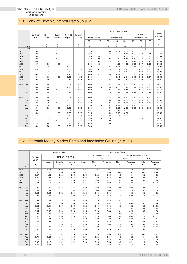**EUROSYSTEM**

### 2.1. Bank of Slovenia Interest Rates (% p. a.)

|              |                |                          |                         |                          |                          | Bank of Slovenia Bills |                          |                |                |              |              |                 |              |                     |
|--------------|----------------|--------------------------|-------------------------|--------------------------|--------------------------|------------------------|--------------------------|----------------|----------------|--------------|--------------|-----------------|--------------|---------------------|
|              | Lombard        | Repo                     | Banks'                  | Ovemight                 | Longterm                 |                        | In SIT                   |                | In EUR         |              |              | In USD          |              | General             |
|              | loan           | $(7-day)$                | reserves                | deposit                  | deposit                  |                        | Number of days           |                | Number of days |              |              | Number of days  |              | legal penal<br>rate |
|              |                |                          |                         |                          |                          | 60                     | 270                      | 60             | 90             | 120          | 60           | 90              | 120          |                     |
|              | n              | n                        | n                       | $\mathsf{n}$             | n                        | n.                     | n                        | r.             | $\mathbf{r}$   | $\mathbf{r}$ | $\mathbf{r}$ | $\mathsf{r}$    | $\mathbf{r}$ | n                   |
| Column       | $\overline{1}$ | $\overline{2}$           | $\overline{\mathbf{3}}$ | $\overline{4}$           | 5                        | $\overline{6}$         | $\overline{7}$           | $\overline{8}$ | $\overline{9}$ | 10           | 11           | $\overline{12}$ | 13           | 14                  |
| Code         |                |                          |                         |                          |                          |                        |                          |                |                |              |              |                 |              |                     |
| 1995         | 12.50          | $\sim$                   | 1.00                    | ×.                       | $\overline{\phantom{a}}$ | 12.78                  | ×                        | 4.23           | 4.24           | 4.29         | 5.63         | 5.67            | 5.70         | 32.21               |
| 1996         | 11.00          | ×.                       | 1.00                    | ×.                       | $\overline{\phantom{a}}$ | 13.27                  | $\sim$                   | 3.11           | 3.10           | 3.10         | 5.30         | 5.33            | 5.34         | 27.76               |
| 1997         | 11.00          | $\overline{\phantom{a}}$ | 1.00                    | $\overline{\phantom{a}}$ | $\overline{\phantom{a}}$ | 12.98                  | 14.33                    | 3.17           | 3.20           | 3.23         | 5.55         | 5.61            | 5.62         | 26.84               |
| 1998         | 11.00          | ÷                        | 1.00                    | ×.                       | $\overline{\phantom{a}}$ | 10.40                  | 12.39                    | 3.36           | 3.40           | 3.42         | 5.40         | 5.40            | 5.39         | 26.55               |
| 1999         | 9.00           | ä,                       | 1.00                    | ä,                       | $\overline{\phantom{a}}$ | 7.13                   | 9.08                     | 2.75           | 2.80           | 2.83         | 5.16         | 5.25            | 5.30         | 20.68               |
| 2000         | 9.67           | 9.56                     | 1.00                    | $\overline{a}$           | $\overline{\phantom{a}}$ | 8.19                   | 9.35                     | 4.16           | 4.23           | 4.29         | 6.29         | 6.37            | 6.40         | 24.65               |
| 2001         | 11.75          | 11.02                    | 1.00                    | 4.92                     | $\overline{\phantom{a}}$ | 10.42                  | 11.16                    | 4.08           | 4.04           | 4.00         | 3.55         | 3.52            | 3.50         | 27.99               |
| 2002         | 10.96          | 9.61                     | 1.00                    | 4.00                     | $\overline{\phantom{a}}$ | 8.44                   | 9.72                     | 3.14           | 3.14           | 3.15         | 1.60         | 1.62            | 1.65         | 21.16               |
| 2003         | 8.77           | 8.03                     | 1.00                    | 3.69                     | ٠                        | 6.92                   | 7.44                     | 2.17           | 2.15           | 2.13         | 1.03         | 1.03            | 1.03         | 18.25               |
| 2004         | 5.63           | 4.63                     | 1.00                    | 2.40                     | 4.20                     | 4.48                   | 4.70                     | 2.00           | 2.01           | 2.03         | 1.48         | 1.54            | 1.60         | 15.50               |
| 2005         | 5.00           | 4.10                     | 1.00                    | 2.25                     | 4.20                     | 4.00                   | $\overline{\phantom{a}}$ | 2.10           | 2.12           | 2.14         | 3.42         | 3.50            | 3.57         | 15.50               |
| 2006         | 4.65           | 3.69                     | 1.00                    | 2.35                     | 3.78                     | 3.52                   | $\overline{\phantom{a}}$ | 2.88           | 2.83           | 2.83         | 1.99         | 2.02            | 2.04         | 13.00               |
|              |                |                          |                         |                          |                          |                        |                          |                |                |              |              |                 |              |                     |
| Sep.<br>2005 | 5.00           | 4.10                     | 1.00                    | 2.25                     | 4.20                     | 4.00                   | $\overline{\phantom{a}}$ | 2.04           | 2.05           | 2.06         | 3.79         | 3.85            | 3.90         | 15.50               |
| Oct.         | 5.00           | 4.10                     | 1.00                    | 2.25                     | 4.20                     | 4.00                   | $\overline{\phantom{a}}$ | 2.06           | 2.10           | 2.12         | 3.99         | 4.09            | 4.15         | 15.50               |
| Nov.         | 5.00           | 4.10                     | 1.00                    | 2.25                     | 4.20                     | 4.00                   | ٠                        | 2.31           | 2.37           | 2.41         | 4.23         | 4.31            | 4.37         | 15.50               |
| Dec.         | 5.00           | 4.10                     | 1.00                    | 2.25                     | 4.20                     | 4.00                   | ä,                       | 2.36           | 2.41           | 2.46         | 4.38         | 4.43            | 4.48         | 15.50               |
|              |                |                          |                         |                          |                          |                        |                          |                |                |              |              |                 |              |                     |
| 2006<br>Jan. | 5.00           | 4.10                     | 1.00                    | 2.25                     | 4.20                     | 4.00                   | $\overline{\phantom{a}}$ | 2.38           | 2.45           | 2.50         | 4.50         | 4.55            | 4.59         | 13.50               |
| Feb.         | 4.75           | 3.75                     | 1.00                    | 2.25                     | 4.20                     | 3.75                   | $\overline{\phantom{a}}$ | 2.50           | 2.54           | 2.58         | 4.62         | 4.70            | 4.77         | 13.50               |
| Mar.         | 4.50           | 3.50                     | 1.00                    | 2.25                     | 4.20                     | 3.50                   | $\overline{\phantom{a}}$ | 2.61           | 2.67           | 2.73         | 4.83         | 4.89            | 4.93         | 13.50               |
| Apr.         | 4.50           | 3.50                     | 1.00                    | 2.25                     | 3.70                     | 3.50                   | $\overline{\phantom{a}}$ | 2.61           | 2.69           | 2.74         | 4.93         | 5.00            | 5.05         | 13.50               |
| May          | 4.50           | 3.50                     | 1.00                    | 2.25                     | 3.70                     | 3.50                   | $\overline{\phantom{a}}$ | 2.73           | 2.80           | 2.86         | 5.05         | 5.10            | 5.14         | 13.50               |
| Jun.         | 4.50           | ÷,                       | 1.00                    | 2.25                     | 3.70                     | 3.25                   | $\overline{\phantom{a}}$ | 2.84           | 2.88           | 2.93         | ÷            |                 | ÷.           | 13.50               |
| Jul.         | 4.50           | ٠                        | 1.00                    | 2.25                     | 3.70                     | 3.25                   | $\overline{\phantom{a}}$ | 2.94           | 3.00           | 3.06         | ÷.           |                 | ٠            | 12.50               |
| Aug.         | 4.75           | ٠                        | 1.00                    | 2.50                     | 3.45                     | 3.50                   | $\overline{\phantom{a}}$ | 3.08           | 3.16           | 3.22         | ÷            | ÷               | $\sim$       | 12.50               |
| Sep.         | 4.75           | $\overline{\phantom{a}}$ | 1.00                    | 2.50                     | 3.45                     | 3.50                   | $\overline{\phantom{a}}$ | 3.20           | 3.28           |              |              | ×.              | ×.           | 12.50               |
| Oct.         | 4.75           | ÷,                       | 1.00                    | 2.50                     | 3.70                     | 3.50                   | $\overline{\phantom{a}}$ | 3.30           |                |              |              | $\sim$          | $\sim$       | 12.50               |
| Nov.         | 4.75           | 3.75                     | 1.00                    | 2.50                     | 3.70                     | 3.50                   | $\overline{\phantom{a}}$ | 3.46           | ä,             |              |              |                 | $\sim$       | 12.50               |
| Dec.         | 4.50           | 3.75                     | 1.00                    | 2.50                     | 3.70                     | 3.50                   |                          |                |                |              | ÷.           |                 | ÷.           | 12.50               |

### 2.2. Interbank Money Market Rates and Indexation Clause (% p. a.)

|      |        | <b>Interbank Market</b> |                   |          |                |        | <b>Revaluation Clauses</b>                   |                |                          |            |         |            |
|------|--------|-------------------------|-------------------|----------|----------------|--------|----------------------------------------------|----------------|--------------------------|------------|---------|------------|
|      |        |                         | SITIBOR / EURIBOR |          |                |        | <b>Tolar Indexation Clause</b><br><b>TOM</b> |                | Foreign Exchange Clauses |            |         |            |
|      |        | SIONIA/<br><b>EONIA</b> |                   |          |                |        |                                              |                | <b>USD</b>               |            | CHF     |            |
|      |        |                         | 1 month           | 3 months | 6 months       | 1 year | Monthly                                      | Annualized     | Monthly                  | Annualized | Monthly | Annualized |
|      | Column | $\mathbf{1}$            | $\overline{c}$    | 3        | $\overline{4}$ | 5      | 6                                            | $\overline{7}$ | 8                        | 9          | 10      | 11         |
|      | Code   |                         |                   |          |                |        |                                              |                |                          |            |         |            |
| 2005 |        | 3.71                    | 4.04              | 4.03     | 4.01           | 3.94   | 0.24                                         | 2.94           | 1.18                     | 14.86      | $-0.06$ | $-0.70$    |
| 2006 |        | 3.37                    | 3.60              | 3.58     | 3.58           | 3.62   | 0.21                                         | 2.53           | $-0.87$                  | $-10.13$   | $-0.27$ | $-3.26$    |
| 2007 |        | 3.87                    | 4.08              | 4.28     | 4.35           | 4.45   | 0.28                                         | 3.35           | $-0.90$                  | $-10.40$   | $-0.22$ | $-2.68$    |
| 2008 |        | 3.87                    | 4.28              | 4.64     | 4.73           | 4.83   | 0.50                                         | 6.18           | 0.49                     | 25.69      | 0.89    | 17.81      |
| 2009 |        | 0.71                    | 0.89              | 1.22     | 1.43           | 1.61   | 0.09                                         | 1.12           | $-0.10$                  | 10.69      | 0.08    | 1.46       |
| 2010 |        | 0.44                    | 0.57              | 0.81     | 1.08           | 1.35   | 0.16                                         | 1.92           | 0.72                     | 7.81       | 1.48    | 18.65      |
|      |        | 0.36                    | 0.46              | 0.77     | 1.04           | 1.26   |                                              |                |                          | $-26.82$   | 0.60    | 7.51       |
| 2009 | Sep.   |                         |                   |          |                |        | 0.00                                         | 0.00           | $-2.53$                  |            |         |            |
|      | Oct.   | 0.36                    | 0.43              | 0.74     | 1.02           | 1.24   | 0.00                                         | 0.00           | $-1.06$                  | $-11.80$   | $-0.30$ | $-3.45$    |
|      | Nov.   | 0.36                    | 0.44              | 0.72     | 0.99           | 1.23   | 0.00                                         | 0.00           | $-1.48$                  | $-16.64$   | 0.35    | 4.28       |
|      | Dec.   | 0.35                    | 0.48              | 0.71     | 1.00           | 1.24   | 0.10                                         | 1.18           | 4.28                     | 63.85      | 1.58    | 20.33      |
| 2010 | Jan.   | 0.34                    | 0.44              | 0.68     | 0.98           | 1.23   | 0.10                                         | 1.18           | 3.15                     | 44.08      | 1.19    | 14.90      |
|      | Feb.   | 0.34                    | 0.42              | 0.66     | 0.96           | 1.23   | 0.10                                         | 1.31           | 2.92                     | 45.49      | 0.16    | 2.16       |
|      | Mar.   | 0.35                    | 0.41              | 0.65     | 0.95           | 1.22   | 0.10                                         | 1.18           | 0.68                     | 8.24       | 2.54    | 34.29      |
|      | Apr.   | 0.35                    | 0.40              | 0.64     | 0.96           | 1.23   | 0.10                                         | 1.22           | 1.23                     | 16.06      | $-0.45$ | $-5.38$    |
|      | May    | 0.34                    | 0.42              | 0.69     | 0.98           | 1.25   | 0.20                                         | 2.38           | 8.19                     | 152.67     | 0.78    | 9.58       |
|      | Jun.   | 0.35                    | 0.45              | 0.73     | 1.01           | 1.28   | 0.20                                         | 2.46           | 0.29                     | 3.63       | 7.13    | 131.15     |
|      | Jul.   | 0.48                    | 0.58              | 0.85     | 1.10           | 1.37   | 0.20                                         | 2.38           | $-5.81$                  | $-50.58$   | $-1.91$ | $-20.27$   |
|      | Aug.   | 0.43                    | 0.64              | 0.90     | 1.15           | 1.42   | 0.20                                         | 2.38           | 2.74                     | 37.55      | 4.68    | 71.44      |
|      | Sep.   | 0.45                    | 0.62              | 0.88     | 1.14           | 1.42   | 0.20                                         | 2.46           | $-7.09$                  | $-59.14$   | $-2.65$ | $-27.87$   |
|      | Oct.   | 0.70                    | 0.78              | 1.00     | 1.22           | 1.50   | 0.20                                         | 2.38           | $-1.51$                  | $-16.38$   | $-3.07$ | $-30.74$   |
|      | Nov.   | 0.59                    | 0.83              | 1.04     | 1.27           | 1.54   | 0.20                                         | 2.46           | 6.61                     | 117.84     | 5.53    | 92.43      |
|      | Dec.   | 0.50                    | 0.81              | 1.02     | 1.25           | 1.53   | 0.10                                         | 1.18           | $-2.72$                  | $-27.76$   | 3.89    | 56.67      |
|      |        |                         |                   |          |                |        |                                              |                |                          |            |         |            |
| 2011 | Jan.   | 0.66                    | 0.79              | 1.02     | 1.25           | 1.55   | 0.20                                         | 2.38           | $-2.41$                  | $-24.97$   | $-3.00$ | $-30.15$   |
|      | Feb.   | 0.71                    | 0.89              | 1.09     | 1.35           | 1.71   | 0.20                                         | 2.64           | $-1.03$                  | $-12.58$   | 0.40    | 5.30       |
|      | Mar.   | 0.66                    | 0.90              | 1.18     | 1.48           | 1.92   | 0.10                                         | 1.18           | $-2.63$                  | $-26.89$   | $-1.27$ | $-13.96$   |
|      | Apr.   | 0.97                    | 1.13              | 1.32     | 1.62           | 2.09   | 0.20                                         | 2.46           | $-4.39$                  | $-42.12$   | 1.07    | 13.86      |
|      | May    | 1.03                    | 1.24              | 1.43     | 1.71           | 2.15   | 0.20                                         | 2.38           | 3.30                     | 46.60      | 4.82    | 74.12      |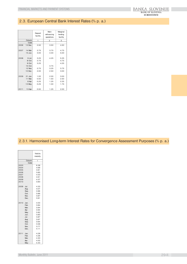## 2.3. European Central Bank Interest Rates (% p. a.)

|      |         | Deposit<br>facility | Main<br>refinancing<br>operations | Marginal<br>lending<br>facility |
|------|---------|---------------------|-----------------------------------|---------------------------------|
|      | Column  | 1                   | $\overline{c}$                    | 3                               |
|      | Code    |                     |                                   |                                 |
| 2006 | 13 Dec. | 2.50                | 3.50                              | 4.50                            |
| 2007 | 14 Mar. | 2.75                | 3.75                              | 4.75                            |
|      | 13 Jun. | 3.00                | 4.00                              | 5.00                            |
|      |         |                     |                                   |                                 |
| 2008 | 9 Jul.  | 3.25                | 4.25                              | 5.25                            |
|      | 8 Oct.  | 2.75                |                                   | 4.75                            |
|      | 9 Oct.  | 3.25                |                                   | 4.25                            |
|      | 15 Oct. |                     | 3.75                              |                                 |
|      | 12 Nov. | 2.75                | 3.25                              | 3.75                            |
|      | 10 Dec. | 2.00                | 2.50                              | 3.00                            |
|      |         |                     |                                   |                                 |
| 2009 | 21 Jan. | 1.00                | 2.00                              | 3.00                            |
|      | 11 Mar. | 0.50                | 1.50                              | 2.50                            |
|      | 8 Apr.  | 0.25                | 1.25                              | 2.25                            |
|      | 13 May. | 0.25                | 1.00                              | 1.75                            |
| 2011 | 13 Apr. | 0.50                | 1.25                              | 2.00                            |

## 2.3.1. Harmonised Long-term Interest Rates for Convergence Assessment Purposes (% p. a.)

|      |        | Yield to<br>maturity |
|------|--------|----------------------|
|      | Column | 1                    |
|      | Code   |                      |
| 2003 |        | 6.38                 |
| 2004 |        | 4.68                 |
| 2005 |        | 3.81                 |
| 2006 |        | 3.85                 |
| 2007 |        | 4.53                 |
| 2008 |        | 4.61                 |
| 2009 |        | 4.37                 |
| 2010 |        | 3.83                 |
|      |        |                      |
| 2009 | Jul.   | 4.33                 |
|      | Aug.   | 4.07                 |
|      | Sep.   | 3.96                 |
|      | Oct.   | 3.86                 |
|      | Nov.   | 3.87                 |
|      | Dec.   | 3.91                 |
|      |        |                      |
| 2010 | Jan.   | 4.00                 |
|      | Feb.   | 3.84                 |
|      | Mar.   | 3.94                 |
|      | Apr.   | 3.94                 |
|      | May    | 3.82                 |
|      | Jun.   | 3.83                 |
|      | Jul.   | 3.87                 |
|      | Aug.   | 3.67                 |
|      | Sep.   | 3.64                 |
|      | Oct.   | 3.56                 |
|      | Nov.   | 3.77                 |
|      | Dec.   | 4.11                 |
|      |        |                      |
| 2011 | Jan.   | 4.29                 |
|      | Feb.   | 4.26                 |
|      | Mar.   | 4.30                 |
|      | Apr.   | 4.53                 |
|      | May    | 4.43                 |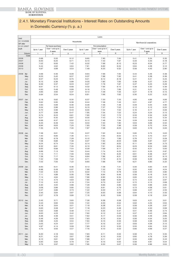# 2.4.1. Monetary Financial Institutions - Interest Rates on Outstanding Amounts in Domestic Currency (% p. a.)

| Until      |                |              |                    |              |                | Loans              |              |                |                            |              |
|------------|----------------|--------------|--------------------|--------------|----------------|--------------------|--------------|----------------|----------------------------|--------------|
| 31.12.2006 |                |              |                    |              | Households     |                    |              |                |                            |              |
| SIT after  |                |              |                    |              |                |                    |              |                | Non-financial corporations |              |
| 01.01.2007 |                |              | For house purchase |              |                | For consumption    |              |                |                            |              |
| <b>EUR</b> |                | Up to 1 year | Over 1 and up to   | Over 5 years | Up to 1 year   | Over 1 and up to 5 | Over 5 years | Up to 1 year   | Over 1 and up to           | Over 5 years |
|            |                |              | 5 years            |              |                | years              | 6            | $\overline{7}$ | 5 years<br>8               | 9            |
|            | Column<br>Code | $\mathbf{1}$ | $\overline{c}$     | 3            | $\overline{4}$ | 5                  |              |                |                            |              |
| 2006       |                | 5.68         | 5.50               | 6.12         | 9.65           | 7.90               | 7.94         | 5.41           | 5.34                       | 5.35         |
| 2007       |                | 6.00         | 6.20               | 6.71         | 8.10           | 7.42               | 7.67         | 5.33           | 5.33                       | 5.19         |
| 2008       |                | 7.02         | 6.93               | 7.42         | 8.32           | 7.69               | 8.10         | 6.23           | 6.04                       | 5.77         |
| 2009       |                | 5.44         | 4.62               | 4.64         | 7.61           | 6.82               | 6.24         | 5.64           | 4.28                       | 3.12         |
| 2010       |                | 4.87         | 3.99               | 3.53         | 7.49           | 6.20               | 5.52         | 5.58           | 4.45                       | 2.90         |
|            |                |              |                    |              |                |                    |              |                |                            |              |
| 2006       | Apr.           | 4.69         | 5.36               | 6.09         | 9.64           | 7.99               | 7.94         | 5.44           | 5.46                       | 5.38         |
|            | May.           | 6.03         | 5.40               | 6.07         | 9.37           | 7.88               | 7.92         | 5.41           | 5.38                       | 5.36         |
|            | Jun.           | 6.07         | 6.23               | 6.75         | 9.21           | 8.12               | 8.18         | 5.41           | 5.41                       | 5.45         |
|            | Jul.           | 6.10         | 5.36               | 5.99         | 9.20           | 7.80               | 7.85         | 5.39           | 5.27                       | 5.30<br>5.29 |
|            | Aug.<br>Sep.   | 6.56<br>6.61 | 5.37<br>6.12       | 6.03<br>6.68 | 9.27<br>9.32   | 7.79<br>7.95       | 7.87<br>8.10 | 5.37<br>5.38   | 5.23<br>5.30               | 5.36         |
|            | Oct            | 5.93         | 5.48               | 5.99         | 9.16           | 7.74               | 7.86         | 5.31           | 5.21                       | 5.25         |
|            | Nov            | 4.83         | 4.92               | 5.37         | 9.12           | 7.49               | 7.55         | 5.27           | 5.19                       | 5.15         |
|            | Dec            | 5.84         | 5.54               | 6.04         | 8.91           | 7.66               | 7.82         | 5.30           | 5.22                       | 5.22         |
|            |                |              |                    |              |                |                    |              |                |                            |              |
| 2007       | Jan.           | 5.18         | 5.82               | 6.30         | 8.37           | 7.33               | 7.33         | 4.95           | 4.86                       | 4.66         |
|            | Feb.           | 5.62         | 5.95               | 6.38         | 8.44           | 7.38               | 7.45         | 5.01           | 4.97                       | 4.77         |
|            | Mar.           | 4.93         | 5.89               | 6.36         | 8.28           | 7.36               | 7.48         | 5.09           | 5.05                       | 4.90         |
|            | Apr.           | 5.54         | 5.96               | 6.43         | 8.15           | 7.37               | 7.52         | 5.12           | 5.12                       | 5.00         |
|            | May            | 5.70         | 5.96               | 6.43         | 8.00           | 7.34               | 7.52         | 5.16           | 5.17                       | 5.06         |
|            | Jun.           | 5.77         | 5.99               | 6.47         | 7.95           | 7.34               | 7.52         | 5.24           | 5.24                       | 5.15         |
|            | Jul.           | 5.74         | 6.23               | 6.81         | 7.95           | 7.43               | 7.72         | 5.33           | 5.34                       | 5.26         |
|            | Aug.           | 6.27         | 6.35               | 6.87         | 8.05           | 7.43               | 7.75         | 5.40           | 5.43                       | 5.34         |
|            | Sep.           | 6.68         | 6.37               | 6.92         | 8.12           | 7.46               | 7.84         | 5.59           | 5.58                       | 5.45         |
|            | Oct.           | 6.33         | 6.48               | 7.04         | 8.04           | 7.50               | 7.90         | 5.63           | 5.69                       | 5.52         |
|            | Nov.           | 6.94         | 6.63               | 7.20         | 7.93           | 7.55               | 7.96         | 5.59           | 5.70                       | 5.54         |
|            | Dec.           | 7.35         | 6.76               | 7.30         | 7.97           | 7.58               | 8.03         | 5.83           | 5.79                       | 5.63         |
| 2008       | Jan.           | 7.38         | 6.81               | 7.35         | 8.07           | 7.62               | 8.04         | 5.80           | 5.75                       | 5.63         |
|            | Feb.           | 7.40         | 6.85               | 7.36         | 8.11           | 7.64               | 8.02         | 5.74           | 5.70                       | 5.57         |
|            | Mar            | 7.36         | 6.78               | 7.28         | 8.10           | 7.61               | 7.99         | 5.79           | 5.77                       | 5.59         |
|            | Apr.           | 7.08         | 6.86               | 7.38         | 8.07           | 7.62               | 8.03         | 5.99           | 5.87                       | 5.67         |
|            | May.           | 6.24         | 6.74               | 7.34         | 8.14           | 7.60               | 8.02         | 6.11           | 5.94                       | 5.73         |
|            | Jun.           | 6.32         | 6.81               | 7.35         | 8.15           | 7.61               | 8.04         | 6.23           | 6.04                       | 5.80         |
|            | Jul.           | 6.65         | 6.88               | 7.54         | 8.29           | 7.69               | 8.17         | 6.40           | 6.21                       | 5.93         |
|            | Aug.           | 6.89         | 7.13               | 7.60         | 8.44           | 7.74               | 8.23         | 6.51           | 6.25                       | 5.97         |
|            | Sep.           | 7.15         | 7.11               | 7.56         | 8.56           | 7.79               | 8.25         | 6.61           | 6.38                       | 6.07         |
|            | Oct.           | 7.39         | 7.17               | 7.64         | 8.64           | 7.86               | 8.31         | 6.82           | 6.52                       | 6.13         |
|            | Nov.           | 7.32         | 7.08               | 7.42         | 8.71           | 7.78               | 8.10         | 6.59           | 6.29                       | 5.88         |
|            | Dec.           | 7.02         | 7.00               | 7.22         | 8.60           | 7.69               | 7.93         | 6.21           | 5.80                       | 5.22         |
|            |                |              |                    |              |                |                    |              |                |                            |              |
| 2009       | Jan.           | 6.93         | 6.41               | 6.36         | 8.12           | 7.38               | 7.31         | 5.56           | 4.83                       | 4.40         |
|            | Feb.           | 6.98         | 5.49               | 5.97         | 7.99           | 7.22               | 7.04         | 5.50           | 4.62                       | 4.04         |
|            | Mar.<br>Apr.   | 7.02<br>7.11 | 5.35<br>4.88       | 5.70<br>5.06 | 8.02<br>7.96   | 7.12<br>6.94       | 6.79<br>6.46 | 5.59<br>5.59   | 4.43<br>4.18               | 3.80<br>3.40 |
|            | May.           | 7.14         | 4.84               | 4.83         | 7.96           | 6.90               | 6.34         | 5.65           | 4.33                       | 3.13         |
|            | Jun.           | 7.10         | 4.73               | 4.63         | 7.90           | 6.86               | 6.26         | 5.74           | 4.34                       | 2.97         |
|            | Jul.           | 7.10         | 4.42               | 4.19         | 7.24           | 6.73               | 5.97         | 5.72           | 4.15                       | 2.68         |
|            | Aug.           | 5.30         | 4.00               | 3.98         | 7.29           | 6.65               | 5.85         | 5.64           | 3.98                       | 2.65         |
|            | Sep.           | 3.08         | 3.86               | 3.90         | 7.23           | 6.61               | 5.79         | 5.73           | 4.08                       | 2.61         |
|            | Oct.           | 2.47         | 3.86               | 3.73         | 7.22           | 6.53               | 5.71         | 5.68           | 4.07                       | 2.55         |
|            | Nov.           | 2.45         | 3.84               | 3.67         | 7.25           | 6.50               | 5.68         | 5.64           | 4.10                       | 2.55         |
|            | Dec.           | 2.57         | 3.78               | 3.66         | 7.16           | 6.45               | 5.64         | 5.59           | 4.19                       | 2.64         |
|            |                |              |                    |              |                |                    |              |                |                            |              |
| 2010 Jan.  |                | 2.45         | 3.71               | 3.60         | 7.28           | 6.39               | 5.58         | 5.63           | 4.21                       | 2.61         |
|            | Feb.           | 2.43         | 3.60               | 3.55         | 7.22           | 6.33               | 5.54         | 5.62           | 4.25                       | 2.64         |
|            | Mar.           | 6.18         | 3.64               | 3.51         | 7.19           | 6.28               | 5.51         | 5.59           | 4.29                       | 2.67         |
|            | Apr.           | 5.63         | 3.58               | 3.47         | 7.18           | 6.23               | 5.49         | 5.50           | 4.33                       | 2.69         |
|            | May.<br>Jun.   | 5.62<br>6.63 | 3.88<br>4.23       | 3.48<br>3.42 | 7.14<br>7.60   | 6.20<br>6.12       | 5.47<br>5.42 | 5.51<br>5.57   | 4.36<br>4.43               | 2.74<br>2.84 |
|            | Jul.           | 6.38         | 4.38               | 3.51         | 7.62           | 6.17               | 5.53         | 5.56           | 4.49                       | 2.96         |
|            | Aug.           | 5.46         | 4.26               | 3.53         | 7.63           | 6.15               | 5.54         | 5.56           | 4.54                       | 3.00         |
|            | Sep.           | 4.86         | 4.25               | 3.54         | 7.64           | 6.15               | 5.55         | 5.58           | 4.56                       | 3.06         |
|            | Oct.           | 3.05         | 4.24               | 3.57         | 7.77           | 6.15               | 5.57         | 5.63           | 4.59                       | 3.12         |
|            | Nov.           | 4.97         | 4.14               | 3.59         | 7.83           | 6.13               | 5.53         | 5.55           | 4.64                       | 3.22         |
|            | Dec.           | 4.75         | 3.93               | 3.57         | 7.76           | 6.10               | 5.53         | 5.66           | 4.69                       | 3.27         |
|            |                |              |                    |              |                |                    |              |                |                            |              |
| 2011 Jan.  |                | 6.20         | 4.18               | 3.64         | 7.83           | 6.11               | 5.55         | 5.56           | 4.74                       | 3.35         |
|            | Feb.           | 6.21         | 4.22               | 3.67         | 7.89           | 6.10               | 5.55         | 5.60           | 4.78                       | 3.36         |
|            | Mar.           | 6.10         | 3.81               | 3.66         | 7.88           | 6.11               | 5.57         | 5.55           | 4.83                       | 3.43         |
|            | Apr.           | 5.93         | 3.94               | 3.79         | 7.91           | 6.15               | 5.63         | 5.58           | 4.91                       | 3.54         |
|            | May            | 3.76         | 3.97               | 3.82         | 7.95           | 6.20               | 5.67         | 5.59           | 4.96                       | 3.63         |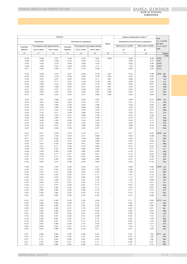|                      |               | Deposits                           |                      |                            |                                    |                                                      | Deposits redeemable at notice |                                           | Until                   |
|----------------------|---------------|------------------------------------|----------------------|----------------------------|------------------------------------|------------------------------------------------------|-------------------------------|-------------------------------------------|-------------------------|
|                      | Households    |                                    |                      | Non-financial corporations |                                    |                                                      |                               | Households and non-financial corporations | 31.12.2006              |
|                      |               | Time deposits with agreed maturity |                      |                            | Time deposits with agreed maturity | Repos                                                | Notice up to 3 months         | Notice over 3 months                      | SIT after<br>01.01.2007 |
| Ovemight<br>deposits | Up to 2 years | Over 2 years                       | Ovemight<br>deposits | Up to 2 years              | Over 2 years                       |                                                      | IR                            | IR                                        | <b>EUR</b>              |
| 10                   | 11            | 12                                 | 13                   | 14                         | 15                                 | 16                                                   | 17                            | 18                                        | Stolpec                 |
|                      |               |                                    |                      |                            |                                    |                                                      |                               |                                           | Koda                    |
| 0.32                 | 2.99          | 4.31                               | 0.56                 | 3.33                       | 3.91                               | 3.89                                                 | 2.99                          | 4.09                                      | 2006                    |
| 0.36                 | 3.29          | 4.38                               | 0.43                 | 3.93                       | 4.19                               | ÷,                                                   | 3.60                          | 4.47                                      | 2007                    |
| 0.46                 | 4.35<br>3.48  | 5.19<br>4.04                       | 0.50                 | 4.69                       | 4.78                               | ÷,                                                   | 4.05                          | 5.56<br>2.98                              | 2008<br>2009            |
| 0.28<br>0.21         | 2.62          | 3.93                               | 0.32<br>0.27         | 2.93<br>2.16               | 4.17<br>4.08                       | ٠<br>÷,                                              | 1.23<br>0.63                  | 2.22                                      | 2010                    |
|                      |               |                                    |                      |                            |                                    |                                                      |                               |                                           |                         |
| 0.34                 | 3.08          | 4.22                               | 0.61                 | 3.36                       | 3.78                               | 3.87                                                 | 3.02                          | 3.96                                      | 2006 Apr.               |
| 0.30                 | 3.03          | 4.18                               | 0.48                 | 3.30                       | 3.79                               | 3.87                                                 | 3.05                          | 3.92                                      | May.                    |
| 0.30<br>0.30         | 3.02<br>2.92  | 5.27<br>4.11                       | 0.62<br>0.57         | 3.25<br>3.16               | 4.11<br>3.78                       | 3.87<br>3.87                                         | 2.98<br>2.99                  | 4.97<br>3.94                              | Jun.<br>Jul.            |
| 0.30                 | 2.88          | 4.10                               | 0.54                 | 3.23                       | 3.79                               | 3.87                                                 | 3.00                          | 3.97                                      | Aug.                    |
| 0.28                 | 2.86          | 4.96                               | 0.55                 | 3.27                       | 4.30                               | 3.87                                                 | 2.93                          | 5.04                                      | Sep.                    |
| 0.27                 | 2.82          | 4.07                               | 0.51                 | 3.29                       | 3.82                               | 3.87                                                 | 2.93                          | 3.91                                      | Oct                     |
| 0.28                 | 2.83          | 3.24                               | 0.50                 | 3.30                       | 3.81                               | 3.95                                                 | 2.91                          | 2.97                                      | Nov                     |
| 0.27                 | 2.84          | 4.05                               | 0.44                 | 3.27                       | 3.96                               | 3.95                                                 | 2.92                          | 3.83                                      | Dec                     |
| 0.33                 | 2.81          | 3.89                               | 0.43                 | 3.36                       | 3.87                               | ÷,                                                   | 2.99                          | 3.91                                      | 2007<br>Jan.            |
| 0.33                 | 2.87          | 4.06                               | 0.42                 | 3.43                       | 4.01                               | ä,                                                   | 3.21                          | 4.14                                      | Feb.                    |
| 0.33                 | 2.94          | 3.88                               | 0.39                 | 3.55                       | 3.99                               | Ĭ.                                                   | 3.33                          | 3.93                                      | Mar.                    |
| 0.34                 | 3.02          | 3.93                               | 0.39                 | 3.66                       | 4.06                               | $\overline{\phantom{a}}$                             | 3.45                          | 3.97                                      | Apr.                    |
| 0.34<br>0.34         | 3.10<br>3.19  | 4.02<br>4.01                       | 0.46<br>0.39         | 3.76<br>3.88               | 4.02<br>4.03                       | $\frac{1}{2}$<br>ä,                                  | 3.47<br>3.52                  | 3.97<br>4.01                              | May<br>Jun.             |
| 0.35                 | 3.29          | 4.54                               | 0.47                 | 3.99                       | 4.28                               | ÷,                                                   | 3.70                          | 4.58                                      | Jul.                    |
| 0.35                 | 3.36          | 4.55                               | 0.37                 | 4.10                       | 4.29                               | $\blacksquare$                                       | 3.74                          | 4.67                                      | Aug.                    |
| 0.37                 | 3.48          | 4.60                               | 0.46                 | 4.24                       | 4.33                               | ÷,                                                   | 3.94                          | 4.72                                      | Sep.                    |
| 0.42                 | 3.70          | 4.59                               | 0.45                 | 4.32                       | 4.24                               | ä,                                                   | 4.06                          | 4.72                                      | Oct.                    |
| 0.40<br>0.40         | 3.78<br>3.92  | 5.07<br>5.38                       | 0.41<br>0.39         | 4.38<br>4.50               | 4.60<br>4.57                       | Ĭ.<br>$\sim$                                         | 3.89<br>3.87                  | 5.32<br>5.70                              | Nov.<br>Dec.            |
|                      |               |                                    |                      |                            |                                    |                                                      |                               |                                           |                         |
| 0.44                 | 4.01          | 5.35                               | 0.75                 | 4.43                       | 4.71                               | ä,                                                   | 4.21                          | 5.63                                      | 2008<br>Jan.            |
| 0.41                 | 4.00          | 5.45                               | 0.42                 | 4.41                       | 4.68                               | Ĭ.                                                   | 3.93                          | 5.68                                      | Feb.                    |
| 0.41                 | 4.02          | 5.28                               | 0.43                 | 4.49                       | 4.68                               | ٠                                                    | 3.92                          | 5.31                                      | Mar                     |
| 0.43<br>0.46         | 4.11<br>4.22  | 5.36<br>5.06                       | 0.47<br>0.49         | 4.54<br>4.61               | 4.80<br>4.64                       | Ĭ.<br>÷,                                             | 4.04<br>4.07                  | 5.69<br>5.41                              | Apr.<br>May.            |
| 0.46                 | 4.31          | 5.11                               | 0.46                 | 4.72                       | 4.63                               | Ĭ.                                                   | 4.07                          | 5.44                                      | Jun.                    |
| 0.48                 | 4.42          | 5.37                               | 0.48                 | 4.80                       | 4.94                               | ÷,                                                   | 4.19                          | 5.77                                      | Jul.                    |
| 0.48                 | 4.49          | 5.38                               | 0.46                 | 4.85                       | 4.94                               | ÷,                                                   | 4.18                          | 5.91                                      | Aug.                    |
| 0.48                 | 4.58          | 5.17                               | 0.51                 | 5.02                       | 4.91                               | L,                                                   | 4.15                          | 5.63                                      | Sep.                    |
| 0.51<br>0.52         | 4.70<br>4.70  | 5.13<br>4.94                       | 0.54<br>0.49         | 5.07<br>4.89               | 4.94<br>4.86                       | i,<br>÷,                                             | 4.19<br>4.27                  | 5.59<br>5.45                              | Oct.<br>Nov.            |
| 0.43                 | 4.65          | 4.70                               | 0.48                 | 4.46                       | 4.66                               | ä,                                                   | 3.40                          | 5.18                                      | Dec.                    |
|                      |               |                                    |                      |                            |                                    |                                                      |                               |                                           |                         |
| 0.48                 | 4.54          | 4.45                               | 0.46                 | 4.20                       | 4.27                               | ÷,                                                   | 2.66                          | 4.90                                      | 2009<br>Jan.            |
| 0.40<br>0.34         | 4.31<br>4.02  | 4.40<br>4.31                       | 0.44<br>0.38         | 3.84<br>3.52               | 4.30<br>4.22                       | ÷,<br>$\blacksquare$                                 | 2.09<br>1.60                  | 3.19<br>3.22                              | Feb.<br>Mar.            |
| 0.28                 | 3.78          | 4.29                               | 0.33                 | 3.13                       | 4.11                               | ÷,                                                   | 1.31                          | 3.12                                      | Apr.                    |
| 0.25                 | 3.56          | 4.03                               | 0.34                 | 3.00                       | 4.20                               | ÷                                                    | 1.15                          | 2.57                                      | May.                    |
| 0.23                 | 3.34          | 4.05                               | 0.31                 | 2.81                       | 4.19                               | ÷,                                                   | 1.07                          | 2.68                                      | Jun.                    |
| 0.23                 | 3.20          | 3.79                               | 0.27                 | 2.67                       | 4.12                               | ÷                                                    | 1.10                          | 2.51                                      | Jul.                    |
| 0.23<br>0.23         | 3.14<br>3.07  | 3.75<br>3.80                       | 0.26<br>0.25         | 2.61<br>2.50               | 4.13<br>4.11                       | $\overline{\phantom{a}}$<br>$\blacksquare$           | 0.87<br>0.79                  | 2.50<br>2.65                              | Aug.<br>Sep.            |
| 0.23                 | 2.98          | 3.83                               | 0.26                 | 2.38                       | 4.12                               | $\overline{\phantom{a}}$                             | 0.71                          | 2.75                                      | Oct.                    |
| 0.23                 | 2.93          | 3.82                               | 0.25                 | 2.24                       | 4.12                               | $\overline{\phantom{a}}$                             | 0.70                          | 2.79                                      | Nov.                    |
| 0.23                 | 2.85          | 3.92                               | 0.26                 | 2.22                       | 4.20                               | $\overline{\phantom{a}}$                             | 0.73                          | 2.89                                      | Dec.                    |
|                      |               |                                    |                      |                            |                                    |                                                      |                               |                                           |                         |
| 0.22<br>0.22         | 2.76<br>2.68  | 3.92<br>3.89                       | 0.25<br>0.26         | 2.26<br>2.21               | 4.08<br>4.07                       | $\overline{\phantom{a}}$<br>$\overline{\phantom{a}}$ | 0.71<br>0.66                  | 2.89<br>2.91                              | 2010 Jan.<br>Feb.       |
| 0.22                 | 2.64          | 3.89                               | 0.27                 | 2.22                       | 4.08                               | $\overline{\phantom{a}}$                             | 0.65                          | 2.90                                      | Mar.                    |
| 0.22                 | 2.60          | 3.90                               | 0.27                 | 2.19                       | 4.07                               | $\blacksquare$                                       | 0.67                          | 2.91                                      | Apr.                    |
| 0.21                 | 2.60          | 3.96                               | 0.25                 | 2.15                       | 4.08                               | $\overline{\phantom{a}}$                             | 0.64                          | 2.93                                      | May.                    |
| 0.22                 | 2.55          | 3.94                               | 0.30                 | 2.07                       | 4.05                               | $\overline{\phantom{a}}$<br>$\blacksquare$           | 0.53                          | 3.29                                      | Jun.                    |
| 0.19<br>0.19         | 2.56<br>2.58  | 3.97<br>3.97                       | 0.26<br>0.25         | 2.07<br>2.12               | 4.09<br>4.15                       | $\overline{\phantom{a}}$                             | 0.54<br>0.51                  | 1.43<br>1.29                              | Jul.<br>Aug.            |
| 0.19                 | 2.60          | 3.97                               | 0.27                 | 2.14                       | 4.10                               | $\blacksquare$                                       | 0.54                          | 1.25                                      | Sep.                    |
| 0.20                 | 2.62          | 3.98                               | 0.28                 | 2.16                       | 4.09                               | $\overline{\phantom{a}}$                             | 0.67                          | 1.31                                      | Oct.                    |
| 0.20                 | 2.63          | 3.94                               | 0.31                 | 2.13                       | 4.07                               | $\blacksquare$                                       | 1.00                          | 1.72                                      | Nov.                    |
| 0.20                 | 2.65          | 3.89                               | 0.28                 | 2.19                       | 4.01                               | $\blacksquare$                                       | 0.47                          | 1.82                                      | Dec.                    |
| 0.21                 | 2.69          | 3.98                               | 0.29                 | 2.29                       | 4.04                               | $\blacksquare$                                       | 0.47                          | 1.84                                      | 2011<br>Jan.            |
| 0.21                 | 2.70          | 3.96                               | 0.32                 | 2.27                       | 4.04                               | $\blacksquare$                                       | 0.67                          | 1.83                                      | Feb.                    |
| 0.21                 | 2.74          | 3.92                               | 0.29                 | 2.30                       | 4.03                               | $\overline{\phantom{a}}$                             | 0.85                          | 1.95                                      | Mar.                    |
| 0.21                 | 2.78          | 3.96                               | 0.31                 | 2.34                       | 4.11                               | $\overline{\phantom{a}}$                             | 0.83                          | 2.07                                      | Apr.                    |
| 0.21                 | 2.85          | 3.95                               | 0.29                 | 2.46                       | 4.12                               |                                                      | 1.27                          | 2.15                                      | May                     |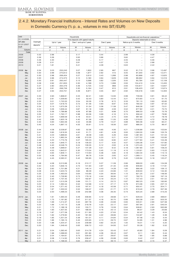# 2.4.2. Monetary Financial Institutions - Interest Rates and Volumes on New Deposits in Domestic Currency (% p. a., volumes in mio SIT/EUR)

| Until             |                       |                |                      | Households                         |                  |              |                |              | Households and non-financial corporations <sup>1,2</sup> |              |                      |
|-------------------|-----------------------|----------------|----------------------|------------------------------------|------------------|--------------|----------------|--------------|----------------------------------------------------------|--------------|----------------------|
| 31.12.2006        |                       |                |                      | Time deposits with agreed maturity |                  |              |                |              | Deposits redeemable at notice                            |              |                      |
| SIT after         | Ovemight              |                | Up to 1 year         | Over 1 and up to 2 years           |                  |              | Over 2 years   |              | Notice up to 3 months                                    |              | Over 3 months        |
| 01.01.2007        | deposits <sup>1</sup> |                |                      |                                    |                  |              |                |              |                                                          |              |                      |
| <b>EUR</b>        |                       | IR             | Volume               | IR.                                | Volume           | IR           | Volume         | IR           | Volume                                                   | IR           | Volume               |
| Column<br>Code    | $\mathbf{1}$          | $\overline{c}$ | 3                    | $\overline{4}$                     | 5                | 6            | $\overline{7}$ | 8            | $\mathsf g$                                              | 10           | 11                   |
| 2006              | 0.32                  | 2.96           |                      | 3.17                               |                  | 3.44         |                | 2.99         |                                                          | 4.09         |                      |
| 2007              | 0.36                  | 3.36           |                      | 3.93                               | $\cdots$         | 3.86         |                | 3.60         |                                                          | 4.47         | $\cdots$             |
| 2008              | 0.46                  | 4.30           |                      | 5.09                               | $\ldots$         | 5.17         |                | 4.05         |                                                          | 5.56         | $\cdots$<br>$\cdots$ |
| 2009              | 0.28                  | 2.51           | $\ldots$             | 3.91                               | $\cdots$         | 4.37         |                | 1.23         |                                                          | 2.98         |                      |
| 2010              | 0.21                  | 1.81           | $\ldots$             | 3.41                               | $\cdots$         | 4.09         |                | 0.63         |                                                          | 2.22         | $\cdots$             |
|                   |                       |                |                      |                                    |                  |              | $\cdots$       |              |                                                          |              | $\cdots$             |
| 2006<br>Apr.      | 0.34                  | 3.03           | 255,245              | 3.07                               | 1,950            | 2.95         | 667            | 3.02         | 91,715                                                   | 3.96         | 12,497               |
| May.              | 0.30                  | 2.99           | 270,812              | 3.08                               | 1,877            | 2.92         | 415            | 3.05         |                                                          | 3.92         | 12,471               |
|                   |                       |                |                      |                                    |                  |              |                |              | 87,200                                                   |              | 12,625               |
| Jun.              | 0.30                  | 2.98           | 269,404              | 3.27                               | 2,610            | 3.43         | 1,288          | 2.98         | 92,668                                                   | 4.97         |                      |
| Jul.              | 0.30                  | 2.86           | 274,373              | 3.10                               | 3,180            | 3.94         | 1,629          | 2.99         | 89,562                                                   | 3.94         | 12,316               |
| Aug.              | 0.30                  | 2.81           | 265,447              | 3.13                               | 3,588            | 3.82         | 1,526          | 3.00         | 93,784                                                   | 3.97         | 12,159               |
| Sep.              | 0.28                  | 2.82           | 251,653              | 3.30                               | 4,189            | 3.70         | 1,099          | 2.93         | 104,410                                                  | 5.04         | 12,400               |
| Oct.              | 0.27                  | 2.80           | 264,476              | 3.36                               | 4,725            | 3.32         | 868            | 2.93         | 103,917                                                  | 3.91         | 12,847               |
| Nov.              | 0.28                  | 2.81           | 268,756              | 3.30                               | 5,164            | 3.47         | 815            | 2.91         | 108,423                                                  | 2.97         | 12,674               |
| Dec               | 0.27                  | 2.84           | 253,751              | 3.39                               | 6,971            | 3.55         | 657            | 2.92         | 109,316                                                  | 3.83         | 14,300               |
|                   |                       |                |                      |                                    |                  |              |                |              |                                                          |              |                      |
| 2007<br>Jan.      | 0.33                  | 2.83           | 1,968.61             | 3.33                               | 82.41            | 3.60         | 14.93          | 2.99         | 709.56                                                   | 3.91         | 56.42                |
| Feb.              | 0.33                  | 2.91           | 1,559.60             | 3.42                               | 52.43            | 3.80         | 12.44          | 3.21         | 670.60                                                   | 4.14         | 61.75                |
| Mar.              | 0.33                  | 3.01           | 1,720.53             | 3.54                               | 50.26            | 2.78         | 9.72           | 3.33         | 781.10                                                   | 3.93         | 63.60                |
| Apr.              | 0.34                  | 3.07           | 1,618.75             | 3.72                               | 61.46            | 4.93         | 9.97           | 3.45         | 780.32                                                   | 3.97         | 67.52                |
| May.              | 0.34                  | 3.15           | 1,670.29             | 3.72                               | 51.54            | 3.36         | 11.08          | 3.47         | 846.26                                                   | 3.97         | 72.01                |
| Jun.              | 0.34                  | 3.26           | 1,659.44             | 3.87                               | 61.18            | 3.89         | 4.59           | 3.52         | 877.82                                                   | 4.01         | 75.70                |
| Jul.              | 0.35                  | 3.36           | 1,789.88             | 4.06                               | 87.88            | 4.21         | 9.99           | 3.70         | 896.33                                                   | 4.58         | 75.76                |
| Aug.              | 0.35                  | 3.41           | 1,763.17             | 3.98                               | 63.36            | 3.99         | 4.16           | 3.74         | 956.42                                                   | 4.67         | 79.90                |
| Sep.              | 0.37                  | 3.61           | 1,669.59             | 4.19                               | 53.51            | 4.23         | 2.70           | 3.94         | 997.80                                                   | 4.72         | 78.78                |
| Oct.              | 0.42                  | 3.89           | 1,920.19             | 4.40                               | 61.56            | 4.69         | 11.05          | 4.06         | 1,019.52                                                 | 4.72         | 76.28                |
| Nov.              | 0.40                  | 3.83           | 1,664.59             | 4.42                               | 45.96            | 3.79         | 12.27          | 3.89         | 995.56                                                   | 5.32         | 83.41                |
| Dec.              | 0.40                  | 4.04           | 1,897.12             | 4.55                               | 55.61            | 3.10         | 18.56          | 3.87         | 986.54                                                   | 5.70         | 96.47                |
|                   |                       |                |                      |                                    |                  |              |                |              |                                                          |              |                      |
| 2008<br>Jan.      | 0.44                  | 4.08           | 2,028.87             | 4.60                               | 52.36            | 4.65         | 4.06           | 4.21         | 1,036.89                                                 | 5.63         | 102.84               |
| Feb.              | 0.41                  | 3.95           | 1,816.55             | 4.40                               | 51.71            | 4.81         | 4.28           | 3.93         | 1,060.00                                                 | 5.68         | 105.76               |
| Mar.              | 0.41                  | 4.03           | 1,888.64             | 4.61                               | 48.38            | 4.65         | 4.26           | 3.92         | 1,081.93                                                 | 5.31         | 101.54               |
| Apr               | 0.43                  | 4.14           | 1,992.24             | 4.98                               | 212.05           | 5.23         | 5.21           | 4.04         | 1,077.52                                                 | 5.69         | 102.83               |
| May.              | 0.46                  | 4.20           | 1,775.76             | 5.07                               | 195.03           | 5.33         | 6.90           | 4.07         | 1,077.60                                                 | 5.41         | 104.28               |
| Jun.              | 0.46                  | 4.30           | 1,846.77             | 5.18                               | 106.53           | 5.17         | 4.50           | 4.07         | 1,095.36                                                 | 5.44         | 107.90               |
| Jul.              | 0.48                  | 4.40           | 2,048.73             | 5.24                               | 106.05           | 5.12         | 2.93           | 4.19         | 1,074.45                                                 | 5.77         | 104.87               |
| Aug.              | 0.48                  | 4.39           | 1,699.61             | 5.27                               | 137.29           | 5.51         | 9.42           | 4.18         | 1,067.80                                                 | 5.91         | 108.23               |
| Sep.              | 0.48                  | 4.53           | 1,943.51             | 5.30                               | 173.04           | 5.45         | 11.19          | 4.15         | 1,103.61                                                 | 5.63         | 113.22               |
| Oct.              | 0.51                  | 4.65           | 1,906.11             | 5.51                               | 110.63           | 5.38         | 4.85           | 4.19         | 1,084.34                                                 | 5.59         | 115.13               |
| Nov.              | 0.52                  | 4.56           | 1,794.95             | 5.47                               | 96.76            | 5.34         | 2.65           | 4.27         | 1,069.11                                                 | 5.45         | 116.24               |
| Dec.              | 0.43                  | 4.45           | 2,083.31             | 5.42                               | 180.65           | 5.38         | 3.79           | 3.40         | 1,026.94                                                 | 5.18         | 120.27               |
|                   |                       |                |                      |                                    |                  |              |                |              |                                                          |              |                      |
| 2009<br>Jan.      | 0.48                  | 4.08           | 2,010.66             | 5.19                               | 210.17           | 5.07         | 11.09          | 2.66         | 999.00                                                   | 4.90         | 124.08               |
| Feb.              | 0.40                  | 3.40           | 1,656.15             | 4.73                               | 141.63           | 4.97         | 21.40          | 2.09         | 906.60                                                   | 3.19         | 117.91               |
| Mar.              | 0.34                  | 2.82           | 1,701.89             | 4.21                               | 146.14           | 4.43         | 14.28          | 1.60         | 866.48                                                   | 3.22         | 106.12               |
| Apr.              | 0.28                  | 2.44           | 1,523.74             | 3.82                               | 96.09            | 4.43         | 24.66          | 1.31         | 839.50                                                   | 3.12         | 134.30               |
| May.              | 0.25                  | 2.28           | 1,463.03             | 3.64                               | 143.95           | 4.34         | 36.94          | 1.15         | 821.25                                                   | 2.57         | 148.56               |
| Jun.              | 0.23                  | 2.40           | 1,726.90             | 3.73                               | 179.16           | 4.44         | 36.90          | 1.07         | 782.70                                                   | 2.68         | 167.16               |
| Jul.              | 0.23                  | 2.35           | 1,737.45             | 3.77                               | 192.97           | 4.19         | 33.24          | 1.10         | 727.43                                                   | 2.51         | 161.02               |
| Aug.              | 0.23                  | 2.27           | 1,510.29             | 3.69                               | 131.71           | 4.14         | 23.72          | 0.87         | 682.23                                                   | 2.50         | 183.95               |
| Sep.              | 0.23                  | 2.14           | 1,392.44             | 3.52                               | 142.68           | 4.12         | 27.17          | 0.79         | 674.56                                                   | 2.65         | 237.10               |
| Oct.              | 0.23                  | 2.04           | 1,371.42             | 3.53                               | 197.41           | 4.18         | 42.08          | 0.71         | 650.41                                                   | 2.75         | 304.71               |
| Nov.              | 0.23                  | 1.97           | 1,330.02             | 3.52                               | 169.37           | 4.03         | 21.77          | 0.70         | 619.40                                                   | 2.79         | 357.36               |
| Dec.              | 0.23                  | 2.00           | 1,499.23             | 3.59                               | 242.98           | 4.08         | 26.35          | 0.73         | 625.24                                                   | 2.89         | 415.25               |
|                   |                       |                |                      |                                    |                  |              |                |              |                                                          |              |                      |
| 2010 Jan.         | 0.22                  | 1.91           | 1,393.43             | 3.49                               | 308.95           | 4.12         | 28.68          | 0.71         | 629.33                                                   | 2.89         | 469.81               |
| Feb.              | 0.22                  | 1.75           | 1,161.82             | 3.47                               | 311.57           | 4.18         | 30.70          | 0.66         | 562.39                                                   | 2.91         | 503.33               |
| Mar.              | 0.22                  | 1.69           | 1,214.37             | 3.40                               | 287.78           | 4.06         | 24.69          | 0.65         | 535.51                                                   | 2.90         | 527.58               |
| Apr.              | 0.22                  | 1.66           | 1,147.13             | 3.28                               | 218.78           | 4.20         | 22.17          | 0.67         | 567.94                                                   | 2.91         | 545.04               |
| May.              | 0.21                  | 1.72           | 1,189.18             | 3.32                               | 155.71           | 3.78         | 15.59          | 0.64         | 508.81                                                   | 2.93         | 563.68               |
| Jun.              | 0.22                  | 1.83           | 1,307.55             | 3.31                               | 188.55           | 4.16         | 25.12          | 0.53         | 96.57                                                    | 3.29         | 25.68                |
| Jul.              | 0.19                  | 1.87           | 1,377.09             | 3.40                               | 211.95           | 4.20         | 27.63          | 0.54         | 92.42                                                    | 1.43         | 6.54                 |
| Aug.              | 0.19                  | 1.82           | 1,276.92             | 3.40                               | 181.69           | 4.22         | 28.66          | 0.51         | 104.87                                                   | 1.29         | 5.38                 |
| Sep.              | 0.19                  | 1.85           | 1,201.54             | 3.39                               | 161.01           | 4.11         | 24.84          | 0.54         | 97.48                                                    | 1.25         | 4.44                 |
| Oct.              | 0.20                  | 1.86           | 1,195.15             | 3.45                               | 220.65           | 4.13         | 29.70          | 0.67         | 54.95                                                    | 1.31         | 4.98                 |
| Nov.              | 0.20                  |                |                      |                                    | 239.99           | 3.92         | 33.20          |              | 78.31                                                    |              |                      |
| Dec.              |                       | 1.88           | 1,204.47             | 3.44<br>3.63                       |                  | 4.01         |                | 1.00         | 55.26                                                    | 1.72<br>1.82 | 5.20<br>5.52         |
|                   | 0.20                  | 1.94           | 1,349.43             |                                    | 306.72           |              | 34.93          | 0.47         |                                                          |              |                      |
|                   |                       | 2.04           |                      | 3.63                               |                  |              |                |              |                                                          |              | 5.59                 |
| 2011 Jan.<br>Feb. | 0.21<br>0.21          |                | 1,283.40<br>1,088.63 |                                    | 314.79           | 4.24         | 33.43          | 0.47<br>0.67 | 40.80                                                    | 1.84         | 5.44                 |
| Mar.              | 0.21                  | 1.98<br>2.04   | 1,164.61             | 3.61<br>3.73                       | 291.80<br>329.30 | 4.08<br>4.37 | 39.43<br>29.97 | 0.85         | 8.11<br>7.85                                             | 1.83<br>1.95 | 5.88                 |
| Apr.              | 0.21                  | 2.08           | 1,114.50             | 3.76                               | 258.47           | 4.36         | 25.99          | 0.83         | 6.42                                                     | 2.07         | 5.53                 |
|                   |                       | 2.15           |                      | 3.84                               |                  | 4.10         | 39.10          |              | 9.89                                                     |              | 5.47                 |
| May               | 0.21                  |                | 1,168.53             |                                    | 302.07           |              |                | 1.27         |                                                          | 2.15         |                      |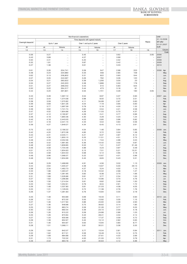|                   |              |          | Non-financial corporations         |          |      |              |                          | Until                   |
|-------------------|--------------|----------|------------------------------------|----------|------|--------------|--------------------------|-------------------------|
|                   |              |          | Time deposits with agreed maturity |          |      |              |                          | 31.12.2006              |
| Ovemight deposits | Up to 1 year |          | Over 1 and up to 2 years           |          |      | Over 2 years | Repos                    | SIT after<br>01.01.2007 |
| IR                | IR.          | Volume   | IR.                                | Volume   | IR   | Volume       |                          | <b>EUR</b>              |
| 12                | 13           | 14       | 15                                 | 16       | 17   | 18           | 19                       | Column                  |
|                   |              |          |                                    |          |      |              |                          | Code                    |
| 0.56              | 3.27         | $\ldots$ | 3.45                               |          | 3.62 |              | 3.95                     | 2006                    |
| 0.43              | 3.89         | $\cdots$ | 4.07                               |          | 3.99 |              | $\overline{a}$           | 2007                    |
| 0.50              | 4.31         |          | 5.20                               |          | 4.52 |              | ÷,                       | 2008                    |
| 0.32              | 1.91         |          | 3.87                               |          | 3.42 |              | ٠                        | 2009                    |
| 0.27              | 1.38         |          | 3.61                               |          | 3.33 |              |                          | 2010                    |
|                   |              |          |                                    | $\cdots$ |      |              |                          |                         |
| 0.61              | 3.26         |          | 3.59                               | 547      | 2.98 | 223          | $\overline{a}$           | Apr.                    |
|                   |              | 204,741  |                                    |          |      |              |                          | 2006                    |
| 0.48              | 3.23         | 220,980  | 3.33                               | 458      | 2.85 | 109          | ٠                        | May.                    |
| 0.62              | 3.13         | 236,802  | 3.31                               | 922      | 3.93 | 544          | ä,                       | Jun.                    |
| 0.57              | 3.05         | 242,067  | 3.26                               | 792      | 3.06 | 120          | ä,                       | Jul.                    |
| 0.54              | 3.21         | 260,622  | 3.39                               | 1,256    | 3.00 | 23           | ÷,                       | Aug.                    |
| 0.55              | 3.27         | 240,323  | 3.38                               | 1,688    | 3.50 | 179          | ٠                        | Sep.                    |
| 0.51              | 3.27         | 268,042  | 3.43                               | 510      | 5.83 | 544          | $\overline{a}$           | Oct.                    |
| 0.50              | 3.22         | 264,317  | 3.44                               | 473      | 3.18 | 81           | $\sim$                   | Nov.                    |
| 0.44              | 3.20         | 267,801  | 3.55                               | 1,701    | 3.26 | 190          | 3.95                     | Dec                     |
|                   |              |          |                                    |          |      |              |                          |                         |
| 0.43              | 3.28         | 1,567.12 | 3.54                               | 8.97     | 3.37 | 0.83         | $\overline{\phantom{a}}$ | 2007<br>Jan.            |
| 0.42              | 3.44         | 1,374.58 | 3.98                               | 8.50     | 3.75 | 2.51         | ä,                       | Feb.                    |
| 0.39              | 3.59         | 1,570.82 | 4.11                               | 34.99    | 2.97 | 0.60         | $\overline{a}$           | Mar.                    |
| 0.39              | 3.69         | 1,841.26 | 4.04                               | 7.19     | 3.95 | 0.83         | $\overline{\phantom{a}}$ | Apr.                    |
| 0.46              | 3.77         | 1,697.59 | 3.79                               | 5.18     | 4.00 | 1.32         | ÷,                       | May.                    |
|                   |              |          |                                    |          |      |              | $\sim$                   |                         |
| 0.39              | 3.92         | 1,741.74 | 3.80                               | 0.54     | 4.21 | 2.58         |                          | Jun.                    |
| 0.47              | 4.02         | 1,904.86 | 4.26                               | 11.03    | 5.75 | 4.37         | $\overline{a}$           | Jul.                    |
| 0.37              | 4.12         | 2,190.87 | 4.29                               | 2.41     | 3.77 | 0.96         | $\overline{\phantom{a}}$ | Aug.                    |
| 0.46              | 4.19         | 1,860.36 | 4.30                               | 4.29     | 4.23 | 1.24         | ÷,                       | Sep.                    |
| 0.45              | 4.18         | 2,443.00 | 4.03                               | 0.85     | 3.96 | 0.82         | ÷                        | Oct.                    |
| 0.41              | 4.18         | 2,441.15 | 4.43                               | 3.54     | 3.84 | 0.56         | $\overline{a}$           | Nov.                    |
| 0.39              | 4.27         | 1,949.27 | 4.34                               | 6.45     | 4.13 | 2.61         | ä,                       | Dec.                    |
|                   |              |          |                                    |          |      |              |                          |                         |
| 0.75              | 4.22         | 2,166.22 | 4.54                               | 1.46     | 3.84 | 0.85         | ÷,                       | 2008<br>Jan.            |
| 0.42              | 4.20         | 1,872.38 | 4.85                               | 3.72     | 3.50 | 1.36         | $\overline{a}$           | Feb.                    |
| 0.43              | 4.31         | 2,045.11 | 5.21                               | 6.37     | 4.87 | 6.12         | $\overline{\phantom{a}}$ | Mar.                    |
| 0.47              | 4.35         | 1,850.15 | 5.25                               | 11.51    | 4.51 | 2.75         | ÷,                       | Apr                     |
|                   | 4.33         |          |                                    |          |      |              | ÷.                       |                         |
| 0.49              |              | 2,052.56 | 5.15                               | 7.54     | 4.98 | 3.53         |                          | May.                    |
| 0.46              | 4.42         | 1,991.85 | 5.36                               | 14.42    | 3.55 | 0.87         | $\overline{\phantom{a}}$ | Jun.                    |
| 0.48              | 4.52         | 1,859.85 | 5.53                               | 7.41     | 5.37 | 31.46        | $\sim$                   | Jul.                    |
| 0.46              | 4.58         | 1,704.49 | 4.99                               | 4.23     | 3.97 | 0.49         | $\overline{\phantom{a}}$ | Aug.                    |
| 0.51              | 4.73         | 1,934.63 | 5.15                               | 7.51     | 5.21 | 15.31        | ÷                        | Sep.                    |
| 0.54              | 4.58         | 1,944.53 | 5.68                               | 5.12     | 4.95 | 2.18         | ÷,                       | Oct.                    |
| 0.49              | 3.96         | 1,568.37 | 5.22                               | 12.67    | 4.01 | 0.96         | $\overline{\phantom{a}}$ | Nov.                    |
| 0.48              | 3.56         | 1,934.69 | 5.45                               | 8.65     | 5.43 | 3.31         | $\overline{\phantom{a}}$ | Dec.                    |
|                   |              |          |                                    |          |      |              |                          |                         |
| 0.46              | 3.29         | 1,468.69 | 4.91                               | 4.56     | 3.02 | 1.13         | ÷,                       | 2009<br>Jan.            |
| 0.44              | 2.64         | 1,300.47 | 4.39                               | 13.67    | 5.00 | 29.13        | ٠                        | Feb.                    |
| 0.38              | 2.34         | 1,462.73 | 4.27                               | 3.24     | 4.02 | 1.10         |                          | Mar.                    |
| 0.33              | 1.98         | 1,463.47 | 3.18                               | 10.02    | 2.68 | 1.27         |                          | Apr.                    |
| 0.34              | 1.86         | 1,361.95 | 3.82                               | 6.38     | 3.75 | 1.66         | $\overline{\phantom{a}}$ | May.                    |
|                   |              |          |                                    |          |      |              |                          |                         |
| 0.31              | 1.89         | 1,526.86 | 3.81                               | 3.11     | 2.34 | 1.00         |                          | Jun.                    |
| 0.27              | 1.62         | 1,296.89 | 3.14                               | 10.96    | 3.70 | 4.76         |                          | Jul.                    |
| 0.26              | 1.56         | 1,214.54 | 3.81                               | 6.82     | 3.49 | 1.50         | ÷,                       | Aug.                    |
| 0.25              | 1.62         | 1,052.61 | 3.79                               | 8.04     | 2.91 | 1.72         |                          | Sep.                    |
| 0.26              | 1.48         | 1,037.80 | 3.81                               | 21.03    | 4.08 | 4.05         | $\overline{\phantom{a}}$ | Oct.                    |
| 0.25              | 1.31         | 1,129.55 | 3.72                               | 11.38    | 2.76 | 1.76         | $\overline{\phantom{a}}$ | Nov.                    |
| 0.26              | 1.37         | 1,281.83 | 3.76                               | 15.84    | 3.30 | 2.19         | $\overline{\phantom{a}}$ | Dec.                    |
|                   |              |          |                                    |          |      |              |                          |                         |
| 0.25              | 1.48         | 953.89   | 3.69                               | 16.33    | 3.11 | 0.93         | $\overline{\phantom{a}}$ | 2010<br>Jan.            |
| 0.26              | 1.41         | 872.30   | 3.55                               | 12.92    | 3.35 | 1.15         | $\blacksquare$           | Feb.                    |
| 0.27              | 1.46         | 1,017.94 | 3.86                               | 24.60    | 4.09 | 2.93         | ä,                       | Mar.                    |
| 0.27              | 1.36         | 948.98   | 3.75                               | 36.62    | 3.14 | 1.85         |                          | Apr.                    |
| 0.25              | 1.30         | 863.74   | 3.59                               | 31.26    | 3.77 | 5.05         | ٠                        | May.                    |
| 0.30              | 1.30         | 892.34   | 3.39                               | 23.10    | 2.00 | 4.18         |                          | Jun.                    |
| 0.26              | 1.26         | 915.22   | 3.59                               | 24.88    | 2.86 | 1.03         | $\overline{\phantom{a}}$ | Jul.                    |
|                   |              |          |                                    |          |      |              |                          |                         |
| 0.25              | 1.26         | 870.94   | 3.43                               | 28.41    | 4.04 | 2.14         |                          | Aug.                    |
| 0.27              | 1.33         | 930.99   | 3.62                               | 17.37    | 3.59 | 4.72         | $\overline{\phantom{a}}$ | Sep.                    |
| 0.28              | 1.39         | 852.67   | 3.45                               | 15.12    | 2.82 | 0.65         |                          | Oct.                    |
| 0.31              | 1.46         | 954.67   | 3.62                               | 15.94    | 3.80 | 8.77         | $\overline{\phantom{a}}$ | Nov.                    |
| 0.28              | 1.51         | 1,068.11 | 3.81                               | 30.01    | 3.36 | 5.55         |                          | Dec.                    |
|                   |              |          |                                    |          |      |              |                          |                         |
| 0.29              | 1.64         | 842.07   | 3.77                               | 15.04    | 2.81 | 0.94         | $\overline{\phantom{a}}$ | 2011<br>Jan.            |
| 0.32              | 1.62         | 817.21   | 3.56                               | 16.49    | 3.16 | 0.75         | ä,                       | Feb.                    |
| 0.29              | 1.69         | 884.88   | 4.02                               | 27.61    | 4.22 | 2.66         |                          | Mar.                    |
| 0.31              | 1.73         | 722.32   | 4.00                               | 21.55    | 3.72 | 3.79         |                          | Apr.                    |
| 0.29              | 2.02         | 883.78   | 3.67                               | 30.63    | 4.12 | 5.99         |                          | May                     |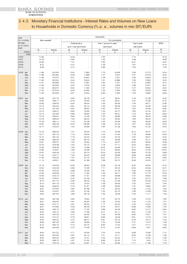# 2.4.3. Monetary Financial Institutions - Interest Rates and Volumes on New Loans to Households in Domestic Currency (% p. a., volumes in mio SIT/EUR)

| Until      |              |                    |                          |                            |                          | Households               |                 |                      |                |                    |
|------------|--------------|--------------------|--------------------------|----------------------------|--------------------------|--------------------------|-----------------|----------------------|----------------|--------------------|
| 31.12.2006 |              | Bank overdraft     |                          |                            |                          |                          | For consumption |                      |                |                    |
| SIT after  |              |                    |                          | Floating rate or           |                          | Over 1 and up to 5 years |                 | Over 5 years         |                | <b>APRC</b>        |
| 01.01.2007 |              |                    |                          |                            |                          |                          |                 |                      |                |                    |
| <b>EUR</b> |              |                    |                          | up to 1 year rate fixation |                          | rate fixation            |                 | rate fixation        |                |                    |
|            | Column       | IR<br>$\mathbf{1}$ | Volume<br>$\overline{c}$ | IR<br>3                    | Volume<br>$\overline{4}$ | IR.<br>5                 | Volume<br>6     | IR<br>$\overline{7}$ | Volume<br>8    | IR.<br>$\mathsf g$ |
|            | Code         |                    |                          |                            |                          |                          |                 |                      |                |                    |
| 2006       |              | 11.83              |                          | 6.49                       |                          | 7.64                     |                 | 7.74                 | $\cdots$       | 9.18               |
| 2007       |              | 10.78              |                          | 6.82                       |                          | 7.44                     |                 | 7.68                 | $\cdots$       | 8.68               |
| 2008       |              | 10.85              | $\cdots$                 | 7.41                       | $\cdots$                 | 7.90                     |                 | 8.41                 | $\cdots$       | 9.54               |
| 2009       |              | 9.37               |                          | 5.47                       |                          | 7.49                     |                 | 7.67                 | $\cdots$       | 8.16               |
| 2010       |              | 8.59               |                          | 4.72                       | $\cdots$                 | 6.99                     |                 | 7.04                 | $\cdots$       | 7.29               |
|            |              |                    |                          |                            |                          |                          |                 |                      |                |                    |
| 2006       | Apr.         | 11.86              | 83.334                   | 6.42                       | 7,380                    | 7.75                     | 6,459           | 7.95                 | 4,772          | 9.24               |
|            | May.<br>Jun. | 11.88<br>11.83     | 80.065<br>76,074         | 6.48<br>6.31               | 7,468<br>6,942           | 7.47<br>7.49             | 7,972<br>7,261  | 7.61<br>7.65         | 6,018<br>5,842 | 9.52<br>9.04       |
|            | Jul.         | 11.60              | 80,204                   | 6.44                       | 6,644                    | 7.51                     | 6,988           | 7.65                 | 5,569          | 9.24               |
|            | Aug.         | 11.61              | 83,668                   | 6.44                       | 7,067                    | 7.64                     | 7,181           | 7.70                 | 5,893          | 9.13               |
|            | Sep.         | 11.65              | 85,206                   | 6.20                       | 7,679                    | 7.53                     | 7,605           | 7.68                 | 6,791          | 9.01               |
|            | Oct.         | 11.45              | 86,072                   | 6.52                       | 7,180                    | 7.37                     | 7,512           | 7.47                 | 6,642          | 9.02               |
|            | Nov.         | 11.55              | 87,816                   | 6.36                       | 8,205                    | 7.40                     | 7,350           | 7.55                 | 6,678          | 8.84               |
|            | Dec.         | 11.35              | 82,529                   | 6.61                       | 6,534                    | 6.93                     | 7,355           | 7.55                 | 4,992          | 8.69               |
|            |              |                    |                          |                            |                          |                          |                 |                      |                |                    |
| 2007       | Jan.         | 10.85              | 347.70                   | 6.65                       | 62.78                    | 7.47                     | 28.61           | 7.43                 | 27.39          | 8.45               |
|            | Feb.         | 10.82              | 346.17                   | 6.78                       | 50.64                    | 7.53                     | 29.51           | 7.67                 | 27.96          | 8.74               |
|            | Mar.         | 10.82              | 349.53                   | 6.55                       | 69.23                    | 7.46                     | 39.36           | 7.46                 | 39.71          | 8.38               |
|            | Apr.         | 10.74              | 352.20                   | 6.61                       | 65.14                    | 7.33                     | 36.26           | 7.42                 | 34.36          | 8.48               |
|            | May.<br>Jun. | 10.75<br>10.74     | 341.93<br>329.47         | 6.67<br>6.60               | 68.92<br>79.90           | 7.30<br>7.34             | 40.47<br>44.77  | 7.64<br>7.60         | 33.08<br>31.54 | 8.80<br>8.37       |
|            | Jul.         | 10.74              | 337.89                   | 6.98                       | 68.92                    | 7.40                     | 46.21           | 7.73                 | 35.43          | 8.82               |
|            | Aug.         | 10.76              | 359.81                   | 6.94                       | 70.26                    | 7.40                     | 48.89           | 7.85                 | 36.34          | 8.68               |
|            | Sep.         | 10.79              | 369.94                   | 7.23                       | 68.40                    | 7.42                     | 49.83           | 7.85                 | 36.54          | 9.01               |
|            | Oct.         | 10.78              | 380.11                   | 7.16                       | 64.28                    | 7.40                     | 50.56           | 7.85                 | 38.06          | 8.92               |
|            | Nov.         | 10.81              | 392.49                   | 6.42                       | 148.96                   | 7.58                     | 44.44           | 7.87                 | 34.83          | 8.25               |
|            | Dec.         | 10.77              | 379.53                   | 7.23                       | 48.89                    | 7.62                     | 31.28           | 7.85                 | 27.03          | 9.03               |
|            |              |                    |                          |                            |                          |                          |                 |                      |                |                    |
| 2008       | Jan.         | 10.74              | 386.40                   | 7.21                       | 60.55                    | 7.73                     | 42.09           | 8.14                 | 33.47          | 9.17               |
|            | Feb.         | 10.77              | 391.75                   | 7.19                       | 65.00                    | 7.54                     | 41.64           | 7.78                 | 36.86          | 9.00               |
|            | Mar.         | 10.72              | 391.42                   | 7.19                       | 63.42                    | 7.49                     | 43.19           | 7.87                 | 38.07          | 9.25               |
|            | Apr.         | 10.68              | 393.46                   | 7.45                       | 66.75                    | 7.61                     | 49.66           | 7.96                 | 45.17          | 9.28               |
|            | May.         | 10.81              | 383.31                   | 7.46                       | 52.90                    | 7.73                     | 40.37           | 8.20                 | 36.84          | 9.39               |
|            | Jun.         | 10.75<br>10.83     | 376.38<br>406.38         | 7.50<br>7.56               | 53.10<br>70.98           | 7.78<br>8.05             | 41.11<br>44.96  | 8.30<br>8.77         | 38.51<br>38.82 | 9.50<br>9.86       |
|            | Jul.<br>Aug. | 10.83              | 419.81                   | 7.69                       | 50.69                    | 8.14                     | 38.80           | 8.84                 | 31.60          | 10.02              |
|            | Sep.         | 10.97              | 426.49                   | 7.75                       | 63.74                    | 8.24                     | 45.09           | 8.89                 | 37.29          | 9.99               |
|            | Oct.         | 11.02              | 432.71                   | 7.50                       | 65.40                    | 8.26                     | 39.68           | 8.96                 | 35.86          | 9.92               |
|            | Nov          | 11.00              | 434.54                   | 7.57                       | 57.73                    | 8.27                     | 27.01           | 8.70                 | 24.85          | 9.94               |
|            | Dec.         | 11.13              | 429.61                   | 6.89                       | 61.86                    | 7.96                     | 25.10           | 8.48                 | 20.23          | 9.17               |
|            |              |                    |                          |                            |                          |                          |                 |                      |                |                    |
| 2009       | Jan.         | 10.13              | 442.46                   | 6.36                       | 56.82                    | 8.08                     | 23.18           | 8.30                 | 20.94          | 9.10               |
|            | Feb.         | 10.04              | 440.28                   | 5.99                       | 70.28                    | 7.71                     | 26.19           | 8.04                 | 23.48          | 8.47               |
|            | Mar.         | 10.05              | 444.54                   | 5.89                       | 73.56                    | 7.61                     | 31.76           | 7.95                 | 27.69          | 8.74               |
|            | Apr.         | 10.05              | 446.09                   | 5.73                       | 71.83                    | 7.50                     | 28.11           | 7.80                 | 21.70          | 8.55               |
|            | May.         | 10.09              | 433.13                   | 5.68                       | (1.01)                   | 7.49                     | 26.99           | 1.31                 | 29.65          | 8.23               |
|            | Jun.<br>Jul. | 10.02<br>8.74      | 418.91<br>451.74         | 5.42<br>5.38               | 81.59<br>80.05           | 7.41<br>7.35             | 29.15<br>31.09  | 7.55<br>7.62         | 22.74<br>20.49 | 7.99<br>8.16       |
|            | Aug.         | 8.74               | 461.16                   | 5.22                       | 79.22                    | 7.39                     | 26.60           | 7.55                 | 16.47          | 7.95               |
|            | Sep.         | 8.66               | 468.52                   | 5.18                       | 91.91                    | 7.38                     | 29.80           | 7.57                 | 18.90          | 8.01               |
|            | Oct.         | 8.67               | 470.94                   | 4.92                       | 87.99                    | 7.31                     | 26.50           | 7.36                 | 17.22          | 7.62               |
|            | Nov.         | 8.65               | 474.81                   | 4.92                       | 81.08                    | 7.32                     | 22.15           | 7.56                 | 13.38          | 7.63               |
|            | Dec.         | 8.64               | 467.00                   | 4.99                       | 92.18                    | 7.35                     | 19.46           | 7.40                 | 11.77          | 7.49               |
|            |              |                    |                          |                            |                          |                          |                 |                      |                |                    |
| 2010 Jan.  |              | 8.63               | 467.09                   | 4.92                       | 79.92                    | 7.37                     | 20.70           | 7.56                 | 10.76          | 7.60               |
|            | Feb.         | 8.61               | 464.55                   | 4.91                       | 80.65                    | 7.36                     | 19.33           | 7.54                 | 11.02          | 7.57               |
|            | Mar.         | 8.64               | 474.11                   | 4.67                       | 90.03                    | 7.17                     | 25.34           | 7.30                 | 15.32          | 7.55               |
|            | Apr.         | 8.61               | 473.80                   | 4.59                       | 66.49                    | 6.75                     | 23.01           | 6.96                 | 12.88          | 7.25               |
|            | May.         | 8.60               | 459.12                   | 4.55                       | 77.25                    | 6.99                     | 22.49           | 6.90                 | 14.13          | 6.94               |
|            | Jun.         | 8.54<br>8.54       | 454.12                   | 4.59                       | 71.98                    | 6.77                     | 22.11           | 6.81                 | 17.36          | 7.01               |
|            | Jul.<br>Aug. | 8.45               | 454.20<br>474.47         | 4.75<br>4.76               | 64.56<br>58.91           | 7.02<br>6.95             | 20.36<br>18.49  | 6.83<br>6.81         | 16.27<br>14.76 | 7.37<br>7.42       |
|            | Sep.         | 8.45               | 484.42                   | 4.73                       | 68.77                    | 6.91                     | 20.73           | 6.79                 | 16.77          | 7.32               |
|            | Oct.         | 8.66               | 487.29                   | 4.65                       | 63.88                    | 7.04                     | 16.09           | 7.01                 | 12.75          | 7.36               |
|            | Nov.         | 8.70               | 494.10                   | 4.73                       | 62.75                    | 6.84                     | 17.52           | 7.01                 | 12.17          | 7.28               |
|            | Dec.         | 8.60               | 504.96                   | 4.73                       | 74.38                    | 6.74                     | 15.22           | 6.96                 | 9.27           | 6.80               |
|            |              |                    |                          |                            |                          |                          |                 |                      |                |                    |
| 2011 Jan.  |              | 8.62               | 501.52                   | 4.71                       | 63.59                    | 7.03                     | 14.04           | 6.98                 | 10.86          | 7.12               |
|            | Feb.         | 8.62               | 502.90                   | 4.87                       | 64.14                    | 7.01                     | 15.11           | 6.94                 | 12.36          | 7.28               |
|            | Mar.         | 8.62               | 502.43                   | 4.90                       | 72.31                    | 7.03                     | 25.22           | 7.11                 | 10.03          | 7.39               |
|            | Apr.         | 8.62               | 498.74                   | 4.97                       | 51.94                    | 6.99                     | 23.20           | 7.15                 | 9.53           | 7.75               |
|            | May          | 8.61               | 479.19                   | 5.06                       | 53.87                    | 7.04                     | 25.38           | 7.17                 | 11.96          | 7.79               |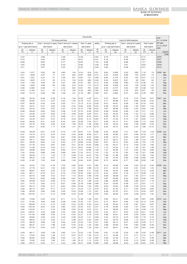|              |                            |              |                                                      |                    |               |              | Households    |              |              |                            |                          |                          |              |                      | Until      |              |
|--------------|----------------------------|--------------|------------------------------------------------------|--------------------|---------------|--------------|---------------|--------------|--------------|----------------------------|--------------------------|--------------------------|--------------|----------------------|------------|--------------|
|              |                            |              |                                                      | For house purchase |               |              |               |              |              |                            | Loans for other purposes |                          |              |                      |            | 31.12.2006   |
|              | Floating rate or           |              | Over 1 and up to 5 years   Over 5 and up to 10 years |                    |               |              | Over 10 years | <b>APRC</b>  |              | Floating rate or           |                          | Over 1 and up to 5 years |              | Over 5 years         | SIT after  |              |
|              | up to 1 year rate fixation |              | rate fixation                                        |                    | rate fixation |              | rate fixation |              |              | up to 1 year rate fixation |                          | rate fixation            |              | rate fixation        | <b>EUR</b> | 01.01.2007   |
| IR           | Volume                     | IR           | Volume                                               | IR                 | Volume        | IR           | Volume        | IR           | IR           | Volume                     | IR                       | Volume                   | <b>IR</b>    | Volume               |            |              |
| 10           | 11                         | 12           | 13                                                   | 14                 | 15            | 16           | 17            | 18           | 19           | 20                         | 21                       | 22                       | 23           | 24                   |            | Column       |
| 5.40         |                            | 4.96         |                                                      | 4.56               |               | 4.03         |               | 5.64         | 6.76         |                            | 6.45                     |                          | 6.12         |                      | 2006       | Code         |
| 6.16         | $\cdots$<br>$\cdots$       | 5.93         | $\cdots$<br>$\cdots$                                 | 5.80               | <br>$\cdots$  | 6.07         | <br>          | 6.47         | 6.16         | $\cdots$<br>$\cdots$       | 6.46                     | $\ldots$<br>$\ddotsc$    | 6.81         | $\cdots$<br>$\cdots$ | 2007       |              |
| 6.69         | $\cdots$                   | 6.80         | $\cdots$                                             | 6.77               | $\cdots$      | 6.92         |               | 7.03         | 6.96         | $\cdots$                   | 6.89                     |                          | 7.21         | $\cdots$             | 2008       |              |
| 4.05         | $\cdots$                   | 5.58         | $\cdots$                                             | 6.43               | $\cdots$      | 5.95         | $\ldots$      | 4.39         | 6.08         | $\cdots$                   | 5.91                     | $\ddotsc$                | 5.93         | $\ddotsc$            | 2009       |              |
| 3.21         | $\cdots$                   | 3.97         | $\cdots$                                             | 5.53               | $\cdots$      | 5.02         |               | 3.48         | 5.63         | $\cdots$                   | 6.08                     | $\cdots$                 | 6.01         | $\cdots$             | 2010       |              |
|              |                            |              |                                                      |                    |               |              |               |              |              |                            |                          |                          |              |                      |            |              |
| 5.40         | 1,377                      | 5.05         | 29                                                   | 4.80               | 134           | 4.24         | 816           | 5.61         | 6.84         | 3,409                      | 6.52                     | 283                      | 7.16         | 74                   | 2006       | Apr.         |
| 5.51         | 1,849                      | 4.87         | 17                                                   | 4.51               | 205           | 3.87         | 669           | 5.72         | 6.44         | 4,003                      | 6.69                     | 153                      | 6.03         | 75                   |            | May.         |
| 5.67         | 1,407                      | 5.24         | 31                                                   | 4.26               | 331           | 3.87         | 741           | 5.69         | 6.82         | 3,145                      | 6.52                     | 152                      | 6.27         | 114                  |            | Jun.         |
| 5.04         | 1,823                      | 4.73         | 22                                                   | 4.74               | 152           | 4.02         | 593           | 5.46         | 6.54         | 3,357                      | 6.61                     | 93                       | 5.81         | 94                   |            | Jul.         |
| 5.40         | 1,756<br>1,630             | 4.83<br>4.68 | 24                                                   | 4.57               | 182<br>216    | 4.07<br>4.05 | 581<br>712    | 5.73<br>5.75 | 6.92         | 2,038<br>2,458             | 6.80                     | 178<br>138               | 5.48<br>5.59 | 81                   |            | Aug.<br>Sep. |
| 5.46<br>5.58 | 2,280                      | 5.49         | 64<br>$\overline{7}$                                 | 4.60<br>4.42       | 254           | 3.81         | 781           | 5.84         | 6.95<br>6.53 | 2,707                      | 6.40<br>5.64             | 187                      | 6.38         | 116<br>143           |            | Oct.         |
| 5.43         | 2,160                      | 5.01         | 33                                                   | 5.19               | 163           | 4.33         | 584           | 5.83         | 6.62         | 2,943                      | 5.79                     | 323                      | 6.61         | 55                   |            | Nov.         |
| 5.92         | 3,713                      | 5.09         | 136                                                  | 4.29               | 157           | 4.18         | 881           | 5.98         | 6.61         | 3,385                      | 6.47                     | 203                      | 5.49         | 260                  |            | Dec.         |
|              |                            |              |                                                      |                    |               |              |               |              |              |                            |                          |                          |              |                      |            |              |
| 5.89         | 32.40                      | 6.38         | 0.29                                                 | 5.16               | 1.52          | 6.05         | 4.30          | 6.21         | 5.75         | 38.21                      | 5.76                     | 0.75                     | 5.93         | 0.61                 | 2007       | Jan.         |
| 6.06         | 30.60                      | 5.74         | 0.37                                                 | 5.44               | 1.30          | 5.78         | 4.01          | 6.43         | 5.71         | 36.98                      | 6.57                     | 0.68                     | 6.39         | 0.43                 |            | Feb.         |
| 5.97         | 48.33                      | 5.40         | 0.42                                                 | 5.50               | 2.71          | 5.73         | 6.10          | 6.26         | 6.07         | 40.61                      | 6.49                     | 1.90                     | 6.76         | 0.97                 |            | Mar.         |
| 5.97         | 45.31                      | 5.47         | 0.55                                                 | 5.35               | 4.25          | 5.64         | 6.84          | 6.20         | 6.09         | 32.43                      | 6.80                     | 1.55                     | 6.97         | 1.43                 |            | Apr.         |
| 6.04         | 55.44                      | 5.35         | 0.67                                                 | 5.37               | 5.19          | 5.75         | 7.99          | 6.24         | 5.97         | 39.38                      | 5.93                     | 5.33                     | 5.92         | 1.95                 |            | May.         |
| 6.08         | 48.28                      | 5.63         | 0.50                                                 | 5.36               | 3.18          | 5.70         | 6.29          | 6.33         | 6.09         | 50.92                      | 6.29                     | 1.52                     | 7.21         | 1.31                 |            | Jun.         |
| 6.11         | 45.26                      | 5.79         | 0.62                                                 | 5.79               | 3.06          | 5.84         | 5.65          | 6.41         | 6.20         | 40.44                      | 6.36                     | 1.24                     | 7.12         | 0.88                 |            | Jul.         |
| 6.20         | 42.46                      | 5.86         | 0.72                                                 | 5.98               | 3.11          | 6.03         | 8.44          | 6.51         | 6.28         | 36.10                      | 6.12                     | 1.78                     | 6.80         | 0.54                 |            | Aug.         |
| 6.31         | 44.43                      | 6.27         | 0.47                                                 | 6.16               | 3.23<br>3.02  | 6.54         | 6.12          | 6.64         | 6.37<br>6.49 | 41.05                      | 6.72                     | 1.61<br>3.66             | 6.90<br>7.13 | 1.14                 |            | Sep.         |
| 6.46<br>6.42 | 39.40<br>35.79             | 6.31<br>6.64 | 0.52<br>0.35                                         | 6.45<br>6.44       | 1.90          | 6.58<br>6.54 | 7.50<br>7.48  | 6.77<br>6.69 | 6.35         | 42.14<br>45.20             | 6.71<br>6.84             | 2.38                     | 6.86         | 0.94<br>2.20         |            | Oct.<br>Nov. |
| 6.45         | 33.21                      | 6.30         | 1.17                                                 | 6.58               | 1.41          | 6.71         | 12.76         | 6.76         | 6.55         | 45.15                      | 6.90                     | 2.43                     | 7.68         | 13.10                |            | Dec.         |
|              |                            |              |                                                      |                    |               |              |               |              |              |                            |                          |                          |              |                      |            |              |
| 6.49         | 29.29                      | 6.61         | 0.79                                                 | 6.75               | 1.79          | 6.67         | 7.21          | 6.86         | 6.44         | 25.85                      | 7.51                     | 0.87                     | 7.33         | 1.04                 | 2008       | Jan.         |
| 6.37         | 34.16                      | 6.10         | 0.23                                                 | 6.40               | 2.52          | 6.66         | 8.08          | 6.71         | 6.36         | 40.93                      | 6.07                     | 3.48                     | 6.79         | 1.77                 |            | Feb.         |
| 6.30         | 46.09                      | 6.67         | 0.52                                                 | 6.61               | 2.58          | 6.52         | 8.54          | 6.66         | 6.58         | 40.75                      | 6.84                     | 2.06                     | 6.97         | 1.82                 |            | Mar.         |
| 6.50         | 58.17                      | 6.84         | 1.11                                                 | 6.53               | 3.36          | 6.70         | 14.82         | 6.84         | 6.72         | 59.21                      | 6.51                     | 1.99                     | 7.23         | 1.69                 |            | Apr.         |
| 6.61         | 46.36                      | 6.60         | 1.04                                                 | 6.53               | 2.77          | 6.69         | 14.52         | 6.92         | 6.91         | 50.13                      | 6.52                     | 2.83                     | 7.55         | 1.79                 |            | May.         |
| 6.63         | 47.79                      | 6.52         | 0.87                                                 | 6.63               | 3.51          | 6.79         | 15.04         | 6.98         | 7.05         | 50.41                      | 6.72                     | 3.59                     | 7.35         | 1.80                 |            | Jun.         |
| 6.79         | 41.09                      | 6.76         | 0.53                                                 | 6.71               | 3.14          | 6.91         | 14.85         | 7.13         | 7.15         | 44.34                      | 7.15                     | 1.95                     | 7.87         | 1.28                 |            | Jul.         |
| 6.91         | 28.96                      | 6.82         | 1.60                                                 | 6.95               | 2.74          | 7.07         | 12.96         | 7.28         | 7.27         | 30.38                      | 7.27                     | 2.00                     | 7.50         | 0.86                 |            | Aug.         |
| 7.05         | 33.62                      | 6.98         | 0.94                                                 | 6.99               | 4.84          | 7.32         | 15.47         | 7.43         | 7.32         | 47.78                      | 7.60                     | 1.93                     | 7.61         | 2.98                 |            | Sep.         |
| 7.25         | 36.49                      | 7.17         | 1.24                                                 | 7.10               | 5.48          | 7.44         | 14.24         | 7.55         | 7.66         | 41.38                      | 6.92                     | 1.73                     | 7.64         | 1.84                 |            | Oct.         |
| 7.05         | 38.22                      | 7.25         | 0.47                                                 | 7.17               | 3.36          | 7.34         | 10.13         | 7.38         | 7.29         | 37.54                      | 6.83                     | 2.68                     | 6.66         | 1.65                 |            | Nov          |
| 6.28         | 41.82                      | 7.30         | 0.94                                                 | 6.88               | 1.94          | 6.94         | 6.20          | 6.64         | 6.73         | 46.50                      | 6.77                     | 2.56                     | 6.09         | 1.46                 |            | Dec.         |
| 5.50         | 42.02                      | 7.02         | 0.18                                                 | 7.05               | 0.60          | 6.65         | 3.07          | 5.85         | 6.10         | 33.69                      | 4.95                     | 0.40                     | 6.18         | 0.55                 | 2009       | Jan.         |
| 4.75         | 47.76                      | 6.47         | 1.02                                                 | 6.63               | 1.01          | 6.28         | 2.98          | 5.16         | 6.41         | 40.16                      | 6.62                     | 0.61                     | 5.05         | 1.20                 |            | Feb.         |
| 4.64         | 66.67                      | 5.00         | 0.45                                                 | 5.75               | 2.09          | 6.69         | 4.71          | 5.06         | 6.46         | 44.05                      | 5.86                     | 1.50                     | 5.72         | 3.29                 |            | Mar.         |
| 4.34         | 66.17                      | 6.76         | 0.51                                                 | 6.75               | 0.76          | 6.40         | 2.60          | 4.73         | 6.44         | 43.81                      | 5.16                     | 2.13                     | 6.08         | 1.18                 |            | Apr.         |
| 4.10         | 82.75                      | 5.56         | 0.22                                                 | 6.37               | 1.15          | 6.20         | 2.96          | 4.46         | 6.08         | 48.38                      | 5.61                     | 1.82                     | 5.77         | 2.16                 |            | May.         |
| 4.11         | 78.43                      | 6.60         | 0.36                                                 | 6.59               | 0.87          | 6.33         | 2.74          | 4.46         | 5.87         | 50.69                      | 6.32                     | 2.63                     | 5.56         | 1.65                 |            | Jun.         |
| 3.92         | 84.08                      | 6.32         | 0.06                                                 | 6.74               | 0.91          | 6.14         | 1.99          | 4.25         | 5.86         | 35.09                      | 5.68                     | 2.68                     | 6.21         | 1.18                 |            | Jul.         |
| 3.57         | 74.70                      | 3.92         | 0.12                                                 | 6.57               | 0.56          | 5.78         | 0.99          | 3.89         | 6.24         | 32.84                      | 6.39                     | 2.21                     | 6.07         | 1.17                 |            | Aug.         |
| 3.52         | 90.12                      | 5.28         | 0.17                                                 | 6.64               | 0.84          | 5.49         | 1.55          | 3.83         | 6.05         | 43.32                      | 5.96                     | 3.49                     | 6.10         | 1.56                 |            | Sep.         |
| 3.46         | 90.10                      | 5.91         | 0.77                                                 | 6.74               | 0.71          | 5.22         | 1.41          | 3.76         | 6.07         | 37.22                      | 6.11                     | 2.53                     | 6.00         | 0.84                 |            | Oct.         |
| 3.38         | 90.35                      | 2.95         | 0.06                                                 | 5.00               | 0.35          | 5.09         | 1.72          | 3.61         | 6.08         | 37.23                      | 6.21                     | 2.10                     | 6.34         | 0.87                 |            | Nov.         |
| 3.36         | 104.45                     | 5.17         | 0.10                                                 | 6.28               | 0.33          | 5.08         | 1.28          | 3.56         | 5.32         | 48.56                      | 6.03                     | 3.58                     | 6.04         | 1.32                 |            | Dec.         |
| 3.39         | 73.66                      | 0.00         | 0.03                                                 | 6.11               | 0.12          | 4.38         | 1.29          | 3.61         | 5.92         | 23.21                      | 5.63                     | 0.90                     | 5.87         | 0.85                 | 2010       | Jan.         |
| 3.27         | 81.94                      | 3.84         | 0.06                                                 | 6.08               | 0.28          | 4.32         | 1.27          | 3.51         | 5.77         | 38.41                      | 5.84                     | 1.28                     | 6.13         | 0.76                 |            | Feb.         |
| 3.15         | 109.59                     | 4.13         | 0.13                                                 | 5.33               | 0.34          | 4.39         | 2.45          | 3.42         | 5.46         | 50.45                      | 5.76                     | 2.81                     | 6.01         | 0.97                 |            | Mar.         |
| 3.08         | 105.45                     | 6.25         | 0.25                                                 | 5.80               | 0.54          | 5.04         | 2.21          | 3.37         | 5.79         | 42.85                      | 5.63                     | 1.07                     | 5.95         | 1.51                 |            | Apr.         |
| 3.06         | 116.02                     | 3.11         | 0.16                                                 | 5.38               | 0.62          | 4.45         | 3.27          | 3.31         | 5.41         | 38.09                      | 6.07                     | 1.39                     | 4.58         | 1.75                 |            | May.         |
| 3.04         | 126.27                     | 4.20         | 2.99                                                 | 5.42               | 0.62          | 5.29         | 3.06          | 3.32         | 5.44         | 43.71                      | 6.23                     | 2.03                     | 6.21         | 0.35                 |            | Jun.         |
| 3.13         | 101.36                     | 3.98         | 3.35                                                 | 5.12               | 0.54          | 5.27         | 2.16          | 3.43         | 5.68         | 42.91                      | 6.34                     | 0.56                     | 5.84         | 0.45                 |            | Jul.         |
| 3.26         | 83.60                      | 4.29         | 2.42                                                 | 5.33               | 0.56          | 5.42         | 1.41          | 3.58         | 5.45         | 32.70                      | 6.70                     | 0.69                     | 7.19         | 0.19                 |            | Aug.         |
| 3.22         | 99.34                      | 4.13         | 2.50                                                 | 5.17               | 0.38          | 5.07         | 2.34          | 3.50         | 5.57         | 33.78                      | 6.56                     | 1.15                     | 6.27         | 0.13                 |            | Sep.         |
| 3.23         | 98.78                      | 3.96         | 1.49                                                 | 5.50               | 0.35          | 5.52         | 1.33          | 3.47         | 5.80         | 36.14                      | 6.07                     | 0.63                     | 6.49         | 0.17                 |            | Oct.         |
| 3.35         | 89.37                      | 4.27         | 1.98                                                 | 5.43               | 0.34          | 5.45         | 1.32          | 3.60         | 5.88         | 30.59                      | 5.87                     | 0.83                     | 5.98         | 0.39                 |            | Nov.         |
| 3.35         | 97.76                      | 5.46         | 2.20                                                 | 5.65               | 0.35          | 5.60         | 1.45          | 3.63         | 5.42         | 59.41                      | 6.28                     | 0.97                     | 5.64         | 0.30                 |            | Dec.         |
| 3.29         | 66.17                      | 3.58         | 1.39                                                 | 5.85               | 0.12          | 5.52         | 1.25          | 3.56         | 5.81         | 21.58                      | 6.33                     | 1.56                     | 5.35         | 0.48                 | 2011       | Jan.         |
| 3.41         | 72.00                      | 3.62         | 1.49                                                 | 5.17               | 0.67          | 5.27         | 1.53          | 3.70         | 5.71         | 22.28                      | 5.77                     | 0.71                     | 4.74         | 0.11                 |            | Feb.         |
| 3.48         | 90.84                      | 5.23         | 2.66                                                 | 5.45               | 1.41          | 6.11         | 1.24          | 3.82         | 5.59         | 37.29                      | 6.18                     | 1.77                     | 7.01         | 0.38                 |            | Mar.         |
| 3.60         | 75.60                      | 5.32         | 1.69                                                 | 5.51               | 1.66          | 6.15         | 1.12          | 4.04         | 5.79         | 39.12                      | 6.33                     | 2.13                     | 6.62         | 0.48                 |            | Apr.         |
| 3.68         | 85.75                      | 5.25         | 2.11                                                 | 5.42               | 1.82          | 6.41         | 0.90          | 3.99         | 5.95         | 26.99                      | 6.00                     | 2.62                     | 6.62         | 0.50                 |            | May          |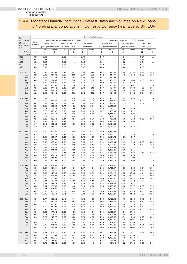# 2.4.4. Monetary Financial Institutions - Interest Rates and Volumes on New Loans to Non-financial corporations in Domestic Currency (% p. a., mio SIT/EUR)

| Until      |              |              |                               |                            |              |                                              |              | Non-financial corporations |              |                            |                |                                             |                                  |                          |
|------------|--------------|--------------|-------------------------------|----------------------------|--------------|----------------------------------------------|--------------|----------------------------|--------------|----------------------------|----------------|---------------------------------------------|----------------------------------|--------------------------|
| 31.12.2006 |              |              |                               |                            |              | Other loans up to an amount of EUR 1 million |              |                            |              |                            |                | Other loans over an amount of EUR 1 million |                                  |                          |
| SIT after  |              | Bank         |                               | Floating rate or           |              | Over 1 and up to 5                           |              | Over 5 years               |              | Floating rate or           |                | Over 1 and up to 5                          |                                  | Over 5 years             |
| 01.01.2007 |              | overdraft    |                               |                            |              |                                              |              | rate fixation              |              | up to 1 year rate fixation |                | years rate fixation                         |                                  |                          |
| <b>EUR</b> |              |              |                               | up to 1 year rate fixation |              | years rate fixation                          | IR           |                            |              |                            |                |                                             |                                  | rate fixation            |
|            | Column       | $\mathbf{1}$ | ΙR<br>$\overline{\mathbf{c}}$ | Volume<br>3                | ΙR<br>4      | Volume<br>5                                  | 6            | Volume<br>$\overline{7}$   | IR<br>8      | Volume<br>9                | ΙR<br>10       | Volume<br>11                                | IR<br>12                         | Volume<br>13             |
|            | Code         |              |                               |                            |              |                                              |              |                            |              |                            |                |                                             |                                  |                          |
| 2006       |              | 6.33         | 5.99                          | $\cdots$                   | 5.66         | $\cdots$                                     | 5.74         |                            | 4.56         | $\cdots$                   | 4.64           |                                             | 5.21                             | $\cdots$                 |
| 2007       |              | 5.92         | 5.91                          | $\cdots$                   | 6.08         | $\cdots$                                     | 6.35         | $\cdots$                   | 5.22         | $\cdots$                   | 5.76           | $\cdots$                                    | 5.18                             | $\cdots$                 |
| 2008       |              | 6.58         | 6.66                          | $\ldots$                   | 6.91         | $\cdots$                                     | 6.45         |                            | 6.24         | $\cdots$                   | 6.62           |                                             | 6.54                             | $\cdots$                 |
| 2009       |              | 6.01         | 5.91                          | $\cdots$                   | 6.54         | $\cdots$                                     | 5.74         | $\cdots$                   | 5.29         | $\cdots$                   | 6.28           | $\cdots$                                    | 5.92                             | $\cdots$                 |
| 2010       |              | 5.70         | 5.68                          | $\cdots$                   | 6.16         | $\ldots$                                     | 5.67         | $\cdots$                   | 4.89         | $\cdots$                   | 5.76           |                                             | 6.08                             | $\cdots$                 |
|            |              |              |                               |                            |              |                                              |              |                            |              |                            |                |                                             |                                  |                          |
| 2006 Apr.  |              | 6.51         | 5.95                          | 32,396                     | 5.44         | 1,281                                        | 6.63         | 278                        | 4.64         | 51,404                     | 4.98           | 2,254                                       | 5.96                             | 550                      |
|            | May.         | 6.39<br>6.33 | 5.96<br>6.05                  | 34,308<br>37,753           | 5.82<br>5.24 | 1,168<br>1,044                               | 5.87<br>5.66 | 558<br>169                 | 4.42<br>4.51 | 34,597                     | 4.43<br>÷,     | 1,240<br>÷,                                 | 5.38<br>$\overline{\phantom{a}}$ | 1,700                    |
|            | Jun.<br>Jul. | 6.29         | 6.09                          | 25,355                     | 5.78         | 1,283                                        | 6.19         | 396                        | 4.41         | 51,498<br>35,020           | 4.66           | 1,483                                       | 4.65                             | 599                      |
|            | Aug.         | 6.24         | 6.02                          | 21,627                     | 5.56         | 1,242                                        | 5.74         | 231                        | 4.62         | 35,554                     | 4.47           | 3,350                                       |                                  |                          |
|            | Sep.         | 6.29         | 5.89                          | 30,735                     | 5.46         | 676                                          | 5.14         | 32                         | 4.91         | 45,186                     | 3.61           | 2,802                                       | ÷,                               |                          |
|            | Oct.         | 6.25         | 5.89                          | 27,312                     | 5.48         | 966                                          | 5.34         | 319                        | 4.47         | 45,007                     | 4.66           | 4,660                                       | 4.80                             | 1,075                    |
|            | Nov.         | 6.08         | 5.81                          | 33,479                     | 5.59         | 1,171                                        | 5.70         | 664                        | 4.51         | 45,031                     | 5.04           | 2,550                                       | 5.12                             | 1,588                    |
|            | Dec.         | 6.22         | 5.90                          | 30,048                     | 5.85         | 1,768                                        | 5.48         | 662                        | 4.47         | 99,605                     | 5.11           | 3,435                                       | 5.34                             | 9,070                    |
|            |              |              |                               |                            |              |                                              |              |                            |              |                            |                |                                             |                                  |                          |
| 2007 Jan.  |              | 5.67         | 5.59                          | 278.20                     | 5.25         | 3.00                                         | 5.21         | 1.68                       | 4.74         | 875.73                     | 5.49           | 4.40                                        | ÷,                               | $\overline{\phantom{a}}$ |
|            | Feb.         | 5.74         | 5.60                          | 277.66                     | 6.24         | 2.72                                         | 5.98         | 1.30                       | 4.62         | 871.23                     | 6.53           | 3.61                                        | 5.22                             | $\sqrt{2}$               |
|            | Mar.         | 5.63         | 5.57                          | 347.78                     | 5.52         | 6.41                                         | 5.83         | 0.25                       | 4.95         | 863.40                     |                |                                             | 5.09                             | 2                        |
|            | Apr.         | 5.80         | 5.64                          | 339.52                     | 5.76         | 4.08                                         | 6.70         | 0.01                       | 4.89         | 1,253.23<br>760.10         | $\overline{a}$ | ÷,                                          |                                  | ÷,                       |
|            | May.<br>Jun. | 5.85<br>5.82 | 5.71<br>5.77                  | 319.42<br>355.02           | 5.92<br>6.05 | 13.66<br>6.43                                | 6.06<br>7.98 | 2.57<br>0.09               | 5.10<br>5.07 | 886.34                     | 4.86<br>5.12   | 5.56<br>1.12                                |                                  | ٠                        |
|            | Jul.         | 5.92         | 5.88                          | 305.78                     | 6.11         | 3.93                                         | 6.68         | 0.40                       | 5.11         | 1,241.36                   | 6.49           | 1.24                                        |                                  |                          |
|            | Aug.         | 5.92         | 6.14                          | 237.22                     | 6.39         | 3.14                                         | 6.73         | 1.35                       | 5.32         | 822.76                     |                |                                             | ä,                               |                          |
|            | Sep.         | 6.05         | 6.25                          | 280.13                     | 6.44         | 2.37                                         | 6.66         | 2.51                       | 5.68         | 797.01                     | 5.76           | 3.00                                        | 5.23                             | 10.00                    |
|            | Oct.         | 6.18         | 6.22                          | 320.21                     | 6.47         | 6.23                                         | 6.12         | 0.90                       | 5.65         | 1,041.85                   | 5.59           | 7.00                                        |                                  |                          |
|            | Nov.         | 6.17         | 6.18                          | 328.25                     | 6.97         | 3.35                                         | 6.09         | 0.62                       | 5.59         | 1,064.39                   |                |                                             |                                  |                          |
|            | Dec.         | 6.29         | 6.40                          | 345.51                     | 5.91         | 4.37                                         | 6.13         | 2.61                       | 5.96         | 1,463.74                   | 6.25           | 4.80                                        |                                  |                          |
|            |              |              |                               |                            |              |                                              |              |                            |              |                            |                |                                             |                                  |                          |
| 2008 Jan.  |              | 6.19         | 6.22                          | 268.30                     | 6.29         | 2.95                                         | 6.35         | 0.27                       | 5.62         | 1,270.31                   |                |                                             |                                  |                          |
|            | Feb.         | 6.22         | 6.15                          | 310.76                     | 6.44         | 3.77                                         | 4.99         | 0.31                       | 5.59         | 1,085.17                   |                |                                             |                                  |                          |
|            | Mar.         | 6.19         | 6.24                          | 358.57                     | 6.42         | 2.50                                         | 5.73         | 1.63                       | 5.76         | 1,281.71                   | 0.00           | 2.17                                        |                                  | ٠                        |
|            | Apr.<br>May  | 6.30<br>6.40 | 6.47<br>6.63                  | 450.03<br>382.61           | 6.66<br>7.03 | 4.40<br>5.45                                 | 6.95<br>6.05 | 0.73<br>0.81               | 6.07<br>6.24 | 1,449.20<br>1,022.31       | 6.32<br>5.47   | 5.40<br>7.00                                | 5.93                             | 8.65                     |
|            | Jun.         | 6.55         | 6.73                          | 457.89                     | 6.85         | 3.29                                         | 7.02         | 2.13                       | 6.25         | 1,405.80                   | 6.63           | 3.13                                        | 6.53                             | 1.50                     |
|            | Jul.         | 6.72         | 6.83                          | 378.49                     | 7.18         | 2.30                                         | 6.90         | 4.36                       | 6.57         | 1,357.51                   | 6.91           | 10.72                                       | ٠                                |                          |
|            | Aug.         | 6.78         | 6.90                          | 271.29                     | 7.07         | 2.29                                         | 7.46         | 1.01                       | 6.64         | 1,267.33                   | 6.53           | 1.15                                        | ×,                               |                          |
|            | Sep.         | 6.76         | 7.04                          | 375.81                     | 7.28         | 2.46                                         | 6.82         | 3.64                       | 6.71         | 1,215.43                   | 6.94           | 1.50                                        | 7.17                             | 3.26                     |
|            | Oct.         | 6.98         | 7.32                          | 354.14                     | 7.30         | 5.97                                         | 7.18         | 2.22                       | 6.88         | 1,064.15                   | 6.76           | 11.18                                       |                                  |                          |
|            | Nov.         | 7.02         | 6.98                          | 341.95                     | 7.03         | 6.81                                         | 6.60         | 0.80                       | 6.58         | 1,022.14                   | 7.24           | 19.02                                       |                                  | ٠                        |
|            | Dec.         | 6.88         | 6.39                          | 505.04                     | 7.30         | 9.29                                         | 5.39         | 1.21                       | 5.93         | 1,811.14                   | 7.74           | 11.39                                       |                                  |                          |
|            |              |              |                               |                            |              |                                              |              |                            |              |                            |                |                                             |                                  |                          |
| 2009       | Jan.<br>Feb. | 6.00<br>6.09 | 5.89<br>5.84                  | 379.36<br>384.01           | 7.03<br>7.27 | 4.39<br>4.01                                 | 5.33<br>5.37 | 2.51<br>1.21               | 5.44<br>5.38 | 1,662.80<br>1,732.07       | 6.61<br>6.35   | 27.22<br>15.15                              | 6.01                             | 3.34                     |
|            | Mar.         | 6.00         | 6.02                          | 468.50                     | 6.60         | 23.66                                        | 6.18         | 4.00                       | 5.53         | 1,507.53                   | 6.34           | 73.39                                       | 6.50                             | 5.59                     |
|            | Apr.         | 5.89         | 6.00                          | 445.90                     | 6.62         | 20.92                                        | 6.09         | 3.34                       | 5.54         | 1,221.16                   | 6.05           | 200.88                                      | 4.11                             | 6.00                     |
|            | May.         | 5.97         | 6.00                          | 397.94                     | 6.43         | 26.82                                        | 6.37         | 7.57                       | 5.54         | 1,269.87                   | 6.10           | 293.55                                      | 4.36                             | 2.62                     |
|            | Jun          | 6.02         | 5.98                          | 475.98                     | 6.30         | 44.11                                        | 6.62         | 4.69                       | 5.49         | 1,396.00                   | 6.19           | 204.22                                      | 6.12                             | 22.84                    |
|            | Jul.         | 5.95         | 5.84                          | 407.94                     | 6.37         | 27.23                                        | 4.53         | 8.18                       | 5.27         | 1,407.13                   | 6.36           | 153.73                                      | 4.84                             | 11.71                    |
|            | Aug.         | 6.13         | 5.88                          | 343.26                     | 6.32         | 11.16                                        | 4.29         | 3.15                       | 5.22         | 1,698.82                   | 6.20           | 73.41                                       | $\overline{\phantom{a}}$         |                          |
|            | Sep.         | 6.08         | 5.91                          | 429.53                     | 6.38         | 16.45                                        | 6.14         | 3.72                       | 5.25         | 1,309.88                   | 6.66           | 126.77                                      | 6.80                             | 2.70                     |
|            | Oct.         | 5.93         | 6.01                          | 361.91                     | 6.29         | 11.26                                        | 5.35         | 2.34                       | 5.15         | 1,237.80                   | 6.47           | 66.75                                       | 6.72                             | 10.48                    |
|            | Nov.         | 6.07         | 5.87                          | 316.78                     | 6.74         | 8.69                                         | 6.36         | 1.62                       | 5.03         | 1,052.84                   | 5.94           | 59.79                                       | 6.70                             | 3.34                     |
|            | Dec.         | 5.96         | 5.65                          | 492.42                     | 6.11         | 19.41                                        | 6.24         | 1.96                       | 4.63         | 1,857.27                   | 6.06           | 144.18                                      | 7.08                             | 24.29                    |
| 2010 Jan.  |              | 5.94         | 5.77                          | 262.83                     | 6.10         | 8.11                                         | 4.36         | 4.50                       | 4.98         | 1,039.08                   | 6.15           | 49.40                                       | 3.48                             | 6.18                     |
|            | Feb.         | 6.01         | 5.80                          | 280.84                     | 6.37         | 10.87                                        | 7.02         | 0.58                       | 5.08         | 974.53                     | 6.31           | 41.24                                       | 6.70                             | 14.80                    |
|            | Mar.         | 5.83         | 5.77                          | 358.52                     | 6.37         | 10.13                                        | 4.48         | 2.33                       | 5.04         | 1,335.78                   | 5.64           | 20.16                                       | 6.80                             | 2.70                     |
|            | Apr.         | 5.71         | 5.62                          | 343.02                     | 5.96         | 9.22                                         | 4.14         | 0.89                       | 4.68         | 1,086.93                   | 5.98           | 57.60                                       | 6.70                             | 1.15                     |
|            | May.         | 5.72         | 5.47                          | 333.60                     | 5.68         | 12.18                                        | 4.63         | 0.83                       | 5.17         | 840.88                     | 6.03           | 58.85                                       | 6.33                             | 4.99                     |
|            | Jun.         | 6.06         | 5.46                          | 377.13                     | 6.30         | 14.80                                        | 4.90         | 1.51                       | 4.90         | 1,507.37                   | 5.61           | 67.04                                       | $\overline{\phantom{a}}$         |                          |
|            | Jul.         | 5.49         | 5.73                          | 301.30                     | 6.30         | 8.84                                         | 6.31         | 1.39                       | 4.71         | 1,006.61                   | 5.40           | 38.20                                       | $\overline{\phantom{a}}$         | $\overline{\phantom{a}}$ |
|            | Aug.         | 5.45         | 5.70                          | 248.77                     | 6.08         | 8.52                                         | 6.74         | 2.29                       | 4.70         | 1,016.32                   | 5.84           | 14.44                                       | 6.06                             | 3.90                     |
|            | Sep.         | 5.48         | 5.78                          | 332.10                     | 6.15         | 11.28                                        | 6.87         | 1.54                       | 4.92         | 1,018.90                   | 4.98           | 34.91                                       | 8.16                             | 16.45                    |
|            | Oct.         | 5.55         | 5.78                          | 292.31                     | 5.96         | 9.43                                         | 6.97<br>5.74 | 0.27                       | 4.78<br>4.68 | 807.96                     | 5.72<br>6.00   | 35.49                                       | $\overline{\phantom{a}}$         |                          |
|            | Nov.<br>Dec. | 5.59<br>5.54 | 5.69<br>5.60                  | 261.96<br>352.56           | 6.32<br>6.39 | 14.23<br>19.53                               | 5.92         | 0.41<br>0.40               | 5.06         | 977.38<br>1,576.59         | 5.44           | 40.24<br>63.04                              | 5.31<br>5.20                     | 7.00<br>27.05            |
|            |              |              |                               |                            |              |                                              |              |                            |              |                            |                |                                             |                                  |                          |
| 2011       | Jan.         | 5.56         | 5.51                          | 216.17                     | 6.32         | 11.39                                        | 6.20         | 0.09                       | 4.67         | 925.31                     | 5.83           | 16.77                                       | 4.46                             | 2.90                     |
|            | Feb.         | 5.53         | 5.71                          | 210.89                     | 6.04         | 8.57                                         | 4.54         | 0.21                       | 4.79         | 868.14                     | 5.45           | 53.55                                       |                                  |                          |
|            | Mar.         | 5.55         | 5.71                          | 292.45                     | 6.13         | 14.04                                        | 5.64         | 0.71                       | 5.03         | 1,063.48                   | 5.40           | 27.54                                       | $\overline{\phantom{a}}$         |                          |
|            | Apr.         | 5.63         | 5.72                          | 242.35                     | 6.17         | 10.35                                        | 7.92         | 1.01                       | 4.97         | 794.31                     | 5.25           | 15.98                                       | 6.40                             | 1.77                     |
|            | May.         | 5.67         | 5.76                          | 241.53                     | 6.25         | 13.36                                        | 6.86         | 1.40                       | 5.01         | 681.18                     | 5.82           | 37.40                                       | 5.93                             | 12.45                    |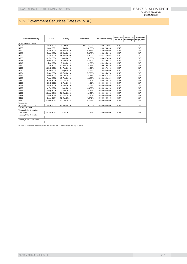# 2.5. Government Securities Rates (% p. a.)

| Government security        | Issued      | Maturity    | Interest rate | Amount outstanding | Currency of | Indexation of         | Currency of  |
|----------------------------|-------------|-------------|---------------|--------------------|-------------|-----------------------|--------------|
|                            |             |             |               |                    | the issue   | the principal         | the payments |
| Government securities      |             |             |               |                    |             |                       |              |
| <b>RS21</b>                | 1 Feb 2001  | 1 Mar 2015  | $TOM + 1.00%$ | 34,057,005         | <b>EUR</b>  | ٠                     | <b>EUR</b>   |
| <b>RS26</b>                | 1 Jun 2001  | 1 Jun 2011  | 5.38%         | 49,976,500         | <b>EUR</b>  |                       | <b>EUR</b>   |
| <b>RS29</b>                | 15 Jan 2002 | 15 Jan 2012 | 5.375%        | 55,000,000         | <b>EUR</b>  | ٠                     | <b>EUR</b>   |
| <b>RS32</b>                | 15 Jan 2002 | 15 Jan 2012 | 5.375%        | 23.865.500         | <b>EUR</b>  | ٠                     | <b>EUR</b>   |
| <b>RS33</b>                | 1 Jan 2002  | 31 Dec 2022 | 8.000%        | 127,166,004        | <b>EUR</b>  | ٠                     | <b>EUR</b>   |
| <b>RS38</b>                | 19 Apr 2002 | 19 Apr 2017 | 5.63%         | 68,847,000         | <b>EUR</b>  | ٠                     | <b>EUR</b>   |
| <b>RS44</b>                | 8 Nov 2002  | 8 Nov 2012  | 6.650%        | 4,443,536          | <b>EUR</b>  | ٠                     | <b>EUR</b>   |
| <b>RS48</b>                | 2 Dec 2002  | 2 Dec 2012  | 4.75%         | 56,465,200         | <b>EUR</b>  | ٠                     | <b>EUR</b>   |
| <b>RS49</b>                | 10 Jan 2003 | 10 Jan 2022 | 4.75%         | 29,632,020         | <b>EUR</b>  |                       | <b>EUR</b>   |
| <b>RS50</b>                | 24 Feb 2003 | 24 Feb 2013 | 4.50%         | 48,527,000         | <b>EUR</b>  |                       | <b>EUR</b>   |
| <b>RS53</b>                | 8 Apr 2003  | 8 Apr 2018  | 4.88%         | 79,290,900         | <b>EUR</b>  | ٠                     | <b>EUR</b>   |
| <b>RS54</b>                | 15 Oct 2003 | 15 Oct 2013 | 5.750%        | 76,295,376         | <b>EUR</b>  |                       | <b>EUR</b>   |
| <b>RS57</b>                | 15 Mar 2004 | 15 Oct 2014 | 4.88%         | 259,697,224        | <b>EUR</b>  |                       | <b>EUR</b>   |
| <b>RS59</b>                | 17 Jan 2005 | 17 Feb 2016 | 4.000%        | 1,066,332,031      | <b>EUR</b>  |                       | <b>EUR</b>   |
| <b>RS62</b>                | 18 Jan 2006 | 23 Mar 2017 | 3.50%         | 390,540,053        | <b>EUR</b>  | ٠                     | <b>EUR</b>   |
| <b>RS63</b>                | 6 Feb 2008  | 6 Feb 2019  | 4.38%         | 1,000,000,000      | <b>EUR</b>  | ٠                     | <b>EUR</b>   |
| <b>RS64</b>                | 5 Feb 2009  | 5 Feb 2012  | 4.25%         | 1,000,000,000      | <b>EUR</b>  | ٠                     | <b>EUR</b>   |
| <b>RS65</b>                | 2 Apr 2009  | 2 Apr 2014  | 4.375%        | 1,500,000,000      | <b>EUR</b>  | ٠                     | <b>EUR</b>   |
| <b>RS66</b>                | 9 Sep 2009  | 9 Sep 2024  | 4.63%         | 1,500,000,000      | <b>EUR</b>  | ٠                     | <b>EUR</b>   |
| <b>RS67</b>                | 26 Jan 2010 | 26 Jan 2020 | 4.125%        | 1,500,000,000      | <b>EUR</b>  | ٠                     | <b>EUR</b>   |
| <b>RS68</b>                | 17 Mar 2010 | 17 Mar 2015 | 2.750%        | 1,000,000,000      | <b>EUR</b>  | ٠                     | <b>EUR</b>   |
| <b>RS69</b>                | 18 Jan 2011 | 18 Jan 2021 | 4.375%        | 1,500,000,000      | <b>EUR</b>  |                       | <b>EUR</b>   |
| <b>RS70</b>                | 30 Mar 2011 | 30 Mar 2026 | 5.125%        | 1,500,000,000      | <b>EUR</b>  | ٠                     | <b>EUR</b>   |
| Eurobonds                  |             |             |               |                    |             |                       |              |
| SLOVEN4 03/22/18           | 22 Mar 2007 | 22 Mar 2018 | 4.00%         | 1,000,000,000      | <b>EUR</b>  | $\tilde{\phantom{a}}$ | <b>EUR</b>   |
| <b>TREASURY BILLS</b>      |             |             |               |                    |             |                       |              |
| Treasury Bills - 3 months  |             |             |               |                    |             |                       |              |
| 131. issue                 | 14 Apr 2011 | 14 Jul 2011 | 1.11%         | 23,900,000         | <b>EUR</b>  | ٠                     | <b>EUR</b>   |
| Treasury Bills - 6 months  |             |             |               |                    |             |                       |              |
|                            |             |             |               |                    |             |                       |              |
| Treasury Bills - 12 months |             |             |               |                    |             |                       |              |

In case of dematerialised securities, the interest rate is applied from the day of issue.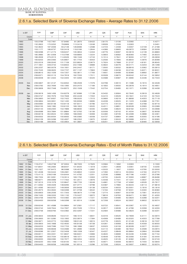**EUROSYSTEM**

## 2.6.1.a. Selected Bank of Slovenia Exchange Rates - Average Rates to 31.12.2006

|      | in SIT | <b>EUR</b>   | GBP            | CHF      | <b>USD</b>     | JPY    | CZK    | <b>HUF</b>     | <b>PLN</b> | <b>SKK</b> | <b>HRK</b> |
|------|--------|--------------|----------------|----------|----------------|--------|--------|----------------|------------|------------|------------|
|      | Column | $\mathbf{1}$ | $\overline{c}$ | 3        | $\overline{4}$ | 5      | 6      | $\overline{7}$ | 8          | 9          | 10         |
|      | Code   |              |                |          |                |        |        |                |            |            |            |
| 1992 |        | 105.0788     | 142.7461       | 57.9490  | 81.2870        | 0.6422 | 2.8170 | 1.0106         | 0.0060     | ٠          | 0.4271     |
| 1993 |        | 132.2802     | 170.0252       | 76.6669  | 113.2419       | 1.0248 | 3.8509 | 1.2306         | 0.0063     | ٠          | 0.0491     |
| 1994 |        | 152.3622     | 197.0006       | 94.2149  | 128.8086       | 1.2598 | 4.4723 | 1.2408         | 0.0057     | 4.0159     | 21.2188    |
| 1995 |        | 153.1177     | 186.9737       | 100.2418 | 118.5185       | 1.2644 | 4.4366 | 0.9665         | 49.0672    | 3.9584     | 22.5009    |
| 1996 |        | 169.5098     | 211.4174       | 109.6247 | 135.3654       | 1.2453 | 4.9776 | 0.9097         | 50.3619    | 4.4139     | 24.8883    |
| 1997 |        | 180.3985     | 261.5308       | 110.0789 | 159.6893       | 1.3224 | 5.0803 | 0.8582         | 48.8393    | 4.7465     | 25.9223    |
| 1998 |        | 186.2659     | 275.2013       | 114.6526 | 166.1346       | 1.2743 | 5.1514 | 0.7841         | 47.8055    | 4.7157     | 26.0659    |
| 1999 |        | 193.6253     | 294.0493       | 120.9907 | 181.7704       | 1.6053 | 5.2556 | 0.7665         | 45.8644    | 4.3976     | 25.6099    |
| 2000 |        | 205.0316     | 336.5545       | 131.7159 | 222.6824       | 2.0673 | 5.7624 | 0.7888         | 51.2137    | 4.8181     | 26.9045    |
| 2001 |        | 217.1851     | 349.3743       | 143.8502 | 242.7488       | 1.9989 | 6.3822 | 0.8476         | 59.3171    | 5.0203     | 29.1298    |
| 2002 |        | 226.2237     | 360.0079       | 154.1931 | 240.2447       | 1.9171 | 7.3500 | 0.9332         | 58.8916    | 5.3062     | 30.5910    |
| 2003 |        | 233.7045     | 338.0625       | 153.7727 | 207.1137       | 1.7863 | 7.3480 | 0.9238         | 53.2745    | 5.6371     | 30.9031    |
| 2004 |        | 238.8615     | 352.1029       | 154.7207 | 192.3811       | 1.7783 | 7.4931 | 0.9499         | 52.8366    | 5.9692     | 31.8877    |
| 2005 |        | 239.6371     | 350.3115       | 154.7818 | 192.7055       | 1.7511 | 8.0509 | 0.9670         | 59.6242    | 6.2144     | 32.3952    |
| 2006 |        | 239,6009     | 351.4322       | 152.3405 | 191.0283       | 1.6425 | 8.4588 | 0.9087         | 61.5690    | 6.4436     | 32.7343    |
|      |        |              |                |          |                |        |        |                |            |            |            |
| 2005 | Oct.   | 239,5807     | 351.3147       | 154.6052 | 199.2506       | 1.7376 | 8.0799 | 0.9515         | 61.1596    | 6.1615     | 32.4528    |
|      | Nov.   | 239.5792     | 352.7656       | 155.1060 | 203.2470       | 1.7166 | 8.1855 | 0.9550         | 60.2878    | 6.1914     | 32.4951    |
|      | Dec.   | 239,5806     | 352.7348       | 154.8072 | 202.1508       | 1.7042 | 8.2754 | 0.9485         | 62.1571    | 6.3288     | 32.4458    |
|      |        |              |                |          |                |        |        |                |            |            |            |
| 2006 | Jan.   | 239.5819     | 349.1456       | 154.6279 | 197.9386       | 1.7139 | 8.3432 | 0.9564         | 62.7640    | 6.3919     | 32.4928    |
|      | Feb.   | 239.5747     | 350.7676       | 153.7948 | 200.4449       | 1.7002 | 8.4410 | 0.9529         | 63.1841    | 6.4103     | 32.7543    |
|      | Mar.   | 239.5850     | 347.9357       | 152.7422 | 199.5020       | 1.7015 | 8.3693 | 0.9219         | 61.8858    | 6.4003     | 32.7118    |
|      | Apr.   | 239.5864     | 345.0651       | 152.1430 | 195.9356       | 1.6695 | 8.4039 | 0.9025         | 61.1223    | 6.4088     | 32.7791    |
|      | May    | 239,6060     | 350.6148       | 153.9118 | 187.6411       | 1.6796 | 8.4773 | 0.9133         | 61.5581    | 6.3788     | 32.9716    |
|      | Jun.   | 239.6155     | 349.1390       | 153.6103 | 189.1902       | 1.6520 | 8.4511 | 0.8851         | 59.6528    | 6.3065     | 33.0389    |
|      | Jul.   | 239.6143     | 348.2300       | 152.7889 | 188.8930       | 1.6335 | 8.4266 | 0.8623         | 59.9182    | 6.2473     | 33.0698    |
|      | Aug.   | 239.6088     | 353.7894       | 151.8884 | 187.0762       | 1.6156 | 8.5006 | 0.8742         | 61.4034    | 6.3607     | 32.9058    |
|      | Sep.   | 239.6018     | 354.9524       | 151.2966 | 188.0560       | 1.6069 | 8.4480 | 0.8726         | 60.4599    | 6.3898     | 32.4361    |
|      | Oct.   | 239.6052     | 355.9334       | 150.6935 | 190.0380       | 1.6008 | 8.4737 | 0.8964         | 61.3990    | 6.5055     | 32.4196    |
|      | Nov.   | 239.6129     | 355.5299       | 150.4937 | 186.2352       | 1.5870 | 8.5461 | 0.9243         | 62.5999    | 6.6741     | 32.6365    |
|      | Dec.   | 239.6188     | 356.0833       | 150.0954 | 181.3881       | 1.5491 | 8.6251 | 0.9429         | 62.8802    | 6.8490     | 32.5958    |

# 2.6.1.b. Selected Bank of Slovenia Exchange Rates - End of Month Rates to 31.12.2006

|      | in SIT    | <b>EUR</b> | GBP            | CHF      | <b>USD</b>     | <b>JPY</b> | <b>CZK</b> | <b>HUF</b>     | <b>PLN</b> | <b>SKK</b> | <b>HRK</b> |
|------|-----------|------------|----------------|----------|----------------|------------|------------|----------------|------------|------------|------------|
|      | Column    | 1          | $\overline{c}$ | 3        | $\overline{4}$ | 5          | 6          | $\overline{7}$ | 8          | 9          | 10         |
|      | Code      |            |                |          |                |            |            |                |            |            |            |
| 1992 | 31.Dec.   | 119,4741   | 149.2738       | 67.5004  | 98.7005        | 0.7925     | 3.3584     | 1.1692         | 0.0063     | ٠          | 0.1300     |
| 1993 | 31.Dec.   | 147.8001   | 195.2084       | 89.8447  | 131.8420       | 1.1819     | 4.2931     | 1.2808         | 0.0061     | 3.8730     | 0.0200     |
| 1994 | 31.Dec.   | 155.1327   | 197.6472       | 96.5088  | 126.4576       | 1.2687     | 4.5533     | 1.1607         | 0.0053     | 4.0795     | 22.0000    |
| 1995 | 31.Dec.   | 161.4538   | 194.5444       | 109.4581 | 125.9902       | 1.2224     | 4.7260     | 0.9314         | 50.0004    | 4.2194     | 23.6770    |
| 1996 | 31.Dec.   | 175.4113   | 239.0169       | 104.6444 | 141.4792       | 1.2201     | 5.2536     | 0.8988         | 49.7196    | 4.4357     | 25.5786    |
| 1997 | 31.Dec.   | 186.7334   | 281.5091       | 116.3514 | 169.1792       | 1.3063     | 4.9700     | 0.8426         | 47.3093    | 4.8667     | 26.8496    |
| 1998 | 31.Dec.   | 188.9271   | 269.5999       | 117.7452 | 161.2011       | 1.3976     | 5.4048     | 0.7441         | 47.1241    | 4.3637     | 25.7502    |
| 1999 | 31.Dec.   | 197.3215   | 318.1579       | 122.9647 | 196.7705       | 1.9249     | 5.4681     | 0.7758         | 47.4582    | 4.6526     | 25.7617    |
| 2000 | 31.Dec.   | 211.5062   | 339.3329       | 138.9295 | 227.3771       | 1.9798     | 6.0387     | 0.7980         | 54.9224    | 4.8113     | 27.9818    |
| 2001 | 31.Dec.   | 221.4095   | 363.5027       | 149.5606 | 250.9458       | 1.9138     | 6.9234     | 0.9033         | 63.3051    | 5.1816     | 30.1816    |
| 2002 | 31.Dec.   | 230.2673   | 354.0940       | 158.5099 | 221.0708       | 1.8542     | 7.3194     | 0.9768         | 57.6331    | 5.5300     | 30.8380    |
| 2003 | 31.Dec.   | 236.6903   | 336.2556       | 151.7343 | 189.3674       | 1.7708     | 7.2774     | 0.9067         | 50.5759    | 5.7561     | 30.9723    |
| 2004 | 31.Dec.   | 239.7430   | 338.3333       | 155.1132 | 176.2427       | 1.6972     | 7.8816     | 0.9765         | 58.8471    | 6.1892     | 31.4055    |
| 2005 | 31.Dec.   | 239,5756   | 348.6765       | 154.0382 | 202.4297       | 1.7221     | 8.2584     | 0.9486         | 62.0823    | 6.3288     | 32.5201    |
| 2006 | 31.Dec.   | 239.6400   | 356.9258       | 149.0299 | 181.9314       | 1.5296     | 8.7208     | 0.9524         | 62.5937    | 6.9602     | 32.6374    |
|      |           |            |                |          |                |            |            |                |            |            |            |
| 2005 | 31.Oct.   | 239.6246   | 351.4588       | 154.9664 | 197.2381       | 1.7117     | 8.0722     | 0.9541         | 60.0367    | 6.1375     | 32.4937    |
|      | 30.Nov.   | 239.5742   | 349.7944       | 154.7937 | 202.7026       | 1.7014     | 8.2817     | 0.9539         | 61.4766    | 6.3358     | 32.4055    |
|      | 31.Dec.   | 239.5756   | 348.6765       | 154.0382 | 202.4297       | 1.7221     | 8.2584     | 0.9486         | 62.0823    | 6.3288     | 32.5201    |
|      |           |            |                |          |                |            |            |                |            |            |            |
| 2006 | 31.Jan.   | 239.5844   | 349.9626       | 154.0141 | 198.1510       | 1.6841     | 8.4316     | 0.9520         | 62.7809    | 6.4111     | 32.5974    |
|      | 28.Feb.   | 239.5663   | 351.5280       | 153.1950 | 202.0974       | 1.7394     | 8.4569     | 0.9489         | 63.5320    | 6.4303     | 32.7769    |
|      | 31.Mar.   | 239.5871   | 345.0772       | 152.0995 | 198.5145       | 1.6915     | 8.3778     | 0.9025         | 61.0149    | 6.3618     | 32.7037    |
|      | 30 Apr.   | 239,5803   | 345.1668       | 152.4630 | 190.9158       | 1.6728     | 8.4261     | 0.9068         | 61.8033    | 6.4059     | 32.9003    |
|      | 31.May    | 239,6203   | 349.7596       | 153.7703 | 186.1996       | 1.6637     | 8.5023     | 0.9159         | 60.8328    | 6.3577     | 33.0051    |
|      | 30.Jun.   | 239.6285   | 346.6848       | 153.0586 | 191.2896       | 1.6426     | 8.4110     | 0.8489         | 58.7642    | 6.2599     | 33.0974    |
|      | $31$ Jul. | 239,6096   | 351.2307       | 152.3459 | 189,1008       | 1.6347     | 8.4227     | 0.8849         | 60.9864    | 6.2964     | 33.0268    |
|      | 31.Aug    | 239.6011   | 355.3331       | 151.9637 | 186.9401       | 1.5966     | 8.4845     | 0.8669         | 60.5436    | 6.3496     | 32.7154    |
|      | 30.Sep.   | 239.5987   | 353.7034       | 150.8618 | 189.1071       | 1.6033     | 8.4649     | 0.8785         | 60.3356    | 6.4184     | 32.4444    |
|      | 31.Oct.   | 239.6000   | 358.0395       | 150.7677 | 188.3204       | 1.6032     | 8.4625     | 0.9126         | 61.6382    | 6.5851     | 32.5743    |
|      | 30.Nov    | 239.6220   | 355.1008       | 150.8100 | 182.1113       | 1.5670     | 8.5671     | 0.9308         | 62.6872    | 6.7455     | 32.5843    |
|      | 31.Dec.   | 239.6400   | 356.9258       | 149.0299 | 181.9314       | 1.5296     | 8.7208     | 0.9524         | 62.5937    | 6.9602     | 32.6374    |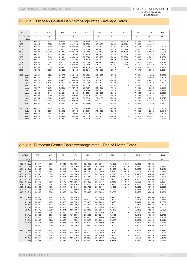### 2.6.2.a. European Central Bank exchange rates - Average Rates

| for EUR      |      | GBP          | CHF            | <b>USD</b> | <b>JPY</b>     | CZK     | <b>HUF</b> | <b>PLN</b>     | <b>SKK</b> | <b>DKK</b> | <b>SEK</b> | <b>HRK</b> |
|--------------|------|--------------|----------------|------------|----------------|---------|------------|----------------|------------|------------|------------|------------|
| Column       |      | $\mathbf{1}$ | $\overline{c}$ | 3          | $\overline{4}$ | 5       | 6          | $\overline{7}$ | 8          | 9          | 10         | 11         |
|              | Code |              |                |            |                |         |            |                |            |            |            |            |
| 1999         |      | 0.6587       | 1.6003         | 1.0658     | 121.3200       | 36.8840 | 252.7700   | 4.2274         | 44.1230    | 7.4355     | 8.8075     |            |
| 2000         |      | 0.6095       | 1.5579         | 0.9236     | 99.4700        | 35.5990 | 260.0400   | 4.0082         | 42.6020    | 7.4538     | 8.4452     |            |
| 2001         |      | 0.6219       | 1.5105         | 0.8956     | 108.6800       | 34.0680 | 256.5900   | 3.6721         | 43.3000    | 7.4521     | 9.2551     | 7.4820     |
| 2002         |      | 0.6288       | 1.4670         | 0.9456     | 118.0600       | 30.8040 | 242.9600   | 3.8574         | 42.6940    | 7.4305     | 9.1611     | 7.4130     |
| 2003         |      | 0.6920       | 1.5212         | 1.1312     | 130.9700       | 31.8460 | 253.6200   | 4.3996         | 41.4890    | 7.4307     | 9.1242     | 7.5688     |
| 2004         |      | 0.6787       | 1.5438         | 1.2439     | 134.4400       | 31.8910 | 251.6600   | 4.5268         | 40.0220    | 7.4399     | 9.1243     | 7.4967     |
| 2005         |      | 0.6838       | 1.5483         | 1.2441     | 136.8500       | 29.7820 | 248.0500   | 4.0230         | 38.5990    | 7.4518     | 9.2822     | 7.4008     |
| 2006         |      | 0.6817       | 1.5729         | 1.2556     | 146.0200       | 28.3420 | 264.2600   | 3.8959         | 37.2340    | 7.4591     | 9.2544     | 7.3247     |
| 2007         |      | 0.6843       | 1.6427         | 1.3705     | 161.2500       | 27.7660 | 251.3500   | 3.7837         | 33.7750    | 7.4506     | 9.2501     | 7.3376     |
| 2008         |      | 0.7963       | 1.5874         | 1.4708     | 152.4500       | 24.9460 | 251.5100   | 3.5121         | 31.2620    | 7.4560     | 9.6152     | 7.2239     |
| 2009         |      | 0.8909       | 1.5100         | 1.3948     | 130.3400       | 26.4350 | 280.3300   | 4.3276         | ٠          | 7.4462     | 10.6191    | 7.3400     |
| 2010         |      | 0.8578       | 1.3803         | 1.3257     | 116.2400       | 25.2840 | 275.4800   | 3.9947         |            | 7.4473     | 9.5373     | 7.2891     |
|              |      |              |                |            |                |         |            |                |            |            |            |            |
| 2010<br>Jan. |      | 0.8831       | 1.4765         | 1.4272     | 130.3400       | 26.1330 | 269.4300   | 4.0703         |            | 7.4424     | 10.1938    | 7.2938     |
| Feb.         |      | 0.8760       | 1.4671         | 1.3686     | 123.4600       | 25.9790 | 271.2100   | 4.0144         |            | 7.4440     | 9.9505     | 7.3029     |
| Mar.         |      | 0.9016       | 1.4482         | 1.3569     | 123.0300       | 25.5410 | 265.4000   | 3.8906         | ٠          | 7.4416     | 9.7277     | 7.2616     |
| Apr.         |      | 0.8746       | 1.4337         | 1.3406     | 125.3300       | 25.3080 | 265.5300   | 3.8782         |            | 7.4428     | 9.6617     | 7.2594     |
| May.         |      | 0.8571       | 1.4181         | 1.2565     | 115.8300       | 25.6630 | 276.7800   | 4.0567         | ٠          | 7.4413     | 9.6641     | 7.2630     |
| Jun.         |      | 0.8277       | 1.3767         | 1.2208     | 110.9900       | 25.7800 | 281.4800   | 4.1055         | ٠          | 7.4409     | 9.5722     | 7.2225     |
| Jul.         |      | 0.8357       | 1.3460         | 1.2770     | 111.7300       | 25.3280 | 283.7500   | 4.0814         |            | 7.4522     | 9.4954     | 7.2198     |
| Aug.         |      | 0.8236       | 1.3413         | 1.2894     | 110.0400       | 24.8060 | 281.4500   | 3.9899         | ٠          | 7.4495     | 9.4216     | 7.2525     |
| Sep.         |      | 0.8399       | 1.3089         | 1.3067     | 110.2600       | 24.6510 | 282.1000   | 3.9548         | ٠          | 7.4476     | 9.2241     | 7.2874     |
| Oct.         |      | 0.8764       | 1.3452         | 1.3898     | 113.6700       | 24.5310 | 274.0100   | 3.9496         |            | 7.4567     | 9.2794     | 7.3277     |
| Nov.         |      | 0.8551       | 1.3442         | 1.3661     | 112.6900       | 24.6330 | 275.5100   | 3.9520         | ٠          | 7.4547     | 9.3166     | 7.3830     |
| Dec          |      | 0.8481       | 1.2811         | 1.3220     | 110.1100       | 25.1740 | 277.6200   | 3.9962         |            | 7.4528     | 9.0559     | 7.3913     |
|              |      |              |                |            |                |         |            |                |            |            |            |            |
| 2011<br>Jan. |      | 0.8471       | 1.2779         | 1.3360     | 110.3800       | 24.4490 | 275.3300   | 3.8896         |            | 7.4518     | 8.9122     | 7.4008     |
| Feb.         |      | 0.8464       | 1.2974         | 1.3649     | 112.7700       | 24.2770 | 271.1500   | 3.9264         | ٠          | 7.4555     | 8.7882     | 7.4149     |
| Mar.         |      | 0.8665       | 1.2867         | 1.3999     | 114.4000       | 24.3930 | 270.8900   | 4.0145         |            | 7.4574     | 8.8864     | 7.3915     |
| Apr.         |      | 0.8829       | 1.2977         | 1.4442     | 120.4200       | 24.3010 | 265.2900   | 3.9694         |            | 7.4574     | 8.9702     | 7.3639     |
| May          |      | 0.8779       | 1.2537         | 1.4349     | 116.4700       | 24.3810 | 266.9600   | 3.9404         |            | 7.4566     | 8.9571     | 7.4052     |

## 2.6.2.b. European Central Bank exchange rates - End of Month Rates

|      | for EUR | GBP            | CHF            | <b>USD</b> | <b>JPY</b>     | CZK     | <b>HUF</b> | PLN            | <b>SKK</b> | <b>DKK</b> | <b>SEK</b> | <b>HRK</b> |
|------|---------|----------------|----------------|------------|----------------|---------|------------|----------------|------------|------------|------------|------------|
|      | Column  | $\overline{1}$ | $\overline{c}$ | 3          | $\overline{4}$ | 5       | 6          | $\overline{7}$ | 8          | 9          | 10         | 11         |
|      | Code    |                |                |            |                |         |            |                |            |            |            |            |
| 1999 | 31.Dec  | 0.6217         | 1.6051         | 1.0046     | 102.7300       | 36.1030 | 254.7000   | 4.1587         | 42.4020    | 7.4433     | 8.5625     |            |
| 2000 | 31.Dec  | 0.6241         | 1.5232         | 0.9305     | 106.9200       | 35.0470 | 265.0000   | 3.8498         | 43.9330    | 7.4631     | 8.8313     | 7.5800     |
| 2001 | 31.Dec  | 0.6085         | 1.4829         | 0.8813     | 115.3300       | 31.9620 | 245.1800   | 3.4953         | 42.7800    | 7.4365     | 9.3012     | 7.3490     |
| 2002 | 31.Dec  | 0.6505         | 1.4524         | 1.0487     | 124.3900       | 31.5770 | 236.2900   | 4.0210         | 41.5030    | 7.4288     | 9.1528     | 7.4750     |
| 2003 | 31.Dec  | 0.7048         | 1.5579         | 1.2630     | 135.0500       | 32.4100 | 262.5000   | 4.7019         | 41.1700    | 7.4450     | 9.0800     | 7.6451     |
| 2004 | 31.Dec  | 0.7051         | 1.5429         | 1.3621     | 139.6500       | 30.4640 | 245.9700   | 4.0845         | 38.7450    | 7.4388     | 9.0206     | 7.6650     |
| 2005 | 31.Dec  | 0.6853         | 1.5551         | 1.1797     | 138.9000       | 29.0000 | 252.8700   | 3.8600         | 37.8800    | 7.4605     | 9.3885     | 7.3715     |
| 2006 | 31.Dec  | 0.6715         | 1.6069         | 1.3170     | 156.9300       | 27.4850 | 251.7700   | 3.8310         | 34.4350    | 7.4560     | 9.0404     | 7.3504     |
| 2007 | 31.Dec  | 0.7334         | 1.6547         | 1.4721     | 164.9300       | 26.6280 | 253.7300   | 3.5935         | 33.5830    | 7.4583     | 9.4415     | 7.3308     |
| 2008 | 31.Dec. | 0.9525         | 1.4850         | 1.3917     | 126.1400       | 26.8750 | 266.7000   | 4.1535         | 30.1260    | 7.4506     | 10.8700    | 7.3555     |
| 2009 | 31.Dec. | 0.8881         | 1.4836         | 1.4406     | 133.1600       | 26.4730 | 270.4200   | 4.1045         |            | 7.4418     | 10.2520    | 7.3000     |
| 2010 | 31.Dec. | 0.8608         | 1.2504         | 1.3362     | 108.6500       | 25.0610 | 277.9500   | 3.9750         |            | 7.4535     | 8.9655     | 7.3830     |
|      |         |                |                |            |                |         |            |                |            |            |            |            |
| 2010 | 31.Jan. | 0.8666         | 1.4662         | 1.3966     | 126.1500       | 26.2230 | 271.1500   | 4.0463         |            | 7.4443     | 10.2388    | 7.3150     |
|      | 28.Feb. | 0.8927         | 1.4638         | 1.3570     | 120.9200       | 25.9700 | 269,9000   | 3.9698         |            | 7.4428     | 9.7260     | 7.2756     |
|      | 31.Mar. | 0.8898         | 1.4276         | 1.3479     | 125.9300       | 25.4400 | 265.7500   | 3.8673         | ٠          | 7.4447     | 9.7135     | 7.2638     |
|      | 30.Apr. | 0.8703         | 1.4341         | 1.3315     | 125.8100       | 25.5270 | 266.8200   | 3.9163         |            | 7.4425     | 9.6217     | 7.2530     |
|      | 31.May  | 0.8486         | 1.4230         | 1.2307     | 112.6200       | 25.5050 | 275.5300   | 4.0791         |            | 7.4395     | 9.6230     | 7.2635     |
|      | 30.Jun. | 0.8175         | 1.3283         | 1.2271     | 108.7900       | 25.6910 | 286.0000   | 4.1470         |            | 7.4488     | 9.5259     | 7.1980     |
|      | 31.Jul  | 0.8349         | 1.3541         | 1.3028     | 112.6200       | 24.7770 | 285.6200   | 4.0085         | ٠          | 7.4510     | 9.4333     | 7.2361     |
|      | 31.Aug. | 0.8248         | 1.2935         | 1.2680     | 107.0700       | 24.8500 | 287.6800   | 4.0135         |            | 7.4448     | 9.3890     | 7.2725     |
|      | 30.Sep. | 0.8600         | 1.3287         | 1.3648     | 113.6800       | 24.6000 | 275.7500   | 3.9847         |            | 7.4519     | 9.1421     | 7.3058     |
|      | 31.Oct. | 0.8686         | 1.3708         | 1.3857     | 111.8700       | 24.5980 | 271.7600   | 3.9820         | ٠          | 7.4562     | 9.3610     | 7.3470     |
|      | 30.Nov. | 0.8377         | 1.2990         | 1.2998     | 109,0000       | 24.9150 | 284.1800   | 4.0692         |            | 7.4529     | 9.1715     | 7.4260     |
|      | 31.Dec. | 0.8608         | 1.2504         | 1.3362     | 108.6500       | 25.0610 | 277.9500   | 3.9750         | ٠          | 7.4535     | 8.9655     | 7.3830     |
|      |         |                |                |            |                |         |            |                |            |            |            |            |
| 2011 | 31.Jan. | 0.8609         | 1.2891         | 1.3692     | 112.4900       | 24.2230 | 273.8500   | 3.9362         |            | 7.4544     | 8.8670     | 7.4171     |
|      | 28.Feb. | 0.8528         | 1.2840         | 1.3834     | 113.2600       | 24.3530 | 270.7200   | 3.9548         |            | 7.4564     | 8.7445     | 7.4279     |
|      | 31.Mar. | 0.8837         | 1.3005         | 1.4207     | 117.6100       | 24.5430 | 265.7200   | 4.0106         | ٠          | 7.4567     | 8.9329     | 7.3778     |
|      | 30.Apr. | 0.8917         | 1.2867         | 1.4860     | 120.6700       | 24.2230 | 264.5000   | 3.9356         |            | 7.4576     | 8.9140     | 7.3615     |
|      | 31.May  | 0.8721         | 1.2275         | 1.4385     | 117.2200       | 24.5470 | 266.8500   | 3.9558         |            | 7.4561     | 8.8932     | 7.4460     |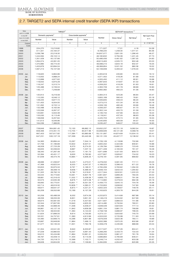**EUROSYSTEM**

## 2.7. TARGET2 and SEPA internal credit transfer (SEPA IKP) transactions

| Value                                       |                  | TARGET <sup>2</sup>    |                                  |                      |                        |                          | SEPAIKP transactions <sup>1,2</sup> |                       |
|---------------------------------------------|------------------|------------------------|----------------------------------|----------------------|------------------------|--------------------------|-------------------------------------|-----------------------|
| until 31.12.2006                            |                  | Domestic payments $^3$ | $Cross\text{-border payments}^4$ |                      |                        |                          |                                     |                       |
| in mio SIT<br>from 01.01.2007<br>in mio EUR | Number           | Value                  | Number                           | Value                | Number                 | Gross Value <sup>5</sup> | Net Value <sup>6</sup>              | Net Cash Flow<br>in % |
|                                             |                  | $\overline{2}$         | $\overline{3}$                   | $\overline{4}$       |                        | 6                        | $\overline{7}$                      |                       |
| Column<br>Code                              | $\mathbf{1}$     |                        |                                  |                      | 5                      |                          |                                     | $8 = (7/6)^*100$      |
| 1998                                        | 224,270          | 15,216.80              |                                  | ÷,                   | 171,527                | 17.01                    | 4.18                                | 24.59                 |
| 1999                                        | 511,321          | 23,184.37              |                                  | ÷,                   | 9,789,220              | 1,259.30                 | 1,077.41                            | 85.56                 |
| 2000                                        | 1,039,796        | 22,218.30              |                                  | L,                   | 34,837,077             | 2,801.55                 | 1,296.40                            | 46.27                 |
| 2001                                        | 1,444,594        | 29,153.14              |                                  | ٠                    | 48,180,832             | 3,794.08                 | 1,431.45                            | 37.73                 |
| 2002                                        | 1,351,429        | 40,137.66              |                                  | ÷,                   | 50,486,456             | 4,461.62                 | 1,097.55                            | 24.60                 |
| 2003                                        | 1,264,074        | 43,391.20              |                                  | ä,                   | 46,613,463             | 4,505.72                 | 902.48                              | 20.03                 |
| 2004                                        | 1,370,990        | 48,774.40              |                                  | L,                   | 48,598,215             | 4,844.19                 | 932.37                              | 19.25                 |
| 2005                                        | 1,403,876        | 62,694.04              |                                  | ä,                   | 49,368,854             | 5,021.52                 | 980.36                              | 19.52                 |
| 2006                                        | 1,567,213        | 76,107.58              |                                  | ٠                    | 52,108,939             | 5,493.42                 | 1,078.40                            | 19.63                 |
|                                             |                  |                        |                                  |                      |                        |                          |                                     |                       |
| 2005 Jun.                                   | 118,820          | 5,964.96               |                                  | ä,                   | 4,305,618              | 435.80                   | 83.33                               | 19.12                 |
| Jul.                                        | 113,932          | 4,988.24               |                                  | ä,                   | 4,071,402              | 418.26                   | 81.69                               | 19.53                 |
| Aug.                                        | 112,899          | 4,977.62               |                                  | ÷,                   | 4,005,450              | 411.12                   | 80.91                               | 19.68                 |
| Sep.                                        | 118,642          | 5,975.29               |                                  | ä,                   | 4,097,643              | 419.97                   | 81.02                               | 19.29                 |
| Oct.                                        | 116,247          | 5,315.74               |                                  | ä,                   | 4,059,202              | 416.29                   | 81.63                               | 19.61                 |
| Nov.                                        | 125,488          | 5,726.53               |                                  | ٠                    | 4,393,709              | 451.78                   | 89.89                               | 19.90                 |
| Dec.                                        | 145,117          | 7,248.89               |                                  | ٠                    | 4,692,082              | 492.23                   | 91.56                               | 18.60                 |
|                                             |                  |                        |                                  |                      |                        |                          |                                     |                       |
| 2006 Jan.                                   | 120,912          | 6,216.58               |                                  | ä,                   | 4,084,313              | 423.28                   | 86.64                               | 20.47                 |
| Feb.                                        | 110,330          | 6,046.12               |                                  | ٠                    | 3,800,169              | 390.43                   | 78.81                               | 20.18                 |
| Mar.                                        | 129,225          | 6,877.72               |                                  | ÷,                   | 4,506,835              | 456.43                   | 86.20                               | 18.89                 |
| Apr.                                        | 121,402          | 6,004.00               |                                  | ä,                   | 4,073,215              | 431.34                   | 87.05                               | 20.18                 |
| May                                         | 131,262          | 6,722.14               |                                  | ä,                   | 4,559,106              | 480.46                   | 93.66                               | 19.49                 |
| Jun.                                        | 132,498          | 6,162.06               |                                  | ٠                    | 4,556,337              | 480.67                   | 91.70                               | 19.08                 |
| Jul.                                        | 123,556          | 6,267.37               |                                  | ä,                   | 4,302,144              | 455.70                   | 91.59                               | 20.10                 |
| Aug.                                        | 120,691          | 5,553.39               |                                  | ä,                   | 4,106,734              | 437.66                   | 84.23                               | 19.24                 |
| Sep.                                        | 133,030          | 6,113.46               |                                  |                      | 4,118,041              | 437.05                   | 88.63                               | 20.28                 |
| Oct.                                        | 138,658          | 6,207.84               |                                  | ä,                   | 4,425,703              | 470.74                   | 91.95                               | 19.53                 |
| Nov.                                        | 141,613          | 6,546.96               |                                  | ٠                    | 4,540,935              | 483.59                   | 94.57                               | 19.55                 |
| Dec.                                        | 164,036          | 7,389.95               |                                  |                      | 5,035,407              | 546.07                   | 103.40                              | 18.93                 |
|                                             |                  |                        |                                  |                      |                        |                          |                                     |                       |
| 2007                                        | 728,846          | 364,681.45             | 72,150                           | 68,882.13            | 53,652,237             | 45,721.18                | 9,082.54                            | 19.87                 |
| 2008                                        | 659,466          | 410,351.72             | 112,700 *                        | 84,617.96 *          | 55,908,926             | 49,121.39                | 9,368.78                            | 19.07                 |
| 2009                                        | 667,403          | 507,617.82             | 117,384 *                        | 63,980.68 *          | 55,131,097             | 44,874.69                | 10,504.15                           | 23.41                 |
| 2010                                        | 647,231          | 530,107.18             | 127,269                          | 63,440.58            | 56,131,105             | 45,407.77                | 9,138.52                            | 20.13                 |
|                                             |                  |                        |                                  |                      |                        |                          |                                     |                       |
| 2008 Jun.                                   | 54,383           | 30,894.44              | 10,267                           | 7,344.14             | 4,726,126              | 4,118.98                 | 752.66                              | 18.27                 |
| Jul.                                        | 57,759           | 31,196.89              | 10,922                           | 8,507.01             | 4,800,452              | 4,322.98                 | 859.81                              | 19.89                 |
| Aug.                                        | 49,509           | 27,723.29              | 8,370                            | 6,274.20             | 4,129,784              | 3,690.23                 | 723.45                              | 19.60                 |
| Sep.                                        | 56,835           | 32,056.63              | 9,897                            | 7,237.15             | 4,671,409              | 4,165.59                 | 761.37                              | 18.28                 |
| Oct.                                        | 58,340           | 47,267.49              | 10,251                           | 7,191.73             | 4,971,699              | 4,421.93                 | 809.70                              | 18.31                 |
| Nov.                                        | 52,394           | 40,451.17              | 9,630                            | 5,782.60             | 4,577,907              | 3,926.67                 | 734.02                              | 19.23                 |
| Dec.                                        | 61,639           | 49,474.76              | 10,884 *                         | 5,836.25 *           | 5,278,181              | 4,591.95                 | 868.82                              | 18.92                 |
|                                             |                  |                        |                                  |                      |                        |                          |                                     |                       |
| 2009 Jan.                                   | 48,686           | 41,056.97              | $8,423$ *                        | 4,273.01 *           | 4,278,032              | 3,581.00                 | 717.11                              | 20.03                 |
| Feb.                                        | 47,369           | 43,622.04              | $8,533$ *                        | 5,547.57 *           | 4,168,023              | 3,396.43                 | 671.22                              | 19.76                 |
| Mar.                                        | 55,653           | 35,975.53              | $9,767$ *                        | $5,169.31$ *         | 4,765,206              | 3,783.82                 | 1,294.30                            | 28.90                 |
| Apr.                                        | 54,281           | 38,569.16              | $9,658$ *                        | 6,399.43 *           | 4,648,154              | 3,832.43                 | 1,294.62                            | 27.19                 |
| May                                         | 51,322           | 28,792.16              | $9,782$ *                        | 5,519.91 *           | 4,517,344              | 3,632.91                 | 1,222.23                            | 27.03                 |
| Jun.                                        | 55,544           | 35,773.60              | 10,561 *                         | 6,937.76 *           | 4,901,837              | 3,866.26                 | 784.05                              | 20.02                 |
| Jul.                                        | 58,681           | 42,316.43              | 11,002 *                         | 5,439.36 *           | 4,808,170              | 3,889.31                 | 791.56                              | 20.23                 |
| Aug.                                        | 50,575           | 42,635.38              | 8,876 *                          | 3,874.08 *           | 4,114,660              | 3,379.03                 | 682.38                              | 20.19                 |
| Sep.                                        | 56,692           | 50,775.91              | 10,831 *                         | $6,051.54$ *         | 4,459,772              | 3,640.15                 | 704.76                              | 19.36                 |
| Oct.                                        | 63,714           | 48,916.50              | 10,909 *                         | 4,390.21 *           | 4,703,953              | 3,838.92                 | 747.90                              | 19.48                 |
| Nov.<br>Dec.                                | 59,677           | 39,631.47              | 8,873 *                          | 4,221.21 *           | 4,602,323              | 3,728.67                 | 749.76                              | 20.11                 |
|                                             | 65,209           | 59,552.68              | 10,169                           | 6,157.29             | 5,163,623              | 4,305.76                 | 844.26                              | 19.61                 |
| 2010 Jan.                                   | 50,259           | 65,486.59              | 8,032                            | 3,674.26             |                        |                          | 687.88                              | 20.14                 |
| Feb                                         | 48,056           | 58,055.06              | 8,601                            | 3,851.32             | 4,222,872<br>4,148,419 | 3,414.68<br>3,244.92     | 647.69                              | 19.96                 |
| Mar                                         | 56,674           | 50,581.93              | 11,019                           | 5,427.62             | 4,911,927              | 3,866.53                 | 741.96                              | 19.19                 |
|                                             |                  |                        |                                  |                      |                        |                          |                                     |                       |
| Apr<br>May                                  | 52,344<br>53,496 | 37,957.95<br>42,989.46 | 10,640<br>11,006                 | 4,925.35<br>5,009.27 | 4,614,480<br>4,839,029 | 3,750.94<br>3,823.93     | 780.01<br>777.14                    | 20.80<br>20.32        |
| Jun.                                        | 56,981           | 45,127.18              | 11,842                           | 4,659.38             | 4,891,104              | 3,881.74                 | 768.99                              | 19.81                 |
| Jul.                                        | 54,722           | 38,502.60              | 11,364                           | 5,144.02             | 4,758,748              | 3,866.97                 | 796.05                              | 20.59                 |
| Aug.                                        | 51,624           | 37,896.55              | 9,614                            | 4,755.85             | 4,374,121              | 3,603.82                 | 745.70                              | 20.69                 |
| Sep.                                        | 53,331           | 34,757.81              | 11,360                           | 4,912.66             | 4,553,532              | 3,725.99                 | 711.63                              | 19.10                 |
| Oct.                                        | 54,480           | 32,666.75              | 10,296                           | 5,801.96             | 4,676,009              | 3,822.36                 | 760.11                              | 19.89                 |
| Nov.                                        | 53,687           | 35,949.95              | 11,864                           | 7,496.12             | 4,832,386              | 3,970.20                 | 832.66                              | 20.97                 |
| Dec                                         | 61,577           | 50,135.34              | 11,631                           | 7,782.78             | 5,308,478              | 4,435.69                 | 888.69                              | 20.04                 |
|                                             |                  |                        |                                  |                      |                        |                          |                                     |                       |
| 2011<br>Jan.                                | 51,354           | 43,541.00              | 9,640                            | 8,200.87             | 4,517,527              | 3,707.26                 | 804.41                              | 21.70                 |
| Feb                                         | 47,029           | 33,980.63              | 10,007                           | 5,691.43             | 4,289,293              | 3,433.70                 | 722.33                              | 21.04                 |
| Mar                                         | 55,610           | 50,434.86              | 11,864                           | 10,991.31            | 5,006,253              | 3,981.27                 | 781.78                              | 19.64                 |
| Apr                                         | 49,787           | 45,009.10              | 11,400                           | 9,115.06             | 4,686,863              | 3,795.69                 | 846.41                              | 22.30                 |
| May                                         | 54,720           | 33,218.72              | 12,399                           | 7,102.71             | 5,249,714              | 4,032.42                 | 833.38                              | 20.67                 |
| Jun.                                        | 56,628           | 33,604.93              | 11,546                           | 7,159.60             | 5,494,935              | 4,054.67                 | 820.99                              | 20.25                 |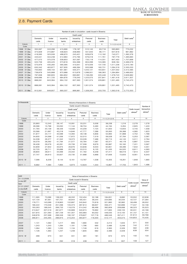## 2.8. Payment Cards

|                 |                          | Number of cards in circulation - cards issued in Slovenia |                    |                           |                   |                          |                 |                          |  |  |  |  |
|-----------------|--------------------------|-----------------------------------------------------------|--------------------|---------------------------|-------------------|--------------------------|-----------------|--------------------------|--|--|--|--|
|                 |                          |                                                           |                    | Credit cards <sup>1</sup> |                   |                          |                 |                          |  |  |  |  |
|                 | <b>Domestic</b><br>cards | Under<br>licence                                          | Issued by<br>banks | Issued by<br>enterprises  | Personal<br>cards | <b>Business</b><br>cards | Total           | Debit cards <sup>2</sup> |  |  |  |  |
| Column          | 1                        | $\overline{c}$                                            | 3                  | $\overline{4}$            | 5                 | 6                        | $7=1+2.3+4.5+6$ | 8                        |  |  |  |  |
| Code            |                          |                                                           |                    |                           |                   |                          |                 |                          |  |  |  |  |
| 1998 31.Dec.    | 350.567                  | 243.296                                                   | 415.666            | 178.197                   | 510.145           | 83,718                   | 593,863         | 775.032                  |  |  |  |  |
| 1999<br>31.Dec. | 374.929                  | 272.887                                                   | 438.823            | 208.993                   | 551.645           | 96.171                   | 647.816         | 961.982                  |  |  |  |  |
| 2000<br>31.Dec. | 418.565                  | 323.506                                                   | 498,670            | 243.401                   | 629.879           | 112.192                  | 742.071         | 1.392.379                |  |  |  |  |
| 2001<br>31.Dec. | 443.541                  | 344.238                                                   | 512.994            | 274.785                   | 676,018           | 111.761                  | 787.779         | 1.495.660                |  |  |  |  |
| 2002<br>31.Dec. | 477.072                  | 370.378                                                   | 539.853            | 307.597                   | 733.119           | 114.331                  | 847,450         | 1.707.668                |  |  |  |  |
| 2003<br>31.Dec. | 522.759                  | 405.425                                                   | 573.818            | 354.366                   | 804.099           | 124,085                  | 928,184         | 2,466,579                |  |  |  |  |
| 2004<br>31.Dec. | 575.976                  | 435.260                                                   | 595.595            | 415.641                   | 873.506           | 137.730                  | 1.011.236       | 2.310.190                |  |  |  |  |
| 2005<br>31.Dec. | 630.342                  | 463.977                                                   | 627.935            | 466.384                   | 933.588           | 160,731                  | 1,094,319       | 2,330,220                |  |  |  |  |
| 2006<br>31.Dec. | 700.950                  | 506.102                                                   | 651.681            | 555.371                   | 1.043.121         | 163.931                  | 1.207.052       | 2,412,485                |  |  |  |  |
| 2007<br>31.Dec. | 738.876                  | 545.988                                                   | 670.988            | 613.876                   | 1.098.501         | 186.363                  | 1.284.864       | 2,486,652                |  |  |  |  |
| 2008<br>31.Dec. | 787.838                  | 590.905                                                   | 684.852            | 693.891                   | 1.158.295         | 220.448                  | 1.378.743       | 2.626.982                |  |  |  |  |
| 2009<br>31.Dec. | 849.696                  | 611.720                                                   | 684.876            | 776.540                   | 1.223.575         | 237.841                  | 1,461,416       | 2.611.307                |  |  |  |  |
| 31.Dec.<br>2010 | 888.081                  | 643.384                                                   | 694.102            | 837.363                   | 1.301.574         | 229.891                  | 1.531.465       | 2.742.470                |  |  |  |  |
|                 |                          |                                                           |                    |                           |                   |                          |                 |                          |  |  |  |  |
| 2010 31.Dec.    | 888.081                  | 643,384                                                   | 694.102            | 837.363                   | 1.301.574         | 229.891                  | 1.531.465       | 2,742,470                |  |  |  |  |
|                 |                          |                                                           |                    |                           |                   |                          |                 |                          |  |  |  |  |
| 2011 31. Mar.   | 912,061                  | 649,957                                                   | 695.037            | 866,981                   | 1,328,263         | 233,755                  | 1,562,018       | 2,772,353                |  |  |  |  |

| In thousands | Volume of transactions in Slovenia |                |           |                           |                          |                 |                 |                          |                     |                     |  |
|--------------|------------------------------------|----------------|-----------|---------------------------|--------------------------|-----------------|-----------------|--------------------------|---------------------|---------------------|--|
|              |                                    |                |           |                           | Cards issued in Slovenia |                 |                 |                          |                     | Number of           |  |
|              |                                    |                |           | Credit cards <sup>1</sup> |                          |                 |                 |                          | Cards issued        | transaction         |  |
|              | Domestic                           | Under          | Issued by | Issued by                 | Personal                 | <b>Business</b> | Total           | Debit cards <sup>2</sup> | abroad <sup>3</sup> | abroad <sup>4</sup> |  |
|              | cards                              | licence        | banks     | enterprises               | cards                    | cards           |                 |                          |                     |                     |  |
| Column       | 1                                  | $\overline{c}$ | 3         | 4                         | 5                        | 6               | $7=1+2.3+4.5+6$ | 8                        | 9                   | 10                  |  |
| Code         |                                    |                |           |                           |                          |                 |                 |                          |                     |                     |  |
| 1998         | 25,993                             | 12,245         | 28.147    | 10.091                    | 33,231                   | 5.006           | 38,238          | 1.216                    | 2,278               | 1,278               |  |
| 1999         | 28.396                             | 15,798         | 33.050    | 11.144                    | 38.704                   | 5,490           | 44,194          | 5,264                    | 2,925               | 1,433               |  |
| 2000         | 31.794                             | 20,139         | 38.426    | 13.506                    | 44.209                   | 7.724           | 51,933          | 13,933                   | 3,745               | 1,558               |  |
| 2001         | 33.366                             | 21.697         | 40.218    | 14.846                    | 47.777                   | 7.286           | 55.063          | 26.388                   | 4.585               | 1.623               |  |
| 2002         | 31.877                             | 23,117         | 40.599    | 14.394                    | 49.138                   | 5,856           | 54.994          | 31.988                   | 4.752               | 1.788               |  |
| 2003         | 34.930                             | 24,598         | 41.556    | 17.972                    | 52,010                   | 7.519           | 59,528          | 37,784                   | 5,253               | 2,097               |  |
| 2004         | 34.338                             | 26,377         | 41.342    | 19.373                    | 53,228                   | 7,486           | 60,715          | 44,145                   | 5,011               | 2,764               |  |
| 2005         | 35,079                             | 28,292         | 41.794    | 21.577                    | 55,784                   | 7,587           | 63,371          | 49,178                   | 5,897               | 3,044               |  |
| 2006         | 36.408                             | 29.579         | 40.281    | 25.706                    | 57.308                   | 8.679           | 65.987          | 55.182                   | 7,221               | 3,597               |  |
| 2007         | 34.909                             | 27,942         | 35.975    | 26.876                    | 53.848                   | 9.003           | 62.851          | 59.496                   | 7.642               | 4,551               |  |
| 2008         | 32.725                             | 28.711         | 35.688    | 25.748                    | 53.310                   | 8.125           | 61.435          | 64.520                   | 8.911               | 4,560               |  |
| 2009         | 28,800                             | 28,611         | 34,069    | 23,342                    | 51,162                   | 6,248           | 57,411          | 68,016                   | 7.814               | 5,537               |  |
| 2010         | 27.747                             | 29.910         | 33.927    | 23.730                    | 51.688                   | 5.968           | 57.656          | 72.833                   | 8.561               | 6.543               |  |
|              |                                    |                |           |                           |                          |                 |                 |                          |                     |                     |  |
| 2010 IV      | 7.096                              | 8,209          | 9.144     | 6.161                     | 13.767                   | 1.538           | 15.305          | 19.261                   | 1.949               | 1.690               |  |
|              |                                    |                |           |                           |                          |                 |                 |                          |                     |                     |  |
| 2011         | 6,682                              | 7,284          | 7,994     | 5,973                     | 12,623                   | 1,344           | 13,967          | 17,705                   | 1,843               | 1,496               |  |

| Until              |              |                |           |                           | Value of transactions in Slovenia |                 |                           |                          |                     |                     |
|--------------------|--------------|----------------|-----------|---------------------------|-----------------------------------|-----------------|---------------------------|--------------------------|---------------------|---------------------|
| 31.12.2006         |              |                |           |                           | Cards issued in Slovenia          |                 |                           |                          |                     | Value of            |
| in mio SIT         |              |                |           | Credit cards <sup>1</sup> |                                   |                 |                           |                          | Cards issued        | transaction         |
| from<br>01.01.2007 | Domestic     | Under          | Issued by | Issued by                 | Personal                          | <b>Business</b> |                           | Debit cards <sup>2</sup> | abroad <sup>3</sup> | abroad <sup>4</sup> |
| in mio EUR         | cards        | licence        | banks     | enterprises               | cards                             | cards           | Total                     |                          |                     |                     |
|                    |              |                |           |                           |                                   |                 |                           |                          |                     |                     |
| Column             | $\mathbf{1}$ | $\overline{2}$ | 3         | $\overline{4}$            | 5                                 | 6               | $7 = 1 + 2, 3 + 4, 5 + 6$ | 8                        | 9                   | 10                  |
| Code               |              |                |           |                           |                                   |                 |                           |                          |                     |                     |
| 1998               | 111.565      | 73.086         | 138.320   | 46.332                    | 152.454                           | 32.198          | 184.651                   | 6,890                    | 33.552              | 22,638              |
| 1999               | 127.134      | 97.561         | 167.751   | 56.944                    | 185.451                           | 39.244          | 224.695                   | 30.034                   | 42.727              | 27.284              |
| 2000               | 178.771      | 143.089        | 218,963   | 102.897                   | 245.942                           | 75.918          | 321.860                   | 92.982                   | 58.499              | 28.552              |
| 2001               | 186.422      | 170.049        | 251.098   | 105.373                   | 287.814                           | 68.657          | 356.471                   | 162.896                  | 77.047              | 32.158              |
| 2002               | 193.263      | 189.545        | 266.733   | 116,076                   | 314.342                           | 68.466          | 382.809                   | 209.688                  | 86.323              | 35.523              |
| 2003               | 210.647      | 207.019        | 281.677   | 135.989                   | 340.674                           | 76.992          | 417.665                   | 249.105                  | 90.031              | 40,168              |
| 2004               | 227.975      | 221.060        | 287.729   | 161.307                   | 355.983                           | 93.052          | 449.035                   | 313.100                  | 81.157              | 51.101              |
| 2005               | 248.978      | 237.568        | 296.349   | 190.197                   | 378.827                           | 107.718         | 486.546                   | 357.411                  | 91,612              | 59,788              |
| 2006               | 266.911      | 245,265        | 296.973   | 215.204                   | 393.877                           | 118,300         | 512,177                   | 403.573                  | 104,853             | 70.435              |
|                    |              |                |           |                           |                                   |                 |                           |                          |                     |                     |
| 2007               | 1.131        | 1.082          | 1.217     | 995                       | 1.680                             | 532             | 2.212                     | 1.945                    | 571                 | 330                 |
| 2008               | 1.243        | 1.243          | 1.294     | 1.191                     | 1.796                             | 690             | 2.486                     | 2.248                    | 742                 | 372                 |
| 2009               | 1.084        | 1.280          | 1.230     | 1.134                     | 1.749                             | 616             | 2.365                     | 2.326                    | 582                 | 438                 |
| 2010               | 1.126        | 1.360          | 1.247     | 1,239                     | 1.805                             | 682             | 2.486                     | 2.509                    | 639                 | 504                 |
|                    |              |                |           |                           |                                   |                 |                           |                          |                     |                     |
| 2010 IV            | 299          | 373            | 341       | 331                       | 491                               | 181             | 672                       | 673                      | 150                 | 133                 |
|                    |              |                |           |                           |                                   |                 |                           |                          |                     |                     |
| 2011               | 280          | 330            | 292       | 318                       | 438                               | 172             | 610                       | 607                      | 159                 | 127                 |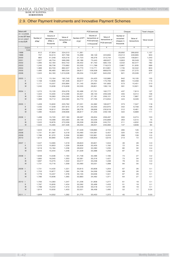**EUROSYSTEM**

## 2.9. Other Payment Instruments and Innovative Payment Schemes

| Value until                      |                | <b>ATMs</b>                  |                 |                  | POS terminals       |                            |                       | Cheques      | Travel cheques |
|----------------------------------|----------------|------------------------------|-----------------|------------------|---------------------|----------------------------|-----------------------|--------------|----------------|
| 31.12.2006                       |                |                              |                 |                  | Volume of           |                            |                       |              |                |
| in mio SIT from                  | Number of      | Volume of<br>transactions at | Value of        | Number of EFT    | transactions at     | Value of                   | Number of<br>encashed | Value of     |                |
| 01.01.2007                       | <b>ATMs</b>    | ATMs in                      | transactions at | POS <sup>1</sup> | POS terminals       | transactions at            | cheques in            | transactions | Value issued   |
| in mio EUR                       |                | thousands                    | <b>ATMs</b>     |                  | in thousands $^{2}$ | POS terminals <sup>2</sup> | thousands             |              |                |
|                                  |                |                              |                 |                  |                     |                            |                       |              |                |
| Column                           | $\mathbf{1}$   | $\overline{c}$               | 3               | $\overline{4}$   | 5                   | 6                          | $\overline{7}$        | 8            | 9              |
| Code<br>1998                     | 612            | 27,934                       | 224,010         | 11,361           | $\cdots$            | $\cdots$                   | 26,692                | 266,650      | 1,137          |
| 1999                             | 757            | 34,515                       | 307,768         | 15,269           | 38,149              | 223,694                    | 23,012                | 249,995      | 953            |
| 2000                             | 865            | 41,048                       | 425,016         | 21,723           | 49,376              | 313,744                    | 13,205                | 158,841      | 1,043          |
| 2001                             | 1,027          | 46,734                       | 566,099         | 26,186           | 73,445              | 466,627                    | 5,663                 | 90,049       | 720            |
| 2002                             | 1,095          | 52,160                       | 642,742         | 29,452           | 91,750              | 585,103                    | 4,532                 | 82,477       | 782            |
| 2003                             | 1,240          | 58,736                       | 770,682         | 32,035           | 111,788             | 719,572                    | 2,967                 | 51,935       | 589            |
| 2004                             | 1,389          | 63,700                       | 892,207         | 34,770           | 110,771             | 812,861                    | 1,735                 | 32,342       | 603            |
| 2005                             | 1,490          | 66,485                       | 983,024         | 28,817           | 109,508             | 868,676                    | 1,350                 | 27,275       | 506            |
| 2006                             | 1,522          | 64,160                       | 1,010,028       | 29,234           | 115,367             | 945,200                    | 921                   | 20,028       | 377            |
|                                  |                |                              |                 |                  |                     |                            |                       |              |                |
| 2003                             | 1,173          | 13,164                       | 162,743         | 30,053           | 24,423              | 152,980                    | 942                   | 16,105       | 125            |
| Ш                                | 1,158          | 14,928                       | 191,306         | 30,617           | 27,734              | 175,793                    | 860                   | 14,458       | 115            |
| Ш                                | 1,171          | 15,007                       | 200,994         | 31,145           | 29,831              | 191,683                    | 573                   | 10,451       | 213            |
| IV                               | 1,240          | 15,636                       | 215,639         | 32,035           | 29,801              | 199,116                    | 591                   | 10,921       | 136            |
| 2004<br>- 1                      | 1,272          | 15,105                       | 204,576         | 32,496           | 27,731              | 182,777                    | 437                   | 7,813        | 127            |
| $\label{eq:1} \ $                | 1,322          | 15,300                       | 213,299         | 33,321           | 28,133              | 206,328                    | 455                   | 8,314        | 106            |
| Ш                                | 1,354          | 16,583                       | 234,242         | 34,302           | 27,181              | 208,101                    | 419                   | 7,887        | 227            |
| IV                               | 1,389          | 16,712                       | 240,090         | 34,770           | 27,726              | 215,654                    | 424                   | 8,328        | 143            |
|                                  |                |                              |                 |                  |                     |                            |                       |              |                |
| 2005<br>$\mathbf{I}$             | 1,409          | 15,600                       | 220,762         | 27,031           | 24,382              | 185,977                    | 373                   | 7,347        | 118            |
| Ш                                | 1,435          | 17,549                       | 257,915         | 27,746           | 25,055              | 202,970                    | 342                   | 6,758        | 106            |
| Ш                                | 1,456          | 16,812                       | 254,691         | 28,276           | 28,836              | 230,619                    | 312                   | 6,481        | 172            |
| IV                               | 1,490          | 16,524                       | 249,656         | 28,817           | 31,235              | 249,109                    | 322                   | 6,689        | 111            |
| 2006<br>$\perp$                  | 1,499          | 15,720                       | 237,180         | 28,587           | 26,834              | 208,497                    | 300                   | 6,274        | 103            |
| Ш                                | 1,510          | 16,099                       | 253,363         | 29,148           | 30,026              | 245,869                    | 263                   | 5,515        | 75             |
| $\mathop{\mathrm{III}}\nolimits$ | 1,522          | 16,876                       | 272,059         | 29,259           | 29,506              | 245,751                    | 211                   | 4,632        | 105            |
| ${\sf IV}$                       | 1,522          | 15,465                       | 247,426         | 29,234           | 29,001              | 245,083                    | 147                   | 3,608        | 94             |
|                                  |                |                              |                 |                  |                     |                            |                       |              |                |
| 2007                             | 1,643          | 61,146                       | 4,731           | 31,529           | 129,895             | 4,724                      | 285                   | 126          | 1.2            |
| 2008                             | 1,731          | 61,567                       | 5,218           | 33,490           | 134,581             | 5,457                      | 320                   | 125          | 0.9            |
| 2009                             | 1,786          | 61,370                       | 5,356           | 32,883           | 132,991             | 5,253                      | 268                   | 108          | 0.5            |
| 2010                             | 1,814          | 60,990                       | 5,484           | 32,021           | 138,853             | 5,616                      | 213                   | 72           | 0.3            |
| 2007                             | 1,547          | 14,565                       | 1,019           | 29,843           | 30,821              | 1,044                      | 46                    | 28           | 0.3            |
| $\label{eq:1} \ $                | 1,575          | 15,953                       | 1,229           | 29,926           | 33,405              | 1,192                      | 72                    | 34           | 0.3            |
| Ш                                | 1,619          | 15,184                       | 1,236           | 29,632           | 32,280              | 1,230                      | 80                    | 30           | 0.4            |
| IV                               | 1,643          | 15,444                       | 1,246           | 31,529           | 33,388              | 1,258                      | 87                    | 34           | 0.3            |
|                                  |                |                              |                 |                  |                     |                            |                       |              |                |
| 2008                             | 1,648          | 14,536                       | 1,164           | 31,748           | 32,496              | 1,195                      | 74                    | 27           | 0.2            |
| Ш                                | 1,685          | 16,040                       | 1,353           | 32,581           | 35,316              | 1,427                      | $7\sqrt{3}$           | 34           | 0.2            |
| $\mathop{\mathrm{III}}\nolimits$ | 1,697          | 15,275                       | 1,342           | 33,017           | 33,238              | 1,438                      | 79                    | 34           | 0.3            |
| IV                               | 1,731          | 15,716                       | 1,359           | 33,490           | 33,531              | 1,398                      | 94                    | 30           | 0.2            |
| 2009                             |                | 14,430                       | 1,221           | 33,815           | 30,808              | 1,204                      | 67                    | 26           | 0.1            |
| Ш                                | 1,731          | 15,877                       | 1,392           | 34,139           | 34,056              |                            |                       | 26           | 0.1            |
| Ш                                | 1,753<br>1,779 | 15,457                       | 1,378           | 33,155           | 33,636              | 1,336<br>1,341             | 69<br>67              | 29           | 0.1            |
| ${\sf IV}$                       | 1,786          | 15,606                       | 1,365           | 32,883           | 34,492              | 1,371                      | 64                    | 27           | 0.1            |
|                                  |                |                              |                 |                  |                     |                            |                       |              |                |
| 2010                             | 1,793          | 14,283                       | 1,247           | 31,236           | 31,908              | 1,277                      | 61                    | 18           | 0.1            |
| Ш                                | 1,797          | 15,835                       | 1,424           | 32,092           | 35,469              | 1,433                      | 51                    | 19           | 0.1            |
| Ш                                | 1,798          | 15,242                       | 1,410           | 32,249           | 35,018              | 1,415                      | 49                    | 18           | 0.1            |
| ${\sf IV}$                       | 1,814          | 15,630                       | 1,403           | 32,021           | 36,458              | 1,490                      | 52                    | 17           | 0.04           |
|                                  |                |                              |                 |                  |                     |                            |                       |              |                |
| 2011                             | 1,809          | 14,552                       | 1,292           | 31,775           | 33,453              | 1,372                      | 45                    | 16           | 0.03           |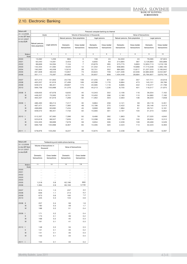

# 2.10. Electronic Banking

| Value until |                 | Personal computer banking via Internet |                |                                   |                |                                     |              |                                   |                       |              |               |  |
|-------------|-----------------|----------------------------------------|----------------|-----------------------------------|----------------|-------------------------------------|--------------|-----------------------------------|-----------------------|--------------|---------------|--|
| 31.12.2006  |                 |                                        | Users          |                                   |                | Volume of transactions in thousands |              |                                   | Value of transactions |              |               |  |
| 01.01.2007  | in mio SIT from |                                        |                | Natural persons, Sole proprietors |                | legal persons                       |              | Natural persons, Sole proprietors |                       |              | Legal persons |  |
| in mio EUR  |                 |                                        |                |                                   |                |                                     |              |                                   |                       |              |               |  |
|             |                 | Natural persons,                       | Legal persons  | Domestic                          | Cross border   | Domestic                            | Cross border | Domestic                          | Cross border          | Domestic     | Cross border  |  |
|             |                 | Sole proprietors                       |                | transactions                      | transactions   | transactions                        | transactions | transactions                      | transactions          | transactions | transactions  |  |
|             |                 |                                        |                |                                   |                |                                     |              |                                   |                       |              |               |  |
|             |                 |                                        |                |                                   |                |                                     |              |                                   |                       |              |               |  |
|             | Stolpec<br>Koda | $\mathbf{1}$                           | $\overline{2}$ | 3                                 | $\overline{4}$ | $\overline{5}$                      | 6            | $\overline{7}$                    | $\overline{8}$        | 9            | 10            |  |
| 2000        |                 | 15.082                                 | 1.206          | 984                               | $\circ$        | 159                                 | 24           | 54,550                            | 24                    | 79,395       | 67.924        |  |
| 2001        |                 | 63,440                                 | 14,091         | 3,403                             | $\circ$        | 6,900                               | 93           | 214,894                           | 387                   | 3,126,883    | 350,888       |  |
| 2002        |                 | 98,669                                 | 34,094         | 7,104                             | $\overline{7}$ | 23,879                              | 285          | 573,775                           | 9,893                 | 12,652,713   | 1,019,139     |  |
| 2003        |                 | 142,334                                | 41,592         | 9,520                             | 12             | 31,002                              | 410          | 658,965                           | 19,988                | 17,715,548   | 1,485,185     |  |
| 2004        |                 | 192,560                                | 45,008         | 12,616                            | 28             | 32,751                              | 552          | 984,660                           | 13,617                | 21,227,533   | 2,185,642     |  |
| 2005        |                 | 261,928                                | 48,543         | 15,957                            | 73             | 33,624                              | 709          | 1,221,006                         | 22,556                | 22,884,609   | 3,042,587     |  |
| 2006        |                 | 351,111                                | 70,287         | 20,982                            | 70             | 35,657                              | 808          | 1,454,449                         | 28,684                | 25,790,907   | 3,876,749     |  |
|             |                 |                                        |                |                                   |                |                                     |              |                                   |                       |              |               |  |
| 2007        |                 | 407.210                                | 61.955         | 24.735                            | 108            | 47.205                              | 974          | 7.391                             | 357                   | 147.711      | 22.818        |  |
| 2008        |                 | 463.337                                | 81.816         | 27,499                            | 169            | 42.096                              | 1.176        | 8.884                             | 473                   | 145.101      | 28,786        |  |
| 2009        |                 | 509,572                                | 96,401         | 29,867                            | 173            | 40,585                              | 1,116        | 8,695                             | 342                   | 119,477      | 21,798        |  |
| 2010        |                 | 566,759                                | 100,998        | 31,376                            | 235            | 40,213                              | 1,226        | 8,755                             | 401                   | 118,317      | 21,870        |  |
|             |                 |                                        |                |                                   |                |                                     |              |                                   |                       |              |               |  |
| 2008 II     |                 | 439.655                                | 67.678         | 6.835                             | 40             | 10.343                              | 302          | 2.156                             | 116                   | 36.554       | 7.162         |  |
|             | Ш               | 449,207                                | 70,565         | 6,751                             | 39             | 10,450                              | 298          | 2,180                             | 115                   | 34,980       | 7,180         |  |
|             | IV              | 463,337                                | 81,816         | 7,266                             | 50             | 11,062                              | 303          | 2,563                             | 136                   | 38,203       | 7,658         |  |
| 2009        |                 | 486.493                                | 86,214         | 7.317                             | 30             | 9.864                               | 258          | 2.121                             | 59                    | 29.116       | 5,351         |  |
|             | Ш               | 487,471                                | 90,641         | 7,385                             | 48             | 10,186                              | 275          | 2,422                             | 92                    | 29,146       | 5,413         |  |
|             | III             | 498,895                                | 93,690         | 7,434                             | 45             | 9,969                               | 283          | 1,984                             | 91                    | 29,741       | 5,181         |  |
|             | IV              | 509,572                                | 96,401         | 7,732                             | 50             | 10.565                              | 301          | 2,167                             | 100                   | 31,473       | 5,852         |  |
|             |                 |                                        |                |                                   |                |                                     |              |                                   |                       |              |               |  |
| 2010        |                 | 512,337                                | 97,060         | 7,396                             | 50             | 9,466                               | 292          | 1,963                             | 78                    | 27,020       | 4,640         |  |
|             | $\mathsf{II}$   | 523,818                                | 98,507         | 7,935                             | 61             | 10,298                              | 309          | 2,159                             | 100                   | 29,604       | 5,312         |  |
|             | III             | 534,325                                | 99,899         | 7,678                             | 59             | 9.954                               | 306          | 2,209                             | 109                   | 29,469       | 5,526         |  |
|             | IV              |                                        |                |                                   |                |                                     |              |                                   |                       |              |               |  |
|             |                 | 566,759                                | 100,998        | 8,367                             | 65             | 10,495                              | 320          | 2,424                             | 114                   | 32,223       | 6,393         |  |
| 2011        |                 | 578.976                                | 103.262        | 8.227                             | 48             | 10.675                              | 440          | 2.438                             | 98                    | 32.483       | 6.097         |  |
|             |                 |                                        |                |                                   |                |                                     |              |                                   |                       |              |               |  |

| Value until              |                 |                                       |                              | Telebanking and mobile phone banking |                              |
|--------------------------|-----------------|---------------------------------------|------------------------------|--------------------------------------|------------------------------|
| 31.12.2006<br>01.01.2007 | in mio SIT from | Volume of transactions in<br>thousand |                              | Value of transactions                |                              |
| in mio EUR               |                 | Domestic<br>transactions              | Cross border<br>transactions | Domestic<br>transactions             | Cross border<br>transactions |
|                          |                 | 11                                    | 12                           | 13                                   | 14                           |
|                          | Stolpec<br>Koda |                                       |                              |                                      |                              |
| 2000                     |                 | .                                     | .                            | $\ddotsc$                            | .                            |
| 2001                     |                 | .                                     | .                            | .                                    | $\cdots$                     |
| 2002                     |                 | $\cdots$                              | $\cdots$                     | $\cdots$                             | $\cdots$                     |
| 2003                     |                 | $\cdots$                              | .                            | .                                    | .                            |
| 2004                     |                 | $\cdots$                              | .                            | $\cdots$                             | .                            |
| 2005                     |                 | 1,518                                 | 0.8                          | 62,196                               | 880                          |
| 2006                     |                 | 1,394                                 | 0.9                          | 65,193                               | 4,730                        |
|                          |                 |                                       |                              |                                      |                              |
| 2007                     |                 | 914                                   | 1.0                          | 237                                  | 4.0                          |
| 2008                     |                 | 836                                   | 1.1                          | 213                                  | 5.2                          |
| 2009                     |                 | 673                                   | 0.6                          | 160                                  | 1.2                          |
| 2010                     |                 | 425                                   | 0.3                          | 104                                  | 0.9                          |
|                          |                 |                                       |                              |                                      |                              |
| 2008                     | $\mathbf{II}$   | 207                                   | 0.4                          | 56                                   | 1.8                          |
|                          | Ш<br>IV         | 190                                   | 0.3<br>0.2                   | 49<br>51                             | 1.7<br>0.4                   |
|                          |                 | 188                                   |                              |                                      |                              |
| 2009                     | L               | 171                                   | 0.2                          | 41                                   | 0.4                          |
|                          | $\mathbf{I}$    | 173                                   | 0.1                          | 39                                   | 0.2                          |
|                          | Ш               | 168                                   | 0.2                          | 40                                   | 0.3                          |
|                          | IV              | 161                                   | 0.1                          | 41                                   | 0.3                          |
|                          |                 |                                       |                              |                                      |                              |
| 2010                     | L               | 148                                   | 0.2                          | 34                                   | 0.3                          |
|                          | $\mathbf{I}$    | 141                                   | 0.1                          | 35                                   | 0.2                          |
|                          | Ш               | 141                                   | 0.1                          | 35                                   | 0.3                          |
|                          | IV              | 143                                   | 0.1                          | 34                                   | 0.4                          |
|                          |                 |                                       |                              |                                      |                              |
| 2011                     | ı               | 153                                   | 0.1                          | 34                                   | 0.4                          |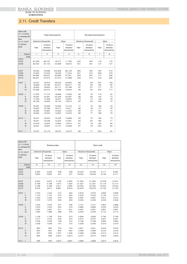BANK OF SLOVENIA **EUROSYSTEM**

## 2.11. Credit Transfers

| Value until<br>31.12.2006<br>in milliards SIT<br>from |                                           |                                      |                                      | Paper based payment                   |                                      | Non-paper based payment  |                                      |                          |                                      |  |
|-------------------------------------------------------|-------------------------------------------|--------------------------------------|--------------------------------------|---------------------------------------|--------------------------------------|--------------------------|--------------------------------------|--------------------------|--------------------------------------|--|
| 01.01.2007                                            |                                           |                                      | Volume (in thousands)                | Value                                 |                                      |                          | Volume (in thousands)                |                          | Value                                |  |
| in millions<br><b>EUR</b>                             |                                           | Total                                | Of which<br>domestic<br>transactions | Total                                 | Of which<br>domestic<br>transactions | Total                    | Of which<br>domestic<br>transactions | Total                    | Of which<br>domestic<br>transactions |  |
|                                                       | Column                                    | 1                                    | $\overline{2}$                       | 3                                     | $\overline{\mathbf{4}}$              | $\overline{5}$           | 6                                    | $\overline{7}$           | 8                                    |  |
|                                                       | Code                                      |                                      |                                      |                                       |                                      |                          |                                      |                          |                                      |  |
| 2004<br>2005<br>2006                                  |                                           | 87,508<br>92,004                     | 86,757<br>91,124                     | $\cdots$<br>16,277<br>23,496          | $\cdots$<br>11,783<br>18,675         | $\cdots$<br>404<br>451   | $\cdots$<br>404<br>451               | $\cdots$<br>116<br>127   | $\cdots$<br>116<br>127               |  |
| 2007<br>2008<br>2009<br>2010                          |                                           | 76,550<br>72,935<br>65,982<br>68,051 | 76,098<br>72,533<br>65,647<br>67,673 | 104,959<br>79,538<br>62,860<br>57,072 | 96,149<br>71,544<br>57,501<br>51,988 | 365<br>341<br>329<br>349 | 342<br>315<br>297<br>315             | 764<br>559<br>712<br>704 | 416<br>279<br>308<br>288             |  |
| 2007                                                  | $\mathbf{I}$<br>$\mathbf{H}$<br>III<br>IV | 18,337<br>18,908<br>18,925<br>20,380 | 18,203<br>18,785<br>18,834<br>20,275 | 28,025<br>30,377<br>25,171<br>21,386  | 25,903<br>28,017<br>23,188<br>19,040 | 88<br>90<br>87<br>99     | 83<br>84<br>81<br>93                 | 207<br>182<br>171<br>204 | 129<br>95<br>75<br>117               |  |
| 2008                                                  | Ш<br>III<br>IV                            | 17,876<br>19,497<br>17,403<br>18,159 | 17,774<br>19,391<br>17,306<br>18,062 | 19,668<br>22,309<br>18,457<br>19,104  | 17,829<br>20,297<br>16,603<br>16,815 | 84<br>86<br>79<br>92     | 79<br>80<br>72<br>84                 | 116<br>134<br>146<br>162 | 52<br>73<br>79<br>75                 |  |
| 2009                                                  | $\mathbf{I}$<br>Ш<br>Ш<br>IV              | 16,481<br>16,852<br>16,065<br>16,584 | 16,393<br>16,766<br>15,987<br>16,500 | 16,362<br>16,014<br>15,582<br>14,902  | 15,104<br>14,611<br>14,353<br>13,433 | 77<br>86<br>80<br>86     | 70<br>78<br>72<br>77                 | 160<br>172<br>191<br>188 | 79<br>76<br>74<br>79                 |  |
| 2010<br>$\blacksquare$                                | Ш<br>III<br>IV                            | 19,401<br>16,641<br>15,918<br>16,091 | 19,303<br>16,538<br>15,834<br>15,997 | 15,439<br>13,503<br>13,992<br>14,137  | 13,869<br>12,281<br>12,910<br>12,928 | 83<br>92<br>87<br>87     | 75<br>84<br>78<br>78                 | 156<br>180<br>165<br>203 | 73<br>77<br>58<br>80                 |  |
| 2011                                                  | $\mathbf{I}$                              | 15,257                               | 15,173                               | 16,070                                | 15,073                               | 86                       | 77                                   | 202                      | 67                                   |  |

| Value until<br>31.12.2006<br>from | in milliards SIT                        |                                  | Standing orders                      |                                  |                                      | Direct credit                        |                                      |                                      |                                      |  |
|-----------------------------------|-----------------------------------------|----------------------------------|--------------------------------------|----------------------------------|--------------------------------------|--------------------------------------|--------------------------------------|--------------------------------------|--------------------------------------|--|
| 01.01.2007                        |                                         |                                  | Volume (in thousands)                |                                  | Value                                | Volume (in thousands)                |                                      | Value                                |                                      |  |
| in millions<br><b>EUR</b>         |                                         | Total                            | Of which<br>domestic<br>transactions | Total                            | Of which<br>domestic<br>transactions | Total                                | Of which<br>domestic<br>transactions | Total                                | Of which<br>domestic<br>transactions |  |
|                                   | Column                                  | 9                                | 10                                   | 11                               | 12                                   | 13                                   | 14                                   | 15                                   | 16                                   |  |
|                                   | Code                                    |                                  |                                      |                                  |                                      |                                      |                                      |                                      |                                      |  |
| 2004<br>2005<br>2006              |                                         | 4,484<br>3,963                   | 4,484<br>3,963                       | $\cdots$<br>408<br>427           | .<br>408<br>427                      | $\cdots$<br>16,434<br>18,050         | 16,429<br>18,049                     | .<br>6,111<br>6,736                  | 6,087<br>6,717                       |  |
| 2007<br>2008<br>2009<br>2010      |                                         | 4,624<br>4,199<br>4,188<br>3,818 | 4,624<br>4,199<br>4,188<br>3,817     | 2,105<br>1,977<br>2,611<br>8,881 | 2,060<br>1,932<br>2,595<br>8,875     | 21,284<br>21,037<br>20,784<br>20,679 | 21,284<br>21,037<br>20,784<br>20,679 | 12,249<br>12,116<br>12,024<br>12,123 | 12,241<br>12,114<br>12,024<br>12,123 |  |
| 2007                              | $\mathbf{I}$<br>$\mathbf{I}$<br>Ш<br>IV | 1,223<br>1,124<br>1,200<br>1,076 | 1,223<br>1,124<br>1,200<br>1,076     | 512<br>475<br>573<br>546         | 504<br>462<br>564<br>529             | 4,916<br>5,432<br>5,587<br>5,349     | 4,916<br>5,432<br>5,587<br>5,349     | 2,660<br>3,145<br>2,914<br>3,530     | 2,659<br>3,141<br>2,913<br>3,528     |  |
| 2008                              | $\overline{1}$<br>Ш<br>Ш<br>IV          | 1,020<br>1,023<br>1,067<br>1,090 | 1,020<br>1,023<br>1,067<br>1,089     | 447<br>532<br>511<br>488         | 436<br>519<br>501<br>476             | 4,741<br>5,666<br>5,381<br>5,249     | 4,741<br>5,666<br>5,381<br>5,249     | 2,891<br>3,253<br>2,861<br>3,110     | 2,889<br>3,253<br>2,861<br>3,110     |  |
| 2009                              | $\mathbf{I}$<br>$\mathbf{I}$<br>Ш<br>IV | 1,138<br>1,017<br>1,026<br>1,008 | 1,138<br>1,016<br>1,026<br>1,008     | 578<br>579<br>728<br>727         | 573<br>575<br>724<br>723             | 4,836<br>5,572<br>5,168<br>5,209     | 4,836<br>5,572<br>5,168<br>5,209     | 2,790<br>3,321<br>2,894<br>3,019     | 2,790<br>3,321<br>2,894<br>3,019     |  |
| 2010                              | $\mathbf{I}$<br>Ш<br>Ш<br>IV            | 962<br>954<br>937<br>965         | 962<br>954<br>936<br>965             | 745<br>903<br>1,357<br>5,875     | 744<br>902<br>1,356<br>5,873         | 4,931<br>5,386<br>5,289<br>5.074     | 4,931<br>5,386<br>5,289<br>5.074     | 3,043<br>3,243<br>3,014<br>2,823     | 3,043<br>3,243<br>3,014<br>2,823     |  |
| $2011$                            |                                         | 936                              | 935                                  | 4,870                            | 4,867                                | 4,698                                | 4,698                                | 2,875                                | 2,875                                |  |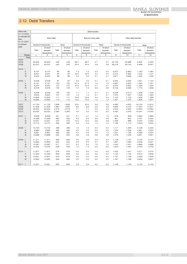### 2.12. Debit Transfers

| Value until        |                                |                              |                                      |                        |                                      |                          |                                     | Debit transfers        |                                      |                              |                                      |                            |                                      |
|--------------------|--------------------------------|------------------------------|--------------------------------------|------------------------|--------------------------------------|--------------------------|-------------------------------------|------------------------|--------------------------------------|------------------------------|--------------------------------------|----------------------------|--------------------------------------|
| from<br>01.01.2007 | 31.12.2006<br>in milliards SIT |                              | Direct debit                         |                        |                                      |                          |                                     | Special money order    |                                      |                              | Other debit transfers                |                            |                                      |
| in millions        |                                |                              | Volume (in thousands)                |                        | Value                                |                          | Volume (in thousands)               |                        | Value                                |                              | Volume (in thousands)                |                            | Value                                |
| <b>EUR</b>         |                                | Total                        | Of which<br>domestic<br>transactions | Total                  | Of which<br>domestic<br>transactions | Total                    | Of which<br>domestic<br>transaction | Total                  | Of which<br>domestic<br>transactions | Total                        | Of which<br>domestic<br>transactions | Total                      | Of which<br>domestic<br>transactions |
|                    | Stolpec                        | $\mathbf{1}$                 | $\overline{c}$                       | 3                      | 4                                    | $\overline{5}$           | 6                                   | $\overline{7}$         | 8                                    | $\overline{9}$               | 10                                   | 11                         | 12                                   |
| 2004               | Koda                           |                              |                                      |                        |                                      |                          |                                     |                        |                                      |                              |                                      |                            |                                      |
| 2005<br>2006       |                                | $\cdots$<br>35,934<br>40,237 | $\ddotsc$<br>35,933<br>40,237        | $\cdots$<br>449<br>430 | $\cdots$<br>449<br>430               | $\ldots$<br>68.7<br>40.4 | $\cdots$<br>68.7<br>40.4            | $\cdots$<br>2.7<br>3.8 | $\cdots$<br>2.7<br>3.8               | $\cdots$<br>22,746<br>28,219 | $\cdots$<br>22,688<br>28,144         | $\cdots$<br>5,820<br>6,499 | 5,340<br>6,007                       |
| 2004               | -1                             | $\cdots$                     | $\cdots$                             | $\cdots$               | $\cdots$                             | $\cdots$                 | $\cdots$                            | $\cdots$               | $\cdots$                             | $\cdots$                     | $\cdots$                             | $\cdots$                   | .                                    |
|                    | $\mathsf{II}$                  | 8.107                        | 8,107                                | 85                     | 85                                   | 7.3                      | 7.3                                 | 0.3                    | 0.3                                  | 5,973                        | 5,962                                | 1,163                      | 1,084                                |
|                    | Ш                              | 9,001                        | 9,001                                | 94                     | 94                                   | 42.0                     | 42.0                                | 2.4                    | 2.4                                  | 5,372                        | 5,360                                | 1,224                      | 1,127                                |
|                    | IV                             | 9,424                        | 9,424                                | 98                     | 98                                   | 3.2                      | 3.2                                 | 0.1                    | 0.1                                  | 5,671                        | 5,658                                | 1,330                      | 1,226                                |
| 2005               | $\blacksquare$                 | 8,228                        | 8,228                                | 87                     | 87                                   | 3.2                      | 3.2                                 | 0.1                    | 0.1                                  | 5,305                        | 5,292                                | 1,251                      | 1,144                                |
|                    | $\mathsf{II}$                  | 9,121                        | 9,121                                | 132                    | 132                                  | 21.3                     | 21.3                                | 1.5                    | 1.5                                  | 5,667                        | 5,653                                | 1,340                      | 1,251                                |
|                    | Ш                              | 9,207                        | 9,207                                | 127                    | 127                                  | 37.0                     | 37.0                                | 0.1                    | 0.1                                  | 5,670                        | 5,654                                | 1,459                      | 1,340                                |
|                    | IV                             | 9,378                        | 9,378                                | 103                    | 103                                  | 7.2                      | 7.2                                 | 0.9                    | 0.9                                  | 6,105                        | 6,089                                | 1,770                      | 1,606                                |
| 2006               | $\blacksquare$                 |                              |                                      |                        | 100                                  |                          |                                     | 0.1                    | 0.1                                  |                              |                                      |                            |                                      |
|                    | $\mathsf{II}$                  | 9,306<br>9,633               | 9,306<br>9,633                       | 100<br>107             | 107                                  | 1.1<br>1.4               | 1.1<br>1.4                          | 0.1                    | 0.1                                  | 6,228<br>7,375               | 6,213<br>7,357                       | 1,508<br>1,509             | 1,378<br>1,493                       |
|                    | $\mathbf{III}$                 | 10,605                       | 10,605                               | 111                    | 111                                  | 24.6                     | 24.6                                | 2.4                    | 2.4                                  | 7,124                        | 7,105                                | 1,636                      | 1,489                                |
|                    | IV                             | 10,694                       | 10,694                               | 112                    | 112                                  | 13.2                     | 13.2                                | 1.2                    | 1.2                                  | 7,491                        | 7,470                                | 1,846                      | 1,647                                |
|                    |                                |                              |                                      |                        |                                      |                          |                                     |                        |                                      |                              |                                      |                            |                                      |
| 2007               |                                | 41,733                       | 41,733                               | 1,848                  | 1,848                                | 24.0                     | 24.0                                | 5.9                    | 5.9                                  | 4,085                        | 4,000                                | 16,124                     | 12,815                               |
| 2008               |                                | 41,506                       | 41,506                               | 1,984                  | 1,984                                | 9.6                      | 9.6                                 | 2.9                    | 2.9                                  | 4,848                        | 4,743                                | 17,530                     | 13,547                               |
| 2009               |                                | 46,304                       | 46,304                               | 2,219                  | 2,219                                | 7.1                      | 7.1                                 | 2.5                    | 2.5                                  | 4,324                        | 4,320                                | 13,564                     | 13,562                               |
| 2010               |                                | 50,002                       | 50,002                               | 2,393                  | 2,393                                | 0.0                      | 0.0                                 | 0.0                    | 0.0                                  | 4,450                        | 4,445                                | 14,047                     | 14,045                               |
| 2007               |                                | 9,959                        | 9,959                                | 421                    | 421                                  | 3.1                      | 3.1                                 | 1.0                    | 1.0                                  | 978                          | 959                                  | 3,580                      | 2,869                                |
|                    | $\mathsf{II}$                  | 10,469                       | 10,469                               | 462                    | 462                                  | 4.5                      | 4.5                                 | 0.9                    | 0.9                                  | 961                          | 942                                  | 3,757                      | 3,050                                |
|                    | Ш                              | 10,531                       | 10,531                               | 470                    | 470                                  | 12.0                     | 12.0                                | 2.8                    | 2.8                                  | 1,008                        | 986                                  | 4,244                      | 3,350                                |
|                    | IV                             | 10,774                       | 10,774                               | 495                    | 495                                  | 4.4                      | 4.4                                 | 1.3                    | 1.3                                  | 1,138                        | 1,113                                | 4,543                      | 3,545                                |
| 2008               | $\blacksquare$                 | 10,733                       | 10,733                               | 496                    | 496                                  | 1.4                      | 1.4                                 | 0.3                    | 0.3                                  | 1,117                        | 1,093                                | 4,129                      | 3,230                                |
|                    | $\mathbf{II}$                  | 9,883                        | 9,883                                | 482                    | 482                                  | 2.0                      | 2.0                                 | 0.5                    | 0.5                                  | 1,234                        | 1,208                                | 4,391                      | 3,352                                |
|                    | Ш                              | 9,991                        | 9,991                                | 482                    | 482                                  | 3.4                      | 3.4                                 | 1.3                    | 1.3                                  | 1,221                        | 1,195                                | 4,358                      | 3,404                                |
|                    | IV                             | 10,898                       | 10,898                               | 525                    | 525                                  | 2.8                      | 2.8                                 | 0.8                    | 0.8                                  | 1,276                        | 1,248                                | 4,651                      | 3,561                                |
|                    |                                |                              |                                      |                        |                                      |                          |                                     |                        |                                      |                              |                                      |                            |                                      |
| 2009               | $\blacksquare$                 | 11,211                       | 11,211                               | 560                    | 560                                  | 0.5                      | 0.5                                 | 0.2                    | 0.2                                  | 1,139                        | 1,137                                | 3,144                      | 3,144                                |
|                    | $\mathsf{II}$                  | 10,965                       | 10,965                               | 542                    | 542                                  | 2.0                      | 2.0                                 | 0.7                    | 0.7                                  | 1,091                        | 1,090                                | 3,048                      | 3,047                                |
|                    | $\mathbf{III}$<br>IV           | 12,087<br>12,042             | 12,087<br>12,042                     | 571<br>546             | 571<br>546                           | 3.2<br>1.4               | 3.2<br>1.4                          | 1.0<br>0.5             | 1.0<br>0.5                           | 1,042<br>1,053               | 1,041<br>1,052                       | 3,668<br>3,704             | 3,668<br>3,703                       |
|                    |                                |                              |                                      |                        |                                      |                          |                                     |                        |                                      |                              |                                      |                            |                                      |
| 2010               | $\blacksquare$                 | 11,877                       | 11,877                               | 576                    | 576                                  | 0.0                      | 0.0                                 | 0.0                    | 0.0                                  | 1,022                        | 1,021                                | 3,271                      | 3,270                                |
|                    | $\mathbf{II}$                  | 12,335                       | 12,335                               | 609                    | 609                                  | 0.0                      | 0.0                                 | 0.0                    | 0.0                                  | 1,134                        | 1,133                                | 3,610                      | 3,609                                |
|                    | Ш                              | 12,841                       | 12,841                               | 616                    | 616                                  | 0.0                      | 0.0                                 | 0.0                    | 0.0                                  | 1,107                        | 1,106                                | 3,559                      | 3,559                                |
|                    | IV                             | 12,950                       | 12,950                               | 593                    | 593                                  | 0.0                      | 0.0                                 | 0.0                    | 0.0                                  | 1,187                        | 1,186                                | 3,608                      | 3,607                                |
|                    |                                |                              |                                      |                        |                                      |                          |                                     |                        |                                      |                              |                                      |                            |                                      |
| 2011               |                                | 12,331                       | 12,331                               | 625                    | 625                                  | 0.0                      | 0.0                                 | 0.0                    | 0.0                                  | 1,136                        | 1,135                                | 3,134                      | 3,134                                |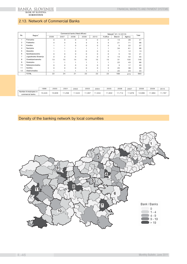**EUROSYSTEM**

## 2.13. Network of Commercial Banks

| No.            |                       |                |          | Commercial banks (Head offices) |          |                         |          | Network <sup>2</sup> (31.12.2010) | Total  |     |
|----------------|-----------------------|----------------|----------|---------------------------------|----------|-------------------------|----------|-----------------------------------|--------|-----|
|                | Region <sup>1</sup>   | 2006           | 2007     | 2008                            | 2009     | 2010                    | H.office | <b>Branch</b>                     | Agency |     |
| 1              | Pomurska              | 0              | $\Omega$ | 0                               | $\Omega$ | 0                       | $\circ$  | 13                                | 28     | 41  |
| 2              | Podravska             | $\overline{4}$ | 4        | 4                               | 4        | $\overline{\mathbf{4}}$ | 4        | 21                                | 71     | 96  |
| 3              | Koroška               |                |          | $\Omega$                        | $\cap$   | $\Omega$                | $\Omega$ | 5                                 | 22     | 27  |
| $\overline{4}$ | Savinjska             |                |          |                                 |          |                         |          | 34                                | 61     | 96  |
| 5              | Zasavska              |                |          |                                 | $\cap$   | $\Omega$                | $\Omega$ |                                   | 12     | 13  |
| 6              | Spodnjeposavska       | $\Omega$       | O        | $\Omega$                        | $\Omega$ | $\Omega$                | $\Omega$ | 5                                 | 16     | 21  |
| $\overline{7}$ | Jugovzhodna Slovenija | $\Omega$       | $\Omega$ | $\Omega$                        | $\cap$   | $\Omega$                | $\Omega$ | 13                                | 42     | 55  |
| 8              | Osrednjeslovenska     | 13             | 15       | 14                              | 15       | 15                      | 15       | 31                                | 100    | 146 |
| 9              | Gorenjska             |                |          |                                 |          |                         |          | 22                                | 43     | 66  |
| 10             | Notranjsko-kraška     | $\Omega$       | $\Omega$ | O                               | $\cap$   | $\Omega$                | $\Omega$ | 3                                 | 17     | 20  |
| 11             | Goriška               | $\Omega$       | $\Omega$ | 0                               | $\Omega$ | $\Omega$                | $\Omega$ | 20                                | 38     | 58  |
| 12             | Obalno-kraška         |                |          |                                 |          |                         |          | 20                                | 23     | 44  |
|                | <b>TOTAL</b>          | 22             | 24       | 21                              | 22       | 22                      | 22       | 188                               | 473    | 683 |

|                                            | 1999   | 2000  | $200 -$ | 2002  | 2003 | 2004 | 2005  | 2006                        | 2007  | 2008   | 2009  | 2010  |
|--------------------------------------------|--------|-------|---------|-------|------|------|-------|-----------------------------|-------|--------|-------|-------|
| Number of employees in<br>commercial banks | 10.445 | 0.929 | .258    | 1.543 | .397 | .534 | 1.632 | $\rightarrow$ $\rightarrow$ | 1.878 | 12.096 | 1.994 | .,787 |

Density of the banking network by local comunities

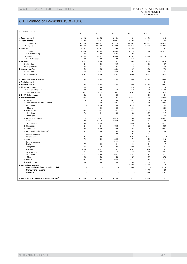## 3.1. Balance of Payments 1988-1993

| Millions of US Dollars                                           |            |             |            |             |            |            |
|------------------------------------------------------------------|------------|-------------|------------|-------------|------------|------------|
|                                                                  | 1988       | 1989        | 1990       | 1991        | 1992       | 1993       |
| I. Current account                                               | 1,351.8    | 1,088.5     | 518.4      | 129.1       | 926.2      | 191.9      |
| 1. Trade balance                                                 | 364.8      | 192.1       | $-608.7$   | $-262.2$    | 791.1      | $-154.2$   |
| 1.1. Exports f.o.b.                                              | 3,278.4    | 3,408.5     | 4,117.8    | 3,869.1     | 6,682.9    | 6,082.9    |
| 1.2. Imports c.i.f.                                              | $-2,913.6$ | $-3,216.3$  | $-4,726.6$ | $-4, 131.3$ | $-5,891.8$ | $-6,237.1$ |
| 2. Services                                                      | 965.7      | 922.3       | 1,139.5    | 482.9       | 180.3      | 375.3      |
| 2.1. Exports                                                     | 1,340.8    | 1,355.4     | 1,699.4    | 1,012.6     | 1,219.3    | 1,392.7    |
| 2.1.2 Processing                                                 | 123.2      | 128.5       | 162.3      | 152.8       |            |            |
| 2.2 Imports                                                      | $-375.2$   | $-433.1$    | $-560.0$   | $-529.7$    | $-1,039.0$ | $-1,017.3$ |
| 2.2.2. Processing                                                | $-4.9$     | $-7.8$      | $-6.2$     | $-25.6$     |            |            |
| 3. Income                                                        | $-93.9$    | $-99.8$     | $-118.7$   | $-106.3$    | $-91.3$    | $-51.4$    |
| 3.1. Receipts                                                    | 24.4       | 25.3        | 59.7       | 41.5        | 69.8       | 114.7      |
| 3.2. Expenditure                                                 | $-118.3$   | $-125.1$    | $-178.4$   | $-147.8$    | $-161.1$   | $-166.0$   |
| 4. Current transfers                                             | 115.2      | 73.8        | 106.4      | 14.7        | 46.0       | 22.2       |
| 4.1. Receipts                                                    | 129.8      | 97.4        | 134.5      | 49.7        | 93.0       | 155.1      |
| 4.2. Expenditure                                                 | $-14.5$    | $-23.6$     | $-28.2$    | $-35.0$     | $-46.9$    | $-132.9$   |
|                                                                  |            |             |            |             |            |            |
| II. Capital and financial account                                | $-113.4$   | 103.4       | $-48.0$    | $-290.6$    | $-645.4$   | $-202.0$   |
| A. Capital account                                               |            |             |            |             |            | 4.1        |
| <b>B.</b> Financial account                                      | $-113.4$   | 103.4       | $-48.0$    | $-290.6$    | $-645.4$   | $-206.1$   |
| 1. Direct investment                                             | $-5.4$     | $-14.3$     | $-2.1$     | $-41.3$     | 112.9      | 111.3      |
| 1.1. Foreign in Slovenia                                         | $-0.2$     | 3.0         | 4.3        | 64.9        | 111.0      | 112.6      |
| 1.2. Domestic abroad                                             | $-5.2$     | $-17.3$     | $-6.5$     | $-23.5$     | 1.8        | $-1.3$     |
| 2. Portfolio investment                                          | 0.2        | 0.1         | 2.5        |             | $-8.9$     | 3.1        |
| 3. Other investment                                              | $-108.3$   | 117.6       | $-48.4$    | $-225.1$    | $-116.8$   | $-209.2$   |
| 3.1. Assets                                                      | 67.5       | $-91.0$     | $-179.0$   | $-108.7$    | $-157.5$   | $-313.5$   |
| a) Commercial credits (other sectors)                            | ٠          | $-54.6$     | 30.1       | $-41.8$     | 6.6        | 93.3       |
| - Long-term                                                      | ä,         | $-20.6$     | 26.6       | $-21.3$     | 6.6        | 5.3        |
| - Short-term                                                     |            | $-34.0$     | 3.5        | $-20.5$     |            | 88.0       |
| b) Loans (banks)                                                 | $-2.4$     | $-0.1$      | $-0.3$     | $-4.7$      | $-30.8$    | 11.5       |
| - Long-term                                                      | $-2.4$     | $-0.1$      | $-0.3$     | 0.0         | $-36.7$    | 21.7       |
| - Short-term                                                     |            |             |            | $-4.7$      | 6.0        | $-10.2$    |
| c) Currency and deposits                                         | 61.2       | $-46.7$     | $-242.8$   | $-73.3$     | $-139.5$   | $-383.7$   |
| Banks                                                            | $-54.3$    | $-251.2$    | 134.3      | 18.8        | $-148.7$   | $-450.8$   |
| Other sectors                                                    | 115.5      | 204.5       | $-377.1$   | $-92.0$     | 9.2        | 67.1       |
| d) Other assets                                                  | 8.7        | 10.4        | 34.0       | 11.0        | 6.2        | $-34.6$    |
| 3.2. Liabilities                                                 | $-175.8$   | 208.6       | 130.6      | $-116.4$    | 40.6       | 104.3      |
| a) Commercial credits (long-term)                                | 4.7        | 14.8        | 0.4        | $-18.2$     | $-12.9$    | $-13.0$    |
| General government                                               |            |             | $-0.8$     | 2.7         | $-1.4$     |            |
| Other sectors                                                    | 4.7        | 14.8        | 1.2        | $-20.9$     | $-11.5$    |            |
| b) Loans                                                         | 17.3       | 48.0        | 120.5      | $-47.4$     | 32.9       | 161.2      |
| General government                                               |            |             | 65.3       | 11.2        | $-16.8$    | 78.6       |
| Banks                                                            | 27.7       | $-24.5$     | 0.1        | $-44.0$     | $-9.1$     | 1.7        |
| - Long-term                                                      | 57.3       | 21.6        | $-3.0$     | $-23.9$     | $-6.8$     | $-2.4$     |
| - Short-term                                                     | $-29.6$    | $-46.1$     | 3.1        | $-20.1$     | $-2.4$     | 4.1        |
| Other sectors <sup>1</sup>                                       | $-10.4$    | 72.5        | 55.1       | $-14.6$     | 58.8       | 94.7       |
| - Long-term                                                      | $-11.2$    | 66.9        | 60.7       | $-18.3$     | 52.1       | 27.3       |
| - Short-term                                                     | 0.9        | 5.6         | $-5.6$     | 3.7         | 6.7        | 67.5       |
| c) Deposits                                                      | $-194.3$   | 132.8       | $-64.8$    | $-61.7$     | 13.8       | $-40.3$    |
| d) Other liabilities                                             | $-3.5$     | 13.0        | 74.5       | 10.9        | 7.4        | $-3.7$     |
| 4. International reserves <sup>3</sup>                           |            |             |            | $-106.8$    | $-632.6$   | $-111.3$   |
| Gold, SDRs and Reserve position in IMF                           |            |             |            | $-106.8$    |            | $-17.8$    |
| Currency and deposits                                            |            |             |            |             | $-627.0$   | $-48.3$    |
| <b>Securities</b>                                                |            |             |            |             | $-5.6$     | $-45.3$    |
|                                                                  |            |             |            |             |            |            |
| III. Statistical error and multilateral settlements <sup>2</sup> | $-1,238.4$ | $-1, 191.8$ | $-470.4$   | 161.5       | $-288.6$   | 10.1       |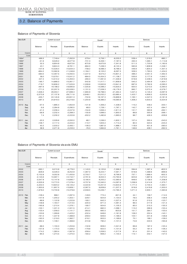BANK OF SLOVENIA **EUROSYSTEM**

# 3.2. Balance of Payments

### Balance of Payments of Slovenia

| Mio EUR      |              | Current account |              |                | Goods'   |             |                | Services |             |
|--------------|--------------|-----------------|--------------|----------------|----------|-------------|----------------|----------|-------------|
|              | Balance      | Receipts        | Expenditures | Balance        | Exports  | Imports     | Balance        | Exports  | Imports     |
| Column       | $\mathbf{1}$ | $\overline{c}$  | 3            | $\overline{4}$ | 5        | 6           | $\overline{7}$ | 8        | 9           |
| Code         |              |                 |              |                |          |             |                |          |             |
| 1994*        | 486.5        | 7,749.4         | $-7,262.9$   | $-279.4$       | 5,756.1  | $-6,035.5$  | 539.4          | 1,519.5  | $-980.1$    |
| 1995*        | $-51.6$      | 8,526.2         | $-8,577.8$   | $-731.3$       | 6,456.1  | $-7,187.5$  | 450.3          | 1,565.1  | $-1, 114.8$ |
| 1996         | 32.3         | 8,904.9         | $-8,872.6$   | $-670.9$       | 6,670.9  | $-7,341.8$  | 511.3          | 1,703.9  | $-1, 192.6$ |
| 1997         | 43.1         | 9,824.3         | $-9,781.1$   | $-684.0$       | 7,438.3  | $-8,122.4$  | 560.8          | 1,809.9  | $-1,249.1$  |
| 1998         | $-107.9$     | 10,526.4        | $-10,634.3$  | $-708.2$       | 8,088.3  | $-8,796.5$  | 446.9          | 1,804.2  | $-1,357.3$  |
| 1999         | $-664.2$     | 10,582.6        | $-11,246.8$  | $-1,164.1$     | 8,103.2  | $-9,267.3$  | 329.5          | 1,763.5  | $-1,434.0$  |
| 2000         | $-583.0$     | 12,467.5        | $-13,050.5$  | $-1,227.0$     | 9,574.2  | $-10,801.2$ | 489.2          | 2,051.5  | $-1,562.3$  |
| 2001         | 38.0         | 13,579.1        | $-13,541.2$  | $-684.5$       | 10,454.3 | $-11,138.7$ | 535.6          | 2,177.6  | $-1,642.1$  |
| 2002         | 247.2        | 14,510.2        | $-14,263.0$  | $-265.0$       | 11,081.6 | $-11,346.6$ | 619.8          | 2,439.5  | $-1,819.8$  |
| 2003         | $-195.7$     | 14,866.0        | $-15,061.7$  | $-542.8$       | 11,417.1 | $-11,959.9$ | 540.2          | 2,464.9  | $-1,924.7$  |
| 2004         | $-719.7$     | 16,806.2        | $-17,525.9$  | $-1,008.8$     | 12,932.8 | $-13,941.6$ | 687.6          | 2,782.6  | $-2,095.0$  |
| 2005         | $-497.6$     | 19,198.2        | $-19,695.8$  | $-1,025.8$     | 14,599.2 | $-15,625.0$ | 920.0          | 3,213.5  | $-2,293.5$  |
| 2006         | $-771.0$     | 22,257.5        | $-23,028.5$  | $-1, 151.0$    | 17,028.3 | $-18,179.3$ | 992.7          | 3,572.4  | $-2,579.7$  |
| 2007         | $-1,646.2$   | 26,053.1        | $-27,699.3$  | $-1,665.9$     | 19,798.5 | $-21,464.4$ | 1,047.4        | 4,145.2  | $-3,097.9$  |
| 2008         | $-2,573.9$   | 27,137.8        | $-29,711.6$  | $-2,648.1$     | 20,032.2 | $-22,680.4$ | 1,423.7        | 4,956.5  | $-3,532.8$  |
| 2009         | $-455.7$     | 22,145.6        | $-22,601.3$  | $-702.6$       | 16,167.3 | $-16,869.9$ | 1,165.1        | 4,347.0  | $-3,181.9$  |
| 2010         | $-297.3$     | 24,919.3        | $-25,216.6$  | $-1,204.9$     | 18,386.0 | $-19,590.8$ | 1,308.2        | 4,633.2  | $-3,324.9$  |
| 2010<br>Aug. | $-57.5$      | 1,895.4         | $-1,952.9$   | $-121.8$       | 1,306.2  | $-1,428.0$  | 115.2          | 448.2    | $-333.1$    |
| Sep.         | $-5.6$       | 2,284.9         | $-2,290.5$   | $-68.0$        | 1,729.1  | $-1,797.1$  | 142.7          | 437.4    | $-294.7$    |
| Oct.         | $-41.2$      | 2,206.4         | $-2,247.6$   | $-154.6$       | 1,656.4  | $-1,811.0$  | 131.7          | 393.9    | $-262.1$    |
| Nov.         | $-56.9$      | 2,232.4         | $-2,289.3$   | $-150.9$       | 1,699.5  | $-1,850.5$  | 86.8           | 355.9    | $-269.1$    |
| Dec.         | 7.4          | 2,230.2         | $-2,222.8$   | $-202.2$       | 1,490.8  | $-1,693.0$  | 96.7           | 426.3    | $-329.6$    |
| 2011<br>Jan. | $-20.5$      | 2,029.6         | $-2,050.0$   | $-66.1$        | 1,536.0  | $-1,602.1$  | 107.4          | 350.4    | $-243.0$    |
| Feb.         | $-106.7$     | 2,117.4         | $-2,224.0$   | $-110.7$       | 1,603.4  | $-1,714.2$  | 80.3           | 323.5    | $-243.2$    |
| Mar.         | 40.2         | 2,533.2         | $-2,493.1$   | $-106.3$       | 1,881.8  | $-1.988.1$  | 118.9          | 401.9    | $-283.0$    |
| Apr.         | 38.9         | 2,271.9         | $-2,233.0$   | $-76.3$        | 1,684.8  | $-1,761.1$  | 146.6          | 409.1    | $-262.5$    |

| Mio EUR |        |              | Current account |              |                | Goods <sup>1</sup> |             |                | Services |            |
|---------|--------|--------------|-----------------|--------------|----------------|--------------------|-------------|----------------|----------|------------|
|         |        | Balance      | Receipts        | Expenditures | Balance        | Exports            | Imports     | Balance        | Exports  | Imports    |
|         | Column | $\mathbf{1}$ | $\overline{c}$  | 3            | $\overline{4}$ | 5                  | 6           | $\overline{7}$ | 8        | 9          |
|         | Code   |              |                 |              |                |                    |             |                |          |            |
| 2002    |        | $-560.1$     | 8,215.9         | $-8,776.0$   | $-1, 145.5$    | 6,120.8            | $-7,266.3$  | 594.8          | 1,397.4  | $-802.5$   |
| 2003    |        | $-826.6$     | 8,426.3         | $-9,252.9$   | $-1,367.0$     | 6,224.7            | $-7,591.7$  | 619.8          | 1,489.6  | $-869.8$   |
| 2004    |        | $-2,102.8$   | 9,352.8         | $-11,455.6$  | $-2,755.7$     | 7,011.2            | $-9,766.9$  | 757.1          | 1,689.4  | $-932.3$   |
| 2005    |        | $-2, 145.6$  | 10,597.1        | $-12,742.7$  | $-2,791.6$     | 8,002.3            | $-10,793.9$ | 823.8          | 1,897.8  | $-1,074.0$ |
| 2006    |        | $-2,547.9$   | 12,147.8        | $-14,695.7$  | $-3.190.4$     | 9,200.2            | $-12,390.6$ | 949.6          | 2,158.5  | $-1,208.9$ |
| 2007    |        | $-3,305.9$   | 13,772.5        | $-17,078.4$  | $-3,757.8$     | 10,340.0           | $-14,097.8$ | 1,038.9        | 2,414.6  | $-1,375.7$ |
| 2008    |        | $-4,202.0$   | 13,923.2        | $-18, 125.2$ | $-4,422.9$     | 10,201.9           | $-14,624.9$ | 1,177.3        | 2,740.4  | $-1,563.1$ |
| 2009    |        | $-1.950.6$   | 11.957.5        | $-13,908.1$  | $-2,367.5$     | 8,839.8            | $-11,207.3$ | 919.8          | 2,419.8  | $-1,500.0$ |
| 2010    |        | $-1,678.0$   | 13,700.8        | $-15,378.8$  | $-2,558.5$     | 10,226.7           | $-12,785.3$ | 1,071.3        | 2,655.1  | $-1,583.8$ |
|         |        |              |                 |              |                |                    |             |                |          |            |
| 2010    | Feb.   | $-109.4$     | 988.1           | $-1,097.5$   | $-149.5$       | 772.4              | $-921.9$    | 44.1           | 158.7    | $-114.5$   |
|         | Mar.   | $-147.9$     | 1,205.2         | $-1,353.1$   | $-229.1$       | 924.9              | $-1, 154.0$ | 78.5           | 208.4    | $-129.9$   |
|         | Apr.   | $-99.9$      | 1,122.9         | $-1,222.8$   | $-185.1$       | 842.3              | $-1,027.4$  | 91.8           | 215.5    | $-123.7$   |
|         | May    | $-148.8$     | 1,164.7         | $-1,313.5$   | $-220.0$       | 871.3              | $-1,091.3$  | 96.5           | 217.9    | $-121.4$   |
|         | Jun.   | $-165.8$     | 1,210.4         | $-1,376.1$   | $-180.7$       | 924.6              | $-1.105.3$  | 85.0           | 215.3    | $-130.3$   |
|         | Jul.   | $-100.1$     | 1,221.3         | $-1,321.5$   | $-214.1$       | 882.0              | $-1,096.1$  | 113.2          | 266.6    | $-153.4$   |
|         | Aug.   | $-133.4$     | 1,008.3         | $-1, 141.7$  | $-263.5$       | 660.3              | $-923.8$    | 151.7          | 284.7    | $-133.0$   |
|         | Sep.   | $-153.6$     | 1,269.6         | $-1,423.2$   | $-232.4$       | 949.6              | $-1,181.9$  | 109.2          | 252.4    | $-143.1$   |
|         | Oct.   | $-161.0$     | 1,227.9         | $-1,388.9$   | $-259.4$       | 926.6              | $-1,186.0$  | 103.1          | 231.9    | $-128.8$   |
|         | Nov.   | $-163.3$     | 1.219.3         | $-1,382.7$   | $-216.1$       | 953.5              | $-1.169.6$  | 70.1           | 199.1    | $-129.0$   |
|         | Dec.   | $-262.4$     | 1,106.1         | $-1,368.6$   | $-310.8$       | 790.2              | $-1,101.0$  | 74.6           | 240.5    | $-165.8$   |
|         |        |              |                 |              |                |                    |             |                |          |            |
| 2011    | Jan.   | $-98.5$      | 1,155.3         | $-1,253.8$   | $-132.6$       | 909.0              | $-1,041.6$  | 66.8           | 187.2    | $-120.4$   |
|         | Feb.   | $-157.8$     | 1,170.3         | $-1,328.2$   | $-179.8$       | 922.0              | $-1, 101.8$ | 55.2           | 181.4    | $-126.2$   |
|         | Mar.   | $-174.2$     | 1,393.4         | $-1,567.6$   | $-258.4$       | 1,059.5            | $-1,317.9$  | 91.4           | 231.4    | $-140.0$   |
|         | Apr.   | $-95.5$      | 1,274.5         | $-1,370.0$   | $-184.2$       | 959.2              | $-1, 143.4$ | 115.1          | 242.1    | $-127.0$   |
|         |        |              |                 |              |                |                    |             |                |          |            |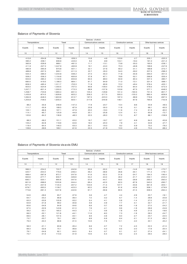### Balance of Payments of Slovenia

|         |                 |         |          | Services - of which: |                         |                       |          |         |                         |
|---------|-----------------|---------|----------|----------------------|-------------------------|-----------------------|----------|---------|-------------------------|
|         | Transportations | Travel  |          |                      | Communications services | Construction services |          |         | Other business services |
| Exports | Imports         | Exports | Imports  | Exports              | Imports                 | Exports               | Imports  | Exports | Imports                 |
| 10      | 11              | 12      | 13       | 14                   | 15                      | 16                    | 17       | 18      | 19                      |
|         |                 |         |          |                      |                         |                       |          |         |                         |
| 410.6   | $-354.8$        | 766.8   | $-326.3$ | 10.6                 | $-4.6$                  | 103.6                 | $-2.7$   | 205.1   | $-220.3$                |
| 390.2   | $-338.1$        | 836.8   | $-443.0$ | 9.2                  | $-8.9$                  | 104.1                 | $-18.4$  | 191.0   | $-221.2$                |
| 383.9   | $-326.6$        | 989.1   | $-481.5$ | 11.1                 | $-13.1$                 | 73.8                  | $-35.0$  | 193.5   | $-236.1$                |
| 411.9   | $-327.2$        | 1,047.9 | $-462.8$ | 19.1                 | $-24.0$                 | 70.3                  | $-46.8$  | 199.6   | $-247.6$                |
| 480.9   | $-365.9$        | 970.8   | $-501.1$ | 22.1                 | $-27.6$                 | 65.2                  | $-31.1$  | 189.8   | $-272.7$                |
| 489.8   | $-357.5$        | 900.1   | $-511.5$ | 22.7                 | $-35.0$                 | 54.0                  | $-59.2$  | 207.5   | $-296.2$                |
| 534.4   | $-385.0$        | 1,044.8 | $-556.2$ | 27.0                 | $-55.3$                 | 71.8                  | $-55.6$  | 265.0   | $-301.5$                |
| 559.2   | $-356.3$        | 1,104.8 | $-600.8$ | 37.8                 | $-67.1$                 | 78.8                  | $-52.1$  | 266.8   | $-335.4$                |
| 634.6   | $-385.2$        | 1,142.6 | $-634.8$ | 60.5                 | $-89.0$                 | 94.9                  | $-60.4$  | 337.4   | $-380.7$                |
| 680.0   | $-419.5$        | 1,186.3 | $-664.1$ | 61.7                 | $-94.9$                 | 71.0                  | $-72.1$  | 331.4   | $-399.1$                |
| 809.3   | $-485.4$        | 1,311.7 | $-703.3$ | 71.9                 | $-95.9$                 | 72.2                  | $-49.4$  | 378.4   | $-455.1$                |
| 923.0   | $-524.9$        | 1,450.5 | $-707.5$ | 90.8                 | $-109.4$                | 107.9                 | $-64.4$  | 479.5   | $-572.3$                |
| 1,057.7 | $-601.4$        | 1,555.5 | $-772.3$ | 89.9                 | $-107.9$                | 103.8                 | $-67.5$  | 577.1   | $-648.5$                |
| 1,258.7 | $-733.6$        | 1,665.4 | $-831.5$ | 105.4                | $-129.8$                | 151.4                 | $-160.5$ | 751.5   | $-801.7$                |
| 1,435.8 | $-874.5$        | 1,826.6 | $-922.2$ | 206.3                | $-217.5$                | 300.3                 | $-155.2$ | 880.4   | $-839.9$                |
| 1,084.9 | $-648.3$        | 1,803.9 | $-912.7$ | 197.5                | $-223.3$                | 197.3                 | $-98.9$  | 778.9   | $-697.5$                |
| 1,205.8 | $-709.5$        | 1,935.4 | $-923.1$ | 217.8                | $-240.8$                | 148.1                 | $-67.6$  | 795.6   | $-742.9$                |
| 89.2    | $-55.6$         | 248.9   | $-147.3$ | 17.8                 | $-23.7$                 | 13.4                  | $-8.6$   | 55.9    | $-49.5$                 |
| 111.7   | $-55.9$         | 189.5   | $-87.9$  | 23.9                 | $-30.0$                 | 11.8                  | $-5.1$   | 68.1    | $-63.5$                 |
| 105.1   | $-66.8$         | 167.1   | $-57.9$  | 20.0                 | $-19.0$                 | 11.6                  | $-7.4$   | 61.9    | $-60.0$                 |
| 114.1   | $-65.7$         | 120.9   | $-44.9$  | 20.1                 | $-25.8$                 | 12.4                  | $-5.1$   | 65.9    | $-72.7$                 |
| 120.6   | $-64.2$         | 136.6   | $-48.3$  | 22.0                 | $-26.0$                 | 17.0                  | $-6.7$   | 88.1    | $-108.9$                |
| 88.3    | $-58.2$         | 151.1   | $-53.0$  | 19.7                 | $-18.7$                 | 8.7                   | $-6.8$   | 64.2    | $-50.8$                 |
| 105.2   | $-62.8$         | 118.9   | $-54.6$  | 18.0                 | $-20.0$                 | 7.9                   | $-4.1$   | 53.6    | $-47.7$                 |
| 119.4   | $-64.4$         | 146.3   | $-53.3$  | 20.1                 | $-19.3$                 | 8.2                   | $-5.9$   | 75.0    | $-79.2$                 |
| 109.6   | $-59.6$         | 169.1   | $-61.6$  | 22.3                 | $-21.9$                 | 10.0                  | $-4.6$   | 73.4    | $-68.4$                 |

|         | Services - of which: |         |          |         |                         |         |                       |         |                         |  |  |
|---------|----------------------|---------|----------|---------|-------------------------|---------|-----------------------|---------|-------------------------|--|--|
|         | Transportations      | Travel  |          |         | Communications services |         | Construction services |         | Other business services |  |  |
| Exports | Imports              | Exports | Imports  | Exports | Imports                 | Exports | Imports               | Exports | Imports                 |  |  |
| 10      | 11                   | 12      | 13       | 14      | 15                      | 16      | 17                    | 18      | 19                      |  |  |
|         |                      |         |          |         |                         |         |                       |         |                         |  |  |
| 386.3   | $-234.0$             | 722.7   | $-242.8$ | 30.8    | $-30.0$                 | 34.1    | $-14.6$               | 162.0   | $-170.7$                |  |  |
| 420.7   | $-254.0$             | 778.5   | $-246.4$ | 36.2    | $-38.6$                 | 26.8    | $-30.1$               | 171.4   | $-179.1$                |  |  |
| 488.4   | $-287.8$             | 872.7   | $-247.8$ | 41.8    | $-32.2$                 | 31.8    | $-24.7$               | 194.3   | $-195.4$                |  |  |
| 563.9   | $-277.7$             | 930.7   | $-326.9$ | 54.2    | $-44.0$                 | 46.2    | $-31.7$               | 232.1   | $-243.4$                |  |  |
| 695.7   | $-320.1$             | 995.6   | $-347.6$ | 57.9    | $-44.7$                 | 59.5    | $-29.9$               | 265.0   | $-282.0$                |  |  |
| 801.9   | $-388.6$             | 1033.8  | $-344.4$ | 66.4    | $-42.0$                 | 82.0    | $-97.9$               | 340.0   | $-285.7$                |  |  |
| 877.2   | $-457.9$             | 1140.4  | $-407.2$ | 104.9   | $-71.4$                 | 107.7   | $-33.6$               | 361.9   | $-305.1$                |  |  |
| 678.7   | $-363.0$             | 1139.7  | $-423.3$ | 82.0    | $-55.9$                 | 91.6    | $-43.9$               | 308.1   | $-279.9$                |  |  |
| 773.8   | $-391.3$             | 1247.8  | $-442.6$ | 91.7    | $-56.8$                 | 90.5    | $-31.5$               | 306.5   | $-284.4$                |  |  |
|         |                      |         |          |         |                         |         |                       |         |                         |  |  |
| 54.6    | $-28.6$              | 65.7    | $-37.9$  | 5.8     | $-4.7$                  | 4.4     | $-2.9$                | 20.7    | $-18.1$                 |  |  |
| 64.7    | $-33.2$              | 86.9    | $-36.4$  | 7.0     | $-3.2$                  | 6.7     | $-1.4$                | 29.9    | $-20.8$                 |  |  |
| 63.3    | $-33.9$              | 105.9   | $-33.2$  | 5.4     | $-4.1$                  | 5.6     | $-1.4$                | 27.0    | $-21.2$                 |  |  |
| 64.9    | $-31.8$              | 99.2    | $-30.8$  | 5.9     | $-4.9$                  | 7.7     | $-4.1$                | 22.7    | $-21.7$                 |  |  |
| 65.6    | $-34.9$              | 94.9    | $-34.6$  | 6.8     | $-3.7$                  | 8.8     | $-1.8$                | 27.0    | $-24.2$                 |  |  |
| 67.5    | $-32.9$              | 143.6   | $-51.3$  | 7.9     | $-4.1$                  | 9.6     | $-1.9$                | 26.8    | $-24.8$                 |  |  |
| 56.2    | $-33.1$              | 180.2   | $-44.3$  | 7.1     | $-3.6$                  | 7.8     | $-4.9$                | 21.6    | $-18.6$                 |  |  |
| 68.3    | $-32.1$              | 121.8   | $-44.1$  | 11.6    | $-8.0$                  | 7.3     | $-1.9$                | 26.5    | $-24.7$                 |  |  |
| 69.5    | $-36.1$              | 107.5   | $-34.1$  | 8.9     | $-4.6$                  | 8.0     | $-2.7$                | 23.7    | $-22.5$                 |  |  |
| 73.7    | $-33.7$              | 76.1    | $-28.1$  | 8.9     | $-5.6$                  | 8.4     | $-2.1$                | 21.3    | $-26.2$                 |  |  |
| 76.3    | $-32.2$              | 89.8    | $-31.5$  | 10.6    | $-7.6$                  | 10.1    | $-4.0$                | 40.1    | $-45.2$                 |  |  |
|         |                      |         |          |         |                         |         |                       |         |                         |  |  |
| 58.3    | $-31.1$              | 83.8    | $-35.4$  | 8.8     | $-3.7$                  | 7.2     | $-4.3$                | 22.3    | $-21.5$                 |  |  |
| 69.3    | $-32.8$              | 70.1    | $-36.8$  | 7.6     | $-4.3$                  | 6.5     | $-2.0$                | 17.9    | $-20.4$                 |  |  |
| 79.1    | $-34.8$              | 92.1    | $-34.5$  | 9.4     | $-3.7$                  | 6.1     | $-3.7$                | 27.4    | $-24.1$                 |  |  |
| 73.7    | $-31.6$              | 113.0   | $-31.9$  | 10.6    | $-5.4$                  | 6.0     | $-2.4$                | 26.5    | $-29.0$                 |  |  |
|         |                      |         |          |         |                         |         |                       |         |                         |  |  |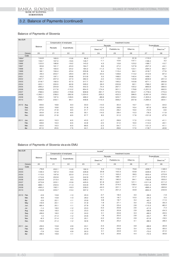**EUROSYSTEM**

### Balance of Payments of Slovenia

| Mio EUR      |            |          |                           |         | Income <sup>8</sup>      |                   |            |            |                          |
|--------------|------------|----------|---------------------------|---------|--------------------------|-------------------|------------|------------|--------------------------|
|              |            |          | Compensation of employees |         |                          | Investment income |            |            |                          |
|              | Balance    |          |                           |         |                          | Receipts          |            |            | Expenditures             |
|              |            | Receipts | Expenditures              |         | Direct inv. <sup>8</sup> | Portofolio inv.   | Other inv. |            | Direct inv. <sup>8</sup> |
| Column       | 20         | 21       | 22                        | 23      | 24                       | 25                | 26         | 27         | 28                       |
| Code         |            |          |                           |         |                          |                   |            |            |                          |
| 1994*        | 144.8      | 183.5    | $-13.6$                   | 90.3    | $-1.7$                   | 0.0               | 91.9       | $-115.5$   | 4.2                      |
| 1995*        | 155.7      | 167.0    | $-19.5$                   | 146.7   | $-1.1$                   | 10.6              | 137.1      | $-138.4$   | 3.2                      |
| 1996         | 122.0      | 186.6    | $-19.2$                   | 143.2   | 4.3                      | 15.8              | 123.2      | $-188.7$   | $-10.7$                  |
| 1997         | 65.8       | 181.7    | $-23.3$                   | 164.7   | 9.6                      | 27.2              | 127.9      | $-257.3$   | $-44.1$                  |
| 1998         | 49.1       | 183.5    | $-24.2$                   | 184.2   | $-11.2$                  | 73.3              | 122.1      | $-294.3$   | $-65.7$                  |
| 1999         | 58.1       | 194.4    | $-23.4$                   | 205.8   | 6.4                      | 115.4             | 84.1       | $-318.7$   | $-77.6$                  |
| 2000         | 29.3       | 203.7    | $-29.3$                   | 267.5   | 24.5                     | 128.8             | 114.2      | $-412.6$   | $-97.4$                  |
| 2001         | 43.2       | 197.1    | $-29.8$                   | 313.9   | 5.5                      | 168.0             | 140.4      | $-438.1$   | 7.8                      |
| 2002         | $-167.7$   | 207.3    | $-47.3$                   | 282.2   | $-4.0$                   | 145.6             | 140.6      | $-609.9$   | $-201.3$                 |
| 2003         | $-218.7$   | 192.0    | $-57.3$                   | 317.7   | 20.7                     | 193.2             | 103.8      | $-671.1$   | $-265.8$                 |
| 2004         | $-322.1$   | 200.5    | $-62.6$                   | 329.2   | 26.2                     | 220.9             | 82.1       | $-789.2$   | $-381.0$                 |
| 2005         | $-295.2$   | 204.9    | $-76.5$                   | 442.3   | 74.4                     | 267.7             | 100.2      | $-865.9$   | $-385.5$                 |
| 2006         | $-439.8$   | 217.6    | $-110.2$                  | 654.3   | 174.4                    | 301.1             | 178.8      | $-1,201.5$ | $-562.5$                 |
| 2007         | $-788.5$   | 229.0    | $-178.9$                  | 939.9   | 261.7                    | 373.5             | 304.7      | $-1,778.5$ | $-770.3$                 |
| 2008         | $-1,062.1$ | 238.0    | $-262.6$                  | 1,024.0 | 205.2                    | 422.3             | 396.5      | $-2,061.6$ | $-700.5$                 |
| 2009         | $-766.2$   | 197.5    | $-128.5$                  | 468.2   | $-86.8$                  | 325.7             | 229.4      | $-1,303.4$ | $-496.4$                 |
| 2010         | $-506.7$   | 233.1    | $-94.1$                   | 448.6   | $-115.4$                 | 356.2             | 207.8      | $-1,094.3$ | $-304.1$                 |
| 2010<br>Aug. | $-56.6$    | 18.8     | $-8.3$                    | 33.0    | $-14.0$                  | 30.3              | 16.7       | $-100.1$   | $-34.0$                  |
| Sep.         | $-55.6$    | 18.8     | $-8.3$                    | 31.8    | $-13.4$                  | 28.8              | 16.4       | $-97.9$    | $-30.8$                  |
| Oct.         | $-27.8$    | 21.8     | $-8.5$                    | 31.7    | $-12.5$                  | 28.2              | 16.0       | $-72.9$    | $-5.6$                   |
| Nov.         | $-35.9$    | 21.8     | $-8.5$                    | 30.1    | $-14.5$                  | 29.4              | 15.3       | $-79.3$    | $-11.9$                  |
| Dec.         | $-30.9$    | 21.8     | $-8.5$                    | 57.7    | 8.5                      | 31.3              | 17.9       | $-101.9$   | $-27.6$                  |
| 2011<br>Jan. | $-60.5$    | 16.3     | $-6.5$                    | 43.3    | $-2.7$                   | 28.9              | 17.0       | $-113.5$   | $-41.1$                  |
| Feb.         | $-59.8$    | 16.3     | $-6.5$                    | 44.9    | $-2.0$                   | 31.0              | 16.0       | $-114.5$   | $-40.1$                  |
| Mar.         | $-42.0$    | 16.3     | $-6.5$                    | 69.5    | $-2.3$                   | 54.7              | 17.1       | $-121.3$   | $-41.1$                  |
| Apr.         | $-61.5$    | 20.5     | $-7.5$                    | 44.1    | $-2.4$                   | 29.6              | 17.0       | $-118.7$   | $-40.8$                  |

| Mio EUR      | Income <sup>8</sup> |          |                           |       |                 |                   |            |           |                 |  |  |
|--------------|---------------------|----------|---------------------------|-------|-----------------|-------------------|------------|-----------|-----------------|--|--|
|              |                     |          | Compensation of employees |       |                 | Investment income |            |           |                 |  |  |
|              | Balance             |          |                           |       |                 | Receipts          |            |           | Expenditures    |  |  |
|              |                     | Receipts | Expenditures              |       | Direct inv. $8$ | Portofolio inv.   | Other inv. |           | Direct inv. $8$ |  |  |
| Column       | 20                  | 21       | 22                        | 23    | 24              | 25                | 26         | 27        | 28              |  |  |
| Code         |                     |          |                           |       |                 |                   |            |           |                 |  |  |
| 2002         | $-79.8$             | 202.1    | $-14.6$                   | 192.3 | 5.0             | 110.5             | 76.8       | $-459.7$  | $-148.0$        |  |  |
| 2003         | $-129.3$            | 187.0    | $-16.6$                   | 226.8 | 20.8            | 152.3             | 53.8       | $-526.6$  | $-213.1$        |  |  |
| 2004         | $-113.5$            | 197.6    | $-22.0$                   | 214.3 | 11.7            | 163.2             | 39.5       | $-503.4$  | $-270.9$        |  |  |
| 2005         | $-174.6$            | 202.6    | $-5.3$                    | 242.9 | 15.1            | 186.1             | 41.7       | $-614.8$  | $-316.4$        |  |  |
| 2006         | $-253.8$            | 213.4    | $-9.5$                    | 336.2 | 62.1            | 190.0             | 84.1       | $-793.9$  | $-353.0$        |  |  |
| 2007         | $-573.9$            | 223.1    | $-10.6$                   | 425.5 | 61.6            | 242.7             | 121.1      | $-1211.8$ | $-511.2$        |  |  |
| 2008         | $-885.1$            | 232.5    | $-11.3$                   | 444.9 | 32.4            | 274.0             | 138.4      | $-1551.3$ | $-526.8$        |  |  |
| 2009         | $-493.2$            | 192.1    | $-18.3$                   | 228.3 | $-44.0$         | 221.1             | 51.2       | $-895.4$  | $-363.6$        |  |  |
| 2010         | $-144.8$            | 225.7    | $-13.4$                   | 307.2 | 12.1            | 251.2             | 43.9       | $-664.3$  | $-242.6$        |  |  |
|              |                     |          |                           |       |                 |                   |            |           |                 |  |  |
| 2010<br>Feb. | $-0.9$              | 15.8     | $-1.0$                    | 20.3  | $-0.7$          | 18.0              | 3.0        | $-36.0$   | $-1.9$          |  |  |
| Mar.         | 9.6                 | 15.8     | $-1.0$                    | 29.2  | $-0.5$          | 19.7              | 10.0       | $-34.3$   | 0.5             |  |  |
| Apr.         | $-2.8$              | 20.1     | $-1.1$                    | 23.9  | 0.8             | 19.7              | 3.4        | $-45.7$   | $-11.5$         |  |  |
| May          | $-19.9$             | 20.1     | $-1.1$                    | 31.9  | 1.9             | 27.1              | 3.0        | $-70.8$   | $-35.3$         |  |  |
| Jun.         | $-66.4$             | 20.1     | $-1.1$                    | 27.9  | 1.8             | 23.4              | 2.8        | $-113.3$  | $-80.2$         |  |  |
| Jul.         | $-1.4$              | 18.0     | $-1.2$                    | 23.3  | $-0.2$          | 20.8              | 2.6        | $-41.5$   | $-7.4$          |  |  |
| Aug.         | $-18.8$             | 18.0     | $-1.2$                    | 23.3  | $-0.5$          | 20.9              | 2.9        | $-58.9$   | $-24.3$         |  |  |
| Sep.         | $-28.6$             | 18.0     | $-1.2$                    | 24.0  | 0.1             | 20.6              | 3.3        | $-69.5$   | $-33.5$         |  |  |
| Oct.         | 1.0                 | 21.4     | $-1.2$                    | 24.6  | 1.8             | 20.0              | 2.8        | $-43.7$   | $-8.5$          |  |  |
| Nov.         | $-6.3$              | 21.4     | $-1.2$                    | 25.1  | $-0.2$          | 22.4              | 2.9        | $-51.6$   | $-16.5$         |  |  |
| Dec.         | $-15.8$             | 21.4     | $-1.2$                    | 32.6  | 8.3             | 20.2              | 4.1        | $-68.5$   | $-28.3$         |  |  |
|              |                     |          |                           |       |                 |                   |            |           |                 |  |  |
| 2011<br>Jan. | $-29.6$             | 15.8     | $-0.9$                    | 24.1  | $-0.3$          | 20.6              | 3.9        | $-68.6$   | $-30.9$         |  |  |
| Feb.         | $-28.5$             | 15.8     | $-0.9$                    | 27.6  | $-0.4$          | 24.6              | 3.4        | $-70.9$   | $-30.0$         |  |  |
| Mar.         | $-7.9$              | 15.8     | $-0.9$                    | 50.3  | 0.1             | 45.9              | 4.3        | $-73.0$   | $-31.0$         |  |  |
| Apr.         | $-28.5$             | 19.8     | $-1.1$                    | 25.3  | 0.3             | 20.6              | 4.4        | $-72.5$   | $-30.8$         |  |  |
|              |                     |          |                           |       |                 |                   |            |           |                 |  |  |
|              |                     |          |                           |       |                 |                   |            |           |                 |  |  |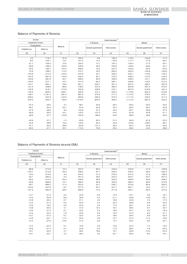### Balance of Payments of Slovenia

| Income            |            |          |         |                    | Current transfers $10$ |             |                    |               |
|-------------------|------------|----------|---------|--------------------|------------------------|-------------|--------------------|---------------|
| Investment income |            |          |         | In Slovenia        |                        |             | Abroad             |               |
| Expenditures      |            | Balance  |         |                    |                        |             |                    |               |
| Portofolio inv.   | Other inv. |          |         | General government | Other sectors          |             | General government | Other sectors |
|                   |            |          |         |                    |                        |             |                    |               |
| 29                | 30         | 31       | 32      | 33                 | 34                     | 35          | 36                 | 37            |
|                   |            |          |         |                    |                        |             |                    |               |
| 0.0               | $-119.7$   | 81.9     | 200.0   | 9.6                | 190.4                  | $-118.2$    | $-100.9$           | $-17.3$       |
| $-6.0$            | $-135.7$   | 73.7     | 191.3   | 14.4               | 176.9                  | $-117.7$    | $-77.9$            | $-39.7$       |
| $-21.7$           | $-156.3$   | 70.0     | 200.3   | 13.1               | 187.2                  | $-130.3$    | $-77.2$            | $-53.1$       |
| $-26.9$           | $-186.3$   | 100.6    | 229.6   | 26.0               | 203.6                  | $-129.0$    | $-84.9$            | $-44.1$       |
| $-45.5$           | $-183.1$   | 104.2    | 266.2   | 19.2               | 247.0                  | $-162.0$    | $-94.4$            | $-67.6$       |
| $-72.9$           | $-168.2$   | 112.2    | 315.7   | 22.5               | 293.2                  | $-203.4$    | $-102.8$           | $-100.6$      |
| $-100.9$          | $-214.3$   | 125.5    | 370.6   | 44.1               | 326.5                  | $-245.1$    | $-110.6$           | $-134.5$      |
| $-154.3$          | $-291.6$   | 143.6    | 436.2   | 62.1               | 374.0                  | $-292.5$    | $-137.0$           | $-155.5$      |
| $-126.8$          | $-281.9$   | 60.1     | 499.5   | 90.0               | 409.5                  | $-439.4$    | $-147.1$           | $-292.4$      |
| $-128.3$          | $-277.1$   | 25.7     | 474.3   | 90.2               | 384.1                  | $-448.6$    | $-135.3$           | $-313.3$      |
| $-124.1$          | $-284.1$   | $-76.5$  | 561.1   | 209.7              | 351.4                  | $-637.5$    | $-299.7$           | $-337.9$      |
| $-131.5$          | $-348.8$   | $-96.6$  | 738.3   | 347.9              | 390.4                  | $-834.9$    | $-461.5$           | $-373.4$      |
| $-120.9$          | $-518.1$   | $-172.8$ | 784.9   | 409.8              | 375.1                  | $-957.8$    | $-516.6$           | $-441.2$      |
| $-155.2$          | $-853.0$   | $-239.1$ | 940.6   | 410.1              | 530.4                  | $-1, 179.6$ | $-604.0$           | $-575.6$      |
| $-169.7$          | $-1,191.4$ | $-287.3$ | 887.0   | 475.9              | 411.2                  | $-1, 174.3$ | $-704.2$           | $-470.1$      |
| $-259.2$          | $-547.9$   | $-152.0$ | 965.6   | 590.3              | 375.2                  | $-1, 117.5$ | $-700.2$           | $-417.3$      |
| $-434.5$          | $-355.7$   | 106.0    | 1,218.4 | 823.2              | 395.2                  | $-1, 112.4$ | $-667.2$           | $-445.2$      |
|                   |            |          |         |                    |                        |             |                    |               |
| $-37.0$           | $-29.0$    | 5.7      | 89.1    | 52.8               | 36.4                   | $-83.5$     | $-50.5$            | $-33.0$       |
| $-36.7$           | $-30.4$    | $-24.7$  | 67.9    | 35.6               | 32.3                   | $-92.5$     | $-56.7$            | $-35.8$       |
| $-37.6$           | $-29.6$    | 9.4      | 102.6   | 57.2               | 45.4                   | $-93.1$     | $-55.9$            | $-37.3$       |
| $-36.9$           | $-30.5$    | 43.1     | 125.0   | 101.0              | 24.0                   | $-81.9$     | $-40.8$            | $-41.1$       |
| $-36.6$           | $-37.7$    | 143.8    | 233.6   | 199.0              | 34.6                   | $-89.8$     | $-49.2$            | $-40.5$       |
|                   |            |          |         |                    |                        |             |                    |               |
| $-40.8$           | $-31.7$    | $-1.2$   | 83.6    | 62.4               | 21.2                   | $-84.9$     | $-61.6$            | $-23.3$       |
| $-44.5$           | $-29.9$    | $-16.4$  | 129.2   | 83.4               | 45.8                   | $-145.6$    | $-106.5$           | $-39.1$       |
| $-47.7$           | $-32.5$    | 69.6     | 163.8   | 127.4              | 36.4                   | $-94.2$     | $-53.6$            | $-40.5$       |
| $-46.2$           | $-31.7$    | 30.1     | 113.3   | 78.0               | 35.3                   | $-83.2$     | $-44.3$            | $-38.9$       |

| Income            |            |         |       |                    | Current transfers <sup>10</sup> |          |                    |               |
|-------------------|------------|---------|-------|--------------------|---------------------------------|----------|--------------------|---------------|
| Investment income |            |         |       | In Slovenia        |                                 |          | Abroad             |               |
| Expenditures      |            | Balance |       |                    |                                 |          |                    |               |
| Portofolio inv.   | Other inv. |         |       | General government | Other sectors                   |          | General government | Other sectors |
|                   |            |         |       |                    |                                 |          |                    |               |
| 29                | 30         | 31      | 32    | 33                 | 34                              | 35       | 36                 | 37            |
|                   |            |         |       |                    |                                 |          |                    |               |
| $-98.9$           | $-212.8$   | 70.4    | 303.3 | 69.4               | 233.9                           | $-232.9$ | $-41.9$            | $-190.9$      |
| $-100.7$          | $-212.8$   | 50.0    | 298.2 | 67.7               | 230.5                           | $-248.2$ | $-46.0$            | $-202.2$      |
| $-19.0$           | $-213.6$   | 9.3     | 240.3 | 21.2               | 219.0                           | $-231.0$ | $-31.6$            | $-199.3$      |
| $-33.1$           | $-265.3$   | $-3.2$  | 251.5 | 29.2               | 222.3                           | $-254.7$ | $-53.7$            | $-201.0$      |
| $-28.4$           | $-412.5$   | $-53.4$ | 239.5 | 38.6               | 200.9                           | $-292.9$ | $-64.6$            | $-228.2$      |
| $-33.8$           | $-666.8$   | $-13.1$ | 369.3 | 65.8               | 303.5                           | $-382.4$ | $-68.5$            | $-313.9$      |
| $-58.1$           | $-966.3$   | $-71.2$ | 303.4 | 53.7               | 249.7                           | $-374.6$ | $-82.6$            | $-292.0$      |
| $-104.0$          | $-427.8$   | $-9.7$  | 277.5 | 55.7               | 221.7                           | $-287.1$ | $-75.4$            | $-211.7$      |
| $-161.5$          | $-260.2$   | $-46.0$ | 286.0 | 74.2               | 211.9                           | $-332.1$ | $-90.4$            | $-241.6$      |
|                   |            |         |       |                    |                                 |          |                    |               |
| $-13.1$           | $-21.0$    | $-3.2$  | 20.9  | 5.6                | 15.3                            | $-24.1$  | $-5.9$             | $-18.1$       |
| $-14.0$           | $-20.8$    | $-6.9$  | 26.9  | 5.3                | 21.7                            | $-33.9$  | $-13.8$            | $-20.1$       |
| $-13.8$           | $-20.4$    | $-3.7$  | 21.1  | 2.5                | 18.6                            | $-24.9$  | $-7.4$             | $-17.5$       |
| $-14.2$           | $-21.2$    | $-5.4$  | 23.5  | 3.3                | 20.2                            | $-28.9$  | $-6.9$             | $-22.0$       |
| $-13.6$           | $-19.5$    | $-3.6$  | 22.5  | 5.5                | 17.0                            | $-26.1$  | $-5.4$             | $-20.7$       |
| $-13.6$           | $-20.5$    | 2.1     | 31.5  | 12.3               | 19.1                            | $-29.4$  | $-6.7$             | $-22.7$       |
| $-13.6$           | $-21.0$    | $-2.7$  | 22.0  | 5.4                | 16.6                            | $-24.7$  | $-5.4$             | $-19.4$       |
| $-13.5$           | $-22.4$    | $-1.8$  | 25.6  | 6.3                | 19.3                            | $-27.5$  | $-6.3$             | $-21.1$       |
| $-13.7$           | $-21.5$    | $-5.7$  | 23.5  | 4.9                | 18.6                            | $-29.2$  | $-6.9$             | $-22.4$       |
| $-12.9$           | $-22.1$    | $-11.0$ | 20.3  | 4.6                | 15.7                            | $-31.3$  | $-11.4$            | $-19.9$       |
| $-12.4$           | $-27.8$    | $-10.5$ | 21.5  | 5.8                | 15.7                            | $-32.0$  | $-9.0$             | $-23.1$       |
|                   |            |         |       |                    |                                 |          |                    |               |
| $-15.2$           | $-22.4$    | $-3.1$  | 19.3  | 5.6                | 13.6                            | $-22.4$  | $-7.4$             | $-15.0$       |
| $-19.6$           | $-21.4$    | $-4.7$  | 23.6  | 6.2                | 17.5                            | $-28.3$  | $-7.9$             | $-20.4$       |
| $-18.7$           | $-23.3$    | 0.7     | 36.5  | 19.8               | 16.7                            | $-35.8$  | $-13.4$            | $-22.4$       |
| $-19.1$           | $-22.7$    | 2.2     | 28.2  | $5.0$              | 23.1                            | $-26.0$  | $-8.0$             | $-18.1$       |
|                   |            |         |       |                    |                                 |          |                    |               |
|                   |            |         |       |                    |                                 |          |                    |               |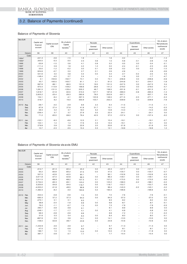**EUROSYSTEM**

### Balance of Payments of Slovenia

| Mio EUR      |                      |                 |                                    |       |                       |               |          |                          |               | CA, of which:          |
|--------------|----------------------|-----------------|------------------------------------|-------|-----------------------|---------------|----------|--------------------------|---------------|------------------------|
|              | Capital and          | Capital account | CA, of which:                      |       | Receipts              |               |          | Expenditures             |               | Non-produced           |
|              | financial<br>account | (CA)            | Capital<br>transfers <sup>10</sup> |       | General<br>government | Other sectors |          | General<br>government    | Other sectors | nonfinancial<br>assets |
| Column       | 38                   | 39              | 40                                 | 41    | 42                    | 43            | 44       | 45                       | 46            | 47                     |
| Code         |                      |                 |                                    |       |                       |               |          |                          |               |                        |
| 1994*        | $-441.3$             | $-2.8$          | $-1.5$                             | 1.8   | ÷,                    | 1.8           | $-3.2$   |                          | $-3.2$        | $-1.3$                 |
| 1995*        | 200.5                | $-5.3$          | $-3.5$                             | 2.3   | 0.8                   | 1.5           | $-5.8$   | $-3.1$                   | $-2.8$        | $-1.8$                 |
| 1996         | $-33.9$              | $-1.5$          | 0.6                                | 4.1   | 0.9                   | 3.2           | $-3.5$   | 0.0                      | $-3.4$        | $-2.1$                 |
| 1997         | $-111.4$             | 0.9             | 1.8                                | 4.2   | 1.2                   | 3.0           | $-2.4$   | $-0.1$                   | $-2.3$        | $-0.9$                 |
| 1998         | 53.0                 | $-1.2$          | $-0.2$                             | 3.0   | 0.1                   | 2.8           | $-3.2$   | 0.0                      | $-3.2$        | $-1.0$                 |
| 1999         | 624.6                | $-0.7$          | 0.0                                | 2.7   | 0.1                   | 2.6           | $-2.8$   | $\overline{\phantom{a}}$ | $-2.8$        | $-0.6$                 |
| 2000         | 541.6                | 4.0             | 0.8                                | 3.4   | 0.0                   | 3.4           | $-2.7$   | $-0.2$                   | $-2.5$        | 3.3                    |
| 2001         | $-148.4$             | $-4.0$          | 0.7                                | 2.4   | ÷,                    | 2.4           | $-1.8$   | 0.0                      | $-1.7$        | $-4.7$                 |
| 2002         | 3.1                  | $-163.6$        | $-162.7$                           | 74.1  | 0.0                   | 74.1          | $-236.8$ | 0.0                      | $-236.8$      | $-0.8$                 |
| 2003         | 45.7                 | $-165.5$        | $-163.7$                           | 81.1  | 0.1                   | 81.0          | $-244.8$ | $-0.1$                   | $-244.7$      | $-1.8$                 |
| 2004         | 697.6                | $-96.1$         | $-96.5$                            | 151.0 | 19.5                  | 131.5         | $-247.5$ | 0.0                      | $-247.5$      | 0.4                    |
| 2005         | 970.4                | $-113.9$        | $-109.2$                           | 169.8 | 28.6                  | 141.2         | $-279.0$ | 0.0                      | $-279.0$      | $-4.7$                 |
| 2006         | 1,091.5              | $-131.5$        | $-126.4$                           | 205.2 | 46.7                  | 158.5         | $-331.6$ | $-0.1$                   | $-331.5$      | $-5.1$                 |
| 2007         | 1,919.7              | $-51.9$         | $-50.5$                            | 315.5 | 127.7                 | 187.8         | $-366.0$ | $-0.8$                   | $-365.3$      | $-1.4$                 |
| 2008         | 2,605.2              | $-25.4$         | $-26.3$                            | 280.8 | 78.0                  | 202.9         | $-307.1$ | $\sim$                   | $-307.1$      | 0.9                    |
| 2009         | 154.1                | $-9.4$          | $-4.1$                             | 267.3 | 120.9                 | 146.5         | $-271.5$ | $-0.3$                   | $-271.1$      | $-5.3$                 |
| 2010         | 318.7                | 8.2             | 16.0                               | 355.9 | 103.7                 | 252.2         | $-339.9$ | 0.0                      | $-339.9$      | $-7.8$                 |
| 2010 Aug.    | $-39.7$              | $-4.0$          | $-2.9$                             | 8.6   | 2.2                   | 6.4           | $-11.5$  |                          | $-11.5$       | $-1.1$                 |
| Sep.         | 87.9                 | 27.4            | 27.6                               | 41.8  | 31.7                  | 10.1          | $-14.2$  |                          | $-14.2$       | $-0.3$                 |
| Oct.         | 59.3                 | 3.2             | 3.7                                | 18.0  | 5.2                   | 12.8          | $-14.3$  |                          | $-14.3$       | $-0.6$                 |
| Nov.         | $-236.4$             | 3.7             | 3.7                                | 27.9  | 5.5                   | 22.4          | $-24.1$  | ٠                        | $-24.1$       | 0.0                    |
| Dec.         | 71.2                 | $-63.0$         | $-58.0$                            | 79.4  | 42.5                  | 37.0          | $-137.4$ | 0.0                      | $-137.4$      | $-5.0$                 |
| 2011<br>Jan. | $-153.1$             | $-9.3$          | $-6.6$                             | 12.5  | 2.1                   | 10.4          | $-19.1$  |                          | $-19.1$       | $-2.7$                 |
| Feb.         | 104.1                | 1.4             | 1.4                                | 17.6  | 4.3                   | 13.3          | $-16.1$  |                          | $-16.1$       | 0.0                    |
| Mar.         | 279.9                | 0.9             | 0.9                                | 22.6  | 2.0                   | 20.6          | $-21.8$  |                          | $-21.8$       | 0.0                    |
| Apr.         | 10.7                 | $-2.3$          | $-3.5$                             | 15.4  | 3.3                   | 12.1          | $-18.9$  |                          | $-18.9$       | 1.2                    |

| Mio EUR      |                      |                 |                                    |       |                          |               |          |                          |               | CA, of which:          |
|--------------|----------------------|-----------------|------------------------------------|-------|--------------------------|---------------|----------|--------------------------|---------------|------------------------|
|              | Capital and          | Capital account | CA, of which:                      |       | Receipts                 |               |          | Expenditures             |               | Non-produced,          |
|              | financial<br>account | (CA)            | Capital<br>transfers <sup>10</sup> |       | General<br>government    | Other sectors |          | General<br>government    | Other sectors | nonfinancial<br>assets |
|              | 38<br>Column         | 39              | 40                                 | 41    | 42                       | 43            | 44       | 45                       | 46            | 47                     |
|              | Code                 |                 |                                    |       |                          |               |          |                          |               |                        |
| 2002         | $-314.7$             | $-81.3$         | $-82.4$                            | 45.3  | 0.0                      | 45.3          | $-127.7$ | 0.0                      | $-127.7$      | 1.1                    |
| 2003         | 65.2                 | $-83.9$         | $-83.2$                            | 47.5  | 0.0                      | 47.5          | $-130.7$ | 0.0                      | $-130.7$      | $-0.7$                 |
| 2004         | 557.5                | $-42.8$         | $-42.5$                            | 90.1  | $\overline{\phantom{a}}$ | 90.1          | $-132.6$ | 0.0                      | $-132.6$      | $-0.3$                 |
| 2005         | 2,611.8              | $-57.0$         | $-52.8$                            | 96.3  | 0.0                      | 96.3          | $-149.1$ | 0.0                      | $-149.1$      | $-4.2$                 |
| 2006         | 2,611.5              | $-68.9$         | $-68.2$                            | 107.3 | 0.1                      | 107.2         | $-175.5$ | 0.0                      | $-175.5$      | $-0.6$                 |
| 2007         | 2,734.0              | $-65.3$         | $-65.1$                            | 123.2 | 0.0                      | 123.2         | $-188.3$ | $-0.2$                   | $-188.1$      | $-0.2$                 |
| 2008         | 3,325.6              | $-34.8$         | $-34.0$                            | 118.7 | 0.0                      | 118.7         | $-152.7$ | $\overline{\phantom{a}}$ | $-152.7$      | $-0.8$                 |
| 2009         | $-4,053.2$           | $-51.8$         | $-48.5$                            | 96.8  | 0.3                      | 96.4          | $-145.3$ | $-0.2$                   | $-145.1$      | $-3.2$                 |
| 2010         | $-1,482.3$           | $-8.2$          | $-3.0$                             | 193.6 | 0.2                      | 193.4         | $-196.6$ | $\overline{\phantom{a}}$ | $-196.6$      | $-5.2$                 |
|              |                      |                 |                                    |       |                          |               |          |                          |               |                        |
| 2010<br>Feb. | 254.5                | $-0.8$          | $-0.6$                             | 7.0   | 0.0                      | 7.0           | $-7.6$   | ٠                        | $-7.6$        | $-0.1$                 |
| Mar.         | $-583.3$             | 57.2            | 57.3                               | 94.3  | 0.0                      | 94.3          | $-37.0$  | $\overline{a}$           | $-37.0$       | 0.0                    |
| Apr.         | $-475.1$             | 0.1             | 0.1                                | 9.3   | $\sim$                   | 9.3           | $-9.2$   | ٠                        | $-9.2$        | 0.0                    |
| May          | 38.8                 | $-2.0$          | $-1.8$                             | 6.9   | 0.0                      | 6.8           | $-8.7$   | ٠                        | $-8.7$        | $-0.1$                 |
| Jun.         | 76.2                 | $-1.1$          | $-0.7$                             | 7.3   | 0.0                      | 7.3           | $-7.9$   | ٠                        | $-7.9$        | $-0.5$                 |
| Jul.         | 260.7                | $-3.8$          | $-3.8$                             | 6.1   | $\overline{\phantom{a}}$ | 6.1           | $-9.9$   | ٠                        | $-9.9$        | 0.0                    |
| Aug.         | $-249.1$             | $-1.7$          | $-1.7$                             | 4.1   | 0.0                      | 4.1           | $-5.8$   | ×                        | $-5.8$        | 0.0                    |
| Sep.         | 69.3                 | $-0.8$          | $-0.6$                             | 6.6   | $\overline{a}$           | 6.6           | $-7.2$   | ×                        | $-7.2$        | $-0.2$                 |
| Oct.         | 31.6                 | 0.3             | 0.4                                | 8.4   | 0.0                      | 8.4           | $-8.0$   |                          | $-8.0$        | $-0.1$                 |
| Nov.         | $-867.6$             | 0.5             | 0.6                                | 14.1  | 0.0                      | 14.1          | $-13.5$  |                          | $-13.5$       | 0.0                    |
| Dec.         | $-106.0$             | $-52.8$         | $-48.7$                            | 23.9  | 0.0                      | 23.9          | $-72.6$  | ٠                        | $-72.6$       | $-4.0$                 |
|              |                      |                 |                                    |       |                          |               |          |                          |               |                        |
| 2011<br>Jan. | $-1,432.9$           | $-4.6$          | $-4.6$                             | 6.7   | ٠                        | 6.7           | $-11.3$  | ٠                        | $-11.3$       | 0.0                    |
| Feb.         | $-47.0$              | $-0.5$          | $-0.6$                             | 8.5   |                          | 8.5           | $-9.1$   | ٠                        | $-9.1$        | 0.1                    |
| Mar.         | 186.7                | 1.5             | 1.5                                | 13.5  | 0.0                      | 13.5          | $-11.9$  | ×                        | $-11.9$       | 0.0                    |
| Apr.         | 387.7                | $-2.8$          | $-2.7$                             | 7.7   |                          | 7.7           | $-10.4$  |                          | $-10.4$       | 0.0                    |
|              |                      |                 |                                    |       |                          |               |          |                          |               |                        |
|              |                      |                 |                                    |       |                          |               |          |                          |               |                        |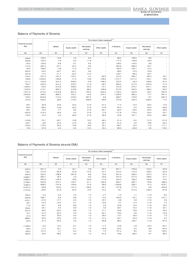### Balance of Payments of Slovenia

|                   |          |            |                |                       | FA, of which: Direct investment <sup>8, 9</sup> |             |                |                       |               |
|-------------------|----------|------------|----------------|-----------------------|-------------------------------------------------|-------------|----------------|-----------------------|---------------|
| Financial account |          |            |                |                       |                                                 |             |                |                       |               |
| (FA)              |          | Abroad     | Equity capital | Reinvested<br>eamings | Other capital                                   | In Slovenia | Equity capital | Reinvested<br>eamings | Other capital |
| 48                | 49       | 50         | 51             | 52                    | 53                                              | 54          | 55             | 56                    | 57            |
|                   |          |            |                |                       |                                                 |             |                |                       |               |
| -438.5            | 109.2    | 10.9       | 2.5            | 8.3                   |                                                 | 98.3        | 108.0          | $-9.6$                |               |
| 205.8             | 125.2    | 7.8        | $-4.0$         | 11.8                  |                                                 | 117.4       | 136.9          | $-19.5$               |               |
| $-32.4$           | 132.6    | $-5.6$     | $-5.1$         | $-0.5$                |                                                 | 138.2       | 142.0          | $-3.8$                |               |
| $-112.3$          | 267.3    | $-27.7$    | $-24.7$        | $-3.0$                |                                                 | 294.9       | 269.3          | 25.7                  |               |
| 54.2              | 199.2    | 4.9        | $-11.2$        | 16.1                  |                                                 | 194.3       | 153.1          | 41.2                  |               |
| 625.3             | 54.5     | $-44.7$    | $-42.1$        | $-2.6$                |                                                 | 99.2        | 75.3           | 23.9                  |               |
| 537.6             | 77.4     | $-71.7$    | $-54.7$        | $-17.0$               |                                                 | 149.1       | 96.3           | 52.7                  |               |
| $-144.3$          | 251.2    | $-161.2$   | $-102.7$       | 4.7                   | $-63.2$                                         | 412.4       | 394.7          | $-60.4$               | 78.1          |
| 166.6             | 1,555.9  | $-165.8$   | $-71.2$        | 13.9                  | $-108.5$                                        | 1,721.7     | 1,511.0        | 134.1                 | 76.6          |
| 211.2             | $-150.8$ | $-421.3$   | $-246.0$       | $-5.9$                | $-169.4$                                        | 270.5       | $-16.3$        | 195.8                 | 91.0          |
| 793.7             | 224.2    | $-441.0$   | $-379.7$       | $-11.6$               | $-49.7$                                         | 665.2       | 317.5          | 276.3                 | 71.4          |
| 1,084.3           | $-43.0$  | $-515.6$   | $-456.0$       | $-45.5$               | $-14.1$                                         | 472.5       | 270.7          | 251.1                 | $-49.3$       |
| 1,223.0           | $-173.7$ | $-687.0$   | $-418.8$       | $-99.4$               | $-168.8$                                        | 513.3       | 252.0          | 196.4                 | 65.0          |
| 1,971.5           | $-210.2$ | $-1,316.6$ | $-647.2$       | $-125.3$              | $-544.2$                                        | 1,106.4     | 424.9          | 83.7                  | 597.9         |
| 2,630.6           | 346.2    | $-983.3$   | $-702.1$       | $-10.6$               | $-270.7$                                        | 1,329.5     | 380.3          | 17.7                  | 931.4         |
| 163.5             | $-643.9$ | $-174.2$   | $-478.2$       | 297.4                 | 6.6                                             | $-469.7$    | 120.8          | 6.7                   | $-597.2$      |
| 310.5             | 333.5    | 59.6       | $-170.2$       | 259.6                 | $-29.8$                                         | 273.9       | 442.3          | $-239.5$              | 71.0          |
| $-35.7$           | 35.9     | 24.6       | 24.2           | 21.6                  | $-21.2$                                         | 11.3        | 13.4           | $-20.0$               | 17.9          |
| 60.5              | $-68.0$  | $-13.6$    | $-20.3$        | 21.6                  | $-14.9$                                         | $-54.4$     | 5.4            | $-20.0$               | $-39.8$       |
| 56.1              | 74.3     | $-7.7$     | $-9.2$         | 21.6                  | $-20.1$                                         | 82.0        | 53.5           | $-20.0$               | 48.5          |
| $-240.0$          | 213.4    | 35.6       | $-4.0$         | 21.6                  | 17.9                                            | 177.8       | 174.0          | $-20.0$               | 23.7          |
| 134.2             | 47.3     | 4.5        | $-45.6$        | 21.6                  | 28.5                                            | 42.8        | 161.1          | $-20.0$               | $-98.4$       |
| $-143.8$          | $-75.1$  | $-53.7$    | $-14.8$        | 10.2                  | $-49.2$                                         | $-21.4$     | $-0.5$         | 31.0                  | $-51.9$       |
| 102.7             | $-8.6$   | 22.4       | $-12.3$        | 9.6                   | 25.1                                            | $-31.0$     | 4.5            | 18.6                  | $-54.2$       |
| 279.0             | 174.0    | 35.3       | $-13.8$        | 16.0                  | 33.1                                            | 138.7       | 10.5           | 11.0                  | 117.1         |
| 13.0              | 91.9     | $-4.4$     | $-0.2$         | 12.2                  | $-16.4$                                         | 96.3        | $-25.8$        | 5.6                   | 116.5         |

|                   |          |          |                |                       | FA, of which: Direct investment <sup>8, 9</sup> |             |                |                       |               |
|-------------------|----------|----------|----------------|-----------------------|-------------------------------------------------|-------------|----------------|-----------------------|---------------|
| Financial account |          |          |                |                       |                                                 |             |                |                       |               |
| (FA)              |          | Abroad   | Equity capital | Reinvested<br>eamings | Other capital                                   | In Slovenia | Equity capital | Reinvested<br>eamings | Other capital |
| 48                | 49       | 50       | 51             | 52                    | 53                                              | 54          | 55             | 56                    | 57            |
|                   |          |          |                |                       |                                                 |             |                |                       |               |
| $-233.4$          | 921.4    | 0.3      | 20.1           | 0.9                   | $-20.7$                                         | 921.1       | 755.8          | 102.4                 | 62.9          |
| 149.1             | 214.6    | $-95.9$  | $-37.8$        | $-10.3$               | $-47.7$                                         | 310.4       | 172.4          | 158.3                 | $-20.3$       |
| 600.3             | 352.2    | $-198.8$ | $-267.9$       | $-6.8$                | 75.8                                            | 551.0       | 256.5          | 197.5                 | 97.0          |
| 2,668.7           | 562.7    | 35.4     | 5.3            | $-3.5$                | 33.6                                            | 527.3       | 277.0          | 198.5                 | 51.7          |
| 2,680.4           | 297.9    | $-126.4$ | $-79.6$        | $-34.9$               | $-11.9$                                         | 424.3       | 189.2          | 164.8                 | 70.4          |
| 2,799.2           | 540.6    | $-313.1$ | $-132.7$       | $-21.1$               | $-159.3$                                        | 853.7       | 292.7          | 92.8                  | 468.2         |
| 3.360.4           | 908.0    | $-151.8$ | $-156.6$       | 31.6                  | $-26.9$                                         | 1,059.8     | 339.7          | 41.0                  | 679.1         |
| $-4,001.5$        | $-55.8$  | 102.0    | $-101.4$       | 109.3                 | 94.1                                            | $-157.8$    | 177.5          | $-0.8$                | $-334.6$      |
| $-1,474.0$        | $-30.6$  | $-21.9$  | $-22.0$        | 15.5                  | $-15.4$                                         | $-8.7$      | 212.4          | $-139.3$              | $-81.8$       |
|                   |          |          |                |                       |                                                 |             |                |                       |               |
| 255.2             | $-4.4$   | $-3.4$   | 0.0            | 1.3                   | $-4.7$                                          | $-1.0$      | 1.1            | $-11.6$               | 9.5           |
| $-640.6$          | $-186.1$ | 8.4      | $-6.9$         | 1.3                   | 14.0                                            | $-194.5$    | $-75.7$        | $-11.6$               | $-107.1$      |
| $-475.1$          | $-21.6$  | $-17.7$  | $-0.3$         | 1.3                   | $-18.7$                                         | $-3.9$      | 3.8            | $-11.6$               | 3.9           |
| 40.7              | $-12.3$  | $-13.0$  | $-0.7$         | 1.3                   | $-13.5$                                         | 0.7         | 11.0           | $-11.6$               | 1.3           |
| 77.3              | 40.1     | $-4.8$   | $-8.6$         | 1.3                   | 2.5                                             | 44.9        | 14.3           | $-11.6$               | 42.2          |
| 264.5             | 34.1     | 5.4      | $-0.9$         | 1.3                   | 4.9                                             | 28.7        | 15.2           | $-11.6$               | 25.1          |
| $-247.4$          | 29.2     | $-25.4$  | $-9.6$         | 1.3                   | $-17.1$                                         | 54.6        | 12.9           | $-11.6$               | 53.3          |
| 70.1              | $-41.2$  | $-23.2$  | 5.5            | 1.3                   | $-30.1$                                         | $-18.0$     | 4.6            | $-11.6$               | $-10.9$       |
| 31.3              | 44.2     | 30.5     | $-0.3$         | 1.3                   | 29.4                                            | 13.7        | 18.0           | $-11.6$               | 7.3           |
| $-868.2$          | 67.0     | 32.0     | $-0.5$         | 1.3                   | 31.2                                            | 35.1        | 42.3           | $-11.6$               | 4.3           |
| $-53.3$           | 41.2     | $-45.0$  | 0.5            | 1.3                   | $-46.8$                                         | 86.2        | 159.7          | $-11.6$               | $-61.9$       |
|                   |          |          |                |                       |                                                 |             |                |                       |               |
| $-1,428.3$        | $-0.3$   | 12.3     | $-0.7$         | 1.3                   | 11.7                                            | $-12.6$     | $-1.8$         | 22.3                  | $-33.1$       |
| $-46.4$           | $-11.2$  | 42.1     | $-0.1$         | 1.3                   | 40.9                                            | $-53.3$     | 4.5            | 9.8                   | $-67.6$       |
| 185.2             | 131.5    | 0.1      | $-0.4$         | 1.5                   | $-1.0$                                          | 131.4       | 8.0            | 3.2                   | 120.2         |
| 390.5             | 33.5     | $-46.5$  | $-0.3$         | 1.4                   | $-47.5$                                         | 79.9        | $-26.0$        | 9.7                   | 96.2          |
|                   |          |          |                |                       |                                                 |             |                |                       |               |
|                   |          |          |                |                       |                                                 |             |                |                       |               |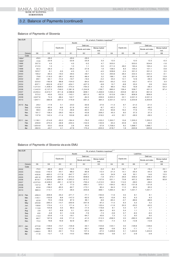**EUROSYSTEM**

# 3.2. Balance of Payments (continued)

### Balance of Payments of Slovenia

| Mio EUR      |            |             |             |            |                 | FA, of which: Portofolio investment <sup>2, 3</sup> |          |             |             |                 |                       |
|--------------|------------|-------------|-------------|------------|-----------------|-----------------------------------------------------|----------|-------------|-------------|-----------------|-----------------------|
|              |            |             |             | Assets     |                 |                                                     |          |             | Liabilities |                 |                       |
|              |            |             |             |            | Debt sec.       |                                                     |          |             |             | Debt sec.       |                       |
|              |            |             | Equity sec. |            | Bonds and notes | Money market<br>inst.                               |          | Equity sec. |             | Bonds and notes | Money market<br>inst. |
| Column       | 58         | 59          | 60          | 61         | 62              | 63                                                  | 64       | 65          | 66          | 67              | 68                    |
| Code         |            |             |             |            |                 |                                                     |          |             |             |                 |                       |
| 1994*        | $-29.5$    | $-29.5$     | ÷.          | $-29.5$    | $-29.5$         | $\overline{\phantom{a}}$                            |          | ٠           | $\sim$      |                 |                       |
| 1995*        | $-10.6$    | $-22.6$     |             | $-22.6$    | $-25.9$         | 3.3                                                 | 12.0     |             | 12.0        | 12.3            | $-0.3$                |
| 1996         | 507.5      | 4.5         |             | 4.5        | $-0.2$          | 4.7                                                 | 503.0    | ÷           | 503.0       | 504.6           | $-1.6$                |
| 1997         | 212.5      | 1.0         |             | 1.0        | 1.1             | 0.0                                                 | 211.5    | 48.0        | 163.4       | 163.4           | 0.0                   |
| 1998         | 82.2       | $-26.3$     |             | $-26.3$    | $-27.9$         | 1.6                                                 | 108.5    | 8.3         | 100.2       | 101.1           | $-0.8$                |
| 1999         | 323.7      | $-5.1$      | $-0.5$      | $-4.5$     | $-0.1$          | $-4.5$                                              | 328.8    | $-2.4$      | 331.2       | 331.2           | 0.0                   |
| 2000         | 185.2      | $-65.5$     | $-16.0$     | $-49.5$    | $-49.7$         | 0.2                                                 | 250.8    | 28.4        | 222.4       | 222.4           | $-0.1$                |
| 2001         | 79.8       | $-119.3$    | $-26.1$     | $-93.2$    | $-96.4$         | 3.2                                                 | 199.1    | $-2.6$      | 201.6       | 187.8           | 13.9                  |
| 2002         | $-69.1$    | $-94.1$     | $-74.4$     | $-19.7$    | $-19.4$         | $-0.2$                                              | 25.0     | 12.1        | 12.9        | $-26.3$         | 39.2                  |
| 2003         | $-223.0$   | $-192.8$    | $-88.8$     | $-104.0$   | $-84.0$         | $-20.0$                                             | $-30.2$  | 13.5        | $-43.7$     | $-47.0$         | 3.3                   |
| 2004         | $-637.1$   | $-652.8$    | $-218.7$    | $-434.1$   | $-427.3$        | $-6.8$                                              | 15.7     | $-9.8$      | 25.5        | 0.9             | 24.6                  |
| 2005         | $-1,313.4$ | $-1,409.4$  | $-639.0$    | $-770.4$   | $-764.3$        | $-6.2$                                              | 96.0     | 79.2        | 16.9        | $-36.4$         | 53.3                  |
| 2006         | $-1,442.5$ | $-2, 127.5$ | $-746.0$    | $-1,381.6$ | $-1,244.9$      | $-136.7$                                            | 685.0    | 156.4       | 528.7       | 431.3           | 97.4                  |
| 2007         | $-2,255.4$ | $-3,310.7$  | $-911.8$    | $-2,398.9$ | $-939.1$        | $-1,459.9$                                          | 1,055.4  | 203.8       | 851.6       | 851.6           |                       |
| 2008         | 572.2      | $-40.6$     | 102.5       | $-143.1$   | $-601.0$        | 457.9                                               | 612.8    | $-194.1$    | 806.9       | 806.9           |                       |
| 2009         | 4,627.6    | 74.3        | $-68.4$     | 142.7      | $-84.3$         | 226.9                                               | 4,553.3  | 22.1        | 4,531.3     | 4,531.3         |                       |
| 2010         | 1.947.1    | $-383.9$    | $-207.0$    | $-176.9$   | $-561.2$        | 384.3                                               | 2,331.0  | 127.0       | 2,203.9     | 2,203.9         |                       |
| 2010 Aug.    | $-29.2$    | $-17.9$     | 5.1         | $-23.0$    | $-50.6$         | 27.6                                                | $-11.3$  | 9.7         | $-21.0$     | $-21.0$         |                       |
| Sep.         | $-102.6$   | $-60.4$     | $-8.6$      | $-51.9$    | $-45.2$         | $-6.7$                                              | $-42.2$  | 7.1         | $-49.2$     | $-49.2$         |                       |
| Oct.         | 68.0       | $-25.8$     | 11.0        | $-36.8$    | $-82.0$         | 45.3                                                | 93.8     | 16.2        | 77.6        | 77.6            |                       |
| Nov.         | 181.7      | 136.4       | $-26.0$     | 162.4      | $-43.9$         | 206.2                                               | 45.3     | 8.0         | 37.3        | 37.3            |                       |
| Dec.         | 137.9      | 142.4       | $-11.4$     | 153.8      | $-62.2$         | 216.0                                               | $-4.5$   | 22.1        | $-26.5$     | $-26.5$         |                       |
| 2011<br>Jan. | 1,136.1    | $-214.6$    | $-30.2$     | $-184.4$   | $-79.2$         | $-105.2$                                            | 1,350.7  | 15.6        | 1,335.2     | 1,335.2         |                       |
| Feb.         | $-206.9$   | $-270.3$    | $-36.9$     | $-233.4$   | $-102.5$        | $-130.9$                                            | 63.4     | 20.9        | 42.5        | 42.5            |                       |
| Mar.         | 1,654.9    | $-53.0$     | $-55.8$     | 2.8        | 40.6            | $-37.8$                                             | 1,708.0  | 9.2         | 1,698.7     | 1,698.7         |                       |
| Apr.         | $-362.5$   | $-43.7$     | 4.1         | $-47.9$    | 175.4           | $-223.3$                                            | $-318.7$ | 1.9         | $-320.6$    | $-320.6$        |                       |

| Mio EUR |        |            |            |             |            |                 | FA, of which: Portofolio investment <sup>2, 3</sup> |          |             |             |                 |                       |
|---------|--------|------------|------------|-------------|------------|-----------------|-----------------------------------------------------|----------|-------------|-------------|-----------------|-----------------------|
|         |        |            |            |             | Assets     |                 |                                                     |          |             | Liabilities |                 |                       |
|         |        |            |            |             |            | Debt sec.       |                                                     |          |             |             | Debt sec.       |                       |
|         |        |            |            | Equity sec. |            | Bonds and notes | Money market<br>inst.                               |          | Equity sec. |             | Bonds and notes | Money market<br>inst. |
|         | Column | 58         | 59         | 60          | 61         | 62              | 63                                                  | 64       | 65          | 66          | 67              | 68                    |
|         | Code   |            |            |             |            |                 |                                                     |          |             |             |                 |                       |
| 2002    |        | $-76.0$    | $-66.6$    | $-50.0$     | $-16.5$    | $-16.3$         | $-0.2$                                              | $-9.4$   | $-18.1$     | 8.7         | $-16.4$         | 25.1                  |
| 2003    |        | $-163.6$   | $-142.3$   | $-44.1$     | $-98.2$    | $-85.9$         | $-12.4$                                             | $-21.3$  | 14.1        | $-35.4$     | $-44.3$         | 8.9                   |
| 2004    |        | $-430.6$   | $-465.5$   | $-117.8$    | $-347.7$   | $-347.1$        | $-0.6$                                              | 34.9     | 4.8         | 30.1        | 14.6            | 15.5                  |
| 2005    |        | $-481.6$   | $-854.6$   | $-244.2$    | $-610.4$   | $-608.6$        | $-1.8$                                              | 373.1    | 26.6        | 346.5       | 308.3           | 38.2                  |
| 2006    |        | $-819.7$   | $-1,350.8$ | $-297.6$    | $-1,053.2$ | $-915.7$        | $-137.6$                                            | 531.1    | 73.9        | 457.2       | 364.4           | 92.8                  |
| 2007    |        | $-2,373.0$ | $-2,428.5$ | $-261.1$    | $-2,167.3$ | $-755.4$        | $-1,412.0$                                          | 55.5     | 114.5       | $-59.0$     | $-59.0$         |                       |
| 2008    |        | $-107.3$   | 86.7       | 9.7         | 77.0       | $-493.1$        | 570.1                                               | $-194.0$ | $-62.2$     | $-131.8$    | $-131.8$        |                       |
| 2009    |        | $-63.9$    | $-158.2$   | $-65.5$     | $-92.7$    | $-173.1$        | 80.4                                                | 94.3     | 11.0        | 83.3        | 83.3            |                       |
| 2010    |        | 980.3      | $-114.1$   | $-77.7$     | $-36.5$    | $-405.6$        | 369.1                                               | 1,094.4  | 62.7        | 1,031.7     | 1,031.7         |                       |
|         |        |            |            |             |            |                 |                                                     |          |             |             |                 |                       |
| 2010    | Feb.   | $-295.3$   | $-306.9$   | $-35.2$     | $-271.7$   | $-77.1$         | $-194.6$                                            | 11.6     | 3.5         | 8.1         | 8.1             |                       |
|         | Mar.   | $-140.1$   | $-155.8$   | $-8.9$      | $-147.0$   | $-62.5$         | $-84.5$                                             | 15.8     | 9.5         | 6.3         | 6.3             |                       |
|         | Apr.   | $-22.9$    | 70.5       | $-16.8$     | 87.3       | 96.1            | $-8.9$                                              | $-93.4$  | $-3.7$      | $-89.6$     | $-89.6$         |                       |
|         | May    | $-253.8$   | $-265.3$   | $-14.7$     | $-250.6$   | $-347.9$        | 97.2                                                | 11.5     | 6.3         | 5.2         | 5.2             |                       |
|         | Jun.   | 158.8      | 170.4      | $-1.1$      | 171.4      | 51.1            | 120.4                                               | $-11.6$  | 20.3        | $-32.0$     | $-32.0$         |                       |
|         | Jul.   | 113.9      | 104.8      | 5.5         | 99.3       | $-17.4$         | 116.8                                               | 9.1      | 4.4         | 4.7         | 4.7             |                       |
|         | Aug.   | 2.9        | $-3.7$     | $-8.8$      | 5.1        | $-23.2$         | 28.4                                                | 6.5      | 5.4         | 1.1         | 1.1             |                       |
|         | Sep.   | $-6.6$     | $-5.8$     | 9.1         | $-14.9$    | $-7.6$          | $-7.3$                                              | $-0.8$   | 5.7         | $-6.5$      | $-6.5$          |                       |
|         | Oct.   | $-13.3$    | $-20.6$    | $-1.5$      | $-19.1$    | $-64.7$         | 45.6                                                | 7.3      | 1.2         | 6.0         | 6.0             |                       |
|         | Nov.   | $-90.7$    | 167.6      | $-3.6$      | 171.2      | $-41.0$         | 212.3                                               | $-258.3$ | 2.0         | $-260.3$    | $-260.3$        |                       |
|         | Dec.   | 72.4       | 79.8       | 16.9        | 62.9       | $-80.1$         | 143.1                                               | $-7.4$   | 5.4         | $-12.8$     | $-12.8$         |                       |
|         |        |            |            |             |            |                 |                                                     |          |             |             |                 |                       |
| 2011    | Jan.   | $-272.8$   | $-149.6$   | $-13.7$     | $-135.9$   | $-32.1$         | $-103.8$                                            | $-123.1$ | 3.5         | $-126.6$    | $-126.6$        |                       |
|         | Feb.   | $-186.8$   | $-186.0$   | $-14.2$     | $-171.8$   | $-83.1$         | $-88.8$                                             | $-0.8$   | 6.3         | $-7.1$      | $-7.1$          |                       |
|         | Mar.   | 1,468.0    | 38.3       | $-32.1$     | 70.4       | 107.4           | $-37.0$                                             | 1,429.8  | 5.1         | 1,424.6     | 1,424.6         |                       |
|         | Apr.   | $-11.8$    | $-12.7$    | 1.3         | $-14.0$    | 168.6           | $-182.6$                                            | 0.8      | 3.7         | $-2.9$      | $-2.9$          |                       |
|         |        |            |            |             |            |                 |                                                     |          |             |             |                 |                       |
|         |        |            |            |             |            |                 |                                                     |          |             |             |                 |                       |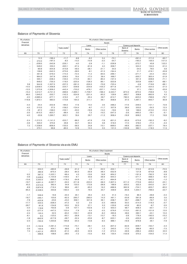### Balance of Payments of Slovenia

| FA, of which:            |            |             |                            |            |            | FA, of which: Other investment |            |                          |                       |               |              |
|--------------------------|------------|-------------|----------------------------|------------|------------|--------------------------------|------------|--------------------------|-----------------------|---------------|--------------|
| Financial                |            |             |                            |            |            | Assets                         |            |                          |                       |               |              |
| derivatives              |            |             |                            |            | Loans      |                                |            |                          | Currency and deposits |               |              |
|                          |            |             | Trade credits <sup>4</sup> |            | Banks      | Other sectors                  |            | Bank of                  | Banks                 | Other sectors | Other assets |
|                          |            |             |                            |            |            |                                |            | Slovenia                 |                       |               |              |
| 69                       | 70         | 71          | 72                         | 73         | 74         | 75                             | 76         | 77                       | 78                    | 79            | 80           |
|                          |            |             |                            |            |            |                                |            |                          |                       |               |              |
| $\overline{\phantom{a}}$ | 12.3       | $-186.4$    | $-11.7$                    | $-8.8$     | $-9.2$     | 0.4                            | $-70.1$    | $\sim$                   | $-281.0$              | 211.0         | $-95.7$      |
| $\overline{a}$           | 272.0      | $-197.2$    | $-8.3$                     | $-13.2$    | $-10.9$    | $-2.2$                         | $-54.7$    | $\sim$                   | $-160.2$              | 105.5         | $-121.0$     |
| ٠                        | $-209.5$   | $-343.9$    | $-235.1$                   | $-4.0$     | $-2.9$     | $-1.1$                         | $-226.9$   |                          | $-272.7$              | 45.8          | 122.2        |
| $\overline{a}$           | 549.0      | 230.2       | $-320.1$                   | $-57.4$    | $-61.6$    | 4.2                            | 658.7      | ٠                        | 524.2                 | 134.5         | $-51.0$      |
| ٠                        | $-80.9$    | $-404.8$    | $-415.8$                   | $-49.3$    | $-28.1$    | $-21.1$                        | 54.5       |                          | $-24.5$               | 79.0          | 5.8          |
| ٠                        | 158.6      | $-540.3$    | $-275.6$                   | $-39.5$    | $-8.1$     | $-31.3$                        | $-194.4$   |                          | 21.7                  | $-216.1$      | $-30.8$      |
| $\overline{\phantom{a}}$ | 461.8      | $-576.0$    | $-174.3$                   | $-72.4$    | 11.2       | $-83.5$                        | $-296.1$   | $\overline{\phantom{a}}$ | $-271.7$              | $-24.4$       | $-33.2$      |
| $\overline{a}$           | 964.0      | 247.9       | $-239.3$                   | 19.4       | $-17.0$    | 36.4                           | 499.7      | ٠                        | $-300.7$              | 800.4         | $-31.9$      |
| ٠                        | 565.1      | $-538.4$    | $-135.5$                   | $-174.5$   | $-94.1$    | $-80.4$                        | $-157.4$   |                          | 351.3                 | $-508.8$      | $-71.1$      |
| $\overline{\phantom{a}}$ | 849.2      | $-730.3$    | $-116.0$                   | $-223.4$   | $-128.3$   | $-95.1$                        | $-322.8$   | ×.                       | 203.9                 | $-526.7$      | $-68.1$      |
| 5.8                      | 944.9      | $-1,307.5$  | $-237.2$                   | $-281.0$   | $-205.3$   | $-75.6$                        | $-720.4$   |                          | $-0.8$                | $-719.6$      | $-69.1$      |
| $-10.0$                  | 2.639.5    | $-1,458.8$  | $-225.7$                   | $-339.8$   | $-234.6$   | $-105.2$                       | $-871.8$   |                          | $-447.3$              | $-424.5$      | $-21.5$      |
| $-12.5$                  | 1,570.9    | $-1,939.2$  | $-442.4$                   | $-733.2$   | $-476.1$   | $-257.1$                       | $-743.0$   |                          | 37.1                  | $-780.1$      | $-20.6$      |
| $-15.2$                  | 4,312.7    | $-4,741.2$  | $-399.6$                   | $-1,895.1$ | $-1,706.7$ | $-188.4$                       | $-2,453.7$ | $-873.3$                 | $-870.5$              | $-709.9$      | 7.2          |
| 46.0                     | 1,645.2    | $-332.7$    | $-142.3$                   | $-324.6$   | $-231.4$   | $-93.2$                        | 129.9      | 483.7                    | 308.8                 | $-662.6$      | 4.3          |
| $-2.0$                   | $-3,985.4$ | $-277.1$    | 416.0                      | $-0.7$     | $-30.4$    | 29.7                           | $-612.7$   | 780.5                    | $-623.2$              | $-769.9$      | $-79.7$      |
| $-116.8$                 | $-1,872.1$ | 683.0       | $-173.9$                   | 164.2      | 211.1      | 56.1                           | 608.9      | 57.5                     | 1,497.1               | $-945.7$      | 83.9         |
|                          |            |             |                            |            |            |                                |            |                          |                       |               |              |
| $-4.3$                   | $-34.4$    | $-202.8$    | 195.0                      | 17.6       | 15.0       | 2.6                            | $-488.2$   | $-17.6$                  | $-349.5$              | $-121.1$      | 72.9         |
| $-4.5$                   | 210.5      | 37.5        | $-158.2$                   | $-124.4$   | $-9.7$     | $-11.7$                        | 307.9      | 28.6                     | 333.5                 | $-54.3$       | 12.3         |
| $-7.9$                   | $-97.2$    | $-168.0$    | $-102.1$                   | $-33.0$    | $-18.9$    | $-14.2$                        | $-19.6$    | 0.9                      | 189.6                 | $-210.0$      | $-13.3$      |
| $-3.5$                   | $-615.3$   | $-623.7$    | $-68.4$                    | $-3.0$     | 7.2        | $-10.2$                        | $-547.3$   | $-2.6$                   | $-465.5$              | $-79.1$       | $-5.1$       |
| $-4.0$                   | $-33.9$    | 1,295.7     | 402.1                      | 18.4       | 29.7       | $-11.3$                        | 858.4      | $-16.9$                  | 858.2                 | 17.2          | 16.8         |
|                          |            |             |                            |            |            |                                |            |                          |                       |               |              |
| $-2.4$                   | $-1,212.3$ | $-1, 141.2$ | $-222.7$                   | $-88.3$    | $-47.8$    | $-7.8$                         | $-821.0$   | $-62.8$                  | $-575.9$              | $-182.3$      | $-9.2$       |
| $-3.9$                   | 305.0      | 375.6       | 26.8                       | 34.7       | 30.4       | 4.8                            | 318.3      | 17.0                     | 378.5                 | $-77.2$       | $-4.3$       |
| 7.2                      | $-1,538.6$ | $-836.6$    | $-130.5$                   | $-56.5$    | 24.8       | $-10.1$                        | $-669.0$   | $-49.9$                  | $-382.0$              | $-237.1$      | 19.4         |
|                          | 270.1      | 69.8        | $-85.5$                    | 12.9       | 10.3       | 3.3                            | 131.0      | $-132.8$                 | 382.1                 | $-118.3$      | 11.5         |

| FA, of which:            |             |            |                                         |          |          | FA, of which: Other investment |            |                     |                       |               |              |
|--------------------------|-------------|------------|-----------------------------------------|----------|----------|--------------------------------|------------|---------------------|-----------------------|---------------|--------------|
| Financial                |             |            |                                         |          |          |                                | Assets     |                     |                       |               |              |
| derivatives              |             |            |                                         |          | Loans    |                                |            |                     | Currency and deposits |               |              |
|                          |             |            | $\label{eq:4} \textbf{Trade credits}^4$ |          | Banks    | Other sectors                  |            | Bank of<br>Slovenia | Banks                 | Other sectors | Other assets |
| 69                       | 70          | 71         | 72                                      | 73       | 74       | 75                             | 76         | 77                  | 78                    | 79            | 80           |
|                          |             |            |                                         |          |          |                                |            |                     |                       |               |              |
| $\sim$                   | 504.0       | $-480.6$   | $-56.8$                                 | $-51.2$  | 0.8      | $-52.0$                        | $-302.1$   | ÷                   | 310.5                 | $-612.6$      | $-70.5$      |
| $\overline{\phantom{a}}$ | 480.9       | $-675.4$   | $-28.4$                                 | $-84.3$  | $-35.9$  | $-48.4$                        | $-552.9$   | ٠                   | 121.9                 | $-674.8$      | $-9.8$       |
| $-0.2$                   | 367.0       | $-1,022.1$ | $-66.4$                                 | 4.3      | $-15.6$  | 19.9                           | $-954.2$   | ٠                   | $-161.9$              | $-792.3$      | $-5.9$       |
| $-3.9$                   | 2,449.6     | $-1,104.9$ | $-149.5$                                | $-6.1$   | 30.8     | $-36.9$                        | $-940.2$   | ٠                   | $-371.7$              | $-568.4$      | $-9.2$       |
| $-15.6$                  | 2,353.5     | $-899.3$   | $-178.3$                                | $-54.9$  | $-7.7$   | $-47.1$                        | $-664.9$   | ٠                   | 177.6                 | $-842.5$      | $-1.2$       |
| $-19.7$                  | 4,651.3     | $-2,297.7$ | $-55.5$                                 | $-311.8$ | $-253.5$ | $-58.3$                        | $-1,907.4$ | $-511.2$            | $-775.9$              | $-620.2$      | $-23.1$      |
| 45.2                     | 2,514.6     | 392.4      | 34.9                                    | 133.0    | 172.8    | $-39.9$                        | 199.9      | 420.5               | 322.3                 | $-543.0$      | 24.7         |
| $-6.9$                   | $-3,874.9$  | $-716.4$   | 99.6                                    | $-49.1$  | $-65.2$  | 16.2                           | $-686.8$   | 662.9               | $-724.1$              | $-625.7$      | $-80.0$      |
| $-95.2$                  | $-2,328.5$  | 250.8      | $-183.4$                                | $-3.0$   | 79.3     | 20.7                           | 459.9      | $-84.8$             | 1,344.1               | $-799.5$      | $-22.7$      |
|                          |             |            |                                         |          |          |                                |            |                     |                       |               |              |
| $-1.7$                   | 556.6       | 16.8       | $-40.3$                                 | 26.1     | 26.4     | $-0.3$                         | 31.3       | $-16.2$             | 86.3                  | $-38.8$       | $-0.4$       |
| $-18.7$                  | $-295.7$    | 103.6      | $-92.3$                                 | $-265.7$ | $-280.0$ | 14.3                           | 461.1      | $-53.8$             | 581.8                 | $-66.9$       | 0.5          |
| $-7.9$                   | $-422.8$    | $-23.6$    | $-43.2$                                 | 358.1    | 321.9    | 36.1                           | $-338.7$   | 28.7                | $-288.7$              | $-78.7$       | 0.2          |
| $-17.7$                  | 324.5       | $-528.3$   | $-47.2$                                 | 0.2      | 2.5      | $-2.3$                         | $-480.6$   | 50.0                | $-414.3$              | $-116.3$      | $-0.7$       |
| $-29.7$                  | $-91.9$     | $-134.8$   | $-33.0$                                 | 32.3     | 27.1     | 5.3                            | $-130.6$   | $-43.9$             | $-80.0$               | $-6.7$        | $-3.5$       |
| $-3.3$                   | 119.8       | 750.8      | $-3.9$                                  | 107.1    | 102.8    | 4.3                            | 655.0      | 98.7                | 606.4                 | $-50.1$       | $-7.4$       |
| $-2.2$                   | $-277.4$    | $-447.5$   | 123.4                                   | $-7.9$   | $-5.4$   | $-2.5$                         | $-576.6$   | $-113.5$            | $-361.5$              | $-101.6$      | 13.5         |
| $-2.4$                   | 120.3       | 52.5       | $-93.2$                                 | $-130.1$ | $-20.9$  | $-6.2$                         | 265.6      | 28.6                | 280.1                 | $-43.1$       | 10.2         |
| $-6.1$                   | 6.5         | $-123.5$   | $-63.1$                                 | $-26.9$  | $-13.1$  | $-13.7$                        | $-18.3$    | $-2.8$              | 176.4                 | $-192.0$      | $-15.2$      |
| $-1.8$                   | $-842.6$    | $-617.9$   | $-58.7$                                 | $-32.4$  | $-23.6$  | $-8.7$                         | $-523.1$   | $-2.6$              | $-455.0$              | $-65.5$       | $-3.7$       |
| $-2.3$                   | $-164.6$    | 1,053.8    | 195.8                                   | $-20.3$  | $-13.8$  | $-6.5$                         | 886.1      | $-16.9$             | 876.9                 | 26.1          | $-7.9$       |
|                          |             |            |                                         |          |          |                                |            |                     |                       |               |              |
| $-2.4$                   | $-1, 152.8$ | $-1,091.4$ | $-174.8$                                | $-75.1$  | $-38.1$  | $-4.3$                         | $-837.2$   | $-62.8$             | $-609.7$              | $-164.7$      | $-4.3$       |
| $-3.9$                   | 155.6       | 404.1      | 68.6                                    | 2.6      | 1.7      | 1.3                            | 340.5      | 17.0                | 388.9                 | $-65.5$       | $-7.5$       |
| 7.2                      | $-1,421.5$  | $-662.8$   | $-61.0$                                 | $-49.5$  | 22.9     | $-1.2$                         | $-574.3$   | $-49.9$             | $-296.4$              | $-228.0$      | 22.0         |
|                          | 368.8       | 108.6      | $-29.0$                                 | $-7.2$   | $-13.3$  | 6.8                            | 133.4      | $-132.8$            | 370.2                 | $-104.0$      | 11.4         |
|                          |             |            |                                         |          |          |                                |            |                     |                       |               |              |
|                          |             |            |                                         |          |          |                                |            |                     |                       |               |              |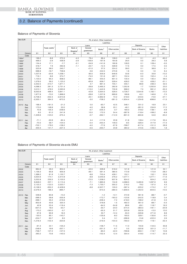**EUROSYSTEM**

## 3.2. Balance of Payments (continued)

### Balance of Payments of Slovenia

| Mio EUR      |            |                            |            |                                  |                       | FA, of which. Other investment |               |            |                  |          |             |
|--------------|------------|----------------------------|------------|----------------------------------|-----------------------|--------------------------------|---------------|------------|------------------|----------|-------------|
|              |            |                            |            |                                  |                       | Liabilities                    |               |            |                  |          |             |
|              |            |                            |            |                                  | Loans                 |                                |               |            | Deposits         |          | Other       |
|              |            | Trade credits <sup>4</sup> |            | Bank of<br>Slovenia <sup>6</sup> | General<br>government | Banks <sup>2</sup>             | Other sectors |            | Bank of Slovenia | Banks    | liabilities |
| Column       | 81         | 82                         | 83         | 84                               | 85                    | 86                             | 87            | 88         | 89               | 90       | 91          |
| Code         |            |                            |            |                                  |                       |                                |               |            |                  |          |             |
| 1994*        | 199.2      | $-8.8$                     | 272.5      | $-4.3$                           | 79.4                  | 89.4                           | 108.0         | $-4.3$     | 0.1              | $-4.3$   | $-60.2$     |
| 1995*        | 469.2      | $-2.9$                     | 436.9      | $-2.6$                           | 106.9                 | 167.9                          | 164.8         | 29.4       | 0.0              | 29.3     | 5.8         |
| 1996         | 134.4      | 17.1                       | $-7.7$     | $-2.1$                           | $-54.9$               | $-141.6$                       | 190.8         | 128.5      | 0.1              | 128.4    | $-3.5$      |
| 1997         | 318.7      | 7.9                        | 292.8      | $-1.1$                           | $-22.7$               | $-12.3$                        | 328.9         | 17.5       | 0.0              | 17.5     | 0.5         |
| 1998         | 323.9      | 39.0                       | 240.7      |                                  | $-21.0$               | 37.5                           | 224.2         | 39.0       | 0.1              | 38.9     | 5.1         |
| 1999         | 698.9      | $-18.7$                    | 709.6      |                                  | $-3.6$                | 242.5                          | 470.6         | 1.6        | 0.0              | 1.6      | 6.4         |
| 2000         | 1.037.9    | $-20.6$                    | 1,038.1    |                                  | 85.5                  | 305.9                          | 646.6         | 33.6       | $-0.3$           | 33.9     | $-13.2$     |
| 2001         | 716.1      | $-9.6$                     | 574.7      |                                  | $-74.0$               | 151.6                          | 497.1         | 152.4      | 0.0              | 152.4    | $-1.4$      |
| 2002         | 1,103.5    | 95.2                       | 838.5      |                                  | $-96.1$               | 333.3                          | 601.3         | 130.4      | 0.0              | 130.4    | 39.5        |
| 2003         | 1,579.5    | 59.2                       | 1,123.2    |                                  | $-65.9$               | 659.7                          | 529.4         | 428.2      | 0.0              | 428.2    | $-31.1$     |
| 2004         | 2,252.5    | 213.7                      | 1,671.1    |                                  | 4.7                   | 961.3                          | 705.1         | 335.1      | 98.9             | 236.3    | 32.5        |
| 2005         | 4,098.3    | 291.3                      | 2,731.4    |                                  | $-26.8$               | 2,465.3                        | 292.9         | 1,052.6    | 1.7              | 1,050.9  | 23.0        |
| 2006         | 3,510.1    | 478.5                      | 2,063.6    |                                  | $-115.0$              | 1,442.6                        | 735.9         | 998.2      | 7.0              | 991.2    | $-30.3$     |
| 2007         | 9,053.9    | 499.4                      | 3,841.1    |                                  | $-42.8$               | 3,354.5                        | 529.4         | 4,726.7    | 3,544.6          | 1,182.1  | $-13.2$     |
| 2008         | 1,977.9    | $-73.0$                    | 1,868.6    |                                  | $-28.8$               | 1,227.8                        | 669.6         | 189.8      | 43.1             | 146.8    | $-7.5$      |
| 2009         | $-3,708.3$ | $-452.4$                   | $-2,910.8$ |                                  | $-20.1$               | $-2,962.9$                     | 72.2          | $-318.0$   | $-243.5$         | $-74.6$  | $-27.1$     |
| 2010         | $-2,555.1$ | 364.3                      | $-973.5$   |                                  | $-3.0$                | $-709.2$                       | $-261.3$      | $-1,934.4$ | $-1,234.8$       | $-699.6$ | $-11.5$     |
| 2010<br>Aug. | 168.4      | $-181.5$                   | $-21.2$    |                                  | 0.0                   | $-63.7$                        | 42.5          | 348.1      | 331.2            | 16.9     | 23.1        |
| Sep.         | 173.0      | 148.9                      | 53.0       |                                  | $-4.0$                | 36.8                           | 20.1          | $-46.1$    | $-281.0$         | 234.9    | 17.2        |
| Oct.         | 70.9       | 135.3                      | $-239.6$   |                                  | $-0.7$                | $-235.3$                       | $-3.7$        | 180.0      | 318.2            | $-138.1$ | $-4.9$      |
| Nov.         | 8.5        | 61.0                       | 241.9      |                                  | 15.0                  | 172.5                          | 54.4          | $-287.6$   | $-118.4$         | $-169.2$ | $-6.9$      |
| Dec.         | $-1,329.6$ | $-123.0$                   | $-375.4$   |                                  | $-0.7$                | $-262.1$                       | $-112.5$      | $-801.0$   | $-855.6$         | 54.6     | $-30.2$     |
| 2011<br>Jan. | $-71.1$    | $-30.9$                    | $-92.4$    |                                  | 4.4                   | $-117.6$                       | 20.8          | 21.8       | 139.4            | $-117.6$ | 30.4        |
| Feb.         | $-70.5$    | 59.7                       | $-104.5$   |                                  | $-0.4$                | $-253.4$                       | 149.3         | $-8.5$     | $-326.4$         | 317.9    | $-17.3$     |
| Mar.         | $-702.1$   | 179.0                      | $-139.2$   |                                  | $-4.0$                | $-77.6$                        | $-57.6$       | $-768.7$   | $-617.4$         | $-151.3$ | 26.9        |
| Apr.         | 200.3      | 141.7                      | $-227.4$   |                                  | $-0.5$                | $-250.7$                       | 23.9          | 284.2      | 410.5            | $-126.3$ | 1.8         |

| Mio EUR      | FA, of which. Other investment<br>Liabilities |                            |            |                                  |                          |                    |               |            |                  |          |             |
|--------------|-----------------------------------------------|----------------------------|------------|----------------------------------|--------------------------|--------------------|---------------|------------|------------------|----------|-------------|
|              |                                               |                            |            |                                  |                          |                    |               |            |                  |          |             |
|              |                                               |                            |            |                                  | Loans                    |                    |               |            | Deposits         |          | Other       |
|              |                                               | Trade credits <sup>4</sup> |            | Bank of<br>Slovenia <sup>6</sup> | General<br>government    | Banks <sup>2</sup> | Other sectors |            | Bank of Slovenia | Banks    | liabilities |
| Column       | 81                                            | 82                         | 83         | 84                               | 85                       | 86                 | 87            | 88         | 89               | 90       | 91          |
| Code         |                                               |                            |            |                                  |                          |                    |               |            |                  |          |             |
| 2002         | 984.6                                         | 26.0                       | 804.5      | ÷.                               | $-43.5$                  | 329.8              | 518.2         | 121.9      | ٠                | 121.9    | 32.1        |
| 2003         | 1,156.3                                       | 85.8                       | 935.9      |                                  | $-36.1$                  | 591.4              | 380.5         | 172.9      |                  | 172.9    | $-38.2$     |
| 2004         | 1,389.2                                       | 81.9                       | 1,132.7    |                                  | $-9.8$                   | 703.4              | 439.1         | 152.1      |                  | 152.1    | 22.6        |
| 2005         | 3,554.6                                       | 174.1                      | 2,314.9    |                                  | $-6.8$                   | 2,045.6            | 276.2         | 1,077.1    | ٠                | 1,077.1  | $-11.6$     |
| 2006         | 3,252.8                                       | 235.5                      | 2,103.5    |                                  | $-72.5$                  | 1,538.0            | 637.9         | 924.2      |                  | 924.2    | $-10.5$     |
| 2007         | 6,949.0                                       | 237.1                      | 2,113.4    |                                  | $-7.1$                   | 1,985.6            | 134.9         | 4,588.5    | 3,490.6          | 1,097.9  | 9.9         |
| 2008         | 2,122.2                                       | $-122.0$                   | 2,023.7    |                                  | $-7.3$                   | 1,730.7            | 300.2         | 216.2      | 79.2             | 137.0    | 4.3         |
| 2009         | $-3,158.5$                                    | $-352.2$                   | $-2,409.6$ |                                  | $-6.8$                   | $-2,507.7$         | 105.0         | $-397.4$   | $-225.2$         | $-172.2$ | 0.7         |
| 2010         | $-2,579.3$                                    | 186.4                      | $-895.7$   | ٠                                |                          | $-615.5$           | $-280.3$      | $-1,856.5$ | $-1,252.0$       | $-604.5$ | $-13.5$     |
|              |                                               |                            |            |                                  |                          |                    |               |            |                  |          |             |
| 2010 Feb.    | 539.8                                         | 80.8                       | $-13.2$    |                                  |                          | $-1.2$             | $-12.1$       | 472.9      | 561.6            | $-88.7$  | $-0.7$      |
| Mar.         | $-399.3$                                      | 59.8                       | $-335.9$   |                                  |                          | $-172.7$           | $-163.2$      | $-123.6$   | $-242.5$         | 118.9    | 0.4         |
| Apr.         | $-399.1$                                      | 35.2                       | $-216.6$   |                                  |                          | $-209.4$           | $-7.2$        | $-218.0$   | $-196.2$         | $-21.8$  | 0.3         |
| May          | 852.8                                         | 40.6                       | 320.3      |                                  | $\overline{\phantom{a}}$ | 318.8              | 1.5           | 492.3      | 561.0            | $-68.7$  | $-0.3$      |
| Jun.         | 42.9                                          | 53.4                       | $-119.4$   |                                  |                          | $-64.5$            | $-54.8$       | 89.6       | $-29.1$          | 118.7    | 19.3        |
| Jul.         | $-631.0$                                      | 18.0                       | $-53.7$    |                                  | $\overline{\phantom{a}}$ | $-30.7$            | $-23.0$       | $-574.4$   | $-383.3$         | $-191.1$ | $-20.9$     |
| Aug.         | 170.2                                         | $-160.0$                   | $-3.7$     |                                  |                          | $-55.3$            | 51.7          | 320.9      | 332.9            | $-12.0$  | 13.0        |
| Sep.         | 67.8                                          | 95.9                       | 18.3       |                                  |                          | 30.7               | $-12.4$       | $-55.3$    | $-326.8$         | 271.6    | 8.8         |
| Oct.         | 130.0                                         | 85.1                       | $-143.7$   |                                  |                          | $-135.6$           | $-8.0$        | 193.5      | 329.1            | $-135.6$ | $-5.0$      |
| Nov.         | $-224.7$                                      | 60.7                       | 8.5        |                                  |                          | 5.4                | 3.1           | $-296.6$   | $-74.6$          | $-222.0$ | 2.6         |
| Dec.         | $-1,218.4$                                    | $-102.4$                   | $-323.6$   |                                  |                          | $-219.3$           | $-104.3$      | $-760.0$   | $-879.1$         | 119.1    | $-32.4$     |
|              |                                               |                            |            |                                  |                          |                    |               |            |                  |          |             |
| 2011<br>Jan. | $-61.3$                                       | 22.1                       | $-125.2$   |                                  |                          | $-136.7$           | 11.5          | 11.0       | 155.6            | $-144.5$ | 30.8        |
| Feb.         | $-248.6$                                      | 19.6                       | $-257.1$   |                                  |                          | $-251.3$           | $-5.7$        | 0.5        | $-320.8$         | 321.3    | $-11.7$     |
| Mar.         | $-758.7$                                      | 127.2                      | $-127.0$   |                                  |                          | $-85.0$            | $-42.0$       | $-769.8$   | $-650.1$         | $-119.7$ | 10.8        |
| Apr.         | 260.2                                         | 73.6                       | $-140.0$   |                                  |                          | $-152.4$           | 12.4          | 304.4      | 419.0            | $-114.7$ | 22.3        |
|              |                                               |                            |            |                                  |                          |                    |               |            |                  |          |             |
|              |                                               |                            |            |                                  |                          |                    |               |            |                  |          |             |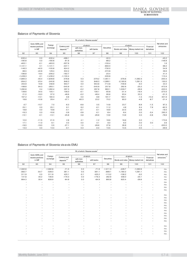### Balance of Payments of Slovenia

|             |                             |             |                   |                          | FA, of which: Reserve assets <sup>7</sup> |            |                 |                    |                          |                             |
|-------------|-----------------------------|-------------|-------------------|--------------------------|-------------------------------------------|------------|-----------------|--------------------|--------------------------|-----------------------------|
|             | Gold, SDRs and              | Foreign     | Currency and      |                          | of which:                                 |            |                 | of which:          |                          | Net errors and<br>omissions |
|             | reserve positions<br>in IMF | exchange    | deposits $^{2,5}$ | with mon.<br>authorities | with banks                                | Securities | Bonds and notes | Money market inst. | Financial<br>derivatives |                             |
| 92          | 93                          | 94          | 95                | 96                       | 97                                        | 98         | 99              | 100                | 101                      | 102                         |
|             |                             |             |                   |                          |                                           |            |                 |                    |                          |                             |
| $-530.4$    | 0.0                         | $-530.4$    | $-498.1$          | ×.                       | $\blacksquare$                            | $-32.3$    | ٠               | ×.                 | ٠                        | $-45.2$                     |
| $-180.8$    | 0.0                         | $-180.8$    | $-91.6$           | ٠                        | ٠                                         | $-89.2$    |                 |                    |                          | $-148.9$                    |
| $-463.1$    | $-0.1$                      | $-463.0$    | $-307.6$          |                          | ٠                                         | $-155.4$   |                 |                    | ٠                        | 1.6                         |
| $-1, 141.1$ | 0.1                         | $-1, 141.1$ | $-447.1$          |                          | ٠                                         | $-694.0$   |                 |                    |                          | 68.2                        |
| $-146.3$    | $-40.5$                     | $-105.8$    | 624.2             |                          | ٠                                         | $-730.0$   |                 |                    | ٠                        | 54.9                        |
| 88.5        | $-40.9$                     | 129.4       | 502.2             |                          |                                           | $-372.8$   |                 |                    |                          | 39.6                        |
| $-186.8$    | 19.4                        | $-206.2$    | $-182.7$          | ٠                        | ٠                                         | $-23.4$    |                 |                    |                          | 41.4                        |
| $-1,439.3$  | $-3.1$                      | $-1,436.2$  | $-1,100.4$        | ٠                        | ٠                                         | $-335.8$   |                 |                    | ٠                        | 110.4                       |
| $-1,885.3$  | $-45.4$                     | $-1,839.9$  | $-378.8$          | 0.3                      | $-379.2$                                  | $-1,461.1$ | $-378.8$        | $-1,082.3$         | $\overline{\phantom{a}}$ | $-250.3$                    |
| $-264.2$    | $-23.4$                     | $-240.8$    | 848.3             | 0.0                      | 848.3                                     | $-1,089.1$ | $-2,180.6$      | 1,091.5            |                          | 150.0                       |
| 255.9       | 16.9                        | 238.9       | 953.7             | 0.0                      | 953.8                                     | $-714.8$   | $-709.8$        | $-5.0$             |                          | 22.2                        |
| $-188.8$    | 94.3                        | $-283.1$    | $-540.9$          | $-0.1$                   | $-540.9$                                  | 257.8      | 282.9           | $-25.2$            | ٠                        | $-472.8$                    |
| 1,280.8     | 0.4                         | 1,280.4     | 297.3             | $-0.2$                   | 297.6                                     | 983.1      | 1,009.7         | $-26.6$            | ٠                        | $-320.5$                    |
| 139.6       | 34.5                        | 105.1       | 156.0             | $-0.1$                   | 156.1                                     | $-50.8$    | $-31.4$         | $-19.4$            |                          | $-273.5$                    |
| 21.0        | $-16.0$                     | 37.0        | $-48.6$           | $-0.2$                   | $-48.4$                                   | 85.6       | 63.4            | 22.2               |                          | $-31.3$                     |
| 167.2       | $-13.1$                     | 180.3       | 8.8               | 0.0                      | 8.9                                       | 181.7      | 183.1           | $-1.5$             | $-10.2$                  | 301.6                       |
| 18.8        | $-10.6$                     | 29.4        | $-37.1$           | $-60.3$                  | 23.2                                      | 75.2       | 80.0            | $-4.8$             | $-8.7$                   | $-21.4$                     |
| $-3.7$      | $-10.7$                     | 7.0         | $-6.3$            | $-6.8$                   | 0.5                                       | 14.8       | 23.7            | $-8.9$             | $-1.5$                   | 97.3                        |
| 25.1        | 0.0                         | 25.1        | 6.1               | 6.2                      | $-0.1$                                    | 11.2       | 4.8             | 6.4                | 7.9                      | $-82.3$                     |
| 18.8        | 0.0                         | 18.8        | $-0.1$            | $-0.1$                   | $-0.1$                                    | 18.9       | 22.5            | $-3.6$             |                          | $-18.0$                     |
| $-16.3$     | 0.3                         | $-16.6$     | $-3.9$            | $-3.8$                   | $-0.1$                                    | $-9.4$     | $-9.4$          | 0.0                | $-3.4$                   | 293.3                       |
| $-13.1$     | $-0.1$                      | $-13.1$     | $-25.8$           | 0.8                      | $-26.6$                                   | 13.6       | 13.6            | 0.0                | $-0.8$                   | $-78.6$                     |
| 10.0        | $-11.5$                     | 21.5        | 2.8               | 4.1                      | $-1.2$                                    | 18.6       | 18.6            | 0.0                |                          | 173.6                       |
| 17.1        | 11.0                        | 6.1         | 0.0               | 0.0                      | 0.1                                       | 6.0        | 6.0             | 0.0                | 0.0                      | 2.6                         |
| $-18.5$     | $-19.0$                     | 0.5         | $-27.1$           | 1.5                      | $-28.6$                                   | 27.6       | 28.9            | $-1.2$             |                          | $-320.0$                    |
| 13.3        | 0.0                         | 13.4        | $-0.1$            | 0.3                      | $-0.4$                                    | 13.5       | 13.5            | 0.0                |                          | $-49.6$                     |

|            |                   |            |                           |                          | FA, of which: Reserve assets <sup>7</sup> |            |                 |                    |                          |                         |
|------------|-------------------|------------|---------------------------|--------------------------|-------------------------------------------|------------|-----------------|--------------------|--------------------------|-------------------------|
|            | Gold, SDRs and    |            |                           |                          |                                           |            |                 |                    |                          | Net errors and          |
|            | reserve positions | Foreign    | Currency and              |                          | of which:                                 |            |                 | of which:          | Financial                | omissions <sup>11</sup> |
|            | in IMF            | exchange   | $\mathsf{deposits}^{2,5}$ | with mon.<br>authorities | with banks                                | Securities | Bonds and notes | Money market inst. | derivatives              |                         |
| 92         | 93                | 94         | 95                        | 96                       | 97                                        | 98         | 99              | 100                | 101                      | 102                     |
|            |                   |            |                           |                          |                                           |            |                 |                    |                          |                         |
| $-1,582.8$ | $\sim$            | $-1,582.8$ | $-71.5$                   | 0.3                      | $-71.9$                                   | $-1,511.3$ | $-428.7$        | $-1,082.6$         | ٠                        | n.s.                    |
| $-382.7$   | $-54.7$           | $-328.0$   | 361.1                     | 0.0                      | 361.1                                     | $-689.1$   | $-1,780.2$      | 1,091.1            |                          | n.s.                    |
| 311.9      | 0.0               | 311.9      | 425.1                     | $-0.1$                   | 425.2                                     | $-113.2$   | $-108.2$        | $-5.0$             |                          | n.s.                    |
| 141.8      | 35.2              | 106.6      | $-176.3$                  | 0.0                      | $-176.3$                                  | 282.9      | 308.0           | $-25.1$            |                          | n.s.                    |
| 864.3      | 35.4              | 828.9      | $-64.9$                   | 0.0                      | $-64.9$                                   | 893.8      | 920.4           | $-26.6$            | ٠                        | n.s.                    |
| ٠          |                   | ٠          |                           | $\blacksquare$           |                                           |            |                 |                    | $\overline{\phantom{a}}$ | n.s.                    |
|            |                   |            |                           |                          |                                           |            |                 |                    |                          | n.s.                    |
|            |                   |            |                           |                          |                                           |            |                 |                    | $\overline{\phantom{a}}$ | n.s.                    |
|            |                   |            |                           |                          |                                           |            |                 |                    |                          | n.s.                    |
|            |                   |            |                           |                          |                                           |            |                 |                    |                          |                         |
|            |                   |            |                           |                          |                                           |            |                 |                    | ٠                        | n.s.                    |
|            |                   |            |                           |                          |                                           |            |                 |                    |                          | n.s.                    |
|            |                   |            |                           |                          |                                           |            |                 |                    |                          | n.s.                    |
|            |                   |            |                           |                          |                                           |            |                 |                    |                          | n.s.                    |
|            |                   |            |                           |                          |                                           |            |                 |                    |                          | n.s.                    |
|            |                   |            |                           |                          |                                           |            |                 |                    |                          | n.s.                    |
|            |                   |            |                           |                          |                                           |            |                 |                    |                          | n.s.                    |
|            |                   |            |                           |                          |                                           |            |                 |                    |                          | n.s.                    |
|            |                   |            |                           |                          |                                           |            |                 |                    | $\overline{\phantom{a}}$ | n.s.                    |
|            |                   |            |                           |                          |                                           |            |                 |                    |                          | n.s.                    |
|            |                   |            |                           |                          |                                           |            |                 |                    |                          | n.s.                    |
|            |                   |            |                           |                          |                                           |            |                 |                    |                          |                         |
|            |                   |            |                           |                          |                                           |            |                 |                    |                          | n.s.                    |
|            |                   |            |                           |                          |                                           |            |                 |                    |                          | n.s.                    |
|            |                   |            |                           |                          |                                           |            |                 |                    |                          | n.s.                    |
|            |                   |            |                           |                          |                                           |            |                 |                    |                          | n.s.                    |
|            |                   |            |                           |                          |                                           |            |                 |                    |                          |                         |
|            |                   |            |                           |                          |                                           |            |                 |                    |                          |                         |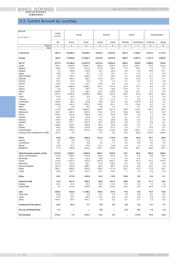**EUROSYSTEM**

## 3.3. Current Account by countries

| Mio EUR                                 |              |                |             |                |            |          |                |             |                   |
|-----------------------------------------|--------------|----------------|-------------|----------------|------------|----------|----------------|-------------|-------------------|
|                                         | Current      |                | Goods       |                |            |          |                |             | Current transfers |
| 31.12.2010                              | account      |                |             |                | Services   |          | Income         |             |                   |
|                                         |              |                |             |                |            |          |                |             |                   |
|                                         | Net          | Export         | Import      | Export         | Import     | Receipts | Expenditures   | In Slovenia | Abroad            |
|                                         |              |                |             |                |            |          |                |             |                   |
| Column                                  | $\mathbf{1}$ | $\overline{c}$ | 3           | $\overline{4}$ | 5          | 6        | $\overline{7}$ | 8           | 9                 |
| Code                                    |              |                |             |                |            |          |                |             |                   |
| <b>Total world</b>                      | $-297.3$     | 18,386.0       | $-19,590.8$ | 4,633.2        | $-3,324.9$ | 681.8    | $-1,188.4$     | 1,218.4     | $-1, 112.4$       |
|                                         |              |                |             |                |            |          |                |             |                   |
| Europe                                  | 493.2        | 17,069.0       | $-17,465.7$ | 4,347.6        | $-3,075.8$ | 583.0    | $-1,061.0$     | 1,157.0     | $-1,060.9$        |
|                                         |              |                |             |                |            |          |                |             |                   |
| EU-27                                   | $-977.6$     | 13,186.8       | $-15,207.9$ | 3,274.4        | $-2,083.3$ | 580.3    | -943.8         | 1,008.9     | $-792.9$          |
| Austria                                 | $-758.7$     | 1,533.9        | $-2,385.1$  | 666.3          | $-425.2$   | 197.5    | $-260.1$       | 67.5        | $-153.4$          |
| Belgium                                 | $-83.8$      | 210.0          | $-421.4$    | 121.5          | $-58.1$    | 11.9     | 52.5           | 7.3         | $-7.4$            |
| Bulgaria                                | $-1.0$       | 136.9          | $-123.8$    | 19.7           | $-23.5$    | $-5.2$   | $-8.0$         | 15.9        | $-13.1$           |
| Cyprus                                  | 16.8         | 9.1            | $-6.7$      | 7.4            | $-10.7$    | 5.1      | 11.5           | 1.7         | $-0.5$            |
| Czech Republic                          | 0.8          | 437.0          | $-492.4$    | 71.7           | $-53.3$    | 5.1      | 29.5           | 12.1        | $-8.9$            |
| Denmark                                 | 72.1         | 164.4          | $-66.7$     | 31.9           | $-35.1$    | 2.8      | $-13.6$        | 0.2         | $-11.7$           |
| Estionia                                | 23.1         | 27.3           | $-3.8$      | 1.9            | $-1.5$     | 0.1      | $-0.2$         | 0.0         | $-0.6$            |
| Finland                                 |              | 43.6           | $-75.7$     | 15.8           | $-6.4$     | 3.6      |                | 2.9         | $-1.6$            |
|                                         | $-16.6$      |                |             |                |            |          | 1.1            |             |                   |
| France                                  | 366.7        | 1,489.3        | $-1,099.2$  | 134.1          | $-131.5$   | 57.0     | $-77.5$        | 8.4         | $-13.7$           |
| Greece                                  | $-0.8$       | 62.8           | $-78.7$     | 11.0           | $-18.6$    | 21.8     | $-0.1$         | 1.4         | $-0.5$            |
| Ireland                                 | $-150.9$     | 22.6           | $-86.7$     | 25.7           | $-106.5$   | 9.8      | $-14.1$        | 0.3         | $-2.0$            |
| Italy                                   | $-544.2$     | 2,240.2        | $-3,469.0$  | 999.5          | $-334.4$   | 80.2     | $-51.6$        | 49.4        | $-58.4$           |
| Latvia                                  | 22.6         | 25.0           | $-2.9$      | 2.3            | $-1.9$     | 0.2      | $-0.1$         | 0.3         | $-0.2$            |
| Lithuania                               | 47.8         | 60.1           | $-7.3$      | 5.0            | $-11.2$    | 1.7      | $-0.6$         | 0.4         | $-0.3$            |
| Luxembourg                              | $-193.0$     | 36.2           | $-81.6$     | 15.8           | $-30.7$    | 6.0      | $-137.9$       | 0.2         | $-1.0$            |
| Hungary                                 | $-155.6$     | 545.4          | $-793.7$    | 183.2          | $-82.1$    | 7.9      | $-19.0$        | 8.7         | $-6.1$            |
| Malta                                   | $-1.3$       | 3.5            | $-6.1$      | 2.6            | $-1.2$     | $\cdots$ | $-0.1$         | 0.0         | 0.0               |
| Germany                                 | 115.3        | 3,655.1        | $-3,654.0$  | 460.8          | $-331.2$   | 58.0     | $-132.2$       | 135.3       | $-76.6$           |
| Netherlands                             | $-183.7$     | 366.7          | $-640.9$    | 115.6          | $-37.3$    | 50.8     | $-32.6$        | 4.4         | $-10.3$           |
| Poland                                  | 224.6        | 631.8          | $-406.6$    | 42.7           | $-54.4$    | 18.0     | $-4.2$         | 1.1         | $-3.8$            |
| Portugal                                | 32.0         | 52.8           | $-24.0$     | 4.7            | $-5.4$     | 4.1      | $-0.1$         | 0.2         | $-0.1$            |
| Romania                                 | 136.3        | 295.1          | $-164.8$    | 44.4           | $-26.9$    | $-9.5$   | $-3.7$         | 3.7         | $-2.0$            |
| Slovakia                                | $-53.2$      | 271.1          | $-307.3$    | 43.7           | $-60.4$    | 3.5      | $-4.7$         | 2.9         | $-2.1$            |
| Spain                                   | $-198.8$     | 229.7          | $-446.9$    | 30.7           | $-25.9$    | 15.0     | $-1.3$         | 4.1         | $-4.3$            |
| Sweden                                  | 96.4         | 183.6          | $-102.8$    | 43.6           | $-31.2$    | 5.3      | $-7.7$         | 10.6        | $-5.1$            |
| United Kingdom                          | 44.5         | 453.4          | $-257.8$    | 172.2          | $-178.4$   | 19.3     | $-183.1$       | 51.4        | $-32.5$           |
| European Union Institutions (incl. ECB) | 167.0        | 0.0            |             | 0.7            | 0.0        | 10.3     | $-85.8$        | 618.5       | $-376.6$          |
|                                         |              |                |             |                |            |          |                |             |                   |
| <b>EFTA</b>                             | 54.9         | 232.5          | $-302.2$    | 272.5          | $-116.9$   | 19.4     | $-54.6$        | 43.1        | $-38.9$           |
| Iceland                                 | 0.6          | 0.9            | $-0.9$      | 1.1            | $-0.6$     | 0.2      | 0.0            | 0.0         | 0.0               |
| Liechtenstein                           | 9.1          | 1.7            | $-0.6$      | 1.9            | $-1.7$     | 0.2      | 8.6            | 0.0         | $-1.0$            |
| Norway                                  | 27.6         | 41.0           | $-19.0$     | 21.4           | $-14.5$    | 3.5      | 1.0            | 6.5         | $-12.2$           |
| Switzerland                             | 17.5         | 189.0          | $-281.6$    | 248.1          | $-100.2$   | 15.5     | $-64.1$        | 36.5        | $-25.7$           |
|                                         |              |                |             |                |            |          |                |             |                   |
| Other European countries, of that       | 1,415.9      | 3,649.7        | $-1,955.6$  | 800.7          | $-875.6$   | $-16.7$  | $-62.6$        | 105.0       | $-229.0$          |
| Bosnia and Herzegovina                  | 124.8        | 529.4          | $-316.5$    | 65.8           | $-90.3$    | 8.3      | $-4.8$         | 9.6         | $-76.7$           |
| Montenegro                              | 69.9         | 83.2           | $-23.5$     | 18.6           | $-11.2$    | 5.6      | $-0.6$         | 1.7         | $-3.9$            |
| Croatia                                 | 273.6        | 1,231.4        | $-733.2$    | 387.9          | $-504.1$   | $-6.5$   | $-31.5$        | 32.4        | $-102.9$          |
| Macedonia                               | 110.6        | 142.4          | $-32.1$     | 27.3           | $-26.6$    | 5.4      | $-3.8$         | 4.4         | $-6.4$            |
| Russian Federation                      | 281.2        | 536.2          | $-298.7$    | 96.3           | $-80.7$    | $-10.4$  | $-2.6$         | 43.2        | $-1.9$            |
| Serbia                                  | 264.1        | 659.0          | $-354.9$    | 138.0          | $-111.8$   | $-25.7$  | $-17.0$        | 10.3        | $-33.7$           |
| Turkey                                  | 35.9         | 193.7          | $-167.3$    | 34.2           | $-25.2$    | 1.1      | $-1.3$         | 2.6         | $-2.0$            |
|                                         |              |                |             |                |            |          |                |             |                   |
| Africa                                  | 33.3         | 217.9          | $-242.8$    | 34.2           | $-12.9$    | 35.6     | 3.9            | 0.6         | $-3.1$            |
|                                         |              |                |             |                |            |          |                |             |                   |
| America, of that                        | $-17.8$      | 427.0          | -436.3      | 89.8           | $-141.7$   | 38.9     | $-2.6$         | 21.1        | $-14.0$           |
| Canada                                  | 33.4         | 47.2           | $-10.4$     | 10.0           | $-15.7$    | 3.0      | $-0.3$         | 1.0         | $-1.5$            |
| <b>United States</b>                    | 2.1          | 273.0          | $-265.8$    | 66.3           | $-103.5$   | 30.0     | $-6.0$         | 20.0        | $-11.8$           |
|                                         |              |                |             |                |            |          |                |             |                   |
| Asia                                    | $-420.4$     | 634.4          | $-1,128.2$  | 140.5          | -87.3      | 17.9     | $-0.9$         | 18.7        | $-15.6$           |
| Hong Kong                               | 25.8         | 22.1           | $-4.6$      | 12.4           | $-7.9$     | 1.9      | 0.0            | 5.4         | $-3.5$            |
| Japan                                   | $-31.2$      | 16.1           | $-50.2$     | 10.3           | $-9.5$     | 2.3      | $-0.6$         | 0.8         | $-0.4$            |
| China                                   | $-340.7$     | 87.6           | $-437.1$    | 7.0            | $-5.3$     | 5.7      | $-0.1$         | 1.8         | $-0.3$            |
| Oceania and Polar regions               | 35.5         | 30.2           | $-7.1$      | 8.8            | $-3.2$     | 5.8      | 2.5            | 0.1         | $-1.7$            |
|                                         |              |                |             |                |            |          |                |             |                   |
| Int. org. excluding EU Inst.            | $-1.7$       | $\cdots$       |             | 0.0            | $\cdots$   | 0.5      | $-2.5$         | 1.5         | $-1.3$            |
|                                         |              |                |             |                |            |          |                |             |                   |
| Not allocated                           | $-419.2$     | 7.4            | $-310.7$    | 12.2           | $-4.0$     | $\cdots$ | $-127.9$       | 19.5        | $-15.8$           |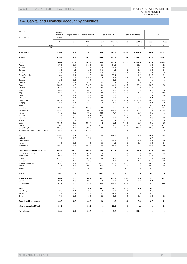# BANKA SLOVENIJE

BANK OF SLOVENIA **EUROSYSTEM**

# 3.4. Capital and Financial Account by countries

| Mio EUR<br>31.12.2010                   | Capital and<br>financial<br>account |                  | Capital account   Financial account | Direct investment  |                |                    | Portfolio investment | Loans           |                 |  |
|-----------------------------------------|-------------------------------------|------------------|-------------------------------------|--------------------|----------------|--------------------|----------------------|-----------------|-----------------|--|
|                                         | Net                                 | Net              | Net                                 | Abroad             | In Slovenia    | Assets             | Liabilities          | Assets          | Liabilities     |  |
| Column                                  | $\mathbf{1}$                        | $\overline{c}$   | 3                                   | $\overline{4}$     | 5              | 6                  | $\overline{7}$       | 8               | 9               |  |
| Code<br><b>Total world</b>              | 318.7                               | 8.2              | 310.5                               | 59.6               | 273.9          | -383.9             | 2,331.0              | 164.2           | $-973.5$        |  |
| Europe                                  | 415.6                               | 14.6             | 401.0                               | 104.6              | 193.6          | $-259.6$           | 2,131.1              | 163.6           | $-981.2$        |  |
| EU-27                                   | $-100.7$                            | 61.7             | $-162.4$                            | 69.0               | 145.1          | $-257.7$           | 2,121.0              | 61.2            | -989.9          |  |
| Austria                                 | 107.2                               | $-8.4$           | 115.5                               | 3.6                | 154.6          | $-38.1$            | 46.0                 | 6.6             | $-235.3$        |  |
| Belgium                                 | 211.6                               | $-0.2$           | 211.7                               | $-1.5$             | $-44.5$        | 172.7              | $-7.1$               | 12.1            | $-4.8$          |  |
| Bulgaria                                | 10.6                                | $-1.5$           | 12.2                                | 51.3               | $-1.5$         | $-0.8$             | 0.0                  | $-9.3$          | $-0.1$          |  |
| Cyprus                                  | 78.7                                | $-0.1$           | 78.8                                | 31.4               | $-7.7$         | $-1.9$             | 8.6                  | 32.8            | 10.5            |  |
| Czech Republic                          | 8.4                                 | $-3.4$           | 11.8                                | 4.2                | $-30.4$        | $-17.1$            | 11.7                 | 51.7            | $-0.1$          |  |
| Denmark<br>Estionia                     | 122.7<br>$-2.2$                     | $-2.4$<br>$-0.5$ | 125.1<br>$-1.7$                     | 1.6                | 6.6<br>0.0     | $-7.4$<br>0.1      | 0.0<br>0.1           | 0.4             | 0.0             |  |
| Finland                                 | $-21.3$                             | $-0.1$           | $-21.2$                             | $\cdots$<br>$-0.1$ | 0.4            | $-14.8$            | 0.0                  | $\cdots$<br>0.0 | $\cdots$<br>0.1 |  |
| France                                  | $-334.2$                            | $-14.3$          | $-319.9$                            | $-0.4$             | $-44.1$        | $-182.7$           | $-63.9$              | 39.5            | $-23.9$         |  |
| Greece                                  | $-293.9$                            | $-0.6$           | $-293.3$                            | $-5.4$             | 0.4            | $-190.4$           | 0.0                  | $-103.6$        | $\cdots$        |  |
| Ireland                                 | $-26.2$                             | $-0.2$           | $-26.0$                             | $-0.1$             | $-2.6$         | $-37.7$            | 2.9                  | $-3.7$          | $-23.8$         |  |
| Italy                                   | 25.8                                | $-7.6$           | 33.4                                | $-18.5$            | 25.9           | $-81.1$            | 1.1                  | 7.6             | $-24.2$         |  |
| Latvia                                  | 1.7                                 | $-0.4$           | 2.1                                 | 0.0                | 0.0            | 0.1                | $\cdots$             | 1.1             | 0.0             |  |
| Lithuania                               | $-7.5$                              | $-1.1$           | $-6.4$                              | $-0.3$             | 0.0            | $-4.3$             | $0.0$                | $-0.1$          |                 |  |
| Luxembourg                              | 931.7                               | 56.8             | 874.9                               | $-0.3$             | $-73.0$        | $-86.2$            | 1,107.5              | 33.3            | $-60.2$         |  |
| Hungary                                 | 8.6                                 | $-2.7$           | 11.3                                | 1.0                | 4.2            | $-4.9$             | 15.1                 | 0.1             | 0.0             |  |
| Malta                                   | $-1.3$                              | 0.0              | $-1.3$                              | $\ddotsc$          | 0.0            |                    | $\cdots$             | 0.0             | $-0.8$          |  |
| Gemany                                  | 83.4                                | $-31.2$          | 114.6                               | $-9.8$             | $-4.5$         | 328.2              | -0.6                 | $-37.0$         | $-308.1$        |  |
| Netherlands                             | $-299.3$                            | 0.7              | -300.0                              | $-16.4$            | $-12.1$        | $-34.8$            | $-0.2$               | 15.9            | $-222.3$        |  |
| Poland                                  | $-17.6$                             | $-6.8$           | $-10.8$                             | 32.0               | $-1.7$<br>0.0  | $-37.4$<br>$-70.0$ | 0.0                  | 5.3<br>0.0      |                 |  |
| Portugal<br>Romania                     | $-71.4$<br>4.6                      | $-0.8$<br>$-3.8$ | $-70.7$<br>8.4                      | $-0.2$<br>11.9     | $-0.1$         | $-2.2$             | 0.0<br>-0.1          | 5.9             | <br>0.0         |  |
| Slovakia                                | 18.9                                | $-2.2$           | 21.0                                | $-2.8$             | $-1.8$         | $-56.2$            | 0.0                  | $-7.2$          | 0.0             |  |
| Spain                                   | 164.1                               | $-0.3$           | 164.4                               | $-1.2$             | 0.4            | 178.6              | 0.0                  | 0.6             | $-3.0$          |  |
| Sweden                                  | $-20.6$                             | $-4.7$           | $-15.9$                             | $-11.1$            | 2.5            | $-28.9$            | 5.9                  | $-1.7$          | $-0.1$          |  |
| United Kingdom                          | 925.8                               | $-6.2$           | 932.0                               | 0.3                | 174.3          | $-78.7$            | 993.9                | 10.8            | $-304.4$        |  |
| European Union Institutions (incl. ECB) | $-1,708.9$                          | 103.4            | $-1,812.4$                          | $\cdots$           | $\cdots$       | 37.9               |                      | $\cdots$        | 210.5           |  |
| <b>EFTA</b>                             | $-142.3$                            | $-1.1$           | $-141.2$                            | 0.2                | $-154.9$       | -8.7               | -6.8                 | 19.1            | $-45.8$         |  |
| Iceland                                 | 7.1                                 | 0.0              | 7.1                                 | $\ddotsc$          | $\cdots$       | 7.0                | $\cdots$             | 0.0             |                 |  |
| Liechtenstein                           | $-22.2$                             | 0.0              | $-22.2$                             | 0.2                | $-14.9$        | 2.0                | $-6.9$               | $-4.3$          | 1.6             |  |
| Norway                                  | 1.0                                 | $-0.5$           | 1.5                                 | 0.0                | 4.4            | $-5.3$             | 0.0                  | 0.0             | 0.4             |  |
| Switzerland                             | $-128.2$                            | $-0.5$           | $-127.7$                            | 0.0                | $-144.5$       | $-12.5$            | 0.1                  | 23.4            | $-47.9$         |  |
| Other European countries, of that       | 658.7                               | $-46.0$          | 704.7                               | 35.4               | 203.4          | 6.8                | 17.0                 | 83.3            | 54.5            |  |
| Bosnia and Herzegovina                  | 51.3                                | $-6.4$           | 57.7                                | 7.9                | $-8.8$         | 9.3                | 2.0                  | 42.3            | 0.2             |  |
| Montenegro                              | 86.7                                | $-1.3$           | 88.0                                | $-8.5$             | 0.0            | 3.9                | 0.0                  | 34.7            | 0.7             |  |
| Croatia                                 | 277.6                               | $-13.8$          | 291.4                               | $-28.9$            | 197.6          | 16.1               | 24.4                 | $-7.4$          | 59.3            |  |
| Macedonia                               | $-5.0$                              | $-2.2$           | $-2.8$                              | 1.7                | $-1.3$         | 3.9                | 1.1                  | 17.5            | 0.0             |  |
| Russian Federation<br>Serbia            | 185.3<br>77.4                       | $-6.2$<br>$-8.8$ | 191.5<br>86.2                       | $-41.7$<br>107.1   | 18.2<br>$-3.8$ | $-15.1$<br>$-6.1$  | 0.0<br>$-10.8$       | 46.3<br>$-55.2$ | 0.0<br>$-5.8$   |  |
| Turkey                                  | $-9.0$                              | $-2.3$           | $-6.8$                              | $-3.3$             | 0.7            | $-3.1$             | 0.0                  | $-0.3$          | $\cdots$        |  |
| Africa                                  | $-34.5$                             | $-1.9$           | $-32.6$                             | $-33.2$            | $-4.0$         | $-2.5$             | 0.0                  | 0.0             | 0.0             |  |
|                                         |                                     |                  |                                     |                    |                |                    |                      |                 |                 |  |
| America, of that                        | $-68.7$                             | $-3.8$           | $-64.9$                             | $-6.1$             | $-13.2$        | $-95.2$            | 7.6                  | $-9.5$          | $-3.1$          |  |
| Canada<br><b>United States</b>          | 23.1<br>$-41.7$                     | $-0.6$           | 23.7<br>$-39.1$                     | $-1.9$<br>$-5.8$   | $0.0\,$        | 12.8               | 0.0                  | $-0.1$          | $\cdots$        |  |
|                                         |                                     | $-2.6$           |                                     |                    | $-12.1$        | $-67.9$            | 7.2                  | $-0.6$          | $-4.4$          |  |
| Asia                                    | $-27.3$                             | $-2.6$           | $-24.7$                             | $-4.1$             | 19.5           | $-47.3$            | 1.5                  | 10.0            | 0.1             |  |
| Hong Kong                               | 2.0                                 | $-0.4$           | 2.3                                 | $-1.0$             | 0.0            | 2.1                | $\ldots$             | 0.0             | $\cdots$        |  |
| Japan                                   | 12.6                                | 0.1              | 12.5                                | 0.1                | 18.9           | $-3.8$             | 0.0                  | 0.0             | $\ldots$        |  |
| China                                   | $-17.1$                             | 2.2              | $-19.3$                             | $-2.8$             | $-0.2$         | $-10.7$            | 0.0                  | 0.5             | 0.0             |  |
| Oceania and Polar regions               | 40.0                                | $-0.6$           | 40.5                                | $-1.6$             | $-1.5$         | 20.8               | $-0.4$               | 0.0             | 1.1             |  |
| Int. org. excluding EU Inst.            | $-30.8$                             |                  | $-30.8$                             | $\ddotsc$          | 78.6           | 0.0                | $\cdots$             | $\cdots$        | 9.6             |  |
| Not allocated                           | 24.4                                | 2.4              | 22.0                                |                    | 0.8            | $\cdots$           | 191.1                |                 | $\cdots$        |  |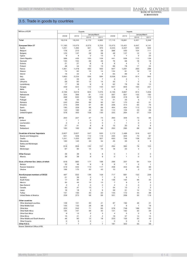# 3.5. Trade in goods by countries

| Millions of EUR                      | Exports        |                 |                 |                | Imports         |                         |                     |                 |  |
|--------------------------------------|----------------|-----------------|-----------------|----------------|-----------------|-------------------------|---------------------|-----------------|--|
|                                      |                |                 |                 | January-March  |                 |                         | January-March       |                 |  |
|                                      | 2009           | 2010            | 2010            | 2011           | 2009            | 2010                    | 2010                | 2011            |  |
| Total                                | 16,018         | 18,243          | 4,172           | 4,982          | 17,115          | 19,881                  | 4,451               | 5,348           |  |
| European Union 27                    | 11,183         | 13,073          | 3,073           | 3,705          | 13,473          | 15,401                  | 3,447               | 4,141           |  |
| Austria                              | 1,251          | 1,494           | 321             | 370            | 2,243           | 2,407                   | 532                 | 632             |  |
| Belgium                              | 179            | 210             | 47              | 59             | 388             | 430                     | 104                 | 111             |  |
| Bulgaria                             | 123            | 137             | 29              | 38             | 49              | 127                     | 12                  | 12              |  |
| Cyprus                               | 9              | 9               | $\overline{c}$  | 13             | 5               | $\overline{7}$          | $\overline{c}$      | 23              |  |
| Czech Republic                       | 388            | 435             | 100             | 128            | 441             | 506                     | 112                 | 139             |  |
| Denmark                              | 132            | 164             | 39              | 49             | 76              | 68                      | 18                  | 18              |  |
| Estonia                              | 21             | 27              | 6               | 6              | 6               | $\overline{\mathbf{4}}$ | $\overline{1}$      | $\overline{c}$  |  |
| Finland                              | 48             | 44              | 10              | 13             | 66              | 78                      | 17                  | 24              |  |
| France                               | 1,361          | 1,478           | 430             | 450            | 947             | 1,091                   | 263                 | 298             |  |
| Greece                               | 74             | 62              | 15              | 14             | 134             | 81                      | 19                  | 12              |  |
| Ireland                              | 16             | 22              | $\overline{4}$  | 5              | 65              | 89                      | $\overline{7}$      | 9               |  |
| Italy                                | 1,863          | 2,234           | 536             | 584            | 3,028           | 3,541                   | 814                 | 942             |  |
| Latvia                               | 21             | 25              | 6               | $\overline{7}$ | 3               | 3                       | $\mathbf{1}$        | 1               |  |
| Lithuania                            | 59             | 60              | 12              | 14             | 35              | $\overline{7}$          | $\overline{c}$      | $\overline{c}$  |  |
| Luxembourg                           | 17             | 36              | 6               | 6              | 62              | 78                      | 18                  | 13              |  |
| Hungary                              | 459            | 544             | 110             | 153            | 647             | 805                     | 163                 | 221             |  |
| Malta                                | $\overline{c}$ | 3               | 1               | $\mathbf{1}$   | 3               | 6                       | $\mathbf{1}$        | 1               |  |
| Germany                              | 3,166          | 3,616           | 823             | 1.075          | 3,136           | 3,667                   | 814                 | 1,006           |  |
| Netherlands                          | 254            | 366             | 81              | 113            | 567             | 657                     | 152                 | 182             |  |
|                                      |                |                 |                 |                |                 |                         |                     |                 |  |
| Poland<br>Portugal                   | 468<br>46      | 630<br>53       | 148<br>12       | 180<br>14      | 359<br>21       | 418<br>25               | 94<br>5             | 113<br>7        |  |
| Romania                              |                |                 |                 | 92             |                 |                         |                     | 51              |  |
|                                      | 240            | 294             | 69<br>57        |                | 161<br>238      | 170                     | 43                  | 76              |  |
| Slovakia                             | 275            | 266             |                 | 66             |                 | 313                     | 65                  |                 |  |
| Spain                                | 190            | 229             | 56              | 66             | 464             | 454                     | 112                 | 116             |  |
| Sweden                               | 143            | 183             | 44              | 60             | 110             | 105                     | 23                  | 28              |  |
| United Kingdom                       | 378            | 450             | 109             | 130            | 220             | 264                     | 57                  | 103             |  |
| <b>EFTA</b>                          | 200            | 227             | 47              | 74             | 265             | 306                     | 70                  | 66              |  |
| Iceland                              | $\mathbf{1}$   | 1               | 0               | $\mathsf O$    | 0               | 1                       | $\mathsf O$         | 1               |  |
| Liechenstein                         | $\overline{c}$ | $\overline{c}$  | 0               | $\mathsf O$    | 1               | 1                       | $\mathsf O$         | 0               |  |
| Norway                               | 37             | 41              | 8               | 8              | 15              | 20                      | 3                   | 6               |  |
| Switzerland                          | 160            | 183             | 39              | 66             | 250             | 285                     | 68                  | 59              |  |
| Countries of former Yugoslavia       | 2,607          | 2,627           | 547             | 630            | 1,172           | 1,489                   | 316                 | 427             |  |
| Bosnia and Herzegovina               | 501            | 528             | 112             | 116            | 235             | 325                     | 70                  | 87              |  |
| Croatia                              | 1,241          | 1,220           | 257             | 307            | 630             | 746                     | 158                 | 221             |  |
| Macedonia                            | 160            | 140             | 33              | 34             | 25              | 33                      | 6                   | 9               |  |
| Serbia and Montenegro                |                |                 |                 |                |                 | $\cdots$                |                     |                 |  |
| Serbia                               | 618            | $\cdots$<br>656 | $\cdots$<br>132 | 157            | $\cdots$<br>264 | 362                     | <br>78              | $\cdots$<br>103 |  |
| Montenegro                           | 87             | 83              | 14              | 16             | 18              | 23                      | 4                   | $\overline{7}$  |  |
|                                      |                |                 |                 |                |                 |                         |                     |                 |  |
| Other Europe                         | 39             | 39              | 9               | 8              | 0               | 1                       | $\mathsf O$         | 0               |  |
| Albania                              | 39             | 39              | 9               | 8              | 0               | 1                       | $\mathsf O$         | 0               |  |
| Coun. of former Sov. Union, of which | 818            | 860             | 177             | 198            | 266             | 337                     | 94                  | 104             |  |
| Belarus                              | 32             | 46              | 9               | 8              | 6               | 7                       | $\overline{c}$      | 1               |  |
| Russian federation                   | 519            | 534             | 113             | 117            | 208             | 304                     | 85                  | 89              |  |
| Ukraine                              | 166            | 170             | 32              | 43             | 10              | 8                       | $\overline{c}$      | 10              |  |
| Non-European members of OECD         | 487            | 632             | 136             | 158            | 717             | 681                     | 152                 | 238             |  |
| Australia                            | 21             | 26              | 5               | $\overline{7}$ | 3               | 6                       | $\mathbf{1}$        | 1               |  |
| South Korea                          | 17             | 30              | 6               | 9              | 138             | 164                     | 36                  | 35              |  |
| Mexico                               | 30             | 45              | 13              | 13             | 7               | 9                       | $\overline{c}$      | $\overline{c}$  |  |
| New Zealand                          | $\overline{c}$ | $\overline{c}$  | $\circ$         | 0              | $\overline{c}$  | $\circ$                 | $\mathsf{O}\xspace$ | $\mathsf O$     |  |
| Canada                               | 40             | 47              | 13              | $\overline{7}$ | 34              | 10                      | $\overline{c}$      | $\overline{c}$  |  |
| Japan                                | 16             | 16              | 3               | 6              | 59              | 51                      | 14                  | 14              |  |
| Turkey                               | 151            | 193             | 40              | 50             | 145             | 172                     | 43                  | 68              |  |
| United States of America             | 209            | 273             | 58              | 66             | 331             | 268                     | 55                  | 116             |  |
|                                      |                |                 |                 |                |                 |                         |                     |                 |  |
| Other countries                      |                |                 |                 |                |                 |                         |                     |                 |  |
| Other developed countries            | 109            | 151             | 30              | 41             | 87              | 192                     | 46                  | 21              |  |
| Other Middle East                    | 100            | 132             | 28              | 36             | $\overline{7}$  | 6                       | $\mathbf{1}$        | 18              |  |
| Other Asia                           | 203            | 242             | 71              | 65             | 578             | 748                     | 189                 | 191             |  |
| Other North Africa                   | 194            | 161             | 36              | 40             | 121             | 182                     | 42                  | 29              |  |
| Other East Africa                    | $\mathsf g$    | 12              | $\overline{c}$  | 3              | $\overline{4}$  | 5                       | $\overline{c}$      | $\mathsf O$     |  |
| Other Africa                         | 16             | 21              | $\overline{c}$  | $\overline{c}$ | 19              | 57                      | 14                  | 15              |  |
| Other Middle and South America       | 46             | 60              | 12              | 18             | 223             | 155                     | 22                  | 40              |  |
| Other Oceania                        | $\mathsf O$    | 0               | 0               | $\cdots$       | 0               | $\mathsf O$             | $\mathsf O$         | 0               |  |
| Other N.E.C.                         | $\overline{7}$ | $\overline{7}$  | $\overline{c}$  | $\overline{7}$ | 181             | 322                     | 55                  | 58              |  |

Source: Statistical Office of RS.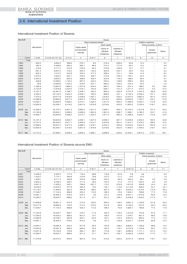**EUROSYSTEM**

### 3.6. International Investment Position

#### International Investment Position of Slovenia

| Mio EUR      | Claims       |                  |             |                                             |                          |                |                                             |              |         |                             |       |  |
|--------------|--------------|------------------|-------------|---------------------------------------------|--------------------------|----------------|---------------------------------------------|--------------|---------|-----------------------------|-------|--|
|              |              |                  |             |                                             | Direct investment abroad |                |                                             |              |         | Portfolio investment        |       |  |
|              |              |                  |             |                                             |                          | Ostali kapital |                                             |              |         | Equity securities, of which |       |  |
|              | Net position |                  |             | Equity capital<br>and reinvested<br>eamings |                          |                | Liabilities to<br>affiliated<br>enterprises |              |         | General<br>government       | Banks |  |
| Column       | $1 = 2 - 50$ | $2=3+8+22+27+42$ | $3 = 4 + 5$ | $\overline{4}$                              | $5 = 6 + 7$              | 6              | $\overline{7}$                              | $8 = 9 + 13$ | 9       | 10                          | 11    |  |
| Code         |              |                  |             |                                             |                          |                |                                             |              |         |                             |       |  |
| 1994         | 600.2        | 4,830.3          | 288.6       | 279.1                                       | 9.5                      | 216.3          | $-206.8$                                    | 50.6         | 12.2    | $\cdots$                    | 3.3   |  |
| 1995         | 360.4        | 5.338.8          | 382.3       | 285.7                                       | 96.6                     | 274.3          | $-177.8$                                    | 83.0         | 13.4    | $\cdots$                    | 4.8   |  |
| 1996         | $-418.9$     | 5,771.2          | 370.6       | 276.6                                       | 94.0                     | 279.6          | $-185.6$                                    | 75.7         | 12.7    | $\cdots$                    | 5.1   |  |
| 1997         | $-361.4$     | 6,947.2          | 416.2       | 294.2                                       | 122.0                    | 364.8          | $-242.7$                                    | 50.6         | 14.0    | $\cdots$                    | 5.4   |  |
| 1998         | $-842.2$     | 7,210.2          | 542.8       | 325.5                                       | 217.3                    | 368.4          | $-151.1$                                    | 33.8         | 14.3    | $\cdots$                    | 6.2   |  |
| 1999         | $-1,970.5$   | 7,834.2          | 624.7       | 378.0                                       | 246.7                    | 410.9          | $-164.2$                                    | 130.1        | 32.3    | $\cdots$                    | 6.2   |  |
| 2000         | $-2.545.5$   | 8,923.0          | 825.3       | 498.9                                       | 326.4                    | 502.6          | $-176.2$                                    | 188.5        | 39.5    | $\cdots$                    | 5.7   |  |
| 2001         | $-448.8$     | 12,268.0         | 1,120.4     | 697.0                                       | 423.4                    | 553.2          | $-129.8$                                    | 289.2        | 29.0    | $\cdots$                    | 4.8   |  |
| 2002         | 26.8         | 14,636.8         | 1,445.2     | 918.0                                       | 527.1                    | 690.3          | $-163.2$                                    | 316.4        | 40.3    | $\cdots$                    | 4.2   |  |
| 2003         | $-1,480.6$   | 15,867.6         | 1,880.3     | 1,201.8                                     | 678.4                    | 863.7          | $-185.3$                                    | 551.4        | 188.0   | 0.0                         | 19.0  |  |
| 2004         | $-2,124.9$   | 17,876.8         | 2,224.0     | 1,519.1                                     | 704.9                    | 836.1          | $-131.3$                                    | 1,271.4      | 472.0   | 0.0                         | 37.0  |  |
| 2005         | $-3.161.0$   | 22.361.6         | 2.788.7     | 2,338.7                                     | 450.0                    | 883.5          | $-433.5$                                    | 2.757.9      | 1,242.3 | 86.8                        | 52.9  |  |
| 2006         | $-5.305.5$   | 25.122.5         | 3.452.2     | 2,656.7                                     | 795.5                    | 986.6          | $-191.1$                                    | 5.132.5      | 2.258.4 | 107.1                       | 94.6  |  |
| 2007         | $-7.372.5$   | 34,617.9         | 4,916.6     | 3,328.9                                     | 1,587.7                  | 1,818.0        | $-230.3$                                    | 12,547.8     | 3.662.2 | 197.4                       | 127.5 |  |
| 2008         | $-12,586.9$  | 33,890.9         | 5,677.0     | 3,923.4                                     | 1,753.6                  | 2,019.4        | $-265.8$                                    | 10,635.6     | 1,750.7 | 134.7                       | 57.8  |  |
| 2009         | $-12,650.7$  | 34,830.6         | 5,568.4     | 4,013.1                                     | 1,555.3                  | 1,917.5        | $-362.3$                                    | 11,296.9     | 2,320.7 | 174.6                       | 42.0  |  |
| 2010         | $-12,655.9$  | 35,209.1         | 5,518.5     | 3,841.6                                     | 1,676.9                  | 2,079.8        | $-402.9$                                    | 11,900.5     | 2,793.5 | 218.7                       | 55.3  |  |
| 2009<br>Jun. | $-12,329.4$  | 32,707.0         | 5,601.5     | 3.960.5                                     | 1,641.0                  | 1,946.7        | $-305.7$                                    | 10,150.4     | 1,912.8 | 137.4                       | 45.5  |  |
| Sep.         | $-12,162.8$  | 35,629.1         | 5,599.5     | 3,936.6                                     | 1,662.9                  | 1,961.6        | $-298.7$                                    | 11,398.1     | 2,186.2 | 153.1                       | 41.8  |  |
| Dec.         | $-12,650.7$  | 34,830.6         | 5,568.4     | 4,013.1                                     | 1,555.3                  | 1,917.5        | $-362.3$                                    | 11,296.9     | 2,320.7 | 174.6                       | 42.0  |  |
| 2010<br>Mar. | $-12, 157.4$ | 35.620.6         | 5.653.7     | 4,006.1                                     | 1.647.5                  | 2,009.2        | $-361.7$                                    | 12.036.9     | 2.532.2 | 193.5                       | 45.9  |  |
| Jun.         | $-12,707.0$  | 36,263.5         | 5,571.7     | 3,958.0                                     | 1,613.7                  | 2,004.8        | $-391.2$                                    | 11,914.7     | 2,478.2 | 189.5                       | 47.5  |  |
| Sep.         | $-12,909.0$  | 35,947.2         | 5,577.0     | 3,898.3                                     | 1,678.7                  | 2,034.4        | $-355.8$                                    | 12,032.8     | 2,543.4 | 192.9                       | 41.2  |  |
| Dec.         | $-12,655.9$  | 35,209.1         | 5,518.5     | 3,841.6                                     | 1,676.9                  | 2,079.8        | $-402.9$                                    | 11,900.5     | 2,793.5 | 218.7                       | 55.3  |  |
| 2011<br>Mar. | $-12,775.3$  | 37.099.7         | 5,506.3     | 3.840.2                                     | 1,666.1                  | 2.099.6        | $-433.6$                                    | 12.445.1     | 2.974.3 | 216.7                       | 56.1  |  |

#### International Investment Position of Slovenia vis-a-vis EMU

| Mio EUR |        |              | Claims           |             |                                             |             |                                        |                                             |              |         |                             |       |
|---------|--------|--------------|------------------|-------------|---------------------------------------------|-------------|----------------------------------------|---------------------------------------------|--------------|---------|-----------------------------|-------|
|         |        |              |                  |             | Direct investment abroad                    |             |                                        | Portfolio investment                        |              |         |                             |       |
|         |        |              |                  |             |                                             |             | Other capital                          |                                             |              |         | Equity securities, of which |       |
|         |        | Net position |                  |             | Equity capital<br>and reinvested<br>eamings |             | Claims on<br>affiliated<br>Enterprises | Liabilities to<br>affiliated<br>enterprises |              |         | General<br>government       | Banks |
|         | Column | $1 = 2 - 50$ | $2=3+8+22+27+42$ | $3 = 4 + 5$ | $\overline{4}$                              | $5 = 6 + 7$ | 6                                      | $\overline{7}$                              | $8 = 9 + 13$ | 9       | 10                          | 11    |
|         | Code   |              |                  |             |                                             |             |                                        |                                             |              |         |                             |       |
| 2001    |        | $-2,256.2$   | 5,353.2          | 177.3       | 118.4                                       | 58.9        | 116.8                                  | $-57.9$                                     | 5.8          | 5.8     | $\cdots$                    | 2.5   |
| 2002    |        | $-1,403.7$   | 7,714.1          | 290.8       | 210.9                                       | 79.9        | 157.0                                  | $-77.2$                                     | 10.0         | 10.0    | $\cdots$                    | 1.6   |
| 2003    |        | $-1.928.1$   | 8.711.3          | 349.8       | 222.9                                       | 126.9       | 220.2                                  | $-93.3$                                     | 300.0        | 93.1    | 0.0                         | 2.6   |
| 2004    |        | $-2,842.2$   | 9,795.4          | 459.7       | 411.5                                       | 48.2        | 125.4                                  | $-77.2$                                     | 777.4        | 223.2   | 0.0                         | 7.6   |
| 2005    |        | $-5.921.5$   | 11,629.2         | 505.1       | 766.8                                       | $-261.7$    | 115.2                                  | $-376.9$                                    | 1.672.9      | 548.9   | 34.4                        | 9.3   |
| 2006    |        | $-9.049.4$   | 12.916.2         | 577.9       | 562.3                                       | 15.5        | 129.1                                  | $-113.6$                                    | 3.110.9      | 959.5   | 54.7                        | 16.1  |
| 2007    |        | $-12, 179.7$ | 17,949.0         | 587.0       | 397.8                                       | 189.2       | 297.3                                  | $-108.1$                                    | 8,425.2      | 1,416.0 | 115.6                       | 35.3  |
| 2008    |        | $-17.539.7$  | 17,144.0         | 668.9       | 555.4                                       | 113.5       | 189.3                                  | $-75.9$                                     | 7.846.1      | 768.9   | 77.2                        | 17.8  |
| 2009    |        | $-14,691.1$  | 18,305.3         | 679.0       | 675.4                                       | 3.6         | 137.2                                  | $-133.6$                                    | 8,337.7      | 1,075.6 | 92.6                        | 12.4  |
| 2010    |        | $-12.583.7$  | 18,520.7         | 698.5       | 671.4                                       | 27.1        | 207.2                                  | $-180.1$                                    | 8,455.8      | 1,233.5 | 117.5                       | 7.7   |
|         |        |              |                  |             |                                             |             |                                        |                                             |              |         |                             |       |
| 2008    | Jun.   | $-14,939.8$  | 19,801.4         | 675.5       | 515.5                                       | 160.0       | 306.5                                  | $-146.5$                                    | 9,661.3      | 1,148.9 | 101.8                       | 33.3  |
|         | Sep.   | $-16,277.6$  | 18,685.8         | 733.5       | 514.3                                       | 219.2       | 312.8                                  | $-93.6$                                     | 9,155.0      | 973.5   | 94.0                        | 25.0  |
|         | Dec.   | $-17.539.7$  | 17.144.0         | 668.9       | 555.4                                       | 113.5       | 189.3                                  | $-75.9$                                     | 7.846.1      | 768.9   | 77.2                        | 17.8  |
| 2009    | Mar.   | $-17,343.6$  | 16,425.7         | 565.7       | 576.7                                       | $-11.0$     | 165.2                                  | $-176.2$                                    | 7.374.9      | 743.9   | 67.5                        | 11.1  |
|         | Jun.   | $-17.094.5$  | 16,542.3         | 668.2       | 657.5                                       | 10.7        | 158.3                                  | $-147.6$                                    | 7.378.7      | 847.4   | 69.4                        | 10.8  |
|         | Sep.   | $-14,585.8$  | 18,759.7         | 582.9       | 603.1                                       | $-20.3$     | 122.1                                  | $-142.4$                                    | 8,357.0      | 993.3   | 77.3                        | 11.5  |
|         | Dec.   | $-14.691.1$  | 18,305.3         | 679.0       | 675.4                                       | 3.6         | 137.2                                  | $-133.6$                                    | 8,337.7      | 1,075.6 | 92.6                        | 12.4  |
|         |        |              |                  |             |                                             |             |                                        |                                             |              |         |                             |       |
| 2010    | Mar.   | $-13,902.1$  | 18,565.9         | 642.4       | 677.9                                       | $-35.5$     | 150.8                                  | $-186.2$                                    | 8,809.4      | 1,166.9 | 98.6                        | 14.5  |
|         | Jun.   | $-13.554.6$  | 19.281.9         | 666.5       | 683.0                                       | $-16.5$     | 162.5                                  | $-179.1$                                    | 8.723.8      | 1.135.8 | 95.7                        | 12.5  |
|         | Sep.   | $-13,551.9$  | 19,134.6         | 720.8       | 684.1                                       | 36.7        | 174.8                                  | $-138.1$                                    | 8,692.6      | 1,171.1 | 101.2                       | 10.2  |
|         | Dec.   | $-12.583.7$  | 18,520.7         | 698.5       | 671.4                                       | 27.1        | 207.2                                  | $-180.1$                                    | 8,455.8      | 1,233.5 | 117.5                       | 7.7   |
| 2011    | Mar.   | $-11,519.8$  | 20.015.3         | 653.0       | 667.2                                       | $-14.2$     | 210.9                                  | $-225.2$                                    | 8.701.3      | 1,303.8 | 118.1                       | 10.2  |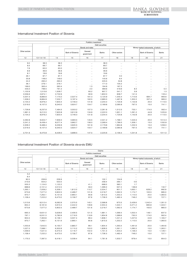#### International Investment Position of Slovenia

| Claims        |                |         |                  |                       |                 |               |           |                                    |          |  |  |  |  |
|---------------|----------------|---------|------------------|-----------------------|-----------------|---------------|-----------|------------------------------------|----------|--|--|--|--|
|               |                |         |                  | Portfolio investment  |                 |               |           |                                    |          |  |  |  |  |
|               |                |         |                  |                       | Debt securities |               |           |                                    |          |  |  |  |  |
|               |                |         |                  | Bonds and notes       |                 |               |           | Money market instruments, of which |          |  |  |  |  |
| Other sectors |                |         | Bank of Slovenia | General<br>government | Banks           | Other sectors |           | Bank of Slovenia                   | Banks    |  |  |  |  |
| 12            | $13 = 14 + 19$ | 14      | 15               | 16                    | 17              | 18            | 19        | 20                                 | 21       |  |  |  |  |
|               |                |         |                  |                       |                 |               |           |                                    |          |  |  |  |  |
| 9.0           | 38.3           | 38.3    | $\cdots$         | $\cdots$              | 38.3            | $\cdots$      | $\cdots$  |                                    | $\cdots$ |  |  |  |  |
| 8.5           | 69.7           | 69.7    | $\cdots$         | $\cdots$              | 69.7            | $\cdots$      | $\cdots$  | $\cdots$                           | $\cdots$ |  |  |  |  |
| 7.6           | 63.0           | 63.0    | $\cdots$         | $\cdots$              | 63.0            | $\cdots$      | $\cdots$  | $\cdots$                           | $\cdots$ |  |  |  |  |
| 8.6           | 36.6           | 36.6    |                  | $\cdots$              | 36.6            | $\cdots$      | $\ddotsc$ | $\cdots$                           | $\cdots$ |  |  |  |  |
| 8.1           | 19.6           | 19.6    |                  | $\cdots$              | 19.6            | $\cdots$      | $\ddotsc$ |                                    | $\cdots$ |  |  |  |  |
| 26.1          | 97.7           | 97.7    |                  | $\cdots$              | 97.7            | 0.0           |           |                                    | $\cdots$ |  |  |  |  |
| 33.8          | 149.0          | 149.0   |                  | $\cdots$              | 140.6           | 8.4           |           |                                    | $\cdots$ |  |  |  |  |
| 24.2          | 260.2          | 260.2   | $\cdots$         | $\cdots$              | 225.5           | 34.8          |           | $\cdots$                           | $\cdots$ |  |  |  |  |
| 36.1          | 276.1          | 276.1   | $\cdots$         | $\cdots$              | 171.0           | 105.2         | $\cdots$  | $\cdots$                           | $\cdots$ |  |  |  |  |
| 169.0         | 363.4          | 363.4   | $\cdots$         | 1.3                   | 194.9           | 167.2         | $\cdots$  |                                    | $\cdots$ |  |  |  |  |
| 435.0         | 799.5          | 791.2   |                  | 2.0                   | 369.6           | 419.6         | 8.3       |                                    | 5.4      |  |  |  |  |
| 1,102.6       | 1.515.6        | 1,509.7 | $\cdots$         | 60.2                  | 907.7           | 541.7         | 5.9       |                                    | 1.3      |  |  |  |  |
| 2,056.6       | 2,874.1        | 2,732.6 | $\cdots$         | 90.9                  | 1,802.0         | 839.7         | 141.5     | $\cdots$                           | 133.4    |  |  |  |  |
| 3,337.3       | 8,885.6        | 7,175.0 | 2,527.4          | 181.3                 | 3,120.9         | 1,345.4       | 1,710.6   | 684.7                              | 993.6    |  |  |  |  |
| 1,558.2       | 8,884.9        | 7,532.7 | 3,197.4          | 182.5                 | 2,685.0         | 1,467.8       | 1,352.2   | 337.4                              | 985.0    |  |  |  |  |
| 2,104.2       | 8,976.2        | 7,833.4 | 3,746.3          | 131.8                 | 2,234.4         | 1,720.8       | 1,142.8   | 20.0                               | 1113.5   |  |  |  |  |
| 2,519.5       | 9,107.0        | 8,340.0 | 3,924.7          | 154.7                 | 2,169.8         | 2,090.8       | 767.0     | 15.0                               | 741.1    |  |  |  |  |
| 1,729.9       | 8,237.6        | 7,484.5 | 3,553.2          | 157.3                 | 2,261.6         | 1,512.5       | 753.1     | 174.0                              | 562.4    |  |  |  |  |
| 1,991.3       | 9,212.0        | 7,920.8 | 3,912.8          | 134.9                 | 2,222.0         | 1,651.1       | 1,291.2   | 44.9                               | 1225.6   |  |  |  |  |
| 2,104.2       | 8,976.2        | 7,833.4 | 3,746.3          | 131.8                 | 2,234.4         | 1,720.8       | 1,142.8   | 20.0                               | 1113.5   |  |  |  |  |
| 2,292.8       | 9,504.7        | 7,959.3 | 3,683.5          | 145.5                 | 2,341.2         | 1,789.1       | 1,545.5   | 20.0                               | 1514.3   |  |  |  |  |
| 2,241.2       | 9,436.4        | 8,077.4 | 3,862.7          | 156.0                 | 2,269.4         | 1,789.3       | 1,359.1   | 15.0                               | 1332.8   |  |  |  |  |
| 2,309.2       | 9,489.4        | 8,256.9 | 3,920.5          | 161.8                 | 2,179.8         | 1,994.8       | 1,232.5   | 15.0                               | 1206.0   |  |  |  |  |
| 2,519.5       | 9,107.0        | 8,340.0 | 3,924.7          | 154.7                 | 2,169.8         | 2,090.8       | 767.0     | 15.0                               | 741.1    |  |  |  |  |
| 2,701.6       | 9.470.8        | 8.429.0 | 3,899.5          | 147.5                 | 2.225.6         | 2,156.4       | 1,041.8   | 15.0                               | 1011.0   |  |  |  |  |

#### International Investment Position of Slovenia vis-a-vis EMU

|               | Claims               |          |                  |                      |                 |               |          |                                    |          |  |  |  |  |  |
|---------------|----------------------|----------|------------------|----------------------|-----------------|---------------|----------|------------------------------------|----------|--|--|--|--|--|
|               | Portfolio investment |          |                  |                      |                 |               |          |                                    |          |  |  |  |  |  |
|               |                      |          |                  |                      | Debt securities |               |          |                                    |          |  |  |  |  |  |
|               |                      |          |                  | Bonds and notes      |                 |               |          | Money market instruments, of which |          |  |  |  |  |  |
| Other sectors |                      |          | Bank of Slovenia | General<br>govemment | Banks           | Other sectors |          | Bank of Slovenia                   | Banks    |  |  |  |  |  |
| 12            | $13 = 14 + 19$       | 14       | 15               | 16                   | 17              | 18            | 19       | 20                                 | 21       |  |  |  |  |  |
|               |                      |          |                  |                      |                 |               |          |                                    |          |  |  |  |  |  |
| 3.2           | $\cdots$             | $\cdots$ | $\cdots$         | $\cdots$             |                 | $\cdots$      | $\cdots$ | $\cdots$                           | $\cdots$ |  |  |  |  |  |
| 8.4           | $\cdots$             | $\cdots$ |                  | $\cdots$             |                 | $\cdots$      | $\cdots$ |                                    | $\cdots$ |  |  |  |  |  |
| 90.5          | 206.9                | 206.9    | $\cdots$         | $\cdots$             | 102.1           | 104.8         | $\cdots$ |                                    | $\cdots$ |  |  |  |  |  |
| 215.6         | 554.2                | 553.5    |                  | $\cdots$             | 258.4           | 295.1         | 0.6      |                                    | $\cdots$ |  |  |  |  |  |
| 505.3         | 1,124.0              | 1,122.2  | $\cdots$         | 41.1                 | 698.0           | 383.1         | 1.7      |                                    | $\cdots$ |  |  |  |  |  |
| 888.8         | 2,151.4              | 2,012.5  | $\cdots$         | 56.0                 | 1,399.3         | 557.2         | 138.8    | $\cdots$                           | 132.7    |  |  |  |  |  |
| 1,265.1       | 7,009.2              | 5,359.1  | 1,812.0          | 110.7                | 2,534.7         | 901.7         | 1,650.1  | 628.2                              | 992.9    |  |  |  |  |  |
| 673.8         | 7,077.2              | 5,902.5  | 2,489.7          | 131.6                | 2,218.7         | 1,062.5       | 1,174.7  | 163.5                              | 985.0    |  |  |  |  |  |
| 970.7         | 7,262.1              | 6.151.6  | 2,993.1          | 90.8                 | 1.815.5         | 1,252.2       | 1.110.5  | 20.0                               | 1,083.5  |  |  |  |  |  |
| 1.108.4       | 7.222.2              | 6.473.0  | 3.156.7          | 97.6                 | 1.736.3         | 1.482.4       | 749.2    | 15.0                               | 727.1    |  |  |  |  |  |
|               |                      |          |                  |                      |                 |               |          |                                    |          |  |  |  |  |  |
| 1.013.8       | 8.512.4              | 6,082.8  | 2.375.5          | 145.1                | 2,588.8         | 973.5         | 2.429.6  | 1.042.4                            | 1,351.0  |  |  |  |  |  |
| 854.4         | 8.181.6              | 5.910.4  | 2.442.2          | 139.8                | 2.304.4         | 1,024.1       | 2.271.2  | 895.8                              | 1,343.1  |  |  |  |  |  |
| 673.8         | 7,077.2              | 5,902.5  | 2,489.7          | 131.6                | 2,218.7         | 1,062.5       | 1,174.7  | 163.5                              | 985.0    |  |  |  |  |  |
|               |                      |          |                  |                      |                 |               |          |                                    |          |  |  |  |  |  |
| 665.3         | 6.631.0              | 5.628.6  | 2.456.5          | 121.5                | 1,981.1         | 1,069.4       | 1.002.4  | 148.1                              | 837.0    |  |  |  |  |  |
| 767.1         | 6.531.3              | 5.780.9  | 2.716.5          | 119.9                | 1.854.9         | 1.089.6       | 750.3    | 174.0                              | 562.4    |  |  |  |  |  |
| 904.5         | 7,363.8              | 6.136.1  | 3,007.4          | 99.4                 | 1,808.1         | 1,221.2       | 1,227.6  | 44.9                               | 1,165.7  |  |  |  |  |  |
| 970.7         | 7,262.1              | 6,151.6  | 2,993.1          | 90.8                 | 1,815.5         | 1,252.2       | 1,110.5  | 20.0                               | 1,083.5  |  |  |  |  |  |
|               |                      |          |                  |                      |                 |               |          |                                    |          |  |  |  |  |  |
| 1,053.8       | 7,642.5              | 6,150.7  | 2,883.7          | 99.1                 | 1,904.4         | 1,263.4       | 1,491.8  | 20.0                               | 1,464.6  |  |  |  |  |  |
| 1,027.5       | 7.588.1              | 6,302.8  | 3.110.2          | 103.0                | 1.828.5         | 1,261.1       | 1,285.3  | 15.0                               | 1,263.1  |  |  |  |  |  |
| 1,059.6       | 7,521.5              | 6,373.3  | 3,116.7          | 102.0                | 1.751.3         | 1,403.2       | 1.148.3  | 15.0                               | 1,126.1  |  |  |  |  |  |
| 1,108.4       | 7,222.2              | 6,473.0  | 3.156.7          | 97.6                 | 1.736.3         | 1,482.4       | 749.2    | 15.0                               | 727.1    |  |  |  |  |  |
| 1,175.5       | 7,397.5              | 6.418.1  | 3.039.4          | 94.1                 | 1.781.9         | 1,502.7       | 979.4    | 15.0                               | 954.3    |  |  |  |  |  |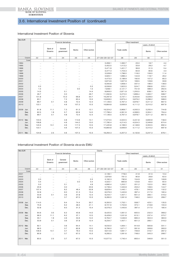**EUROSYSTEM**

# 3.6. International Investment Position of (continued)

#### International Investment Position of Slovenia

| Mio EUR |        |          |                     |                       |          |               | Claims                   |               |                  |                 |               |  |  |
|---------|--------|----------|---------------------|-----------------------|----------|---------------|--------------------------|---------------|------------------|-----------------|---------------|--|--|
|         |        |          |                     | Financial derivatives |          |               |                          |               | Other investment |                 |               |  |  |
|         |        |          |                     |                       |          |               |                          |               |                  | Loans, of which |               |  |  |
|         |        |          | Bank of<br>Slovenia | General<br>government | Banks    | Other sectors |                          | Trade credits |                  | Banks           | Other sectors |  |  |
|         | Column | 22       | 23                  | 24                    | 25       | 26            | $27 = 28 + 29 + 32 + 37$ | 28            | 29               | 30              | 31            |  |  |
|         | Code   |          |                     |                       |          |               |                          |               |                  |                 |               |  |  |
| 1994    |        | $\cdots$ | $\cdots$            | $\cdots$              | $\cdots$ | $\cdots$      | 3,269.1                  | 1,360.7       | 23.0             | 18.7            | 4.4           |  |  |
| 1995    |        | $\cdots$ | $\cdots$            |                       |          | $\cdots$      | 3,452.5                  | 1,412.2       | 33.9             | 29.2            | 4.7           |  |  |
| 1996    |        | $\cdots$ | $\cdots$            |                       | $\cdots$ | $\cdots$      | 3,471.9                  | 1,401.7       | 36.9             | 31.5            | 5.4           |  |  |
| 1997    |        | $\cdots$ | $\cdots$            | $\cdots$              | $\cdots$ | $\cdots$      | 3,477.3                  | 1,703.3       | 94.9             | 90.6            | 4.3           |  |  |
| 1998    |        | $\cdots$ | $\cdots$            | $\cdots$              |          | $\cdots$      | 3,528.9                  | 1,796.0       | 118.0            | 106.5           | 11.4          |  |  |
| 1999    |        | $\cdots$ | $\cdots$            | $\cdots$              |          | $\cdots$      | 3,920.1                  | 1,996.4       | 144.9            | 118.7           | 26.2          |  |  |
| 2000    |        | $\cdots$ | $\cdots$            | $\cdots$              | $\cdots$ | $\cdots$      | 4,473.3                  | 2,189.9       | 192.6            | 107.2           | 85.3          |  |  |
| 2001    |        | $\cdots$ | $\cdots$            | $\cdots$              | $\cdots$ | $\cdots$      | 5,874.6                  | 1,927.9       | 169.5            | 109.6           | 59.9          |  |  |
| 2002    |        | $\cdots$ | $\cdots$            | $\cdots$              | $\cdots$ | $\cdots$      | 6,093.8                  | 1,908.4       | 337.4            | 199.4           | 138.0         |  |  |
| 2003    |        | 0.3      | $\cdots$            | $\cdots$              | $\cdots$ | 0.3           | 6,556.6                  | 1,922.0       | 524.7            | 299.6           | 225.1         |  |  |
| 2004    |        | 1.5      | $\cdots$            | $\cdots$              | 0.0      | 1.5           | 7,838.1                  | 2,121.7       | 751.9            | 489.3           | 262.5         |  |  |
| 2005    |        | 14.5     | $\cdots$            | 0.1                   | $\cdots$ | 14.4          | 9,906.0                  | 2,871.9       | 1,205.5          | 838.1           | 367.4         |  |  |
| 2006    |        | 26.7     | $\cdots$            | 0.0                   | $\cdots$ | 26.7          | 11,092.6                 | 3,272.0       | 1,899.4          | 1,300.7         | 598.7         |  |  |
| 2007    |        | 131.8    | $\cdots$            | 10.3                  | 66.8     | 54.7          | 16,297.9                 | 3,737.1       | 3,453.6          | 3,029.0         | 424.6         |  |  |
| 2008    |        | 83.1     | $\cdots$            | 7.2                   | 60.4     | 15.5          | 16,808.0                 | 3,975.4       | 3,876.2          | 3,288.2         | 588.0         |  |  |
| 2009    |        | 89.7     | 0.1                 | 4.8                   | 72.4     | 12.4          | 17,126.5                 | 3,767.4       | 3,978.7          | 3,311.2         | 667.5         |  |  |
| 2010    |        | 122.1    | $\cdots$            | 4.6                   | 107.2    | 10.3          | 16,864.8                 | 3,936.9       | 4,111.2          | 3,310.2         | 697.9         |  |  |
| 2009    | Jun.   | 91.8     | 11.1                | 7.3                   | 61.3     | 12.1          | 16,324.2                 | 3,969.7       | 4,000.3          | 3,255.4         | 744.8         |  |  |
|         | Sep.   | 82.5     | 1.9                 | 5.7                   | 60.9     | 14.0          | 17,796.4                 | 4,061.6       | 4,068.5          | 3,304.1         | 764.4         |  |  |
|         | Dec.   | 89.7     | 0.1                 | 4.8                   | 72.4     | 12.4          | 17,126.5                 | 3,767.4       | 3,978.7          | 3,311.2         | 667.5         |  |  |
| 2010    | Mar.   | 133.5    | $\cdots$            | 4.8                   | 114.6    | 14.1          | 17,073.5                 | 4,022.5       | 4,441.8          | 3,693.8         | 748.0         |  |  |
|         | Jun.   | 158.8    | $\cdots$            | 4.6                   | 144.2    | 10.0          | 17,780.4                 | 4,214.5       | 4,024.3          | 3,349.8         | 674.4         |  |  |
|         | Sep.   | 145.5    | 13.1                | 4.6                   | 117.3    | 10.5          | 17,420.8                 | 4,199.0       | 4,148.9          | 3,353.5         | 692.4         |  |  |
|         | Dec.   | 122.1    | $\cdots$            | 4.6                   | 107.2    | 10.3          | 16,864.8                 | 3,936.9       | 4,111.2          | 3,310.2         | 697.9         |  |  |
| 2011    | Mar.   | 124.6    | 2.5                 | 4.6                   | 107.2    | 10.3          | 18.264.3                 | 4.207.3       | 4.132.8          | 3.247.3         | 678.1         |  |  |

#### International Investment Position of Slovenia vis-a-vis EMU

| Mio EUR |        |          |                     |                       |          |               | Claims                   |               |                  |                 |               |  |  |
|---------|--------|----------|---------------------|-----------------------|----------|---------------|--------------------------|---------------|------------------|-----------------|---------------|--|--|
|         |        |          |                     | Financial derivatives |          |               |                          |               | Other investment |                 |               |  |  |
|         |        |          |                     |                       |          |               |                          |               |                  | Loans, of which |               |  |  |
|         |        |          | Bank of<br>Slovenia | General<br>government | Banks    | Other sectors |                          | Trade credits |                  | Banks           | Other sectors |  |  |
|         | Column | 22       | 23                  | 24                    | 25       | 26            | $27 = 28 + 29 + 32 + 37$ | 28            | 29               | 30              | 31            |  |  |
|         | Code   |          |                     |                       |          |               |                          |               |                  |                 |               |  |  |
| 2001    |        | $\cdots$ | $\cdots$            | $\cdots$              | $\cdots$ | $\cdots$      | 2,136.1                  | 778.0         | 41.9             | 31.5            | 10.4          |  |  |
| 2002    |        | $\cdots$ | $\cdots$            | $\cdots$              |          | $\cdots$      | 2,878.6                  | 781.5         | 90.8             | 28.8            | 62.0          |  |  |
| 2003    |        | 0.3      | $\cdots$            | $\cdots$              | $\cdots$ | 0.3           | 3,192.3                  | 790.6         | 154.9            | 46.0            | 108.9         |  |  |
| 2004    |        | 0.4      | $\cdots$            | $\cdots$              | 0.0      | 0.4           | 4,022.1                  | 860.8         | 123.8            | 63.4            | 60.4          |  |  |
| 2005    |        | 5.0      | $\cdots$            | 0.1                   | $\cdots$ | 4.9           | 4.990.4                  | 1,202.7       | 201.2            | 102.0           | 99.2          |  |  |
| 2006    |        | 20.6     | $\cdots$            | 0.0                   | $\cdots$ | 20.6          | 5,736.4                  | 1,345.9       | 253.2            | 108.5           | 144.7         |  |  |
| 2007    |        | 107.4    | $\cdots$            | 8.2                   | 46.4     | 52.8          | 8,829.4                  | 1,440.1       | 478.1            | 345.9           | 132.2         |  |  |
| 2008    |        | 52.8     | $\cdots$            | 6.0                   | 31.3     | 15.4          | 8,576.3                  | 1,445.6       | 397.4            | 217.0           | 180.4         |  |  |
| 2009    |        | 53.9     | 0.1                 | 3.6                   | 37.8     | 12.4          | 9,234.7                  | 1,407.1       | 601.3            | 285.1           | 316.2         |  |  |
| 2010    |        | 80.9     | $\cdots$            | 3.7                   | 67.0     | 10.3          | 9.285.5                  | 1,591.6       | 748.0            | 345.3           | 299.7         |  |  |
| 2008    | Jun.   | 114.5    | $\cdots$            | 9.4                   | 74.4     | 30.7          | 9,350.0                  | 1,752.1       | 558.7            | 423.1           | 135.5         |  |  |
|         | Sep.   | 75.6     | $\cdots$            | 6.2                   | 48.3     | 21.1          | 8,721.6                  | 1,702.6       | 374.1            | 218.8           | 155.3         |  |  |
|         | Dec.   | 52.8     | $\cdots$            | 6.0                   | 31.3     | 15.4          | 8.576.3                  | 1,445.6       | 397.4            | 217.0           | 180.4         |  |  |
| 2009    | Mar.   | 64.6     | 3.5                 | 6.2                   | 40.8     | 14.0          | 8,420.5                  | 1,561.0       | 600.5            | 232.3           | 368.2         |  |  |
|         | Jun.   | 66.5     | 11.1                | 6.2                   | 37.1     | 12.0          | 8,429.0                  | 1,531.8       | 613.1            | 237.4           | 375.7         |  |  |
|         | Sep.   | 55.1     | 1.9                 | 4.6                   | 34.6     | 14.0          | 9.764.7                  | 1,546.9       | 685.3            | 302.3           | 383.0         |  |  |
|         | Dec.   | 53.9     | 0.1                 | 3.6                   | 37.8     | 12.4          | 9.234.7                  | 1.407.1       | 601.3            | 285.1           | 316.2         |  |  |
| 2010    | Mar.   | 82.1     | $\cdots$            | 3.6                   | 64.4     | 14.1          | 9,032.0                  | 1,564.1       | 914.9            | 583.8           | 331.1         |  |  |
|         | Jun.   | 96.5     | $\cdots$            | 3.7                   | 82.8     | 10.0          | 9,795.0                  | 1,671.7       | 591.6            | 308.6           | 283.0         |  |  |
|         | Sep.   | 106.6    | 13.1                | 3.7                   | 79.3     | 10.5          | 9,614.6                  | 1.681.7       | 706.9            | 316.7           | 287.2         |  |  |
|         | Dec.   | 80.9     | $\cdots$            | 3.7                   | 67.0     | 10.3          | 9.285.5                  | 1,591.6       | 748.0            | 345.3           | 299.7         |  |  |
| 2011    | Mar.   | 83.5     | 2.5                 | 3.7                   | 67.0     | 10.3          | 10,577.5                 | 1,745.4       | 855.4            | 346.9           | 301.0         |  |  |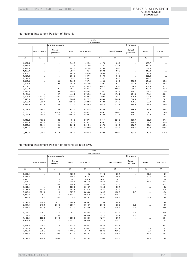#### International Investment Position of Slovenia

|         |                  |                       |         |               | Claims           |                  |                       |       |               |
|---------|------------------|-----------------------|---------|---------------|------------------|------------------|-----------------------|-------|---------------|
|         |                  |                       |         |               | Other investment |                  |                       |       |               |
|         |                  | Currency and deposits |         |               |                  |                  | Other assets          |       |               |
|         | Bank of Slovenia | General<br>government | Banks   | Other sectors |                  | Bank of Slovenia | General<br>government | Banks | Other sectors |
| 32      | 33               | 34                    | 35      | 36            | 37               | 38               | 39                    | 40    | 41            |
|         |                  |                       |         |               |                  |                  |                       |       |               |
| 1,467.5 | $\cdots$         | $\cdots$              | 1,040.9 | 426.6         | 417.9            | 84.2             | $\cdots$              | 333.7 |               |
| 1,631.3 | $\cdots$         | $\cdots$              | 1,218.4 | 412.9         | 375.1            | 132.8            |                       | 242.3 | $\cdots$      |
| 1,812.4 | $\cdots$         | $\cdots$              | 1,441.0 | 371.4         | 220.8            | 26.8             | $\cdots$              | 194.0 | $\cdots$      |
| 1,392.9 | $\cdots$         | $\cdots$              | 926.4   | 466.5         | 286.2            | 36.9             |                       | 249.3 | $\cdots$      |
| 1,334.2 | $\cdots$         | $\cdots$              | 941.2   | 393.0         | 280.8            | 39.5             |                       | 241.3 | $\cdots$      |
| 1,461.8 | $\cdots$         | $\cdots$              | 954.5   | 507.3         | 317.0            | 51.7             |                       | 265.3 | $\cdots$      |
| 1,747.5 | $\cdots$         | $\cdots$              | 1,242.2 | 505.3         | 343.3            | 62.3             | $\cdots$              | 281.1 | $\cdots$      |
| 2,313.3 | $\cdots$         | 3.3                   | 1,562.5 | 747.6         | 1,463.9          | 86.2             | 883.8                 | 324.4 | 169.5         |
| 2,425.8 | $\cdots$         | 2.5                   | 1,167.4 | 1,255.9       | 1,422.1          | 81.3             | 871.4                 | 321.6 | 147.8         |
| 2,702.7 | $\cdots$         | 2.7                   | 918.5   | 1,781.5       | 1,407.3          | 69.8             | 846.9                 | 354.9 | 135.7         |
| 3,408.9 | $\cdots$         | 2.7                   | 905.7   | 2,500.4       | 1,555.7          | 169.2            | 852.6                 | 358.6 | 175.3         |
| 4,435.3 | $\cdots$         | 5.4                   | 1,506.5 | 2,923.4       | 1,393.2          | 192.6            | 864.0                 | 159.1 | 177.6         |
| 5,151.9 | $\cdots$         | 2.7                   | 1,445.7 | 3,703.5       | 769.3            | 175.7            | 171.4                 | 171.1 | 251.1         |
| 8,404.8 | 1,617.8          | 30.1                  | 2,232.3 | 4,524.5       | 702.3            | 205.3            | 195.4                 | 107.3 | 194.4         |
| 8,348.4 | 1,132.9          | 13.1                  | 1,928.7 | 5,273.7       | 608.0            | 220.7            | 216.4                 | 96.2  | 74.7          |
| 8,736.9 | 352.4            | 5.2                   | 2,554.6 | 5,824.8       | 643.5            | 214.5            | 178.0                 | 89.9  | 161.1         |
| 8,249.6 | 302.8            | 0.9                   | 1,121.0 | 6,824.9       | 567.0            | 133.8            | 185.3                 | 46.3  | 201.6         |
| 7,798.3 | 485.9            | 10.9                  | 1,821.0 | 5,480.5       | 555.9            | 212.6            | 186.8                 | 87.9  | 68.6          |
| 9,120.2 | 341.9            | 362.3                 | 2,352.8 | 6,063.2       | 546.1            | 208.3            | 176.6                 | 87.2  | 74.0          |
| 8,736.9 | 352.4            | 5.2                   | 2,554.6 | 5,824.8       | 643.5            | 214.5            | 178.0                 | 89.9  | 161.1         |
| 7,948.2 | 462.2            | 3.2                   | 1,454.9 | 6,027.9       | 661.1            | 220.5            | 183.7                 | 89.0  | 167.9         |
| 8,886.6 | 292.3            | 2.5                   | 2,301.7 | 6,290.1       | 655.1            | 221.4            | 194.3                 | 52.5  | 186.8         |
| 8,505.0 | 284.4            | 2.3                   | 1,701.7 | 6,516.6       | 567.9            | 151.5            | 182.7                 | 30.1  | 203.6         |
| 8,249.6 | 302.8            | 0.9                   | 1,121.0 | 6,824.9       | 567.0            | 133.8            | 185.3                 | 46.3  | 201.6         |
| 9.343.7 | 396.7            | 251.8                 | 1.634.0 | 7.061.2       | 580.5            | 130.2            | 184.7                 | 48.4  | 217.2         |

|         |                  |                       |         |               | Claims           |                  |                      |           |               |
|---------|------------------|-----------------------|---------|---------------|------------------|------------------|----------------------|-----------|---------------|
|         |                  |                       |         |               | Other investment |                  |                      |           |               |
|         |                  | Currency and deposits |         |               |                  |                  | Other assets         |           |               |
|         | Bank of Slovenia | General<br>aovemment  | Banks   | Other sectors |                  | Bank of Slovenia | General<br>aovemment | Banks     | Other sectors |
| 32      | 33               | 34                    | 35      | 36            | 37               | 38               | 39                   | 40        | 41            |
|         |                  |                       |         |               |                  |                  |                      |           |               |
| 1,200.6 | $\cdots$         | 1.3                   | 1,180.1 | 19.2          | 115.6            | 69.7             | $\cdots$             | 42.3      | 3.6           |
| 1,837.2 | $\cdots$         | 1.3                   | 860.3   | 975.7         | 169.1            | 66.5             | $\cdots$             | 100.5     | 2.2           |
| 2,063.7 | $\cdots$         | 1.6                   | 680.5   | 1,381.6       | 183.1            | 56.3             | $\cdots$             | 123.7     | 3.0           |
| 2,811.1 | $\cdots$         | 1.4                   | 762.5   | 2,047.2       | 226.4            | 53.9             | $\cdots$             | 136.4     | 36.1          |
| 3,493.3 | $\cdots$         | 3.4                   | 1,180.7 | 2,309.2       | 93.2             | 61.8             | $\cdots$             | $\ddotsc$ | 31.5          |
| 4,035.4 | $\cdots$         | 1.5                   | 990.2   | 3,043.7       | 102.0            | 56.7             | $\cdots$             | $\ddotsc$ | 45.2          |
| 6.763.0 | 1,292.9          | 25.0                  | 1.693.7 | 3.751.5       | 148.2            | 97.2             | $\cdots$             | $\cdots$  | 51.0          |
| 6,597.5 | 871.1            | 11.6                  | 1,377.9 | 4,336.9       | 135.8            | 105.3            | 7.7                  | $\cdots$  | 22.9          |
| 7,008.9 | 208.2            | 4.2                   | 2.101.0 | 4,695.5       | 217.5            | 102.2            | $\cdots$             | $\ddotsc$ | 115.3         |
| 6,692.3 | 300.9            | 0.5                   | 812.9   | 5,578.1       | 253.5            | 106.9            | $\cdots$             | 22.3      | 124.3         |
|         |                  |                       |         |               |                  |                  |                      |           |               |
| 6,799.5 | 454.2            | 104.2                 | 2,145.7 | 4,095.3       | 239.8            | 94.8             | $\cdots$             | $\cdots$  | 145.0         |
| 6,394.6 | 240.4            | 255.0                 | 1.853.4 | 4.045.7       | 250.3            | 98.5             | 7.8                  | $\cdots$  | 144.0         |
| 6,597.5 | 871.1            | 11.6                  | 1,377.9 | 4,336.9       | 135.8            | 105.3            | 7.7                  | $\cdots$  | 22.9          |
|         |                  |                       |         |               |                  |                  |                      |           |               |
| 6.117.5 | 335.9            | 11.0                  | 1,381.3 | 4.389.3       | 141.3            | 104.7            | 6.7                  | $\cdots$  | 30.0          |
| 6,151.4 | 333.4            | 9.9                   | 1,339.6 | 4,468.4       | 132.7            | 99.2             | 7.0                  | $\cdots$  | 26.6          |
| 7,405.4 | 198.2            | 360.7                 | 1,959.9 | 4,886.6       | 127.1            | 97.7             | $\cdots$             | $\ddotsc$ | 29.4          |
| 7,008.9 | 208.2            | 4.2                   | 2.101.0 | 4,695.5       | 217.5            | 102.2            | $\cdots$             | $\cdots$  | 115.3         |
|         |                  |                       |         |               |                  |                  |                      |           |               |
| 6,324.3 | 320.8            | 1.5                   | 1,111.6 | 4,890.4       | 228.8            | 101.1            | $\cdots$             | $\cdots$  | 127.7         |
| 7,293.6 | 291.4            | 1.3                   | 1.895.1 | 5.105.7       | 238.2            | 105.2            | $\cdots$             | 6.8       | 126.2         |
| 7,005.2 | 278.9            | 0.9                   | 1,413.9 | 5,311.6       | 220.8            | 100.6            | $\cdots$             | 6.4       | 113.7         |
| 6,692.3 | 300.9            | 0.5                   | 812.9   | 5,578.1       | 253.5            | 106.9            | $\cdots$             | 22.3      | 124.3         |
|         |                  |                       |         |               |                  |                  |                      |           |               |
| 7.736.3 | 394.7            | 250.9                 | 1.277.5 | 5.813.2       | 240.4            | 104.4            |                      | 23.5      | 112.5         |
|         |                  |                       |         |               |                  |                  |                      |           |               |
|         |                  |                       |         |               |                  |                  |                      |           |               |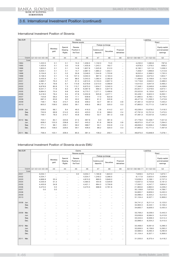**EUROSYSTEM**

# 3.6. International Investment Position (continued)

#### International Investment Position of Slovenia

| Mio EUR |      |                                 |                  |                              | Claims                             |         |                          |                  |                          |                          | Liabilities    |                                             |
|---------|------|---------------------------------|------------------|------------------------------|------------------------------------|---------|--------------------------|------------------|--------------------------|--------------------------|----------------|---------------------------------------------|
|         |      |                                 |                  |                              | Reserve assets                     |         |                          |                  |                          |                          |                | Direct                                      |
|         |      |                                 |                  |                              |                                    |         |                          | Foreign exchange |                          |                          |                |                                             |
|         |      |                                 | Monetary<br>gold | Special<br>Drawing<br>Rights | Reserve<br>Position in<br>the Fund |         | Currency and<br>deposits | Securities       | Financial<br>derivatives |                          |                | Equity capital<br>and reinvested<br>eamings |
|         |      | Column $42 = 43 + 44 + 45 + 46$ | 43               | 44                           | 45                                 | 46      | 47                       | 48               | 49                       | $50 = 51 + 56 + 66 + 71$ | $51 = 52 + 53$ | 52                                          |
|         | Code |                                 |                  |                              |                                    |         |                          |                  |                          |                          |                |                                             |
| 1994    |      | 1,222.0                         | 0.1              | 0.1                          | 15.3                               | 1,206.5 | 1,132.0                  | 74.5             | $\cdots$                 | 4,230.0                  | 1,080.8        | 787.8                                       |
| 1995    |      | 1.420.9                         | 0.1              | 0.0                          | 14.9                               | 1,405.9 | 1,243.1                  | 162.7            | $\cdots$                 | 4,978.3                  | 1,376.0        | 939.2                                       |
| 1996    |      | 1.853.0                         | 0.1              | 0.1                          | 14.9                               | 1,837.9 | 1,525.9                  | 312.0            | $\cdots$                 | 6,190.1                  | 1,611.6        | 1,028.3                                     |
| 1997    |      | 3,003.1                         | 0.1              | 0.1                          | 15.7                               | 2,987.3 | 1,985.2                  | 1,002.1          | $\cdots$                 | 7,308.7                  | 1,999.8        | 1,412.8                                     |
| 1998    |      | 3,104.6                         | 0.1              | 0.2                          | 55.8                               | 3,048.5 | 1,344.9                  | 1,703.6          | $\cdots$                 | 8,052.4                  | 2,369.5        | 1,720.3                                     |
| 1999    |      | 3,159.3                         | 0.1              | 1.6                          | 107.3                              | 3,050.3 | 867.0                    | 2,183.3          | $\cdots$                 | 9,804.6                  | 2,675.0        | 1,904.7                                     |
| 2000    |      | 3,435.9                         | 0.1              | 4.0                          | 88.5                               | 3,343.3 | 1,060.4                  | 2,282.9          | $\cdots$                 | 11,468.5                 | 3,109.8        | 2,116.9                                     |
| 2001    |      | 4,983.7                         | 76.2             | 5.7                          | 91.3                               | 4,810.5 | 2,153.3                  | 2,657.3          | $\cdots$                 | 12,716.8                 | 2,940.0        | 2,489.0                                     |
| 2002    |      | 6,781.4                         | 79.9             | 6.7                          | 115.9                              | 6,578.9 | 2,510.0                  | 4,068.9          | $\cdots$                 | 14,610.0                 | 3,947.9        | 3,466.2                                     |
| 2003    |      | 6,878.9                         | 80.9             | 7.3                          | 115.7                              | 6,675.0 | 1,634.7                  | 5,040.3          | $\cdots$                 | 17,348.1                 | 5,046.8        | 4,438.6                                     |
| 2004    |      | 6,541.7                         | 77.8             | 8.2                          | 87.9                               | 6,367.9 | 690.3                    | 5,677.6          | $\cdots$                 | 20,001.7                 | 5,579.6        | 4,874.1                                     |
| 2005    |      | 6,894.5                         | 70.4             | 9.8                          | 43.6                               | 6,770.7 | 1,271.1                  | 5,499.6          | $\cdots$                 | 25,522.6                 | 6,133.6        | 5,607.4                                     |
| 2006    |      | 5,418.5                         | 78.4             | 9.4                          | 27.8                               | 5,302.8 | 925.8                    | 4,377.1          | $\cdots$                 | 30,428.1                 | 6,822.3        | 6,283.1                                     |
| 2007    |      | 723.8                           | 58.2             | 8.6                          | 17.1                               | 639.9   | 17.0                     | 622.9            | $\cdots$                 | 41,990.5                 | 9,765.1        | 6,776.0                                     |
| 2008    |      | 687.2                           | 63.6             | 8.5                          | 33.2                               | 582.0   | 61.2                     | 520.8            | $\cdots$                 | 46,477.8                 | 11,236.3       | 7,472.8                                     |
| 2009    |      | 749.1                           | 78.3             | 215.7                        | 45.8                               | 409.2   | 52.7                     | 361.3            | $-4.8$                   | 47,481.3                 | 10,537.8       | 7,440.2                                     |
| 2010    |      | 803.2                           | 108.0            | 229.5                        | 59.1                               | 406.5   | 86.2                     | 320.0            | 0.3                      | 47,865.0                 | 10,771.5       | 7,497.9                                     |
| 2009    | Jun. | 539.0                           | 68.1             | 8.4                          | 46.3                               | 416.3   | 2.8                      | 414.2            | $-0.7$                   | 45,036.4                 | 10.678.0       | 7,419.3                                     |
|         | Sep. | 752.6                           | 69.9             | 214.2                        | 45.5                               | 423.0   | 51.6                     | 369.0            | 2.4                      | 47,791.9                 | 10,701.6       | 7,470.5                                     |
|         | Dec. | 749.1                           | 78.3             | 215.7                        | 45.8                               | 409.2   | 52.7                     | 361.3            | $-4.8$                   | 47,481.3                 | 10,537.8       | 7,440.2                                     |
| 2010    | Mar. | 723.1                           | 84.1             | 223.6                        | 47.4                               | 367.9   | 6.3                      | 361.6            | $\cdots$                 | 47,778.0                 | 10.438.7       | 7,321.8                                     |
|         | Jun. | 838.0                           | 103.3            | 238.8                        | 50.7                               | 445.2   | 61.6                     | 382.8            | 0.8                      | 48,970.5                 | 10,471.9       | 7,294.0                                     |
|         | Sep. | 771.1                           | 98.1             | 226.1                        | 58.2                               | 388.7   | 55.1                     | 334.9            | $-1.4$                   | 48,856.2                 | 10,606.4       | 7,298.8                                     |
|         | Dec. | 803.2                           | 108.0            | 229.5                        | 59.1                               | 406.5   | 86.2                     | 320.0            | 0.3                      | 47,865.0                 | 10,771.5       | 7,497.9                                     |
| 2011    | Mar. | 759.4                           | 103.1            | 209.4                        | 85.5                               | 361.4   | 106.2                    | 250.1            | 5.1                      | 49.875.0                 | 10.848.9       | 7.578.1                                     |

| Mio EUR |      |                                 |                  |                              | Claims                             |          |                          |            |                          |                          | Liabilities    |                                             |
|---------|------|---------------------------------|------------------|------------------------------|------------------------------------|----------|--------------------------|------------|--------------------------|--------------------------|----------------|---------------------------------------------|
|         |      |                                 |                  |                              | Reserve assets                     |          |                          |            |                          |                          |                | Direct                                      |
|         |      |                                 |                  |                              |                                    |          | Foreign exchange         |            |                          |                          |                |                                             |
|         |      |                                 | Monetary<br>gold | Special<br>Drawing<br>Rights | Reserve<br>Position in<br>the Fund |          | Currency and<br>deposits | Securities | Financial<br>derivatives |                          |                | Equity capital<br>and reinvested<br>eamings |
|         |      | Column $42 = 43 + 44 + 45 + 46$ | 43               | 44                           | 45                                 | 46       | 47                       | 48         | 49                       | $50 = 51 + 56 + 66 + 71$ | $51 = 52 + 53$ | 52                                          |
|         | Code |                                 |                  |                              |                                    |          |                          |            |                          |                          |                |                                             |
| 2001    |      | 3.034.1                         | $\cdots$         | $\cdots$                     | 0.0                                | 3,034.1  | 1.190.8                  | 1,843.3    | $\cdots$                 | 7,609.5                  | 2.274.3        | 1.873.1                                     |
| 2002    |      | 4.534.7                         | $\cdots$         | $\cdots$                     | $\cdots$                           | 4,534.7  | 1,248.2                  | 3,286.5    | $\cdots$                 | 9.117.8                  | 2,923.4        | 2,509.9                                     |
| 2003    |      | 4.868.9                         | 53.4             |                              | $\cdots$                           | 4,815.5  | 869.5                    | 3,946.0    | $\cdots$                 | 10,639.3                 | 3.169.1        | 2,727.3                                     |
| 2004    |      | 4,535.9                         | 51.3             | $\cdots$                     | $\cdots$                           | 4,484.5  | 454.6                    | 4,029.9    | $\cdots$                 | 12,637.5                 | 3,753.8        | 3,191.0                                     |
| 2005    |      | 4.455.8                         | 34.8             | $\cdots$                     | $\cdots$                           | 4,421.1  | 664.3                    | 3.756.8    | $\cdots$                 | 17,550.7                 | 4.247.7        | 3,804.2                                     |
| 2006    |      | 3,470.5                         | 0.0              | $\cdots$                     | $\cdots$                           | 3,470.5  | 688.9                    | 2,781.6    | $\cdots$                 | 21,965.6                 | 4,892.0        | 4,439.2                                     |
| 2007    |      | 0.0                             | 0.0              | $\cdots$                     | $\cdots$                           | $\cdots$ | $\cdots$                 | $\cdots$   | $\cdots$                 | 30.128.8                 | 7.675.6        | 4.789.7                                     |
| 2008    |      | $\cdots$                        | $\cdots$         |                              | $\cdots$                           |          |                          | $\cdots$   | $\cdots$                 | 34,683.7                 | 8,826.5        | 5,430.3                                     |
| 2009    |      | $\ddotsc$                       | $\ddotsc$        | $\cdots$                     | $\cdots$                           | $\cdots$ | $\cdots$                 | $\cdots$   | $\cdots$                 | 32.996.4                 | 8.334.2        | 5,415.5                                     |
| 2010    |      | $\cdots$                        |                  | $\cdots$                     |                                    |          |                          |            | $\cdots$                 | 31,104.4                 | 8,327.1        | 5,369.0                                     |
| 2008    | Jun. |                                 |                  |                              |                                    |          |                          |            |                          | 34,741.2                 | 8,211.4        | 5,123.0                                     |
|         | Sep. | $\ddotsc$                       | $\ddotsc$        | $\ddotsc$                    | $\ddotsc$                          | $\cdots$ | $\cdots$                 | $\cdots$   | $\cdots$                 | 34,963.3                 | 8,443.1        | 5,106.4                                     |
|         | Dec. |                                 | $\cdots$         |                              |                                    | $\cdots$ | $\cdots$                 |            | $\cdots$                 | 34,683.7                 | 8,826.5        | 5,430.3                                     |
| 2009    | Mar. |                                 |                  | $\cdots$                     |                                    |          |                          |            | $\cdots$                 | 33,769.2                 | 8,539.0        | 5,445.3                                     |
|         | Jun. |                                 |                  | $\cdots$                     |                                    |          |                          |            | $\cdots$                 | 33.636.8                 | 8,584.5        | 5.410.9                                     |
|         | Sep. |                                 |                  | $\cdots$                     |                                    |          |                          |            | $\cdots$                 | 33,345.5                 | 8,569.3        | 5,514.4                                     |
|         | Dec. |                                 |                  | $\cdots$                     | $\cdots$                           |          | $\cdots$                 |            | $\cdots$                 | 32,996.4                 | 8,334.2        | 5,415.5                                     |
| 2010    | Mar. | $\cdots$                        | $\cdots$         | $\cdots$                     | $\cdots$                           | $\cdots$ | $\cdots$                 | $\cdots$   | $\cdots$                 | 32,468.0                 | 8.081.6        | 5,299.3                                     |
|         | Jun. |                                 | $\cdots$         | $\cdots$                     | $\cdots$                           | $\cdots$ | $\cdots$                 | $\cdots$   | $\cdots$                 | 32,836.5                 | 8,139.6        | 5,293.2                                     |
|         | Sep. |                                 | $\cdots$         |                              | $\cdots$                           | $\cdots$ | $\cdots$                 | $\cdots$   | $\cdots$                 | 32,686.5                 | 8.295.3        | 5,290.9                                     |
|         | Dec. |                                 |                  |                              | $\cdots$                           |          |                          |            | $\cdots$                 | 31,104.4                 | 8,327.1        | 5,369.0                                     |
| 2011    | Mar. |                                 |                  |                              |                                    |          |                          |            | $\cdots$                 | 31,535.0                 | 8,375.4        | 5,418.2                                     |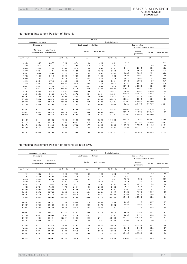#### International Investment Position of Slovenia

|                |                               |                                    |                |         |                             | Liabilities   |                      |          |                           |          |               |
|----------------|-------------------------------|------------------------------------|----------------|---------|-----------------------------|---------------|----------------------|----------|---------------------------|----------|---------------|
|                | investment in Slovenia        |                                    |                |         |                             |               | Portfolio investment |          |                           |          |               |
|                | Other capital                 |                                    |                |         | Equity securities, of which |               |                      |          | Debt securities           |          |               |
|                |                               |                                    |                |         |                             |               |                      |          | Bonds and notes, of which |          |               |
|                | Claims on<br>direct investors | Liabilities to<br>direct investors |                |         | Banks                       | Other sectors |                      |          | General<br>government     | Banks    | Other sectors |
| $53 - 55 + 54$ | 54                            | 55                                 | $56 = 57 + 60$ | 57      | 58                          | 59            | $60 = 61 + 65$       | 61       | 62                        | 63       | 64            |
|                |                               |                                    |                |         |                             |               |                      |          |                           |          |               |
| 293.0          | $-94.7$                       | 387.7                              | 72.5           | 37.4    | 14.6                        | 22.8          | 35.1                 | 35.1     | $\cdots$                  | $\cdots$ | 35.1          |
| 436.9          | $-107.4$                      | 544.3                              | 81.2           | 49.0    | 21.5                        | 27.5          | 32.3                 | 32.3     | $\cdots$                  | 13.3     | 19.0          |
| 583.3          | $-140.9$                      | 724.2                              | 918.0          | 107.9   | 24.3                        | 83.5          | 810.1                | 810.1    | 761.5                     | 20.4     | 28.2          |
| 587.0          | $-169.4$                      | 756.4                              | 1,156.6        | 142.0   | 14.2                        | 127.8         | 1,014.6              | 1,014.6  | 962.9                     | 19.9     | 31.8          |
| 649.1          | $-94.6$                       | 743.8                              | 1,212.9        | 119.0   | 15.3                        | 103.7         | 1,093.9              | 1,093.9  | 1,039.6                   | 20.1     | 34.3          |
| 770.2          | $-110.8$                      | 881.0                              | 1,656.3        | 162.6   | 13.9                        | 148.6         | 1,493.8              | 1,493.8  | 1,430.7                   | 20.1     | 42.9          |
| 992.9          | $-143.2$                      | 1,136.1                            | 1,927.9        | 180.4   | 26.4                        | 154.0         | 1,747.5              | 1,747.5  | 1,688.0                   | 20.1     | 39.4          |
| 451.0          | $-223.1$                      | 674.0                              | 2,143.9        | 194.9   | 11.7                        | 183.2         | 1,949.1              | 1,934.2  | 1,908.2                   | 0.3      | 25.6          |
| 481.6          | $-324.1$                      | 805.7                              | 2,098.4        | 107.0   | 32.2                        | 74.8          | 1,991.4              | 1,935.2  | 1,894.0                   | 19.6     | 21.6          |
| 608.2          | $-366.2$                      | 974.4                              | 2,337.7        | 236.2   | 30.7                        | 205.4         | 2,101.6              | 2,070.0  | 2,008.3                   | 33.4     | 28.3          |
| 705.4          | $-295.7$                      | 1,001.2                            | 2,320.1        | 211.0   | 34.8                        | 176.2         | 2,109.1              | 2,096.1  | 1,865.0                   | 221.4    | 9.7           |
| 526.2          | $-454.8$                      | 981.0                              | 2,398.2        | 306.9   | 45.6                        | 261.3         | 2,091.3              | 2,069.9  | 1,720.3                   | 336.3    | 13.3          |
| 539.1          | $-388.9$                      | 928.0                              | 3,137.4        | 657.2   | 53.1                        | 604.1         | 2,480.1              | 2,456.4  | 2,107.9                   | 331.8    | 16.7          |
| 2,989.1        | $-772.5$                      | 3,761.6                            | 4,549.5        | 1,358.4 | 148.9                       | 1,209.4       | 3,191.2              | 3,191.2  | 2,832.2                   | 352.7    | 6.2           |
| 3,763.5        | $-788.8$                      | 4.552.3                            | 4,590.9        | 598.5   | 58.1                        | 540.5         | 3.992.4              | 3,992.4  | 3,551.7                   | 436.9    | 3.8           |
| 3,097.6        | $-738.0$                      | 3,835.6                            | 9,353.9        | 643.2   | 64.9                        | 578.3         | 8.710.7              | 8,710.7  | 6,406.5                   | 2,033.0  | 271.1         |
| 3,273.6        | $-955.4$                      | 4,229.0                            | 11,753.5       | 714.2   | 70.2                        | 643.9         | 11,039.4             | 11,039.4 | 8,017.5                   | 2,771.7  | 250.1         |
| 3,258.7        | $-677.3$                      | 3.936.0                            | 5,931.3        | 682.9   | 64.8                        | 618.1         | 5,248.3              | 5,248.3  | 4,997.6                   | 242.0    | 8.7           |
| 3,231.1        | $-660.2$                      | 3.891.3                            | 9,231.8        | 700.7   | 63.8                        | 636.9         | 8,531.1              | 8,531.1  | 6,433.2                   | 2,085.3  | 12.6          |
| 3,097.6        | $-738.0$                      | 3,835.6                            | 9,353.9        | 643.2   | 64.9                        | 578.3         | 8,710.7              | 8,710.7  | 6,406.5                   | 2,033.0  | 271.1         |
| 3,116.9        | $-841.4$                      | 3,958.2                            | 11,185.8       | 696.9   | 70.9                        | 626.0         | 10,488.9             | 10,488.9 | 8,182.0                   | 2,053.4  | 253.5         |
| 3,177.9        | $-799.7$                      | 3,977.6                            | 11,735.5       | 684.2   | 67.9                        | 616.2         | 11,051.3             | 11,051.3 | 8,115.3                   | 2,691.4  | 244.7         |
| 3,307.6        | $-822.2$                      | 4,129.8                            | 11,768.2       | 670.2   | 67.7                        | 602.5         | 11,098.0             | 11,098.0 | 8,132.1                   | 2,711.2  | 254.7         |
| 3,273.6        | $-955.4$                      | 4,229.0                            | 11,753.5       | 714.2   | 70.2                        | 643.9         | 11,039.4             | 11,039.4 | 8,017.5                   | 2,771.7  | 250.1         |
| 3.270.7        | $-1,008.8$                    | 4.279.5                            | 14,813.3       | 738.6   | 72.5                        | 666.0         | 14.074.7             | 14,074.7 | 10.795.4                  | 3,032.2  | 247.2         |

|                |                               |                                    |                |       |                             | Liabilities   |                      |         |                           |       |               |
|----------------|-------------------------------|------------------------------------|----------------|-------|-----------------------------|---------------|----------------------|---------|---------------------------|-------|---------------|
|                | investment in Slovenia        |                                    |                |       |                             |               | Portfolio investment |         |                           |       |               |
|                | Other capital                 |                                    |                |       | Equity securities, of which |               |                      |         | Debt securities           |       |               |
|                |                               |                                    |                |       |                             |               |                      |         | Bonds and notes, of which |       |               |
|                | Claims on<br>direct investors | Liabilities to<br>direct investors |                |       | Banks                       | Other sectors |                      |         | General<br>government     | Banks | Other sectors |
|                |                               |                                    |                |       |                             |               |                      |         |                           |       |               |
| $53 = 55 + 54$ | 54                            | 55                                 | $56 = 57 + 60$ | 57    | 58                          | 59            | $60 = 61 + 65$       | 61      | 62                        | 63    | 64            |
|                |                               |                                    |                |       |                             |               |                      |         |                           |       |               |
| 401.1          | $-183.2$                      | 584.4                              | 99.5           | 74.6  | 8.3                         | 66.3          | 24.8                 | 13.3    | $\cdots$                  | 0.2   | 13.2          |
| 413.4          | $-266.6$                      | 680.0                              | 80.8           | 37.5  | 5.7                         | 31.8          | 43.3                 | 43.3    | $\cdots$                  | 30.1  | 13.2          |
| 441.8          | $-206.5$                      | 648.3                              | 269.4          | 135.3 | 3.2                         | 132.1         | 134.1                | 126.7   | 92.8                      | 11.5  | 22.5          |
| 562.8          | $-223.1$                      | 785.9                              | 272.7          | 111.0 | 5.4                         | 105.6         | 161.7                | 153.8   | 132.3                     | 11.8  | 9.6           |
| 443.5          | $-321.4$                      | 764.9                              | 614.4          | 141.1 | 4.6                         | 136.5         | 473.3                | 457.3   | 437.1                     | 6.9   | 13.3          |
| 452.8          | $-273.1$                      | 725.9                              | 1.117.9        | 299.1 | 5.6                         | 293.5         | 818.8                | 795.0   | 784.5                     | 6.8   | 3.7           |
| 2,885.9        | $-569.4$                      | 3.455.4                            | 1.300.7        | 630.6 | 37.0                        | 593.6         | 670.1                | 670.1   | 636.7                     | 29.7  | 3.7           |
| 3.396.1        | $-582.8$                      | 3.978.9                            | 1.604.5        | 291.8 | 38.4                        | 253.4         | 1.312.7              | 1.312.7 | 1.177.6                   | 131.3 | 3.8           |
| 2,918.7        | $-555.6$                      | 3,474.3                            | 3,214.1        | 295.2 | 40.4                        | 254.7         | 2,918.9              | 2,918.9 | 2,882.2                   | 28.8  | 7.9           |
| 2,958.2        | $-688.2$                      | 3,646.4                            | 4,024.5        | 310.5 | 39.0                        | 271.5         | 3,714.0              | 3,714.0 | 3,676.2                   | 34.2  | 3.6           |
|                |                               |                                    |                |       |                             |               |                      |         |                           |       |               |
| 3.088.3        | $-554.8$                      | 3.643.1                            | 1.738.9        | 492.0 | 37.0                        | 455.0         | 1.246.9              | 1,246.9 | 1,111.5                   | 131.7 | 3.7           |
| 3.336.7        | $-575.8$                      | 3.912.5                            | 1.751.6        | 395.3 | 38.3                        | 357.0         | 1.356.2              | 1,356.2 | 1,219.8                   | 132.7 | 3.7           |
| 3,396.1        | $-582.8$                      | 3,978.9                            | 1,604.5        | 291.8 | 38.4                        | 253.4         | 1,312.7              | 1,312.7 | 1,177.6                   | 131.3 | 3.8           |
|                |                               |                                    |                |       |                             |               |                      |         |                           |       |               |
| 3.093.7        | $-470.8$                      | 3.564.4                            | 2.146.3        | 280.4 | 38.9                        | 241.5         | 1.865.9              | 1,865.9 | 1,725.9                   | 131.2 | 8.7           |
| 3.173.6        | $-463.2$                      | 3.636.8                            | 2.569.3        | 312.8 | 40.7                        | 272.1         | 2.256.5              | 2,256.5 | 2,217.1                   | 31.0  | 8.4           |
| 3,054.9        | $-495.5$                      | 3,550.4                            | 3,229.1        | 310.8 | 39.3                        | 271.4         | 2,918.3              | 2.918.3 | 2.875.8                   | 30.4  | 12.1          |
| 2,918.7        | $-555.6$                      | 3,474.3                            | 3,214.1        | 295.2 | 40.4                        | 254.7         | 2,918.9              | 2,918.9 | 2,882.2                   | 28.8  | 7.9           |
|                |                               |                                    |                |       |                             |               |                      |         |                           |       |               |
| 2,782.3        | $-651.7$                      | 3.434.0                            | 4,409.6        | 312.1 | 44.8                        | 267.3         | 4.097.5              | 4,097.5 | 4,053.7                   | 35.1  | 8.6           |
| 2.846.4        | $-620.6$                      | 3.467.0                            | 4.365.6        | 310.8 | 40.7                        | 270.1         | 4.054.8              | 4.054.8 | 4.015.9                   | 35.2  | 3.7           |
| 3,004.4        | $-627.7$                      | 3,632.1                            | 4,370.0        | 305.2 | 40.4                        | 264.9         | 4,064.8              | 4,064.8 | 4,025.9                   | 35.3  | 3.6           |
| 2,958.2        | $-688.2$                      | 3,646.4                            | 4,024.5        | 310.5 | 39.0                        | 271.5         | 3,714.0              | 3,714.0 | 3,676.2                   | 34.2  | 3.6           |
|                |                               |                                    |                |       |                             |               |                      |         |                           |       |               |
| 2.957.2        | $-742.1$                      | 3.699.3                            | 5.674.4        | 307.9 | 35.1                        | 272.8         | 5.366.5              | 5.366.5 | 5,329.1                   | 33.5  | 3.9           |
|                |                               |                                    |                |       |                             |               |                      |         |                           |       |               |
|                |                               |                                    |                |       |                             |               |                      |         |                           |       |               |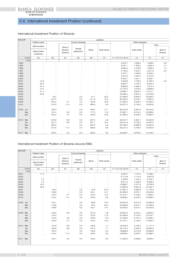**EUROSYSTEM**

# 3.6. International Investment Position (continued)

#### International Investment Position of Slovenia

| Mio EUR      |                             |          |                                  |                      |          | Liabilities   |                          |                  |          |                     |
|--------------|-----------------------------|----------|----------------------------------|----------------------|----------|---------------|--------------------------|------------------|----------|---------------------|
|              | Portfolio invest.           |          |                                  | Financial derivates  |          |               |                          | Other investment |          |                     |
|              | Debt securities             |          |                                  |                      |          |               |                          |                  | Loans    |                     |
|              | Money market<br>instruments |          | Bank of<br>Slovenia<br>Slovenije | General<br>govemment | Banks    | Other sectors |                          | Trade credits    |          | Bank of<br>Slovenia |
| Column       | 65                          | 66       | 67                               | 68                   | 69       | 70            | $71 = 72 + 73 + 78 + 81$ | 72               | 73       | 74                  |
|              | Code                        |          |                                  |                      |          |               |                          |                  |          |                     |
| 1994         | $\cdots$                    | $\cdots$ | $\cdots$                         | $\cdots$             |          | $\cdots$      | 3,076.7                  | 1,258.4          | 1,538.5  | 5.9                 |
| 1995         |                             | $\cdots$ |                                  | $\cdots$             |          | $\cdots$      | 3,521.1                  | 1,356.2          | 1,859.3  | 3.1                 |
| 1996         |                             | $\cdots$ |                                  | $\cdots$             |          | $\cdots$      | 3,660.5                  | 1,278.9          | 1,969.5  | 1.0                 |
| 1997         | $\cdots$                    |          |                                  | $\cdots$             |          | $\cdots$      | 4,152.2                  | 1,523.7          | 2,221.6  | 0.0                 |
| 1998         |                             |          |                                  | $\cdots$             |          | $\ddotsc$     | 4,470.1                  | 1,548.6          | 2,490.0  | $\cdots$            |
| 1999         | $\cdots$                    |          |                                  | $\cdots$             | $\cdots$ | $\cdots$      | 5,473.4                  | 1,760.4          | 3,212.9  | $\cdots$            |
| 2000         | $\cdots$                    |          |                                  | $\cdots$             |          | $\cdots$      | 6,430.7                  | 1,921.1          | 4,030.1  | $\cdots$            |
| 2001         | 14.9                        |          |                                  | $\cdots$             |          | $\cdots$      | 7,632.8                  | 1,749.5          | 5,162.3  | 0.0                 |
| 2002         | 56.2                        |          |                                  | $\cdots$             |          | $\cdots$      | 8,563.7                  | 1,730.3          | 5,932.4  | $\cdots$            |
| 2003         | 31.5                        | $\cdots$ | $\cdots$                         | $\cdots$             | $\cdots$ | $\cdots$      | 9,963.6                  | 1,693.5          | 7,013.4  | $\cdots$            |
| 2004         | 13.0                        | $\cdots$ |                                  | $\cdots$             |          | $\cdots$      | 12,102.0                 | 1,879.0          | 8,699.9  |                     |
| 2005         | 21.4                        | $\cdots$ |                                  | $\cdots$             |          | $\cdots$      | 16,990.7                 | 2,855.2          | 11,612.1 |                     |
| 2006         | 23.8                        | $\cdots$ | $\cdots$                         | $\cdots$             | $\cdots$ | $\cdots$      | 20,468.4                 | 3,337.0          | 13,576.8 | $\cdots$            |
| 2007         |                             | 76.4     | $\cdots$                         | 0.0                  | 51.1     | 25.3          | 27,599.5                 | 3,855.5          | 15,636.2 | $\cdots$            |
| 2008         | $\cdots$                    | 227.5    | $\cdots$                         | 0.0                  | 211.3    | 16.2          | 30,423.0                 | 4,018.7          | 17,987.2 | $\cdots$            |
| 2009         | $\cdots$                    | 204.4    | 2.7                              | 0.0                  | 184.9    | 16.9          | 27,385.2                 | 3,429.4          | 15,583.2 | $\cdots$            |
| 2010         | $\cdots$                    | 312.5    | 11.4                             | 0.0                  | 295.6    | 5.6           | 25,027.4                 | 3,748.3          | 14,653.6 |                     |
| 2009<br>Jun. |                             | 183.3    | $\cdots$                         | 0.0                  | 166.2    | 17.1          | 28,243.8                 | 3,397.9          | 16,544.5 |                     |
| Sep.         | $\cdots$                    | 191.4    | 2.8                              | 0.0                  | 177.0    | 11.6          | 27,667.1                 | 3,514.5          | 16,596.9 | $\cdots$            |
| Dec.         | $\cdots$                    | 204.4    | 2.7                              | 0.0                  | 184.9    | 16.9          | 27,385.2                 | 3,429.4          | 15,583.2 |                     |
| 2010<br>Mar. | $\cdots$                    | 240.9    | 8.9                              | 0.0                  | 227.2    | 4.8           | 25,912.7                 | 3,482.1          | 15,032.6 |                     |
| Jun.         | $\cdots$                    | 341.3    | 9.8                              | 0.0                  | 321.1    | 10.4          | 26,421.8                 | 3,746.2          | 14,904.3 | $\cdots$            |
| Sep.         |                             | 292.2    | $\cdots$                         | 0.0                  | 287.6    | 4.6           | 26,189.3                 | 3,696.8          | 14,940.6 | $\cdots$            |
| Dec.         |                             | 312.5    | 11.4                             | 0.0                  | 295.6    | 5.6           | 25,027.4                 | 3,748.3          | 14,653.6 | $\cdots$            |
| 2011<br>Mar. |                             | 303.2    | 2.0                              | 0.0                  | 295.6    | 5.6           | 23.909.7                 | 3.879.9          | 14,184.5 |                     |

| Mio EUR   |        |                             |          |                                  |                       |          | Liabilities   |                          |                  |          |                     |
|-----------|--------|-----------------------------|----------|----------------------------------|-----------------------|----------|---------------|--------------------------|------------------|----------|---------------------|
|           |        | Portfolio invest.           |          |                                  | Financial derivates   |          |               |                          | Other investment |          |                     |
|           |        | Debt securities             |          |                                  |                       |          |               |                          |                  | Loans    |                     |
|           |        | Money market<br>instruments |          | Bank of<br>Slovenia<br>Slovenije | General<br>government | Banks    | Other sectors |                          | Trade credits    |          | Bank of<br>Slovenia |
|           | Column | 65                          | 66       | 67                               | 68                    | 69       | 70            | $71 = 72 + 73 + 78 + 81$ | 72               | 73       | 74                  |
|           | Code   |                             |          |                                  |                       |          |               |                          |                  |          |                     |
| 2001      |        | 11.5                        | $\cdots$ | $\cdots$                         | $\cdots$              | $\cdots$ | $\cdots$      | 5,235.7                  | 1,137.5          | 3,798.4  | $\cdots$            |
| 2002      |        | $\cdots$                    | $\cdots$ | $\cdots$                         | $\cdots$              | $\cdots$ | $\cdots$      | 6,113.6                  | 1,114.9          | 4,567.8  | $\cdots$            |
| 2003      |        | 7.4                         | $\cdots$ | $\cdots$                         | $\cdots$              | $\cdots$ | $\cdots$      | 7,200.8                  | 1,155.4          | 5,478.7  | $\cdots$            |
| 2004      |        | 7.9                         | $\cdots$ | $\cdots$                         | $\cdots$              | $\cdots$ | $\cdots$      | 8,611.0                  | 1,225.6          | 6,638.3  | $\cdots$            |
| 2005      |        | 16.0                        | $\cdots$ | $\cdots$                         | $\cdots$              | $\cdots$ | $\cdots$      | 12,688.7                 | 1,817.6          | 8,756.8  | $\cdots$            |
| 2006      |        | 23.8                        | $\cdots$ | $\cdots$                         | $\cdots$              | $\cdots$ | $\cdots$      | 15,955.6                 | 2,081.8          | 10,794.7 | $\cdots$            |
| 2007      |        | $\cdots$                    | 65.2     | $\cdots$                         | 0.0                   | 40.9     | 24.3          | 21,087.2                 | 2,366.9          | 11,179.5 | $\cdots$            |
| 2008      |        | $\cdots$                    | 159.8    | $\cdots$                         | 0.0                   | 145.1    | 14.7          | 24,093.0                 | 2,575.1          | 13,643.8 | $\cdots$            |
| 2009      |        | $\cdots$                    | 133.0    | 2.7                              | 0.0                   | 120.2    | 10.2          | 21,315.1                 | 2,108.4          | 11,665.5 | $\cdots$            |
| 2010      |        | $\cdots$                    | 144.4    | 11.4                             | 0.0                   | 129.5    | 3.6           | 18,608.4                 | 2,235.4          | 10,568.0 | $\cdots$            |
| 2008      | Jun.   | $\cdots$                    | 143.1    | $\cdots$                         | 0.0                   | 68.8     | 74.3          | 24,647.8                 | 2,914.0          | 13,482.9 | $\cdots$            |
|           | Sep.   | $\cdots$                    | 118.8    | $\cdots$                         | 0.0                   | 65.4     | 53.4          | 24,649.8                 | 2,913.1          | 13,766.9 | $\cdots$            |
|           | Dec.   | $\cdots$                    | 159.8    | $\cdots$                         | 0.0                   | 145.1    | 14.7          | 24,093.0                 | 2,575.1          | 13,643.8 |                     |
| 2009      | Mar.   | $\cdots$                    | 163.6    | 0.9                              | 0.0                   | 157.9    | 4.8           | 22,920.4                 | 2,224.2          | 13,660.4 | $\cdots$            |
|           | Jun.   | $\cdots$                    | 134.4    | $\cdots$                         | 0.0                   | 122.6    | 11.8          | 22.348.6                 | 2,132.5          | 12,419.7 | $\cdots$            |
|           | Sep.   | $\cdots$                    | 137.8    | 2.8                              | 0.0                   | 125.8    | 9.2           | 21,409.2                 | 2,161.3          | 12,465.4 |                     |
|           | Dec.   | $\cdots$                    | 133.0    | 2.7                              | 0.0                   | 120.2    | 10.2          | 21,315.1                 | 2,108.4          | 11,665.5 | $\cdots$            |
| 2010      | Mar.   | $\cdots$                    | 157.6    | 8.9                              | 0.0                   | 146.9    | 1.7           | 19,819.3                 | 2,139.3          | 11,171.4 |                     |
|           | Jun.   | $\cdots$                    | 183.9    | 9.8                              | 0.0                   | 167.0    | 7.1           | 20,147.5                 | 2,256.2          | 10,960.9 |                     |
|           | Sep.   | $\cdots$                    | 152.4    | $\cdots$                         | 0.0                   | 149.0    | 3.3           | 19,868.9                 | 2,212.6          | 10,959.6 | $\cdots$            |
|           | Dec.   | $\cdots$                    | 144.4    | 11.4                             | 0.0                   | 129.5    | 3.6           | 18,608.4                 | 2,235.4          | 10,568.0 | $\cdots$            |
| 2011 Mar. |        | $\cdots$                    | 135.1    | 2.0                              | 0.0                   | 129.5    | 3.6           | 17,350.2                 | 2,368.8          | 9.949.3  | $\cdots$            |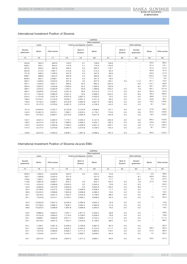#### International Investment Position of Slovenia

|                       |          |               |         |                                 | Liabilities      |       |                     |                       |       |               |
|-----------------------|----------|---------------|---------|---------------------------------|------------------|-------|---------------------|-----------------------|-------|---------------|
|                       |          |               |         |                                 | Other investment |       |                     |                       |       |               |
|                       | Loans    |               |         | Currency and deposits, of which |                  |       |                     | Other liabilities     |       |               |
| General<br>government | Banks    | Other sectors |         | Bank of<br>Slovenia             | Banks            |       | Bank of<br>Slovenia | General<br>government | Banks | Other sectors |
| 75                    | 76       | 77            | 78      | 79                              | 80               | 81    | 82                  | 83                    | 84    | 85            |
|                       |          |               |         |                                 |                  |       |                     |                       |       |               |
| 464.8                 | 264.3    | 803.5         | 140.0   | 0.1                             | 139.9            | 139.9 | $\cdots$            | $\cdots$              | 53.5  | 86.4          |
| 608.7                 | 303.1    | 944.4         | 170.9   | 0.1                             | 170.8            | 134.6 | $\cdots$            | $\cdots$              | 61.4  | 73.1          |
| 587.6                 | 493.3    | 887.6         | 293.4   | 0.2                             | 293.2            | 118.7 | $\cdots$            | $\cdots$              | 57.2  | 61.5          |
| 620.6                 | 513.3    | 1,087.7       | 312.6   | 0.2                             | 312.4            | 94.3  | $\cdots$            | $\cdots$              | 62.8  | 31.5          |
| 701.8                 | 458.3    | 1,330.0       | 347.9   | 0.3                             | 347.6            | 83.6  | $\cdots$            | $\cdots$              | 62.5  | 21.0          |
| 699.7                 | 688.9    | 1,824.2       | 363.9   | 0.3                             | 363.6            | 136.1 | $\cdots$            | $\cdots$              | 122.5 | 13.6          |
| 809.3                 | 922.7    | 2,298.1       | 401.3   | 0.0                             | 401.3            | 78.2  | $\cdots$            | $\cdots$              | 71.7  | 6.5           |
| 582.7                 | 1,329.0  | 3,250.5       | 557.9   | 0.0                             | 557.9            | 163.1 | 0.0                 | 11.3                  | 81.7  | 70.2          |
| 467.7                 | 1,633.0  | 3,831.7       | 695.5   | 33.2                            | 662.3            | 205.5 | $\ldots$            | 9.8                   | 110.1 | 85.6          |
| 382.4                 | 2,284.3  | 4,346.8       | 1,093.9 | 30.3                            | 1,063.6          | 162.8 | $\ldots$            | 8.4                   | 64.1  | 90.4          |
| 380.7                 | 3,255.5  | 5.063.8       | 1,322.7 | 35.8                            | 1,286.8          | 200.4 | 0.0                 | 7.9                   | 90.7  | 101.9         |
| 363.1                 | 5,929.6  | 5,319.5       | 2,351.9 | 39.3                            | 2,312.6          | 171.5 | 0.0                 | 9.4                   | 64.5  | 97.6          |
| 241.3                 | 7,354.6  | 5,980.9       | 3,331.2 | 44.6                            | 3,286.5          | 223.4 | 0.0                 | 8.9                   | 46.2  | 168.2         |
| 203.4                 | 11,374.9 | 4,057.9       | 8,037.6 | 3,587.5                         | 4,450.0          | 70.2  | 0.0                 | 0.0                   | 38.8  | 31.5          |
| 180.0                 | 12.704.7 | 5.102.5       | 8.332.7 | 3,631.4                         | 4,701.3          | 84.5  | 0.0                 | 4.2                   | 43.6  | 36.7          |
| 149.3                 | 9,740.2  | 5,693.7       | 8,216.6 | 3,594.8                         | 4,621.8          | 155.9 | 0.2                 | 2.9                   | 19.2  | 133.6         |
| 147.0                 | 9,127.0  | 5.379.6       | 6,481.3 | 2,374.9                         | 4,106.4          | 144.2 | 0.0                 | 2.0                   | 8.1   | 134.1         |
| 151.3                 | 10.605.6 | 5.787.7       | 8,153.8 | 3,744.9                         | 4,408.9          | 147.7 | 0.0                 | 3.9                   | 47.8  | 96.0          |
| 142.5                 | 10,481.3 | 5,973.1       | 7,382.1 | 3,205.4                         | 4.176.7          | 173.6 | 0.0                 | 3.9                   | 20.0  | 149.6         |
| 149.3                 | 9,740.2  | 5,693.7       | 8,216.6 | 3,594.8                         | 4,621.8          | 155.9 | 0.2                 | 2.9                   | 19.2  | 133.6         |
| 140.7                 | 9,531.4  | 5,360.5       | 7,175.1 | 3,034.2                         | 4,141.0          | 222.9 | 0.0                 | 2.9                   | 86.3  | 133.6         |
| 138.2                 | 9,474.3  | 5,291.8       | 7,589.0 | 3,365.0                         | 4,224.1          | 182.3 | 0.0                 | 2.9                   | 42.9  | 136.5         |
| 133.2                 | 9,423.4  | 5,383.9       | 7,348.3 | 3,026.9                         | 4,321.3          | 203.7 | 0.0                 | 2.9                   | 41.4  | 159.4         |
| 147.0                 | 9,127.0  | 5,379.6       | 6,481.3 | 2,374.9                         | 4,106.4          | 144.2 | 0.0                 | 2.0                   | 8.1   | 134.1         |
| 146.8                 | 8,574.5  | 5,463.2       | 5,658.1 | 1,561.6                         | 4,096.5          | 187.3 | 0.0                 | 2.0                   | 60.2  | 125.2         |

|                       |          |               |         |                                 | Liabilities      |       |                     |                       |          |               |
|-----------------------|----------|---------------|---------|---------------------------------|------------------|-------|---------------------|-----------------------|----------|---------------|
|                       |          |               |         |                                 | Other investment |       |                     |                       |          |               |
|                       | Loans    |               |         | Currency and deposits, of which |                  |       |                     | Other liabilities     |          |               |
| General<br>government | Banks    | Other sectors |         | Bank of<br>Slovenia             | Banks            |       | Bank of<br>Slovenia | General<br>government | Banks    | Other sectors |
| 75                    | 76       | 77            | 78      | 79                              | 80               | 81    | 82                  | 83                    | 84       | 85            |
|                       |          |               |         |                                 |                  |       |                     |                       |          |               |
| 209.3                 | 1,065.3  | 2,523.8       | 225.2   | 0.0                             | 225.2            | 74.6  | $\cdots$            | 11.1                  | 4.9      | 58.5          |
| 165.7                 | 1,366.8  | 3,035.4       | 321.6   | $\cdots$                        | 321.6            | 109.2 | $\cdots$            | 9.7                   | 36.6     | 63.0          |
| 129.6                 | 1,953.7  | 3,395.5       | 489.0   | $\cdots$                        | 489.0            | 77.7  | $\cdots$            | 8.3                   | 2.0      | 67.5          |
| 119.8                 | 2,667.8  | 3,850.7       | 642.7   | 0.0                             | 642.7            | 104.4 | 0.0                 | 7.8                   | 21.0     | 75.6          |
| 113.0                 | 4,554.0  | 4,089.8       | 2,040.5 | 0.0                             | 2,040.5          | 73.8  | 0.0                 | 9.3                   | $\cdots$ | 64.5          |
| 40.5                  | 6.083.6  | 4,670.6       | 2,952.9 | 0.0                             | 2,952.9          | 126.2 | 0.0                 | 8.8                   |          | 117.4         |
| 35.4                  | 8,706.6  | 2,437.5       | 7,529.0 | 3,490.6                         | 4,038.4          | 11.7  | 0.0                 | 0.0                   | $\cdots$ | 11.7          |
| 28.6                  | 10,525.3 | 3,089.8       | 7,854.9 | 3,569.8                         | 4,285.0          | 19.2  | 0.0                 | 0.0                   | $\cdots$ | 19.2          |
| 20.1                  | 8.018.4  | 3.627.0       | 7,452.7 | 3,344.6                         | 4,108.0          | 88.5  | 0.2                 | 0.0                   | $\cdots$ | 88.3          |
| 20.1                  | 7.234.8  | 3.313.1       | 5.740.7 | 2.092.7                         | 3.648.0          | 64.3  | 0.0                 | 0.0                   | 1.0      | 63.4          |
| 32.3                  | 10,603.6 | 2,847.0       | 8,235.0 | 3,580.6                         | 4,654.4          | 15.9  | 0.0                 | 0.0                   | $\cdots$ | 15.9          |
| 28.5                  | 10.758.0 | 2.980.3       | 7,948.1 | 3,584.3                         | 4,363.8          | 21.8  | 0.0                 | 0.0                   |          | 21.8          |
| 28.6                  | 10,525.3 | 3.089.8       | 7.854.9 | 3.569.8                         | 4,285.0          | 19.2  | 0.0                 | 0.0                   |          | 19.2          |
| 23.5                  | 9,986.5  | 3,650.4       | 7,007.1 | 2,971.5                         | 4,035.5          | 28.8  | 0.0                 | 0.0                   |          | 28.8          |
| 23.5                  | 8,702.9  | 3,693.3       | 7,716.5 | 3,708.0                         | 4,008.5          | 79.9  | 0.0                 | 0.0                   |          | 79.9          |
| 20.1                  | 8.588.7  | 3.856.6       | 6.671.1 | 2.938.7                         | 3.732.4          | 111.4 | 0.0                 | 0.0                   |          | 111.4         |
| 20.1                  | 8,018.4  | 3,627.0       | 7,452.7 | 3,344.6                         | 4,108.0          | 88.5  | 0.2                 | 0.0                   |          | 88.3          |
| 20.1                  | 7,789.7  | 3,361.6       | 6,426.3 | 2,758.8                         | 3.667.6          | 82.3  | 0.0                 | 0.0                   | $\cdots$ | 82.3          |
| 20.1                  | 7.625.8  | 3.314.9       | 6.818.7 | 3.094.4                         | 3.724.2          | 111.7 | 0.0                 | 0.0                   | 28.3     | 83.4          |
| 20.1                  | 7,570.6  | 3,368.9       | 6,580.7 | 2,717.2                         | 3,863.5          | 116.0 | 0.0                 | 0.0                   | 27.0     | 89.0          |
| 20.1                  | 7,234.8  | 3,313.1       | 5,740.7 | 2,092.7                         | 3,648.0          | 64.3  | 0.0                 | 0.0                   | 1.0      | 63.4          |
| 20.1                  | 6,673.4  | 3,255.8       | 4,937.5 | 1,277.4                         | 3,660.1          | 94.6  | 0.0                 | 0.0                   | 33.2     | 61.4          |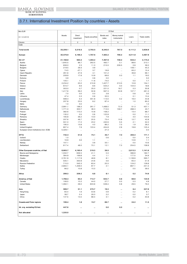**EUROSYSTEM**

# 3.7.1. International Investment Position by countries - Assets

| Mio EUR                                 |          |                      |                   |                    | Of that:                    |                |                |
|-----------------------------------------|----------|----------------------|-------------------|--------------------|-----------------------------|----------------|----------------|
| 31.12.2010                              | Assets   | Direct<br>investment | Equity securities | Bonds and<br>notes | Money market<br>instruments | Loans          | Trade credits  |
| Column                                  | 1        | $\overline{c}$       | 3                 | 4                  | 5                           | $\overline{6}$ | $\overline{7}$ |
| Code                                    |          |                      |                   |                    |                             |                |                |
| <b>Total world</b>                      | 35,209.1 | 5,518.5              | 2,793.5           | 8,340.0            | 767.0                       | 4,111.2        | 3,936.9        |
| Europe                                  | 30,576.9 | 5,196.2              | 1,787.6           | 7,583.2            | 766.2                       | 4,011.8        | 3,487.9        |
| EU-27                                   | 21,168.8 | 984.2                | 1,393.2           | 7,497.9            | 759.2                       | 933.2          | 2,175.2        |
| Austria                                 | 1,640.5  | 86.7                 | 262.5             | 492.7              | 5.1                         | 88.6           | 213.1          |
| Belgium                                 | 656.0    | 2.3                  | 11.3              | 215.5              | 209.5                       | 0.9            | 36.0           |
| Bulgaria                                | 219.5    | 26.5                 | 3.9               |                    |                             | 106.1          | 45.2           |
| Cyprus                                  | 74.5     | $-27.1$              | 3.7               | 16.8               | $\ddotsc$                   | 65.2           | 15.4           |
| Czech Republic                          | 261.6    | 47.6                 | 4.1               | 101.2              |                             | 36.8           | 66.1           |
| Denmark                                 | 209.9    | 17.6                 | 10.9              | 66.6               | 0.0                         | 1.1            | 19.0           |
| Estionia                                | 5.9      |                      | 0.8               | 0.0                | $\ddotsc$                   | $\cdots$       | 5.0            |
| Finland                                 | 105.1    | 1.1                  | 11.6              | 74.0               | $\cdots$                    | 0.0            | 7.7            |
| France                                  | 2,234.2  | 20.2                 | 215.9             | 1,407.7            | 213.5                       | 10.9           | 154.1          |
| Greece                                  | 672.7    | 6.6                  | 8.6               | 534.2              | 0.0                         | 104.0          | 18.6           |
| Ireland                                 | 303.0    | 0.7                  | 25.0              | 221.5              | 18.7                        | 0.3            | 30.8           |
| Italy                                   | 1,417.6  | 39.2                 | 50.8              | 567.3              | 53.9                        | 107.7          | 461.2          |
| Latvia                                  | 7.0      | 0.0                  | 0.0               | 2.8                |                             | 0.8            | 3.0            |
| Lithuania                               | 47.4     | 0.3                  | 0.6               | 32.5               | $\cdots$                    | 0.1            | 13.4           |
| Luxembourg                              | 569.3    | 5.4                  | 301.8             | 113.0              | 0.2                         | 16.0           | 44.8           |
| Hungary                                 | 207.8    | 23.5                 | 8.2               | 87.4               | $\ddotsc$                   | 1.0            | 85.2           |
| Malta                                   | 1.0      | 0.0                  |                   |                    | $\cdots$                    |                | 1.0            |
| Germany                                 | 2,991.1  | 198.3                | 261.7             | 1,488.0            | 72.3                        | 51.3           | 457.1          |
| Netherlands                             | 1,771.0  | 300.7                | 36.3              | 713.5              | 159.7                       | 288.3          | 45.7           |
| Poland                                  | 382.6    | 110.2                | 10.8              | 158.2              | $\ddotsc$                   | 13.4           | 88.7           |
| Portugal                                | 135.2    | 0.5                  | 0.6               | 122.8              | $\cdots$                    | 0.0            | 11.1           |
| Romania                                 | 165.8    | 36.2                 | 13.0              | 7.9                | $\cdots$                    | 4.0            | 104.6          |
| Slovakia                                | 207.6    | 46.7                 | 20.5              | 73.4               | 10.9                        | 12.7           | 42.8           |
| Spain                                   | 551.0    | 17.2                 | 23.2              | 432.6              | 5.5                         | 2.1            | 52.2           |
| Sweden                                  | 195.0    | 15.8                 | 4.0               | 86.2               | 7.0                         | 1.9            | 28.2           |
| United Kingdom                          | 807.4    | 7.9                  | 103.4             | 454.8              | 2.9                         | 19.8           | 125.4          |
| European Union Institutions (incl. ECB) | 5,329.1  |                      |                   | 27.3               | $\cdots$                    |                | 0.0            |
| <b>EFTA</b>                             | 742.4    | 51.6                 | 75.1              | 45.7               | 7.0                         | 265.4          | 171.1          |
| Iceland                                 | 1.0      | $\ddotsc$            | $\ddotsc$         | 0.6                | $\ddotsc$                   | 0.0            | 0.4            |
| Liechtenstein                           | 16.9     | 3.6                  | 1.1               | $\cdots$           | $\cdots$                    | 10.9           | 1.1            |
| Norway                                  | 107.1    |                      | 3.9               | 33.1               | $\cdots$                    | 0.0            | 10.6           |
| Switzerland                             | 617.4    | 48.0                 | 70.1              | 12.1               | 7.0                         | 254.5          | 158.9          |
| Other European countries, of that       | 8,665.7  | 4,160.4              | 319.3             | 39.5               | $\ddotsc$                   | 2,813.3        | 1,141.6        |
| Bosnia and Herzegovina                  | 1,332.7  | 656.5                | 41.1              | 0.3                | $\cdots$                    | 386.9          | 182.7          |
| Montenegro                              | 394.9    | 169.8                | 4.4               | 1.1                | $\cdots$                    | 177.5          | 34.9           |
| Croatia                                 | 2,761.9  | 1,117.9              | 48.9              | 8.1                | $\cdots$                    | 1,139.9        | 395.7          |
| Macedonia                               | 535.1    | 350.9                | 24.6              | 5.6                |                             | 65.4           | 51.9           |
| Russian Federation                      | 715.3    | 345.3                | 83.4              | 20.3               | $\cdots$                    | 124.2          | 128.8          |
| Serbia                                  | 2,684.1  | 1,459.0              | 97.7              | 2.1                |                             | 867.1          | 241.5          |
| Turkey                                  | 66.2     | 10.8                 | 15.3              | $\cdots$           | $\cdots$                    | 0.5            | 39.5           |
| Africa                                  | 299.3    | 209.2                | 6.8               | 8.1                | $\ddotsc$                   | 0.2            | 74.9           |
| America, of that                        | 1,766.3  | 60.2                 | 712.7             | 642.7              | 0.8                         | 68.6           | 134.9          |
| Canada                                  | 106.0    | 10.2                 | 44.0              | 27.7               | 0.0                         | 0.3            | 4.9            |
| <b>United States</b>                    | 1,392.1  | 29.0                 | 603.9             | 539.4              | 0.8                         | 29.5           | 79.2           |
| Asia                                    | 599.7    | 51.1                 | 270.7             | 19.3               |                             | 6.4            | 227.8          |
| Hong Kong                               | 65.4     | 1.6                  | 53.6              | 0.9                | $\ddot{\phantom{a}}$        | 0.2            | 6.1            |
| Japan                                   | 38.7     | 2.4                  | 26.3              | 2.2                |                             | 0.0            | 3.7            |
| China                                   | 147.5    | 14.5                 | 88.4              | 3.1                | $\cdots$                    | 0.2            | 40.8           |
| Oceania and Polar regions               | 199.4    | 1.8                  | 15.7              | 86.7               | $\ddotsc$                   | 24.2           | 11.5           |
| Int. org. excluding EU Inst.            | 447.6    |                      |                   | 0.0                | 0.0                         | $\ddotsc$      |                |
| Not allocated                           | 1,320.0  |                      |                   |                    | $\cdots$                    |                | $\cdots$       |
|                                         |          |                      |                   |                    |                             |                |                |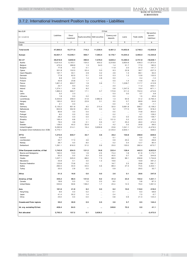# 3.7.2. International Investment Position by countries - Liabilities

| Mio EUR                                 |              |                      |                                   |                | Of that:                 |                |                      |                                           |
|-----------------------------------------|--------------|----------------------|-----------------------------------|----------------|--------------------------|----------------|----------------------|-------------------------------------------|
| 31.12.2010                              | Liabilities  | Direct<br>investment | Equity securities Debt securities |                | Currency and<br>deposits | Loans          | <b>Trade credits</b> | Net position<br>(assest -<br>liabilities) |
| Column                                  | $\mathbf{1}$ | $\overline{c}$       | 3                                 | $\overline{4}$ | 5                        | $\overline{6}$ | $\overline{7}$       | 8                                         |
| Code                                    |              |                      |                                   |                |                          |                |                      |                                           |
| <b>Total world</b>                      | 47,865.0     | 10,771.5             | 714.2                             | 11,039.4       | 6,481.3                  | 14,653.6       | 3,748.3              | $-12,655.9$                               |
| Europe                                  | 42,931.7     | 10,346.1             | 565.7                             | 7,393.4        | 6,178.7                  | 14,544.2       | 3,493.0              | $-12,354.8$                               |
| EU-27                                   | 39,816.9     | 8,850.9              | 390.9                             | 7,376.0        | 5,820.2                  | 14,260.0       | 2,751.8              | $-18,648.1$                               |
| Austria                                 | 13,614.0     | 5,163.1              | 154.0                             | 450.2          | 3,318.8                  | 3,954.6        | 436.3                | $-11,973.4$                               |
| Belgium                                 | 475.5        | 289.9                | 1.3                               | 54.0           | 1.4                      | 51.7           | 77.0                 | 180.5                                     |
| Bulgaria                                | 77.8         | $-4.2$               | 0.1                               | $\cdots$       | 11.9                     | 2.0            | 31.0                 | 141.7                                     |
| Cyprus                                  | 301.8        | 152.0                | 53.4                              | 5.0            | 6.3                      | 22.9           | 36.7                 | $-227.3$                                  |
| Czech Republic                          | 167.7        | 50.1                 | 2.9                               | 0.2            | 2.6                      | 1.3            | 99.1                 | 94.0                                      |
| Denmark                                 | 77.9         | 62.5                 | 0.1                               | 0.0            | 0.3                      | 1.2            | 12.6                 | 132.0                                     |
| Estionia                                | 6.8          | 0.0                  | 1.4                               | 4.8            | 0.0                      | $\cdots$       | 0.4                  | $-1.0$                                    |
| Finland                                 | 42.6         | 23.8                 | 1.7                               | $\cdots$       | 0.5                      | 1.4            | 14.6                 | 62.4                                      |
| France                                  | 1,821.2      | 653.7                | 1.9                               | 0.6            | 7.1                      | 1,028.7        | 117.7                | 412.9                                     |
| Greece                                  | 22.7         | 9.3                  | 0.2                               | $\ddotsc$      | 2.0                      | $\ddotsc$      | 11.2                 | 650.1                                     |
| Ireland                                 | 1,274.1      | $-3.6$               | 9.2                               | $\cdots$       | 0.6                      | 1,247.5        | 19.4                 | $-971.1$                                  |
| Italy                                   | 1,892.2      | 665.7                | 17.1                              | 5.7            | 172.6                    | 311.2          | 702.0                | $-474.6$                                  |
| Latvia                                  | 3.2          | 2.3                  | $\cdots$                          | $\cdots$       | 0.0                      | 0.0            | 0.7                  | 3.9                                       |
| Lithuania                               | 1.9          | 0.0                  | 0.2                               | $\ddotsc$      | 0.0                      | $\ddotsc$      | 1.5                  | 45.6                                      |
| Luxembourg                              | 3,334.6      | 208.0                | 41.6                              | 2.982.6        | 1.3                      | 64.6           | 31.2                 | $-2.765.4$                                |
| Hungary                                 | 183.2        | 55.2                 | 22.9                              | 0.1            | 3.5                      | 0.7            | 89.9                 | 24.6                                      |
| Malta                                   | 2.1          | 0.0                  |                                   | $\ddotsc$      | 0.0                      | 1.2            | 0.8                  | $-1.1$                                    |
| Germany                                 | 5,130.2      | 601.6                | 8.5                               | 215.4          | 32.0                     | 3,681.8        | 586.7                | $-2,139.2$                                |
| Netherlands                             | 852.9        | 552.9                | 20.4                              | 0.0            | 3.2                      | 177.0          | 98.2                 | 918.2                                     |
| Poland                                  | 80.6         | 3.3                  | 0.5                               | $\ddotsc$      | 0.5                      | $\ddotsc$      | 74.8                 | 302.0                                     |
| Portugal                                | 6.0          | 0.0                  | 0.0                               | $\cdots$       | 0.2                      | $\cdots$       | 5.7                  | 129.2                                     |
| Romania                                 | 26.2         | 0.3                  | 0.0                               | $\ddotsc$      | 0.3                      | 0.0            | 24.5                 | 139.7                                     |
| Slovakia                                | 165.4        | 6.8                  | 1.1                               | 0.1            | 101.5                    | 0.2            | 52.0                 | 42.2                                      |
| Spain                                   | 76.5         | 3.9                  | 0.1                               | 0.5            | 0.7                      | 25.2           | 46.0                 | 474.5                                     |
| Sweden                                  | 126.0        | 40.2                 | 32.9                              | 0.1            | 4.2                      | 0.5            | 34.8                 | 69.0                                      |
| United Kingdom                          | 5,283.9      | 314.1                | 19.4                              | 3,656.8        | 23.6                     | 1,041.1        | 147.0                | $-4,476.5$                                |
| European Union Institutions (incl. ECB) | 4,770.1      | $\cdots$             | $\cdots$                          | $\cdots$       | 2,125.0                  | 2,645.1        | $\cdots$             | 559.0                                     |
| <b>EFTA</b>                             | 1,372.0      | 840.7                | 43.7                              | 0.6            | 26.2                     | 155.9          | 298.9                | $-629.6$                                  |
| Iceland                                 | 0.5          |                      | $\ddotsc$                         | $\ddotsc$      | 0.1                      | $\ddotsc$      | 0.5                  | 0.5                                       |
| Liechtenstein                           | 53.7         | 17.3                 | 4.6                               | $\cdots$       | 0.9                      | 25.5           | 5.3                  | $-36.8$                                   |
| Norway                                  | 26.7         | 5.0                  | 8.0                               |                | 0.2                      | 0.4            | 12.7                 | 80.4                                      |
| Switzerland                             | 1,291.1      | 818.3                | 31.0                              | 0.6            | 25.0                     | 130.0          | 280.4                | $-673.7$                                  |
| Other European countries, of that       | 1,742.8      | 654.5                | 131.2                             | 16.8           | 332.4                    | 128.4          | 442.3                | 6,922.8                                   |
| Bosnia and Herzegovina                  | 160.0        | 13.0                 | 1.9                               | 2.5            | 74.4                     | 1.8            | 61.6                 | 1,172.7                                   |
| Montenegro                              | 50.2         | 0.0                  | 3.3                               | 0.0            | 40.5                     | 0.7            | 3.6                  | 344.8                                     |
| Croatia                                 | 1,027.1      | 525.0                | 88.0                              | 7.3            | 89.3                     | 96.1           | 208.8                | 1,734.8                                   |
| Macedonia                               | 43.9         | 0.1                  | 3.0                               | 1.3            | 19.6                     | $\cdots$       | 18.9                 | 491.2                                     |
| Russian Federation                      | 123.6        | 73.8                 | 0.2                               | $\cdots$       | 16.7                     | 2.3            | 29.8                 | 591.7                                     |
| Serbia                                  | 282.0        | 34.0                 | 34.5                              | 5.6            | 89.4                     | 27.3           | 75.5                 | 2,402.1                                   |
| Turkey                                  | 33.5         | 2.9                  | 0.0                               | $\cdots$       | 0.9                      |                | 29.5                 | 32.7                                      |
| Africa                                  | 51.5         | 16.6                 | 0.0                               | 0.0            | 2.6                      | 0.1            | 28.6                 | 247.8                                     |
| America, of that                        | 445.2        | 88.5                 | 141.6                             | 9.2            | 41.3                     | 23.4           | 102.2                | 1,321.1                                   |
| Canada                                  | 18.8         | 0.0                  | 1.5                               | 2.0            | 9.0                      | $\cdots$       | 5.8                  | 87.3                                      |
| <b>United States</b>                    | 330.6        | 59.6                 | 138.2                             | 1.7            | 20.4                     | 12.3           | 76.0                 | 1,061.5                                   |
| Asia                                    | 181.6        | 41.8                 | 6.2                               | 0.0            | 6.2                      | 10.0           | 116.0                | 418.0                                     |
| Hong Kong                               | 6.6          | 0.0                  | 0.2                               | $\ldots$       | 0.1                      | $\cdots$       | 6.3                  | 58.8                                      |
| Japan                                   | 41.4         | 30.2                 | 1.4                               | $\ldots$       | 2.4                      | $\cdots$       | 7.3                  | $-2.7$                                    |
| China                                   | 23.0         | 0.0                  | 0.0                               | $\cdots$       | 0.8                      | 0.9            | 21.3                 | 124.4                                     |
| Oceania and Polar regions               | 55.0         | 36.9                 | 0.5                               | 0.5            | 2.6                      | 5.7            | 8.5                  | 144.4                                     |
| Int. org. excluding EU Inst.            | 406.4        | 84.5                 | $\sim$                            | $\sim$         | 249.8                    | 70.2           | 0.0                  | 41.1                                      |
| Not allocated                           | 3,793.5      | 157.2                | 0.1                               | 3,636.2        | $\cdots$                 | $\sim$         | $\cdots$             | $-2,473.5$                                |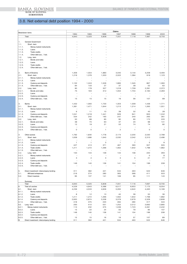**EUROSYSTEM**

# 3.8. Net external debt position 1994 - 2000

|        | Breakdown items                         |              |              |              | Claims         |                |       |             |
|--------|-----------------------------------------|--------------|--------------|--------------|----------------|----------------|-------|-------------|
|        |                                         | 1994         | 1995         | 1996         | 1997           | 1998           | 1999  | 2000        |
|        | Total                                   | 4,840        | 5,325        | 5,808        | 7,051          | 7,116          | 7,697 | 8,700       |
|        |                                         |              |              |              |                |                |       |             |
|        |                                         |              |              |              |                |                |       |             |
| 1.     | <b>General Government</b>               |              |              |              |                |                |       |             |
| 1.1.   | Short - term                            |              |              |              |                |                |       |             |
| 1.1.1. | Money market instruments                |              |              |              |                |                |       |             |
| 1.1.2. | Loans                                   |              |              |              |                |                |       |             |
| 1.1.3. | Trade credits                           |              |              |              |                |                |       |             |
| 1.1.4. | Other debt ass. / liab.                 |              |              |              |                |                |       |             |
|        |                                         |              |              |              |                |                |       |             |
| 1.2.   | Long - term                             |              |              |              |                |                |       |             |
| 1.2.1. | Bonds and notes                         |              |              |              |                |                |       |             |
| 1.2.2. | Loans                                   |              |              |              |                |                |       |             |
| 1.2.3. | Trade credits                           |              |              |              |                |                |       |             |
| 1.2.4. | Other debt ass. / liab.                 |              |              |              |                |                |       |             |
|        |                                         |              |              |              |                |                |       |             |
| 2.     | Bank of Slovenia                        | 1,306        | 1,554        | 1,880        | 3,040          | 3,144          | 3,209 | 3,494       |
| 2.1.   | Short - term                            | 1,216        | 1,376        | 1,553        | 2,022          | 1,384          | 919   | 1,123       |
|        |                                         |              |              |              |                |                |       |             |
| 2.1.1. | Money market instruments                |              |              |              |                |                |       |             |
| 2.1.2. | Loans                                   |              |              |              |                |                | ٠     |             |
| 2.1.3. | Currency and deposits                   | 1,132        | 1,243        | 1,526        | 1,985          | 1,345          | 867   | 1,060       |
| 2.1.4. | Other debt ass. / liab.                 | 84           | 133          | 27           | 37             | 39             | 52    | 62          |
| 2.2.   | Long - term                             | 90           | 178          | 327          | 1,018          | 1,759          | 2,291 | 2,372       |
| 2.2.1. | Bonds and notes                         | 75           | 163          | 312          | 1,002          | 1,704          | 2,183 | 2,283       |
| 2.2.2. | Loans                                   |              |              |              |                |                |       |             |
|        |                                         |              |              |              |                |                |       |             |
| 2.2.3. | Currency and deposits                   | ä,           |              |              | ×              | ÷              | ٠     |             |
| 2.2.4. | Other debt ass. / liab.                 | 15           | 15           | 15           | 16             | 56             | 107   | 89          |
|        |                                         |              |              |              |                |                |       |             |
| 3.     | Banks                                   | 1,432        | 1,560        | 1,730        | 1,303          | 1,309          | 1,436 | 1,771       |
| 3.1.   | Short - term                            | 1,381        | 1,471        | 1,644        | 1,213          | 1,214          | 1,265 | 1,551       |
| 3.1.1. | Money market instruments                |              |              |              |                |                |       |             |
| 3.1.2. | Loans                                   | 6            |              | 10           | 39             | 32             | 45    | 28          |
|        |                                         |              | 11           |              |                |                |       |             |
| 3.1.3. | Currency and deposits                   | 1,041        | 1,218        | 1,441        | 926            | 941            | 955   | 1,242       |
| 3.1.4. | Other debt ass. / liab.                 | 334          | 242          | 193          | 247            | 240            | 265   | 281         |
| 3.2.   | Long - term                             | 50           | 88           | 85           | 90             | 95             | 172   | 220         |
| 3.2.1. | Bonds and notes                         | 38           | 70           | 63           | 37             | 20             | 98    | 141         |
| 3.2.2. | Loans                                   | 12           | 19           | 21           | 52             | 74             | 74    | 80          |
| 3.2.3. | Currency and deposits                   |              |              |              | ٠              |                |       |             |
| 3.2.4. | Other debt ass. / liab.                 | $\circ$      | $\mathsf O$  | $\mathbf{1}$ | $\overline{c}$ | 1              | 0     | $\mathsf O$ |
|        |                                         |              |              |              |                |                |       |             |
|        |                                         |              |              |              |                |                |       |             |
| 4.     | Other sectors                           | 1,792        | 1,830        | 1,778        | 2,174          | 2,200          | 2,530 | 2,789       |
| 4.1.   | Short - term                            | 1,639        | 1,686        | 1,640        | 2,030          | 2,042          | 2,310 | 2,496       |
| 4.1.1. | Money market instruments                |              |              |              |                | J.             |       |             |
| 4.1.2. | Loans                                   | $\mathbf{1}$ | $\mathbf{1}$ | 3            | $\mathbf{1}$   | $\overline{7}$ | 5     | 8           |
| 4.1.3. | Currency and deposits                   | 427          | 413          | 371          | 467            | 393            | 507   | 505         |
| 4.1.4. | Trade credits                           | 1,211        | 1,272        | 1,266        | 1,562          | 1,642          | 1,798 | 1,982       |
| 4.1.5. | Other debt ass. / liab.                 |              |              |              |                | ×.             |       |             |
|        |                                         |              |              |              |                |                |       |             |
| 4.2.   | Long - term                             | 153          | 144          | 139          | 144            | 158            | 220   | 293         |
| 4.2.1. | Money market instruments                |              |              |              |                | ÷,             | 0     | 8           |
| 4.2.2. | Loans                                   | 3            | 4            | 3            | 3              | 5              | 21    | 77          |
| 4.2.3. | Currency and deposits                   |              |              |              |                | ä,             |       |             |
| 4.2.4. | Trade credits                           | 149          | 140          | 136          | 141            | 154            | 199   | 208         |
| 4.2.5. | Other debt ass. / liab.                 |              |              |              |                |                |       |             |
|        |                                         |              |              |              |                |                |       |             |
| 5.     |                                         | 311          | 382          | 421          | 534            | 463            | 522   | 646         |
|        | Direct investment: intercompany lending |              |              |              |                |                |       |             |
| 5.1.   | Affiliated enterprises                  | 216          | 274          | 280          | 365            | 368            | 411   | 503         |
| 5.2.   | Direct investors                        | 95           | 107          | 141          | 169            | 95             | 111   | 143         |
|        |                                         |              |              |              |                |                |       |             |
|        | Summary                                 |              |              |              |                |                |       |             |
|        | Total                                   | 4,840        | 5,325        | 5,808        | 7,051          | 7,116          | 7,697 | 8,700       |
| A.     | Total all sectors                       | 4,529        | 4,943        | 5,388        | 6,517          | 6,653          | 7,175 | 8,054       |
| A.1.   | Short - term                            | 4,236        | 4,533        | 4,836        | 5,265          | 4,640          | 4,493 | 5,169       |
| A.1.1. |                                         |              |              |              |                | ÷,             | ÷,    |             |
|        | Money market instruments                |              |              |              |                |                |       |             |
| A.1.2. | Loans                                   | 8            | 12           | 13           | 40             | 39             | 50    | 36          |
| A.1.3. | Trade credits                           | 1,211        | 1,272        | 1,266        | 1,562          | 1,642          | 1,798 | 1,982       |
| A.1.4. | Currency and deposits                   | 2,600        | 2,874        | 3,338        | 3,378          | 2,679          | 2,329 | 2,808       |
| A.1.5. | Other debt ass. / liab.                 | 418          | 375          | 220          | 284            | 280            | 317   | 343         |
| A.2.   | Long - term                             | 293          | 410          | 551          | 1,252          | 2,012          | 2,682 | 2,885       |
| A.2.1. | Money market instruments                | 113          | 232          | 375          | 1,039          | 1,723          | 2,281 | 2,432       |
|        |                                         |              |              |              |                |                |       |             |
| A.2.2. | Loans                                   | 15           | 22           | 24           | 55             | 79             | 95    | 157         |
| A.2.3. | Trade credits                           | 149          | 140          | 136          | 141            | 154            | 199   | 208         |
| A.2.4. | Currency and deposits                   |              |              |              |                | ٠              |       |             |
| A.2.5. | Other debt ass. / liab.                 | 15           | 15           | 16           | 18             | 57             | 107   | 89          |
| ΙB.    | Direct investment: intercompany lending | 311          | 382          | 421          | 534            | 463            | 522   | 646         |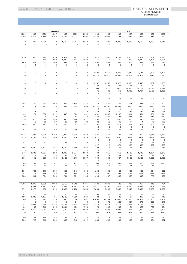#### BANKA SLOVENIJE BANK OF SLOVENIA **EUROSYSTEM**

|                                |                                |                                | Liabilities                    |                                 |                                 |                                |                          |                                   |                              | Net                          |                                   |                                   |                              |
|--------------------------------|--------------------------------|--------------------------------|--------------------------------|---------------------------------|---------------------------------|--------------------------------|--------------------------|-----------------------------------|------------------------------|------------------------------|-----------------------------------|-----------------------------------|------------------------------|
| 1994                           | 1995                           | 1996                           | 1997                           | 1998                            | 1999                            | 2000                           | 1994                     | 1995                              | 1996                         | 1997                         | 1998                              | 1999                              | 2000                         |
| 3,706                          | 4,275                          | 5,380                          | 6,166                          | 6,459                           | 8,012                           | 9,491                          | $-1, 134$                | $-1,049$                          | $-428$                       | $-885$                       | $-657$                            | 315                               | 791                          |
| 470                            | 606                            | 1,299                          | 1,470                          | 1,582                           | 1,967                           | 2,213                          | 470                      | 606                               | 1,299                        | 1,470                        | 1,582                             | 1,967                             | 2,213                        |
|                                | ÷                              |                                |                                |                                 |                                 | $\overline{\phantom{a}}$<br>٠  | $\overline{\phantom{a}}$ | ÷,<br>Ĭ.                          |                              |                              |                                   |                                   |                              |
|                                |                                |                                |                                |                                 |                                 |                                |                          |                                   |                              |                              |                                   |                                   |                              |
|                                |                                |                                |                                |                                 |                                 |                                |                          |                                   |                              |                              |                                   |                                   |                              |
| <b>.</b>                       |                                |                                |                                |                                 |                                 | ٠                              | ٠                        | ٠                                 |                              |                              |                                   |                                   |                              |
| 470                            | 606                            | 1,299                          | 1,470                          | 1,582                           | 1,967                           | 2,213                          | 470                      | 606                               | 1,299                        | 1,470                        | 1,582                             | 1,967                             | 2,213                        |
|                                | ٠                              | 762                            | 963                            | 1,040                           | 1,431                           | 1,688                          | $\mathsf{O}\xspace$      | $\mathsf{O}\xspace$               | 762                          | 963                          | 1,040                             | 1,431                             | 1,688                        |
| 465                            | 601                            | 533                            | 505                            | 542                             | 536                             | 525                            | 465                      | 601                               | 533                          | 505                          | 542                               | 536                               | 525                          |
| 6                              | 5                              | 4                              | $\overline{c}$                 | $\overline{1}$                  | $\mathsf O$                     | $\mathsf{O}\xspace$            | 6                        | 5                                 | 4                            | $\overline{\mathbf{c}}$      | $\overline{1}$                    | 0                                 | $\mathsf O$                  |
|                                | $\overline{\phantom{a}}$       | ÷,                             | ÷,                             |                                 |                                 | ÷,                             | $\overline{\phantom{a}}$ | ÷,                                |                              | $\overline{a}$               |                                   |                                   |                              |
| 6                              | 3                              | 1                              | 0                              | 0                               | 0                               | 0                              | $-1,300$                 | $-1,550$                          | $-1,878$                     | $-3,040$                     | $-3,144$                          | $-3,209$                          | $-3,494$                     |
| 0                              | $\mathsf O$                    | $\mathsf O$                    | 0                              | $\mathsf O$                     | 0                               | $\mathsf O$                    | $-1,216$                 | $-1,376$                          | $-1,552$                     | $-2,022$                     | $-1,384$                          | $-918$                            | $-1,123$                     |
|                                |                                | Ĭ.                             | ÷,                             |                                 |                                 | ÷,                             |                          | $\overline{\phantom{a}}$          | $\overline{\phantom{a}}$     | $\overline{\phantom{a}}$     |                                   | $\overline{\phantom{a}}$          |                              |
|                                | ٠                              | ٠                              |                                |                                 | ٠                               | ÷,                             | $\overline{\phantom{a}}$ | ÷.                                | $\sim$                       | $\sim$                       | $\overline{\phantom{a}}$          | $\sim$                            | $\sim$                       |
| 0                              | 0                              | 0                              | 0                              | 0                               | 0                               | 0                              | $-1,132$                 | $-1,243$                          | $-1,526$                     | $-1,985$                     | $-1,345$                          | $-867$                            | $-1,060$                     |
|                                | ٠                              | ä,                             |                                |                                 |                                 | ٠                              | $-84$                    | $-133$                            | $-27$                        | $-37$                        | $-39$                             | $-52$                             | $-62$                        |
| 6                              | 3                              | 1                              |                                |                                 |                                 |                                | $-84$                    | $-175$                            | $-326$                       | $-1,018$                     | $-1,759$                          | $-2,291$                          | $-2,372$                     |
|                                | ٠                              | ä,                             |                                |                                 |                                 | ÷                              | $-75$                    | $-163$                            | $-312$                       | $-1,002$                     | $-1,704$                          | $-2,183$                          | $-2,283$                     |
| 6                              | 3                              | 1                              |                                |                                 |                                 |                                | 6                        | 3                                 | $\mathbf{1}$                 |                              |                                   |                                   |                              |
| $\overline{\phantom{a}}$       | $\overline{\phantom{a}}$       | ÷,                             |                                |                                 |                                 | ٠                              | $\sim$                   | $\sim$                            | $\sim$                       | $\overline{\phantom{a}}$     | $\sim$                            | $\overline{\phantom{a}}$          | $\overline{\phantom{a}}$     |
|                                |                                |                                |                                |                                 |                                 |                                | $-15$                    | $-15$                             | $-15$                        | $-16$                        | $-56$                             | $-107$                            | $-89$                        |
| 458                            | 549                            | 864                            | 908                            | 888                             | 1,195                           | 1,416                          | 458                      | 549                               | $-568$                       | $-651$                       | $-841$                            | $-108$                            | 107                          |
| 141                            | 174                            | 293                            | 313                            | 348                             | 425                             | 404                            | $-1,240$                 | $-1,297$                          | $-1,351$                     | $-900$                       | $-865$                            | $-840$                            | $-1, 147$                    |
| $\overline{\phantom{a}}$       | $\overline{\phantom{a}}$       | $\overline{\phantom{a}}$       | $\overline{\phantom{a}}$       | $\overline{\phantom{a}}$        | $\overline{\phantom{a}}$        | $\overline{\phantom{a}}$       | 0                        | 0                                 | 0                            | 0                            | $\circ$                           | $\circ$                           | $\circ$                      |
| $\overline{1}$                 | 3                              |                                | $\mathsf O$                    | $\circ$                         | $\overline{7}$                  | $\overline{c}$                 | $-5$                     | $-8$                              | $-10$                        | $-39$                        | $-32$                             | $-38$                             | $-26$                        |
| 140                            | 171                            | 293                            | 312                            | 348                             | 364                             | 401                            | -901                     | $-1,048$                          | $-1, 148$                    | $-614$                       | $-594$                            | $-591$                            | $-841$                       |
| 0                              | $\mathsf{O}\xspace$            | $\circ$                        | 0                              | $\mathsf{O}\xspace$             | 54                              | $\mathsf{O}\xspace$            | $-334$                   | $-242$                            | $-193$                       | $-247$                       | $-240$                            | $-211$                            | $-281$                       |
| 316                            | 375                            | 570                            | 596                            | 540                             | 770                             | 1,012                          | 266                      | 287                               | 485                          | 506                          | 445                               | 599                               | 792                          |
| . .                            | 13                             | 20                             | 20                             | 20                              | 20                              | 20                             | $-38$                    | $-56$                             | $-43$                        | $-17$                        | $\overline{1}$                    | $-78$                             | $-120$                       |
| 263                            | 300                            | 493                            | 513                            | 458                             | 682                             | 921                            | 251                      | 282                               | 472                          | 462                          | 384                               | 608                               | 841                          |
| $\sim$                         | $\overline{\phantom{a}}$       | $\sim$                         | $\overline{\phantom{a}}$       | $\overline{\phantom{a}}$        | $\overline{\phantom{a}}$        | $\sim$                         | $\mathsf O$              | $\circ$                           | $\mathsf O$                  | $\circ$                      | $\circ$                           | $\circ$                           | $\circ$                      |
| 53                             | 61                             | 57                             | 62                             | 62                              | 69                              | 71                             | 53                       | 61                                | 56                           | 61                           | 61                                | 69                                | 71                           |
| 2,178                          | 2,395                          | 2,306                          | 2,789                          | 3,093                           | 3,805                           | 4,549                          | 386                      | 565                               | 528                          | 614                          | 893                               | 1,275                             | 1,760                        |
| 1,229                          | 1,296                          | 1,209                          | 1,506                          | 1,490                           | 1,730                           | 1,879                          | $-410$                   | $-390$                            | $-430$                       | $-524$                       | $-552$                            | $-579$                            | $-616$                       |
|                                | ÷,                             | ÷,                             | $\overline{\phantom{a}}$       | $\overline{\phantom{a}}$        | $\overline{\phantom{a}}$        | $\overline{\phantom{a}}$       | $\mathsf O$              | $\circ$                           | $\mathsf{O}\xspace$          | $\mathsf{O}\xspace$          | $\mathsf 0$                       | $\circ$                           | $\circ$                      |
| 41                             | 6                              | 12                             | 71                             | 57                              | 72                              | 45                             | 40                       | 5                                 | 9                            | 69                           | 51                                | 67                                | 37                           |
|                                |                                | ÷,                             |                                |                                 | ÷,                              | $\overline{\phantom{a}}$       | $-427$                   | $-413$                            | $-371$                       | $-467$                       | $-393$                            | $-507$                            | $-505$                       |
| 1,189                          | 1,290                          | 1,197                          | 1,435                          | 1,432                           | 1,659                           | 1,834                          | $-23$                    | 18                                | $-68$                        | $-127$                       | $-210$                            | $-139$                            | $-148$                       |
|                                | ÷,                             | ÷,                             | $\overline{a}$                 | ÷,                              |                                 | $\overline{\phantom{a}}$       | $\mathsf{O}\xspace$      | $\mathsf{O}\xspace$               | $\mathsf{O}\xspace$          | 0                            | 0                                 | 0                                 | $\circ$                      |
| 948                            | 1,099                          | 1,097                          | 1,283                          | 1,603                           | 2,074                           | 2,670                          | 796                      | 955                               | 958                          | 1,139                        | 1,445                             | 1,854                             | 2,377                        |
| 35                             | 19                             | 28                             | 32                             | 34                              | 43                              | 39                             | 35                       | 19                                | 28                           | 32                           | 34                                | 43                                | 31                           |
| 763                            | 945                            | 930                            | 1,133                          | 1,433                           | 1,916                           | 2,537                          | 760                      | 942                               | 927                          | 1,129                        | 1,428                             | 1,895                             | 2,460<br>$\mathsf{O}\xspace$ |
| $\overline{\phantom{a}}$<br>64 | $\overline{\phantom{a}}$<br>61 | $\overline{\phantom{a}}$<br>77 | $\overline{\phantom{a}}$<br>87 | $\overline{\phantom{a}}$<br>115 | ٠<br>101                        | $\overline{\phantom{a}}$<br>87 | $\mathsf O$<br>-86       | $\circ$<br>$-79$                  | $\mathsf{O}\xspace$<br>$-59$ | $\mathsf{O}\xspace$<br>$-54$ | $\circ$<br>$-38$                  | $\mathsf 0$<br>$-97$              | $-121$                       |
| 86                             | 73                             | 62                             | 31                             | 21                              | 14                              | $\overline{7}$                 | 86                       | 73                                | 62                           | 31                           | 21                                | 14                                | $\overline{7}$               |
|                                |                                |                                |                                |                                 |                                 |                                |                          |                                   |                              |                              |                                   |                                   |                              |
| 595                            | 722                            | 910                            | 999                            | 895                             | 1,045                           | 1,312                          | 283                      | 340                               | 489                          | 465                          | 432                               | 524                               | 667                          |
| 207                            | 178                            | 186                            | 243                            | 151                             | 164                             | 176                            | $-10$                    | $-97$                             | $-94$                        | $-122$                       | $-217$                            | $-247$                            | $-326$                       |
| 388                            | 544                            | 724                            | 756                            | 744                             | 881                             | 1,136                          | 293                      | 437                               | 583                          | 587                          | 649                               | 770                               | 993                          |
|                                |                                |                                |                                |                                 |                                 |                                |                          |                                   |                              |                              |                                   |                                   |                              |
| 3,706                          | 4,275                          | 5,380                          | 6,166                          | 6,459                           | 8,012                           | 9,491                          | $-1, 134$                | $-1,049$                          | $-428$                       | $-885$                       | $-657$                            | 315                               | 791                          |
| 3,112                          | 3,553                          | 4,471                          | 5,167                          | 5,564                           | 6,967                           | 8,178                          | $-1, 417$                | $-1,390$                          | $-917$                       | $-1,350$                     | $-1,089$                          | $-208$                            | 124                          |
| 1,371                          | 1,470                          | 1,503                          | 1,819                          | 1,839                           | 2,155                           | 2,283                          | $-2,866$                 | $-3,063$                          | $-3,333$                     | $-3,446$                     | $-2,802$                          | $-2,338$                          | $-2,886$                     |
| $\overline{\phantom{a}}$       | $\overline{\phantom{a}}$       | $\overline{\phantom{a}}$       | $\overline{\phantom{a}}$       | $\overline{\phantom{a}}$        | $\overline{\phantom{a}}$        | $\overline{\phantom{a}}$       | $\overline{\phantom{a}}$ | $\overline{\phantom{a}}$          | $\overline{\phantom{a}}$     | $\overline{\phantom{a}}$     | $\overline{\phantom{a}}$          | $\overline{\phantom{a}}$          | $\sim$                       |
| 42                             | 9                              | 12                             | 71                             | 58                              | 79                              | 47                             | 34                       | $-3$                              | $-1$                         | 30                           | 19                                | 29                                | 11                           |
| 1,189                          | 1,290                          | 1,197                          | 1,435                          | 1,432                           | 1,659                           | 1,834                          | $-23$                    | 18                                | $-68$                        | $-127$                       | $-210$                            | $-139$                            | $-148$                       |
| 140                            | 171                            | 293                            | 313                            | 348                             | 364                             | 401                            | $-2,460$                 | $-2,704$                          | $-3,045$                     | $-3,066$                     | $-2,331$                          | $-1,965$                          | $-2,407$                     |
| $\mathsf O$                    | $\mathsf{O}\xspace$            | $\circ$                        | $\mathsf O$                    | $\mathsf{O}\xspace$             | 54                              | $\mathsf{O}\xspace$            | $-418$                   | $-375$                            | $-220$                       | $-284$                       | $-279$                            | $-263$                            | $-343$                       |
| 1,741                          | 2,083                          | 2,968                          | 3,348                          | 3,725                           | 4,812                           | 5,895                          | 1,448                    | 1,673                             | 2,416                        | 2,096                        | 1,713                             | 2,129                             | 3,010                        |
| 35                             | 32                             | 810                            | 1,015                          | 1,094                           | 1,494                           | 1,748                          | $-78$                    | $-200$                            | 435                          | $-24$                        | $-629$                            | $-787$                            | $-684$                       |
| 1,497                          | 1,850                          | 1,957                          | 2,151                          | 2,432                           | 3,134                           | 3,983                          | 1,481                    | 1,828                             | 1,933                        | 2,096                        | 2,353                             | 3,039                             | 3,826                        |
| 70<br>$\overline{\phantom{a}}$ | 66<br>$\overline{\phantom{a}}$ | 82<br>$\overline{\phantom{a}}$ | 88<br>$\overline{\phantom{a}}$ | 116<br>$\overline{\phantom{a}}$ | 102<br>$\overline{\phantom{a}}$ | 87<br>$\overline{\phantom{a}}$ | $-80$<br>÷,              | $-74$<br>$\overline{\phantom{a}}$ | $-54$<br>$\overline{a}$      | $-52$<br>$\sim$              | $-38$<br>$\overline{\phantom{a}}$ | $-97$<br>$\overline{\phantom{a}}$ | $-121$                       |
| 140                            | 134                            | 118                            | 94                             | 83                              | 82                              | 78                             | 124                      | 119                               | 102                          | 76                           | 26                                | $-25$                             | $-11$                        |
| 595                            | 722                            | 910                            | 999                            | 895                             | 1,045                           | 1,312                          | 283                      | 340                               | 489                          | 465                          | 432                               | 524                               | 667                          |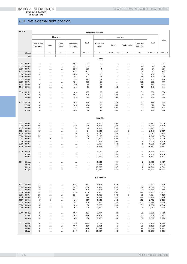**EUROSYSTEM**

## 3.9. Net external debt position

| Short-term<br>Long-term<br>Total<br>Total<br>Total<br>Other debt<br>Other debt<br>Money market<br>Trade<br>Bonds and<br>Trade credits<br>Loans<br>Loans<br>ass./liab.<br>ass./liab.<br>instruments<br>credits<br>notes<br>$\overline{\mathbf{c}}$<br>$\ensuremath{\mathsf{3}}$<br>4<br>6<br>8<br>9<br>$\mathbf{1}$<br>$5 = 1 +  4$<br>$7 = 8 + 9 + 10 + 11$<br>$10=6++9$<br>$11 = 5 + 10$<br>Stolpec<br>Koda<br>Claims<br>887<br>2001 31.Dec.<br>887<br>887<br>$\ddotsc$<br>$\cdots$<br><br><br><br><br>$\ddotsc$<br>$\cdots$<br>2002 31.Dec.<br>852<br>852<br>22<br>22<br>874<br>$\cdots$<br><br>$\ddotsc$<br><br>$\ddotsc$<br>$\cdots$<br>829<br>829<br>20<br>21<br>2003 31.Dec.<br>1<br>851<br><br><br>$\cdots$<br><br>$\ddotsc$<br>2004 31.Dec.<br>827<br>$\overline{\mathbf{c}}$<br>29<br>31<br>827<br>857<br><br>$\ldots$<br><br><br>$\ddotsc$<br>$\overline{\mathbf{c}}$<br>830<br>832<br>39<br>931<br>2005 31.Dec.<br>60<br>100<br><br>$\cdots$<br><br>$\ddotsc$<br>2006 31.Dec.<br>126<br>91<br>48<br>266<br>1<br>127<br>139<br><br><br><br>$\ddotsc$<br>2007 31.Dec.<br>3<br>124<br>127<br>283<br>181<br>102<br>410<br><br><br>$\cdots$<br>$\ddotsc$<br>2008 31.Dec.<br>124<br>128<br>105<br>288<br>416<br>4<br>183<br>$\cdots$<br><br>$\cdots$<br><br>90<br>90<br>94<br>225<br>2009 31.Dec.<br>0<br>132<br>315<br><br>$\cdots$<br>$\cdots$<br>$\ddotsc$<br>2010 31.Dec.<br>0<br>95<br>95<br>92<br>349<br>155<br>103<br>444<br><br>$\ddotsc$<br><br>2010 31.Oct.<br>0<br>196<br>197<br>103<br>91<br>360<br>556<br>165<br><br>$\cdots$<br><br>0<br>195<br>196<br>103<br>92<br>358<br>30.Nov.<br>163<br>554<br><br>$\cdots$<br>$\ddotsc$<br>31.Dec.<br>95<br>95<br>92<br>349<br>0<br>155<br>103<br>444<br>$\cdots$<br><br>$\ddotsc$<br>2011 31.Jan.<br>$\mathsf O$<br>195<br>195<br>136<br>91<br>379<br>574<br>152<br><br>$\ldots$<br>$\cdots$<br>28.Feb.<br>0<br>196<br>196<br>91<br>378<br>150<br>136<br>574<br><br><br>$\ddotsc$<br>31.Mar.<br>0<br>346<br>346<br>207<br>91<br>446<br>792<br>148<br><br><br><br>30.Apr.<br>0<br>208<br>91<br>794<br>345<br>346<br>149<br>448<br><br>$\cdots$<br>$\ddotsc$<br>Liabilities<br>2001 31.Dec.<br>3<br>583<br>2,506<br>11<br>15<br>1,908<br>2,491<br>$\cdots$<br>$\cdots$<br><br><br>56<br>10<br>66<br>2002 31.Dec.<br>1,894<br>468<br>2,362<br>2,428<br><br><br>$\ddotsc$<br>$\cdots$<br>2003 31.Dec.<br>32<br>8<br>40<br>2,008<br>382<br>2,391<br>2,431<br>$\ddotsc$<br>$\ddotsc$<br><br><br>8<br>21<br>$\mathsf{O}\xspace$<br>2,267<br>2004 31.Dec.<br>13<br>1,865<br>381<br>2,246<br><br>$\cdots$<br>$\cdots$<br>2005 31.Dec.<br>9<br>31<br>$\mathsf O$<br>21<br>1,720<br>363<br>2,083<br>2,114<br><br><br>$\cdots$<br>9<br>33<br>2006 31.Dec.<br>24<br>2,108<br>241<br>2,349<br>2,382<br><br><br>$\ddotsc$<br>$\cdots$<br>2007 31.Dec.<br>0<br>2,832<br>203<br>3,036<br>0<br>3,036<br><br>$\ddotsc$<br><br>$\cdots$<br>$\ddotsc$<br>2008 31.Dec.<br>3,552<br>180<br>4<br>3,736<br>3,736<br><br><br><br>$\cdots$<br>$\ddotsc$<br>$\cdots$<br>2009 31.Dec.<br>149<br>3<br>6,407<br>6,559<br>6,559<br>$\cdots$<br>$\cdots$<br><br>$\cdots$<br>$\cdots$<br>$\cdots$<br>$\overline{c}$<br>2010 31.Dec.<br>8,018<br>147<br>8,167<br>8,167<br><br><br>$\cdots$<br>$\cdots$<br>$\cdots$<br>$\ddotsc$<br>3<br>132<br>2010 31.Oct.<br>8,179<br>8,314<br>8,314<br><br><br><br>$\cdots$<br>$\ddotsc$<br><br>$\sqrt{2}$<br>8,286<br>30.Nov.<br>8,136<br>148<br>8,286<br>$\cdots$<br><br>$\cdots$<br>$\ddotsc$<br>$\cdots$<br>$\cdots$<br>$\sqrt{2}$<br>31.Dec.<br>8,018<br>147<br>8,167<br>8,167<br><br><br>$\cdots$<br>$\ddotsc$<br>$\cdots$<br>$\cdots$<br>$\overline{c}$<br>2011 31.Jan.<br>9,343<br>151<br>9,497<br>9,497<br><br>$\cdots$<br>$\ddotsc$<br><br><br><br>28.Feb.<br>$\overline{\mathbf{c}}$<br>9,504<br>9,351<br>151<br>9,504<br>$\ldots$<br><br><br>$\ddotsc$<br>$\cdots$<br>$\cdots$<br>$\sqrt{2}$<br>31.Mar.<br>10,795<br>147<br>10,944<br>10,944<br><br><br><br><br>$\cdots$<br>$\ddotsc$<br>30.Apr.<br>10,476<br>146<br>$\sqrt{2}$<br>10,624<br>10,624<br><br><br><br>$\cdots$<br>$\ddotsc$<br>$\cdots$<br>Net position<br>2001 31.Dec.<br>3<br>$-876$<br>$-872$<br>1,908<br>583<br>2,491<br>1,619<br>$\cdots$<br><br>$\cdots$<br>$\ldots$<br>2002 31.Dec.<br>56<br>$-842$<br>$-786$<br>1,894<br>468<br>$-22$<br>2,340<br>1,554<br><br>$\ldots$<br>$\cdots$<br>$-790$<br>2003 31.Dec.<br>32<br>$-821$<br>2,007<br>382<br>$-20$<br>1,580<br>2,369<br>$\cdots$<br><br>$\cdots$<br>2004 31.Dec.<br>13<br>$-819$<br>$-806$<br>1,863<br>381<br>$\mathsf O$<br>$-29$<br>2,215<br>1,409<br><br>$\cdots$<br>2005 31.Dec.<br>20<br>$-821$<br>$-801$<br>1,660<br>363<br>$\mathsf O$<br>$-39$<br>1,183<br>1,984<br>$\cdots$<br>$\cdots$<br>2006 31.Dec.<br>23<br>$-117$<br>$-94$<br>2,017<br>241<br>$-48$<br>2,210<br>2,116<br>$\ldots$<br><br>$\cdots$<br>$-3$<br>$-124$<br>2007 31.Dec.<br>$-127$<br>2,651<br>203<br>$-102$<br>2,752<br>2,625<br>0<br>$\cdots$<br>$\cdots$<br>2008 31.Dec.<br>$-4$<br>$-124$<br>$-128$<br>3,369<br>180<br>$-101$<br>3,448<br>3,319<br><br>$\cdots$<br>$\ddotsc$<br>2009 31.Dec.<br>$-90$<br>0<br>$-90$<br>6,275<br>149<br>$-91$<br>6,333<br>6,243<br><br>$\cdots$<br>$\cdots$<br>2010 31.Dec.<br>0<br>$-95$<br>$-95$<br>7,863<br>44<br>$-90$<br>7,722<br>7,817<br><br>$\ldots$<br>$\cdots$<br>2010 31.Oct.<br>0<br>$-196$<br>$-197$<br>8,014<br>29<br>$-88$<br>7,955<br>7,758<br><br>$\cdots$<br>$\ddotsc$<br>30.Nov.<br>0<br>$-195$<br>$-196$<br>7,973<br>45<br>$-90$<br>7,928<br>7,732<br>$\ldots$<br>$\cdots$<br>$\cdots$<br>31.Dec.<br>0<br>$-95$<br>$-95$<br>7,863<br>44<br>$-90$<br>7,722<br>7,817<br>$\cdots$<br>$\cdots$<br>$\cdots$<br>2011 31.Jan.<br>0<br>$-195$<br>$-195$<br>9,192<br>16<br>$-89$<br>9,118<br>8,923<br><br>$\ldots$<br>$\cdots$<br>$\mathsf{O}\xspace$<br>$-196$<br>28.Feb.<br>$-196$<br>9,201<br>15<br>$-89$<br>9,126<br>8,930<br>$\cdots$<br><br>$\cdots$<br>31.Mar.<br>0<br>$-346$<br>$-346$<br>10,648<br>$-61$<br>10,498<br>10,152<br>$-89$<br>$\ldots$<br><br>$\cdots$<br>$\mathsf{O}\xspace$<br>9,830<br>30.Apr.<br>$-345$<br>$-346$<br>10,327<br>$-62$<br>$-89$<br>10,176<br>$\cdots$<br><br>$\cdots$ | Mio EUR |  |  | General government |  |  |  |
|------------------------------------------------------------------------------------------------------------------------------------------------------------------------------------------------------------------------------------------------------------------------------------------------------------------------------------------------------------------------------------------------------------------------------------------------------------------------------------------------------------------------------------------------------------------------------------------------------------------------------------------------------------------------------------------------------------------------------------------------------------------------------------------------------------------------------------------------------------------------------------------------------------------------------------------------------------------------------------------------------------------------------------------------------------------------------------------------------------------------------------------------------------------------------------------------------------------------------------------------------------------------------------------------------------------------------------------------------------------------------------------------------------------------------------------------------------------------------------------------------------------------------------------------------------------------------------------------------------------------------------------------------------------------------------------------------------------------------------------------------------------------------------------------------------------------------------------------------------------------------------------------------------------------------------------------------------------------------------------------------------------------------------------------------------------------------------------------------------------------------------------------------------------------------------------------------------------------------------------------------------------------------------------------------------------------------------------------------------------------------------------------------------------------------------------------------------------------------------------------------------------------------------------------------------------------------------------------------------------------------------------------------------------------------------------------------------------------------------------------------------------------------------------------------------------------------------------------------------------------------------------------------------------------------------------------------------------------------------------------------------------------------------------------------------------------------------------------------------------------------------------------------------------------------------------------------------------------------------------------------------------------------------------------------------------------------------------------------------------------------------------------------------------------------------------------------------------------------------------------------------------------------------------------------------------------------------------------------------------------------------------------------------------------------------------------------------------------------------------------------------------------------------------------------------------------------------------------------------------------------------------------------------------------------------------------------------------------------------------------------------------------------------------------------------------------------------------------------------------------------------------------------------------------------------------------------------------------------------------------------------------------------------------------------------------------------------------------------------------------------------------------------------------------------------------------------------------------------------------------------------------------------------------------------------------------------------------------------------------------------------------------------------------------------------------------------------------------------------------------------------------------------------------------------------------------------------------------------------------------------------------------------------------------------------------------------------------------------------------------------------------------------------------------------------------------------------------------------------------------------------------------------------------------------------------------------------------------------------------------------------------------------------------------------------------------------------------------------------------------------------------------------------------------------------------------------------------------------------------------------------------------------------------------------------------------------------------------------------------------------------------------------------------------------------------------------------------------------------------------------------------------------------------------------------------------------------------------------------------------------------------------------------------------------------------------------------------------------------------------------------------------------------------------------------------------------------------------------------------------------------|---------|--|--|--------------------|--|--|--|
|                                                                                                                                                                                                                                                                                                                                                                                                                                                                                                                                                                                                                                                                                                                                                                                                                                                                                                                                                                                                                                                                                                                                                                                                                                                                                                                                                                                                                                                                                                                                                                                                                                                                                                                                                                                                                                                                                                                                                                                                                                                                                                                                                                                                                                                                                                                                                                                                                                                                                                                                                                                                                                                                                                                                                                                                                                                                                                                                                                                                                                                                                                                                                                                                                                                                                                                                                                                                                                                                                                                                                                                                                                                                                                                                                                                                                                                                                                                                                                                                                                                                                                                                                                                                                                                                                                                                                                                                                                                                                                                                                                                                                                                                                                                                                                                                                                                                                                                                                                                                                                                                                                                                                                                                                                                                                                                                                                                                                                                                                                                                                                                                                                                                                                                                                                                                                                                                                                                                                                                                                                                                                                                                    |         |  |  |                    |  |  |  |
|                                                                                                                                                                                                                                                                                                                                                                                                                                                                                                                                                                                                                                                                                                                                                                                                                                                                                                                                                                                                                                                                                                                                                                                                                                                                                                                                                                                                                                                                                                                                                                                                                                                                                                                                                                                                                                                                                                                                                                                                                                                                                                                                                                                                                                                                                                                                                                                                                                                                                                                                                                                                                                                                                                                                                                                                                                                                                                                                                                                                                                                                                                                                                                                                                                                                                                                                                                                                                                                                                                                                                                                                                                                                                                                                                                                                                                                                                                                                                                                                                                                                                                                                                                                                                                                                                                                                                                                                                                                                                                                                                                                                                                                                                                                                                                                                                                                                                                                                                                                                                                                                                                                                                                                                                                                                                                                                                                                                                                                                                                                                                                                                                                                                                                                                                                                                                                                                                                                                                                                                                                                                                                                                    |         |  |  |                    |  |  |  |
|                                                                                                                                                                                                                                                                                                                                                                                                                                                                                                                                                                                                                                                                                                                                                                                                                                                                                                                                                                                                                                                                                                                                                                                                                                                                                                                                                                                                                                                                                                                                                                                                                                                                                                                                                                                                                                                                                                                                                                                                                                                                                                                                                                                                                                                                                                                                                                                                                                                                                                                                                                                                                                                                                                                                                                                                                                                                                                                                                                                                                                                                                                                                                                                                                                                                                                                                                                                                                                                                                                                                                                                                                                                                                                                                                                                                                                                                                                                                                                                                                                                                                                                                                                                                                                                                                                                                                                                                                                                                                                                                                                                                                                                                                                                                                                                                                                                                                                                                                                                                                                                                                                                                                                                                                                                                                                                                                                                                                                                                                                                                                                                                                                                                                                                                                                                                                                                                                                                                                                                                                                                                                                                                    |         |  |  |                    |  |  |  |
|                                                                                                                                                                                                                                                                                                                                                                                                                                                                                                                                                                                                                                                                                                                                                                                                                                                                                                                                                                                                                                                                                                                                                                                                                                                                                                                                                                                                                                                                                                                                                                                                                                                                                                                                                                                                                                                                                                                                                                                                                                                                                                                                                                                                                                                                                                                                                                                                                                                                                                                                                                                                                                                                                                                                                                                                                                                                                                                                                                                                                                                                                                                                                                                                                                                                                                                                                                                                                                                                                                                                                                                                                                                                                                                                                                                                                                                                                                                                                                                                                                                                                                                                                                                                                                                                                                                                                                                                                                                                                                                                                                                                                                                                                                                                                                                                                                                                                                                                                                                                                                                                                                                                                                                                                                                                                                                                                                                                                                                                                                                                                                                                                                                                                                                                                                                                                                                                                                                                                                                                                                                                                                                                    |         |  |  |                    |  |  |  |
|                                                                                                                                                                                                                                                                                                                                                                                                                                                                                                                                                                                                                                                                                                                                                                                                                                                                                                                                                                                                                                                                                                                                                                                                                                                                                                                                                                                                                                                                                                                                                                                                                                                                                                                                                                                                                                                                                                                                                                                                                                                                                                                                                                                                                                                                                                                                                                                                                                                                                                                                                                                                                                                                                                                                                                                                                                                                                                                                                                                                                                                                                                                                                                                                                                                                                                                                                                                                                                                                                                                                                                                                                                                                                                                                                                                                                                                                                                                                                                                                                                                                                                                                                                                                                                                                                                                                                                                                                                                                                                                                                                                                                                                                                                                                                                                                                                                                                                                                                                                                                                                                                                                                                                                                                                                                                                                                                                                                                                                                                                                                                                                                                                                                                                                                                                                                                                                                                                                                                                                                                                                                                                                                    |         |  |  |                    |  |  |  |
|                                                                                                                                                                                                                                                                                                                                                                                                                                                                                                                                                                                                                                                                                                                                                                                                                                                                                                                                                                                                                                                                                                                                                                                                                                                                                                                                                                                                                                                                                                                                                                                                                                                                                                                                                                                                                                                                                                                                                                                                                                                                                                                                                                                                                                                                                                                                                                                                                                                                                                                                                                                                                                                                                                                                                                                                                                                                                                                                                                                                                                                                                                                                                                                                                                                                                                                                                                                                                                                                                                                                                                                                                                                                                                                                                                                                                                                                                                                                                                                                                                                                                                                                                                                                                                                                                                                                                                                                                                                                                                                                                                                                                                                                                                                                                                                                                                                                                                                                                                                                                                                                                                                                                                                                                                                                                                                                                                                                                                                                                                                                                                                                                                                                                                                                                                                                                                                                                                                                                                                                                                                                                                                                    |         |  |  |                    |  |  |  |
|                                                                                                                                                                                                                                                                                                                                                                                                                                                                                                                                                                                                                                                                                                                                                                                                                                                                                                                                                                                                                                                                                                                                                                                                                                                                                                                                                                                                                                                                                                                                                                                                                                                                                                                                                                                                                                                                                                                                                                                                                                                                                                                                                                                                                                                                                                                                                                                                                                                                                                                                                                                                                                                                                                                                                                                                                                                                                                                                                                                                                                                                                                                                                                                                                                                                                                                                                                                                                                                                                                                                                                                                                                                                                                                                                                                                                                                                                                                                                                                                                                                                                                                                                                                                                                                                                                                                                                                                                                                                                                                                                                                                                                                                                                                                                                                                                                                                                                                                                                                                                                                                                                                                                                                                                                                                                                                                                                                                                                                                                                                                                                                                                                                                                                                                                                                                                                                                                                                                                                                                                                                                                                                                    |         |  |  |                    |  |  |  |
|                                                                                                                                                                                                                                                                                                                                                                                                                                                                                                                                                                                                                                                                                                                                                                                                                                                                                                                                                                                                                                                                                                                                                                                                                                                                                                                                                                                                                                                                                                                                                                                                                                                                                                                                                                                                                                                                                                                                                                                                                                                                                                                                                                                                                                                                                                                                                                                                                                                                                                                                                                                                                                                                                                                                                                                                                                                                                                                                                                                                                                                                                                                                                                                                                                                                                                                                                                                                                                                                                                                                                                                                                                                                                                                                                                                                                                                                                                                                                                                                                                                                                                                                                                                                                                                                                                                                                                                                                                                                                                                                                                                                                                                                                                                                                                                                                                                                                                                                                                                                                                                                                                                                                                                                                                                                                                                                                                                                                                                                                                                                                                                                                                                                                                                                                                                                                                                                                                                                                                                                                                                                                                                                    |         |  |  |                    |  |  |  |
|                                                                                                                                                                                                                                                                                                                                                                                                                                                                                                                                                                                                                                                                                                                                                                                                                                                                                                                                                                                                                                                                                                                                                                                                                                                                                                                                                                                                                                                                                                                                                                                                                                                                                                                                                                                                                                                                                                                                                                                                                                                                                                                                                                                                                                                                                                                                                                                                                                                                                                                                                                                                                                                                                                                                                                                                                                                                                                                                                                                                                                                                                                                                                                                                                                                                                                                                                                                                                                                                                                                                                                                                                                                                                                                                                                                                                                                                                                                                                                                                                                                                                                                                                                                                                                                                                                                                                                                                                                                                                                                                                                                                                                                                                                                                                                                                                                                                                                                                                                                                                                                                                                                                                                                                                                                                                                                                                                                                                                                                                                                                                                                                                                                                                                                                                                                                                                                                                                                                                                                                                                                                                                                                    |         |  |  |                    |  |  |  |
|                                                                                                                                                                                                                                                                                                                                                                                                                                                                                                                                                                                                                                                                                                                                                                                                                                                                                                                                                                                                                                                                                                                                                                                                                                                                                                                                                                                                                                                                                                                                                                                                                                                                                                                                                                                                                                                                                                                                                                                                                                                                                                                                                                                                                                                                                                                                                                                                                                                                                                                                                                                                                                                                                                                                                                                                                                                                                                                                                                                                                                                                                                                                                                                                                                                                                                                                                                                                                                                                                                                                                                                                                                                                                                                                                                                                                                                                                                                                                                                                                                                                                                                                                                                                                                                                                                                                                                                                                                                                                                                                                                                                                                                                                                                                                                                                                                                                                                                                                                                                                                                                                                                                                                                                                                                                                                                                                                                                                                                                                                                                                                                                                                                                                                                                                                                                                                                                                                                                                                                                                                                                                                                                    |         |  |  |                    |  |  |  |
|                                                                                                                                                                                                                                                                                                                                                                                                                                                                                                                                                                                                                                                                                                                                                                                                                                                                                                                                                                                                                                                                                                                                                                                                                                                                                                                                                                                                                                                                                                                                                                                                                                                                                                                                                                                                                                                                                                                                                                                                                                                                                                                                                                                                                                                                                                                                                                                                                                                                                                                                                                                                                                                                                                                                                                                                                                                                                                                                                                                                                                                                                                                                                                                                                                                                                                                                                                                                                                                                                                                                                                                                                                                                                                                                                                                                                                                                                                                                                                                                                                                                                                                                                                                                                                                                                                                                                                                                                                                                                                                                                                                                                                                                                                                                                                                                                                                                                                                                                                                                                                                                                                                                                                                                                                                                                                                                                                                                                                                                                                                                                                                                                                                                                                                                                                                                                                                                                                                                                                                                                                                                                                                                    |         |  |  |                    |  |  |  |
|                                                                                                                                                                                                                                                                                                                                                                                                                                                                                                                                                                                                                                                                                                                                                                                                                                                                                                                                                                                                                                                                                                                                                                                                                                                                                                                                                                                                                                                                                                                                                                                                                                                                                                                                                                                                                                                                                                                                                                                                                                                                                                                                                                                                                                                                                                                                                                                                                                                                                                                                                                                                                                                                                                                                                                                                                                                                                                                                                                                                                                                                                                                                                                                                                                                                                                                                                                                                                                                                                                                                                                                                                                                                                                                                                                                                                                                                                                                                                                                                                                                                                                                                                                                                                                                                                                                                                                                                                                                                                                                                                                                                                                                                                                                                                                                                                                                                                                                                                                                                                                                                                                                                                                                                                                                                                                                                                                                                                                                                                                                                                                                                                                                                                                                                                                                                                                                                                                                                                                                                                                                                                                                                    |         |  |  |                    |  |  |  |
|                                                                                                                                                                                                                                                                                                                                                                                                                                                                                                                                                                                                                                                                                                                                                                                                                                                                                                                                                                                                                                                                                                                                                                                                                                                                                                                                                                                                                                                                                                                                                                                                                                                                                                                                                                                                                                                                                                                                                                                                                                                                                                                                                                                                                                                                                                                                                                                                                                                                                                                                                                                                                                                                                                                                                                                                                                                                                                                                                                                                                                                                                                                                                                                                                                                                                                                                                                                                                                                                                                                                                                                                                                                                                                                                                                                                                                                                                                                                                                                                                                                                                                                                                                                                                                                                                                                                                                                                                                                                                                                                                                                                                                                                                                                                                                                                                                                                                                                                                                                                                                                                                                                                                                                                                                                                                                                                                                                                                                                                                                                                                                                                                                                                                                                                                                                                                                                                                                                                                                                                                                                                                                                                    |         |  |  |                    |  |  |  |
|                                                                                                                                                                                                                                                                                                                                                                                                                                                                                                                                                                                                                                                                                                                                                                                                                                                                                                                                                                                                                                                                                                                                                                                                                                                                                                                                                                                                                                                                                                                                                                                                                                                                                                                                                                                                                                                                                                                                                                                                                                                                                                                                                                                                                                                                                                                                                                                                                                                                                                                                                                                                                                                                                                                                                                                                                                                                                                                                                                                                                                                                                                                                                                                                                                                                                                                                                                                                                                                                                                                                                                                                                                                                                                                                                                                                                                                                                                                                                                                                                                                                                                                                                                                                                                                                                                                                                                                                                                                                                                                                                                                                                                                                                                                                                                                                                                                                                                                                                                                                                                                                                                                                                                                                                                                                                                                                                                                                                                                                                                                                                                                                                                                                                                                                                                                                                                                                                                                                                                                                                                                                                                                                    |         |  |  |                    |  |  |  |
|                                                                                                                                                                                                                                                                                                                                                                                                                                                                                                                                                                                                                                                                                                                                                                                                                                                                                                                                                                                                                                                                                                                                                                                                                                                                                                                                                                                                                                                                                                                                                                                                                                                                                                                                                                                                                                                                                                                                                                                                                                                                                                                                                                                                                                                                                                                                                                                                                                                                                                                                                                                                                                                                                                                                                                                                                                                                                                                                                                                                                                                                                                                                                                                                                                                                                                                                                                                                                                                                                                                                                                                                                                                                                                                                                                                                                                                                                                                                                                                                                                                                                                                                                                                                                                                                                                                                                                                                                                                                                                                                                                                                                                                                                                                                                                                                                                                                                                                                                                                                                                                                                                                                                                                                                                                                                                                                                                                                                                                                                                                                                                                                                                                                                                                                                                                                                                                                                                                                                                                                                                                                                                                                    |         |  |  |                    |  |  |  |
|                                                                                                                                                                                                                                                                                                                                                                                                                                                                                                                                                                                                                                                                                                                                                                                                                                                                                                                                                                                                                                                                                                                                                                                                                                                                                                                                                                                                                                                                                                                                                                                                                                                                                                                                                                                                                                                                                                                                                                                                                                                                                                                                                                                                                                                                                                                                                                                                                                                                                                                                                                                                                                                                                                                                                                                                                                                                                                                                                                                                                                                                                                                                                                                                                                                                                                                                                                                                                                                                                                                                                                                                                                                                                                                                                                                                                                                                                                                                                                                                                                                                                                                                                                                                                                                                                                                                                                                                                                                                                                                                                                                                                                                                                                                                                                                                                                                                                                                                                                                                                                                                                                                                                                                                                                                                                                                                                                                                                                                                                                                                                                                                                                                                                                                                                                                                                                                                                                                                                                                                                                                                                                                                    |         |  |  |                    |  |  |  |
|                                                                                                                                                                                                                                                                                                                                                                                                                                                                                                                                                                                                                                                                                                                                                                                                                                                                                                                                                                                                                                                                                                                                                                                                                                                                                                                                                                                                                                                                                                                                                                                                                                                                                                                                                                                                                                                                                                                                                                                                                                                                                                                                                                                                                                                                                                                                                                                                                                                                                                                                                                                                                                                                                                                                                                                                                                                                                                                                                                                                                                                                                                                                                                                                                                                                                                                                                                                                                                                                                                                                                                                                                                                                                                                                                                                                                                                                                                                                                                                                                                                                                                                                                                                                                                                                                                                                                                                                                                                                                                                                                                                                                                                                                                                                                                                                                                                                                                                                                                                                                                                                                                                                                                                                                                                                                                                                                                                                                                                                                                                                                                                                                                                                                                                                                                                                                                                                                                                                                                                                                                                                                                                                    |         |  |  |                    |  |  |  |
|                                                                                                                                                                                                                                                                                                                                                                                                                                                                                                                                                                                                                                                                                                                                                                                                                                                                                                                                                                                                                                                                                                                                                                                                                                                                                                                                                                                                                                                                                                                                                                                                                                                                                                                                                                                                                                                                                                                                                                                                                                                                                                                                                                                                                                                                                                                                                                                                                                                                                                                                                                                                                                                                                                                                                                                                                                                                                                                                                                                                                                                                                                                                                                                                                                                                                                                                                                                                                                                                                                                                                                                                                                                                                                                                                                                                                                                                                                                                                                                                                                                                                                                                                                                                                                                                                                                                                                                                                                                                                                                                                                                                                                                                                                                                                                                                                                                                                                                                                                                                                                                                                                                                                                                                                                                                                                                                                                                                                                                                                                                                                                                                                                                                                                                                                                                                                                                                                                                                                                                                                                                                                                                                    |         |  |  |                    |  |  |  |
|                                                                                                                                                                                                                                                                                                                                                                                                                                                                                                                                                                                                                                                                                                                                                                                                                                                                                                                                                                                                                                                                                                                                                                                                                                                                                                                                                                                                                                                                                                                                                                                                                                                                                                                                                                                                                                                                                                                                                                                                                                                                                                                                                                                                                                                                                                                                                                                                                                                                                                                                                                                                                                                                                                                                                                                                                                                                                                                                                                                                                                                                                                                                                                                                                                                                                                                                                                                                                                                                                                                                                                                                                                                                                                                                                                                                                                                                                                                                                                                                                                                                                                                                                                                                                                                                                                                                                                                                                                                                                                                                                                                                                                                                                                                                                                                                                                                                                                                                                                                                                                                                                                                                                                                                                                                                                                                                                                                                                                                                                                                                                                                                                                                                                                                                                                                                                                                                                                                                                                                                                                                                                                                                    |         |  |  |                    |  |  |  |
|                                                                                                                                                                                                                                                                                                                                                                                                                                                                                                                                                                                                                                                                                                                                                                                                                                                                                                                                                                                                                                                                                                                                                                                                                                                                                                                                                                                                                                                                                                                                                                                                                                                                                                                                                                                                                                                                                                                                                                                                                                                                                                                                                                                                                                                                                                                                                                                                                                                                                                                                                                                                                                                                                                                                                                                                                                                                                                                                                                                                                                                                                                                                                                                                                                                                                                                                                                                                                                                                                                                                                                                                                                                                                                                                                                                                                                                                                                                                                                                                                                                                                                                                                                                                                                                                                                                                                                                                                                                                                                                                                                                                                                                                                                                                                                                                                                                                                                                                                                                                                                                                                                                                                                                                                                                                                                                                                                                                                                                                                                                                                                                                                                                                                                                                                                                                                                                                                                                                                                                                                                                                                                                                    |         |  |  |                    |  |  |  |
|                                                                                                                                                                                                                                                                                                                                                                                                                                                                                                                                                                                                                                                                                                                                                                                                                                                                                                                                                                                                                                                                                                                                                                                                                                                                                                                                                                                                                                                                                                                                                                                                                                                                                                                                                                                                                                                                                                                                                                                                                                                                                                                                                                                                                                                                                                                                                                                                                                                                                                                                                                                                                                                                                                                                                                                                                                                                                                                                                                                                                                                                                                                                                                                                                                                                                                                                                                                                                                                                                                                                                                                                                                                                                                                                                                                                                                                                                                                                                                                                                                                                                                                                                                                                                                                                                                                                                                                                                                                                                                                                                                                                                                                                                                                                                                                                                                                                                                                                                                                                                                                                                                                                                                                                                                                                                                                                                                                                                                                                                                                                                                                                                                                                                                                                                                                                                                                                                                                                                                                                                                                                                                                                    |         |  |  |                    |  |  |  |
|                                                                                                                                                                                                                                                                                                                                                                                                                                                                                                                                                                                                                                                                                                                                                                                                                                                                                                                                                                                                                                                                                                                                                                                                                                                                                                                                                                                                                                                                                                                                                                                                                                                                                                                                                                                                                                                                                                                                                                                                                                                                                                                                                                                                                                                                                                                                                                                                                                                                                                                                                                                                                                                                                                                                                                                                                                                                                                                                                                                                                                                                                                                                                                                                                                                                                                                                                                                                                                                                                                                                                                                                                                                                                                                                                                                                                                                                                                                                                                                                                                                                                                                                                                                                                                                                                                                                                                                                                                                                                                                                                                                                                                                                                                                                                                                                                                                                                                                                                                                                                                                                                                                                                                                                                                                                                                                                                                                                                                                                                                                                                                                                                                                                                                                                                                                                                                                                                                                                                                                                                                                                                                                                    |         |  |  |                    |  |  |  |
|                                                                                                                                                                                                                                                                                                                                                                                                                                                                                                                                                                                                                                                                                                                                                                                                                                                                                                                                                                                                                                                                                                                                                                                                                                                                                                                                                                                                                                                                                                                                                                                                                                                                                                                                                                                                                                                                                                                                                                                                                                                                                                                                                                                                                                                                                                                                                                                                                                                                                                                                                                                                                                                                                                                                                                                                                                                                                                                                                                                                                                                                                                                                                                                                                                                                                                                                                                                                                                                                                                                                                                                                                                                                                                                                                                                                                                                                                                                                                                                                                                                                                                                                                                                                                                                                                                                                                                                                                                                                                                                                                                                                                                                                                                                                                                                                                                                                                                                                                                                                                                                                                                                                                                                                                                                                                                                                                                                                                                                                                                                                                                                                                                                                                                                                                                                                                                                                                                                                                                                                                                                                                                                                    |         |  |  |                    |  |  |  |
|                                                                                                                                                                                                                                                                                                                                                                                                                                                                                                                                                                                                                                                                                                                                                                                                                                                                                                                                                                                                                                                                                                                                                                                                                                                                                                                                                                                                                                                                                                                                                                                                                                                                                                                                                                                                                                                                                                                                                                                                                                                                                                                                                                                                                                                                                                                                                                                                                                                                                                                                                                                                                                                                                                                                                                                                                                                                                                                                                                                                                                                                                                                                                                                                                                                                                                                                                                                                                                                                                                                                                                                                                                                                                                                                                                                                                                                                                                                                                                                                                                                                                                                                                                                                                                                                                                                                                                                                                                                                                                                                                                                                                                                                                                                                                                                                                                                                                                                                                                                                                                                                                                                                                                                                                                                                                                                                                                                                                                                                                                                                                                                                                                                                                                                                                                                                                                                                                                                                                                                                                                                                                                                                    |         |  |  |                    |  |  |  |
|                                                                                                                                                                                                                                                                                                                                                                                                                                                                                                                                                                                                                                                                                                                                                                                                                                                                                                                                                                                                                                                                                                                                                                                                                                                                                                                                                                                                                                                                                                                                                                                                                                                                                                                                                                                                                                                                                                                                                                                                                                                                                                                                                                                                                                                                                                                                                                                                                                                                                                                                                                                                                                                                                                                                                                                                                                                                                                                                                                                                                                                                                                                                                                                                                                                                                                                                                                                                                                                                                                                                                                                                                                                                                                                                                                                                                                                                                                                                                                                                                                                                                                                                                                                                                                                                                                                                                                                                                                                                                                                                                                                                                                                                                                                                                                                                                                                                                                                                                                                                                                                                                                                                                                                                                                                                                                                                                                                                                                                                                                                                                                                                                                                                                                                                                                                                                                                                                                                                                                                                                                                                                                                                    |         |  |  |                    |  |  |  |
|                                                                                                                                                                                                                                                                                                                                                                                                                                                                                                                                                                                                                                                                                                                                                                                                                                                                                                                                                                                                                                                                                                                                                                                                                                                                                                                                                                                                                                                                                                                                                                                                                                                                                                                                                                                                                                                                                                                                                                                                                                                                                                                                                                                                                                                                                                                                                                                                                                                                                                                                                                                                                                                                                                                                                                                                                                                                                                                                                                                                                                                                                                                                                                                                                                                                                                                                                                                                                                                                                                                                                                                                                                                                                                                                                                                                                                                                                                                                                                                                                                                                                                                                                                                                                                                                                                                                                                                                                                                                                                                                                                                                                                                                                                                                                                                                                                                                                                                                                                                                                                                                                                                                                                                                                                                                                                                                                                                                                                                                                                                                                                                                                                                                                                                                                                                                                                                                                                                                                                                                                                                                                                                                    |         |  |  |                    |  |  |  |
|                                                                                                                                                                                                                                                                                                                                                                                                                                                                                                                                                                                                                                                                                                                                                                                                                                                                                                                                                                                                                                                                                                                                                                                                                                                                                                                                                                                                                                                                                                                                                                                                                                                                                                                                                                                                                                                                                                                                                                                                                                                                                                                                                                                                                                                                                                                                                                                                                                                                                                                                                                                                                                                                                                                                                                                                                                                                                                                                                                                                                                                                                                                                                                                                                                                                                                                                                                                                                                                                                                                                                                                                                                                                                                                                                                                                                                                                                                                                                                                                                                                                                                                                                                                                                                                                                                                                                                                                                                                                                                                                                                                                                                                                                                                                                                                                                                                                                                                                                                                                                                                                                                                                                                                                                                                                                                                                                                                                                                                                                                                                                                                                                                                                                                                                                                                                                                                                                                                                                                                                                                                                                                                                    |         |  |  |                    |  |  |  |
|                                                                                                                                                                                                                                                                                                                                                                                                                                                                                                                                                                                                                                                                                                                                                                                                                                                                                                                                                                                                                                                                                                                                                                                                                                                                                                                                                                                                                                                                                                                                                                                                                                                                                                                                                                                                                                                                                                                                                                                                                                                                                                                                                                                                                                                                                                                                                                                                                                                                                                                                                                                                                                                                                                                                                                                                                                                                                                                                                                                                                                                                                                                                                                                                                                                                                                                                                                                                                                                                                                                                                                                                                                                                                                                                                                                                                                                                                                                                                                                                                                                                                                                                                                                                                                                                                                                                                                                                                                                                                                                                                                                                                                                                                                                                                                                                                                                                                                                                                                                                                                                                                                                                                                                                                                                                                                                                                                                                                                                                                                                                                                                                                                                                                                                                                                                                                                                                                                                                                                                                                                                                                                                                    |         |  |  |                    |  |  |  |
|                                                                                                                                                                                                                                                                                                                                                                                                                                                                                                                                                                                                                                                                                                                                                                                                                                                                                                                                                                                                                                                                                                                                                                                                                                                                                                                                                                                                                                                                                                                                                                                                                                                                                                                                                                                                                                                                                                                                                                                                                                                                                                                                                                                                                                                                                                                                                                                                                                                                                                                                                                                                                                                                                                                                                                                                                                                                                                                                                                                                                                                                                                                                                                                                                                                                                                                                                                                                                                                                                                                                                                                                                                                                                                                                                                                                                                                                                                                                                                                                                                                                                                                                                                                                                                                                                                                                                                                                                                                                                                                                                                                                                                                                                                                                                                                                                                                                                                                                                                                                                                                                                                                                                                                                                                                                                                                                                                                                                                                                                                                                                                                                                                                                                                                                                                                                                                                                                                                                                                                                                                                                                                                                    |         |  |  |                    |  |  |  |
|                                                                                                                                                                                                                                                                                                                                                                                                                                                                                                                                                                                                                                                                                                                                                                                                                                                                                                                                                                                                                                                                                                                                                                                                                                                                                                                                                                                                                                                                                                                                                                                                                                                                                                                                                                                                                                                                                                                                                                                                                                                                                                                                                                                                                                                                                                                                                                                                                                                                                                                                                                                                                                                                                                                                                                                                                                                                                                                                                                                                                                                                                                                                                                                                                                                                                                                                                                                                                                                                                                                                                                                                                                                                                                                                                                                                                                                                                                                                                                                                                                                                                                                                                                                                                                                                                                                                                                                                                                                                                                                                                                                                                                                                                                                                                                                                                                                                                                                                                                                                                                                                                                                                                                                                                                                                                                                                                                                                                                                                                                                                                                                                                                                                                                                                                                                                                                                                                                                                                                                                                                                                                                                                    |         |  |  |                    |  |  |  |
|                                                                                                                                                                                                                                                                                                                                                                                                                                                                                                                                                                                                                                                                                                                                                                                                                                                                                                                                                                                                                                                                                                                                                                                                                                                                                                                                                                                                                                                                                                                                                                                                                                                                                                                                                                                                                                                                                                                                                                                                                                                                                                                                                                                                                                                                                                                                                                                                                                                                                                                                                                                                                                                                                                                                                                                                                                                                                                                                                                                                                                                                                                                                                                                                                                                                                                                                                                                                                                                                                                                                                                                                                                                                                                                                                                                                                                                                                                                                                                                                                                                                                                                                                                                                                                                                                                                                                                                                                                                                                                                                                                                                                                                                                                                                                                                                                                                                                                                                                                                                                                                                                                                                                                                                                                                                                                                                                                                                                                                                                                                                                                                                                                                                                                                                                                                                                                                                                                                                                                                                                                                                                                                                    |         |  |  |                    |  |  |  |
|                                                                                                                                                                                                                                                                                                                                                                                                                                                                                                                                                                                                                                                                                                                                                                                                                                                                                                                                                                                                                                                                                                                                                                                                                                                                                                                                                                                                                                                                                                                                                                                                                                                                                                                                                                                                                                                                                                                                                                                                                                                                                                                                                                                                                                                                                                                                                                                                                                                                                                                                                                                                                                                                                                                                                                                                                                                                                                                                                                                                                                                                                                                                                                                                                                                                                                                                                                                                                                                                                                                                                                                                                                                                                                                                                                                                                                                                                                                                                                                                                                                                                                                                                                                                                                                                                                                                                                                                                                                                                                                                                                                                                                                                                                                                                                                                                                                                                                                                                                                                                                                                                                                                                                                                                                                                                                                                                                                                                                                                                                                                                                                                                                                                                                                                                                                                                                                                                                                                                                                                                                                                                                                                    |         |  |  |                    |  |  |  |
|                                                                                                                                                                                                                                                                                                                                                                                                                                                                                                                                                                                                                                                                                                                                                                                                                                                                                                                                                                                                                                                                                                                                                                                                                                                                                                                                                                                                                                                                                                                                                                                                                                                                                                                                                                                                                                                                                                                                                                                                                                                                                                                                                                                                                                                                                                                                                                                                                                                                                                                                                                                                                                                                                                                                                                                                                                                                                                                                                                                                                                                                                                                                                                                                                                                                                                                                                                                                                                                                                                                                                                                                                                                                                                                                                                                                                                                                                                                                                                                                                                                                                                                                                                                                                                                                                                                                                                                                                                                                                                                                                                                                                                                                                                                                                                                                                                                                                                                                                                                                                                                                                                                                                                                                                                                                                                                                                                                                                                                                                                                                                                                                                                                                                                                                                                                                                                                                                                                                                                                                                                                                                                                                    |         |  |  |                    |  |  |  |
|                                                                                                                                                                                                                                                                                                                                                                                                                                                                                                                                                                                                                                                                                                                                                                                                                                                                                                                                                                                                                                                                                                                                                                                                                                                                                                                                                                                                                                                                                                                                                                                                                                                                                                                                                                                                                                                                                                                                                                                                                                                                                                                                                                                                                                                                                                                                                                                                                                                                                                                                                                                                                                                                                                                                                                                                                                                                                                                                                                                                                                                                                                                                                                                                                                                                                                                                                                                                                                                                                                                                                                                                                                                                                                                                                                                                                                                                                                                                                                                                                                                                                                                                                                                                                                                                                                                                                                                                                                                                                                                                                                                                                                                                                                                                                                                                                                                                                                                                                                                                                                                                                                                                                                                                                                                                                                                                                                                                                                                                                                                                                                                                                                                                                                                                                                                                                                                                                                                                                                                                                                                                                                                                    |         |  |  |                    |  |  |  |
|                                                                                                                                                                                                                                                                                                                                                                                                                                                                                                                                                                                                                                                                                                                                                                                                                                                                                                                                                                                                                                                                                                                                                                                                                                                                                                                                                                                                                                                                                                                                                                                                                                                                                                                                                                                                                                                                                                                                                                                                                                                                                                                                                                                                                                                                                                                                                                                                                                                                                                                                                                                                                                                                                                                                                                                                                                                                                                                                                                                                                                                                                                                                                                                                                                                                                                                                                                                                                                                                                                                                                                                                                                                                                                                                                                                                                                                                                                                                                                                                                                                                                                                                                                                                                                                                                                                                                                                                                                                                                                                                                                                                                                                                                                                                                                                                                                                                                                                                                                                                                                                                                                                                                                                                                                                                                                                                                                                                                                                                                                                                                                                                                                                                                                                                                                                                                                                                                                                                                                                                                                                                                                                                    |         |  |  |                    |  |  |  |
|                                                                                                                                                                                                                                                                                                                                                                                                                                                                                                                                                                                                                                                                                                                                                                                                                                                                                                                                                                                                                                                                                                                                                                                                                                                                                                                                                                                                                                                                                                                                                                                                                                                                                                                                                                                                                                                                                                                                                                                                                                                                                                                                                                                                                                                                                                                                                                                                                                                                                                                                                                                                                                                                                                                                                                                                                                                                                                                                                                                                                                                                                                                                                                                                                                                                                                                                                                                                                                                                                                                                                                                                                                                                                                                                                                                                                                                                                                                                                                                                                                                                                                                                                                                                                                                                                                                                                                                                                                                                                                                                                                                                                                                                                                                                                                                                                                                                                                                                                                                                                                                                                                                                                                                                                                                                                                                                                                                                                                                                                                                                                                                                                                                                                                                                                                                                                                                                                                                                                                                                                                                                                                                                    |         |  |  |                    |  |  |  |
|                                                                                                                                                                                                                                                                                                                                                                                                                                                                                                                                                                                                                                                                                                                                                                                                                                                                                                                                                                                                                                                                                                                                                                                                                                                                                                                                                                                                                                                                                                                                                                                                                                                                                                                                                                                                                                                                                                                                                                                                                                                                                                                                                                                                                                                                                                                                                                                                                                                                                                                                                                                                                                                                                                                                                                                                                                                                                                                                                                                                                                                                                                                                                                                                                                                                                                                                                                                                                                                                                                                                                                                                                                                                                                                                                                                                                                                                                                                                                                                                                                                                                                                                                                                                                                                                                                                                                                                                                                                                                                                                                                                                                                                                                                                                                                                                                                                                                                                                                                                                                                                                                                                                                                                                                                                                                                                                                                                                                                                                                                                                                                                                                                                                                                                                                                                                                                                                                                                                                                                                                                                                                                                                    |         |  |  |                    |  |  |  |
|                                                                                                                                                                                                                                                                                                                                                                                                                                                                                                                                                                                                                                                                                                                                                                                                                                                                                                                                                                                                                                                                                                                                                                                                                                                                                                                                                                                                                                                                                                                                                                                                                                                                                                                                                                                                                                                                                                                                                                                                                                                                                                                                                                                                                                                                                                                                                                                                                                                                                                                                                                                                                                                                                                                                                                                                                                                                                                                                                                                                                                                                                                                                                                                                                                                                                                                                                                                                                                                                                                                                                                                                                                                                                                                                                                                                                                                                                                                                                                                                                                                                                                                                                                                                                                                                                                                                                                                                                                                                                                                                                                                                                                                                                                                                                                                                                                                                                                                                                                                                                                                                                                                                                                                                                                                                                                                                                                                                                                                                                                                                                                                                                                                                                                                                                                                                                                                                                                                                                                                                                                                                                                                                    |         |  |  |                    |  |  |  |
|                                                                                                                                                                                                                                                                                                                                                                                                                                                                                                                                                                                                                                                                                                                                                                                                                                                                                                                                                                                                                                                                                                                                                                                                                                                                                                                                                                                                                                                                                                                                                                                                                                                                                                                                                                                                                                                                                                                                                                                                                                                                                                                                                                                                                                                                                                                                                                                                                                                                                                                                                                                                                                                                                                                                                                                                                                                                                                                                                                                                                                                                                                                                                                                                                                                                                                                                                                                                                                                                                                                                                                                                                                                                                                                                                                                                                                                                                                                                                                                                                                                                                                                                                                                                                                                                                                                                                                                                                                                                                                                                                                                                                                                                                                                                                                                                                                                                                                                                                                                                                                                                                                                                                                                                                                                                                                                                                                                                                                                                                                                                                                                                                                                                                                                                                                                                                                                                                                                                                                                                                                                                                                                                    |         |  |  |                    |  |  |  |
|                                                                                                                                                                                                                                                                                                                                                                                                                                                                                                                                                                                                                                                                                                                                                                                                                                                                                                                                                                                                                                                                                                                                                                                                                                                                                                                                                                                                                                                                                                                                                                                                                                                                                                                                                                                                                                                                                                                                                                                                                                                                                                                                                                                                                                                                                                                                                                                                                                                                                                                                                                                                                                                                                                                                                                                                                                                                                                                                                                                                                                                                                                                                                                                                                                                                                                                                                                                                                                                                                                                                                                                                                                                                                                                                                                                                                                                                                                                                                                                                                                                                                                                                                                                                                                                                                                                                                                                                                                                                                                                                                                                                                                                                                                                                                                                                                                                                                                                                                                                                                                                                                                                                                                                                                                                                                                                                                                                                                                                                                                                                                                                                                                                                                                                                                                                                                                                                                                                                                                                                                                                                                                                                    |         |  |  |                    |  |  |  |
|                                                                                                                                                                                                                                                                                                                                                                                                                                                                                                                                                                                                                                                                                                                                                                                                                                                                                                                                                                                                                                                                                                                                                                                                                                                                                                                                                                                                                                                                                                                                                                                                                                                                                                                                                                                                                                                                                                                                                                                                                                                                                                                                                                                                                                                                                                                                                                                                                                                                                                                                                                                                                                                                                                                                                                                                                                                                                                                                                                                                                                                                                                                                                                                                                                                                                                                                                                                                                                                                                                                                                                                                                                                                                                                                                                                                                                                                                                                                                                                                                                                                                                                                                                                                                                                                                                                                                                                                                                                                                                                                                                                                                                                                                                                                                                                                                                                                                                                                                                                                                                                                                                                                                                                                                                                                                                                                                                                                                                                                                                                                                                                                                                                                                                                                                                                                                                                                                                                                                                                                                                                                                                                                    |         |  |  |                    |  |  |  |
|                                                                                                                                                                                                                                                                                                                                                                                                                                                                                                                                                                                                                                                                                                                                                                                                                                                                                                                                                                                                                                                                                                                                                                                                                                                                                                                                                                                                                                                                                                                                                                                                                                                                                                                                                                                                                                                                                                                                                                                                                                                                                                                                                                                                                                                                                                                                                                                                                                                                                                                                                                                                                                                                                                                                                                                                                                                                                                                                                                                                                                                                                                                                                                                                                                                                                                                                                                                                                                                                                                                                                                                                                                                                                                                                                                                                                                                                                                                                                                                                                                                                                                                                                                                                                                                                                                                                                                                                                                                                                                                                                                                                                                                                                                                                                                                                                                                                                                                                                                                                                                                                                                                                                                                                                                                                                                                                                                                                                                                                                                                                                                                                                                                                                                                                                                                                                                                                                                                                                                                                                                                                                                                                    |         |  |  |                    |  |  |  |
|                                                                                                                                                                                                                                                                                                                                                                                                                                                                                                                                                                                                                                                                                                                                                                                                                                                                                                                                                                                                                                                                                                                                                                                                                                                                                                                                                                                                                                                                                                                                                                                                                                                                                                                                                                                                                                                                                                                                                                                                                                                                                                                                                                                                                                                                                                                                                                                                                                                                                                                                                                                                                                                                                                                                                                                                                                                                                                                                                                                                                                                                                                                                                                                                                                                                                                                                                                                                                                                                                                                                                                                                                                                                                                                                                                                                                                                                                                                                                                                                                                                                                                                                                                                                                                                                                                                                                                                                                                                                                                                                                                                                                                                                                                                                                                                                                                                                                                                                                                                                                                                                                                                                                                                                                                                                                                                                                                                                                                                                                                                                                                                                                                                                                                                                                                                                                                                                                                                                                                                                                                                                                                                                    |         |  |  |                    |  |  |  |
|                                                                                                                                                                                                                                                                                                                                                                                                                                                                                                                                                                                                                                                                                                                                                                                                                                                                                                                                                                                                                                                                                                                                                                                                                                                                                                                                                                                                                                                                                                                                                                                                                                                                                                                                                                                                                                                                                                                                                                                                                                                                                                                                                                                                                                                                                                                                                                                                                                                                                                                                                                                                                                                                                                                                                                                                                                                                                                                                                                                                                                                                                                                                                                                                                                                                                                                                                                                                                                                                                                                                                                                                                                                                                                                                                                                                                                                                                                                                                                                                                                                                                                                                                                                                                                                                                                                                                                                                                                                                                                                                                                                                                                                                                                                                                                                                                                                                                                                                                                                                                                                                                                                                                                                                                                                                                                                                                                                                                                                                                                                                                                                                                                                                                                                                                                                                                                                                                                                                                                                                                                                                                                                                    |         |  |  |                    |  |  |  |
|                                                                                                                                                                                                                                                                                                                                                                                                                                                                                                                                                                                                                                                                                                                                                                                                                                                                                                                                                                                                                                                                                                                                                                                                                                                                                                                                                                                                                                                                                                                                                                                                                                                                                                                                                                                                                                                                                                                                                                                                                                                                                                                                                                                                                                                                                                                                                                                                                                                                                                                                                                                                                                                                                                                                                                                                                                                                                                                                                                                                                                                                                                                                                                                                                                                                                                                                                                                                                                                                                                                                                                                                                                                                                                                                                                                                                                                                                                                                                                                                                                                                                                                                                                                                                                                                                                                                                                                                                                                                                                                                                                                                                                                                                                                                                                                                                                                                                                                                                                                                                                                                                                                                                                                                                                                                                                                                                                                                                                                                                                                                                                                                                                                                                                                                                                                                                                                                                                                                                                                                                                                                                                                                    |         |  |  |                    |  |  |  |
|                                                                                                                                                                                                                                                                                                                                                                                                                                                                                                                                                                                                                                                                                                                                                                                                                                                                                                                                                                                                                                                                                                                                                                                                                                                                                                                                                                                                                                                                                                                                                                                                                                                                                                                                                                                                                                                                                                                                                                                                                                                                                                                                                                                                                                                                                                                                                                                                                                                                                                                                                                                                                                                                                                                                                                                                                                                                                                                                                                                                                                                                                                                                                                                                                                                                                                                                                                                                                                                                                                                                                                                                                                                                                                                                                                                                                                                                                                                                                                                                                                                                                                                                                                                                                                                                                                                                                                                                                                                                                                                                                                                                                                                                                                                                                                                                                                                                                                                                                                                                                                                                                                                                                                                                                                                                                                                                                                                                                                                                                                                                                                                                                                                                                                                                                                                                                                                                                                                                                                                                                                                                                                                                    |         |  |  |                    |  |  |  |
|                                                                                                                                                                                                                                                                                                                                                                                                                                                                                                                                                                                                                                                                                                                                                                                                                                                                                                                                                                                                                                                                                                                                                                                                                                                                                                                                                                                                                                                                                                                                                                                                                                                                                                                                                                                                                                                                                                                                                                                                                                                                                                                                                                                                                                                                                                                                                                                                                                                                                                                                                                                                                                                                                                                                                                                                                                                                                                                                                                                                                                                                                                                                                                                                                                                                                                                                                                                                                                                                                                                                                                                                                                                                                                                                                                                                                                                                                                                                                                                                                                                                                                                                                                                                                                                                                                                                                                                                                                                                                                                                                                                                                                                                                                                                                                                                                                                                                                                                                                                                                                                                                                                                                                                                                                                                                                                                                                                                                                                                                                                                                                                                                                                                                                                                                                                                                                                                                                                                                                                                                                                                                                                                    |         |  |  |                    |  |  |  |
|                                                                                                                                                                                                                                                                                                                                                                                                                                                                                                                                                                                                                                                                                                                                                                                                                                                                                                                                                                                                                                                                                                                                                                                                                                                                                                                                                                                                                                                                                                                                                                                                                                                                                                                                                                                                                                                                                                                                                                                                                                                                                                                                                                                                                                                                                                                                                                                                                                                                                                                                                                                                                                                                                                                                                                                                                                                                                                                                                                                                                                                                                                                                                                                                                                                                                                                                                                                                                                                                                                                                                                                                                                                                                                                                                                                                                                                                                                                                                                                                                                                                                                                                                                                                                                                                                                                                                                                                                                                                                                                                                                                                                                                                                                                                                                                                                                                                                                                                                                                                                                                                                                                                                                                                                                                                                                                                                                                                                                                                                                                                                                                                                                                                                                                                                                                                                                                                                                                                                                                                                                                                                                                                    |         |  |  |                    |  |  |  |
|                                                                                                                                                                                                                                                                                                                                                                                                                                                                                                                                                                                                                                                                                                                                                                                                                                                                                                                                                                                                                                                                                                                                                                                                                                                                                                                                                                                                                                                                                                                                                                                                                                                                                                                                                                                                                                                                                                                                                                                                                                                                                                                                                                                                                                                                                                                                                                                                                                                                                                                                                                                                                                                                                                                                                                                                                                                                                                                                                                                                                                                                                                                                                                                                                                                                                                                                                                                                                                                                                                                                                                                                                                                                                                                                                                                                                                                                                                                                                                                                                                                                                                                                                                                                                                                                                                                                                                                                                                                                                                                                                                                                                                                                                                                                                                                                                                                                                                                                                                                                                                                                                                                                                                                                                                                                                                                                                                                                                                                                                                                                                                                                                                                                                                                                                                                                                                                                                                                                                                                                                                                                                                                                    |         |  |  |                    |  |  |  |
|                                                                                                                                                                                                                                                                                                                                                                                                                                                                                                                                                                                                                                                                                                                                                                                                                                                                                                                                                                                                                                                                                                                                                                                                                                                                                                                                                                                                                                                                                                                                                                                                                                                                                                                                                                                                                                                                                                                                                                                                                                                                                                                                                                                                                                                                                                                                                                                                                                                                                                                                                                                                                                                                                                                                                                                                                                                                                                                                                                                                                                                                                                                                                                                                                                                                                                                                                                                                                                                                                                                                                                                                                                                                                                                                                                                                                                                                                                                                                                                                                                                                                                                                                                                                                                                                                                                                                                                                                                                                                                                                                                                                                                                                                                                                                                                                                                                                                                                                                                                                                                                                                                                                                                                                                                                                                                                                                                                                                                                                                                                                                                                                                                                                                                                                                                                                                                                                                                                                                                                                                                                                                                                                    |         |  |  |                    |  |  |  |
|                                                                                                                                                                                                                                                                                                                                                                                                                                                                                                                                                                                                                                                                                                                                                                                                                                                                                                                                                                                                                                                                                                                                                                                                                                                                                                                                                                                                                                                                                                                                                                                                                                                                                                                                                                                                                                                                                                                                                                                                                                                                                                                                                                                                                                                                                                                                                                                                                                                                                                                                                                                                                                                                                                                                                                                                                                                                                                                                                                                                                                                                                                                                                                                                                                                                                                                                                                                                                                                                                                                                                                                                                                                                                                                                                                                                                                                                                                                                                                                                                                                                                                                                                                                                                                                                                                                                                                                                                                                                                                                                                                                                                                                                                                                                                                                                                                                                                                                                                                                                                                                                                                                                                                                                                                                                                                                                                                                                                                                                                                                                                                                                                                                                                                                                                                                                                                                                                                                                                                                                                                                                                                                                    |         |  |  |                    |  |  |  |
|                                                                                                                                                                                                                                                                                                                                                                                                                                                                                                                                                                                                                                                                                                                                                                                                                                                                                                                                                                                                                                                                                                                                                                                                                                                                                                                                                                                                                                                                                                                                                                                                                                                                                                                                                                                                                                                                                                                                                                                                                                                                                                                                                                                                                                                                                                                                                                                                                                                                                                                                                                                                                                                                                                                                                                                                                                                                                                                                                                                                                                                                                                                                                                                                                                                                                                                                                                                                                                                                                                                                                                                                                                                                                                                                                                                                                                                                                                                                                                                                                                                                                                                                                                                                                                                                                                                                                                                                                                                                                                                                                                                                                                                                                                                                                                                                                                                                                                                                                                                                                                                                                                                                                                                                                                                                                                                                                                                                                                                                                                                                                                                                                                                                                                                                                                                                                                                                                                                                                                                                                                                                                                                                    |         |  |  |                    |  |  |  |
|                                                                                                                                                                                                                                                                                                                                                                                                                                                                                                                                                                                                                                                                                                                                                                                                                                                                                                                                                                                                                                                                                                                                                                                                                                                                                                                                                                                                                                                                                                                                                                                                                                                                                                                                                                                                                                                                                                                                                                                                                                                                                                                                                                                                                                                                                                                                                                                                                                                                                                                                                                                                                                                                                                                                                                                                                                                                                                                                                                                                                                                                                                                                                                                                                                                                                                                                                                                                                                                                                                                                                                                                                                                                                                                                                                                                                                                                                                                                                                                                                                                                                                                                                                                                                                                                                                                                                                                                                                                                                                                                                                                                                                                                                                                                                                                                                                                                                                                                                                                                                                                                                                                                                                                                                                                                                                                                                                                                                                                                                                                                                                                                                                                                                                                                                                                                                                                                                                                                                                                                                                                                                                                                    |         |  |  |                    |  |  |  |
|                                                                                                                                                                                                                                                                                                                                                                                                                                                                                                                                                                                                                                                                                                                                                                                                                                                                                                                                                                                                                                                                                                                                                                                                                                                                                                                                                                                                                                                                                                                                                                                                                                                                                                                                                                                                                                                                                                                                                                                                                                                                                                                                                                                                                                                                                                                                                                                                                                                                                                                                                                                                                                                                                                                                                                                                                                                                                                                                                                                                                                                                                                                                                                                                                                                                                                                                                                                                                                                                                                                                                                                                                                                                                                                                                                                                                                                                                                                                                                                                                                                                                                                                                                                                                                                                                                                                                                                                                                                                                                                                                                                                                                                                                                                                                                                                                                                                                                                                                                                                                                                                                                                                                                                                                                                                                                                                                                                                                                                                                                                                                                                                                                                                                                                                                                                                                                                                                                                                                                                                                                                                                                                                    |         |  |  |                    |  |  |  |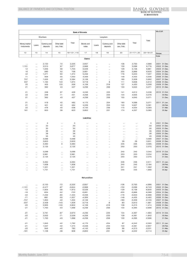|                             |          |                          |                          |                     | <b>Bank of Slovenia</b> |          |                          |                          |                 |                | Mio EUR                 |
|-----------------------------|----------|--------------------------|--------------------------|---------------------|-------------------------|----------|--------------------------|--------------------------|-----------------|----------------|-------------------------|
|                             |          | Short-term               |                          |                     |                         |          | Long-term                |                          |                 |                |                         |
| Money market<br>instruments | Loans    | Currency and<br>deposits | Other debt<br>ass./liab. | Total               | Bonds and<br>notes      | Loans    | Currency and<br>deposits | Other debt<br>ass./liab. | Total           | Total          |                         |
| 12                          | 13       | 14                       | 15                       | $16 = 12 +  + 15$   | 17                      | 18       | 19                       | 20                       | $21 = 17 + .20$ | $22 = 16 + 21$ | Stolpec                 |
|                             |          |                          |                          |                     | Claims                  |          |                          |                          |                 |                | Koda                    |
|                             |          |                          |                          |                     |                         |          |                          |                          |                 |                |                         |
| $\cdots$                    | $\cdots$ | 2,153                    | 72                       | 2,225               | 2,657                   |          | $\cdots$                 | 106                      | 2,763           | 4,988          | 2001 31.Dec.            |
| 1,101                       | $\cdots$ | 2,510                    | 67                       | 3,677               | 2,968                   |          | $\cdots$                 | 130                      | 3,099           | 6,776          | 2002 31.Dec.            |
| 12                          |          | 1,635                    | 56                       | 1,703               | 5,029                   |          | $\cdots$                 | 129                      | 5,158           | 6,861          | 2003 31.Dec.            |
| 16                          |          | 690                      | 52                       | 759                 | 5,661                   | $\cdots$ | $\cdots$                 | 205                      | 5,866           | 6,625          | 2004 31.Dec.            |
| 42                          | $\cdots$ | 1,271                    | 60                       | 1,374               | 5,458                   |          | $\cdots$                 | 176                      | 5,633           | 7,007          | 2005 31.Dec.            |
| 71                          |          | 926                      | 55                       | 1,052               | 4,306                   |          | $\cdots$                 | 148                      | 4,455           | 5,506          | 2006 31.Dec.            |
| 707                         | $\cdots$ | 1,635                    | 42                       | 2,384               | 3,128                   | $\cdots$ | $\cdots$                 | 180                      | 3,309           | 5,692          | 2007 31.Dec.            |
| 337                         |          | 1,194                    | 143                      | 1,674               | 3,718                   |          | 8                        | 111                      | 3,838           | 5,512          | 2008 31.Dec.            |
| 20                          | $\cdots$ | 405                      | 133                      | 558                 | 4,108                   | $\cdots$ | 216                      | 127                      | 4,450           | 5,009          | 2009 31.Dec.            |
| 21                          | $\cdots$ | 362                      | 43                       | 427                 | 4,238                   | $\cdots$ | 256                      | 150                      | 4,645           | 5,071          | 2010 31.Dec.            |
| 21                          |          | 338                      | 67                       | 426                 | 4,246                   |          | 225                      | 141                      | 4,612           | 5,038          | 2010 31.Oct.            |
| 22                          | $\cdots$ | 349                      | 71                       | 441                 | 4,258                   | $\cdots$ | 233                      | 144                      | 4,635           | 5,076          | 30.Nov.                 |
| 21                          |          | 362                      | 43                       | 427                 | 4,238                   | $\cdots$ | 256                      | 150                      | 4,645           | 5,071          | 31.Dec.                 |
| 21                          |          | 419                      | 42                       | 482                 | 4,175                   |          | 254                      | 160                      | 4,588           | 5,071          | 2011 31.Jan.            |
| 21                          | $\cdots$ | 401                      | 42                       | 464                 | 4,228                   | $\cdots$ | 253                      | 145                      | 4,627           | 5,091          | 28.Feb.                 |
| 22                          |          | 476                      | 40                       | 538                 | 4,143                   |          | 236                      | 175                      | 4,554           | 5,093          | 31.Mar.                 |
| 181                         | $\cdots$ | 603                      | 39                       | 823                 | 3,853                   | $\cdots$ | 231                      | 174                      | 4,257           | 5,080          | 30.Apr.                 |
|                             |          |                          |                          |                     |                         |          |                          |                          |                 |                |                         |
|                             |          |                          |                          |                     | Liabilities             |          |                          |                          |                 |                |                         |
|                             |          | $\mathsf{O}\xspace$      |                          | $\mathsf{O}\xspace$ |                         | $\cdots$ | $\cdots$                 |                          |                 | $\mathsf O$    | 2001 31.Dec.            |
|                             | $\cdots$ | 33                       |                          | 33                  | $\cdots$                |          | $\cdots$                 |                          |                 | 33             | 2002 31.Dec.            |
|                             | $\cdots$ | 30                       |                          | 30                  | $\cdots$                |          | $\cdots$                 |                          |                 | 30             | 2003 31.Dec.            |
|                             | $\cdots$ | 36                       |                          | 36                  | $\cdots$                |          | $\cdots$                 |                          |                 | 36             | 2004 31.Dec.            |
| $\cdots$                    |          | 39                       |                          | 39                  | $\cdots$                |          | $\cdots$                 |                          |                 | 39             | 2005 31.Dec.            |
|                             | $\cdots$ | 45                       |                          | 45                  | $\cdots$                |          | $\cdots$                 | $\cdots$                 |                 | 45             | 2006 31.Dec.            |
| $\cdots$                    | $\cdots$ | 3,588                    |                          | 3,588               | $\cdots$                |          | $\cdots$                 | $\ldots$                 | $\ldots$        | 3,588          | 2007 31.Dec.            |
|                             | $\cdots$ | 3,603                    |                          | 3,603               | $\cdots$                |          | $\cdots$                 | 28                       | 28              | 3,631          | 2008 31.Dec.            |
| $\cdots$                    | $\cdots$ | 3,360                    | 0                        | 3,360               | $\cdots$                |          | $\cdots$                 | 235                      | 235             | 3,595          | 2009 31.Dec.            |
|                             | $\cdots$ | 2,125                    |                          | 2,125               | $\cdots$                |          | $\cdots$                 | 250                      | 250             | 2,375          | 2010 31.Dec.            |
|                             | $\cdots$ | 3,099                    |                          | 3,099               | $\cdots$                |          | $\cdots$                 | 245                      | 245             | 3,344          | 2010 31.Oct.            |
|                             |          | 2,981                    |                          | 2,981               | $\cdots$                |          | $\cdots$                 | 253                      | 253             | 3,234          | 30.Nov.                 |
|                             | $\cdots$ | 2,125                    | $\cdots$                 | 2,125               | $\cdots$                |          | $\cdots$                 | 250                      | 250             | 2,375          | 31.Dec.                 |
|                             |          |                          |                          |                     |                         |          |                          |                          |                 |                |                         |
|                             | $\cdots$ | 2,264                    |                          | 2,264               | $\cdots$                |          | $\cdots$                 | 246<br>245               | 246<br>245      | 2,511          | 2011 31.Jan.<br>28.Feb. |
|                             |          | 1,938                    |                          | 1,938               | $\cdots$                | $\cdots$ | $\cdots$                 |                          | 241             | 2,184<br>1,562 |                         |
| $\cdots$                    | $\cdots$ | 1,321<br>1,731           | $\cdots$                 | 1,321<br>1,731      | $\cdots$                |          | $\cdots$                 | 241<br>235               | 235             | 1,966          | 31.Mar.<br>30.Apr.      |
|                             |          |                          |                          |                     |                         |          |                          |                          |                 |                |                         |
|                             |          |                          |                          |                     | <b>Net position</b>     |          |                          |                          |                 |                |                         |
|                             |          |                          |                          |                     |                         |          |                          |                          |                 |                |                         |
| $\ldots$                    | $\cdots$ | $-2,153$                 | $-72$                    | $-2,225$            | $-2,657$                | $\cdots$ | $\cdots$                 | $-106$                   | $-2,763$        | $-4,988$       | 2001 31.Dec.            |
| $-1,101$                    |          | $-2,477$                 | $-67$                    | $-3,644$            | $-2,968$                |          | $\cdots$                 | $-130$                   | $-3,099$        | $-6,743$       | 2002 31.Dec.            |
| $-12$                       | $\cdots$ | $-1,604$                 | $-56$                    | $-1,672$            | $-5,029$                | $\cdots$ | $\cdots$                 | $-129$                   | $-5,158$        | $-6,830$       | 2003 31.Dec.            |
| $-16$                       | $\cdots$ | $-654$                   | $-52$                    | $-723$              | $-5,661$                | $\cdots$ | $\cdots$                 | $-205$                   | $-5,866$        | $-6,589$       | 2004 31.Dec.            |
| $-42$                       | $\cdots$ | $-1,232$                 | -60                      | $-1,334$            | $-5,458$                | $\cdots$ | $\cdots$                 | $-176$                   | $-5,633$        | $-6,968$       | 2005 31.Dec.            |
| $-71$                       | $\cdots$ | $-881$                   | $-55$                    | $-1,007$            | $-4,306$                | $\cdots$ | $\cdots$                 | $-148$                   | $-4,455$        | $-5,462$       | 2006 31.Dec.            |
| $-707$                      | $\cdots$ | 1,953                    | $-42$                    | 1,204               | $-3,128$                | $\cdots$ | $\ldots$                 | $-180$                   | $-3,309$        | $-2,105$       | 2007 31.Dec.            |
| $-337$                      |          | 2,409                    | $-143$                   | 1,929               | $-3,718$                |          | -8                       | $-83$                    | $-3,810$        | $-1,881$       | 2008 31.Dec.            |
| $-20$                       | $\cdots$ | 2,955                    | $-133$                   | 2,802               | $-4,108$                | $\cdots$ | $-216$                   | 108                      | $-4,215$        | $-1,414$       | 2009 31.Dec.            |
| $-21$                       |          | 1,763                    | $-43$                    | 1,698               | $-4,238$                | $\cdots$ | $-256$                   | 100                      | $-4,395$        | $-2,696$       | 2010 31.Dec.            |
| $-21$                       |          | 2,761                    | $-67$                    | 2,673               | $-4,246$                |          | $-225$                   | 104                      | $-4,367$        | $-1,694$       | 2010 31.Oct.            |
| $-22$                       | $\cdots$ | 2,632                    | $-71$                    | 2,539               | $-4,258$                | $\cdots$ | $-233$                   | 109                      | $-4,381$        | $-1,842$       | 30.Nov.                 |
| $-21$                       | $\cdots$ | 1,763                    | $-43$                    | 1,698               | $-4,238$                | $\cdots$ | $-256$                   | 100                      | $-4,395$        | $-2,696$       | 31.Dec.                 |
| $-21$                       | $\cdots$ | 1,845                    | -42                      | 1,782               | $-4, 175$               |          | $-254$                   | 87                       | $-4,342$        | $-2,560$       | 2011 31.Jan.            |
| $-21$                       |          | 1,537                    | $-42$                    | 1,474               | $-4,228$                | $\cdots$ | $-253$                   | 100                      | $-4,381$        | $-2,907$       | 28.Feb.                 |
| $-22$                       |          | 845                      | -40                      | 782                 | $-4, 143$               |          | $-236$                   | 66                       | $-4,313$        | $-3,531$       | 31.Mar.                 |
| $-181$                      | $\cdots$ | 1,128                    | $-39$                    | 908                 | $-3,853$                | $\cdots$ | $-231$                   | 62                       | $-4,022$        | $-3,114$       | 30.Apr.                 |
|                             |          |                          |                          |                     |                         |          |                          |                          |                 |                |                         |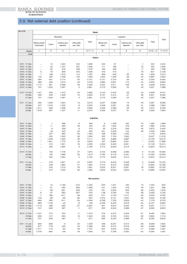**EUROSYSTEM**

# 3.9. Net external debt position (continued)

| Mio EUR      |                             |                |                          |                          | <b>Banks</b>        |                     |                |                          |                          |                |                |
|--------------|-----------------------------|----------------|--------------------------|--------------------------|---------------------|---------------------|----------------|--------------------------|--------------------------|----------------|----------------|
|              |                             |                | Short-term               |                          |                     |                     |                | Long-term                |                          |                |                |
|              | Money market<br>instruments | Loans          | Currency and<br>deposits | Other debt<br>ass./liab. | Total               | Bonds and<br>notes  | Loans          | Currency and<br>deposits | Other debt<br>ass./liab. | Total          | Total          |
| Stolpec      | $\mathbf{1}$                | $\overline{c}$ | 3                        | $\overline{4}$           | $5 = 1 + .4$        | 6                   | $\overline{7}$ | 8                        | 9                        | $10=6+9$       | $11 = 5 + 9$   |
| Koda         |                             |                |                          |                          |                     |                     |                |                          |                          |                |                |
|              |                             |                |                          |                          | Claims              |                     |                |                          |                          |                |                |
| 2001 31.Dec  |                             | 13             | 1,563                    | 324                      | 1,899               | 225                 | 97             | $\cdots$                 | $\mathbf{1}$             | 323            | 2,222          |
| 2002 31.Dec  | $\cdots$                    | 32             | 1,167                    | 307                      | 1,506               | 171                 | 168            | $\cdots$                 | 15                       | 354            | 1,859          |
| 2003 31.Dec. | $\cdots$                    | 62             | 919                      | 338                      | 1,318               | 195                 | 238            | $\cdots$                 | 17                       | 450            | 1,768          |
| 2004 31.Dec  | 5                           | 76             | 906                      | 340                      | 1,328               | 370                 | 413            | $\cdots$                 | 18                       | 801            | 2,129          |
| 2005 31.Dec  | $\mathbf{1}$                | 199            | 1,473                    | 114                      | 1,787               | 908                 | 640            | 33                       | 45                       | 1,626          | 3,413          |
| 2006 31.Dec  | 133                         | 292            | 1,408                    | 126                      | 1,959               | 1,802               | 1,009          | 38                       | 45                       | 2,894          | 4,853          |
| 2007 31.Dec. | 994                         | 927            | 2,174                    | 63                       | 4,157               | 3,121               | 2,102          | 59                       | 44                       | 5,326          | 9,483          |
| 2008 31.Dec  | 985                         | 628            | 1,813                    | 52                       | 3,478               | 2,685               | 2,661          | 115                      | 44                       | 5,505          | 8,983          |
| 2009 31.Dec. | 1,113                       | 801            | 2,396                    | 46                       | 4,356               | 2,234               | 2,511          | 159                      | 44                       | 4,948          | 9,304          |
| 2010 31.Dec. | 741                         | 1,020          | 1,097                    | 4                        | 2,861               | 2,170               | 2,290          | 24                       | 43                       | 4,527          | 7,388          |
|              |                             |                |                          |                          |                     |                     |                |                          |                          |                |                |
| 2010 31.Oct. | 1,161                       | 933            | 1,472                    | 20                       | 3,585               | 2,145               | 2,433          | 26                       | 24                       | 4,628          | 8,214          |
| 30.Nov.      | 956                         | 939            | 1,949                    | 15                       | 3,859               | 2,151               | 2,415          | 27                       | 38                       | 4,631          | 8,490          |
| 31.Dec       | 741                         | 1,020          | 1,097                    | $\overline{4}$           | 2,861               | 2,170               | 2,290          | 24                       | 43                       | 4,527          | 7,388          |
|              |                             |                |                          |                          |                     |                     |                |                          |                          |                |                |
| 2011 31.Jan. | 845                         | 1,028          | 1,624                    | 15                       | 3,512               | 2,247               | 2,286          | 13                       | 40                       | 4,587          | 8,099          |
| 28.Feb.      | 977                         | 1,018          | 1,230                    | 8                        | 3,233               | 2,248               | 2,261          | 29                       | 51                       | 4,589          | 7,822          |
| 31.Mar.      | 1,011                       | 959            | 1,608                    | 14                       | 3,592               | 2,226               | 2,288          | 26                       | 35                       | 4,574          | 8,166          |
| 30.Apr.      | 1,078                       | 957            | 1,227                    | 11                       | 3,273               | 2,266               | 2,257          | 31                       | 36                       | 4,590          | 7,863          |
|              |                             |                |                          |                          | Liabilities         |                     |                |                          |                          |                |                |
|              |                             |                |                          |                          |                     |                     |                |                          |                          |                |                |
| 2001 31.Dec  | $\ddotsc$                   | $\mathbf{1}$   | 396                      | 8                        | 406                 | $\mathsf{O}\xspace$ | 1,328          | 162                      | 73                       | 1,563          | 1,969          |
| 2002 31.Dec  |                             | 11             | 383                      | 46                       | 440                 | 20                  | 1,622          | 279                      | 64                       | 1,985          | 2,425          |
| 2003 31.Dec  |                             | 6              | 558                      | 9                        | 573                 | 33                  | 2,278          | 506                      | 55                       | 2,873          | 3,445          |
| 2004 31.Dec. |                             | 49             | 543                      | 33                       | 625                 | 221                 | 3,206          | 744                      | 58                       | 4,229          | 4,854          |
| 2005 31.Dec  |                             | 537            | 862                      | 65                       | 1,463               | 336                 | 5,393          | 1,450                    | $\cdots$                 | 7,179          | 8,643          |
| 2006 31.Dec  |                             | 204            | 1,342                    | 46                       | 1,592               | 332                 | 7,150          | 1,945                    | $\cdots$                 | 9,427          | 11,019         |
| 2007 31.Dec. | $\ddotsc$                   | 1,509          | 1,563                    | 39                       | 3,111               | 353                 | 9,866          | 2,887                    | $\ddotsc$                | 13,106         | 16,216         |
| 2008 31.Dec  |                             | 1,821          | 1,770                    | 44                       | 3,635               | 437                 | 10,884         | 2,931                    | $\cdots$                 | 14,252         | 17,886         |
| 2009 31.Dec  | $\ddotsc$                   | 315            | 1,931                    | 19                       | 2,265               | 2,033               | 9,425          | 2,691                    |                          | 14,149         | 16,414         |
| 2010 31.Dec. | $\cdots$                    | 494            | 1,694                    | 3                        | 2,190               | 2,772               | 8,633          | 2,413                    | $\cdots$<br>6            | 13,823         | 16,013         |
|              |                             |                |                          |                          |                     |                     |                |                          |                          |                |                |
| 2010 31.Oct. |                             | 163            | 1,776                    | 37                       | 1,975               | 2,725               | 9,008          | 2,385                    | $\overline{c}$           | 14,120         | 16,095         |
| 30.Nov.      | $\cdots$                    | 192            | 1,686                    | 33                       | 1,912               | 2,783               | 9,179          | 2,331                    | $\sqrt{2}$               | 14,295         | 16,206         |
| 31.Dec       | $\cdots$                    | 494            | 1,694                    | 3                        | 2,190               | 2,772               | 8,633          | 2,413                    | 6                        | 13,823         | 16,013         |
| 2011 31.Jan. |                             | 419            | 1,621                    | 47                       | 2,087               | 2,773               | 8,543          | 2,328                    | $\overline{c}$           | 13,646         | 15,732         |
| 28.Feb.      | $\ddotsc$                   | 239            | 1,663                    | 31                       | 1,934               | 2,772               | 8,473          | 2,608                    | $\mathbf{1}$             | 13,855         | 15,789         |
| 31.Mar.      | $\cdots$                    | 243            | 1,515                    | 43                       | 1,801               | 3,032               | 8,331          | 2,581                    | 18                       | 13,962         | 15,763         |
| 30.Apr.      |                             | 273            | 1,333                    | 60                       | 1,665               | 3,003               | 8,054          | 2,624                    | 3                        | 13,685         | 15,350         |
|              |                             |                |                          |                          |                     |                     |                |                          |                          |                |                |
|              |                             |                |                          |                          | <b>Net position</b> |                     |                |                          |                          |                |                |
| 2001 31.Dec. | $\cdots$                    | $-12$          | $-1,166$                 | $-315$                   | $-1,494$            | $-225$              | 1,231          | 162                      | 73                       | 1,240          | $-253$         |
| 2002 31.Dec. | $\cdots$                    | $-21$          | $-784$                   | $-260$                   | $-1,066$            | $-151$              | 1,454          | 279                      | 49                       | 1,631          | 566            |
| 2003 31.Dec. | $\ldots$                    | $-56$          | $-361$                   | $-329$                   | $-745$              | $-161$              | 2,040          | 506                      | 38                       | 2,423          | 1,678          |
| 2004 31.Dec. | $-5$                        | $-27$          | $-363$                   | $-307$                   | $-702$              | $-148$              | 2,793          | 744                      | 39                       | 3,428          | 2,726          |
| 2005 31.Dec. | $-1$                        | 338            | $-611$                   | $-49$                    | $-323$              | $-571$              | 4,753          | 1,417                    | $-45$                    | 5,553          | 5,230          |
| 2006 31.Dec. | $-133$                      | $-88$          | $-66$                    | $-80$                    | $-367$              | $-1,470$            | 6,141          | 1,907                    | $-45$                    | 6,533          | 6,166          |
| 2007 31.Dec. | $-994$                      | 583            | $-611$                   | $-24$                    | $-1,046$            | $-2,768$            | 7,763          | 2,829                    | $-44$                    | 7,779          | 6,733          |
| 2008 31.Dec. |                             |                |                          |                          |                     |                     |                |                          |                          |                |                |
| 2009 31.Dec. | $-985$                      | 1,193          | $-43$                    | -9                       | 156                 | $-2,248$            | 8,223          | 2,816                    | $-44$                    | 8,747          | 8,903          |
| 2010 31.Dec. | $-1, 113$<br>$-741$         | -486<br>$-526$ | $-465$<br>597            | $-27$<br>$-1$            | $-2,091$<br>$-671$  | $-201$<br>602       | 6,915<br>6,342 | 2,532<br>2,388           | $-44$<br>$-37$           | 9,201<br>9,295 | 7,111<br>8,625 |
|              |                             |                |                          |                          |                     |                     |                |                          |                          |                |                |
| 2010 31.Oct. | $-1,161$                    | $-770$         | 304                      | 17                       | $-1,610$            | 579                 | 6,575          | 2,359                    | $-21$                    | 9,492          | 7,882          |
| 30.Nov.      | $-956$                      | $-747$         | $-263$                   | 18                       | $-1,948$            | 632                 | 6,763          | 2,304                    | $-36$                    | 9,664          | 7,716          |
| 31.Dec.      | $-741$                      | $-526$         | 597                      | $-1$                     | $-671$              | 602                 | 6,342          | 2,388                    | $-37$                    | 9,295          | 8,625          |
| 2011 31.Jan. | $-845$                      | $-609$         | $-4$                     | 32                       | $-1,426$            | 526                 | 6,257          | 2,314                    | $-38$                    | 9,059          | 7,634          |
| 28.Feb.      | $-977$                      | $-779$         | 433                      | 24                       | $-1,299$            | 525                 | 6,212          | 2,579                    | $-49$                    | 9,266          | 7,966          |
| 31.Mar.      | $-1,011$                    | $-716$         | $-93$                    | 29                       | $-1,791$            | 807                 | 6,043          | 2,556                    | $-17$                    | 9,388          | 7,597          |
| 30.Apr.      | $-1,078$                    | -684           | 106                      | 49                       | $-1,608$            | 737                 | 5,798          | 2,593                    | $-33$                    | 9,095          | 7,487          |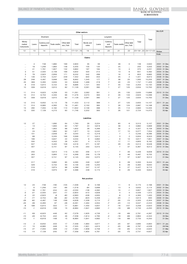|                                |                |                          |                  |                          | Other sectors        |                    |                |                             |                |                          |                   |                  | Mio EUR        |                              |
|--------------------------------|----------------|--------------------------|------------------|--------------------------|----------------------|--------------------|----------------|-----------------------------|----------------|--------------------------|-------------------|------------------|----------------|------------------------------|
|                                |                | Short-term               |                  |                          |                      |                    |                | Long-term                   |                |                          |                   |                  |                |                              |
| Money<br>market<br>instruments | Loans          | Currency and<br>deposits | Trade credits    | Other debt<br>ass./liab. | Total                | Bonds and<br>notes | Loans          | Currency<br>and<br>deposits | Trade credits  | Other debt<br>ass./liab. | Total             | Total            |                |                              |
| 12                             | 13             | 14                       | 15               | 16                       | $17 = 12 + .16$      | 18                 | 19             | 20                          | 21             | 22                       | 23=18+22 24=17+23 |                  | <b>Stolpec</b> |                              |
|                                |                |                          |                  |                          |                      |                    |                |                             |                |                          |                   |                  | Koda           |                              |
|                                |                |                          |                  |                          |                      | Claims             |                |                             |                |                          |                   |                  |                |                              |
| $\cdots$                       | $\overline{4}$ | 748                      | 1,880            | 169                      | 2,800                | 35                 | 56             |                             | 48             | 0                        | 139               | 2,940            |                | 2001 31.Dec.                 |
|                                | 18             | 1,256                    | 1,884            | 148                      | 3,305                | 105                | 120            | $\cdots$                    | 25             |                          | 250               | 3,555            |                | 2002 31.Dec.                 |
| $\cdots$                       | 41             | 1,781                    | 1,907            | 132                      | 3,862                | 167                | 184            |                             | 15             | 4                        | 370               | 4,231            |                | 2003 31.Dec.                 |
| 3                              | 51             | 2,500                    | 2,108            | 169                      | 4,832                | 420                | 212            | $\cdots$                    | 13             | 6                        | 651               | 5,482            |                | 2004 31.Dec.                 |
| 3                              | 78             | 2,923                    | 2,856            | 171                      | 6,032                | 542                | 289            | $\cdots$                    | 16             | 6                        | 853               | 6,885            |                | 2005 31.Dec.                 |
| $\overline{7}$                 | 146            | 3,704                    | 3,247            | 249                      | 7,352                | 840                | 453            | $\cdots$                    | 25             | $\overline{\mathbf{c}}$  | 1,321             | 8,672            |                | 2006 31.Dec.                 |
| 29                             | 248            | 4,497                    | 3,699            | 190                      | 8,662                | 1,345              | 177            | $\overline{7}$              | 38             | 25                       | 1,593             | 10,255           |                | 2007 31.Dec.                 |
| 25                             | 369            | 5,265                    | 3,935            | 53                       | 9,648                | 1,468              | 219            | $\overline{7}$              | 40             | 23                       | 1,757             | 11,405           |                | 2008 31.Dec.                 |
| 9                              | 318            | 5,815                    | 3,722            | 32                       | 9,896                | 1,721              | 350            | $\overline{\mathfrak{c}}$   | 45             | 132                      | 2,254             | 12,150           |                | 2009 31.Dec.                 |
| 10                             | 308            | 6,818                    | 3,910            | 82                       | 11,129               | 2,091              | 390            | 1                           | 27             | 125                      | 2,634             | 13,763           |                | 2010 31.Dec.                 |
| 11                             | 314            | 6,623                    | 4,259            | 53                       | 11,261               | 2,082              | 391            | 1                           | 25             | 135                      | 2,635             | 13,896           |                | 2010 31.Oct.                 |
| 10                             | 312            | 6,753                    | 4,335            | 66                       | 11,476               | 2,070              | 393            | $\sqrt{2}$                  | 26             | 133                      | 2,623             | 14,099           |                | 30.Nov.                      |
| 10                             | 308            | 6,818                    | 3,910            | 82                       | 11,129               | 2,091              | 390            | 1                           | 27             | 125                      | 2,634             | 13,763           |                | 31.Dec.                      |
|                                |                |                          |                  |                          |                      |                    |                |                             |                |                          |                   |                  |                |                              |
| 12                             | 315            | 6,932                    | 4,115            | 78                       | 11,453               | 2,112              | 389            | 1                           | 27             | 125                      | 2,655             | 14,107           |                | 2011 31.Jan.                 |
| 11                             | 314            | 6,995                    | 4,083            | 79                       | 11,481               | 2,150              | 385            | 1                           | 26             | 124                      | 2,687             | 14,168           |                | 28.Feb.<br>31.Mar.           |
| 15<br>12                       | 290<br>330     | 7,055<br>7,129           | 4,182<br>4,215   | 110<br>60                | 11,652<br>11,746     | 2,156<br>2,202     | 388<br>393     | 1<br>1                      | 25<br>26       | 112<br>101               | 2,683<br>2,724    | 14,335<br>14,470 |                | 30.Apr.                      |
|                                |                |                          |                  |                          |                      |                    |                |                             |                |                          |                   |                  |                |                              |
|                                |                |                          |                  |                          |                      | Liabilities        |                |                             |                |                          |                   |                  |                |                              |
|                                |                |                          |                  |                          |                      |                    |                |                             |                |                          |                   |                  |                |                              |
| 12                             | 27             |                          | 1,690            | 64                       | 1,793                | 26                 | 3,224          |                             | 60             | 6                        | 3,315             | 5,107            |                | 2001 31.Dec.                 |
| $\cdots$                       | 13             |                          | 1,693            | 82                       | 1,787                | 22                 | 3,819          |                             | 38             | 4                        | 3,882             | 5,669            |                | 2002 31.Dec.                 |
|                                | 81             | $\ddotsc$                | 1,663            | 88                       | 1,832                | 28                 | 4,266          | $\cdots$                    | 30             | $\overline{c}$           | 4,327             | 6,159            |                | 2003 31.Dec.                 |
|                                | 24             | $\cdots$                 | 1,862            | 92                       | 1,977                | 10                 | 5,040          | $\cdots$                    | 17             | 10                       | 5,077             | 7,054            |                | 2004 31.Dec.                 |
|                                | 101            | $\ddotsc$                | 2,848            | 91                       | 3,040                | 13                 | 5,219          | $\cdots$                    | $\overline{7}$ | $\overline{7}$           | 5,246             | 8,286            |                | 2005 31.Dec.                 |
|                                | 68             | $\cdots$                 | 3,335            | 166                      | 3,569                | 17                 | 5,912          | $\cdots$                    | 3              | $\overline{c}$           | 5,934             | 9,503            |                | 2006 31.Dec.                 |
|                                | 166            | $\cdots$                 | 3,847            | 22                       | 4,034                | 6                  | 3,892          | $\cdots$                    | 9              | 10                       | 3,917             | 7,951            |                | 2007 31.Dec.                 |
|                                | 330            | $\cdots$                 | 4,002            | 26                       | 4,357                | 4                  | 4,773          | $\ddotsc$                   | 17             | 11                       | 4,805             | 9,162            |                | 2008 31.Dec.                 |
|                                | 507            | $\cdots$                 | 3,400            | 109                      | 4,016                | 271                | 5,187          | $\cdots$                    | 29             | 25                       | 5,512             | 9,528            |                | 2009 31.Dec.                 |
|                                | 307            | $\cdots$                 | 3,741            | 97                       | 4,145                | 250                | 5,072          |                             | $\overline{7}$ | 37                       | 5,367             | 9,512            |                | 2010 31.Dec.                 |
|                                | 255            |                          | 3,813            | 115                      | 4,183                | 256                | 5,117          |                             | $\overline{7}$ | 46                       | 5,426             | 9,609            |                | 2010 31.Oct.                 |
|                                | 263            | $\cdots$                 | 3,893            | 112                      | 4,268                | 256                | 5,178          | $\cdots$                    | 8              | 46                       | 5,487             | 9,755            |                | 30.Nov.                      |
|                                | 307            | $\cdots$                 | 3,741            | 97                       | 4,145                | 250                | 5,072          | $\cdots$                    | 7              | 37                       | 5,367             | 9,512            |                | 31.Dec.                      |
|                                |                |                          |                  |                          |                      |                    |                |                             |                |                          |                   |                  |                |                              |
|                                | 317            | $\ddotsc$                | 3,682            | 95                       | 4,095                | 249                | 5,067          |                             | 6              | 28<br>28                 | 5,350             | 9,444            |                | 2011 31.Jan.                 |
|                                | 329<br>316     | $\cdots$                 | 3,734            | 93<br>98                 | 4,156                | 249                | 5,200          | $\cdots$                    | 6<br>6         | 27                       | 5,483             | 9,640            |                | 28.Feb.                      |
| $\cdots$                       | 316            | $\ddotsc$                | 3,874<br>3,975   | 97                       | 4,288<br>4,388       | 247<br>248         | 5,147<br>5,174 |                             |                | 26                       | 5,427<br>5,455    | 9,715<br>9,843   |                | 31.Mar.<br>30.Apr.           |
|                                |                |                          |                  |                          |                      |                    |                |                             |                |                          |                   |                  |                |                              |
|                                |                |                          |                  |                          |                      | Net position       |                |                             |                |                          |                   |                  |                |                              |
|                                |                |                          |                  |                          |                      |                    |                |                             |                |                          |                   |                  |                |                              |
| 12                             | 23             | $-748$                   | $-190$           | $-105$                   | $-1,008$             | -9                 | 3,168          | $\cdots$                    | 11             | 6                        | 3,175             | 2,168            |                | 2001 31.Dec.                 |
| $\cdots$                       | $-5$           | $-1,256$                 | $-191$           | $-66$                    | $-1,518$             | $-84$              | 3,699          | $\cdots$                    | 13             | 4                        | 3,632             | 2,114            |                | 2002 31.Dec.                 |
| $\cdots$                       | 39             | $-1,781$                 | $-244$           | $-44$                    | $-2,030$             | $-139$             | 4,082          | $\cdots$                    | 15             | $-1$                     | 3,957             | 1,927            |                | 2003 31.Dec.                 |
| -3                             | $-27$          | $-2,500$                 | $-247$           | $-77$                    | $-2,854$             | $-410$             | 4,828          | $\cdots$                    | 4              | 4                        | 4,426             | 1,572            |                | 2004 31.Dec.                 |
| $-3$                           | 22             | $-2,923$                 | -8               | -80                      | $-2,993$             | $-528$             | 4,930          | $\cdots$                    | -9             | 0                        | 4,393             | 1,400            |                | 2005 31.Dec.                 |
| $-7$                           | $-77$          | $-3,704$                 | 88               | $-82$                    | $-3,783$             | $-823$             | 5,459          | $\cdots$                    | $-23$          | $-1$                     | 4,613             | 830              |                | 2006 31.Dec.                 |
| $-29$                          | $-82$          | $-4,497$                 | 148              | -169                     | $-4,628$             | $-1,339$           | 3,715          | $-7$                        | -30            | $-15$                    | 2,325             | $-2,304$         |                | 2007 31.Dec.                 |
| $-25$                          | $-39$          | $-5,265$                 | 67               | $-28$                    | $-5,291$             | $-1,464$           | 4,554          | $-7$                        | $-23$          | $-12$                    | 3,047             | $-2,243$         |                | 2008 31.Dec.                 |
| -9<br>$-10$                    | 189<br>$-1$    | $-5,815$<br>$-6,818$     | $-322$<br>$-169$ | 77<br>15                 | $-5,881$<br>$-6,984$ | $-1,450$           | 4,837<br>4,682 | $-7$<br>$-1$                | $-16$<br>$-19$ | $-107$<br>$-88$          | 3,258<br>2,733    | $-2,623$         |                | 2009 31.Dec.<br>2010 31.Dec. |
|                                |                |                          |                  |                          |                      | $-1,841$           |                |                             |                |                          |                   | $-4,250$         |                |                              |
| $-11$                          | $-59$          | $-6,623$                 | $-446$           | 62                       | $-7,078$             | $-1,825$           | 4,726          | $-1$                        | $-18$          | $-89$                    | 2,791             | $-4,287$         |                | 2010 31.Oct.                 |
| $-10$                          | $-49$          | $-6,753$                 | $-442$           | 46                       | $-7,208$             | $-1,814$           | 4,785          | $-2$                        | $-18$          | $-88$                    | 2,864             | $-4,344$         |                | 30.Nov.                      |
| $-10$                          | $-1$           | $-6,818$                 | $-169$           | 15                       | $-6,984$             | -1,841             | 4,682          | $-1$                        | $-19$          | -88                      | 2,733             | $-4,250$         |                | 31.Dec.                      |
| $-12$                          | $\overline{c}$ | $-6,932$                 | $-433$           | 17                       | $-7,358$             | $-1,864$           | 4,677          | $-1$                        | $-20$          | $-97$                    | 2,695             | $-4,663$         |                | 2011 31.Jan.                 |
| -11                            | 15             | $-6,995$                 | $-348$           | 15                       | $-7,325$             | $-1,901$           | 4,815          | $-1$                        | $-20$          | $-96$                    | 2,797             | $-4,528$         |                | 28.Feb.                      |
| $-15$                          | 27             | $-7,055$                 | $-308$           | $-12$                    | $-7,364$             | -1,909             | 4,759          | $-1$                        | $-19$          | $-85$                    | 2,744             | $-4,620$         |                | 31.Mar.                      |
| $-12$                          | $-14$          | $-7,129$                 | $-240$           | 37                       | $-7,358$             | $-1,954$           | 4,781          | $-1$                        | $-20$          | $-75$                    | 2,731             | -4,627           |                | 30.Apr.                      |
|                                |                |                          |                  |                          |                      |                    |                |                             |                |                          |                   |                  |                |                              |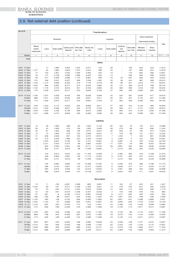| Mio EUR |                              |                                |                  |                      |                          |                          |                      | Total all sectors |                     |                             |                          |                           |                      |                  |
|---------|------------------------------|--------------------------------|------------------|----------------------|--------------------------|--------------------------|----------------------|-------------------|---------------------|-----------------------------|--------------------------|---------------------------|----------------------|------------------|
|         |                              |                                |                  | Short-term           |                          |                          |                      |                   | Long-term           |                             |                          |                           | Direct investment:   |                  |
|         |                              |                                |                  |                      |                          |                          |                      |                   |                     |                             |                          |                           | Intercomapny lending |                  |
|         |                              | Money<br>market<br>instruments | Loans            | <b>Trade credits</b> | Currency and<br>deposits | Other debt<br>ass./liab. | Bonds and<br>notes   | Loans             | Trade credits       | Currency<br>and<br>deposits | Other debt<br>ass./liab. | Affiliated<br>enterprises | Direct<br>investors  | Total            |
|         | Stolpec                      | $\mathbf{1}$                   | $\overline{c}$   | 3                    | 4                        | 5                        | 6                    | 7                 | 8                   | 9                           | 10                       | 11                        | 12                   | $13=1++12$       |
|         | Koda                         |                                |                  |                      |                          |                          |                      |                   |                     |                             |                          |                           |                      |                  |
|         |                              |                                |                  |                      |                          |                          |                      | Claims            |                     |                             |                          |                           |                      |                  |
|         |                              |                                |                  |                      |                          |                          |                      |                   |                     |                             |                          |                           |                      |                  |
|         | 2001 31.Dec.                 |                                | 17               | 1,880                | 4,463                    | 1,452                    | 2,917                | 153               | 48                  | $\cdots$                    | 106                      | 553                       | 223                  | 11,813           |
|         | 2002 31.Dec.                 | 1,101                          | 50               | 1,884                | 4,933                    | 1,373                    | 3,244                | 288               | 25                  | $\cdots$                    | 167                      | 690                       | 324                  | 14,079           |
|         | 2003 31.Dec.                 | 12                             | 103              | 1,907                | 4,335                    | 1,356                    | 5,392                | 422               | 15                  | $\cdots$                    | 170                      | 864                       | 366                  | 14,941           |
|         | 2004 31.Dec.<br>2005 31.Dec. | 24                             | 127<br>277       | 2,108                | 4,096                    | 1,389                    | 6,453                | 625<br>929        | 13                  | $\cdots$<br>33              | 258                      | 836<br>883                | 296                  | 16,225           |
|         | 2006 31.Dec.                 | 48<br>212                      | 438              | 2,856<br>3,247       | 5,668<br>6,037           | 1,175<br>556             | 6,967<br>7,039       | 1,462             | 16<br>25            | 38                          | 267<br>244               | 987                       | 455<br>389           | 19,574<br>20,673 |
|         | 2007 31.Dec.                 | 1,733                          | 1,174            | 3,699                | 8,305                    | 419                      | 7,776                | 2,279             | 38                  | 66                          | 351                      | 1,818                     | 773                  | 28,431           |
|         | 2008 31.Dec.                 | 1,352                          | 996              | 3,935                | 8,272                    | 373                      | 8,053                | 2,880             | 40                  | 131                         | 283                      | 2,019                     | 789                  | 29,125           |
|         | 2009 31.Dec.                 | 1,143                          | 1,119            | 3,722                | 8,616                    | 301                      | 8,195                | 2,860             | 45                  | 382                         | 396                      | 1,918                     | 738                  | 29,434           |
|         | 2010 31.Dec.                 | 773                            | 1,328            | 3,910                | 8,277                    | 223                      | 8,654                | 2,783             | 27                  | 282                         | 409                      | 2,080                     | 955                  | 29,702           |
|         |                              |                                |                  |                      |                          |                          |                      |                   |                     |                             |                          |                           |                      |                  |
|         | 2010 31.Oct.<br>30.Nov.      | 1,193<br>989                   | 1,247<br>1,251   | 4,259<br>4,335       | 8,433<br>9,050           | 336<br>348               | 8,638<br>8,641       | 2,928<br>2,911    | 25<br>26            | 253<br>261                  | 391<br>407               | 2,095<br>2,134            | 817<br>927           | 30,615<br>31,280 |
|         | 31.Dec.                      | 773                            | 1,328            | 3,910                | 8,277                    | 223                      | 8,654                | 2,783             | 27                  | 282                         | 409                      | 2,080                     | 955                  | 29,702           |
|         |                              |                                |                  |                      |                          |                          |                      |                   |                     |                             |                          |                           |                      |                  |
|         | 2011 31.Jan.                 | 878                            | 1,343            | 4,115                | 8,976                    | 330                      | 8,686                | 2,811             | 27                  | 269                         | 416                      | 2,126                     | 966                  | 30,943           |
|         | 28.Feb.                      | 1,010                          | 1,332            | 4,083                | 8,627                    | 323                      | 8,776                | 2,783             | 26                  | 284                         | 411                      | 2,121                     | 1,035                | 30,810           |
|         | 31.Mar.                      | 1,049                          | 1,249            | 4,182                | 9,139                    | 509                      | 8,672                | 2,884             | 25                  | 264                         | 413                      | 2,100                     | 1,009                | 31,495           |
|         | 30.Apr.                      | 1,272                          | 1,286            | 4,215                | 8,959                    | 456                      | 8,469                | 2,858             | 26                  | 264                         | 402                      | 2,096                     | 925                  | 31,229           |
|         |                              |                                |                  |                      |                          |                          |                      | Liabilities       |                     |                             |                          |                           |                      |                  |
|         | 2001 31.Dec.                 | 15                             | 28               | 1,690                | 396                      | 84                       | 1,934                | 5,134             | 60                  | 162                         | 79                       | 130                       | 674                  | 10,386           |
|         | 2002 31.Dec.                 | 56                             | 24               | 1,693                | 416                      | 138                      | 1,935                | 5,909             | 38                  | 279                         | 68                       | 163                       | 806                  | 11,524           |
|         | 2003 31.Dec.                 | 32                             | 87               | 1,663                | 588                      | 106                      | 2,070                | 6,927             | 30                  | 506                         | 57                       | 185                       | 974                  | 13,225           |
|         | 2004 31.Dec.                 | 13                             | 73               | 1,862                | 579                      | 133                      | 2,096                | 8,627             | 17                  | 744                         | 68                       | 131                       | 1,001                | 15,343           |
|         | 2005 31.Dec.                 | 21                             | 638              | 2,848                | 901                      | 165                      | 2,070                | 10,974            | $\overline{7}$      | 1,450                       | $\boldsymbol{7}$         | 433                       | 981                  | 20,496           |
|         | 2006 31.Dec.                 | 24                             | 273              | 3,335                | 1,386                    | 222                      | 2,456                | 13,304            | 3                   | 1,945                       | $\overline{c}$           | 191                       | 928                  | 24,067           |
|         | 2007 31.Dec.<br>2008 31.Dec. |                                | 1,675<br>2,151   | 3,847<br>4,002       | 5,150<br>5,374           | 60<br>69                 | 3,191<br>3,992       | 13,961<br>15,837  | 9<br>17             | 2,887<br>2,931              | 10<br>43                 | 230<br>266                | 3,762<br>4,552       | 34,783<br>39,234 |
|         | 2009 31.Dec.                 | $\cdots$<br>                   | 822              | 3,400                | 5,291                    | 128                      | 8,711                | 14,762            | 29                  | 2,691                       | 263                      | 362                       | 3,836                | 40,294           |
|         | 2010 31.Dec.                 |                                | 802              | 3,741                | 3,819                    | 99                       | 11,039               | 13,852            | $\overline{7}$      | 2,413                       | 295                      | 403                       | 4,229                | 40,699           |
|         |                              |                                |                  |                      |                          |                          |                      |                   |                     |                             |                          |                           |                      |                  |
|         | 2010 31.Oct.                 |                                | 418              | 3,813                | 4,875                    | 152                      | 11,160               | 14,258            | $\overline{7}$      | 2,385                       | 296                      | 379                       | 4,168                | 41,910           |
|         | 30.Nov.<br>31.Dec.           | <br>                           | 456<br>802       | 3,893<br>3,741       | 4,667<br>3,819           | 146<br>99                | 11,175<br>11,039     | 14,504<br>13,852  | 8<br>$\overline{7}$ | 2,331<br>2,413              | 303<br>295               | 431<br>403                | 4,314<br>4,229       | 42,226<br>40,699 |
|         |                              |                                |                  |                      |                          |                          |                      |                   |                     |                             |                          |                           |                      |                  |
|         | 2011 31.Jan.                 |                                | 736              | 3,682                | 3,885                    | 142                      | 12,366               | 13,760            | 6                   | 2,328                       | 278                      | 398                       | 4,188                | 41,770           |
|         | 28.Feb.                      |                                | 569              | 3,734                | 3,601                    | 125                      | 12,372               | 13,824            | 6                   | 2,608                       | 277                      | 417                       | 4,205                | 41,737           |
|         | 31.Mar.<br>30.Apr.           |                                | 560<br>588       | 3,874<br>3,975       | 2,836<br>3,064           | 140<br>157               | 14,075<br>13,728     | 13,625<br>13,375  | 6<br>6              | 2,581<br>2,624              | 288<br>267               | 434<br>411                | 4,280<br>4,307       | 42,698<br>42,503 |
|         |                              |                                |                  |                      |                          |                          |                      |                   |                     |                             |                          |                           |                      |                  |
|         |                              |                                |                  |                      |                          |                          |                      | Net position      |                     |                             |                          |                           |                      |                  |
|         | 2001 31.Dec.                 | 15                             | 11               | $-190$               | $-4,067$                 | $-1,368$                 | $-983$               | 4,981             | 11                  | 162                         | $-27$                    | $-423$                    | 451                  | $-1,427$         |
|         | 2002 31.Dec.                 | $-1,044$                       | $-26$            | $-191$               | $-4,517$                 | $-1,236$                 | $-1,309$             | 5,621             | 13                  | 279                         | $-100$                   | $-527$                    | 482                  | $-2,555$         |
|         | 2003 31.Dec.                 | 20                             | $-16$            | $-244$               | $-3,747$                 | $-1,250$                 | $-3,322$             | 6,505             | 15                  | 506                         | $-113$                   | $-678$                    | 608                  | $-1,716$         |
|         | 2004 31.Dec.                 | $-12$                          | $-54$            | $-247$               | $-3,518$                 | $-1,256$                 | $-4,357$             | 8,002             | $\overline{4}$      | 744                         | $-190$                   | $-705$                    | 705                  | $-882$           |
|         | 2005 31.Dec.<br>2006 31.Dec. | $-27$<br>$-188$                | 361<br>$-165$    | -8<br>88             | $-4,766$<br>$-4,651$     | $-1,010$<br>$-334$       | $-4,897$<br>$-4,583$ | 10,046<br>11,842  | -9<br>$-23$         | 1,417<br>1,907              | $-260$<br>$-242$         | $-450$<br>$-796$          | 526<br>539           | 922<br>3,395     |
|         | 2007 31.Dec.                 | $-1,733$                       | 500              | 148                  | $-3,155$                 | $-359$                   | $-4,585$             | 11,682            | $-30$               | 2,821                       | $-341$                   | $-1,588$                  | 2,989                | 6,351            |
|         | 2008 31.Dec.                 | $-1,352$                       | 1,154            | 67                   | $-2,899$                 | $-304$                   | $-4,061$             | 12,957            | $-23$               | 2,800                       | $-240$                   | $-1,754$                  | 3,763                | 10,109           |
|         | 2009 31.12.                  | $-1, 143$                      | $-297$           | $-322$               | $-3,325$                 | $-173$                   | 516                  | 11,901            | $-16$               | 2,309                       | $-133$                   | $-1,555$                  | 3,098                | 10,860           |
|         | 2010 31.Dec.                 | $-773$                         | $-526$           | $-169$               | $-4,458$                 | $-124$                   | 2,386                | 11,069            | $-19$               | 2,130                       | $-115$                   | $-1,677$                  | 3,274                | 10,997           |
|         |                              |                                |                  |                      |                          |                          |                      |                   |                     |                             |                          |                           |                      |                  |
|         | 2010 31.Oct.<br>30.Nov.      | $-1,193$<br>$-989$             | $-830$<br>$-796$ | $-446$<br>$-442$     | $-3,558$<br>$-4,383$     | $-184$<br>$-202$         | 2,522<br>2,533       | 11,330<br>11,594  | $-18$<br>$-18$      | 2,132<br>2,070              | $-95$<br>$-104$          | $-1,716$<br>$-1,704$      | 3,351<br>3,388       | 11,295<br>10,946 |
|         | 31.Dec.                      | $-773$                         | $-526$           | $-169$               | $-4,458$                 | $-124$                   | 2,386                | 11,069            | $-19$               | 2,130                       | $-115$                   | $-1,677$                  | 3,274                | 10,997           |
|         |                              |                                |                  |                      |                          |                          |                      |                   |                     |                             |                          |                           |                      |                  |
|         | 2011 31.Jan.                 | $-878$                         | $-607$           | $-433$               | $-5,090$                 | $-188$                   | 3,680                | 10,949            | $-20$               | 2,059                       | $-138$                   | $-1,727$                  | 3,222                | 10,827           |
|         | 28.Feb.                      | $-1,010$                       | $-764$           | $-348$               | $-5,026$                 | $-198$                   | 3,596                | 11,042            | $-20$               | 2,324                       | $-135$                   | $-1,704$                  | 3,170                | 10,927           |
|         | 31.03.                       | $-1,049$                       | $-689$           | $-308$               | $-6,303$                 | -369                     | 5,403                | 10,741            | $-19$               | 2,318                       | $-125$                   | $-1,666$                  | 3,271                | 11,203           |
|         | 30.Apr.                      | $-1,272$                       | $-698$           | $-240$               | $-5,896$                 | $-299$                   | 5,258                | 10,517            | $-20$               | 2,360                       | $-135$                   | $-1,685$                  | 3,383                | 11,274           |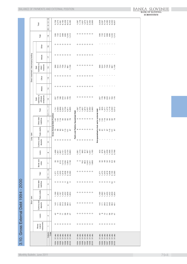|                                         | Total                                               | $20 = 6 + 12 + 19$            |      |                                     | 3,706          | 4,275                                                                | 5,381           | 6,165          | 6,459          |                | 8,012<br>9,490                                                                                                                                                           |                                     | 1,097          | 1,178                                 | 1,657                   | 1,875          | 2,007          |                | 2,462<br>2,883    |                                            |                | 2,609<br>3,097    | 3,724             | 4,290             | 4,452          | 5,550          | 6,607                                                                                          |
|-----------------------------------------|-----------------------------------------------------|-------------------------------|------|-------------------------------------|----------------|----------------------------------------------------------------------|-----------------|----------------|----------------|----------------|--------------------------------------------------------------------------------------------------------------------------------------------------------------------------|-------------------------------------|----------------|---------------------------------------|-------------------------|----------------|----------------|----------------|-------------------|--------------------------------------------|----------------|-------------------|-------------------|-------------------|----------------|----------------|------------------------------------------------------------------------------------------------|
|                                         | Total                                               | $\frac{0}{1}$                 |      |                                     | 595            | 722                                                                  | 910             | 999            | 895            | 1,045          | 1,312                                                                                                                                                                    |                                     |                | 00000000                              |                         |                |                |                |                   |                                            | 595            |                   | $722$<br>910      | 999               | 895            | 1,045          | 1,312                                                                                          |
|                                         | Other                                               | $\frac{8}{1}$                 |      |                                     |                | 00000000                                                             |                 |                |                |                |                                                                                                                                                                          |                                     |                | 00000000                              |                         |                |                |                |                   |                                            |                | $\,$              | $\mathbf{u}$      | $\,$              | $\,$           | ×              | $\overline{\phantom{a}}$                                                                       |
|                                         | Arears                                              | $\overline{1}$                |      |                                     |                | $\circ\circ\circ\circ\circ\circ\circ$                                |                 |                |                |                |                                                                                                                                                                          |                                     |                | $\circ\circ\circ\circ\circ\circ\circ$ |                         |                |                |                |                   |                                            |                | $\mathbf{r}$      | $\,$              | $\blacksquare$    | $\,$           | $\,$           |                                                                                                |
| Direct investment: Intercompany lending | liabilities to<br>investors<br>direct<br>Debt       | 16                            |      |                                     | 388            | 544                                                                  | 724             | 756            | 744            | 881            | 1,136                                                                                                                                                                    |                                     |                | 00000000                              |                         |                |                |                |                   |                                            | 388            |                   | 544<br>724        | 756               | 744            | 881            | 1,136                                                                                          |
|                                         | Other                                               | $\frac{10}{10}$               |      |                                     |                | 00000000                                                             |                 |                |                |                |                                                                                                                                                                          |                                     |                | 00000000                              |                         |                |                |                |                   |                                            | ٠              | $\mathbf{r}$      | $\,$              | $\mathbf{u}$      | $\blacksquare$ |                |                                                                                                |
|                                         | Arrears                                             | $\frac{4}{3}$                 |      |                                     |                | $\circ\circ\circ\circ\circ\circ\circ$                                |                 |                |                |                |                                                                                                                                                                          |                                     |                | 00000000                              |                         |                |                |                |                   |                                            |                |                   | $\mathbf{u}$      |                   |                |                |                                                                                                |
|                                         | liabilities to<br>enterprises<br>affiliated<br>Debt | $\frac{8}{1}$                 |      |                                     | 207            | 178                                                                  | 186             | 243            |                |                | $154$<br>$164$<br>$176$                                                                                                                                                  |                                     |                | 00000000                              |                         |                |                |                |                   |                                            | 207            |                   |                   |                   |                |                | $178$<br>$186$<br>$245$<br>$164$<br>$176$                                                      |
|                                         | Total                                               | $= 7 +  + 1$<br>$\frac{2}{1}$ |      |                                     | 1,741          | 2,083                                                                | 2,968           | 3,347          | 3,726          | 4,811          | 5,895                                                                                                                                                                    |                                     | 1,097          | 1,178                                 | 1,657                   | 1,875          | 2,007          | 2,462          | 2,883             |                                            | 644            | 905               | 1,311             | 1,472             | 1,719          | 2,350          | 3,012                                                                                          |
|                                         | Other debt<br>liabilities                           | $\overline{1}$                |      | <b>Gross External Debt Position</b> | 140            | 134                                                                  | 118             | $\overline{9}$ | $_{\rm 83}$    | 82<br>78       |                                                                                                                                                                          | Public and Publicly Guaranteed Debt |                | $\circ\circ\circ\circ\circ\circ\circ$ |                         |                |                |                |                   | Non-guaranteed privat sector external debt | 140            | 134               | 118               |                   |                |                | 98887                                                                                          |
| Long-term                               | Trade credits                                       | $\frac{1}{2}$                 |      |                                     | $\overline{C}$ | 8                                                                    | $\frac{82}{87}$ |                | 115            | 101            | $\overline{8}$                                                                                                                                                           |                                     |                | 0 0 0 0 0 0 0                         |                         |                |                |                |                   |                                            |                | 6770              |                   |                   |                |                | $100$<br>$100$<br>$87$                                                                         |
|                                         | Currency and<br>deposits                            | တ                             |      |                                     |                | 00000000                                                             |                 |                |                |                |                                                                                                                                                                          |                                     |                | $\circ\circ\circ\circ\circ\circ\circ$ |                         |                |                |                |                   |                                            | $\,$           | J,                | $\,$              | $\blacksquare$    | $\blacksquare$ | $\mathbf{r}$   | $\blacksquare$                                                                                 |
|                                         | Loans                                               |                               |      |                                     | 1,496          | 1,851                                                                | 1,957           | 2,151          | 2,433          | 3,134          | 3,983                                                                                                                                                                    |                                     | 1091           | 1,173                                 | 890                     | 912            | 967            | 1,031          | 1,195             |                                            | 405            | 678               | 1,067             | 1,239             | 1,466          | 2,103          | 2,788                                                                                          |
|                                         | Bonds and<br>notes                                  | $\sim$                        |      |                                     |                | 5<br>5<br>5<br>5                                                     |                 |                |                |                | 810<br>1,015<br>1,494<br>1,748                                                                                                                                           |                                     |                | $\circ$ $\circ$                       | 762                     | 963            | 1,040          | 1,431          | 1,688             |                                            |                |                   |                   |                   |                |                | 5<br>5 5 5 5 7 5 6 7                                                                           |
|                                         | Total                                               | $= 1 +  + 5$<br>$\circ$       |      |                                     |                | $1,371$<br>$1,470$                                                   |                 |                |                |                | $\begin{array}{cccc}\n & 5 & 0 & 3 \\  & 7 & 8 & 3 & 6 & 6 \\  & 8 & 9 & 6 & 5 & 6 \\  & 9 & 9 & 3 & 5 & 6 \\  & 1 & 9 & 3 & 5 & 3 \\  & 2 & 9 & 3 & 5 & 3\n\end{array}$ |                                     |                | $\circ\circ\circ\circ\circ\circ\circ$ |                         |                |                |                |                   |                                            |                |                   |                   |                   |                |                | $\begin{array}{cccc}\n1.371 \\ 7.470 \\ 1.503 \\ 8.63 \\ 1.503 \\ 1.503 \\ 2.283\n\end{array}$ |
|                                         | Other debt<br>liabilities                           | LO                            |      |                                     |                | $\circ \circ \circ \circ \circ \circ \underset{\omega}{\circ} \circ$ |                 |                |                |                |                                                                                                                                                                          |                                     |                | 00000000                              |                         |                |                |                |                   |                                            |                |                   |                   |                   |                |                | $\circ \circ \circ \circ \circ \circ \underset{\omega}{\circ} \circ$                           |
| Short-term                              | Trade credits                                       | 4                             |      |                                     |                |                                                                      |                 |                |                |                |                                                                                                                                                                          |                                     |                | $\circ\circ\circ\circ\circ\circ\circ$ |                         |                |                |                |                   |                                            |                |                   |                   |                   |                |                |                                                                                                |
|                                         | Currency and<br>deposits                            | S                             |      |                                     |                | $140$<br>$171$                                                       |                 | 0.78804        |                |                |                                                                                                                                                                          |                                     |                | $\circ\circ\circ\circ\circ\circ\circ$ |                         |                |                |                |                   |                                            | 140            | 171               |                   |                   |                |                |                                                                                                |
|                                         | Loans                                               | $\sim$                        |      |                                     |                | 4 9 2 7 8 9 7 4                                                      |                 |                |                |                |                                                                                                                                                                          |                                     |                | 00000000                              |                         |                |                |                |                   |                                            |                |                   |                   |                   |                |                | ねっとけるりです                                                                                       |
|                                         | instruments<br>market<br>Money                      | ÷                             |      |                                     |                | 00000000                                                             |                 |                |                |                |                                                                                                                                                                          |                                     |                | 00000000                              |                         |                |                |                |                   |                                            |                |                   |                   |                   |                |                | 00000000                                                                                       |
|                                         |                                                     | Column                        | Code |                                     | 31.dec<br>1994 | 31.dec<br>1995                                                       | 31.dec<br>1996  | 31.dec<br>1997 | 31.dec<br>1998 | 31.dec<br>1999 | 31.dec<br>2000                                                                                                                                                           |                                     | 31.dec<br>1994 | 1995                                  | $31.\text{dec}$<br>1996 | 31.dec<br>1997 | 31.dec<br>1998 | 31.dec<br>1999 | $31$ .dec<br>2000 |                                            | 31.dec<br>1994 | $31$ .dec<br>1995 | $31$ .dec<br>1996 | $31$ .dec<br>1997 | 31.dec<br>1998 | 31.dec<br>1999 | 31.dec<br>2000                                                                                 |

3.10. Gross External Debt 1994 - 2000

3.10. Gross External Debt 1994 - 2000

#### BANKA SLOVENIJE BANK OF SLOVENIA **EUROSYSTEM**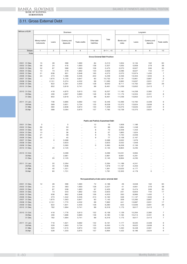**EUROSYSTEM**

## 3.11. Gross External Debt

| Millions of EUR              |                             |                      | Short-term                |                         |                                             |                |                    | Long-term        |                          |                      |
|------------------------------|-----------------------------|----------------------|---------------------------|-------------------------|---------------------------------------------|----------------|--------------------|------------------|--------------------------|----------------------|
|                              | Money market<br>instruments | Loans                | Currency and<br>deposuits | Trade credits           | Other debt<br>liabilities                   | Total          | Bonds and<br>notes | Loans            | Currency and<br>deposits | Trade credits        |
| Stolpec                      | $\mathbf{1}$                | $\sqrt{2}$           | 3                         | $\overline{\mathbf{4}}$ | 5                                           | $6 = 1 +  + 5$ | $\sqrt{7}$         | 8                | 9                        | 10                   |
| Koda                         |                             |                      |                           |                         |                                             |                |                    |                  |                          |                      |
|                              |                             |                      |                           |                         | <b>Gross External Debt Position</b>         |                |                    |                  |                          |                      |
|                              |                             |                      |                           |                         |                                             |                |                    |                  |                          |                      |
| 2001 31.Dec.                 | 15                          | 28                   | 396                       | 1,690                   | 84                                          | 2,213          | 1,934              | 5,134            | 162                      | 60                   |
| 2002 31.Dec.                 | 56                          | 24                   | 416                       | 1,693                   | 138                                         | 2,327          | 1,935              | 5,909            | 279                      | 38                   |
| 2003 31.Dec.<br>2004 31.Dec. | 32<br>13                    | 87<br>73             | 588<br>579                | 1,663                   | 106<br>133                                  | 2,475<br>2,659 | 2,070<br>2,096     | 6,927<br>8,627   | 506<br>744               | 30<br>17             |
| 2005 31.Dec.                 | 21                          | 638                  | 901                       | 1,862<br>2,848          | 165                                         | 4,573          | 2,070              | 10,974           | 1,450                    | $\overline{7}$       |
| 2006 31.Dec.                 | 24                          | 273                  | 1,386                     | 3,335                   | 222                                         | 5,239          | 2,456              | 13,304           | 1,945                    | 3                    |
| 2007 31.Dec.                 | $\cdots$                    | 1,675                | 5,150                     | 3,847                   | 60                                          | 10,732         | 3,191              | 13,961           | 2,887                    | 9                    |
| 2008 31.Dec.                 | $\cdots$                    | 2,151                | 5,374                     | 4,002                   | 69                                          | 11,595         | 3,992              | 15,837           | 2,931                    | 17                   |
| 2009 31.Dec.                 | $\cdots$                    | 822                  | 5,291                     | 3,400                   | 128                                         | 9,640          | 8,711              | 14,762           | 2,691                    | 29                   |
| 2010 31.Dec.                 | $\cdots$                    | 802                  | 3,819                     | 3,741                   | 99                                          | 8,461          | 11,039             | 13,852           | 2,413                    | $\overline{7}$       |
|                              |                             |                      |                           |                         |                                             |                |                    |                  |                          |                      |
| 2010 31.Oct.<br>30.Nov.      | $\cdots$                    | 418<br>456           | 4,875<br>4,667            | 3,813<br>3,893          | 152<br>146                                  | 9,257<br>9,160 | 11,160<br>11,175   | 14,258<br>14,504 | 2,385                    | $\overline{7}$<br>8  |
| 31.Dec.                      | $\cdots$<br>$\cdots$        | 802                  | 3,819                     | 3,741                   | 99                                          | 8,461          | 11,039             | 13,852           | 2,331<br>2,413           | $\overline{7}$       |
|                              |                             |                      |                           |                         |                                             |                |                    |                  |                          |                      |
| 2011 31.Jan.                 | $\cdots$                    | 736                  | 3,885                     | 3,682                   | 142                                         | 8,446          | 12,366             | 13,760           | 2,328                    | 6                    |
| 28.Feb.                      | $\cdots$                    | 569                  | 3,601                     | 3,734                   | 125                                         | 8,028          | 12,372             | 13,824           | 2,608                    | 6                    |
| 31.Mar.                      | $\cdots$                    | 560                  | 2,836                     | 3,874                   | 140                                         | 7,409          | 14,075             | 13,625           | 2,581                    | 6                    |
| 30.Apr.                      | $\cdots$                    | 588                  | 3,064                     | 3,975                   | 157                                         | 7,785          | 13,728             | 13,375           | 2,624                    | 6                    |
|                              |                             |                      |                           |                         |                                             |                |                    |                  |                          |                      |
|                              |                             |                      |                           |                         |                                             |                |                    |                  |                          |                      |
|                              |                             |                      |                           |                         | Public and Publicly Guaranteed Debt         |                |                    |                  |                          |                      |
|                              |                             |                      |                           |                         |                                             |                |                    |                  |                          |                      |
| 2001 31.Dec.<br>2002 31.Dec. | 3<br>56                     | $\cdots$             | $\mathsf O$<br>33         |                         | 12<br>10                                    | 15<br>99       | 1,908              | 1,186<br>1,248   |                          |                      |
| 2003 31.Dec.                 | 32                          | $\cdots$<br>$\cdots$ | 30                        | $\ddotsc$<br>           | 8                                           | 70             | 1,894<br>2,008     | 1,453            | <br>                     |                      |
| 2004 31.Dec.                 | 13                          | $\cdots$             | 36                        | $\cdots$                | 8                                           | 57             | 1,865              | 1,824            | $\cdots$                 | <br>                 |
| 2005 31.Dec.                 | 21                          | $\cdots$             | 39                        |                         | $\mathsf g$                                 | 70             | 1,720              | 2,009            |                          |                      |
| 2006 31.Dec.                 | 24                          |                      | 45                        | $\cdots$                | 9                                           | 77             | 2,108              | 2,167            |                          |                      |
| 2007 31.Dec.                 | $\cdots$                    | 0                    | 3,588                     | $\cdots$                |                                             | 3,588          | 2,832              | 1,676            | $\cdots$                 |                      |
| 2008 31.Dec.                 | $\cdots$                    | $\cdots$             | 3,603                     | $\cdots$                |                                             | 3,603          | 3,552              | 1,949            | $\cdots$                 |                      |
| 2009 31.Dec.                 | $\cdots$                    | $\ldots$             | 3,360                     | $\cdots$                | 0                                           | 3,360          | 8,208              | 2,156            | $\cdots$                 |                      |
| 2010 31.Dec.                 | $\cdots$                    | 20                   | 2,125                     | $\cdots$                | $\cdots$                                    | 2,145          | 9,864              | 4,235            | $\cdots$                 | $\cdots$             |
| 2010 31.Oct.                 | $\cdots$                    | $\cdots$             | 3,099                     | $\cdots$                | $\cdots$                                    | 3,099          | 10,031             | 3,994            | $\cdots$                 |                      |
| 30.Nov.                      |                             | $\ldots$             | 2,981                     |                         |                                             | 2,981          | 9,991              | 4,291            |                          |                      |
| 31.Dec.                      | $\cdots$                    | 20                   | 2,125                     | $\cdots$                | $\cdots$                                    | 2,145          | 9,864              | 4,235            | $\cdots$                 |                      |
|                              |                             |                      |                           |                         |                                             |                |                    |                  |                          |                      |
| 2011 31.Jan.                 |                             | 20                   | 2,264                     | $\ddotsc$               |                                             | 2,284          | 11,189             | 4,241            |                          |                      |
| 28.Feb.<br>31.Mar.           | $\cdots$                    | 40<br>40             | 1,938<br>1,321            |                         |                                             | 1,978<br>1,361 | 11,197<br>12,625   | 4,203<br>4,177   |                          |                      |
| 30.Apr.                      | $\cdots$                    | 60                   | 1,731                     | $\cdots$<br>            | $\cdots$                                    | 1,791          | 12,305             | 4,179            |                          | $\cdots$             |
|                              |                             |                      |                           |                         |                                             |                |                    |                  |                          |                      |
|                              |                             |                      |                           |                         |                                             |                |                    |                  |                          |                      |
|                              |                             |                      |                           |                         | Non-guaranteed private sector external debt |                |                    |                  |                          |                      |
| 2001 31.Dec.                 | 12                          | 28                   | 396                       | 1,690                   | 72                                          | 2,198          | 26                 | 3,948            | 162                      | 60                   |
| 2002 31.Dec.                 | $\cdots$                    | 24                   | 383                       | 1,693                   | 128                                         | 2,227          | 41                 | 4,661            | 279                      | 38                   |
| 2003 31.Dec.                 | $\cdots$                    | 87                   | 558                       | 1,663                   | 97                                          | 2,405          | 62                 | 5,474            | 506                      | 30                   |
| 2004 31.Dec.                 | $\cdots$                    | 73                   | 543                       | 1,862                   | 125                                         | 2,603          | 231                | 6,803            | 744                      | 17                   |
| 2005 31.Dec.                 | $\cdots$                    | 638                  | 862                       | 2,848                   | 156                                         | 4,503          | 350                | 8,966            | 1,450                    | $\overline{7}$       |
| 2006 31.Dec.                 | $\cdots$                    | 273                  | 1,342                     | 3,335                   | 213                                         | 5,162          | 349                | 11,137           | 1,945                    | 3                    |
| 2007 31.Dec.                 | $\cdots$                    | 1,675                | 1,563                     | 3,847                   | 60                                          | 7,145          | 359                | 12,285           | 2,887                    | 9                    |
| 2008 31.Dec.                 | $\cdots$                    | 2,151                | 1,770                     | 4,002                   | 69                                          | 7,992          | 441                | 13,887           | 2,931                    | 17                   |
| 2009 31.Dec.<br>2010 31.Dec. | $\cdots$                    | 822<br>782           | 1,931<br>1,694            | 3,400<br>3,741          | 128<br>99                                   | 6,280<br>6,316 | 503<br>1,175       | 12,606<br>9,617  | 2,691<br>2,413           | 29<br>$\overline{7}$ |
|                              | $\cdots$                    |                      |                           |                         |                                             |                |                    |                  |                          |                      |
| 2010 31.Oct.                 | $\cdots$                    | 418                  | 1,776                     | 3,813                   | 152                                         | 6,158          | 1,129              | 10,264           | 2,385                    | $\overline{7}$       |
| 30.Nov.                      | $\cdots$                    | 456                  | 1,686                     | 3,893                   | 146                                         | 6,180          | 1,184              | 10,214           | 2,331                    | 8                    |
| 31.Dec.                      | $\cdots$                    | 782                  | 1,694                     | 3,741                   | 99                                          | 6,316          | 1,175              | 9,617            | 2,413                    | $\overline{7}$       |
|                              |                             |                      |                           |                         |                                             |                |                    |                  |                          | 6                    |
| 2011 31.Jan.<br>28.Feb.      | $\cdots$<br>                | 716<br>529           | 1,621<br>1,663            | 3,682<br>3,734          | 142<br>125                                  | 6,161<br>6,050 | 1,177<br>1,175     | 9,520<br>9,622   | 2,328<br>2,608           | 6                    |
| 31.Mar.                      | $\cdots$                    | 520                  | 1,515                     | 3,874                   | 140                                         | 6,049          | 1,450              | 9,448            | 2,581                    | 6                    |
| 30.Apr.                      |                             | 528                  | 1,333                     | 3,975                   | 157                                         | 5,994          | 1,422              | 9,196            | 2,624                    | 6                    |
|                              |                             |                      |                           |                         |                                             |                |                    |                  |                          |                      |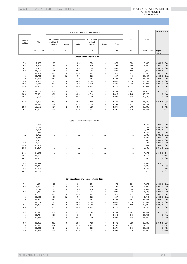|                |                  |                  |                              |               | Direct investment: Intercompany lending     |                              |                |                |                  | Millions of EUR              |
|----------------|------------------|------------------|------------------------------|---------------|---------------------------------------------|------------------------------|----------------|----------------|------------------|------------------------------|
|                |                  |                  |                              |               |                                             |                              |                |                |                  |                              |
| Other debt     |                  | Debt liabilities |                              |               | Debt liabilities                            |                              |                | Total          | Total            |                              |
| liabilities    | Total            | to affiliated    |                              |               | to direct                                   |                              |                |                |                  |                              |
|                |                  | enterprises      | Arrears                      | Other         | investors                                   | Arrears                      | Other          |                |                  |                              |
| 11             | $12=7++11$       | 13               | 14                           | 15            | 16                                          | 17                           | 18             | 19             | $20=6+12+19$     | Stolpec                      |
|                |                  |                  |                              |               |                                             |                              |                |                |                  | Koda                         |
|                |                  |                  |                              |               | <b>Gross External Debt Position</b>         |                              |                |                |                  |                              |
| 79             | 7,369            | 130              |                              | 130           | 674                                         | $\sqrt{4}$                   | 670            | 804            | 10,386           | 2001 31.Dec.                 |
| 68             | 8,229            | 163              | $\mathsf{O}\xspace$          | 163           | 806                                         | $\overline{7}$               | 799            | 969            | 11,524           | 2002 31.Dec.                 |
| 57             | 9,590            | 185              | 0                            | 185           | 974                                         | 8                            | 966            | 1,160          | 13,225           | 2003 31.Dec.                 |
| 68             | 11,552           | 131              | $\mathbf{1}$                 | 131           | 1,001                                       | 9                            | 992            | 1,132          | 15,343           | 2004 31.Dec.                 |
| $\overline{7}$ | 14,509           | 433              | $\mathsf O$                  | 433           | 981                                         | 5                            | 976            | 1,415          | 20,496           | 2005 31.Dec.                 |
| $\overline{c}$ | 17,709           | 191              | 12                           | 179           | 928                                         | 31                           | 897            | 1,119          | 24,067           | 2006 31.Dec.                 |
| 10             | 20,059           | 230              |                              | 230           | 3,762                                       | $\overline{\mathbf{c}}$      | 3,759          | 3,992          | 34,783           | 2007 31.Dec.                 |
| 43             | 22,820           | 266              | 0                            | 266           | 4,552                                       | $\overline{4}$               | 4,548          | 4,818          | 39,234           | 2008 31.Dec.                 |
| 263            | 26,455           | 362              | 0                            | 362           | 3,836                                       | $\overline{4}$               | 3,831          | 4,198          | 40,294           | 2009 31.Dec.                 |
| 295            | 27,606           | 403              | 0                            | 403           | 4,229                                       | $\overline{7}$               | 4,222          | 4,632          | 40,699           | 2010 31.Dec.                 |
| 296            | 28,105           | 379              | 0                            | 378           | 4,168                                       | 5                            | 4,163          | 4,547          | 41,910           | 2010 31.Oct.                 |
| 303            | 28,321           | 431              | 0                            | 430           | 4,314                                       | 5                            | 4,310          | 4,745          | 42,226           | 30.Nov.                      |
| 295            | 27,606           | 403              | 0                            | 403           | 4,229                                       | $\overline{7}$               | 4,222          | 4,632          | 40,699           | 31.Dec.                      |
| 278            | 28,738           | 398              | 0                            | 398           | 4,188                                       | 10                           | 4,178          | 4,586          | 41,770           | 2011 31.Jan.                 |
| 277            | 29,087           | 417              | $\overline{\mathbf{c}}$      | 415           | 4,205                                       | 10                           | 4,195          | 4,622          | 41,737           | 28.Feb.                      |
| 288            | 30,575           | 434              | $\overline{\mathbf{c}}$      | 432           | 4,280                                       | 9                            | 4,271          | 4,713          | 42,698           | 31.Mar.                      |
| 267            | 30,000           | 411              | $\overline{c}$               | 410           | 4,307                                       | 10                           | 4,297          | 4,719          | 42,503           | 30.Apr.                      |
|                |                  |                  |                              |               |                                             |                              |                |                |                  |                              |
|                |                  |                  |                              |               | Public and Publicly Guaranteed Debt         |                              |                |                |                  |                              |
|                |                  |                  |                              |               |                                             |                              |                |                |                  |                              |
| $\cdots$       | 3,095            |                  |                              |               | $\ddotsc$                                   |                              |                |                | 3,109            | 2001 31.Dec.                 |
| $\cdots$       | 3,142            |                  |                              |               | $\ddotsc$                                   |                              |                |                | 3,241            | 2002 31.Dec.                 |
| $\cdots$       | 3,461            | $\cdots$         |                              |               | $\ddotsc$                                   |                              |                |                | 3,531            | 2003 31.Dec.                 |
| $\cdots$       | 3,689            | $\cdots$         |                              |               |                                             |                              |                |                | 3,745<br>3,799   | 2004 31.Dec.<br>2005 31.Dec. |
| $\cdots$       | 3,729<br>4,275   | $\cdots$         |                              | $\cdots$      | $\ddotsc$                                   |                              |                |                | 4,352            | 2006 31.Dec                  |
| $\cdots$       | 4,508            | $\cdots$         |                              | $\ddotsc$     | $\ddotsc$                                   |                              |                |                | 8,096            | 2007 31.Dec.                 |
| $\cdots$<br>32 | 5,533            | <br>$\cdots$     | <br>                         | <br>$\ddotsc$ | $\ddotsc$<br>$\ddotsc$                      | $\cdots$<br>                 | $\cdots$<br>   |                | 9,137            | 2008 31.Dec.                 |
| 238            | 10,602           | $\cdots$         |                              |               | $\ddotsc$                                   |                              |                |                | 13,962           | 2009 31.Dec                  |
| 252            | 14,351           |                  | $\cdots$<br>                 | <br>          | $\ddotsc$                                   | <br>                         | <br>           | <br>           | 16,496           | 2010 31.Dec.                 |
|                |                  |                  |                              |               |                                             |                              |                |                |                  |                              |
| 248            | 14,273           |                  |                              |               | $\cdots$                                    |                              |                |                | 17,372           | 2010 31.Oct.                 |
| 255<br>252     | 14,537           | $\cdots$         |                              | $\cdots$      | $\ddotsc$                                   |                              |                |                | 17,518           | 30.Nov.<br>31.Dec.           |
|                | 14,351           | $\cdots$         |                              | $\cdots$      | $\cdots$                                    | $\cdots$                     | $\cdots$       |                | 16,496           |                              |
| 248            | 15,678           |                  |                              |               |                                             |                              | $\cdots$       | $\cdots$       | 17,962           | 2011 31.Jan.                 |
| 247            | 15,647           |                  |                              |               |                                             |                              |                |                | 17,625           | 28.Feb.                      |
| 243            | 17,045           | $\cdots$         |                              |               |                                             | $\cdots$                     |                | $\cdots$       | 18,405           | 31.Mar.                      |
| 237            | 16,722           | $\cdots$         |                              |               |                                             | $\cdots$                     |                |                | 18,513           | 30.Apr.                      |
|                |                  |                  |                              |               | Non-guaranteed private sector external debt |                              |                |                |                  |                              |
|                |                  |                  |                              |               |                                             |                              |                |                |                  |                              |
| 79             | 4,274            | 130              |                              | 130           | 674                                         | $\overline{\mathbf{4}}$      | 670            | 804            | 7,276            | 2001 31.Dec.                 |
| 68             | 5,087            | 163              | 0                            | 163           | 806                                         | $\overline{7}$               | 799            | 969            | 8,283            | 2002 31.Dec.                 |
| 57             | 6,129            | 185              | 0                            | 185           | 974                                         | 8                            | 966            | 1,160          | 9,694            | 2003 31.Dec.                 |
| 68             | 7,863            | 131              | 1                            | 131           | 1,001                                       | 9                            | 992            | 1,132          | 11,598           | 2004 31.Dec.                 |
| $\sqrt{7}$     | 10,780           | 433              | $\mathsf{O}\xspace$          | 433           | 981                                         | 5                            | 976            | 1,415          | 16,697           | 2005 31.Dec.                 |
| $\sqrt{2}$     | 13,435           | 191              | 12                           | 179           | 928                                         | 31                           | 897            | 1,119          | 19,715           | 2006 31.Dec.                 |
| 10<br>11       | 15,550<br>17,287 | 230<br>266       | <br>0                        | 230<br>266    | 3,762<br>4,552                              | $\sqrt{2}$<br>$\overline{4}$ | 3,759<br>4,548 | 3,992<br>4,818 | 26,687<br>30,097 | 2007 31.Dec.<br>2008 31.Dec. |
| 25             | 15,854           | 362              | 0                            | 362           | 3,836                                       | 4                            | 3,831          | 4,198          | 26,332           | 2009 31.Dec.                 |
| 43             | 13,255           | 403              | 0                            | 403           | 4,229                                       | $\overline{7}$               | 4,222          | 4,632          | 24,203           | 2010 31.Dec.                 |
| 48             | 13,832           | 379              | 0                            | 378           | 4,168                                       | 5                            | 4,163          | 4,547          | 24,537           | 2010 31.Oct.                 |
| 48             | 13,784           | 431              | 0                            | 430           | 4,314                                       | 5                            | 4,310          | 4,745          | 24,709           | 30.Nov.                      |
| 43             | 13,255           | 403              | 0                            | 403           | 4,229                                       | $\overline{7}$               | 4,222          | 4,632          | 24,203           | 31.Dec.                      |
|                |                  |                  |                              |               |                                             |                              |                |                |                  |                              |
| 30<br>29       | 13,060<br>13,440 | 398<br>417       | 0<br>$\overline{\mathbf{c}}$ | 398<br>415    | 4,188<br>4,205                              | 10<br>10                     | 4,178<br>4,195 | 4,586<br>4,622 | 23,808<br>24,113 | 2011 31.Jan.<br>28.Feb.      |
| 45             | 13,530           | 434              | $\overline{\mathbf{c}}$      | 432           | 4,280                                       | 9                            | 4,271          | 4,713          | 24,292           | 31.Mar.                      |
| 30             | 13,278           | 411              | $\overline{\mathbf{c}}$      | 410           | 4,307                                       | 10                           | 4,297          | 4,719          | 23,990           | 30.Apr.                      |
|                |                  |                  |                              |               |                                             |                              |                |                |                  |                              |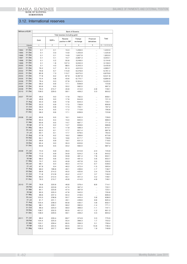BANK OF SLOVENIA **EUROSYSTEM**

## 3.12. International reserves

|              | Millions of EUR  |               |                |                                 | Bank of Slovenia    |                          |                         |
|--------------|------------------|---------------|----------------|---------------------------------|---------------------|--------------------------|-------------------------|
|              |                  |               |                | Total reserves (including gold) |                     |                          |                         |
|              |                  | Gold          | SDR's          | Reserve<br>position in IMF      | Foreign<br>exchange | Financial<br>derivatives | Total                   |
|              | Column           | 1             | 2              | 3                               | 4                   | 5                        | $6 = 1 + 2 + 3 + 4 + 5$ |
|              | Code<br>31.Dec   |               |                |                                 |                     |                          |                         |
| 1994<br>1995 | 31.Dec           | 0.1<br>0.1    | 0.1<br>0.0     | 15.3<br>14.9                    | 1,206.5<br>1,405.9  |                          | 1,222.0<br>1,420.9      |
| 1996         | 31.Dec           | 0.1           | 0.1            | 14.9                            | 1,837.9             | <br>                     | 1,853.0                 |
| 1997         | 31.Dec           | 0.1           | 0.1            | 15.7                            | 2,987.3             |                          | 3,003.1                 |
| 1998         | 31.Dec           | 0.1           | 0.2            | 55.8                            | 3,048.5             |                          | 3,104.6                 |
| 1999         | 31.Dec           | 0.1           | 1.6            | 107.3                           | 3,050.3             |                          | 3,159.3                 |
| 2000         | 31.Dec           | 0.1           | 4.0            | 88.5                            | 3,343.3             |                          | 3,435.9                 |
| 2001         | 31.Dec           | 76.2          | 5.7            | 91.3                            | 4,810.5             |                          | 4,983.7                 |
| 2002         | 31.Dec           | 79.9          | 6.7            | 115.9                           | 6,578.9             |                          | 6,781.4                 |
| 2003         | 31.Dec           | 80.9          | 7.3            | 115.7                           | 6,675.0             |                          | 6,878.9                 |
| 2004         | 31.Dec           | 77.8          | 8.2            | 87.9                            | 6,367.9             |                          | 6,541.8                 |
| 2005         | 31.Dec           | 70.4          | 9.8            | 43.6                            | 6,770.7             |                          | 6,894.6                 |
| 2006         | 31.Dec           | 78.4          | 9.3            | 27.8                            | 5,304.5             |                          | 5,420.0                 |
| 2007         | 31.Dec           | 58.2          | 8.6            | 17.1                            | 639.9               |                          | 723.8                   |
| 2008         | 31.Dec           | 63.6          | 8.5            | 33.2                            | 582.0               |                          | 687.2                   |
| 2009         | 31.Dec           | 78.3          | 215.7          | 45.8                            | 414.0               | $-4.8$                   | 749.1                   |
| 2010         | 31.Dec           | 108.0         | 229.5          | 59.1                            | 406.2               | 0.3                      | 803.2                   |
|              |                  |               |                |                                 |                     |                          |                         |
| 2007         | 30.Jun           | 49.2          | 9.0            | 17.9                            | 782.0               |                          | 858.1                   |
|              | 31.Jul           | 49.8          | 9.0            | 17.8                            | 644.8               |                          | 721.3                   |
|              | 31.Aug           | 50.3          | 8.8            | 17.8                            | 643.3               |                          | 720.1                   |
|              | 30.Sep<br>31.Oct | 53.3          | 8.9            | 17.5                            | 726.9               |                          | 806.6                   |
|              | 30.Nov           | 56.0          | 8.8            | 17.3                            | 705.1               |                          | 787.2                   |
|              | 31.Dec           | 54.4<br>58.2  | 8.5<br>8.6     | 17.2<br>17.1                    | 715.6               |                          | 795.6                   |
|              |                  |               |                |                                 | 639.9               |                          | 723.8                   |
| 2008         | 31.Jan           | 63.6          | 8.5            | 16.1                            | 640.3               |                          | 728.5                   |
|              | 29.Feb           | 65.5          | 8.4            | 15.0                            | 600.5               |                          | 689.3                   |
|              | 31.Mar           | 60.6          | 8.5            | 14.7                            | 687.7               |                          | 771.5                   |
|              | 30.Apr           | 57.3          | 8.2            | 14.7                            | 608.6               |                          | 688.8                   |
|              | 31.May           | 58.4          | 8.1            | 17.9                            | 589.3               |                          | 673.7                   |
|              | 30.Jun           | 60.5          | 8.1            | 17.7                            | 601.4               |                          | 687.6                   |
|              | 31.Jul           | 60.1          | 8.1            | 17.7                            | 678.5               |                          | 764.5                   |
|              | 31.Aug           | 57.8          | 8.2            | 18.2                            | 589.6               |                          | 673.9                   |
|              | 30.Sep           | 64.1          | 8.4            | 18.6                            | 617.7               |                          | 708.9                   |
|              | 31.Oct           | 58.6          | 8.9            | 19.7                            | 631.3               |                          | 718.5                   |
|              | 30.Nov           | 65.4          | 9.0            | 35.3                            | 633.6               |                          | 743.4                   |
|              | 31.Dec           | 63.6          | 8.5            | 33.2                            | 582.0               |                          | 687.2                   |
|              |                  |               |                |                                 |                     |                          |                         |
| 2009         | 31.Jan           | 73.3          | 8.9            | 35.0                            | 610.9               | $-2.3$                   | 725.9                   |
|              | 28.Feb           | 77.0          | 8.9            | 34.9                            | 524.2               | $-1.8$                   | 643.2                   |
|              | 31.Mar<br>30.Apr | 70.6          | 8.6            | 33.8                            | 481.4               | 7.8                      | 602.1                   |
|              | 31.May           | 68.0          | 8.6            | 34.0                            | 491.5               | 0.6                      | 602.7                   |
|              | 30.Jun           | 70.7<br>68.1  | 8.3<br>8.4     | 45.8<br>46.3                    | 407.8<br>417.0      | 0.5<br>$-0.7$            | 533.2<br>539.0          |
|              | 31.Jul           | 67.9          | 8.4            | 46.2                            | 472.4               | $-1.5$                   | 593.4                   |
|              | 31.Aug           | 68.0          | 196.6          | 46.1                            | 439.6               | $-1.7$                   | 748.7                   |
|              | 30.Sep           | 69.9          | 214.2          | 45.5                            | 420.6               | 2.4                      | 752.6                   |
|              | 31.Oct           | 71.8          | 212.8          | 45.2                            | 412.7               | 3.7                      | 746.3                   |
|              | 30.Nov           | 80.0          | 212.4          | 45.1                            | 401.4               | 0.2                      | 739.1                   |
|              | 31.Dec           | 78.3          | 215.7          | 45.8                            | 414.0               | $-4.8$                   | 749.1                   |
|              |                  |               |                |                                 |                     |                          |                         |
| 2010         | 31.Jan           | 78.9          | 220.6          | 46.8                            | 376.4               | $-8.6$                   | 714.1                   |
|              | 28.Feb           | 83.5          | 223.9          | 47.5                            | 367.2               |                          | 722.1                   |
|              | 31.Mar           | 84.1          | 223.6          | 47.4                            | 367.9               |                          | 723.1                   |
|              | 30.Apr           | 90.5          | 225.3          | 47.8                            | 342.0               |                          | 705.6                   |
|              | 31.May           | 99.6          | 237.4          | 50.4                            | 418.5               | $\cdots$                 | 806.0                   |
|              | 30.Jun           | 103.3         | 238.8          | 50.7                            | 444.4               | 0.8                      | 838.0                   |
|              | $31$ Jul         | 91.7          | 231.1          | 49.1                            | 439.6               | 8.8                      | 820.4                   |
|              | 31.Aug<br>30.Sep | 100.4         | 236.0          | 60.8                            | 430.7               | 4.8                      | 832.7                   |
|              | 31.Oct           | 98.1          | 226.1          | 58.2                            | 390.0               | $-1.4$                   | 771.1                   |
|              | 30.Nov           | 99.3<br>108.7 | 225.0          | 58.0                            | 366.0<br>401.2      | $-1.1$<br>$-1.2$         | 747.1                   |
|              | 31.Dec           | 108.0         | 232.5<br>229.5 | 60.0<br>59.1                    | 406.2               | 0.3                      | 801.3<br>803.2          |
|              |                  |               |                |                                 |                     |                          |                         |
| 2011         | 31.Jan           | 99.2          | 226.4          | 69.7                            | 374.9               | 0.3                      | 770.5                   |
|              | 28.Feb           | 104.4         | 225.5          | 55.4                            | 366.3               | 1.7                      | 753.2                   |
|              | 31.Mar           | 103.1         | 209.4          | 85.5                            | 356.3               | 5.1                      | 759.4                   |
|              | 30.Apr           | 106.2         | 204.5          | 83.5                            | 331.5               | 10.6                     | 736.4                   |
|              | 31.May           | 109.3         | 207.7          | 88.8                            | 342.2               | 1.9                      | 749.9                   |
|              |                  |               |                |                                 |                     |                          |                         |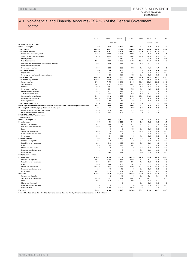#### 4.1. Non-financial and Financial Accounts (ESA 95) of the General Government sector

|                                                                                              | 2007     | 2008           | 2009              | 2010               | 2007   | 2008   | 2009             | 2010   |
|----------------------------------------------------------------------------------------------|----------|----------------|-------------------|--------------------|--------|--------|------------------|--------|
|                                                                                              |          |                | miljon eur        |                    |        |        | share in GDP (%) |        |
| NON-FINANCIAL ACCOUNT                                                                        |          |                |                   |                    |        |        |                  |        |
| Deficit (-) or surplus (+)                                                                   | -22      | -673           | $-2,109$          | $-2,027$           | $-0.1$ | $-1.8$ | -6.0             | $-5.6$ |
| Total revenue                                                                                | 14,664   | 15,797         | 15,244            | 15,636             | 42.4   | 42.3   | 43.1             | 43.4   |
| Total current revenue                                                                        | 14,520   | 15,701         | 15,106            | 15,515             | 42.0   | 42.1   | 42.7             | 43.0   |
| Current taxes on income, wealth                                                              | 3,168    | 3,320          | 2.931             | 2,922              | 9.2    | 8.9    | 8.3              | 8.1    |
| Taxes on production and imports                                                              | 5,016    | 5,225          | 4,995             | 5,062              | 14.5   | 14.0   | 14.1             | 14.0   |
| Property income                                                                              | 247      | 327            | 189               | 261                | 0.7    | 0.9    | 0.5              | 0.7    |
| Social contributions                                                                         | 4,814    | 5,326          | 5,388             | 5,495              | 13.9   | 14.3   | 15.2             | 15.2   |
| Market output, output for own final use and payments                                         | 901      | 996            | 999               | 1,005              | 2.6    | 2.7    | 2.8              | 2.8    |
| for other non-market output                                                                  |          |                |                   |                    |        |        |                  |        |
| Other current transfers                                                                      | 375      | 508            | 605               | 770                | 1.1    | 1.4    | 1.7              | 2.1    |
| Total capital revenue                                                                        | 145      | 96             | 138               | 122                | 0.4    | 0.3    | 0.4              | 0.3    |
| Capital taxes                                                                                | 9        | 11             | 11                | 14                 | 0.0    | 0.0    | 0.0              | 0.0    |
| Other capital transfers and investment grants                                                | 136      | 85             | 127               | 108                | 0.4    | 0.2    | 0.4              | 0.3    |
| Total expenditure                                                                            | 14,686   | 16,470         | 17,353            | 17,663             | 42.5   | 44.1   | 49.0             | 49.0   |
| Total current expenditure                                                                    | 12,887   | 14,332         | 15,273            | 15,783             | 37.3   | 38.4   | 43.2             | 43.8   |
| Current transfers                                                                            | 6,736    | 7,479          | 8,075             | 8,413              | 19.5   | 20.0   | 22.8             | 23.3   |
| Social benefits                                                                              | 5,627    | 6,192          | 6,634             | 6,897              | 16.3   | 16.6   | 18.7             | 19.1   |
| Subsidies                                                                                    | 550      | 594            | 650               | 748                | 1.6    | 1.6    | 1.8              | 2.1    |
| Other current transfers                                                                      | 560      | 694            | 792               | 768                | 1.6    | 1.9    | 2.2              | 2.1    |
| Property income (payable)                                                                    | 443      | 411            | 475               | 573                | 1.3    | 1.1    | 1.3              | 1.6    |
| of which: interest rates                                                                     | 443      | 411            | 475               | 573                | 1.3    | 1.1    | 1.3              | 1.6    |
| Compensation of employees                                                                    | 3,641    | 4,112          | 4,399             | 4,456              | 10.5   | 11.0   | 12.4             | 12.4   |
| Intermediate consumption                                                                     | 1,939    | 2,245          | 2,310             | 2,328              | 5.6    | 6.0    | 6.5              | 6.5    |
| Other expenditure                                                                            | 128      | 85             | 14                | 12                 | 0.4    | 0.2    | 0.0              | 0.0    |
| Total capital expenditure                                                                    | 316      | 452            | 429               | 316                | 0.9    | 1.2    | 1.2              | 0.9    |
| Gross capital formation and Acquisitions less disposals of non-financial non-produced assets | 1,483    | 1,686          | 1,651             | 1,564              | 4.3    | 4.5    | 4.7              | 4.3    |
| Net receipts from EU Budget (net receiver +, net payer -)                                    | 91       | $-11$          | 197               | 358                | 0.3    | 0.0    | 0.6              | 1.0    |
| Payments by Member State to EU Budget                                                        | 358      | 414            | 423               | 372                | 1.0    | 1.1    | 1.2              | 1.0    |
| EU expenditure in Member State                                                               | 449      | 404            | 621               | 731                | 1.3    | 1.1    | 1.8              | 2.0    |
| FINANCIAL ACCOUNT, consolidated<br><b>TRANSACTIONS</b>                                       |          |                |                   |                    |        |        |                  |        |
|                                                                                              | 3        | $-658$         |                   |                    | 0.0    | $-1.8$ | $-5.9$           | $-5.6$ |
| Deficit (-) or surplus (+)<br><b>Financial assets</b>                                        | 96       | 85             | $-2,102$<br>2,059 | $-2,024$<br>$-741$ | 0.3    | 0.2    | 5.8              | $-2.1$ |
| Currency and deposits                                                                        | 412      | 248            | 2,062             | $-971$             | 1.2    | 0.7    | 5.8              | $-2.7$ |
| Securities other than shares                                                                 | 103      | $-49$          | $-46$             | 23                 | 0.3    | $-0.1$ | $-0.1$           | 0.1    |
| Loans                                                                                        | 9        | $-3$           | $\mathfrak{D}$    | 100                | 0.0    | 0.0    | 0.0              | 0.3    |
| Shares and other equity                                                                      | $-806$   | $-8$           | 151               | $-4$               | $-2.3$ | 0.0    | 0.4              | 0.0    |
| Insurance technical reserves                                                                 | 18       | $-13$          | $-4$              | $-1$               | 0.1    | 0.0    | 0.0              | 0.0    |
| Other assets                                                                                 | 361      | $-91$          | $-105$            | 113                | 1.0    | $-0.2$ | $-0.3$           | 0.3    |
| <b>Financial liabilities</b>                                                                 | 93       | 743            | 4,162             | 1,283              | 0.3    | 2.0    | 11.8             | 3.6    |
| Currency and deposits                                                                        | 34       | $\overline{c}$ | $-2$              | 6                  | 0.1    | 0.0    | 0.0              | 0.0    |
| Securities other than shares                                                                 | $-226$   | 340            | 4,120             | 858                | $-0.7$ | 0.9    | 11.6             | 2.4    |
| Loans                                                                                        | $-59$    | 44             | 219               | 407                | $-0.2$ | 0.1    | 0.6              | 1.1    |
| Shares and other equity                                                                      | $\circ$  | 0              | $\circ$           | $\mathsf{O}$       | 0.0    | 0.0    | 0.0              | 0.0    |
| Insurance technical reserves                                                                 | $\Omega$ | 0              | $\Omega$          | $\Omega$           | 0.0    | 0.0    | 0.0              | 0.0    |
| Other liabilities                                                                            | 345      | 358            | $-176$            | 13                 | 1.0    | 1.0    | $-0.5$           | 0.0    |
| STOCKS, consolidated                                                                         |          |                |                   |                    |        |        |                  |        |
| <b>Financial assets</b>                                                                      | 16,461   | 13,194         | 15,602            | 14,519             | 47.6   | 35.4   | 44.1             | 40.3   |
| Currency and deposits                                                                        | 1,978    | 2,280          | 4,336             | 3,485              | 5.7    | 6.1    | 12.3             | 9.7    |
| Securities other than shares                                                                 | 361      | 311            | 274               | 304                | 1.0    | 0.8    | 0.8              | 0.8    |
| Loans                                                                                        | 366      | 448            | 284               | 382                | 1.1    | 1.2    | 0.8              | 1.1    |
| Shares and other equity                                                                      | 11,319   | 7,811          | 8,561             | 8,195              | 32.7   | 20.9   | 24.2             | 22.7   |
| Insurance technical reserves                                                                 | 26       | 13             | 10                | 9                  | 0.1    | 0.0    | 0.0              | 0.0    |
| Other assets                                                                                 | 2,412    | 2,330          | 2,137             | 2,143              | 7.0    | 6.2    | 6.0              | 5.9    |
| Liabilities                                                                                  | 10,367   | 11,070         | 15,636            | 17,112             | 30.0   | 29.7   | 44.2             | 47.5   |
| Currency and deposits                                                                        | 40       | 42             | 40                | 46                 | 0.1    | 0.1    | 0.1              | 0.1    |
| Securities other than shares                                                                 | 6,955    | 7,353          | 11,937            | 12,983             | 20.1   | 19.7   | 33.7             | 36.0   |
| Loans                                                                                        | 961      | 878            | 1,093             | 1,503              | 2.8    | 2.4    | 3.1              | 4.2    |
| Shares and other equity                                                                      | $\Omega$ | 1              | $\Omega$          | $\mathbf{1}$       | 0.0    | 0.0    | 0.0              | 0.0    |
| Insurance technical reserves                                                                 | $\circ$  | $\mathbf 0$    | $\mathbf 0$       | $\circ$            | 0.0    | 0.0    | 0.0              | 0.0    |
| Other liabilities                                                                            | 2,410    | 2,795          | 2,566             | 2,579              | 7.0    | 7.5    | 7.3              | 7.2    |
| EDP debt                                                                                     | 7,981    | 8.180          | 12.449            | 13.704             | 23.1   | 21.9   | 35.2             | 38.0   |

Source: Statistical Office of the Republic of Slovenia, Bank of Slovenia, Ministry of Finance and computations in Bank of Slovenia.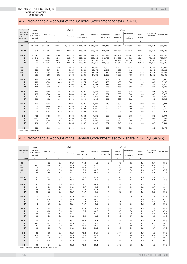# BANKA SLOVENIJE

BANK OF SLOVENIA **EUROSYSTEM**

#### 4.2. Non-financial Account of the General Government sector (ESA 95)

|         | Current prices, till                                                      | Deficit /                             |                |              | of which       |                         |             |                             | of which           |                                  |                     |                         |               |
|---------|---------------------------------------------------------------------------|---------------------------------------|----------------|--------------|----------------|-------------------------|-------------|-----------------------------|--------------------|----------------------------------|---------------------|-------------------------|---------------|
|         | 31.12.2006 in<br>Millions of SIT.<br>after 1.1.2007 in<br>Millions of EUR | surplus<br>(non-financial<br>account) | Revenue        | Direct taxes | Indirect taxes | Social<br>contributions | Expenditure | Intermediate<br>consumption | Social<br>payments | Compensatio<br>n of<br>employees | Interest<br>payable | Govemment<br>investment | Fiscal burden |
|         | Stolpec                                                                   | $1 = 2 - 6$                           | $\overline{2}$ |              | $\overline{4}$ | $\overline{5}$          | 6           | $\overline{7}$              | 8                  | 9                                | 10                  | 11                      | 12            |
|         | Koda                                                                      |                                       |                |              |                |                         |             |                             |                    |                                  |                     |                         |               |
| 2006    |                                                                           | $-101,272$                            | 3,215,034      | 677.510      | 1,110,707      | 1,061,246               | 3,316,306   | 463,440                     | 1,288,017          | 833,923                          | 103,644             | 274,244                 | 2,850,805     |
| 2005 IV |                                                                           | $-6,542$                              | 821,654        | 159,097      | 292,840        | 269,140                 | 828,196     | 115,291                     | 308,704            | 203,742                          | 27,031              | 59,646                  | 721,460       |
| 2006    |                                                                           | $-45,987$                             | 717,554        | 150,662      | 239,185        | 253,635                 | 763,541     | 103,572                     | 308,105            | 196,457                          | 25,761              | 59,646                  | 643,769       |
|         | $\mathbf{H}$                                                              | $-39,612$                             | 819,353        | 184,451      | 282,847        | 259,938                 | 858,966     | 118,766                     | 343,356            | 214,789                          | 25,234              | 70,382                  | 727,547       |
|         | $\ensuremath{\mathsf{III}}\xspace$                                        | $-15,696$                             | 799,463        | 164,992      | 283,925        | 261,447                 | 815,183     | 115,866                     | 308,944            | 207,816                          | 25,977              | 69,256                  | 710,700       |
|         | IV                                                                        | 24                                    | 878,664        | 177,405      | 304,750        | 286,226                 | 878,616     | 125,236                     | 327,612            | 214,861                          | 26,672              | 74,959                  | 768,789       |
|         |                                                                           |                                       |                |              |                |                         |             |                             |                    |                                  |                     |                         |               |
| 2007    |                                                                           | $-22$                                 | 14,664         | 3,168        | 5,016          | 4,814                   | 14,686      | 1,939                       | 5,627              | 3,641                            | 443                 | 1,461                   | 13,006        |
| 2008    |                                                                           | $-673$                                | 15,797         | 3,319        | 5,225          | 5,326                   | 16,470      | 2,245                       | 6,192              | 4,112                            | 411                 | 1,640                   | 13,881        |
| 2009    |                                                                           | $-2,109$                              | 15,244         | 2,931        | 4,995          | 5,388                   | 17,353      | 2,310                       | 6,633              | 4,399                            | 475                 | 1,613                   | 13,325        |
| 2010    |                                                                           | $-2,027$                              | 15,636         | 2,922        | 5,062          | 5,495                   | 17,663      | 2,328                       | 6,897              | 4,456                            | 573                 | 1,555                   | 13,492        |
|         |                                                                           |                                       |                |              |                |                         |             |                             |                    |                                  |                     |                         |               |
| 2007    |                                                                           | $-112$                                | 3,260          | 702          | 1,088          | 1,138                   | 3,372       | 434                         | 1,343              | 855                              | 117                 | 321                     | 2,930         |
|         | Ш                                                                         | $-120$                                | 3,684          | 834          | 1,277          | 1,175                   | 3,803       | 497                         | 1,490              | 939                              | 115                 | 369                     | 3,288         |
|         | $\ensuremath{\mathsf{III}}\xspace$                                        | 104                                   | 3,703          | 786          | 1,302          | 1,190                   | 3,598       | 485                         | 1,337              | 913                              | 106                 | 381                     | 3,279         |
|         | IV                                                                        | 106                                   | 4,018          | 846          | 1,349          | 1,311                   | 3,912       | 523                         | 1,456              | 935                              | 105                 | 390                     | 3,509         |
| 2008    |                                                                           | $-151$                                | 3,552          | 734          | 1,160          | 1,271                   | 3,703       | 502                         | 1,443              | 945                              | 101                 | 374                     | 3,168         |
|         | II                                                                        | $-135$                                | 4,063          | 931          | 1,380          | 1,308                   | 4,198       | 571                         | 1,580              | 1,049                            | 104                 | 432                     | 3,622         |
|         | $\ensuremath{\mathsf{III}}\xspace$                                        | $-57$                                 | 4,030          | 803          | 1,373          | 1,331                   | 4,087       | 562                         | 1,486              | 1,036                            | 102                 | 427                     | 3,509         |
|         | IV                                                                        | $-330$                                | 4,152          | 852          | 1,312          | 1,416                   | 4,482       | 611                         | 1,683              | 1,082                            | 103                 | 408                     | 3,583         |
|         |                                                                           |                                       |                |              |                |                         |             |                             |                    |                                  |                     |                         |               |
| 2009    |                                                                           | $-420$                                | 3,611          | 744          | 1,091          | 1,395                   | 4,031       | 518                         | 1.597              | 1,061                            | 100                 | 366                     | 3,231         |
|         | $\mathbf{H}$                                                              | $-813$                                | 3,755          | 695          | 1,290          | 1,325                   | 4,568       | 583                         | 1,752              | 1,164                            | 113                 | 415                     | 3,312         |
|         | III                                                                       | $-339$                                | 3,921          | 818          | 1,318          | 1,332                   | 4,260       | 580                         | 1,622              | 1,080                            | 128                 | 416                     | 3,470         |
|         | IV                                                                        | $-536$                                | 3,957          | 675          | 1,297          | 1,336                   | 4,493       | 629                         | 1,662              | 1,094                            | 135                 | 417                     | 3,311         |
|         |                                                                           |                                       |                |              |                |                         |             |                             |                    |                                  |                     |                         |               |
| 2010    |                                                                           | $-722$                                | 3,485          | 660          | 1,068          | 1,343                   | 4,208       | 520                         | 1,682              | 1,073                            | 143                 | 399                     | 3.074         |
|         | $\mathbf{II}$                                                             | $-725$                                | 3,915          | 796          | 1,298          | 1,360                   | 4,640       | 600                         | 1,816              | 1,172                            | 142                 | 391                     | 3,457         |
|         | $\ensuremath{\mathsf{III}}\xspace$                                        | $-398$                                | 3,925          | 707          | 1,331          | 1,356                   | 4,323       | 557                         | 1,659              | 1,098                            | 144                 | 419                     | 3,396         |
|         | IV                                                                        | $-182$                                | 4,311          | 759          | 1,365          | 1,437                   | 4,493       | 651                         | 1,740              | 1,114                            | 144                 | 347                     | 3,564         |
|         |                                                                           |                                       |                |              |                |                         |             |                             |                    |                                  |                     |                         |               |
| 2011    |                                                                           | $-879$                                | 3,665          | 691          | 1,119          | 1,361                   | 4,545       | 529                         | 1,770              | 1,089                            | 160                 | 365                     | 3,173         |
|         |                                                                           | Source: Statistical office RS         |                |              |                |                         |             |                             |                    |                                  |                     |                         |               |

# 4.3. Non-financial Account of the General Government sector - share in GDP (ESA 95)

|                     |                                    | Deficit /                             |                |                | of which       |                         |             |                             |                    | of which                         |                     |                         |               |
|---------------------|------------------------------------|---------------------------------------|----------------|----------------|----------------|-------------------------|-------------|-----------------------------|--------------------|----------------------------------|---------------------|-------------------------|---------------|
| Share in GDP<br>(%) |                                    | surplus<br>(non-financial<br>account) | Revenue        | Direct taxes   | Indirect taxes | Social<br>contributions | Expenditure | Intermediate<br>consumption | Social<br>payments | Compensatio<br>n of<br>employees | Interest<br>payable | Govemment<br>investment | Fiscal burden |
|                     | Stolpec                            | $1=2-6$                               | $\overline{2}$ | $\overline{3}$ | $\overline{4}$ | $\overline{5}$          | 6           | $\overline{7}$              | 8                  | 9                                | 10                  | 11                      | 12            |
|                     | Koda                               |                                       |                |                |                |                         |             |                             |                    |                                  |                     |                         |               |
| 2006                |                                    | $-1.4$                                | 43.2           | 9.1            | 14.9           | 14.3                    | 44.6        | 6.2                         | 17.3               | 11.2                             | 1.4                 | 3.7                     | 38.3          |
| 2007                |                                    | $-0.1$                                | 42.4           | 9.2            | 14.5           | 13.9                    | 42.5        | 5.6                         | 16.3               | 10.5                             | 1.3                 | 4.2                     | 37.6          |
| 2008                |                                    | $-1.8$                                | 42.4           | 8.9            | 14.0           | 14.3                    | 44.2        | 6.0                         | 16.6               | 11.0                             | 1.1                 | 4.4                     | 37.2          |
| 2009                |                                    | $-6.0$                                | 43.2           | 8.3            | 14.2           | 15.3                    | 49.2        | 6.5                         | 18.8               | 12.5                             | 1.3                 | 4.6                     | 37.7          |
| 2010                |                                    | $-5.6$                                | 43.5           | 8.1            | 14.1           | 15.3                    | 49.1        | 6.5                         | 19.2               | 12.4                             | 1.6                 | 4.3                     | 37.5          |
| 2005 III            |                                    | 0.1                                   | 43.2           | 8.4            | 15.2           | 14.0                    | 43.2        | 6.0                         | 16.8               | 11.2                             | 1.5                 | 3.1                     | 37.6          |
|                     | IV.                                | $-0.4$                                | 46.2           | 9.0            | 16.5           | 15.1                    | 46.6        | 6.5                         | 17.4               | 11.5                             | 1.5                 | 3.4                     | 40.6          |
| 2006                |                                    | $-2.7$                                | 42.8           | 9.0            | 14.3           | 15.1                    | 45.6        | 6.2                         | 18.4               | 11.7                             | 1.5                 | 3.6                     | 38.4          |
|                     | $\mathbf{I}$                       | $-2.1$                                | 43.3           | 9.7            | 14.9           | 13.7                    | 45.3        | 6.3                         | 18.1               | 11.3                             | 1.3                 | 3.7                     | 38.4          |
|                     | $\ensuremath{\mathsf{III}}\xspace$ | $-0.8$                                | 41.5           | 8.6            | 14.7           | 13.6                    | 42.3        | 6.0                         | 16.0               | 10.8                             | 1.3                 | 3.6                     | 36.9          |
|                     | IV.                                | 0.0                                   | 45.2           | 9.1            | 15.7           | 14.7                    | 45.2        | 6.4                         | 16.8               | 11.0                             | 1.4                 | 3.9                     | 39.5          |
| 2007                |                                    | $-1.4$                                | 41.7           | 9.0            | 13.9           | 14.5                    | 43.1        | 5.6                         | 17.2               | 10.9                             | 1.5                 | 4.1                     | 37.4          |
|                     | $\mathbf{I}$                       | $-1.4$                                | 42.0           | 9.5            | 14.5           | 13.4                    | 43.3        | 5.7                         | 17.0               | 10.7                             | 1.3                 | 4.2                     | 37.5          |
|                     | $\ensuremath{\mathsf{III}}\xspace$ | 1.2                                   | 41.1           | 8.7            | 14.4           | 13.2                    | 39.9        | 5.4                         | 14.8               | 10.1                             | 1.2                 | 4.2                     | 36.4          |
|                     | IV.                                | 1.2                                   | 45.0           | 9.5            | 15.1           | 14.7                    | 43.8        | 5.9                         | 16.3               | 10.5                             | 1.2                 | 4.4                     | 39.3          |
| 2008                |                                    | $-1.8$                                | 41.1           | 8.5            | 13.4           | 14.7                    | 42.9        | 5.8                         | 16.7               | 10.9                             | 1.2                 | 4.3                     | 36.7          |
|                     | $\mathsf{II}$                      | $-1.4$                                | 41.9           | 9.6            | 14.2           | 13.5                    | 43.3        | 5.9                         | 16.3               | 10.8                             | 1.1                 | 4.5                     | 37.4          |
|                     | $\ensuremath{\mathsf{III}}\xspace$ | $-0.6$                                | 41.4           | 8.3            | 14.1           | 13.7                    | 42.0        | 5.8                         | 15.3               | 10.6                             | 1.1                 | 4.4                     | 36.1          |
|                     | IV                                 | $-3.6$                                | 45.0           | 9.2            | 14.2           | 15.4                    | 48.6        | 6.6                         | 18.2               | 11.7                             | 1.1                 | 4.4                     | 38.8          |
| 2009                |                                    | $-5.1$                                | 43.4           | 8.9            | 13.1           | 16.8                    | 48.4        | 6.2                         | 19.2               | 12.8                             | 1.2                 | 4.4                     | 38.8          |
|                     | $\mathsf{II}$                      | $-9.0$                                | 41.7           | 7.7            | 14.3           | 14.7                    | 50.8        | 6.5                         | 19.5               | 12.9                             | 1.2                 | 4.6                     | 36.8          |
|                     | III                                | $-3.7$                                | 43.2           | 9.0            | 14.5           | 14.7                    | 46.9        | 6.4                         | 17.9               | 11.9                             | 1.4                 | 4.6                     | 38.2          |
|                     | IV                                 | $-6.0$                                | 44.5           | 7.6            | 14.6           | 15.0                    | 50.5        | 7.1                         | 18.7               | 12.3                             | 1.5                 | 4.7                     | 37.2          |
| 2010                |                                    | $-8.8$                                | 42.3           | 8.0            | 13.0           | 16.3                    | 51.1        | 6.3                         | 20.4               | 13.0                             | 1.7                 | 4.8                     | 37.3          |
|                     | $\mathsf{II}$                      | $-7.8$                                | 42.1           | 8.6            | 14.0           | 14.6                    | 49.9        | 6.5                         | 19.5               | 12.6                             | 1.5                 | 4.2                     | 37.2          |
|                     | $\,$ III                           | $-4.3$                                | 42.0           | 7.6            |                |                         |             | 6.0                         | 17.7               | 11.7                             |                     |                         | 36.3          |
|                     | IV                                 |                                       |                | 8.3            | 14.2           | 14.5                    | 46.2        |                             |                    | 12.3                             | 1.5                 | 4.5                     | 39.2          |
|                     |                                    | $-2.0$                                | 47.4           |                | 15.0           | 15.8                    | 49.4        | 7.2                         | 19.1               |                                  | 1.6                 | 3.8                     |               |
| 2011                |                                    | $-10.3$                               | 43.1           | 8.1            | 13.2           | 16.0                    | 53.4        | 6.2                         | 20.8               | 12.8                             | 1.9                 | 4.3                     | 37.3          |

Source: Statistical Office RS and computations in BS.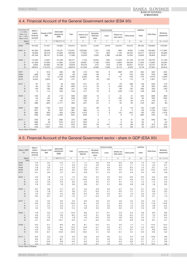## 4.4. Financial Account of the General Government sector (ESA 95)

| Current prices, till |                                    |                        |                |                          |                |                |            | Financial assets    |              |                | Liabilities |             |                    |
|----------------------|------------------------------------|------------------------|----------------|--------------------------|----------------|----------------|------------|---------------------|--------------|----------------|-------------|-------------|--------------------|
| 31.12.2006 in        |                                    | Deficit /              |                | Deficit-debt             |                |                |            |                     |              |                |             |             |                    |
| Millions of SIT,     |                                    | surplus                | Change in EDP  | adjustement              | Total          | Currency and   | Securities |                     | Shares and   |                |             | Other flows | Borrowing          |
| after 1.1.2007 in    |                                    | (financial<br>account) | debt           | (DDA)                    |                | deposits       | other than | Loans               | other equity | Other assets   | Other       |             | requirement        |
| Millions of EUR      |                                    |                        |                |                          |                |                | share      |                     |              |                |             |             |                    |
|                      | Stolpec                            | $\overline{1}$         | $\overline{2}$ | $3 = \frac{1}{2}(1) + 2$ | $\overline{4}$ | $\overline{5}$ | 6          | $\overline{7}$      | 8            | $\mathbf{9}$   | 10          | 11          | $12 = -1 + 4 - 10$ |
|                      | Koda                               |                        |                |                          |                |                |            |                     |              |                |             |             |                    |
| 2006                 |                                    | $-97,062$              | 27,407         | $-73,865$                | 125,813        | 84,001         | $-2,332$   | 2,979               | $-23,452$    | 64.616         | 89.785      | $-109.893$  | 133,090            |
| 2005 II              |                                    | $-67,362$              | 28,264         | $-19,161$                | $-173,291$     | $-163,920$     | 1,321      | $-738$              | $-890$       | $-9,064$       | 11,455      | 165,585     | $-117,384$         |
|                      | $\begin{array}{c} \Pi \end{array}$ | 42,809                 | 56,518         | 57,860                   | 106,596        | 77,952         | 174        | 982                 | 1,132        | 26,355         | 24,417      | $-24,318$   | 39,369             |
|                      | $\mathsf{N}$                       | $-34,166$              | 38,151         | 31,609                   | 11,348         | 10,033         | 2,090      | 1,386               | $-16,396$    | 14,234         | 10,643      | 30,904      | 34,871             |
|                      |                                    |                        |                |                          |                |                |            |                     |              |                |             |             |                    |
| 2006                 |                                    | $-12,465$              | 14,961         | $-31,026$                | 66,477         | 7,155          | 10,653     | $-690$              | $-11,830$    | 61,189         | 37,743      | $-59,760$   | 41,199             |
|                      | $\mathbf{H}$                       | $-31,346$              | 27,629         | $-11,984$                | 14,278         | 52,997         | $-7,189$   | 1,653               | $-3,800$     | $-29,382$      | 11,332      | $-14,930$   | 34,292             |
|                      | $\mathbf{III}$                     | 3,664                  | 94,892         | 79,196                   | 73,976         | 45,076         | $-210$     | 918                 | $-2,108$     | 30,301         | 37,531      | 42,751      | 32,781             |
|                      | IV                                 | $-56,915$              | $-110,075$     | $-110,051$               | $-28,918$      | $-21,226$      | $-5,585$   | 1,098               | $-5,714$     | 2,509          | 3,179       | $-77,954$   | 24,818             |
|                      |                                    |                        |                |                          |                |                |            |                     |              |                |             |             |                    |
| 2007                 |                                    | 3                      | 613            | 592                      | 96             | 412            | 103        | $\mathsf 9$         | $-806$       | 379            | 345         | 840         | $-252$             |
| 2008                 |                                    | $-658$                 | 148            | $-525$                   | 85             | 248            | $-49$      | $-3$                | $-8$         | $-103$         | 355         | $-255$      | 388                |
| 2009                 |                                    | $-2,102$               | $-31$          | $-2,140$                 | 2,059          | 2,062          | $-46$      | $\mathbf{1}$        | 151          | $-109$         | $-176$      | $-4,375$    | 4,338              |
| 2010                 |                                    | $-2,024$               | 2,924          | 897                      | $-741$         | $-971$         | 23         | 100                 | $-4$         | 112            | 12          | 1,651       | 1,271              |
|                      |                                    |                        |                |                          |                |                |            |                     |              |                |             |             |                    |
| 2007                 |                                    | $-97$                  | 161            | 49                       | 840            | 577            | 53         | $-2$                | $-76$        | 289            | 158         | $-633$      | 779                |
|                      | $\rm{II}$                          | $-62$                  | 156            | 36                       | $-859$         | $-713$         | 19         | $\overline{4}$      | $-248$       | 78             | 38          | 934         | $-835$             |
|                      | $\mathbf{H}$                       | 149                    | 182            | 286                      | 241            | 130            | 12         | $\overline{4}$      | $-36$        | 130            | 285         | 330         | $-193$             |
|                      | IV                                 | 14                     | 114            | 220                      | $-126$         | 417            | 19         | 3                   | $-446$       | $-118$         | $-136$      | 209         | $-3$               |
| 2008                 |                                    | $-160$                 | 42             | $-110$                   | 929            | 848            | 10         | $-7$                | 31           | 47             | 230         | $-809$      | 859                |
|                      | $\, \parallel$                     | $-43$                  | 184            | 49                       | $-538$         | $-350$         | 6          | $\mathsf{O}\xspace$ | $-160$       | $-34$          | 65          | 652         | $-560$             |
|                      | $\mathbf{III}$                     | $-57$                  | 764            | 707                      | 177            | 150            | $-20$      | $\circ$             | 87           | $-40$          | 213         | 743         | 21                 |
|                      | IV                                 | $-398$                 | $-842$         | $-1, 171$                | $-483$         | $-401$         | $-44$      | $\overline{4}$      | 34           | $-76$          | $-152$      | $-841$      | 68                 |
|                      |                                    |                        |                |                          |                |                |            |                     |              |                |             |             |                    |
| 2009                 |                                    | $-489$                 | $-192$         | $-612$                   | 829            | 751            | $-39$      | -6                  | 3            | 119            | 100         | $-1,340$    | 1,217              |
|                      | $\mathbf H$                        | $-657$                 | 46             | $-767$                   | 881            | 886            | $-5$       | 3                   | $-5$         | $\overline{c}$ | $-85$       | $-1,734$    | 1,623              |
|                      | $\ensuremath{\mathsf{III}}\xspace$ | $-389$                 | 663            | 324                      | 1,284          | 1,373          | $-7$       | 3                   | 157          | $-244$         | 193         | $-767$      | 1,479              |
|                      | IV                                 | $-568$                 | $-548$         | $-1,084$                 | $-934$         | $-949$         | 5          | $\mathbf{1}$        | $-5$         | 14             | $-385$      | $-535$      | 18                 |
|                      |                                    |                        |                |                          |                |                |            |                     |              |                |             |             |                    |
| 2010                 |                                    | $-530$                 | 30             | $-692$                   | 270            | 228            | 3          | $-1$                | 9            | 31             | 20          | $-942$      | 781                |
|                      | $\mathbf{H}$                       | $-698$                 | 55             | $-670$                   | $-613$         | $-643$         | 6          | $\mathbf{1}$        | 3            | 20             | 62          | 5           | 23                 |
|                      | $\mathbf{III}$                     | $-390$                 | 1,213          | 815                      | $-253$         | $-292$         | 23         | 101                 | $-16$        | $-68$          | $-92$       | 975         | 230                |
|                      | IV                                 | $-406$                 | 1,627          | 1,445                    | $-145$         | $-264$         | -9         | $\Omega$            | $\circ$      | 129            | 23          | 1,613       | 238                |

Source: Bank of Slovenia

## 4.5. Financial Account of the General Government sector - share in GDP (ESA 95)

|                                  | Deficit /                         |                       |                                      | Financial assets |                          |                                   |                |                            |              | Liabilities |             |                          |
|----------------------------------|-----------------------------------|-----------------------|--------------------------------------|------------------|--------------------------|-----------------------------------|----------------|----------------------------|--------------|-------------|-------------|--------------------------|
| Share in GDP<br>(%)              | surplus<br>(financial<br>account) | Change in EDP<br>debt | Deficit-debt<br>adjustement<br>(DDA) | Total            | Currency and<br>deposits | Securities<br>other than<br>share | Loans          | Shares and<br>other equity | Other assets | Other       | Other flows | Borrowing<br>requirement |
| Stolpec                          | $\overline{1}$                    | $\overline{2}$        | $3 = \frac{1}{2}(1) + 2$             | $\overline{4}$   | $\overline{5}$           | 6                                 | $\overline{7}$ | 8                          | $\mathbf{9}$ | 10          | 11          | $12 = -1 + 4 - 10$       |
| Koda                             |                                   |                       |                                      |                  |                          |                                   |                |                            |              |             |             |                          |
| 2006                             | $-1.3$                            | 0.4                   | $-1.0$                               | 1.7              | 1.1                      | 0.0                               | 0.0            | $-0.3$                     | 0.9          | 1.2         | $-1.5$      | 1.8                      |
| 2007                             | 0.0                               | 1.8                   | 1.7                                  | 0.3              | 1.2                      | 0.3                               | 0.0            | $-2.3$                     | 1.1          | 1.0         | 2.4         | $-0.7$                   |
| 2008                             | $-1.8$                            | 0.4                   | $-1.4$                               | 0.2              | 0.7                      | $-0.1$                            | 0.0            | 0.0                        | $-0.3$       | 1.0         | $-0.7$      | 1.0                      |
| 2009                             | $-5.9$                            | $-0.1$                | $-6.0$                               | 5.8              | 5.8                      | $-0.1$                            | 0.0            | 0.4                        | $-0.3$       | $-0.5$      | $-12.4$     | 12.3                     |
| 2010                             | $-6.1$                            | 8.8                   | 2.7                                  | $-2.2$           | $-2.9$                   | 0.1                               | 0.3            | 0.0                        | 0.3          | 0.0         | 5.0         | 3.8                      |
| 2005                             | $-2.3$                            | 1.8                   | $-1.2$                               | 1.0              | 2.2                      | 0.0                               | 0.0            | $-0.3$                     | $-0.9$       | $-3.3$      | $-5.5$      | 6.6                      |
| $\mathsf{II}$                    | $-4.3$                            | 1.8                   | $-1.2$                               | $-11.1$          | $-10.5$                  | 0.1                               | 0.0            | $-0.1$                     | $-0.6$       | 0.7         | 10.6        | $-7.5$                   |
| $\mathbf{III}$                   | 2.4                               | 3.2                   | 3.2                                  | 6.0              | 4.4                      | 0.0                               | 0.1            | 0.1                        | 1.5          | 1.4         | $-1.4$      | 2.2                      |
| IV                               | $-1.9$                            | 2.2                   | 1.8                                  | 0.6              | 0.6                      | 0.1                               | 0.1            | $-0.9$                     | 0.8          | 0.6         | 1.8         | 2.0                      |
| 2006<br>$\mathbf{I}$             | $-0.7$                            | 0.8                   | $-1.7$                               | 3.7              | 0.4                      | 0.6                               | 0.0            | $-0.7$                     | 3.4          | 2.1         | $-3.4$      | 2.3                      |
| $\mathsf{II}$                    | $-1.9$                            | 1.6                   | $-0.7$                               | 0.8              | 3.1                      | $-0.4$                            | 0.1            | $-0.2$                     | $-1.7$       | 0.7         | $-0.9$      | 2.0                      |
| $\mathbf{III}$                   | 0.2                               | 5.0                   | $4.2\,$                              | 3.9              | 2.4                      | 0.0                               | 0.0            | $-0.1$                     | 1.6          | 2.0         | 2.3         | 1.7                      |
| IV                               | $-3.0$                            | $-5.7$                | $-5.7$                               | $-1.5$           | $-1.1$                   | $-0.3$                            | 0.1            | $-0.3$                     | 0.1          | 0.2         | $-4.1$      | 1.3                      |
| 2007                             | 0.0                               | 0.0                   | 0.0                                  | 0.0              | 0.0                      | 0.0                               | 0.0            | 0.0                        | 0.0          | 0.0         | 0.0         | 0.0                      |
| $\mathbf{H}$                     | $-0.8$                            | 2.0                   | 0.5                                  | $-10.9$          | $-9.1$                   | 0.2                               | 0.1            | $-3.2$                     | 1.0          | 0.5         | 11.9        | $-10.6$                  |
| $\mathbf{III}$                   | 1.7                               | 2.1                   | 3.3                                  | 2.7              | 1.5                      | 0.1                               | 0.0            | $-0.4$                     | 1.5          | 3.2         | 3.8         | $-2.2$                   |
| IV                               | 0.2                               | 1.3                   | 2.4                                  | $-1.4$           | 4.6                      | 0.2                               | 0.0            | $-5.0$                     | $-1.3$       | $-1.5$      | 2.3         | 0.0                      |
| 2008<br>$\mathbf{I}$             | $-1.8$                            | 0.5                   | $-1.2$                               | 10.4             | 9.5                      | 0.1                               | $-0.1$         | 0.3                        | 0.5          | 2.6         | $-9.0$      | 9.6                      |
| $\mathbf{H}$                     | $-0.5$                            | 2.1                   | 0.6                                  | $-6.2$           | $-4.0$                   | 0.1                               | 0.0            | $-1.8$                     | $-0.4$       | 0.7         | 7.5         | $-6.4$                   |
| $\mathbf{III}$                   | $-0.6$                            | 7.9                   | 7.3                                  | 1.8              | 1.6                      | $-0.2$                            | 0.0            | 0.9                        | $-0.4$       | 2.2         | 7.7         | 0.2                      |
| IV                               | $-4.1$                            | $-8.7$                | $-12.1$                              | $-5.0$           | $-4.1$                   | $-0.5$                            | 0.0            | 0.4                        | $-0.8$       | $-1.6$      | $-8.7$      | 0.7                      |
| 2009<br>- 1                      | $-5.3$                            | $-2.1$                | $-6.6$                               | 9.0              | 8.1                      | $-0.4$                            | $-0.1$         | 0.0                        | 1.3          | 1.1         | $-14.5$     | 13.2                     |
| $\mathsf{II}$                    | $-7.8$                            | 0.5                   | $-9.1$                               | 10.5             | 10.6                     | $-0.1$                            | 0.0            | $-0.1$                     | 0.0          | $-1.0$      | $-20.7$     | 19.4                     |
| $\mathop{\mathrm{III}}\nolimits$ | $-4.3$                            | 7.3                   | 3.6                                  | 14.2             | 15.1                     | $-0.1$                            | 0.0            | 1.7                        | $-2.7$       | 2.1         | $-8.5$      | 16.3                     |
| IV                               | $-6.3$                            | $-6.1$                | $-12.0$                              | $-10.3$          | $-10.5$                  | 0.1                               | 0.0            | $-0.1$                     | 0.2          | $-4.3$      | $-5.9$      | 0.2                      |
| 2010                             | $-6.0$                            | 0.3                   | $-7.8$                               | 3.0              | 2.6                      | 0.0                               | 0.0            | 0.1                        | 0.4          | 0.2         | $-10.6$     | 8.8                      |
| $\mathbf{H}$                     | $-8.4$                            | 0.7                   | $-8.1$                               | $-7.4$           | $-7.7$                   | 0.1                               | 0.0            | 0.0                        | 0.2          | 0.7         | 0.1         | 0.3                      |
| $\mathbf{III}$                   | $-4.7$                            | 14.6                  | 9.8                                  | $-3.0$           | $-3.5$                   | 0.3                               | 1.2            | $-0.2$                     | $-0.8$       | $-1.1$      | 11.7        | 2.8                      |
| IV                               | $-4.9$                            | 19.5                  | 17.4                                 | $-1.7$           | $-3.2$                   | $-0.1$                            | 0.0            | 0.0                        | 1.5          | 0.3         | 19.4        | 2.9                      |

Source: Bank of Slovenia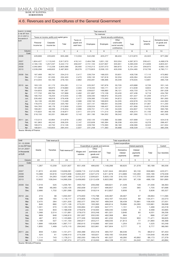# 4.6. Revenues and Expenditures of the General Government

| Until 31.12.2006             | Total revenue (I) |                                            |           |                |           |              |                               |           |                |                 |  |
|------------------------------|-------------------|--------------------------------------------|-----------|----------------|-----------|--------------|-------------------------------|-----------|----------------|-----------------|--|
| in mio SIT from              |                   |                                            |           |                |           |              |                               |           |                |                 |  |
| 01.01.2007 in                |                   |                                            |           |                |           | Tax revenues |                               |           |                |                 |  |
| thousands of                 |                   | Taxes on income, profits and capital gains |           |                |           |              | Social security contributions |           |                |                 |  |
| <b>EUR</b>                   |                   |                                            |           | Taxes on       |           |              | Other                         |           | Taxes on       | Domestics taxes |  |
|                              | Personal          | Corporate                                  | Total     | payroll and    | Employees | Employers    | unallocable                   | Total     | property       | on goods and    |  |
|                              | income tax        | income tax                                 |           | work force     |           |              | social security               |           |                | services        |  |
|                              |                   |                                            |           |                |           |              | contributions                 |           |                |                 |  |
| Column                       | $\mathbf{1}$      | $\overline{c}$                             | 3         | $\overline{4}$ | 5         | 6            | $\overline{7}$                | 8         | $\overline{9}$ | 10              |  |
| Code                         |                   |                                            |           |                |           |              |                               |           |                |                 |  |
| 2006                         | 429,666           | 225,820                                    | 655,486   | 113,334        | 542,290   | 403,277      | 68,404                        | 1,013,970 | 45,322         | 977,082         |  |
|                              |                   |                                            |           |                |           |              |                               |           |                |                 |  |
| 2007                         | 1,804,427         | 1,113,243                                  | 2,917,670 | 418,141        | 2,464,786 | 1,831,132    | 302,054                       | 4,597,973 | 206,421        | 4,498,576       |  |
| 2008                         | 2,185,135         | 1,257,037                                  | 3,442,172 | 258,037        | 2,731,100 | 2,027,957    | 335,951                       | 5,095,009 | 214,909        | 4,805,321       |  |
| 2009                         | 2,092,860         | 712,228                                    | 2,805,088 | 28,490         | 2,743,212 | 2,037,073    | 380,970                       | 5,161,254 | 206,975        | 4,660,123       |  |
| 2010                         | 2.039.298         | 448,602                                    | 2,487,900 | 28,076         | 2,770,803 | 2.058.123    | 405,559                       | 5,234,485 | 219.739        | 4,780,711       |  |
|                              |                   |                                            |           |                |           |              |                               |           |                |                 |  |
| 2009<br>Oct.                 | 167,469           | 66,741                                     | 234,210   | 2,417          | 226,754   | 168,023      | 33,931                        | 428,708   | 17,110         | 473,962         |  |
| Nov.                         | 171,345           | 61,055                                     | 232,400   | 2,470          | 226,132   | 167,818      | 32,334                        | 426,284   | 30,430         | 413,334         |  |
| Dec.                         | 214,004           | 64,160                                     | 278,164   | 2,862          | 255,091   | 189,366      | 35,049                        | 479,505   | 12,691         | 395,729         |  |
|                              |                   |                                            |           |                |           |              |                               |           |                |                 |  |
| 2010<br>Jan.                 | 163,120           | 61,172                                     | 224,291   | 2,114          | 225,307   | 167,976      | 30,705                        | 423,988   | 6,726          | 331,145         |  |
| Feb.                         | 161,006           | 58,873                                     | 219,880   | 2,004          | 219,340   | 163,171      | 32,127                        | 414,639   | 8,604          | 401,746         |  |
| Mar.                         | 154,603           | 36,683                                     | 191,287   | 2,165          | 229,627   | 169,985      | 36,121                        | 435,733   | 8,779          | 291,028         |  |
| Apr.                         | 177,732           | $-69,764$                                  | 107,968   | 2,492          | 231,897   | 172,109      | 33,430                        | 437,436   | 9,719          | 434,792         |  |
| May                          | 190.752           | 19,253                                     | 210,005   | 2,195          | 228,330   | 169,972      | 33,245                        | 431,547   | 31,206         | 373,371         |  |
| Jun.                         | 226,492           | 49,916                                     | 276,408   | 2,477          | 229,385   | 170,563      | 34,872                        | 434,821   | 18,006         | 391,065         |  |
| Jul.                         | 64,106            | 49,393                                     | 113,499   | 2,566          | 228,740   | 169,603      | 34,335                        | 432,678   | 24,725         | 444,362         |  |
| Aug.                         | 178,470           | 47,322                                     | 225,792   | 1,910          | 227,131   | 168,641      | 33,046                        | 428,818   | 27,387         | 411,230         |  |
| Sep.                         | 164,783           | 48,176                                     | 212,959   | 2,005          | 229,024   | 169,407      | 33,525                        | 431,956   | 24,613         | 376,055         |  |
| Oct.                         | 169,261           | 49,093                                     | 218,354   | 2,596          | 229,751   | 171,129      | 34,026                        | 434,907   | 13,705         | 393,795         |  |
| Nov.                         | 170,822           | 48,155                                     | 218,977   | 2,411          | 231,075   | 171,214      | 34,085                        | 436,374   | 31,156         | 491,956         |  |
| Dec.                         | 218,150           | 50,331                                     | 268,481   | 3,142          | 261,195   | 194,352      | 36,042                        | 491,590   | 15,115         | 440,165         |  |
|                              |                   |                                            |           |                |           |              |                               |           |                |                 |  |
| 2011<br>Jan.                 | 172,014           | 42,964                                     | 214,979   | 2,262          | 232,125   | 172,986      | 32,588                        | 437,699   | 7,413          | 424,518         |  |
| Feb.                         | 161,963           | 46,242                                     | 208,205   | 2,147          | 222,828   | 165,384      | 36,338                        | 424,550   | 8,278          | 299,407         |  |
| Mar.                         | 169,374           | 42,752                                     | 212,126   | 2,300          | 229,793   | 170,393      | 38,180                        | 438,366   | 8,343          | 441,554         |  |
| Apr.                         | 188,841           | 105,603                                    | 294,444   | 2,507          | 231,258   | 171,383      | 35,688                        | 438,329   | 7,132          | 380,256         |  |
| Source: Ministry of Finance. |                   |                                            |           |                |           |              |                               |           |                |                 |  |

| Until        |                 |        | Total revenue (I) |                                | Total expenditure (II) |                                   |           |                     |                   |         |                |
|--------------|-----------------|--------|-------------------|--------------------------------|------------------------|-----------------------------------|-----------|---------------------|-------------------|---------|----------------|
| 31.12.2006   |                 |        |                   |                                |                        |                                   |           | Current expenditure |                   |         |                |
|              | in mio SIT from |        |                   |                                |                        | Expenditure on goods and services |           |                     | Interest payments |         | Current        |
| 01.01.2007   |                 | Grants | Transfers         | Total revenue (I) <sup>2</sup> |                        | Other                             |           | Domestics           | Interest          |         |                |
| in thousands |                 |        |                   |                                | Wages and              | purchases aof                     | Total     | interest            | payments          | Total   | Cur. transfers |
| of EUR       |                 |        |                   |                                | salaries               | goods and                         |           | payments            | abroad            |         |                |
|              |                 |        |                   |                                |                        | services                          |           |                     |                   |         |                |
|              | Column          | 22     | 23                | 24                             | $\mathbf{1}$           | $\overline{c}$                    | 3         | $\overline{4}$      | 5                 | 6       | $\overline{7}$ |
|              | Code            |        |                   |                                |                        |                                   |           |                     |                   |         |                |
| 2006         |                 | 1,287  | 10,259            | 3,021,927                      | 651.456                | 496,830                           | 1,148,286 | 68,620              | 21,578            | 90.199  | 96,556         |
|              |                 |        |                   |                                |                        |                                   |           |                     |                   |         |                |
| 2007         |                 | 11,872 | 42,500            | 13,658,091                     | 2,809,715              | 2,212,229                         | 5,021,944 | 263,853             | 93,130            | 356,983 | 423,371        |
| 2008         |                 | 10,388 | 53,916            | 14,973,838                     | 3,084,407              | 2,527,472                         | 5,611,879 | 214,886             | 120,280           | 335,166 | 476,509        |
| 2009         |                 | 11,140 | 54,263            | 13,807,488                     | 3,413,312              | 2,506,821                         | 5,920,133 | 218,155             | 117,775           | 335,930 | 597,859        |
| 2010         |                 | 12,622 | 109,544           | 14,066,559                     | 3,409,663              | 2,512,429                         | 5,922,092 | 391,020             | 97,139            | 488,159 | 581,895        |
|              |                 |        |                   |                                |                        |                                   |           |                     |                   |         |                |
| 2009         | Oct.            | 1,018  | 525               | 1,226,781                      | 283,752                | 206,069                           | 489,821   | 21,428              | 128               | 21,556  | 38,363         |
|              | Nov.            | 989    | 49,260            | 1,230,105                      | 282,839                | 213,817                           | 496,657   | 1,340               | 365               | 1,705   | 97,696         |
|              | Dec.            | 2,666  | 1,702             | 1,281,066                      | 294,843                | 318,014                           | 612,857   | 5,606               | $\mathsf O$       | 5,606   | 83,327         |
|              |                 |        |                   |                                |                        |                                   |           |                     |                   |         |                |
| 2010         | Jan.            | 215    | 38                | 1,050,357                      | 275,600                | 170,798                           | 446,397   | 28,567              | 97                | 28,664  | 111,095        |
|              | Feb.            | 236    | 193               | 1,119,117                      | 273,905                | 179,263                           | 453,167   | 134,403             | 68                | 134,471 | 22,573         |
|              | Mar.            | 2,470  | 264               | 1,001,205                      | 282,577                | 206,767                           | 489,344   | 38,439              | 70,991            | 109,430 | 27,001         |
|              | Apr.            | 846    | 890               | 1,071,126                      | 273,231                | 193,383                           | 466,614   | 79,696              | 24,285            | 103,981 | 39,698         |
|              | May             | 1,001  | 570               | 1,120,103                      | 335,864                | 211,906                           | 547,771   | 1,151               | 315               | 1,466   | 42,218         |
|              | Jun.            | 343    | 833               | 1,198,009                      | 279,876                | 219,564                           | 499,440   | 4,568               | $\mathsf O$       | 4,568   | 40,895         |
|              | Jul.            | 1,068  | 2,014             | 1,121,881                      | 278,073                | 203,248                           | 481,321   | 3,946               | 85                | 4,031   | 39,256         |
|              | Aug.            | 969    | 948               | 1,246,910                      | 281,837                | 200,530                           | 482,368   | 884                 | $\overline{c}$    | 886     | 27,597         |
|              | Sep.            | 487    | 872               | 1,123,865                      | 277,326                | 183,906                           | 461,232   | 70,522              | 950               | 71,471  | 36,825         |
|              | Oct.            | 1,189  | 527               | 1,141,154                      | 285,817                | 203,217                           | 489,035   | 21,813              | 77                | 21,890  | 46,398         |
|              | Nov.            | 1,899  | 100.926           | 1,397,717                      | 280,615                | 216,885                           | 497,500   | 1,254               | 270               | 1,525   | 50,248         |
|              | Dec.            | 1,900  | 1,469             | 1,475,115                      | 284,943                | 322,961                           | 607,904   | 5,777               | $\mathsf O$       | 5,777   | 98,090         |
|              |                 |        |                   |                                |                        |                                   |           |                     |                   |         |                |
| 2011         | Jan.            | 859    | 1,504             | 1,151,271                      | 283,389                | 202,318                           | 485,707   | 88,536              | 75                | 88,612  | 97,453         |
|              | Feb.            | 424    | 41                | 1,048,410                      | 274,339                | 183,821                           | 458,160   | 134,648             | $\mathbf{1}$      | 134,649 | 46,409         |
|              | Mar.            | 1,114  | 743               | 1,178,211                      | 282,050                | 199,476                           | 481,527   | 48,280              | 40,892            | 89,173  | 27,379         |
|              | Apr.            | 1,040  | 140               | 1,197,274                      | 271,075                | 213,053                           | 484,128   | 77,101              | 24,240            | 101,341 | 40,894         |

Source: Ministry of Finance.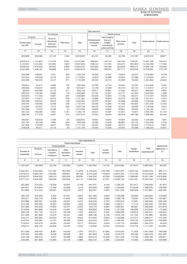|                           |                      |                                                       |             |            | Total revenue (I)                         |                                                                            |                          |         |                 |                 |
|---------------------------|----------------------|-------------------------------------------------------|-------------|------------|-------------------------------------------|----------------------------------------------------------------------------|--------------------------|---------|-----------------|-----------------|
|                           |                      | Tax revenues                                          |             |            |                                           | Nontax revenue                                                             |                          |         |                 |                 |
| General sales<br>tax. VAT | Of which:<br>Excises | Taxes on<br>intemational<br>trade and<br>transactions | Other taxes | Total      | Enterpreneurial<br>and property<br>income | Administrative<br>fees and<br>charges,<br>nonindustrial<br>sales and fines | Other nontax<br>revenues | Total   | Current revenue | Capital revenue |
| 11                        | 12                   | 13                                                    | 14          | 15         | 16                                        | 17                                                                         | 18                       | 19      | 20              | 21              |
|                           |                      |                                                       |             |            |                                           |                                                                            |                          |         |                 |                 |
| 650,858                   | 229,083              | 12,145                                                | 1,304       | 2,818,643  | 64,731                                    | 34,280                                                                     | 52,756                   | 151,767 | 2,970,410       | 39,971          |
| 2,906,674                 | 1,157,853            | 117,079                                               | 2,081       | 12,757,942 | 299,944                                   | 149,100                                                                    | 260,183                  | 709,227 | 13,467,169      | 136,551         |
| 3,144,501                 | 1,213,255            | 120,092                                               | 1,825       | 13,937,365 | 338,244                                   | 170,784                                                                    | 345,875                  | 854,903 | 14,792,268      | 117,265         |
| 2,838,007                 | 1,415,000            | 90,533                                                | 2,883       | 12,955,347 | 233,683                                   | 185,488                                                                    | 263,638                  | 682,810 | 13,638,156      | 103,928         |
| 2,940,893                 | 1,439,187            | 90,699                                                | 4.010       | 12,845,619 | 336.933                                   | 188,344                                                                    | 397,771                  | 923.048 | 13.768.667      | 175.726         |
| 302,368                   | 138,991              | 7,421                                                 | 300         | 1,164,128  | 18,582                                    | 15,937                                                                     | 19,812                   | 54,331  | 1,218,460       | 6.778           |
| 254,544                   | 126,008              | 8,119                                                 | 310         | 1,113,347  | 16,679                                    | 16,996                                                                     | 23,624                   | 57,298  | 1,170,645       | 9,211           |
| 254,529                   | 105.352              | 6,127                                                 | 371         | 1.175.449  | 26,345                                    | 18,114                                                                     | 31,946                   | 76.405  | 1,251,854       | 24,843          |
| 259,857                   | 42,917               | 5,688                                                 | 136         | 994,088    | 23,035                                    | 12,704                                                                     | 18,020                   | 53,760  | 1,047,848       | 2,255           |
| 269,885                   | 100,043              | 6,876                                                 | 99          | 1,053,847  | 13,109                                    | 13,596                                                                     | 35,419                   | 62,124  | 1,115,972       | 2,718           |
| 89,847                    | 163,290              | 6,116                                                 | 311         | 935,418    | 19,811                                    | 16,861                                                                     | 21,530                   | 58,201  | 993,620         | 4,852           |
| 280,515                   | 118,196              | 8,286                                                 | 174         | 1,000,866  | 21,791                                    | 15,257                                                                     | 24,177                   | 61,224  | 1,062,090       | 7,299           |
| 223,875                   | 117,753              | 8,367                                                 | 291         | 1,056,983  | 22,526                                    | 15,962                                                                     | 17,726                   | 56,214  | 1,113,197       | 5,335           |
| 234,801                   | 114,617              | 8,075                                                 | 529         | 1,131,381  | 18,998                                    | 16,925                                                                     | 24,212                   | 60,136  | 1,191,517       | 5,315           |
| 283,788                   | 126,401              | 8,423                                                 | 199         | 1,026,452  | 42,376                                    | 16,324                                                                     | 24,286                   | 82,986  | 1,109,438       | 9,361           |
| 242,442                   | 139,068              | 6,788                                                 | 232         | 1,102,157  | 33,566                                    | 14,384                                                                     | 81,432                   | 129,382 | 1,231,539       | 13,455          |
| 212,300                   | 134,037              | 7,312                                                 | 250         | 1,055,150  | 23,078                                    | 15,508                                                                     | 25,513                   | 64,099  | 1,119,249       | 3,257           |
| 287,648                   | 73,520               | 9,199                                                 | 91          | 1,072,646  | 16,658                                    | 15,832                                                                     | 26,991                   | 59,482  | 1,132,128       | 7,311           |
| 267,143                   | 192,068              | 7,061                                                 | 1,181       | 1,189,116  | 26,641                                    | 16,387                                                                     | 31,647                   | 74,674  | 1,263,790       | 31,103          |
| 288,792                   | 117,278              | 8,507                                                 | 516         | 1,227,514  | 75,344                                    | 18,603                                                                     | 66,819                   | 160,766 | 1,388,280       | 83,466          |
| 266,451                   | 126,649              | 7,789                                                 | $-20$       | 1,094,640  | 19,997                                    | 13,934                                                                     | 18,364                   | 52,295  | 1,146,935       | 1,973           |
| 231,197                   | 35,738               | 7,690                                                 | $-245$      | 950,033    | 15,230                                    | 13,048                                                                     | 66,897                   | 95,176  | 1,045,209       | 2,735           |
| 231,505                   | 173,229              | 8,241                                                 | 203         | 1,111,134  | 20,481                                    | 16,685                                                                     | 25,212                   | 62,378  | 1,173,512       | 2,841           |
| 276,979                   | 65,211               | 9,116                                                 | $-50$       | 1,131,734  | 15,530                                    | 14,505                                                                     | 23,454                   | 53,489  | 1,185,223       | 10,871          |

| Total expenditure (II)     |                      |                                           |                                 |                     |           |                     |            |                        |                                        |                               |
|----------------------------|----------------------|-------------------------------------------|---------------------------------|---------------------|-----------|---------------------|------------|------------------------|----------------------------------------|-------------------------------|
|                            |                      |                                           | Current expenditure             |                     |           |                     |            |                        |                                        |                               |
|                            |                      | Current transfers                         |                                 |                     |           |                     |            |                        |                                        | Nonfinancial                  |
| Transfers to<br>households | Of which:<br>Pension | Transfers to<br>nonprofit<br>institutions | Other<br>domestics<br>transfers | Transfers<br>abroad | Total     | Current<br>reserves | Total      | Capital<br>expenditure | Total<br>expenditure (II) <sup>2</sup> | balance $(A = 1 -$<br>$II.$ ) |
| 8                          | 9                    | 10                                        | 11                              | 12                  | 13        | 14                  | 15         | 16                     | 17                                     | 18                            |
|                            |                      |                                           |                                 |                     |           |                     |            |                        |                                        |                               |
| 1,167,404                  | 756,593              | 29,159                                    | 120,389                         | 6,556               | 1,420,064 | 14,145              | 2,672,693  | 312,972                | 2,985,665                              | 36,262                        |
| 5,093,321                  | 3,354,926            | 127,790                                   | 467,484                         | 31,979              | 6,143,945 | 104,765             | 11,627,637 | 1,464,740              | 13,092,376                             | 565,714                       |
| 5,619,214                  | 3,680,764            | 138,385                                   | 459,931                         | 48,189              | 6,742,228 | 115,979             | 12,805,252 | 1,714,100              | 14,519,353                             | 454,485                       |
| 6,024,077                  | 3,859,250            | 159,014                                   | 520,452                         | 38,930              | 7,340,332 | 42,294              | 13,638,690 | 1,788,490              | 15,427,180                             | $-1,619,692$                  |
| 6,277,741                  | 4,003,560            | 188,546                                   | 540,236                         | 40,114              | 7,628,532 | 47,351              | 14,086,135 | 1,707,031              | 15,793,165                             | $-1,726,606$                  |
| 491,662                    | 313,234              | 16,439                                    | 42,567                          | 2,199               | 591,231   | 4,184               | 1,106,791  | 201,617                | 1,308,409                              | $-81,627$                     |
| 497,651                    | 313,844              | 12,789                                    | 42,949                          | 1,516               | 652,600   | 2,890               | 1,153,852  | 215,648                | 1,369,500                              | $-139,395$                    |
| 507,893                    | 314,242              | 26,081                                    | 55,618                          | 2,372               | 675,291   | 7,601               | 1,301,355  | 426,506                | 1,727,861                              | -446,795                      |
| 495,100                    | 315,359              | 5,235                                     | 37,231                          | 2,602               | 651,263   | 3,945               | 1,130,269  | 92,683                 | 1,222,952                              | $-172,596$                    |
| 505,971                    | 323,779              | 6,368                                     | 41,945                          | 1,592               | 578,450   | 2,690               | 1,168,778  | 75,020                 | 1,243,799                              | $-124,681$                    |
| 527,886                    | 320,591              | 14,258                                    | 45,567                          | 4,531               | 619,242   | 2,797               | 1,220,813  | 72,581                 | 1,293,394                              | $-292,188$                    |
| 510,182                    | 320,295              | 16,291                                    | 43,920                          | 1,942               | 612,033   | 2,683               | 1,185,311  | 77,119                 | 1,262,430                              | $-191,304$                    |
| 647,395                    | 454,425              | 14,903                                    | 45,431                          | 3,223               | 753,170   | 3,884               | 1,306,291  | 86,691                 | 1,392,982                              | $-272,879$                    |
| 513,559                    | 321,689              | 16,549                                    | 51,461                          | 7,460               | 629,925   | 3,306               | 1,137,239  | 138,695                | 1,275,935                              | $-77,926$                     |
| 509,108                    | 321,158              | 15,215                                    | 43,758                          | 1,404               | 608,741   | 2,491               | 1,096,583  | 133,818                | 1,230,401                              | $-108,520$                    |
| 501,206                    | 321,898              | 14,076                                    | 45,351                          | 1,896               | 590,126   | 2,756               | 1,076,135  | 121,724                | 1,197,860                              | 49,050                        |
| 504,411                    | 322,665              | 20,820                                    | 44,122                          | 5,825               | 612,004   | 3,992               | 1,148,699  | 147,512                | 1,296,211                              | $-172,346$                    |
| 516,767                    | 323,381              | 12,131                                    | 46,066                          | 3,090               | 624,452   | 2,921               | 1,138,297  | 156,745                | 1,295,042                              | $-153,888$                    |
| 519,544                    | 332,218              | 16,064                                    | 42,963                          | 4,217               | 633,037   | 2,653               | 1,134,715  | 229,664                | 1,364,379                              | 33,339                        |
| 526,612                    | 326,103              | 36,636                                    | 52,420                          | 2,332               | 716,090   | 13,233              | 1,343,004  | 374,778                | 1,717,782                              | $-242,667$                    |
| 521,539                    | 328,435              | 8,881                                     | 44,565                          | 1,334               | 673,771   | 21,965              | 1,270,054  | 71,305                 | 1,341,359                              | $-190,088$                    |
| 532,423                    | 334,286              | 9,208                                     | 39,539                          | 384                 | 627,963   | 2,538               | 1,223,310  | 62,165                 | 1,285,476                              | $-237,066$                    |
| 552,106                    | 333,213              | 9,437                                     | 49,396                          | 1,898               | 640,215   | 10,529              | 1,221,443  | 77,739                 | 1,299,182                              | $-120,971$                    |
| 534,562                    | 331,829              | 10,483                                    | 44,419                          | 5,368               | 635,727   | 2,485               | 1,223,681  | 74,582                 | 1,298,262                              | $-100,988$                    |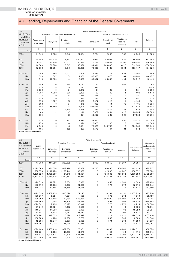**EUROSYSTEM**

# 4.7. Lending, Repayments and Financing of the General Government

| Until                                |                 |                             |                |                                          |                | Lending minus repayments (B) |                        |                                       |         |            |
|--------------------------------------|-----------------|-----------------------------|----------------|------------------------------------------|----------------|------------------------------|------------------------|---------------------------------------|---------|------------|
| 31.12.2006                           |                 |                             |                | Repayment of given loans and equity sold |                |                              |                        | Lending and aquisition of equity      |         |            |
| 01.01.2007<br>in thousands<br>of EUR | in mio SIT from | Repayment of<br>given loans | Equity sold    | Privatization<br>receipts                | Total          | Loans given                  | Acquision of<br>equity | Privatization<br>receipts<br>spending | Total   | Balance    |
|                                      |                 | $\mathbf{1}$                | $\overline{2}$ | 3                                        | $\overline{4}$ | 5                            | 6                      | $\overline{7}$                        | 8       | 9          |
|                                      | Code            |                             |                |                                          |                |                              |                        |                                       |         |            |
| 2006                                 |                 | 11.344                      | 7,205          | 2.545                                    | 21.094         | 2.784                        | 2.902                  | 755                                   | 9,998   | 11.096     |
|                                      |                 |                             |                |                                          |                |                              |                        |                                       |         |            |
| 2007                                 |                 | 44,785                      | 497,229        | 8,332                                    | 550,347        | 5,043                        | 58,937                 | 4,037                                 | 86,995  | 463,352    |
| 2008                                 |                 | 50,391                      | 20,250         | 10,001                                   | 80,642         | 5,224                        | 134,689                | 14,288                                | 166,752 | $-86,109$  |
| 2009                                 |                 | 19,808                      | 23.298         | 5.717                                    | 48,822         | 94,611                       | 203.395                | 6,426                                 | 312.350 | $-263.528$ |
| 2010                                 |                 | 12.263                      | 18.234         | 3,140                                    | 33.638         | 179.230                      | 3.488                  | 3.594                                 | 198.167 | $-164,529$ |
|                                      |                 |                             |                |                                          |                |                              |                        |                                       |         |            |
| 2009                                 | Oct.            | 596                         | 765            | 4,007                                    | 5,368          | 1,326                        | 17                     | 1,984                                 | 3,560   | 1.809      |
|                                      | Nov.            | 693                         | 327            | 32                                       | 1,053          | 42,968                       | 1,076                  | 1,164                                 | 45,230  | $-44, 177$ |
|                                      | Dec.            | 1,519                       | 16,900         | 44                                       | 18,463         | 35,897                       | 23,395                 | 1,494                                 | 60,912  | $-42, 449$ |
|                                      |                 |                             |                |                                          |                |                              |                        |                                       |         |            |
| 2010                                 | Jan.            | 549                         | $\circ$        | 564                                      | 1.113          | 742                          | $\circ$                | 469                                   | 1.211   | $-98$      |
|                                      | Feb.            | 170                         | 13             | 38                                       | 221            | 941                          | $\Omega$               | 175                                   | 1,116   | $-895$     |
|                                      | Mar.            | 5,656                       | $\circ$        | 21                                       | 5,677          | 84                           | 108                    | $\overline{c}$                        | 381     | 5,296      |
|                                      | Apr.            | 1,757                       | 1,250          | 325                                      | 3,333          | 99                           | 48                     | 44                                    | 190     | 3,143      |
|                                      | May             | 274                         | $\circ$        | 42                                       | 316            | 316                          | 10                     | $\overline{c}$                        | 327     | $-12$      |
|                                      | Jun.            | 638                         | 10             | 47                                       | 695            | 284                          | 8                      | $\overline{2}$                        | 481     | 213        |
|                                      | Jul.            | 1,070                       | 1,397          | 88                                       | 2,555          | 3,477                        | 618                    | 11                                    | 4,106   | $-1,551$   |
|                                      | Aug.            | 238                         | $\mathbf 0$    | 34                                       | 272            | 309                          | 11                     | 76                                    | 5,495   | $-5,224$   |
|                                      | Sep.            | 824                         | 15.550         | 34                                       | 16,408         | 104,651                      | $-1$                   | $\overline{c}$                        | 104,844 | $-88,436$  |
|                                      | Oct.            | 822                         | $\mathbf{1}$   | 1.844                                    | 2,668          | 287                          | 1,415                  | 283                                   | 1,985   | 682        |
|                                      | Nov.            | $-69$                       | 12             | 47                                       | $-10$          | 17,072                       | 1,044                  | 2,229                                 | 20,344  | $-20,354$  |
|                                      | Dec.            | 334                         | $\mathbf{1}$   | 55                                       | 391            | 50,968                       | 229                    | 301                                   | 57,686  | $-57,294$  |
|                                      |                 |                             |                |                                          |                |                              |                        |                                       |         |            |
| 2011                                 | Jan.            | 1,413                       | $\circ$        | 262                                      | 1,675          | 32,575                       | $\circ$                | 1,085                                 | 33,720  | $-32,045$  |
|                                      | Feb.            | 279                         | $\overline{4}$ | 40                                       | 322            | 2,808                        | 90                     | $\overline{c}$                        | 2,988   | $-2,665$   |
|                                      | Mar.            | 5,545                       | $\circ$        | 45                                       | 5,591          | 75,629                       | 245,755                | $\overline{c}$                        | 322.735 | $-317,145$ |
|                                      | Apr.            | 135                         | $\mathbf{1}$   | 102                                      | 237            | 1,576                        | 44                     | 34                                    | 1,654   | $-1,416$   |

Source: Ministry of Finance.

| Until                                |                 |                          |                       |                          |            | Total financing (C) |                        |            |                            |                                            |
|--------------------------------------|-----------------|--------------------------|-----------------------|--------------------------|------------|---------------------|------------------------|------------|----------------------------|--------------------------------------------|
| 31.12.2006                           |                 |                          |                       | Domestics financing      |            |                     | Financing abroad       |            |                            | Change in                                  |
| 01.01.2007<br>in thousands<br>of EUR | in mio SIT from | Overall<br>balance (A+B) | Domestics<br>drawings | Domestic<br>amortization | Balance    | Drawings<br>abroad  | Amortization<br>abroad | Balance    | Total financing<br>balance | cash, deposits<br>and statistical<br>error |
|                                      |                 | 10                       | 11                    | 12                       | 13         | 14                  | 15                     | 16         | 17                         | 18                                         |
|                                      | Column          |                          |                       |                          |            |                     |                        |            |                            |                                            |
| 2006                                 |                 | 47,358                   | 344,223               | 226,052                  | 118,171    | 2,068               | 33,955                 | $-31,887$  | 86,284                     | 133,642                                    |
|                                      |                 |                          |                       |                          |            |                     |                        |            |                            |                                            |
| 2007                                 |                 | 1,029,066                | 691,504               | 899,476                  | $-207,972$ | 199,736             | 40,893                 | 158,843    | $-49,129$                  | 979,937                                    |
| 2008                                 |                 | 368,376                  | 1,142,479             | 1,232,444                | $-89,965$  | 0                   | 42,907                 | $-42,907$  | $-132,872$                 | 235,504                                    |
| 2009                                 |                 | $-1,883,220$             | 4,926,369             | 464,948                  | 4,461,421  | 0                   | 425,338                | $-425,338$ | 4,036,083                  | 2,152,863                                  |
| 2010                                 |                 | $-1,891,135$             | 2,659,326             | 1,260,357                | 1,398,969  | 0                   | 515,325                | $-515,325$ | 883,644                    | $-1,007,491$                               |
|                                      |                 |                          |                       |                          |            |                     |                        |            |                            |                                            |
| 2009                                 | Oct.            | $-79,819$                | 12.772                | 9.382                    | 3.390      | 0                   | 1,059                  | $-1.059$   | 2,330                      | $-77,489$                                  |
|                                      | Nov.            | $-183,572$               | $-18.173$             | 2,925                    | $-21,098$  | $\Omega$            | 1.772                  | $-1.772$   | $-22,870$                  | $-206, 442$                                |
|                                      | Dec.            | $-489,244$               | $-19,765$             | 21,880                   | $-41,644$  | $\Omega$            | $\circ$                | $\Omega$   | $-41,644$                  | -530,889                                   |
|                                      |                 |                          |                       |                          |            |                     |                        |            |                            |                                            |
| 2010                                 | Jan.            | $-172,693$               | 1,567,135             | 396,020                  | 1,171,115  | 0                   | 3,191                  | $-3,191$   | 1,167,923                  | 995,230                                    |
|                                      | Feb.            | $-125,577$               | 5.081                 | 4,521                    | 560        | 0                   | 1.773                  | $-1.773$   | $-1.213$                   | $-126,790$                                 |
|                                      | Mar.            | $-286,892$               | 996,726               | 732,861                  | 263,865    | 0                   | 502,199                | $-502,199$ | $-238,333$                 | $-525,225$                                 |
|                                      | Apr.            | $-188,162$               | 2,995                 | 48.429                   | $-45.434$  | 0                   | 996                    | $-996$     | $-46,430$                  | $-234,592$                                 |
|                                      | May             | $-272,891$               | 7,185                 | 15,127                   | $-7,942$   | 0                   | 1,773                  | $-1,773$   | $-9,715$                   | $-282,606$                                 |
|                                      | Jun.            | $-77,712$                | 10,221                | 4,622                    | 5,598      | 0                   | $\circ$                | $\Omega$   | 5,598                      | $-72,114$                                  |
|                                      | Jul.            | $-110,071$               | $-14,563$             | 3,927                    | $-18,490$  | $\Omega$            | 433                    | $-433$     | $-18,923$                  | $-128,994$                                 |
|                                      | Aug.            | 43,827                   | 28,803                | 3,251                    | 25,553     | 0                   | 109                    | $-109$     | 25,444                     | 69,271                                     |
|                                      | Sep.            | $-260,782$               | $-17,039$             | 5,378                    | $-22,417$  | 0                   | 2,211                  | $-2,211$   | $-24,628$                  | $-285,410$                                 |
|                                      | Oct.            | $-153,206$               | 4,163                 | 11,936                   | $-7,773$   | 0                   | 866                    | $-866$     | $-8,639$                   | $-161,845$                                 |
|                                      | Nov.            | 12,985                   | 16,547                | 3,087                    | 13,460     | 0                   | 1.774                  | $-1.774$   | 11,686                     | 24,670                                     |
|                                      | Dec.            | $-299,961$               | 52,072                | 31,198                   | 20.874     | $\Omega$            | $\Omega$               | $\Omega$   | 20,874                     | $-279,087$                                 |
|                                      |                 |                          |                       |                          |            |                     |                        |            |                            |                                            |
| 2011                                 | Jan.            | $-222,133$               | 1,535,413             | 357,333                  | 1,178,081  | 0                   | 3,269                  | $-3,269$   | 1,174,812                  | 952,679                                    |
|                                      | Feb.            | $-239.731$               | 2.163                 | 43,233                   | $-41.070$  | 0                   | 109                    | $-109$     | $-41,179$                  | $-280,910$                                 |
|                                      | Mar.            | $-438,115$               | 1,526,575             | 20,300                   | 1,506,275  | 0                   | 2,196                  | $-2,196$   | 1,504,079                  | 1,065,964                                  |
|                                      | Apr.            | $-102,405$               | $-10,340$             | 4,505                    | $-14,845$  | 0                   | 450,646                | $-450,646$ | $-465, 491$                | $-567,896$                                 |

Source: Ministry of Finance.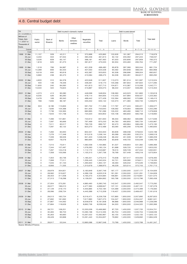# 4.8. Central budget debt

| Till                   |                       |                     |                  |                    | Debt incurred in domestic market |                          |                          |                    | Debt incurred abroad   |                    |                          |
|------------------------|-----------------------|---------------------|------------------|--------------------|----------------------------------|--------------------------|--------------------------|--------------------|------------------------|--------------------|--------------------------|
|                        | 31.12.2006 in         |                     |                  |                    |                                  |                          |                          |                    |                        |                    |                          |
| Millions of            |                       |                     |                  |                    | Other                            |                          |                          |                    |                        |                    |                          |
| Tolars, from           |                       | Public              | Bank of          | Banks              | domestic                         | Negotiable               | Total                    | Loans              | <b>Bonds</b>           | Total              | Total debt               |
| 1.1.2007 in            |                       | sector              | Slovenia         |                    | creditors                        | securities               |                          |                    |                        |                    |                          |
| Thousands of<br>Euros. |                       |                     |                  |                    |                                  |                          |                          |                    |                        |                    |                          |
|                        | Column                | $\mathbf{1}$        | $\overline{c}$   | 3                  | $\overline{4}$                   | $\mathbf 5$              | $6 = 1  5$               | $\overline{7}$     | 8                      | $9 = 7 + 8$        | $10 = 6 + 9$             |
|                        | Code                  |                     |                  |                    |                                  |                          |                          |                    |                        |                    |                          |
|                        | 1998 31.Mar           | 11,157              | 509              | 43,311             | $\circ$                          | 370,988                  | 425,965                  | 102,626            | 191,387                | 294,013            | 719,978                  |
|                        | 30.Jun                | 3,450               | 553              | 67,554             | $\mathsf{O}\xspace$              | 390,256                  | 461,813                  | 92,132             | 205,092                | 297,224            | 759,037                  |
|                        | 30.Sep                | 3,526               | 609              | 65,147             | $\mathsf{O}\xspace$              | 398,181                  | 467,463                  | 97,003             | 200,906                | 297,909            | 765,372                  |
|                        | 31.Dec                | 1,818               | 625              | 81,273             | 0                                | 391,817                  | 475,533                  | 92,304             | 203,460                | 295,764            | 771,297                  |
| 1999                   | 31.Mar                | 1,518               | 766              | 94,987             | 0                                | 401,209                  | 498,480                  | 95,878             | 287,366                | 383,244            | 881,724                  |
|                        | 30.Jun                | 14,289              | 856              | 82,333             | $\mathsf{O}\xspace$              | 407,050                  | 504,528                  | 93,492             | 294,948                | 388,440            | 892,968                  |
|                        | 30.Sep                | 9,518               | 930              | 90,818             | 0                                | 402,387                  | 503,653                  | 92,308             | 296,696                | 389,004            | 892,657                  |
|                        | 31.Dec                | 5,680               | 238              | 82,473             | $\mathsf O$                      | 410,084                  | 498,475                  | 94,536             | 300,281                | 394,817            | 893,292                  |
|                        |                       |                     |                  |                    |                                  |                          |                          |                    |                        |                    |                          |
| 2000                   | 31.Mar                | 4,600               | 310              | 84,378             | $\mathbf 0$                      | 422,648                  | 511,937                  | 110,073            | 391,514                | 501,587            | 1,013,524                |
|                        | 30.Jun                | 400                 | 146              | 79,346             | 0                                | 439,281                  | 519,173                  | 100,268            | 397,654                | 497,922            | 1,017,095                |
|                        | 30.Sep                | 11,600              | 240              | 84,060             | $\mathbf 0$<br>0                 | 431,813                  | 527,713                  | 104,671            | 410,387                | 515,058            | 1,042,771                |
|                        | 31.Dec                | 13,040              | 322              | 75,824             |                                  | 415,887                  | 505,073                  | 98,222             | 410,057                | 508,280            | 1,013,353                |
| 2001                   | 31.Mar                | 4,373               | 413              | 95,080             | $\mathbf 0$                      | 449,068                  | 548,934                  | 108,360            | 443,523                | 551,883            | 1,100,818                |
|                        | 30.Jun                | 6,035               | 526              | 80,260             | $\mathbf 0$                      | 478,114                  | 564,935                  | 110,433            | 547,994                | 658,427            | 1,223,362                |
|                        | 30.Sep                | 5,478               | 169              | 83,340             | 0                                | 488,442                  | 577,429                  | 102,394            | 468,592                | 570,986            | 1,148,415                |
|                        | 31.Dec                | 768                 | 7,935            | 96,187             | $\mathsf O$                      | 530,252                  | 635,142                  | 122,373            | 471,360                | 593,733            | 1,228,875                |
|                        |                       |                     |                  |                    |                                  |                          |                          |                    |                        |                    |                          |
| 2002                   | 31.Mar                | 553                 | 8,196            | 110,855            | $\mathbf 0$                      | 591,752                  | 711,356                  | 117,797            | 477,424                | 595,221            | 1,306,577                |
|                        | 30.Jun                | 0                   | 7,836            | 104,398            | 0                                | 641,405                  | 753,640                  | 109,592            | 479,064                | 588,656            | 1,342,296                |
|                        | 30.Sep<br>31.Dec      | 0<br>0              | 7,736<br>7,643   | 102,365<br>101,738 | $\mathsf{O}\xspace$<br>$\circ$   | 680,995<br>724,520       | 791,096<br>833,902       | 105,222<br>100,108 | 483,490<br>485,650     | 588,712<br>585,758 | 1,379,808<br>1,419,660   |
|                        |                       |                     |                  |                    |                                  |                          |                          |                    |                        |                    |                          |
| 2003                   | 31.Mar                | 0                   | 7,466            | 101,861            | $\mathbf 0$                      | 722,612                  | 831,940                  | 96,334             | 489,362                | 585,696            | 1,417,636                |
|                        | 30.Jun                | 0                   | 7,097            | 95,666             | $\circ$                          | 767,469                  | 870,233                  | 94,783             | 490,950                | 585,734            | 1,455,967                |
|                        | 30.Sep                | 0                   | 7,511            | 83,517             | 0                                | 795,729                  | 886,757                  | 92,473             | 493,964                | 586,438            | 1,473,195                |
|                        | 31.Dec                | 0                   | 7,097            | 82,122             | $\mathsf{O}\xspace$              | 823,270                  | 912,489                  | 83,090             | 495,256                | 578,346            | 1,490,835                |
|                        |                       |                     |                  |                    |                                  |                          |                          |                    |                        |                    |                          |
| 2004                   | 31.Mar                | $\mathsf{O}\xspace$ | 7,283            | 84,930             | $\mathsf{O}\xspace$              | 852,341                  | 944,553                  | 80,606             | 498,038                | 578,644            | 1,523,198                |
|                        | 30.Jun                | 0                   | 7,276            | 117,348            | 0<br>$\mathsf O$                 | 913,519                  | 1,038,144                | 80,089             | 450,285                | 530,374            | 1,568,518                |
|                        | 30.Sep<br>31.Dec      | 0<br>0              | 7,339<br>6,937   | 99,506<br>78,578   | $\mathsf O$                      | 941,403<br>980,694       | 1,048,248<br>1,066,209   | 86,452<br>83,849   | 451,509<br>449,700     | 537,961<br>533,549 | 1,586,209<br>1,599,759   |
|                        |                       |                     |                  |                    |                                  |                          |                          |                    |                        |                    |                          |
|                        | 2005 31.Mar           | 0                   | 7,015            | 75,911             | $\mathsf O$                      | 1,082,058                | 1,164,985                | 81,527             | 449,854                | 531,382            | 1,696,366                |
|                        | 30.Jun                | 0                   | 7,344            | 107,497            | $\mathsf{O}\xspace$              | 1,078,283                | 1,193,124                | 81,688             | 328,720                | 410,407            | 1,603,532                |
|                        | 30.Sep                | 0                   | 7,297            | 124,218            | $\mathsf O$                      | 1,112,172                | 1,243,687                | 78,515             | 328,729                | 407,244            | 1,650,931                |
|                        | 31.Dec                | 0                   | 7,358            | 105,066            | $\mathsf O$                      | 1,155,313                | 1,267,736                | 78,769             | 327,449                | 406,218            | 1,673,954                |
|                        |                       |                     |                  |                    |                                  |                          |                          |                    |                        |                    |                          |
|                        | 2006 31.Mar           | $\circ$             | 7,353            | 82,736             | $\mathsf{O}\xspace$              | 1,185,321                | 1,275,410                | 75,638             | 327,417                | 403,055            | 1,678,465                |
|                        | 30.Jun<br>30.Sep      | 0<br>0              | 7,068<br>7,045   | 77,011<br>61,153   | $\mathsf O$<br>$\mathsf O$       | 1,256,445<br>1,295,940   | 1,340,524<br>1,364,137   | 52,721<br>49,493   | 326,090<br>326,032     | 378,811<br>375,526 | 1,719,335<br>1,739,663   |
|                        | 31.Dec                | 0                   | 6,956            | 71,335             | 0                                | 1,310,679                | 1,388,970                | 49,229             | 323,514                | 372,743            | 1,761,713                |
|                        |                       |                     |                  |                    |                                  |                          |                          |                    |                        |                    |                          |
|                        | 2007 31.Mar           | 0                   | 28,979           | 354,821            | 0                                | 5,183,949                | 5,567,749                | 187,177            | 2,350,000              | 2,537,177          | 8,104,926                |
|                        | 30.Jun                | 0                   | 28,582           | 315,627            | 0                                | 4,289,109                | 4,633,318                | 181,291            | 2,350,000              | 2,531,291          | 7,164,609                |
|                        | 30.Sep                | 0                   | 28,403           | 311,008            | 0                                | 4,165,273                | 4,504,684                | 166,891            | 2,350,000              | 2,516,891          | 7,021,575                |
|                        | 31.Dec                | 0                   | 27,313           | 718,298            | 0                                | 4,139,051                | 4,884,662                | 160,796            | 2,350,000              | 2,510,796          | 7,395,458                |
|                        | 2008 31.Mar           | 0                   | 27,004           | 273,281            | 0                                | 4,980,460                | 5,280,745                | 142,547            | 2,350,000              | 2,492,547          | 7,773,292                |
|                        | 30.Jun                | 0                   | 26,577           | 196,010            | 0                                | 4,477,360                | 4,699,947                | 137,131            | 2,350,000              | 2,487,131          | 7,187,078                |
|                        | 30.Sep                | 0                   | 27,129           | 219,170            | 0                                | 4,455,885                | 4,702,184                | 124,399            | 2,350,000              | 2,474,399          | 7,176,583                |
|                        | 31.Dec                | 0                   | 28,096           | 238,724            | 0                                | 4,445,389                | 4,712,209                | 119,407            | 2,350,000              | 2,469,407          | 7,181,616                |
|                        |                       |                     |                  |                    |                                  |                          |                          |                    |                        |                    |                          |
|                        | 2009 31.Mar           | 0                   | 29,513           | 183,724            | 0                                | 6,016,471                | 6,229,708                | 107,895            | 1,950,000              | 2,057,895          | 8,287,603                |
|                        | 30.Jun                | 0                   | 27,692           | 181,692            | 0                                | 7,617,890                | 7,827,273                | 104,247            | 1,950,000              | 2,054,247          | 9,881,521                |
|                        | 30.Sep                | 0                   | 27,867           | 144,062            | 0                                | 9,009,679                | 9,181,608                | 96,988             | 1,950,000              | 2,046,988          | 11,228,596               |
|                        | 31.Dec                | 0                   | 27,684           | 118,626            | 0                                | 8,892,736                | 9,039,046                | 94,320             | 1,950,000              | 2,044,320          | 11,083,366               |
|                        |                       | 0                   |                  |                    |                                  |                          |                          |                    |                        | 1,537,720          |                          |
|                        | 2010 31.Mar<br>30.Jun | 0                   | 28,721<br>30,465 | 108,201<br>96,703  | 0<br>0                           | 10,330,059<br>10,285,168 | 10,466,982<br>10,412,335 | 87,720<br>85,704   | 1,450,000<br>1,450,000 | 1,535,704          | 12,004,701<br>11,948,039 |
|                        | 30.Sep                | 0                   | 30,263           | 95,683             | 0                                | 10,267,022               | 10,392,967               | 82,155             | 1,450,000              | 1,532,155          | 11,925,122               |
|                        | 31.Dec                | 0                   | 29,429           | 63,968             | 0                                | 10,261,440               | 10,354,837               | 79,692             | 1,450,000              | 1,529,692          | 11,884,529               |
|                        |                       |                     |                  |                    |                                  |                          |                          |                    |                        |                    |                          |
|                        | 2011 31.Mar           | 0                   | 28,917           | 53,544             | 0                                | 12,885,088               | 12,967,548               | 73,799             | 1,450,000              | 1,523,799          | 14,491,347               |

Source: Ministry of Finance.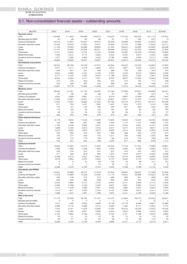**EUROSYSTEM**

# 5.1. Non-consolidated financial assets - outstanding amounts

| Mio EUR                                            | 2003    | 2004    | 2005               | 2006     | 2007      | 2008    | 2009    | 2010     | III-2008 |
|----------------------------------------------------|---------|---------|--------------------|----------|-----------|---------|---------|----------|----------|
| Domestic sector                                    |         |         |                    |          |           |         |         |          |          |
| Total                                              | 102,906 | 111,843 | 126,088            | 140,978  | 175,003   | 173,749 | 185,644 | 181,710  | 179,453  |
| Monetary gold and SDRs                             | 87      | 86      | 80                 | 88       | 67        | 72      | 294     | 337      | 73       |
| Currency and deposits                              | 20,216  | 21,847  | 24,467             | 26,673   | 32,638    | 35,699  | 40,362  | 37,905   | 34,061   |
| Securities other than shares                       | 15,355  | 16,570  | 17,930             | 16,541   | 15,946    | 15,752  | 17,699  | 17,622   | 16,717   |
| Loans                                              | 17,155  | 19,593  | 24,698             | 29,893   | 41,465    | 49,424  | 53,565  | 53,566   | 48.598   |
| Shares                                             | 17,747  | 19,455  | 20,608             | 26,531   | 36,648    | 22,552  | 22,402  | 19,849   | 27,954   |
| Other equity                                       | 11,912  | 12,844  | 13,732             | 14,160   | 15,628    | 19,290  | 20,226  | 20,550   | 18,629   |
| Mutual fund shares                                 | 1,565   | 2,213   | 2,710              | 3,805    | 5,505     | 3,025   | 3,814   | 4,330    | 3,894    |
| Insurance technical reserves                       | 1,977   | 2,385   | 2,805              | 3,350    | 3,786     | 4,060   | 4,632   | 5,017    | 4,095    |
|                                                    | 16,892  |         |                    | 19,937   | 23,322    |         |         |          | 25,432   |
| Other                                              |         | 16,849  | 19,057             |          |           | 23,875  | 22,650  | 22,533   |          |
| Non-financial corporations                         |         |         |                    |          |           | 46.045  |         |          |          |
| Total                                              | 29,334  | 29,766  | 34,186             | 37,610   | 45,564    |         | 45,532  | 44,993   | 47,903   |
| Currency and deposits                              | 2,677   | 2,771   | 3,219              | 3,484    | 3,914     | 3,907   | 4,020   | 4,207    | 4,048    |
| Securities other than shares                       | 548     | 637     | 537                | 569      | 488       | 378     | 359     | 352      | 434      |
| Loans                                              | 2,644   | 2,682   | 3,132              | 3,180    | 4,525     | 5,443   | 6,013   | 5,952    | 5,385    |
| Shares                                             | 5,771   | 5,740   | 7,087              | 8,033    | 11,188    | 8,520   | 7,834   | 7,067    | 9,639    |
| Other equity                                       | 6,334   | 6,594   | 7,017              | 7,351    | 8,043     | 9,810   | 10,232  | 10,350   | 9,299    |
| Mutual fund shares                                 | 273     | 278     | 302                | 400      | 544       | 212     | 197     | 171      | 328      |
| Insurance technical reserves                       | 250     | 288     | 297                | 334      | 389       | 402     | 450     | 438      | 413      |
| Other                                              | 10,837  | 10,776  | 12,594             | 14,258   | 16,473    | 17,373  | 16,425  | 16,455   | 18,358   |
| Monetary sector                                    |         |         |                    |          |           |         |         |          |          |
| Total                                              | 28,940  | 31,251  | 37.132             | 40,302   | 51.769    | 57,993  | 63,021  | 60.896   | 56,401   |
| Monetary gold and SDRs                             | 87      | 86      | 80                 | 88       | 67        | 72      | 294     | 337      | 73       |
| Currency and deposits                              | 3,842   | 3,690   | 4,861              | 5,115    | 8,318     | 8,897   | 10,006  | 6,604    | 7,444    |
| Securities other than shares                       | 11,990  | 12,361  | 13,501             | 11,706   | 10,921    | 10,871  | 12,455  | 12,159   | 11,752   |
| Loans                                              | 11,602  | 13,537  | 16,890             | 21,352   | 30,192    | 36,179  | 37,914  | 39,701   | 35,096   |
| Shares                                             | 671     | 792     | 1,001              | 1,282    | 1,422     | 1,324   | 1,572   | 1,515    | 1,294    |
| Other equity                                       | 120     | 101     | 104                | 169      | 253       | 261     | 293     | 252      | 264      |
| Mutual fund shares                                 | 114     | 104     | 93                 | 150      | 181       | 66      | 85      | 93       | 103      |
| Insurance technical reserves                       | 48      | 50      | 53                 | 60       | 39        | 36      | 41      | 43       | 37       |
| Other                                              | 465     | 530     | 548                | 379      | 375       | 287     | 363     | 192      | 337      |
| Other financial institutions                       |         |         |                    |          |           |         |         |          |          |
| Total                                              | 8,116   | 9,940   | 11,025             | 13,826   | 17,833    | 15,563  | 16,252  | 16,036   | 16,692   |
| Currency and deposits                              | 735     | 996     | 881                | 988      | 1,253     | 1,110   | 1,131   | 1,286    | 1,154    |
| Securities other than shares                       | 1,792   | 2,348   | 2,846              | 3,247    | 3,512     | 3,545   | 3,957   | 4,187    | 3,526    |
| Loans                                              | 1,808   | 2,180   | 2,913              | 3,702    | 4,314     | 5,277   | 5,318   | 4,637    | 5,145    |
| Shares                                             | 2,673   | 3,050   | 2,870              | 3,872    | 5,950     | 3,414   | 3,352   | 3,260    | 4,245    |
| Other equity                                       | 346     | 389     | 343                | 292      | 368       | 338     | 300     | 278      | 313      |
| Mutual fund shares                                 | 162     | 274     | 455                | 733      | 1,217     | 784     | 1,092   | 1,325    | 969      |
| Insurance technical reserves                       | 166     | 174     | 174                | 193      | 165       | 219     | 219     | 186      | 226      |
| Other                                              | 434     | 531     | 544                | 799      | 1,055     | 877     | 882     | 878      | 1,114    |
| General government                                 |         |         |                    |          |           |         |         |          |          |
| Total                                              | 13,684  | 14,902  | 15,473             | 17,262   | 22,433    | 17,319  | 21,031  | 17,998   | 20,807   |
| Currency and deposits                              | 1,384   | 1,395   | 1,258              | 1,592    | 1,978     | 2,280   | 4,336   | 3,485    | 2,677    |
| Securities other than shares                       | 430     | 479     | 527                | 507      | 527       | 470     | 427     | 435      | 510      |
| Loans                                              | 471     | 568     | 878                | 820      | 1,575     | 1,616   | 3,377   | 2,330    | 2,098    |
| Shares                                             | 5,289   | 5,910   | 5,937              | 8,643    | 11,630    | 6,152   | 6,280   | 4,896    | 8,528    |
| Other equity                                       | 2,618   | 2,964   | 3,076              | 2,920    | 3,127     | 3,520   | 3,714   | 3,923    | 3,450    |
|                                                    | 5       | 8       |                    |          |           | 78      | 99      |          | 100      |
| Mutual fund shares<br>Insurance technical reserves | 0       | 3       | 31<br>$\mathbf{1}$ | 60<br>16 | 120<br>26 | 13      | 10      | 141<br>9 | 8        |
|                                                    |         |         |                    |          |           |         |         |          |          |
| Other<br><b>Households and NPISHs</b>              | 3,486   | 3,575   | 3,765              | 2,703    | 3,450     | 3,188   | 2,789   | 2,778    | 3,436    |
| Total                                              |         |         | 28,272             |          | 37,404    |         | 39,807  | 41,788   | 37,649   |
|                                                    | 22,831  | 25,983  |                    | 31,979   |           | 36,830  |         |          |          |
| Currency and deposits                              | 11,578  | 12,995  | 14,248             | 15,495   | 17,175    | 19,505  | 20,869  | 22,322   | 18,739   |
| Securities other than shares                       | 594     | 746     | 519                | 512      | 498       | 489     | 501     | 489      | 493      |
| Loans                                              | 630     | 626     | 885                | 838      | 858       | 909     | 942     | 946      | 876      |
| Shares                                             | 3,343   | 3,963   | 3,713              | 4,700    | 6,457     | 3,141   | 3,364   | 3,112    | 4,248    |
| Other equity                                       | 2,492   | 2,796   | 3,192              | 3,428    | 3,837     | 5,361   | 5,687   | 5,747    | 5,304    |
| Mutual fund shares                                 | 1,012   | 1,549   | 1,828              | 2,461    | 3,442     | 1,885   | 2,341   | 2,600    | 2,393    |
| Insurance technical reserves                       | 1,513   | 1,871   | 2,280              | 2,746    | 3,167     | 3,390   | 3,912   | 4,341    | 3,410    |
| Other                                              | 1,669   | 1,437   | 1,607              | 1,798    | 1,970     | 2,151   | 2,190   | 2,230    | 2,186    |
| Rest of the world                                  |         |         |                    |          |           |         |         |          |          |
| Total                                              | 17,716  | 20,558  | 26,765             | 31,377   | 43,107    | 47,684  | 48,774  | 50,035   | 48,541   |
| Monetary gold and SDRs                             | 0       | 0       | 0                  | 0        | 0         | 0       | 0       | 0        | $\circ$  |
| Currency and deposits                              | 1,051   | 1,490   | 2,920              | 3,858    | 9,739     | 10,179  | 8,489   | 6,697    | 10,986   |
| Securities other than shares                       | 2,088   | 2,119   | 2,098              | 2,512    | 3,260     | 4,190   | 9,117   | 11,563   | 4,172    |
| Loans                                              | 7,544   | 9,161   | 11,878             | 13,566   | 17,044    | 20,018  | 18,233  | 17,922   | 19,525   |
| Shares                                             | 1,545   | 2,465   | 2,851              | 3,658    | 4,354     | 3,902   | 3,908   | 4,024    | 4,065    |
| Other equity                                       | 3,145   | 2,694   | 3,168              | 3,320    | 3,754     | 4,161   | 4,199   | 4,623    | 3,880    |
| Mutual fund shares                                 | 20      | 21      | 23                 | 20       | 30        | 14      | 18      | 16       | 23       |
| Insurance technical reserves                       | 59      | 67      | 82                 | 94       | 58        | 73      | 98      | 115      | 79       |
| Other                                              | 2,266   | 2,543   | 3,745              | 4,349    | 4,868     | 5,147   | 4,712   | 5,073    | 5,811    |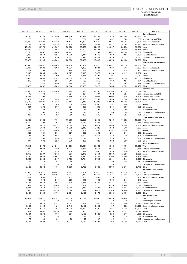**EUROSYSTEM**

| IV-2008          | $I-2009$         | II-2009          | <b>III-2009</b>  | IV-2009          | $I - 2010$       | $II-2010$        | III-2010         | IV-2010          | Mio EUR                               |
|------------------|------------------|------------------|------------------|------------------|------------------|------------------|------------------|------------------|---------------------------------------|
|                  |                  |                  |                  |                  |                  |                  |                  |                  | Domestic sector                       |
| 173,749          | 174,135          | 181,580          | 186,936          | 185,644          | 187,401          | 187,840          | 184,145          | 181,710 Total    |                                       |
| 72               | 79               | 77               | 284              | 294              | 307              | 342              | 324              | 337              | Monetary gold and SDRs                |
| 35,699           | 35,337           | 38,012           | 39,497           | 40,362           | 39,975           | 40,815           | 38,334           | 37,905           | Currency and deposits                 |
| 15,752<br>49,424 | 16,182<br>50,779 | 16,576<br>52,307 | 17,808<br>53,778 | 17,699<br>53,565 | 17,602<br>54,528 | 18,027<br>54,067 | 18,044<br>53,778 | 17,622<br>53,566 | Securities other than shares<br>Loans |
| 22,552           | 21,860           | 23,458           | 23,638           | 22,402           | 22,408           | 21,117           | 20,606           | 19,849           | Shares                                |
| 19,290           | 19,532           | 19,760           | 20,147           | 20,226           | 20,761           | 20,591           | 20,805           |                  | 20,550 Other equity                   |
| 3,025            | 2,974            | 3,321            | 3,628            | 3,814            | 4,149            | 4,086            | 4,131            |                  | 4,330 Mutual fund shares              |
| 4,060            | 4,197            | 4,430            | 4,551            | 4,632            | 4,822            | 4,920            | 5,017            | 5,017            | Insurance technical reserves          |
| 23,875           | 23,195           | 23,639           | 23,603           | 22,650           | 22,848           | 23,876           | 23,108           | 22,533           | Other                                 |
|                  |                  |                  |                  |                  |                  |                  |                  |                  | Non-financial corporations            |
| 46,045           | 45,042           | 45,464           | 45,480           | 45,532           | 46,413           | 46,491           | 45,810           | 44,993 Total     |                                       |
| 3,907            | 3,830            | 3,896            | 3,881            | 4,020            | 4,031            | 4,037            | 4,015            | 4,207            | Currency and deposits                 |
| 378              | 395              | 378              | 394              | 359              | 386              | 342              | 319              | 352              | Securities other than shares          |
| 5,443            | 5,535            | 5,692            | 5,677            | 6,013            | 6,375            | 6,168            | 6,117            | 5,952            | Loans                                 |
| 8,520            | 8,259            | 8,260            | 7,947            | 7,834            | 7,792            | 7,391            | 7,273            | 7,067            | Shares                                |
| 9,810            | 9,808            | 9,892            | 10,059           | 10,232           | 10,603           | 10,541           | 10,556           |                  | 10,350 Other equity                   |
| 212              | 194              | 207              | 211              | 197              | 215              | 198              | 181<br>467       | 171              | Mutual fund shares                    |
| 402<br>17,373    | 464<br>16,557    | 480<br>16,659    | 464<br>16,846    | 450<br>16,425    | 485<br>16,526    | 481<br>17,333    | 16,882           | 438<br>16,455    | Insurance technical reserves<br>Other |
|                  |                  |                  |                  |                  |                  |                  |                  |                  | Monetary sector                       |
| 57,993           | 57,479           | 59,606           | 61,443           | 63,021           | 62,298           | 64,160           | 61,813           | 60,896 Total     |                                       |
| 72               | 79               | 77               | 284              | 294              | 307              | 342              | 324              | 337              | Monetary gold and SDRs                |
| 8,897            | 7,405            | 8,738            | 8,769            | 10,006           | 9,024            | 9,908            | 7,606            | 6,604            | Currency and deposits                 |
| 10,871           | 11,397           | 11,625           | 12,651           | 12,455           | 12,259           | 12,668           | 12,548           | 12.159           | Securities other than shares          |
| 36,179           | 36,681           | 37,018           | 37,411           | 37,914           | 38,309           | 38,962           | 39,212           | 39,701           | Loans                                 |
| 1,324            | 1,232            | 1,345            | 1,558            | 1,572            | 1,590            | 1,557            | 1,488            | 1,515            | Shares                                |
| 261              | 263              | 260              | 284              | 293              | 299              | 264              | 266              | 252              | Other equity                          |
| 66               | 68               | 75               | 86               | 85               | 92               | 85               | 89               |                  | 93 Mutual fund shares                 |
| 36               | 36               | 39               | 40               | 41               | 42               | 43               | 44               | 43               | Insurance technical reserves          |
| 287              | 317              | 429              | 360              | 363              | 375              | 331              | 237              | 192              | Other                                 |
|                  |                  |                  |                  |                  |                  |                  |                  |                  | Other financial institutions          |
| 15,563           | 15,528           | 16,154           | 16,539           | 16,252           | 16,458           | 16,240           | 16,232           | 16,036           | Total                                 |
| 1,110            | 1,205            | 1,163            | 1,183            | 1,131            | 1,201            | 1,251            | 1,267            | 1,286            | Currency and deposits                 |
| 3,545            | 3,476            | 3,677            | 3,843            | 3,957            | 4,024            | 4,069            | 4,186            | 4,187            | Securities other than shares          |
| 5,277            | 5,374            | 5,439            | 5,528            | 5,318            | 5,228            | 5,073            | 4,918            | 4,637            | Loans                                 |
| 3,414<br>338     | 3,247<br>321     | 3,486<br>361     | 3,508<br>387     | 3,352<br>300     | 3,403<br>296     | 3,237<br>271     | 3,198<br>314     | 278              | $3,260$ Shares<br>Other equity        |
| 784              | 791              | 885              | 997              | 1,092            | 1,216            | 1,213            | 1,229            |                  | 1,325 Mutual fund shares              |
| 219              | 209              | 223              | 213              | 219              | 208              | 218              | 217              | 186              | Insurance technical reserves          |
| 877              | 903              | 920              | 879              | 882              | 882              | 908              | 903              | 878              | Other                                 |
|                  |                  |                  |                  |                  |                  |                  |                  |                  | General government                    |
| 17,319           | 18,675           | 21,610           | 24,233           | 21,031           | 21,659           | 19,893           | 19,176           | 17,998           | Total                                 |
| 2,280            | 3,038            | 3,920            | 5,293            | 4,336            | 4,576            | 3,946            | 3,644            | 3,485            | Currency and deposits                 |
| 470              | 427              | 419              | 430              | 427              | 436              | 429              | 458              | 435              | Securities other than shares          |
| 1,616            | 2,237            | 3,212            | 4,207            | 3,377            | 3,654            | 2,889            | 2,586            | 2,330            | Loans                                 |
| 6,152            | 6,033            | 6,867            | 7,088            | 6,280            | 6,185            | 5,700            | 5,499            | 4,896            | Shares                                |
| 3,520            | 3,566            | 3,647            | 3,785            | 3,714            | 3,793            | 3,801            | 3,943            |                  | 3,923 Other equity                    |
| 78               | 73               | 81               | 85               | 99               | 119              | 122              | 125              | 141              | Mutual fund shares                    |
| 13<br>3,188      | 9                | 10               | 10               | 10               | 10               | 9                | 9                | 9<br>2,778 Other | Insurance technical reserves          |
|                  | 3,292            | 3,454            | 3,335            | 2,789            | 2,886            | 2,996            | 2,911            |                  | Households and NPISHs                 |
| 36,830           | 37,412           | 38,747           | 39,241           | 39,807           | 40,573           | 41,057           | 41,114           | 41,788 Total     |                                       |
| 19,505           | 19,858           | 20,295           | 20,371           | 20,869           | 21,143           | 21,674           | 21,802           |                  | 22,322 Currency and deposits          |
| 489              | 486              | 477              | 489              | 501              | 497              | 519              | 533              |                  | 489 Securities other than shares      |
| 909              | 952              | 946              | 955              | 942              | 962              | 975              | 945              | 946              | Loans                                 |
| 3,141            | 3,089            | 3,501            | 3,538            | 3,364            | 3,439            | 3,231            | 3,148            |                  | $3,112$ Shares                        |
| 5,361            | 5,573            | 5,600            | 5,631            | 5,687            | 5,770            | 5,713            | 5,726            |                  | 5,747 Other equity                    |
| 1,885            | 1,848            | 2,073            | 2,250            | 2,341            | 2,506            | 2,467            | 2,507            |                  | 2,600 Mutual fund shares              |
| 3,390            | 3,480            | 3,678            | 3,824            | 3,912            | 4,077            | 4,169            | 4,280            | 4,341            | Insurance technical reserves          |
| 2,151            | 2,125            | 2,176            | 2,184            | 2,190            | 2,179            | 2,308            | 2,175            | 2,230 Other      |                                       |
|                  |                  |                  |                  |                  |                  |                  |                  |                  | Rest of the world                     |
| 47,684           | 46,472           | 46,351           | 49,064           | 48,774           | 49,638           | 50,876           | 50,704           | 50,035 Total     |                                       |
| 0                | 0                | 0                | 0                | 0                | 0                | 0                | 0                | 0                | Monetary gold and SDRs                |
| 10,179           | 9,028            | 9,037            | 8,047            | 8,489            | 7,345            | 7,784            | 7,480            |                  | 6,697 Currency and deposits           |
| 4,190            | 4,455            | 5,420            | 8,749            | 9,117            | 10,866           | 11,497           | 11,563           |                  | 11,563 Securities other than shares   |
| 20,018           | 19,755           | 18,951           | 18,926           | 18,233           | 18,120           | 17,924           | 18,225           | 17,922           | Loans<br>$4,024$ Shares               |
| 3,902<br>4,161   | 4,001<br>4,208   | 3,928<br>4,167   | 3,978<br>4,231   | 3,908<br>4,199   | 3,970<br>4,326   | 3,923<br>4,322   | 3,899<br>4,313   |                  | 4,623 Other equity                    |
| 14               | 14               | 16               | 17               | 18               | 18               | 19               | 18               |                  | 16   Mutual fund shares               |
| 73               | 89               | 89               | 89               | 98               | 97               | 105              | 111              |                  | 115   Insurance technical reserves    |
| 5,147            | 4,923            | 4,743            | 5,027            | 4,712            | 4,896            | 5,303            | 5,095            | 5,073 Other      |                                       |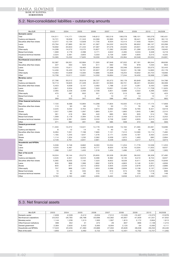BANK OF SLOVENIA **EUROSYSTEM**

## 5.2. Non-consolidated liabilities - outstanding amounts

| Mio EUR                      | 2003           | 2004        | 2005    | 2006           | 2007    | 2008    | 2009    | 2010    | <b>III-2008</b> |
|------------------------------|----------------|-------------|---------|----------------|---------|---------|---------|---------|-----------------|
| Domestic sector              |                |             |         |                |         |         |         |         |                 |
| Total                        | 104,511        | 114,171     | 129,500 | 146,612        | 182,516 | 186,078 | 198,101 | 195,079 | 190,431         |
| Currency and deposits        | 16,721         | 18,836      | 21,343  | 24,066         | 32,995  | 36.743  | 39,441  | 35,878  | 36.110          |
| Securities other than shares | 12,077         | 12,134      | 12,928  | 11,730         | 9,554   | 10,414  | 17,405  | 19,641  | 10,040          |
| Loans                        | 23,764         | 27,885      | 35,191  | 41,567         | 54,532  | 64,579  | 66,652  | 66,157  | 63,268          |
| Shares                       | 18,692         | 20,943      | 21,444  | 27,587         | 37,076  | 23,925  | 23,631  | 21,000  | 29,132          |
| Other equity                 | 14,299         | 14,572      | 15,570  | 15,827         | 17,282  | 20,592  | 21,286  | 22,036  | 19,945          |
| Mutual fund shares           | 1,569          | 2,179       | 2,398   | 3,171          | 4,622   | 2,465   | 3,033   | 3,328   | 3,219           |
| Insurance technical reserves | 2,024          | 2,391       | 2,805   | 3,333          | 3,726   | 3,997   | 4,605   | 5,015   | 4,025           |
| Other                        | 15,365         | 15,232      | 17,820  | 19,330         | 22,728  | 23,364  | 22,049  | 22,024  | 24,691          |
| Non-financial corporations   |                |             |         |                |         |         |         |         |                 |
| Total                        | 52,387         | 56,551      | 62,984  | 71,305         | 87,946  | 87,002  | 87,191  | 86,544  | 89,836          |
| Securities other than shares | 227            | 350         | 523     | 511            | 592     | 705     | 978     | 1,033   | 653             |
| Loans                        | 13,533         | 15,611      | 18,465  | 20,920         | 27,398  | 33,348  | 33,653  | 33,575  | 32,443          |
| Shares                       | 14,456         | 16,420      | 16,761  | 20,657         | 27,366  | 16,501  | 16,198  | 14,665  | 20.178          |
| Other equity                 | 13,463         | 13,659      | 14,584  | 14,886         | 15,926  | 19,204  | 19,932  | 20,703  | 18,666          |
| Other                        | 10,708         | 10,511      | 12,651  | 14,332         | 16,664  | 17,244  | 16,430  | 16,568  | 17,895          |
| Monetary sector              |                |             |         |                |         |         |         |         |                 |
| Total                        | 27,796         | 30,012      | 35,619  | 38,737         | 50,372  | 56,178  | 60,849  | 58,232  | 54,788          |
| Currency and deposits        | 16,713         | 18,825      | 21,329  | 24,051         | 32,955  | 36,701  | 39,401  | 35,832  | 36.069          |
| Securities other than shares | 5,453          | 4,639       | 5,147   | 3,482          | 1,788   | 2,127   | 4,261   | 5,430   | 1,839           |
| Loans                        | 2,821          | 3,504       | 5,833   | 7,520          | 10,651  | 12,468  | 11,714  | 11,709  | 11,825          |
| Shares                       | 2,065          | 2,226       | 2,356   | 2,708          | 3,901   | 3,889   | 4,322   | 4,266   | 3,950           |
| Other equity                 | 475            | 497         | 602     | 501            | 472     | 513     | 683     | 742     | 423             |
| Mutual fund shares           | 0              | $\mathbf 0$ | 5       | $\overline{7}$ | 10      | 17      | 14      | 12      | 17              |
| Other                        | 269            | 322         | 347     | 469            | 596     | 463     | 455     | 241     | 665             |
| Other financial institutions |                |             |         |                |         |         |         |         |                 |
| Total                        | 7,720          | 9,588       | 10,994  | 14,298         | 17,804  | 16,500  | 17,218  | 17,174  | 17,908          |
| Securities other than shares | 113            | 93          | 60      | 72             | 53      | 71      | 76      | 64      | 68              |
| Loans                        | 2,225          | 3,034       | 3,764   | 4,874          | 5,692   | 7,008   | 6,795   | 6,421   | 6,919           |
| Shares                       | 1,057          | 1,093       | 1,097   | 1,860          | 2,251   | 1,665   | 1,645   | 1,380   | 2,310           |
| Other equity                 | 361            | 416         | 384     | 440            | 885     | 803     | 605     | 514     | 790             |
| Mutual fund shares           | 1,569          | 2,179       | 2,394   | 3,165          | 4,612   | 2,448   | 3,019   | 3,315   | 3,202           |
| Insurance technical reserves | 2,024          | 2,391       | 2,805   | 3,333          | 3,726   | 3,997   | 4,605   | 5,015   | 4,025           |
| Other                        | 371            | 382         | 491     | 552            | 585     | 508     | 472     | 465     | 593             |
| General government           |                |             |         |                |         |         |         |         |                 |
| Total                        | 11,300         | 12,272      | 13,021  | 14,179         | 16,339  | 15,194  | 21,065  | 20,591  | 16,696          |
| Currency and deposits        | 8              | 12          | 14      | 15             | 40      | 42      | 40      | 46      | 41              |
| Securities other than shares | 6.284          | 7,051       | 7,198   | 7,665          | 7,121   | 7,512   | 12,090  | 13,114  | 7.480           |
| Loans                        | 1,165          | 1,245       | 1,647   | 1,476          | 2,171   | 2,046   | 4,187   | 3,450   | 2,444           |
| Shares                       | 1,114          | 1,204       | 1,230   | 2,362          | 3,559   | 1,870   | 1,465   | 690     | 2,694           |
| Other                        | 2,729          | 2,761       | 2,931   | 2,661          | 3,449   | 3,653   | 3,217   | 3,214   | 3,973           |
| <b>Households and NPISHs</b> |                |             |         |                |         |         |         |         |                 |
| Total                        | 5,308          | 5,748       | 6,882   | 8,093          | 10,054  | 11,204  | 11,779  | 12,538  | 11,203          |
|                              |                |             |         | 6,777          |         | 9,708   |         |         | 9,637           |
| Loans                        | 4,020<br>1,288 | 4,491       | 5,482   |                | 8,620   |         | 10,304  | 11,002  | 1,565           |
| Other                        |                | 1,257       | 1,400   | 1,316          | 1,434   | 1,496   | 1,475   | 1,536   |                 |
| Rest of the world            |                |             |         |                |         |         |         |         |                 |
| Total                        | 16,024         | 18,144      | 23,273  | 25,655         | 35,528  | 35,283  | 36,022  | 36,328  | 37,490          |
| Currency and deposits        | 4,545          | 4,501       | 6,043   | 6,466          | 9,382   | 9,135   | 9,410   | 8,724   | 8,937           |
| Securities other than shares | 5,365          | 6,555       | 7,100   | 7,323          | 9,652   | 9,528   | 9,411   | 9,545   | 10,849          |
| Loans                        | 935            | 868         | 1,386   | 1,892          | 3,976   | 4,863   | 5,146   | 5,331   | 4,856           |
| Shares                       | 600            | 977         | 2,015   | 2,602          | 3,925   | 2,529   | 2,679   | 2,873   | 2,886           |
| Other equity                 | 757            | 966         | 1,331   | 1,653          | 2,099   | 2,859   | 3,139   | 3,137   | 2,564           |
| Mutual fund shares           | 16             | 55          | 335     | 653            | 913     | 574     | 799     | 1,019   | 699             |
| Insurance technical reserves | 12             | 62          | 83      | 110            | 117     | 136     | 125     | 118     | 148             |
| Other                        | 3,793          | 4,160       | 4,981   | 4,955          | 5,462   | 5,658   | 5,313   | 5,582   | 6,551           |

## 5.3. Net financial assets

| Mio EUR                      | 2003      | 2004      | 2005      | 2006      | 2007     | 2008      | 2009      | 2010      | <b>III-2008</b> |
|------------------------------|-----------|-----------|-----------|-----------|----------|-----------|-----------|-----------|-----------------|
| Domestic sector              | $-1.606$  | $-2.328$  | $-3.412$  | $-5.634$  | $-7.512$ | $-12.329$ | $-12.457$ | $-13.370$ | $-10.978$       |
| Non-financial corporations   | $-23.052$ | $-26.785$ | $-28.798$ | $-33.696$ | -42.382  | $-40.957$ | -41.659   | $-41.551$ | $-41.932$       |
| Monetary sector              | 1.144     | ,239      | .513      | .565      | 1.397    | 1.815     | 2.172     | 2.664     | 1.613           |
| Other financial institutions | 396       | 352       | 31        | $-472$    | 29       | $-937$    | $-966$    | $-1.139$  | $-1.215$        |
| General government           | 2.384     | 2.630     | 2.452     | 3.083     | 6.094    | 2.125     | $-34$     | $-2.593$  | 4.111           |
| Households and NPISHs        | 17.522    | 20.235    | 21.390    | 23.886    | 27,350   | 25.626    | 28,028    | 29.250    | 26.446          |
| Rest of the world            | 1.693     | 2.414     | 3.492     | 5.722     | 7.579    | 12.401    | 12.752    | 13.707    | 11.050          |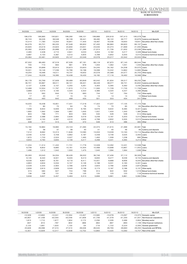**EUROSYSTEM**

| IV-2008 | $I-2009$ | II-2009 | <b>III-2009</b> | IV-2009 | $I - 2010$ | II-2010 | III-2010 | IV-2010       | Mio EUR                              |
|---------|----------|---------|-----------------|---------|------------|---------|----------|---------------|--------------------------------------|
|         |          |         |                 |         |            |         |          |               |                                      |
| 186,078 | 186,985  | 193,821 | 199,290         | 198,101 | 199,986    | 200,918 | 197,413  | 195,079 Total |                                      |
| 36,743  | 36,026   | 38,548  | 38,139          | 39,441  | 38,490     | 39,122  | 36,777   |               | 35,878 Currency and deposits         |
| 10,414  | 11,780   | 13,204  | 16,841          | 17,405  | 18,467     | 19,536  | 19,650   |               | 19,641 Securities other than shares  |
| 64,579  | 65,701   | 66,225  | 67,548          | 66,652  | 67,450     | 66,960  | 66,820   | 66,157        | Loans                                |
| 23,925  | 23,516   | 24,823  | 24,830          | 23,631  | 23,535     | 22,274  | 21,669   | 21,000        | Shares                               |
| 20,592  | 20,925   | 20,999  | 21,334          | 21,286  | 21,914     | 21,726  | 21,932   |               | 22,036 Other equity                  |
| 2,465   | 2,408    | 2,710   | 2,941           | 3,033   | 3,253      | 3,182   | 3,217    |               | 3,328 Mutual fund shares             |
| 3,997   | 4,150    | 4,387   | 4,510           | 4,605   | 4,799      | 4,902   | 5,005    |               | 5,015   Insurance technical reserves |
| 23,364  | 22,481   | 22,925  | 23,147          | 22,049  | 22,078     | 23,217  | 22,342   | 22,024        | Other                                |
|         |          |         |                 |         |            |         |          |               |                                      |
| 87,002  | 86,480   | 87.519  | 87,526          | 87,191  | 88.119     | 87,970  | 87,140   | 86.544 Total  |                                      |
| 705     | 710      | 664     | 681             | 978     | 1,004      | 1,062   | 1,031    |               | 1,033 Securities other than shares   |
|         |          |         |                 |         |            |         |          |               |                                      |
| 33,348  | 33,899   | 33,913  | 33,873          | 33,653  | 34,245     | 34,162  | 34,208   | 33,575 Loans  |                                      |
| 16,501  | 16,146   | 17,036  | 16,796          | 16,198  | 16,099     | 15,242  | 14,862   | 14,665 Shares |                                      |
| 19,204  | 19,496   | 19,511  | 19,737          | 19,932  | 20,579     | 20,388  | 20,577   | 20,703        | Other equity                         |
| 17,244  | 16,229   | 16,395  | 16,438          | 16,430  | 16,192     | 17,116  | 16,462   | 16,568 Other  |                                      |
|         |          |         |                 |         |            |         |          |               |                                      |
| 56,178  | 55,769   | 57,928  | 59,489          | 60,849  | 60,042     | 61,834  | 59,317   | 58,232 Total  |                                      |
| 36,701  | 35,987   | 38,511  | 38,101          | 39,401  | 38,449     | 39,077  | 36,731   |               | 35,832 Currency and deposits         |
| 2,127   | 2,308    | 2,157   | 4,250           | 4,261   | 4,355      | 5,395   | 5,392    |               | 5,430 Securities other than shares   |
| 12,468  | 12,354   | 11,767  | 11,615          | 11,714  | 11,593     | 11,729  | 11,735   | 11,709        | Loans                                |
| 3,889   | 4,075    | 4,193   | 4,320           | 4,322   | 4,386      | 4,320   | 4,227    |               | 4,266 Shares                         |
| 513     | 562      | 644     | 719             | 683     | 744        | 747     | 764      |               | 742 Other equity                     |
| 17      | 20       | 17      | 15              | 14      | 14         | 14      | 14       |               | 12 Mutual fund shares                |
| 463     | 463      | 640     | 468             | 455     | 501        | 553     | 454      | 241           | Other                                |
|         |          |         |                 |         |            |         |          |               |                                      |
| 16,500  | 16,438   | 16,951  | 17,441          | 17,218  | 17,422     | 17,207  | 17,125   | 17,174        | Total                                |
|         |          |         |                 |         |            |         |          |               |                                      |
| 71      | 80       | 70      | 64              | 76      | 74         | 70      | 65       | 64            | Securities other than shares         |
| 7,008   | 6,944    | 6,946   | 6,916           | 6,795   | 6,676      | 6,622   | 6,485    | 6,421         | Loans                                |
| 1,665   | 1,562    | 1,569   | 1,687           | 1,645   | 1,557      | 1,403   | 1,343    |               | 1,380 Shares                         |
| 803     | 798      | 771     | 803             | 605     | 530        | 529     | 528      |               | 514 Other equity                     |
| 2,448   | 2,388    | 2,694   | 2,926           | 3,019   | 3,239      | 3,167   | 3,203    |               | 3,315 Mutual fund shares             |
| 3,997   | 4,150    | 4,387   | 4,510           | 4,605   | 4,799      | 4,902   | 5,005    | 5,015         | Insurance technical reserves         |
| 508     | 517      | 513     | 535             | 472     | 546        | 513     | 496      |               | 465 Other                            |
|         |          |         |                 |         |            |         |          |               |                                      |
| 15,194  | 16,984   | 19,990  | 23,103          | 21,065  | 22,375     | 21,615  | 21,399   | 20,591 Total  |                                      |
| 42      | 39       | 37      | 38              | 40      | 41         | 45      | 46       | 46            | Currency and deposits                |
| 7,512   | 8,682    | 10,313  | 11,846          | 12,090  | 13,033     | 13,009  | 13,163   | 13,114        | Securities other than shares         |
| 2,046   | 2,702    | 3,709   | 4,962           | 4,187   | 4,448      | 3,749   | 3,525    | 3,450         | Loans                                |
| 1,870   | 1,733    | 2,024   | 2,027           | 1,465   | 1,493      | 1,309   | 1,238    | 690           | Shares                               |
| 3,653   | 3,760    | 3,835   | 4,156           | 3,217   | 3,299      | 3,441   | 3,365    | 3,214         | Other                                |
|         |          |         |                 |         |            |         |          |               |                                      |
| 11,204  | 11,314   | 11,432  | 11,731          | 11,779  | 12,028     | 12,292  | 12,431   | 12,538 Total  |                                      |
| 9,708   | 9,802    | 9,890   | 10,181          | 10,304  | 10,488     | 10,698  | 10,867   | 11,002 Loans  |                                      |
| 1,496   | 1,512    | 1,542   | 1,550           | 1,475   | 1,540      | 1,594   | 1,564    | 1,536 Other   |                                      |
|         |          |         |                 |         |            |         |          |               |                                      |
|         |          |         |                 |         |            |         |          |               |                                      |
| 35,283  | 33,543   | 34,034  | 36,426          | 36,022  | 36,746     | 37,456  | 37,112   | 36,328 Total  |                                      |
| 9,135   | 8,340    | 8,501   | 9,405           | 9,410   | 8,830      | 9,477   | 9,036    |               | 8,724 Currency and deposits          |
| 9,528   | 8,857    | 8,791   | 9,716           | 9,411   | 10,001     | 9,988   | 9,956    |               | 9,545 Securities other than shares   |
| 4,863   | 4,834    | 5,034   | 5,157           | 5,146   | 5,198      | 5,031   | 5,183    | 5,331         | Loans                                |
| 2,529   | 2,344    | 2,564   | 2,786           | 2,679   | 2,843      | 2,766   | 2,836    |               | $2,873$ Shares                       |
| 2,859   | 2,815    | 2,928   | 3,045           | 3,139   | 3,173      | 3,187   | 3,186    | 3,137         | Other equity                         |
| 574     | 580      | 627     | 704             | 799     | 914        | 922     | 932      | 1,019         | Mutual fund shares                   |
| 136     | 136      | 131     | 130             | 125     | 120        | 123     | 123      | 118           | Insurance technical reserves         |
| 5,658   | 5.637    | 5,457   | 5.483           | 5.313   | 5.666      | 5.961   | 5.861    | 5.582         | Other                                |

| IV-2008   | $I-2009$  | $II-2009$ | III-2009  | IV-2009   | $I - 2010$ | $II - 2010$ | $III-2010$ | IV-2010 | Mio EUR                              |
|-----------|-----------|-----------|-----------|-----------|------------|-------------|------------|---------|--------------------------------------|
| $-12.329$ | $-12.850$ | $-12.241$ | $-12.354$ | $-12.457$ | $-12.585$  | $-13.078$   | $-13.267$  |         | -13.370 Domestic sector              |
| $-40.957$ | $-41.438$ | $-42.055$ | $-42.046$ | $-41.659$ | $-41.706$  | $-41.479$   | $-41.330$  |         | -41.551   Non-financial corporations |
| 1.815     | .710      | 1.677     | .954      | 2.172     | 2.256      | 2.326       | 2.496      |         | 2.664   Monetary sector              |
| $-937$    | $-910$    | $-797$    | $-902$    | $-966$    | $-964$     | $-967$      | $-893$     |         | -1.139 Other financial institutions  |
| 2.125     | .691      | 1.620     | .130      | $-34$     | $-716$     | $-1.722$    | $-2.224$   |         | -2.593 General government            |
| 25.626    | 26,098    | 27.315    | 27.510    | 28.028    | 28.545     | 28.765      | 28.683     |         | 29.250 Households and NPISHs         |
| 12.401    | 12.929    | 12.317    | 12.639    | 12.752    | 12.893     | 13.420      | 13.592     |         | 13.707 Rest of the world             |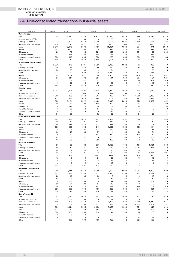## 5.4. Non-consolidated transactions in financial assets

| Mio EUR                      | 2003                | 2004           | 2005           | 2006           | 2007   | 2008           | 2009           | 2010           | <b>III-2008</b> |
|------------------------------|---------------------|----------------|----------------|----------------|--------|----------------|----------------|----------------|-----------------|
| Domestic sector              |                     |                |                |                |        |                |                |                |                 |
| Total                        | 7,004               | 5,382          | 11,733         | 10,823         | 20,592 | 13,875         | 11,360         | $-1,484$       | 3,146           |
| Monetary gold and SDRs       | $\overline{1}$      | $\overline{1}$ | $-34$          | $\circ$        | $-29$  | -9             | $\mathbf 0$    | 0              | $\mathbf 0$     |
| Currency and deposits        | $-14$               | 1,200          | 2,479          | 2,249          | 3,701  | 3,026          | 4,599          | $-2,626$       | 125             |
| Securities other than shares | 2,416               |                |                | $-1,049$       | $-400$ | $-80$          | 1,635          | $-490$         | $-311$          |
|                              |                     | 1,113          | 1,317          |                |        |                |                |                |                 |
| Loans                        | 2,210               | 2,673          | 4,704          | 5,430          | 11,321 | 7,880          | 4,674          | 671            | 2,356           |
| Shares                       | 809                 | $-350$         | 559            | 638            | 948    | 920            | 363            | $-41$          | 462             |
| Other equity                 | 25                  | $-79$          | 198            | 321            | 655    | 1,239          | 371            | 139            | 326             |
| Mutual fund shares           | 133                 | 365            | 439            | 568            | 715    | $-138$         | 207            | 276            | $-51$           |
| Insurance technical reserves | 309                 | 349            | 394            | 500            | 280    | 388            | 394            | 277            | 86              |
| Other                        | 1,116               | 110            | 1,678          | 2,168          | 3,401  | 650            | $-883$         | 310            | 153             |
| Non-financial corporations   |                     |                |                |                |        |                |                |                |                 |
| Total                        | 2,079               | $-272$         | 2,701          | 2,780          | 5,993  | 3,332          | $-55$          | 900            | 1,410           |
| Currency and deposits        | 106                 | 76             | 434            | 266            | 350    | 30             | 88             | 181            | 159             |
| Securities other than shares | 50                  | 65             | $-100$         | $\overline{c}$ | $-51$  | $-21$          | $-1$           | $-60$          | $-5$            |
| Loans                        | 134                 | 22             | 639            | 235            | 1,280  | 1,158          | 717            | 531            | 411             |
| Shares                       | 869                 | $-267$         | 312            | 366            | 1,636  | 386            | $-110$         | $-113$         | 342             |
| Other equity                 | $-21$               | $-214$         | 98             | 237            | 511    | 1,090          | 257            | 154            | 324             |
| Mutual fund shares           | 59                  | $-4$           | 42             | 29             | 3      | $-38$          | $-48$          | $-31$          | $-16$           |
|                              |                     |                |                |                |        |                |                |                |                 |
| Insurance technical reserves | -9                  | 36             | 6              | 27             | 47     | 12             | 47             | $-13$          | $-55$           |
| Other                        | 892                 | 13             | 1,269          | 1,619          | 2,218  | 715            | $-1,004$       | 249            | 250             |
| Monetary sector              |                     |                |                |                |        |                |                |                |                 |
| Total                        | 2,204               | 2,025          | 5,596          | 3,513          | 7,910  | 6,660          | 4,733          | $-2,479$       | 675             |
| Monetary gold and SDRs       | $\overline{1}$      | $\overline{1}$ | $-34$          | $\circ$        | $-29$  | -9             | 0              | 0              | 0               |
| Currency and deposits        | $-1.056$            | $-428$         | 1,140          | 317            | 903    | 601            | 1,099          | $-3,396$       | $-510$          |
| Securities other than shares | 1,831               | 351            | 1,073          | $-1,385$       | $-703$ | $-46$          | 1,383          | $-594$         | $-283$          |
| Loans                        | 1,556               | 2,131          | 3,222          | 4,422          | 8,045  | 5,828          | 1,779          | 1,537          | 1,452           |
| Shares                       | $-38$               | 52             | 194            | 115            | $-390$ | 418            | 347            | 90             | 90              |
| Other equity                 | 10                  | $-12$          | $\mathsf O$    | 53             | 62     | $-5$           | 29             | 30             | $-4$            |
| Mutual fund shares           | $-5$                | $-35$          | -2             | 37             | $-22$  | $-31$          | $\mathbf{1}$   | 5              | -6              |
| Insurance technical reserves | $\mathsf{O}\xspace$ | $\overline{1}$ | $\overline{c}$ | 6              | $-21$  | $-3$           | 5              | $\overline{c}$ | $-1$            |
|                              |                     |                | $-1$           |                |        |                |                |                |                 |
| Other                        | $-94$               | $-35$          |                | $-52$          | 66     | $-93$          | 91             | $-153$         | $-64$           |
| Other financial institutions |                     |                |                |                |        |                |                |                |                 |
| Total                        | 922                 | 1,321          | 1,070          | 2,101          | 2,929  | 1,391          | 624            | 90             | 244             |
| Currency and deposits        | $-26$               | 179            | $-121$         | 104            | 347    | $-149$         | 17             | 149            | 42              |
| Securities other than shares | 540                 | 519            | 329            | 435            | 342    | 95             | 300            | 182            | 26              |
| Loans                        | 389                 | 430            | 693            | 840            | 1,202  | 1,025          | 198            | $-414$         | 166             |
| Shares                       | 25                  | 9              | 60             | 312            | 475    | 298            | $-31$          | 48             | 30              |
| Other equity                 | $-33$               | 18             | $-34$          | $-57$          | $-1$   | 35             | 22             | $-24$          | 3               |
| Mutual fund shares           | -9                  | 67             | 151            | 197            | 273    | 132            | 115            | 170            | 39              |
| Insurance technical reserves | 21                  | 6              | $-2$           | 18             | $-29$  | 54             | 0              | $-32$          | 49              |
| Other                        | 15                  | 92             | $-5$           | 253            | 320    | $-99$          | $\overline{c}$ | 10             | $-111$          |
| General government           |                     |                |                |                |        |                |                |                |                 |
| Total                        | $-90$               | 98             | $-86$          | 370            | 1,033  | $-102$         | 4,101          | $-1,901$       | 588             |
| Currency and deposits        | $-245$              | 12             | $-157$         | 351            | 412    | 248            | 2,062          | $-971$         | 150             |
| Securities other than shares | 24                  | 37             | 48             | $-41$          | 16     | $-93$          | $-53$          | 0              | $-26$           |
|                              |                     |                |                |                |        |                |                |                |                 |
| Loans                        | 42                  | 98             | $-121$         | $-32$          | 763    | $-194$         | 1,943          | $-1,014$       | 305             |
| Shares                       | $-33$               | $-84$          | $-112$         | $-141$         | $-819$ | $-48$          | 136            | $-15$          | 76              |
| Other equity                 | $-12$               | 5              | 9              | 21             | $-28$  | 22             | 15             | $-16$          | 9               |
| Mutual fund shares           | $\overline{4}$      | $\overline{1}$ | 18             | 25             | 42     | 12             | $-1$           | 27             | $\overline{c}$  |
| Insurance technical reserves | $-2$                | $\overline{c}$ | $-2$           | 15             | 18     | $-13$          | $-4$           | $-1$           | $-12$           |
| Other                        | 133                 | 27             | 231            | 173            | 630    | $-35$          | $\overline{c}$ | 90             | 84              |
| <b>Households and NPISHs</b> |                     |                |                |                |        |                |                |                |                 |
| Total                        | 1,888               | 2,211          | 2,452          | 2,059          | 2,727  | 2,593          | 1,957          | 1,906          | 229             |
| Currency and deposits        | 1,207               | 1,361          | 1,184          | 1,211          | 1,690  | 2,296          | 1,333          | 1,411          | 284             |
| Securities other than shares | $-28$               | 142            | $-34$          | $-60$          | $-5$   | $-15$          | 6              | $-18$          | $-23$           |
| Loans                        | 88                  | -9             | 271            | $-35$          | 31     | 64             | 37             | 30             | 23              |
| Shares                       | $-13$               | $-59$          | 104            | $-15$          | 47     | $-135$         | 20             | $-51$          | $-76$           |
| Other equity                 | 80                  | 124            | 126            | 67             | 112    | 98             | 48             | $-5$           | $-6$            |
| Mutual fund shares           | 84                  | 337            | 229            | 281            | 419    | $-213$         | 140            | 104            | $-70$           |
|                              |                     |                |                |                |        |                |                |                |                 |
| Insurance technical reserves | 299                 | 303            | 390            | 433            | 265    | 338            | 346            | 321            | 104             |
| Other                        | 170                 | 13             | 183            | 176            | 168    | 162            | 27             | 114            | -6              |
| Rest of the world            |                     |                |                |                |        |                |                |                |                 |
| Total                        | 1,941               | 2,759          | 5,044          | 4,667          | 11,555 | 4,022          | 731            | 543            | 242             |
| Monetary gold and SDRs       | $-1$                | $-1$           | 34             | 0              | 29     | 9              | 0              | 0              | $\circ$         |
| Currency and deposits        | 409                 | 225            | 1,419          | 976            | 5,905  | 384            | $-1,689$       | $-1,847$       | $-371$          |
| Securities other than shares | $-78$               | $-6$           | $-4$           | 437            | 853    | 785            | 4,605          | 2,007          | 37              |
| Loans                        | 1,364               | 1,814          | 2,625          | 2,183          | 3,358  | 2,663          | $-1,971$       | $-647$         | 699             |
| Shares                       | $-712$              | 172            | 369            | 384            | 600    | $\overline{4}$ | 80             | 304            | $-159$          |
| Other equity                 | 909                 | 331            | 206            | 216            | 144    | 165            | 68             | 288            | $-23$           |
| Mutual fund shares           | -3                  | -6             | $\sqrt{2}$     | $-7$           | 3      | $-5$           | $-1$           | $-2$           | $-1$            |
| Insurance technical reserves | 8                   | 8              | 14             | 10             | 5      | 14             | 25             | 17             | 16              |
| Other                        | 44                  | 222            | 379            | 468            | 658    | $\overline{c}$ | $-387$         | 422            | 44              |
|                              |                     |                |                |                |        |                |                |                |                 |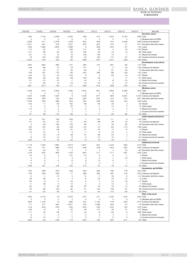**EUROSYSTEM**

| Domestic sector<br>393<br>1,132<br>5,289<br>4,355<br>585<br>310<br>1,925<br>$-2,763$<br>$-956$ Total<br>$\mathsf{O}\xspace$<br>$\mathbf 0$<br>$\mathsf{O}\xspace$<br>$\circ$<br>$\mathsf O$<br>0<br>$\mathsf O$<br>0<br>0<br>Monetary gold and SDRs<br>1,596<br>2,709<br>1,459<br>842<br>$-409$<br>781<br>$-2,428$<br>-569 Currency and deposits<br>-411<br>$-1,051$<br>491<br>319<br>1,051<br>$-225$<br>$-322$<br>279<br>$-71$<br>$-377$<br>Securities other than shares<br>1,485<br>1,605<br>1,589<br>$-5$<br>938<br>$-344$<br>$-67$<br>144<br>846<br>Loans<br>$\sqrt{2}$<br>$-133$ Shares<br>174<br>52<br>193<br>117<br>49<br>$\mathsf O$<br>43<br>96<br>63<br>22<br>190<br>55<br>$-15$<br>13<br>86 Other equity<br>417<br>$-81$<br>13<br>10<br>75<br>109<br>135<br>72<br>$\overline{7}$<br>61<br>Mutual fund shares<br>133<br>162<br>56<br>43<br>112<br>67<br>$-32$<br>18<br>130<br>Insurance technical reserves<br>$-90$<br>$-328$<br>$-1,525$<br>$-726$<br>420<br>$-486$<br>$-267$<br>1,041<br>$-136$<br>Other<br>Non-financial corporations<br>$-683$<br>396<br>362<br>681<br>$-95$<br>$-804$<br>$-131$<br>167<br>147<br>Total<br>74<br>$\overline{7}$<br>$-2$<br>$-89$<br>$-18$<br>121<br>$-18$<br>Currency and deposits<br>$-138$<br>194<br>6<br>$-3$<br>23<br>$-17$<br>20<br>$-26$<br>$-51$<br>$-33$<br>19<br>Securities other than shares<br>175<br>$-83$<br>443<br>369<br>$-68$<br>108<br>109<br>181<br>123<br>Loans<br>32<br>$-10$<br>$-140$<br>9<br>6<br>$-25$<br>44<br>$-137$<br>Shares<br>$-144$<br>36<br>64<br>$-28$<br>184<br>56<br>$\mathbf{1}$<br>17<br>81<br>Other equity<br>366<br>$-21$<br>$-15$<br>$-10$<br>$-7$<br>$-16$<br>6<br>-8<br>$-15$<br>Mutual fund shares<br>$-14$<br>62<br>15<br>$-14$<br>$-11$<br>$-16$<br>$-15$<br>34<br>-4<br>$-28$<br>Insurance technical reserves<br>$-338$<br>$-961$<br>$-913$<br>106<br>141<br>$-316$<br>838<br>$-182$<br>$-91$<br>Other<br>Monetary sector<br>1,548<br>$-373$<br>2,084<br>1,480<br>1,542<br>$-951$<br>1,684<br>$-2,260$<br>$-952$ Total<br>$\mathsf{O}\xspace$<br>$\mathsf{O}\xspace$<br>$\mathbf 0$<br>$\mathsf O$<br>$\mathsf{O}\xspace$<br>$\mathsf O$<br>$\mathsf O$<br>$\circ$<br>0<br>Monetary gold and SDRs<br>$-1,496$<br>1,353<br>1,432<br>6<br>1,236<br>$-977$<br>883<br>$-2,281$<br>-1,022 Currency and deposits<br>$-1,006$<br>559<br>184<br>922<br>$-283$<br>$-334$<br>274<br>$-153$<br>$-381$<br>Securities other than shares<br>1,028<br>509<br>369<br>400<br>500<br>308<br>536<br>244<br>449 Loans<br>$\overline{c}$<br>Shares<br>63<br>89<br>30<br>33<br>155<br>11<br>183<br>26<br>3<br>-3<br>$-4$<br>25<br>$\overline{4}$<br>$-1$<br>14<br>3<br>15 Other equity<br>$-2$<br>$\mathbf 0$<br>$-2$<br>5<br>$-10$<br>$\overline{\mathbf{4}}$<br>$-4$<br>$\mathbf 0$<br>Mutual fund shares<br>$\overline{4}$<br>$\circ$<br>$-1$<br>3<br>$\mathbf{1}$<br>$\mathbf{1}$<br>$\mathbf{1}$<br>$\overline{1}$<br>1<br>$-1$<br>Insurance technical reserves<br>$-47$<br>$-59$<br>$-3$<br>17<br>36<br>116<br>$-45$<br>$-80$<br>$-45$ Other<br>Other financial institutions<br>$\overline{7}$<br>9<br>67<br>227<br>185<br>205<br>102<br>$-132$<br>Total<br>111<br>$-47$<br>94<br>$-43$<br>21<br>$-55$<br>68<br>46<br>18<br>18<br>Currency and deposits<br>5<br>103<br>66<br>43<br>83<br>46<br>Securities other than shares<br>$-48$<br>180<br>11<br>150<br>123<br>83<br>108<br>$-116$<br>$-72$<br>$-64$<br>$-112$<br>$-166$<br>Loans<br>Shares<br>21<br>$-58$<br>$-31$<br>37<br>25<br>13<br>15<br>-5<br>156<br>10<br>$\overline{4}$<br>9<br>$-1$<br>$-4$<br>$-13$<br>$\overline{4}$<br>-10 Other equity<br>44<br>$\overline{7}$<br>23<br>$-13$<br>48<br>57<br>54<br>Mutual fund shares<br>68<br>4<br>44<br>-8<br>$-10$<br>14<br>-9<br>6<br>$-10$<br>10<br>$-1$<br>$-31$<br>Insurance technical reserves<br>$-240$<br>15<br>18<br>13<br>16<br>23<br>$-1$<br>$-27$<br>Other<br>$-44$<br>General government<br>1,493<br>1,982<br>2,573<br>$-1,947$<br>607<br>$-1,340$<br>$-595$<br>$-572$<br>$-1, 118$<br>Total<br>886<br>$-292$<br>$-401$<br>751<br>1,373<br>$-949$<br>228<br>$-643$<br>$-264$<br>Currency and deposits<br>$-7$<br>$\mathbf 0$<br>5<br>$\overline{c}$<br>24<br>$-43$<br>$-15$<br>$-20$<br>Securities other than shares<br>$-43$<br>980<br>$-256$<br>$-478$<br>625<br>1,162<br>$-824$<br>311<br>$-771$<br>$-297$<br>Loans<br>$-2$<br>40<br>$-3$<br>$-4$<br>157<br>$-13$<br>$-5$<br>$-1$<br>$-7$<br>Shares<br>9<br>$\mathsf{O}\xspace$<br>$\mathsf O$<br>$\overline{1}$<br>6<br>$\mathsf O$<br>$-1$<br>$-16$<br>Other equity<br>1<br>$-2$<br>$-2$<br>$-5$<br>8<br>6<br>-5<br>13<br>$\overline{7}$<br>Mutual fund shares<br>1<br>5<br>$-4$<br>$\mathbf{1}$<br>$\circ$<br>$\mathsf O$<br>0<br>$-1$<br>$\overline{1}$<br>$\mathbf 0$<br>Insurance technical reserves<br>135<br>78<br>$-32$<br>$-236$<br>161<br>$-120$<br>$-173$<br>57<br>$-14$<br>Other<br><b>Households and NPISHs</b><br>700<br>468<br>642<br>228<br>620<br>385<br>789<br>178<br>$554$ Total<br>749<br>328<br>439<br>77<br>489<br>265<br>497<br>145<br>504 Currency and deposits<br>5<br>$-7$<br>20<br>$\mathsf g$<br>-41 Securities other than shares<br>$-4$<br>$-1$<br>$-13$<br>14<br>46<br>$-3$<br>$\overline{c}$<br>-9<br>22<br>24<br>$-5$<br>36<br>$-10$<br>Loans<br>-9<br>24<br>$-5$<br>$-7$<br>$-17$ Shares<br>$-33$<br>11<br>$-12$<br>$-16$<br>3<br>11<br>38<br>$-4$<br>10<br>$\sqrt{4}$<br>$-15$<br>5<br>Other equity<br>1<br>$-52$<br>35<br>38<br>62<br>23<br>25 Mutual fund shares<br>$\overline{4}$<br>43<br>14<br>34<br>80<br>86<br>129<br>51<br>105<br>106<br>81<br>28   Insurance technical reserves<br>$-25$<br>46<br>-8<br>$-42$<br>147<br>59 Other<br>$-41$<br>15<br>$-50$<br>Rest of the world<br>$-933$<br>$-1,219$<br>2,204<br>$-270$<br>1,030<br>$-345$<br>16<br>511<br>$-653$ Total<br>$\circ$<br>$\mathsf{O}\xspace$<br>$\mathsf{O}\xspace$<br>0<br>0<br>0<br>0<br>$\mathsf O$<br>0   Monetary gold and SDRs<br>$-990$<br>437<br>419<br>$-300$<br>-815 Currency and deposits<br>$-829$<br>$-1,149$<br>13<br>$-1,152$<br>$-77$<br>277<br>944<br>3,201<br>183<br>1,588<br>482<br>$-47$<br>-15 Securities other than shares<br>$-764$<br>$-182$<br>$-182$<br>419<br>$-346$<br>$-678$<br>$-244$<br>155<br>$-376$<br>Loans<br>5<br>26<br>127<br>Shares<br>109<br>-8<br>45<br>39<br>101<br>51<br>34<br>$-26$<br>17<br>$-50$<br>$\mathsf g$<br>336 Other equity<br>117<br>43<br>-8<br>$\mathsf O$<br>$\overline{c}$<br>$-3$<br>$-1$<br>$\mathsf O$<br>$-1$<br>0<br>$-1$<br>-2 Mutual fund shares<br>$-6$<br>16<br>$\circ$<br>$\mathbf 0$<br>9<br>8<br>$-1$<br>6<br>Insurance technical reserves<br>4<br>87 Other | IV-2008 | $I-2009$ | II-2009 | <b>III-2009</b> | IV-2009 | $I - 2010$ | II-2010 | III-2010 | IV-2010 | Mio EUR |
|--------------------------------------------------------------------------------------------------------------------------------------------------------------------------------------------------------------------------------------------------------------------------------------------------------------------------------------------------------------------------------------------------------------------------------------------------------------------------------------------------------------------------------------------------------------------------------------------------------------------------------------------------------------------------------------------------------------------------------------------------------------------------------------------------------------------------------------------------------------------------------------------------------------------------------------------------------------------------------------------------------------------------------------------------------------------------------------------------------------------------------------------------------------------------------------------------------------------------------------------------------------------------------------------------------------------------------------------------------------------------------------------------------------------------------------------------------------------------------------------------------------------------------------------------------------------------------------------------------------------------------------------------------------------------------------------------------------------------------------------------------------------------------------------------------------------------------------------------------------------------------------------------------------------------------------------------------------------------------------------------------------------------------------------------------------------------------------------------------------------------------------------------------------------------------------------------------------------------------------------------------------------------------------------------------------------------------------------------------------------------------------------------------------------------------------------------------------------------------------------------------------------------------------------------------------------------------------------------------------------------------------------------------------------------------------------------------------------------------------------------------------------------------------------------------------------------------------------------------------------------------------------------------------------------------------------------------------------------------------------------------------------------------------------------------------------------------------------------------------------------------------------------------------------------------------------------------------------------------------------------------------------------------------------------------------------------------------------------------------------------------------------------------------------------------------------------------------------------------------------------------------------------------------------------------------------------------------------------------------------------------------------------------------------------------------------------------------------------------------------------------------------------------------------------------------------------------------------------------------------------------------------------------------------------------------------------------------------------------------------------------------------------------------------------------------------------------------------------------------------------------------------------------------------------------------------------------------------------------------------------------------------------------------------------------------------------------------------------------------------------------------------------------------------------------------------------------------------------------------------------------------------------------------------------------------------------------------------------------------------------------------------------------------------------------------------------------------------------------------------------------------------------------------------------------------------------------------------------------------------------------------------------------------------------------------------------------------------------------------------------------------------------------------------------------------------------------------------------------------------------------------------------------------------------------------------------------------------------------------------------------------------------------------------------------------------------------------------------------------------------------------------------------------------------------------------------------------------------------------------------------------------------------------------------------------------------------------------------------------------------------------------------------------------------------------------------------------------------------------------------------------------------------------------------------------------------------------------------------------------------------------------------------------------------------------------------------------------------------------------------------------------------------------------------------------------------------------------------------------------------------------------------------------------------------------------------------------------------------------------------------------------------------------------------------------------------------------------------------------------------------------------------------------------------------------------------------------------------------------------------------------------------------------------------------------------------------------------|---------|----------|---------|-----------------|---------|------------|---------|----------|---------|---------|
|                                                                                                                                                                                                                                                                                                                                                                                                                                                                                                                                                                                                                                                                                                                                                                                                                                                                                                                                                                                                                                                                                                                                                                                                                                                                                                                                                                                                                                                                                                                                                                                                                                                                                                                                                                                                                                                                                                                                                                                                                                                                                                                                                                                                                                                                                                                                                                                                                                                                                                                                                                                                                                                                                                                                                                                                                                                                                                                                                                                                                                                                                                                                                                                                                                                                                                                                                                                                                                                                                                                                                                                                                                                                                                                                                                                                                                                                                                                                                                                                                                                                                                                                                                                                                                                                                                                                                                                                                                                                                                                                                                                                                                                                                                                                                                                                                                                                                                                                                                                                                                                                                                                                                                                                                                                                                                                                                                                                                                                                                                                                                                                                                                                                                                                                                                                                                                                                                                                                                                                                                                                                                                                                                                                                                                                                                                                                                                                                                                                                                                                                                                                            |         |          |         |                 |         |            |         |          |         |         |
|                                                                                                                                                                                                                                                                                                                                                                                                                                                                                                                                                                                                                                                                                                                                                                                                                                                                                                                                                                                                                                                                                                                                                                                                                                                                                                                                                                                                                                                                                                                                                                                                                                                                                                                                                                                                                                                                                                                                                                                                                                                                                                                                                                                                                                                                                                                                                                                                                                                                                                                                                                                                                                                                                                                                                                                                                                                                                                                                                                                                                                                                                                                                                                                                                                                                                                                                                                                                                                                                                                                                                                                                                                                                                                                                                                                                                                                                                                                                                                                                                                                                                                                                                                                                                                                                                                                                                                                                                                                                                                                                                                                                                                                                                                                                                                                                                                                                                                                                                                                                                                                                                                                                                                                                                                                                                                                                                                                                                                                                                                                                                                                                                                                                                                                                                                                                                                                                                                                                                                                                                                                                                                                                                                                                                                                                                                                                                                                                                                                                                                                                                                                            |         |          |         |                 |         |            |         |          |         |         |
|                                                                                                                                                                                                                                                                                                                                                                                                                                                                                                                                                                                                                                                                                                                                                                                                                                                                                                                                                                                                                                                                                                                                                                                                                                                                                                                                                                                                                                                                                                                                                                                                                                                                                                                                                                                                                                                                                                                                                                                                                                                                                                                                                                                                                                                                                                                                                                                                                                                                                                                                                                                                                                                                                                                                                                                                                                                                                                                                                                                                                                                                                                                                                                                                                                                                                                                                                                                                                                                                                                                                                                                                                                                                                                                                                                                                                                                                                                                                                                                                                                                                                                                                                                                                                                                                                                                                                                                                                                                                                                                                                                                                                                                                                                                                                                                                                                                                                                                                                                                                                                                                                                                                                                                                                                                                                                                                                                                                                                                                                                                                                                                                                                                                                                                                                                                                                                                                                                                                                                                                                                                                                                                                                                                                                                                                                                                                                                                                                                                                                                                                                                                            |         |          |         |                 |         |            |         |          |         |         |
|                                                                                                                                                                                                                                                                                                                                                                                                                                                                                                                                                                                                                                                                                                                                                                                                                                                                                                                                                                                                                                                                                                                                                                                                                                                                                                                                                                                                                                                                                                                                                                                                                                                                                                                                                                                                                                                                                                                                                                                                                                                                                                                                                                                                                                                                                                                                                                                                                                                                                                                                                                                                                                                                                                                                                                                                                                                                                                                                                                                                                                                                                                                                                                                                                                                                                                                                                                                                                                                                                                                                                                                                                                                                                                                                                                                                                                                                                                                                                                                                                                                                                                                                                                                                                                                                                                                                                                                                                                                                                                                                                                                                                                                                                                                                                                                                                                                                                                                                                                                                                                                                                                                                                                                                                                                                                                                                                                                                                                                                                                                                                                                                                                                                                                                                                                                                                                                                                                                                                                                                                                                                                                                                                                                                                                                                                                                                                                                                                                                                                                                                                                                            |         |          |         |                 |         |            |         |          |         |         |
|                                                                                                                                                                                                                                                                                                                                                                                                                                                                                                                                                                                                                                                                                                                                                                                                                                                                                                                                                                                                                                                                                                                                                                                                                                                                                                                                                                                                                                                                                                                                                                                                                                                                                                                                                                                                                                                                                                                                                                                                                                                                                                                                                                                                                                                                                                                                                                                                                                                                                                                                                                                                                                                                                                                                                                                                                                                                                                                                                                                                                                                                                                                                                                                                                                                                                                                                                                                                                                                                                                                                                                                                                                                                                                                                                                                                                                                                                                                                                                                                                                                                                                                                                                                                                                                                                                                                                                                                                                                                                                                                                                                                                                                                                                                                                                                                                                                                                                                                                                                                                                                                                                                                                                                                                                                                                                                                                                                                                                                                                                                                                                                                                                                                                                                                                                                                                                                                                                                                                                                                                                                                                                                                                                                                                                                                                                                                                                                                                                                                                                                                                                                            |         |          |         |                 |         |            |         |          |         |         |
|                                                                                                                                                                                                                                                                                                                                                                                                                                                                                                                                                                                                                                                                                                                                                                                                                                                                                                                                                                                                                                                                                                                                                                                                                                                                                                                                                                                                                                                                                                                                                                                                                                                                                                                                                                                                                                                                                                                                                                                                                                                                                                                                                                                                                                                                                                                                                                                                                                                                                                                                                                                                                                                                                                                                                                                                                                                                                                                                                                                                                                                                                                                                                                                                                                                                                                                                                                                                                                                                                                                                                                                                                                                                                                                                                                                                                                                                                                                                                                                                                                                                                                                                                                                                                                                                                                                                                                                                                                                                                                                                                                                                                                                                                                                                                                                                                                                                                                                                                                                                                                                                                                                                                                                                                                                                                                                                                                                                                                                                                                                                                                                                                                                                                                                                                                                                                                                                                                                                                                                                                                                                                                                                                                                                                                                                                                                                                                                                                                                                                                                                                                                            |         |          |         |                 |         |            |         |          |         |         |
|                                                                                                                                                                                                                                                                                                                                                                                                                                                                                                                                                                                                                                                                                                                                                                                                                                                                                                                                                                                                                                                                                                                                                                                                                                                                                                                                                                                                                                                                                                                                                                                                                                                                                                                                                                                                                                                                                                                                                                                                                                                                                                                                                                                                                                                                                                                                                                                                                                                                                                                                                                                                                                                                                                                                                                                                                                                                                                                                                                                                                                                                                                                                                                                                                                                                                                                                                                                                                                                                                                                                                                                                                                                                                                                                                                                                                                                                                                                                                                                                                                                                                                                                                                                                                                                                                                                                                                                                                                                                                                                                                                                                                                                                                                                                                                                                                                                                                                                                                                                                                                                                                                                                                                                                                                                                                                                                                                                                                                                                                                                                                                                                                                                                                                                                                                                                                                                                                                                                                                                                                                                                                                                                                                                                                                                                                                                                                                                                                                                                                                                                                                                            |         |          |         |                 |         |            |         |          |         |         |
|                                                                                                                                                                                                                                                                                                                                                                                                                                                                                                                                                                                                                                                                                                                                                                                                                                                                                                                                                                                                                                                                                                                                                                                                                                                                                                                                                                                                                                                                                                                                                                                                                                                                                                                                                                                                                                                                                                                                                                                                                                                                                                                                                                                                                                                                                                                                                                                                                                                                                                                                                                                                                                                                                                                                                                                                                                                                                                                                                                                                                                                                                                                                                                                                                                                                                                                                                                                                                                                                                                                                                                                                                                                                                                                                                                                                                                                                                                                                                                                                                                                                                                                                                                                                                                                                                                                                                                                                                                                                                                                                                                                                                                                                                                                                                                                                                                                                                                                                                                                                                                                                                                                                                                                                                                                                                                                                                                                                                                                                                                                                                                                                                                                                                                                                                                                                                                                                                                                                                                                                                                                                                                                                                                                                                                                                                                                                                                                                                                                                                                                                                                                            |         |          |         |                 |         |            |         |          |         |         |
|                                                                                                                                                                                                                                                                                                                                                                                                                                                                                                                                                                                                                                                                                                                                                                                                                                                                                                                                                                                                                                                                                                                                                                                                                                                                                                                                                                                                                                                                                                                                                                                                                                                                                                                                                                                                                                                                                                                                                                                                                                                                                                                                                                                                                                                                                                                                                                                                                                                                                                                                                                                                                                                                                                                                                                                                                                                                                                                                                                                                                                                                                                                                                                                                                                                                                                                                                                                                                                                                                                                                                                                                                                                                                                                                                                                                                                                                                                                                                                                                                                                                                                                                                                                                                                                                                                                                                                                                                                                                                                                                                                                                                                                                                                                                                                                                                                                                                                                                                                                                                                                                                                                                                                                                                                                                                                                                                                                                                                                                                                                                                                                                                                                                                                                                                                                                                                                                                                                                                                                                                                                                                                                                                                                                                                                                                                                                                                                                                                                                                                                                                                                            |         |          |         |                 |         |            |         |          |         |         |
|                                                                                                                                                                                                                                                                                                                                                                                                                                                                                                                                                                                                                                                                                                                                                                                                                                                                                                                                                                                                                                                                                                                                                                                                                                                                                                                                                                                                                                                                                                                                                                                                                                                                                                                                                                                                                                                                                                                                                                                                                                                                                                                                                                                                                                                                                                                                                                                                                                                                                                                                                                                                                                                                                                                                                                                                                                                                                                                                                                                                                                                                                                                                                                                                                                                                                                                                                                                                                                                                                                                                                                                                                                                                                                                                                                                                                                                                                                                                                                                                                                                                                                                                                                                                                                                                                                                                                                                                                                                                                                                                                                                                                                                                                                                                                                                                                                                                                                                                                                                                                                                                                                                                                                                                                                                                                                                                                                                                                                                                                                                                                                                                                                                                                                                                                                                                                                                                                                                                                                                                                                                                                                                                                                                                                                                                                                                                                                                                                                                                                                                                                                                            |         |          |         |                 |         |            |         |          |         |         |
|                                                                                                                                                                                                                                                                                                                                                                                                                                                                                                                                                                                                                                                                                                                                                                                                                                                                                                                                                                                                                                                                                                                                                                                                                                                                                                                                                                                                                                                                                                                                                                                                                                                                                                                                                                                                                                                                                                                                                                                                                                                                                                                                                                                                                                                                                                                                                                                                                                                                                                                                                                                                                                                                                                                                                                                                                                                                                                                                                                                                                                                                                                                                                                                                                                                                                                                                                                                                                                                                                                                                                                                                                                                                                                                                                                                                                                                                                                                                                                                                                                                                                                                                                                                                                                                                                                                                                                                                                                                                                                                                                                                                                                                                                                                                                                                                                                                                                                                                                                                                                                                                                                                                                                                                                                                                                                                                                                                                                                                                                                                                                                                                                                                                                                                                                                                                                                                                                                                                                                                                                                                                                                                                                                                                                                                                                                                                                                                                                                                                                                                                                                                            |         |          |         |                 |         |            |         |          |         |         |
|                                                                                                                                                                                                                                                                                                                                                                                                                                                                                                                                                                                                                                                                                                                                                                                                                                                                                                                                                                                                                                                                                                                                                                                                                                                                                                                                                                                                                                                                                                                                                                                                                                                                                                                                                                                                                                                                                                                                                                                                                                                                                                                                                                                                                                                                                                                                                                                                                                                                                                                                                                                                                                                                                                                                                                                                                                                                                                                                                                                                                                                                                                                                                                                                                                                                                                                                                                                                                                                                                                                                                                                                                                                                                                                                                                                                                                                                                                                                                                                                                                                                                                                                                                                                                                                                                                                                                                                                                                                                                                                                                                                                                                                                                                                                                                                                                                                                                                                                                                                                                                                                                                                                                                                                                                                                                                                                                                                                                                                                                                                                                                                                                                                                                                                                                                                                                                                                                                                                                                                                                                                                                                                                                                                                                                                                                                                                                                                                                                                                                                                                                                                            |         |          |         |                 |         |            |         |          |         |         |
|                                                                                                                                                                                                                                                                                                                                                                                                                                                                                                                                                                                                                                                                                                                                                                                                                                                                                                                                                                                                                                                                                                                                                                                                                                                                                                                                                                                                                                                                                                                                                                                                                                                                                                                                                                                                                                                                                                                                                                                                                                                                                                                                                                                                                                                                                                                                                                                                                                                                                                                                                                                                                                                                                                                                                                                                                                                                                                                                                                                                                                                                                                                                                                                                                                                                                                                                                                                                                                                                                                                                                                                                                                                                                                                                                                                                                                                                                                                                                                                                                                                                                                                                                                                                                                                                                                                                                                                                                                                                                                                                                                                                                                                                                                                                                                                                                                                                                                                                                                                                                                                                                                                                                                                                                                                                                                                                                                                                                                                                                                                                                                                                                                                                                                                                                                                                                                                                                                                                                                                                                                                                                                                                                                                                                                                                                                                                                                                                                                                                                                                                                                                            |         |          |         |                 |         |            |         |          |         |         |
|                                                                                                                                                                                                                                                                                                                                                                                                                                                                                                                                                                                                                                                                                                                                                                                                                                                                                                                                                                                                                                                                                                                                                                                                                                                                                                                                                                                                                                                                                                                                                                                                                                                                                                                                                                                                                                                                                                                                                                                                                                                                                                                                                                                                                                                                                                                                                                                                                                                                                                                                                                                                                                                                                                                                                                                                                                                                                                                                                                                                                                                                                                                                                                                                                                                                                                                                                                                                                                                                                                                                                                                                                                                                                                                                                                                                                                                                                                                                                                                                                                                                                                                                                                                                                                                                                                                                                                                                                                                                                                                                                                                                                                                                                                                                                                                                                                                                                                                                                                                                                                                                                                                                                                                                                                                                                                                                                                                                                                                                                                                                                                                                                                                                                                                                                                                                                                                                                                                                                                                                                                                                                                                                                                                                                                                                                                                                                                                                                                                                                                                                                                                            |         |          |         |                 |         |            |         |          |         |         |
|                                                                                                                                                                                                                                                                                                                                                                                                                                                                                                                                                                                                                                                                                                                                                                                                                                                                                                                                                                                                                                                                                                                                                                                                                                                                                                                                                                                                                                                                                                                                                                                                                                                                                                                                                                                                                                                                                                                                                                                                                                                                                                                                                                                                                                                                                                                                                                                                                                                                                                                                                                                                                                                                                                                                                                                                                                                                                                                                                                                                                                                                                                                                                                                                                                                                                                                                                                                                                                                                                                                                                                                                                                                                                                                                                                                                                                                                                                                                                                                                                                                                                                                                                                                                                                                                                                                                                                                                                                                                                                                                                                                                                                                                                                                                                                                                                                                                                                                                                                                                                                                                                                                                                                                                                                                                                                                                                                                                                                                                                                                                                                                                                                                                                                                                                                                                                                                                                                                                                                                                                                                                                                                                                                                                                                                                                                                                                                                                                                                                                                                                                                                            |         |          |         |                 |         |            |         |          |         |         |
|                                                                                                                                                                                                                                                                                                                                                                                                                                                                                                                                                                                                                                                                                                                                                                                                                                                                                                                                                                                                                                                                                                                                                                                                                                                                                                                                                                                                                                                                                                                                                                                                                                                                                                                                                                                                                                                                                                                                                                                                                                                                                                                                                                                                                                                                                                                                                                                                                                                                                                                                                                                                                                                                                                                                                                                                                                                                                                                                                                                                                                                                                                                                                                                                                                                                                                                                                                                                                                                                                                                                                                                                                                                                                                                                                                                                                                                                                                                                                                                                                                                                                                                                                                                                                                                                                                                                                                                                                                                                                                                                                                                                                                                                                                                                                                                                                                                                                                                                                                                                                                                                                                                                                                                                                                                                                                                                                                                                                                                                                                                                                                                                                                                                                                                                                                                                                                                                                                                                                                                                                                                                                                                                                                                                                                                                                                                                                                                                                                                                                                                                                                                            |         |          |         |                 |         |            |         |          |         |         |
|                                                                                                                                                                                                                                                                                                                                                                                                                                                                                                                                                                                                                                                                                                                                                                                                                                                                                                                                                                                                                                                                                                                                                                                                                                                                                                                                                                                                                                                                                                                                                                                                                                                                                                                                                                                                                                                                                                                                                                                                                                                                                                                                                                                                                                                                                                                                                                                                                                                                                                                                                                                                                                                                                                                                                                                                                                                                                                                                                                                                                                                                                                                                                                                                                                                                                                                                                                                                                                                                                                                                                                                                                                                                                                                                                                                                                                                                                                                                                                                                                                                                                                                                                                                                                                                                                                                                                                                                                                                                                                                                                                                                                                                                                                                                                                                                                                                                                                                                                                                                                                                                                                                                                                                                                                                                                                                                                                                                                                                                                                                                                                                                                                                                                                                                                                                                                                                                                                                                                                                                                                                                                                                                                                                                                                                                                                                                                                                                                                                                                                                                                                                            |         |          |         |                 |         |            |         |          |         |         |
|                                                                                                                                                                                                                                                                                                                                                                                                                                                                                                                                                                                                                                                                                                                                                                                                                                                                                                                                                                                                                                                                                                                                                                                                                                                                                                                                                                                                                                                                                                                                                                                                                                                                                                                                                                                                                                                                                                                                                                                                                                                                                                                                                                                                                                                                                                                                                                                                                                                                                                                                                                                                                                                                                                                                                                                                                                                                                                                                                                                                                                                                                                                                                                                                                                                                                                                                                                                                                                                                                                                                                                                                                                                                                                                                                                                                                                                                                                                                                                                                                                                                                                                                                                                                                                                                                                                                                                                                                                                                                                                                                                                                                                                                                                                                                                                                                                                                                                                                                                                                                                                                                                                                                                                                                                                                                                                                                                                                                                                                                                                                                                                                                                                                                                                                                                                                                                                                                                                                                                                                                                                                                                                                                                                                                                                                                                                                                                                                                                                                                                                                                                                            |         |          |         |                 |         |            |         |          |         |         |
|                                                                                                                                                                                                                                                                                                                                                                                                                                                                                                                                                                                                                                                                                                                                                                                                                                                                                                                                                                                                                                                                                                                                                                                                                                                                                                                                                                                                                                                                                                                                                                                                                                                                                                                                                                                                                                                                                                                                                                                                                                                                                                                                                                                                                                                                                                                                                                                                                                                                                                                                                                                                                                                                                                                                                                                                                                                                                                                                                                                                                                                                                                                                                                                                                                                                                                                                                                                                                                                                                                                                                                                                                                                                                                                                                                                                                                                                                                                                                                                                                                                                                                                                                                                                                                                                                                                                                                                                                                                                                                                                                                                                                                                                                                                                                                                                                                                                                                                                                                                                                                                                                                                                                                                                                                                                                                                                                                                                                                                                                                                                                                                                                                                                                                                                                                                                                                                                                                                                                                                                                                                                                                                                                                                                                                                                                                                                                                                                                                                                                                                                                                                            |         |          |         |                 |         |            |         |          |         |         |
|                                                                                                                                                                                                                                                                                                                                                                                                                                                                                                                                                                                                                                                                                                                                                                                                                                                                                                                                                                                                                                                                                                                                                                                                                                                                                                                                                                                                                                                                                                                                                                                                                                                                                                                                                                                                                                                                                                                                                                                                                                                                                                                                                                                                                                                                                                                                                                                                                                                                                                                                                                                                                                                                                                                                                                                                                                                                                                                                                                                                                                                                                                                                                                                                                                                                                                                                                                                                                                                                                                                                                                                                                                                                                                                                                                                                                                                                                                                                                                                                                                                                                                                                                                                                                                                                                                                                                                                                                                                                                                                                                                                                                                                                                                                                                                                                                                                                                                                                                                                                                                                                                                                                                                                                                                                                                                                                                                                                                                                                                                                                                                                                                                                                                                                                                                                                                                                                                                                                                                                                                                                                                                                                                                                                                                                                                                                                                                                                                                                                                                                                                                                            |         |          |         |                 |         |            |         |          |         |         |
|                                                                                                                                                                                                                                                                                                                                                                                                                                                                                                                                                                                                                                                                                                                                                                                                                                                                                                                                                                                                                                                                                                                                                                                                                                                                                                                                                                                                                                                                                                                                                                                                                                                                                                                                                                                                                                                                                                                                                                                                                                                                                                                                                                                                                                                                                                                                                                                                                                                                                                                                                                                                                                                                                                                                                                                                                                                                                                                                                                                                                                                                                                                                                                                                                                                                                                                                                                                                                                                                                                                                                                                                                                                                                                                                                                                                                                                                                                                                                                                                                                                                                                                                                                                                                                                                                                                                                                                                                                                                                                                                                                                                                                                                                                                                                                                                                                                                                                                                                                                                                                                                                                                                                                                                                                                                                                                                                                                                                                                                                                                                                                                                                                                                                                                                                                                                                                                                                                                                                                                                                                                                                                                                                                                                                                                                                                                                                                                                                                                                                                                                                                                            |         |          |         |                 |         |            |         |          |         |         |
|                                                                                                                                                                                                                                                                                                                                                                                                                                                                                                                                                                                                                                                                                                                                                                                                                                                                                                                                                                                                                                                                                                                                                                                                                                                                                                                                                                                                                                                                                                                                                                                                                                                                                                                                                                                                                                                                                                                                                                                                                                                                                                                                                                                                                                                                                                                                                                                                                                                                                                                                                                                                                                                                                                                                                                                                                                                                                                                                                                                                                                                                                                                                                                                                                                                                                                                                                                                                                                                                                                                                                                                                                                                                                                                                                                                                                                                                                                                                                                                                                                                                                                                                                                                                                                                                                                                                                                                                                                                                                                                                                                                                                                                                                                                                                                                                                                                                                                                                                                                                                                                                                                                                                                                                                                                                                                                                                                                                                                                                                                                                                                                                                                                                                                                                                                                                                                                                                                                                                                                                                                                                                                                                                                                                                                                                                                                                                                                                                                                                                                                                                                                            |         |          |         |                 |         |            |         |          |         |         |
|                                                                                                                                                                                                                                                                                                                                                                                                                                                                                                                                                                                                                                                                                                                                                                                                                                                                                                                                                                                                                                                                                                                                                                                                                                                                                                                                                                                                                                                                                                                                                                                                                                                                                                                                                                                                                                                                                                                                                                                                                                                                                                                                                                                                                                                                                                                                                                                                                                                                                                                                                                                                                                                                                                                                                                                                                                                                                                                                                                                                                                                                                                                                                                                                                                                                                                                                                                                                                                                                                                                                                                                                                                                                                                                                                                                                                                                                                                                                                                                                                                                                                                                                                                                                                                                                                                                                                                                                                                                                                                                                                                                                                                                                                                                                                                                                                                                                                                                                                                                                                                                                                                                                                                                                                                                                                                                                                                                                                                                                                                                                                                                                                                                                                                                                                                                                                                                                                                                                                                                                                                                                                                                                                                                                                                                                                                                                                                                                                                                                                                                                                                                            |         |          |         |                 |         |            |         |          |         |         |
|                                                                                                                                                                                                                                                                                                                                                                                                                                                                                                                                                                                                                                                                                                                                                                                                                                                                                                                                                                                                                                                                                                                                                                                                                                                                                                                                                                                                                                                                                                                                                                                                                                                                                                                                                                                                                                                                                                                                                                                                                                                                                                                                                                                                                                                                                                                                                                                                                                                                                                                                                                                                                                                                                                                                                                                                                                                                                                                                                                                                                                                                                                                                                                                                                                                                                                                                                                                                                                                                                                                                                                                                                                                                                                                                                                                                                                                                                                                                                                                                                                                                                                                                                                                                                                                                                                                                                                                                                                                                                                                                                                                                                                                                                                                                                                                                                                                                                                                                                                                                                                                                                                                                                                                                                                                                                                                                                                                                                                                                                                                                                                                                                                                                                                                                                                                                                                                                                                                                                                                                                                                                                                                                                                                                                                                                                                                                                                                                                                                                                                                                                                                            |         |          |         |                 |         |            |         |          |         |         |
|                                                                                                                                                                                                                                                                                                                                                                                                                                                                                                                                                                                                                                                                                                                                                                                                                                                                                                                                                                                                                                                                                                                                                                                                                                                                                                                                                                                                                                                                                                                                                                                                                                                                                                                                                                                                                                                                                                                                                                                                                                                                                                                                                                                                                                                                                                                                                                                                                                                                                                                                                                                                                                                                                                                                                                                                                                                                                                                                                                                                                                                                                                                                                                                                                                                                                                                                                                                                                                                                                                                                                                                                                                                                                                                                                                                                                                                                                                                                                                                                                                                                                                                                                                                                                                                                                                                                                                                                                                                                                                                                                                                                                                                                                                                                                                                                                                                                                                                                                                                                                                                                                                                                                                                                                                                                                                                                                                                                                                                                                                                                                                                                                                                                                                                                                                                                                                                                                                                                                                                                                                                                                                                                                                                                                                                                                                                                                                                                                                                                                                                                                                                            |         |          |         |                 |         |            |         |          |         |         |
|                                                                                                                                                                                                                                                                                                                                                                                                                                                                                                                                                                                                                                                                                                                                                                                                                                                                                                                                                                                                                                                                                                                                                                                                                                                                                                                                                                                                                                                                                                                                                                                                                                                                                                                                                                                                                                                                                                                                                                                                                                                                                                                                                                                                                                                                                                                                                                                                                                                                                                                                                                                                                                                                                                                                                                                                                                                                                                                                                                                                                                                                                                                                                                                                                                                                                                                                                                                                                                                                                                                                                                                                                                                                                                                                                                                                                                                                                                                                                                                                                                                                                                                                                                                                                                                                                                                                                                                                                                                                                                                                                                                                                                                                                                                                                                                                                                                                                                                                                                                                                                                                                                                                                                                                                                                                                                                                                                                                                                                                                                                                                                                                                                                                                                                                                                                                                                                                                                                                                                                                                                                                                                                                                                                                                                                                                                                                                                                                                                                                                                                                                                                            |         |          |         |                 |         |            |         |          |         |         |
|                                                                                                                                                                                                                                                                                                                                                                                                                                                                                                                                                                                                                                                                                                                                                                                                                                                                                                                                                                                                                                                                                                                                                                                                                                                                                                                                                                                                                                                                                                                                                                                                                                                                                                                                                                                                                                                                                                                                                                                                                                                                                                                                                                                                                                                                                                                                                                                                                                                                                                                                                                                                                                                                                                                                                                                                                                                                                                                                                                                                                                                                                                                                                                                                                                                                                                                                                                                                                                                                                                                                                                                                                                                                                                                                                                                                                                                                                                                                                                                                                                                                                                                                                                                                                                                                                                                                                                                                                                                                                                                                                                                                                                                                                                                                                                                                                                                                                                                                                                                                                                                                                                                                                                                                                                                                                                                                                                                                                                                                                                                                                                                                                                                                                                                                                                                                                                                                                                                                                                                                                                                                                                                                                                                                                                                                                                                                                                                                                                                                                                                                                                                            |         |          |         |                 |         |            |         |          |         |         |
|                                                                                                                                                                                                                                                                                                                                                                                                                                                                                                                                                                                                                                                                                                                                                                                                                                                                                                                                                                                                                                                                                                                                                                                                                                                                                                                                                                                                                                                                                                                                                                                                                                                                                                                                                                                                                                                                                                                                                                                                                                                                                                                                                                                                                                                                                                                                                                                                                                                                                                                                                                                                                                                                                                                                                                                                                                                                                                                                                                                                                                                                                                                                                                                                                                                                                                                                                                                                                                                                                                                                                                                                                                                                                                                                                                                                                                                                                                                                                                                                                                                                                                                                                                                                                                                                                                                                                                                                                                                                                                                                                                                                                                                                                                                                                                                                                                                                                                                                                                                                                                                                                                                                                                                                                                                                                                                                                                                                                                                                                                                                                                                                                                                                                                                                                                                                                                                                                                                                                                                                                                                                                                                                                                                                                                                                                                                                                                                                                                                                                                                                                                                            |         |          |         |                 |         |            |         |          |         |         |
|                                                                                                                                                                                                                                                                                                                                                                                                                                                                                                                                                                                                                                                                                                                                                                                                                                                                                                                                                                                                                                                                                                                                                                                                                                                                                                                                                                                                                                                                                                                                                                                                                                                                                                                                                                                                                                                                                                                                                                                                                                                                                                                                                                                                                                                                                                                                                                                                                                                                                                                                                                                                                                                                                                                                                                                                                                                                                                                                                                                                                                                                                                                                                                                                                                                                                                                                                                                                                                                                                                                                                                                                                                                                                                                                                                                                                                                                                                                                                                                                                                                                                                                                                                                                                                                                                                                                                                                                                                                                                                                                                                                                                                                                                                                                                                                                                                                                                                                                                                                                                                                                                                                                                                                                                                                                                                                                                                                                                                                                                                                                                                                                                                                                                                                                                                                                                                                                                                                                                                                                                                                                                                                                                                                                                                                                                                                                                                                                                                                                                                                                                                                            |         |          |         |                 |         |            |         |          |         |         |
|                                                                                                                                                                                                                                                                                                                                                                                                                                                                                                                                                                                                                                                                                                                                                                                                                                                                                                                                                                                                                                                                                                                                                                                                                                                                                                                                                                                                                                                                                                                                                                                                                                                                                                                                                                                                                                                                                                                                                                                                                                                                                                                                                                                                                                                                                                                                                                                                                                                                                                                                                                                                                                                                                                                                                                                                                                                                                                                                                                                                                                                                                                                                                                                                                                                                                                                                                                                                                                                                                                                                                                                                                                                                                                                                                                                                                                                                                                                                                                                                                                                                                                                                                                                                                                                                                                                                                                                                                                                                                                                                                                                                                                                                                                                                                                                                                                                                                                                                                                                                                                                                                                                                                                                                                                                                                                                                                                                                                                                                                                                                                                                                                                                                                                                                                                                                                                                                                                                                                                                                                                                                                                                                                                                                                                                                                                                                                                                                                                                                                                                                                                                            |         |          |         |                 |         |            |         |          |         |         |
|                                                                                                                                                                                                                                                                                                                                                                                                                                                                                                                                                                                                                                                                                                                                                                                                                                                                                                                                                                                                                                                                                                                                                                                                                                                                                                                                                                                                                                                                                                                                                                                                                                                                                                                                                                                                                                                                                                                                                                                                                                                                                                                                                                                                                                                                                                                                                                                                                                                                                                                                                                                                                                                                                                                                                                                                                                                                                                                                                                                                                                                                                                                                                                                                                                                                                                                                                                                                                                                                                                                                                                                                                                                                                                                                                                                                                                                                                                                                                                                                                                                                                                                                                                                                                                                                                                                                                                                                                                                                                                                                                                                                                                                                                                                                                                                                                                                                                                                                                                                                                                                                                                                                                                                                                                                                                                                                                                                                                                                                                                                                                                                                                                                                                                                                                                                                                                                                                                                                                                                                                                                                                                                                                                                                                                                                                                                                                                                                                                                                                                                                                                                            |         |          |         |                 |         |            |         |          |         |         |
|                                                                                                                                                                                                                                                                                                                                                                                                                                                                                                                                                                                                                                                                                                                                                                                                                                                                                                                                                                                                                                                                                                                                                                                                                                                                                                                                                                                                                                                                                                                                                                                                                                                                                                                                                                                                                                                                                                                                                                                                                                                                                                                                                                                                                                                                                                                                                                                                                                                                                                                                                                                                                                                                                                                                                                                                                                                                                                                                                                                                                                                                                                                                                                                                                                                                                                                                                                                                                                                                                                                                                                                                                                                                                                                                                                                                                                                                                                                                                                                                                                                                                                                                                                                                                                                                                                                                                                                                                                                                                                                                                                                                                                                                                                                                                                                                                                                                                                                                                                                                                                                                                                                                                                                                                                                                                                                                                                                                                                                                                                                                                                                                                                                                                                                                                                                                                                                                                                                                                                                                                                                                                                                                                                                                                                                                                                                                                                                                                                                                                                                                                                                            |         |          |         |                 |         |            |         |          |         |         |
|                                                                                                                                                                                                                                                                                                                                                                                                                                                                                                                                                                                                                                                                                                                                                                                                                                                                                                                                                                                                                                                                                                                                                                                                                                                                                                                                                                                                                                                                                                                                                                                                                                                                                                                                                                                                                                                                                                                                                                                                                                                                                                                                                                                                                                                                                                                                                                                                                                                                                                                                                                                                                                                                                                                                                                                                                                                                                                                                                                                                                                                                                                                                                                                                                                                                                                                                                                                                                                                                                                                                                                                                                                                                                                                                                                                                                                                                                                                                                                                                                                                                                                                                                                                                                                                                                                                                                                                                                                                                                                                                                                                                                                                                                                                                                                                                                                                                                                                                                                                                                                                                                                                                                                                                                                                                                                                                                                                                                                                                                                                                                                                                                                                                                                                                                                                                                                                                                                                                                                                                                                                                                                                                                                                                                                                                                                                                                                                                                                                                                                                                                                                            |         |          |         |                 |         |            |         |          |         |         |
|                                                                                                                                                                                                                                                                                                                                                                                                                                                                                                                                                                                                                                                                                                                                                                                                                                                                                                                                                                                                                                                                                                                                                                                                                                                                                                                                                                                                                                                                                                                                                                                                                                                                                                                                                                                                                                                                                                                                                                                                                                                                                                                                                                                                                                                                                                                                                                                                                                                                                                                                                                                                                                                                                                                                                                                                                                                                                                                                                                                                                                                                                                                                                                                                                                                                                                                                                                                                                                                                                                                                                                                                                                                                                                                                                                                                                                                                                                                                                                                                                                                                                                                                                                                                                                                                                                                                                                                                                                                                                                                                                                                                                                                                                                                                                                                                                                                                                                                                                                                                                                                                                                                                                                                                                                                                                                                                                                                                                                                                                                                                                                                                                                                                                                                                                                                                                                                                                                                                                                                                                                                                                                                                                                                                                                                                                                                                                                                                                                                                                                                                                                                            |         |          |         |                 |         |            |         |          |         |         |
|                                                                                                                                                                                                                                                                                                                                                                                                                                                                                                                                                                                                                                                                                                                                                                                                                                                                                                                                                                                                                                                                                                                                                                                                                                                                                                                                                                                                                                                                                                                                                                                                                                                                                                                                                                                                                                                                                                                                                                                                                                                                                                                                                                                                                                                                                                                                                                                                                                                                                                                                                                                                                                                                                                                                                                                                                                                                                                                                                                                                                                                                                                                                                                                                                                                                                                                                                                                                                                                                                                                                                                                                                                                                                                                                                                                                                                                                                                                                                                                                                                                                                                                                                                                                                                                                                                                                                                                                                                                                                                                                                                                                                                                                                                                                                                                                                                                                                                                                                                                                                                                                                                                                                                                                                                                                                                                                                                                                                                                                                                                                                                                                                                                                                                                                                                                                                                                                                                                                                                                                                                                                                                                                                                                                                                                                                                                                                                                                                                                                                                                                                                                            |         |          |         |                 |         |            |         |          |         |         |
|                                                                                                                                                                                                                                                                                                                                                                                                                                                                                                                                                                                                                                                                                                                                                                                                                                                                                                                                                                                                                                                                                                                                                                                                                                                                                                                                                                                                                                                                                                                                                                                                                                                                                                                                                                                                                                                                                                                                                                                                                                                                                                                                                                                                                                                                                                                                                                                                                                                                                                                                                                                                                                                                                                                                                                                                                                                                                                                                                                                                                                                                                                                                                                                                                                                                                                                                                                                                                                                                                                                                                                                                                                                                                                                                                                                                                                                                                                                                                                                                                                                                                                                                                                                                                                                                                                                                                                                                                                                                                                                                                                                                                                                                                                                                                                                                                                                                                                                                                                                                                                                                                                                                                                                                                                                                                                                                                                                                                                                                                                                                                                                                                                                                                                                                                                                                                                                                                                                                                                                                                                                                                                                                                                                                                                                                                                                                                                                                                                                                                                                                                                                            |         |          |         |                 |         |            |         |          |         |         |
|                                                                                                                                                                                                                                                                                                                                                                                                                                                                                                                                                                                                                                                                                                                                                                                                                                                                                                                                                                                                                                                                                                                                                                                                                                                                                                                                                                                                                                                                                                                                                                                                                                                                                                                                                                                                                                                                                                                                                                                                                                                                                                                                                                                                                                                                                                                                                                                                                                                                                                                                                                                                                                                                                                                                                                                                                                                                                                                                                                                                                                                                                                                                                                                                                                                                                                                                                                                                                                                                                                                                                                                                                                                                                                                                                                                                                                                                                                                                                                                                                                                                                                                                                                                                                                                                                                                                                                                                                                                                                                                                                                                                                                                                                                                                                                                                                                                                                                                                                                                                                                                                                                                                                                                                                                                                                                                                                                                                                                                                                                                                                                                                                                                                                                                                                                                                                                                                                                                                                                                                                                                                                                                                                                                                                                                                                                                                                                                                                                                                                                                                                                                            |         |          |         |                 |         |            |         |          |         |         |
|                                                                                                                                                                                                                                                                                                                                                                                                                                                                                                                                                                                                                                                                                                                                                                                                                                                                                                                                                                                                                                                                                                                                                                                                                                                                                                                                                                                                                                                                                                                                                                                                                                                                                                                                                                                                                                                                                                                                                                                                                                                                                                                                                                                                                                                                                                                                                                                                                                                                                                                                                                                                                                                                                                                                                                                                                                                                                                                                                                                                                                                                                                                                                                                                                                                                                                                                                                                                                                                                                                                                                                                                                                                                                                                                                                                                                                                                                                                                                                                                                                                                                                                                                                                                                                                                                                                                                                                                                                                                                                                                                                                                                                                                                                                                                                                                                                                                                                                                                                                                                                                                                                                                                                                                                                                                                                                                                                                                                                                                                                                                                                                                                                                                                                                                                                                                                                                                                                                                                                                                                                                                                                                                                                                                                                                                                                                                                                                                                                                                                                                                                                                            |         |          |         |                 |         |            |         |          |         |         |
|                                                                                                                                                                                                                                                                                                                                                                                                                                                                                                                                                                                                                                                                                                                                                                                                                                                                                                                                                                                                                                                                                                                                                                                                                                                                                                                                                                                                                                                                                                                                                                                                                                                                                                                                                                                                                                                                                                                                                                                                                                                                                                                                                                                                                                                                                                                                                                                                                                                                                                                                                                                                                                                                                                                                                                                                                                                                                                                                                                                                                                                                                                                                                                                                                                                                                                                                                                                                                                                                                                                                                                                                                                                                                                                                                                                                                                                                                                                                                                                                                                                                                                                                                                                                                                                                                                                                                                                                                                                                                                                                                                                                                                                                                                                                                                                                                                                                                                                                                                                                                                                                                                                                                                                                                                                                                                                                                                                                                                                                                                                                                                                                                                                                                                                                                                                                                                                                                                                                                                                                                                                                                                                                                                                                                                                                                                                                                                                                                                                                                                                                                                                            |         |          |         |                 |         |            |         |          |         |         |
|                                                                                                                                                                                                                                                                                                                                                                                                                                                                                                                                                                                                                                                                                                                                                                                                                                                                                                                                                                                                                                                                                                                                                                                                                                                                                                                                                                                                                                                                                                                                                                                                                                                                                                                                                                                                                                                                                                                                                                                                                                                                                                                                                                                                                                                                                                                                                                                                                                                                                                                                                                                                                                                                                                                                                                                                                                                                                                                                                                                                                                                                                                                                                                                                                                                                                                                                                                                                                                                                                                                                                                                                                                                                                                                                                                                                                                                                                                                                                                                                                                                                                                                                                                                                                                                                                                                                                                                                                                                                                                                                                                                                                                                                                                                                                                                                                                                                                                                                                                                                                                                                                                                                                                                                                                                                                                                                                                                                                                                                                                                                                                                                                                                                                                                                                                                                                                                                                                                                                                                                                                                                                                                                                                                                                                                                                                                                                                                                                                                                                                                                                                                            |         |          |         |                 |         |            |         |          |         |         |
|                                                                                                                                                                                                                                                                                                                                                                                                                                                                                                                                                                                                                                                                                                                                                                                                                                                                                                                                                                                                                                                                                                                                                                                                                                                                                                                                                                                                                                                                                                                                                                                                                                                                                                                                                                                                                                                                                                                                                                                                                                                                                                                                                                                                                                                                                                                                                                                                                                                                                                                                                                                                                                                                                                                                                                                                                                                                                                                                                                                                                                                                                                                                                                                                                                                                                                                                                                                                                                                                                                                                                                                                                                                                                                                                                                                                                                                                                                                                                                                                                                                                                                                                                                                                                                                                                                                                                                                                                                                                                                                                                                                                                                                                                                                                                                                                                                                                                                                                                                                                                                                                                                                                                                                                                                                                                                                                                                                                                                                                                                                                                                                                                                                                                                                                                                                                                                                                                                                                                                                                                                                                                                                                                                                                                                                                                                                                                                                                                                                                                                                                                                                            |         |          |         |                 |         |            |         |          |         |         |
|                                                                                                                                                                                                                                                                                                                                                                                                                                                                                                                                                                                                                                                                                                                                                                                                                                                                                                                                                                                                                                                                                                                                                                                                                                                                                                                                                                                                                                                                                                                                                                                                                                                                                                                                                                                                                                                                                                                                                                                                                                                                                                                                                                                                                                                                                                                                                                                                                                                                                                                                                                                                                                                                                                                                                                                                                                                                                                                                                                                                                                                                                                                                                                                                                                                                                                                                                                                                                                                                                                                                                                                                                                                                                                                                                                                                                                                                                                                                                                                                                                                                                                                                                                                                                                                                                                                                                                                                                                                                                                                                                                                                                                                                                                                                                                                                                                                                                                                                                                                                                                                                                                                                                                                                                                                                                                                                                                                                                                                                                                                                                                                                                                                                                                                                                                                                                                                                                                                                                                                                                                                                                                                                                                                                                                                                                                                                                                                                                                                                                                                                                                                            |         |          |         |                 |         |            |         |          |         |         |
|                                                                                                                                                                                                                                                                                                                                                                                                                                                                                                                                                                                                                                                                                                                                                                                                                                                                                                                                                                                                                                                                                                                                                                                                                                                                                                                                                                                                                                                                                                                                                                                                                                                                                                                                                                                                                                                                                                                                                                                                                                                                                                                                                                                                                                                                                                                                                                                                                                                                                                                                                                                                                                                                                                                                                                                                                                                                                                                                                                                                                                                                                                                                                                                                                                                                                                                                                                                                                                                                                                                                                                                                                                                                                                                                                                                                                                                                                                                                                                                                                                                                                                                                                                                                                                                                                                                                                                                                                                                                                                                                                                                                                                                                                                                                                                                                                                                                                                                                                                                                                                                                                                                                                                                                                                                                                                                                                                                                                                                                                                                                                                                                                                                                                                                                                                                                                                                                                                                                                                                                                                                                                                                                                                                                                                                                                                                                                                                                                                                                                                                                                                                            |         |          |         |                 |         |            |         |          |         |         |
|                                                                                                                                                                                                                                                                                                                                                                                                                                                                                                                                                                                                                                                                                                                                                                                                                                                                                                                                                                                                                                                                                                                                                                                                                                                                                                                                                                                                                                                                                                                                                                                                                                                                                                                                                                                                                                                                                                                                                                                                                                                                                                                                                                                                                                                                                                                                                                                                                                                                                                                                                                                                                                                                                                                                                                                                                                                                                                                                                                                                                                                                                                                                                                                                                                                                                                                                                                                                                                                                                                                                                                                                                                                                                                                                                                                                                                                                                                                                                                                                                                                                                                                                                                                                                                                                                                                                                                                                                                                                                                                                                                                                                                                                                                                                                                                                                                                                                                                                                                                                                                                                                                                                                                                                                                                                                                                                                                                                                                                                                                                                                                                                                                                                                                                                                                                                                                                                                                                                                                                                                                                                                                                                                                                                                                                                                                                                                                                                                                                                                                                                                                                            |         |          |         |                 |         |            |         |          |         |         |
|                                                                                                                                                                                                                                                                                                                                                                                                                                                                                                                                                                                                                                                                                                                                                                                                                                                                                                                                                                                                                                                                                                                                                                                                                                                                                                                                                                                                                                                                                                                                                                                                                                                                                                                                                                                                                                                                                                                                                                                                                                                                                                                                                                                                                                                                                                                                                                                                                                                                                                                                                                                                                                                                                                                                                                                                                                                                                                                                                                                                                                                                                                                                                                                                                                                                                                                                                                                                                                                                                                                                                                                                                                                                                                                                                                                                                                                                                                                                                                                                                                                                                                                                                                                                                                                                                                                                                                                                                                                                                                                                                                                                                                                                                                                                                                                                                                                                                                                                                                                                                                                                                                                                                                                                                                                                                                                                                                                                                                                                                                                                                                                                                                                                                                                                                                                                                                                                                                                                                                                                                                                                                                                                                                                                                                                                                                                                                                                                                                                                                                                                                                                            |         |          |         |                 |         |            |         |          |         |         |
|                                                                                                                                                                                                                                                                                                                                                                                                                                                                                                                                                                                                                                                                                                                                                                                                                                                                                                                                                                                                                                                                                                                                                                                                                                                                                                                                                                                                                                                                                                                                                                                                                                                                                                                                                                                                                                                                                                                                                                                                                                                                                                                                                                                                                                                                                                                                                                                                                                                                                                                                                                                                                                                                                                                                                                                                                                                                                                                                                                                                                                                                                                                                                                                                                                                                                                                                                                                                                                                                                                                                                                                                                                                                                                                                                                                                                                                                                                                                                                                                                                                                                                                                                                                                                                                                                                                                                                                                                                                                                                                                                                                                                                                                                                                                                                                                                                                                                                                                                                                                                                                                                                                                                                                                                                                                                                                                                                                                                                                                                                                                                                                                                                                                                                                                                                                                                                                                                                                                                                                                                                                                                                                                                                                                                                                                                                                                                                                                                                                                                                                                                                                            |         |          |         |                 |         |            |         |          |         |         |
|                                                                                                                                                                                                                                                                                                                                                                                                                                                                                                                                                                                                                                                                                                                                                                                                                                                                                                                                                                                                                                                                                                                                                                                                                                                                                                                                                                                                                                                                                                                                                                                                                                                                                                                                                                                                                                                                                                                                                                                                                                                                                                                                                                                                                                                                                                                                                                                                                                                                                                                                                                                                                                                                                                                                                                                                                                                                                                                                                                                                                                                                                                                                                                                                                                                                                                                                                                                                                                                                                                                                                                                                                                                                                                                                                                                                                                                                                                                                                                                                                                                                                                                                                                                                                                                                                                                                                                                                                                                                                                                                                                                                                                                                                                                                                                                                                                                                                                                                                                                                                                                                                                                                                                                                                                                                                                                                                                                                                                                                                                                                                                                                                                                                                                                                                                                                                                                                                                                                                                                                                                                                                                                                                                                                                                                                                                                                                                                                                                                                                                                                                                                            |         |          |         |                 |         |            |         |          |         |         |
|                                                                                                                                                                                                                                                                                                                                                                                                                                                                                                                                                                                                                                                                                                                                                                                                                                                                                                                                                                                                                                                                                                                                                                                                                                                                                                                                                                                                                                                                                                                                                                                                                                                                                                                                                                                                                                                                                                                                                                                                                                                                                                                                                                                                                                                                                                                                                                                                                                                                                                                                                                                                                                                                                                                                                                                                                                                                                                                                                                                                                                                                                                                                                                                                                                                                                                                                                                                                                                                                                                                                                                                                                                                                                                                                                                                                                                                                                                                                                                                                                                                                                                                                                                                                                                                                                                                                                                                                                                                                                                                                                                                                                                                                                                                                                                                                                                                                                                                                                                                                                                                                                                                                                                                                                                                                                                                                                                                                                                                                                                                                                                                                                                                                                                                                                                                                                                                                                                                                                                                                                                                                                                                                                                                                                                                                                                                                                                                                                                                                                                                                                                                            |         |          |         |                 |         |            |         |          |         |         |
|                                                                                                                                                                                                                                                                                                                                                                                                                                                                                                                                                                                                                                                                                                                                                                                                                                                                                                                                                                                                                                                                                                                                                                                                                                                                                                                                                                                                                                                                                                                                                                                                                                                                                                                                                                                                                                                                                                                                                                                                                                                                                                                                                                                                                                                                                                                                                                                                                                                                                                                                                                                                                                                                                                                                                                                                                                                                                                                                                                                                                                                                                                                                                                                                                                                                                                                                                                                                                                                                                                                                                                                                                                                                                                                                                                                                                                                                                                                                                                                                                                                                                                                                                                                                                                                                                                                                                                                                                                                                                                                                                                                                                                                                                                                                                                                                                                                                                                                                                                                                                                                                                                                                                                                                                                                                                                                                                                                                                                                                                                                                                                                                                                                                                                                                                                                                                                                                                                                                                                                                                                                                                                                                                                                                                                                                                                                                                                                                                                                                                                                                                                                            |         |          |         |                 |         |            |         |          |         |         |
|                                                                                                                                                                                                                                                                                                                                                                                                                                                                                                                                                                                                                                                                                                                                                                                                                                                                                                                                                                                                                                                                                                                                                                                                                                                                                                                                                                                                                                                                                                                                                                                                                                                                                                                                                                                                                                                                                                                                                                                                                                                                                                                                                                                                                                                                                                                                                                                                                                                                                                                                                                                                                                                                                                                                                                                                                                                                                                                                                                                                                                                                                                                                                                                                                                                                                                                                                                                                                                                                                                                                                                                                                                                                                                                                                                                                                                                                                                                                                                                                                                                                                                                                                                                                                                                                                                                                                                                                                                                                                                                                                                                                                                                                                                                                                                                                                                                                                                                                                                                                                                                                                                                                                                                                                                                                                                                                                                                                                                                                                                                                                                                                                                                                                                                                                                                                                                                                                                                                                                                                                                                                                                                                                                                                                                                                                                                                                                                                                                                                                                                                                                                            |         |          |         |                 |         |            |         |          |         |         |
|                                                                                                                                                                                                                                                                                                                                                                                                                                                                                                                                                                                                                                                                                                                                                                                                                                                                                                                                                                                                                                                                                                                                                                                                                                                                                                                                                                                                                                                                                                                                                                                                                                                                                                                                                                                                                                                                                                                                                                                                                                                                                                                                                                                                                                                                                                                                                                                                                                                                                                                                                                                                                                                                                                                                                                                                                                                                                                                                                                                                                                                                                                                                                                                                                                                                                                                                                                                                                                                                                                                                                                                                                                                                                                                                                                                                                                                                                                                                                                                                                                                                                                                                                                                                                                                                                                                                                                                                                                                                                                                                                                                                                                                                                                                                                                                                                                                                                                                                                                                                                                                                                                                                                                                                                                                                                                                                                                                                                                                                                                                                                                                                                                                                                                                                                                                                                                                                                                                                                                                                                                                                                                                                                                                                                                                                                                                                                                                                                                                                                                                                                                                            |         |          |         |                 |         |            |         |          |         |         |
|                                                                                                                                                                                                                                                                                                                                                                                                                                                                                                                                                                                                                                                                                                                                                                                                                                                                                                                                                                                                                                                                                                                                                                                                                                                                                                                                                                                                                                                                                                                                                                                                                                                                                                                                                                                                                                                                                                                                                                                                                                                                                                                                                                                                                                                                                                                                                                                                                                                                                                                                                                                                                                                                                                                                                                                                                                                                                                                                                                                                                                                                                                                                                                                                                                                                                                                                                                                                                                                                                                                                                                                                                                                                                                                                                                                                                                                                                                                                                                                                                                                                                                                                                                                                                                                                                                                                                                                                                                                                                                                                                                                                                                                                                                                                                                                                                                                                                                                                                                                                                                                                                                                                                                                                                                                                                                                                                                                                                                                                                                                                                                                                                                                                                                                                                                                                                                                                                                                                                                                                                                                                                                                                                                                                                                                                                                                                                                                                                                                                                                                                                                                            |         |          |         |                 |         |            |         |          |         |         |
|                                                                                                                                                                                                                                                                                                                                                                                                                                                                                                                                                                                                                                                                                                                                                                                                                                                                                                                                                                                                                                                                                                                                                                                                                                                                                                                                                                                                                                                                                                                                                                                                                                                                                                                                                                                                                                                                                                                                                                                                                                                                                                                                                                                                                                                                                                                                                                                                                                                                                                                                                                                                                                                                                                                                                                                                                                                                                                                                                                                                                                                                                                                                                                                                                                                                                                                                                                                                                                                                                                                                                                                                                                                                                                                                                                                                                                                                                                                                                                                                                                                                                                                                                                                                                                                                                                                                                                                                                                                                                                                                                                                                                                                                                                                                                                                                                                                                                                                                                                                                                                                                                                                                                                                                                                                                                                                                                                                                                                                                                                                                                                                                                                                                                                                                                                                                                                                                                                                                                                                                                                                                                                                                                                                                                                                                                                                                                                                                                                                                                                                                                                                            |         |          |         |                 |         |            |         |          |         |         |
|                                                                                                                                                                                                                                                                                                                                                                                                                                                                                                                                                                                                                                                                                                                                                                                                                                                                                                                                                                                                                                                                                                                                                                                                                                                                                                                                                                                                                                                                                                                                                                                                                                                                                                                                                                                                                                                                                                                                                                                                                                                                                                                                                                                                                                                                                                                                                                                                                                                                                                                                                                                                                                                                                                                                                                                                                                                                                                                                                                                                                                                                                                                                                                                                                                                                                                                                                                                                                                                                                                                                                                                                                                                                                                                                                                                                                                                                                                                                                                                                                                                                                                                                                                                                                                                                                                                                                                                                                                                                                                                                                                                                                                                                                                                                                                                                                                                                                                                                                                                                                                                                                                                                                                                                                                                                                                                                                                                                                                                                                                                                                                                                                                                                                                                                                                                                                                                                                                                                                                                                                                                                                                                                                                                                                                                                                                                                                                                                                                                                                                                                                                                            |         |          |         |                 |         |            |         |          |         |         |
|                                                                                                                                                                                                                                                                                                                                                                                                                                                                                                                                                                                                                                                                                                                                                                                                                                                                                                                                                                                                                                                                                                                                                                                                                                                                                                                                                                                                                                                                                                                                                                                                                                                                                                                                                                                                                                                                                                                                                                                                                                                                                                                                                                                                                                                                                                                                                                                                                                                                                                                                                                                                                                                                                                                                                                                                                                                                                                                                                                                                                                                                                                                                                                                                                                                                                                                                                                                                                                                                                                                                                                                                                                                                                                                                                                                                                                                                                                                                                                                                                                                                                                                                                                                                                                                                                                                                                                                                                                                                                                                                                                                                                                                                                                                                                                                                                                                                                                                                                                                                                                                                                                                                                                                                                                                                                                                                                                                                                                                                                                                                                                                                                                                                                                                                                                                                                                                                                                                                                                                                                                                                                                                                                                                                                                                                                                                                                                                                                                                                                                                                                                                            |         |          |         |                 |         |            |         |          |         |         |
|                                                                                                                                                                                                                                                                                                                                                                                                                                                                                                                                                                                                                                                                                                                                                                                                                                                                                                                                                                                                                                                                                                                                                                                                                                                                                                                                                                                                                                                                                                                                                                                                                                                                                                                                                                                                                                                                                                                                                                                                                                                                                                                                                                                                                                                                                                                                                                                                                                                                                                                                                                                                                                                                                                                                                                                                                                                                                                                                                                                                                                                                                                                                                                                                                                                                                                                                                                                                                                                                                                                                                                                                                                                                                                                                                                                                                                                                                                                                                                                                                                                                                                                                                                                                                                                                                                                                                                                                                                                                                                                                                                                                                                                                                                                                                                                                                                                                                                                                                                                                                                                                                                                                                                                                                                                                                                                                                                                                                                                                                                                                                                                                                                                                                                                                                                                                                                                                                                                                                                                                                                                                                                                                                                                                                                                                                                                                                                                                                                                                                                                                                                                            |         |          |         |                 |         |            |         |          |         |         |
|                                                                                                                                                                                                                                                                                                                                                                                                                                                                                                                                                                                                                                                                                                                                                                                                                                                                                                                                                                                                                                                                                                                                                                                                                                                                                                                                                                                                                                                                                                                                                                                                                                                                                                                                                                                                                                                                                                                                                                                                                                                                                                                                                                                                                                                                                                                                                                                                                                                                                                                                                                                                                                                                                                                                                                                                                                                                                                                                                                                                                                                                                                                                                                                                                                                                                                                                                                                                                                                                                                                                                                                                                                                                                                                                                                                                                                                                                                                                                                                                                                                                                                                                                                                                                                                                                                                                                                                                                                                                                                                                                                                                                                                                                                                                                                                                                                                                                                                                                                                                                                                                                                                                                                                                                                                                                                                                                                                                                                                                                                                                                                                                                                                                                                                                                                                                                                                                                                                                                                                                                                                                                                                                                                                                                                                                                                                                                                                                                                                                                                                                                                                            |         |          |         |                 |         |            |         |          |         |         |
|                                                                                                                                                                                                                                                                                                                                                                                                                                                                                                                                                                                                                                                                                                                                                                                                                                                                                                                                                                                                                                                                                                                                                                                                                                                                                                                                                                                                                                                                                                                                                                                                                                                                                                                                                                                                                                                                                                                                                                                                                                                                                                                                                                                                                                                                                                                                                                                                                                                                                                                                                                                                                                                                                                                                                                                                                                                                                                                                                                                                                                                                                                                                                                                                                                                                                                                                                                                                                                                                                                                                                                                                                                                                                                                                                                                                                                                                                                                                                                                                                                                                                                                                                                                                                                                                                                                                                                                                                                                                                                                                                                                                                                                                                                                                                                                                                                                                                                                                                                                                                                                                                                                                                                                                                                                                                                                                                                                                                                                                                                                                                                                                                                                                                                                                                                                                                                                                                                                                                                                                                                                                                                                                                                                                                                                                                                                                                                                                                                                                                                                                                                                            |         |          |         |                 |         |            |         |          |         |         |
|                                                                                                                                                                                                                                                                                                                                                                                                                                                                                                                                                                                                                                                                                                                                                                                                                                                                                                                                                                                                                                                                                                                                                                                                                                                                                                                                                                                                                                                                                                                                                                                                                                                                                                                                                                                                                                                                                                                                                                                                                                                                                                                                                                                                                                                                                                                                                                                                                                                                                                                                                                                                                                                                                                                                                                                                                                                                                                                                                                                                                                                                                                                                                                                                                                                                                                                                                                                                                                                                                                                                                                                                                                                                                                                                                                                                                                                                                                                                                                                                                                                                                                                                                                                                                                                                                                                                                                                                                                                                                                                                                                                                                                                                                                                                                                                                                                                                                                                                                                                                                                                                                                                                                                                                                                                                                                                                                                                                                                                                                                                                                                                                                                                                                                                                                                                                                                                                                                                                                                                                                                                                                                                                                                                                                                                                                                                                                                                                                                                                                                                                                                                            |         |          |         |                 |         |            |         |          |         |         |
|                                                                                                                                                                                                                                                                                                                                                                                                                                                                                                                                                                                                                                                                                                                                                                                                                                                                                                                                                                                                                                                                                                                                                                                                                                                                                                                                                                                                                                                                                                                                                                                                                                                                                                                                                                                                                                                                                                                                                                                                                                                                                                                                                                                                                                                                                                                                                                                                                                                                                                                                                                                                                                                                                                                                                                                                                                                                                                                                                                                                                                                                                                                                                                                                                                                                                                                                                                                                                                                                                                                                                                                                                                                                                                                                                                                                                                                                                                                                                                                                                                                                                                                                                                                                                                                                                                                                                                                                                                                                                                                                                                                                                                                                                                                                                                                                                                                                                                                                                                                                                                                                                                                                                                                                                                                                                                                                                                                                                                                                                                                                                                                                                                                                                                                                                                                                                                                                                                                                                                                                                                                                                                                                                                                                                                                                                                                                                                                                                                                                                                                                                                                            |         |          |         |                 |         |            |         |          |         |         |
|                                                                                                                                                                                                                                                                                                                                                                                                                                                                                                                                                                                                                                                                                                                                                                                                                                                                                                                                                                                                                                                                                                                                                                                                                                                                                                                                                                                                                                                                                                                                                                                                                                                                                                                                                                                                                                                                                                                                                                                                                                                                                                                                                                                                                                                                                                                                                                                                                                                                                                                                                                                                                                                                                                                                                                                                                                                                                                                                                                                                                                                                                                                                                                                                                                                                                                                                                                                                                                                                                                                                                                                                                                                                                                                                                                                                                                                                                                                                                                                                                                                                                                                                                                                                                                                                                                                                                                                                                                                                                                                                                                                                                                                                                                                                                                                                                                                                                                                                                                                                                                                                                                                                                                                                                                                                                                                                                                                                                                                                                                                                                                                                                                                                                                                                                                                                                                                                                                                                                                                                                                                                                                                                                                                                                                                                                                                                                                                                                                                                                                                                                                                            |         |          |         |                 |         |            |         |          |         |         |
|                                                                                                                                                                                                                                                                                                                                                                                                                                                                                                                                                                                                                                                                                                                                                                                                                                                                                                                                                                                                                                                                                                                                                                                                                                                                                                                                                                                                                                                                                                                                                                                                                                                                                                                                                                                                                                                                                                                                                                                                                                                                                                                                                                                                                                                                                                                                                                                                                                                                                                                                                                                                                                                                                                                                                                                                                                                                                                                                                                                                                                                                                                                                                                                                                                                                                                                                                                                                                                                                                                                                                                                                                                                                                                                                                                                                                                                                                                                                                                                                                                                                                                                                                                                                                                                                                                                                                                                                                                                                                                                                                                                                                                                                                                                                                                                                                                                                                                                                                                                                                                                                                                                                                                                                                                                                                                                                                                                                                                                                                                                                                                                                                                                                                                                                                                                                                                                                                                                                                                                                                                                                                                                                                                                                                                                                                                                                                                                                                                                                                                                                                                                            |         |          |         |                 |         |            |         |          |         |         |
|                                                                                                                                                                                                                                                                                                                                                                                                                                                                                                                                                                                                                                                                                                                                                                                                                                                                                                                                                                                                                                                                                                                                                                                                                                                                                                                                                                                                                                                                                                                                                                                                                                                                                                                                                                                                                                                                                                                                                                                                                                                                                                                                                                                                                                                                                                                                                                                                                                                                                                                                                                                                                                                                                                                                                                                                                                                                                                                                                                                                                                                                                                                                                                                                                                                                                                                                                                                                                                                                                                                                                                                                                                                                                                                                                                                                                                                                                                                                                                                                                                                                                                                                                                                                                                                                                                                                                                                                                                                                                                                                                                                                                                                                                                                                                                                                                                                                                                                                                                                                                                                                                                                                                                                                                                                                                                                                                                                                                                                                                                                                                                                                                                                                                                                                                                                                                                                                                                                                                                                                                                                                                                                                                                                                                                                                                                                                                                                                                                                                                                                                                                                            |         |          |         |                 |         |            |         |          |         |         |
|                                                                                                                                                                                                                                                                                                                                                                                                                                                                                                                                                                                                                                                                                                                                                                                                                                                                                                                                                                                                                                                                                                                                                                                                                                                                                                                                                                                                                                                                                                                                                                                                                                                                                                                                                                                                                                                                                                                                                                                                                                                                                                                                                                                                                                                                                                                                                                                                                                                                                                                                                                                                                                                                                                                                                                                                                                                                                                                                                                                                                                                                                                                                                                                                                                                                                                                                                                                                                                                                                                                                                                                                                                                                                                                                                                                                                                                                                                                                                                                                                                                                                                                                                                                                                                                                                                                                                                                                                                                                                                                                                                                                                                                                                                                                                                                                                                                                                                                                                                                                                                                                                                                                                                                                                                                                                                                                                                                                                                                                                                                                                                                                                                                                                                                                                                                                                                                                                                                                                                                                                                                                                                                                                                                                                                                                                                                                                                                                                                                                                                                                                                                            |         |          |         |                 |         |            |         |          |         |         |
|                                                                                                                                                                                                                                                                                                                                                                                                                                                                                                                                                                                                                                                                                                                                                                                                                                                                                                                                                                                                                                                                                                                                                                                                                                                                                                                                                                                                                                                                                                                                                                                                                                                                                                                                                                                                                                                                                                                                                                                                                                                                                                                                                                                                                                                                                                                                                                                                                                                                                                                                                                                                                                                                                                                                                                                                                                                                                                                                                                                                                                                                                                                                                                                                                                                                                                                                                                                                                                                                                                                                                                                                                                                                                                                                                                                                                                                                                                                                                                                                                                                                                                                                                                                                                                                                                                                                                                                                                                                                                                                                                                                                                                                                                                                                                                                                                                                                                                                                                                                                                                                                                                                                                                                                                                                                                                                                                                                                                                                                                                                                                                                                                                                                                                                                                                                                                                                                                                                                                                                                                                                                                                                                                                                                                                                                                                                                                                                                                                                                                                                                                                                            |         |          |         |                 |         |            |         |          |         |         |
|                                                                                                                                                                                                                                                                                                                                                                                                                                                                                                                                                                                                                                                                                                                                                                                                                                                                                                                                                                                                                                                                                                                                                                                                                                                                                                                                                                                                                                                                                                                                                                                                                                                                                                                                                                                                                                                                                                                                                                                                                                                                                                                                                                                                                                                                                                                                                                                                                                                                                                                                                                                                                                                                                                                                                                                                                                                                                                                                                                                                                                                                                                                                                                                                                                                                                                                                                                                                                                                                                                                                                                                                                                                                                                                                                                                                                                                                                                                                                                                                                                                                                                                                                                                                                                                                                                                                                                                                                                                                                                                                                                                                                                                                                                                                                                                                                                                                                                                                                                                                                                                                                                                                                                                                                                                                                                                                                                                                                                                                                                                                                                                                                                                                                                                                                                                                                                                                                                                                                                                                                                                                                                                                                                                                                                                                                                                                                                                                                                                                                                                                                                                            |         |          |         |                 |         |            |         |          |         |         |
|                                                                                                                                                                                                                                                                                                                                                                                                                                                                                                                                                                                                                                                                                                                                                                                                                                                                                                                                                                                                                                                                                                                                                                                                                                                                                                                                                                                                                                                                                                                                                                                                                                                                                                                                                                                                                                                                                                                                                                                                                                                                                                                                                                                                                                                                                                                                                                                                                                                                                                                                                                                                                                                                                                                                                                                                                                                                                                                                                                                                                                                                                                                                                                                                                                                                                                                                                                                                                                                                                                                                                                                                                                                                                                                                                                                                                                                                                                                                                                                                                                                                                                                                                                                                                                                                                                                                                                                                                                                                                                                                                                                                                                                                                                                                                                                                                                                                                                                                                                                                                                                                                                                                                                                                                                                                                                                                                                                                                                                                                                                                                                                                                                                                                                                                                                                                                                                                                                                                                                                                                                                                                                                                                                                                                                                                                                                                                                                                                                                                                                                                                                                            |         |          |         |                 |         |            |         |          |         |         |
|                                                                                                                                                                                                                                                                                                                                                                                                                                                                                                                                                                                                                                                                                                                                                                                                                                                                                                                                                                                                                                                                                                                                                                                                                                                                                                                                                                                                                                                                                                                                                                                                                                                                                                                                                                                                                                                                                                                                                                                                                                                                                                                                                                                                                                                                                                                                                                                                                                                                                                                                                                                                                                                                                                                                                                                                                                                                                                                                                                                                                                                                                                                                                                                                                                                                                                                                                                                                                                                                                                                                                                                                                                                                                                                                                                                                                                                                                                                                                                                                                                                                                                                                                                                                                                                                                                                                                                                                                                                                                                                                                                                                                                                                                                                                                                                                                                                                                                                                                                                                                                                                                                                                                                                                                                                                                                                                                                                                                                                                                                                                                                                                                                                                                                                                                                                                                                                                                                                                                                                                                                                                                                                                                                                                                                                                                                                                                                                                                                                                                                                                                                                            |         |          |         |                 |         |            |         |          |         |         |
|                                                                                                                                                                                                                                                                                                                                                                                                                                                                                                                                                                                                                                                                                                                                                                                                                                                                                                                                                                                                                                                                                                                                                                                                                                                                                                                                                                                                                                                                                                                                                                                                                                                                                                                                                                                                                                                                                                                                                                                                                                                                                                                                                                                                                                                                                                                                                                                                                                                                                                                                                                                                                                                                                                                                                                                                                                                                                                                                                                                                                                                                                                                                                                                                                                                                                                                                                                                                                                                                                                                                                                                                                                                                                                                                                                                                                                                                                                                                                                                                                                                                                                                                                                                                                                                                                                                                                                                                                                                                                                                                                                                                                                                                                                                                                                                                                                                                                                                                                                                                                                                                                                                                                                                                                                                                                                                                                                                                                                                                                                                                                                                                                                                                                                                                                                                                                                                                                                                                                                                                                                                                                                                                                                                                                                                                                                                                                                                                                                                                                                                                                                                            | $-664$  | $-42$    | $-156$  | 115             | $-304$  | 165        | 387     | $-217$   |         |         |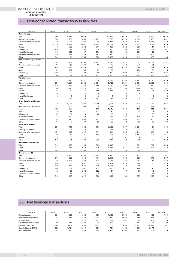## 5.5. Non-consolidated transactions in liabilities

| Mio EUR                      | 2003                | 2004           | 2005           | 2006           | 2007         | 2008           | 2009           | 2010     | <b>III-2008</b> |
|------------------------------|---------------------|----------------|----------------|----------------|--------------|----------------|----------------|----------|-----------------|
| Domestic sector              |                     |                |                |                |              |                |                |          |                 |
|                              |                     |                |                |                |              |                |                |          |                 |
| Total                        | 7,369               | 6,215          | 12,622         | 12,021         | 22,519       | 16,579         | 11,952         | $-1,079$ | 3,935           |
| Currency and deposits        | 906                 | 1,655          | 2,388          | 2,751          | 6,793        | 3,723          | 2,652          | $-3,803$ | 341             |
| Securities other than shares | 1,130               | $-94$          | 825            | $-1,045$       | $-1,975$     | 670            | 6,523          | 1,474    | $-2$            |
| Loans                        | 3,318               | 4,399          | 6,697          | 6,941          | 12,722       | 9,734          | 2,407          | $-111$   | 2,826           |
| Shares                       | $-3$                | $-526$         | 298            | 316            | 363          | 852            | 383            | 144      | 345             |
| Other equity                 | 750                 | 92             | 103            | 318            | 370          | 788            | 293            | 287      | 287             |
| Mutual fund shares           | 118                 | 322            | 187            | 279            | 594          | $-190$         | 175            | 158      | $-47$           |
| Insurance technical reserves | 305                 | 345            | 388            | 481            | 279          | 385            | 431            | 303      | 76              |
| Other                        | 844                 | 24             | 1,735          | 1,980          | 3,373        | 618            | $-912$         | 470      | 106             |
| Non-financial corporations   |                     |                |                |                |              |                |                |          |                 |
| Total                        | 3,083               | 1,604          | 4,583          | 4,847          | 9,226        | 7,012          | 501            | 1,171    | 2,131           |
| Securities other than shares | 11                  | 119            | 164            | $-18$          | 75           | 56             | 343            | $-181$   | -1              |
| Loans                        | 1,805               | 2,041          | 2,786          | 3,032          | 6,223        | 5,742          | 480            | 418      | 1,675           |
| Shares                       | $-81$               | $-607$         | 159            | 57             | 182          | 71             | 159            | 102      | 15              |
| Other equity                 | 699                 | 30             | 98             | 299            | 282          | 803            | 304            | 336      | 287             |
| Other                        | 648                 | 22             | 1,375          | 1,477          | 2,465        | 340            | $-785$         | 496      | 152             |
| Monetary sector              |                     |                |                |                |              |                |                |          |                 |
| Total                        | 2,217               | 1,872          | 5,221          | 3,036          | 7,715        | 6,358          | 4,153          | $-3,160$ | 549             |
| Currency and deposits        | 904                 | 1,651          | 2.385          | 2,751          | 6,759        | 3,721          | 2,654          | $-3,808$ | 340             |
| Securities other than shares | 636                 | $-837$         | 484            | $-1,689$       | $-1,719$     | 299            | 2,062          | 832      | 5               |
| Loans                        | 668                 | 1,040          | 2,223          | 1,669          | 2,428        | 1,750          | $-744$         | $-98$    | 167             |
| Shares                       | 67                  | 63             | 116            | 150            | 211          | 716            | 190            | 34       | 330             |
| Other equity                 | 14                  | $\circ$        | 0              | 0              | 0            | $\circ$        | 0              | 0        | 0               |
| Mutual fund shares           | $\mathsf{O}\xspace$ | $\circ$        | $\overline{4}$ | $\overline{c}$ | 3            | 6              | $-4$           | $-2$     | $\overline{c}$  |
| Other                        | $-72$               | $-45$          | 9              | 153            | 33           | $-135$         | $-4$           | $-119$   | $-295$          |
| Other financial institutions |                     |                |                |                |              |                |                |          |                 |
| Total                        | 978                 | 1,536          | 1,390          | 2,059          | 2,601        | 1,542          | 472            | 56       | 267             |
| Securities other than shares | 31                  | $-23$          | $-34$          | 14             | $-17$        | 17             | $\overline{4}$ | $-11$    | $\overline{7}$  |
| Loans                        | 490                 | 805            | 741            | 1,108          | 1,540        | 1,358          | $-132$         | $-341$   | 321             |
| Shares                       | 10                  | 18             | 21             | 107            | $-30$        | 71             | 34             | 8        | $\circ$         |
|                              | 37                  | 62             |                |                |              | $-15$          |                |          | $\circ$         |
| Other equity                 |                     |                | $\overline{4}$ | 20             | 88           |                | $-11$          | $-50$    | $-49$           |
| Mutual fund shares           | 118                 | 322            | 183            | 277            | 591          | $-196$         | 179            | 159      |                 |
| Insurance technical reserves | 305                 | 345            | 388            | 481            | 279          | 385            | 431            | 303      | 76              |
| Other                        | $-14$               | $\overline{7}$ | 87             | 52             | 150          | $-78$          | $-33$          | $-13$    | $-89$           |
| General government           |                     |                |                |                |              |                |                |          |                 |
| Total                        | 574                 | 707            | 322            | 775            | 1,030        | 557            | 6,204          | 124      | 645             |
| Currency and deposits        | $\overline{c}$      | $\overline{4}$ | 3              | $\mathbf{1}$   | 34           | $\overline{c}$ | $-2$           | 6        | $\overline{1}$  |
| Securities other than shares | 451                 | 647            | 212            | 647            | $-314$       | 296            | 4,114          | 834      | $-15$           |
| Loans                        | $-20$               | 77             | $-21$          | $-168$         | 695          | $-147$         | 2,161          | $-706$   | 331             |
| Shares                       | $\mathsf{O}\xspace$ | $\circ$        | $\overline{c}$ | $\overline{c}$ | $\mathbf{1}$ | $-7$           | $\mathbf 0$    | 0        | $\circ$         |
| Other                        | 140                 | $-21$          | 127            | 293            | 614          | 413            | $-69$          | $-10$    | 328             |
| <b>Households and NPISHs</b> |                     |                |                |                |              |                |                |          |                 |
| Total                        | 516                 | 496            | 1,105          | 1,304          | 1,946        | 1,111          | 621            | 731      | 343             |
| Loans                        | 374                 | 436            | 969            | 1,300          | 1,836        | 1,031          | 643            | 616      | 332             |
| Other                        | 142                 | 60             | 136            | 5              | 110          | 78             | $-22$          | 115      | 11              |
| Rest of the world            |                     |                |                |                |              |                |                |          |                 |
| Total                        | 1,577               | 1,926          | 4,156          | 3,469          | 9,628        | 1,318          | 139            | 138      | $-547$          |
| Currency and deposits        | $-510$              | $-230$         | 1,510          | 474            | 2,813        | $-313$         | 258            | $-670$   | $-587$          |
| Securities other than shares | 1,208               | 1,201          | 488            | 432            | 2,428        | 36             | $-283$         | 43       | $-273$          |
| Loans                        | 256                 | 88             | 632            | 671            | 1,957        | 810            | 296            | 135      | 229             |
| Shares                       | 100                 | 348            | 630            | 706            | 1,185        | 72             | 60             | 119      | $-42$           |
| Other equity                 | 184                 | 161            | 302            | 219            | 430          | 617            | 146            | 140      | 16              |
| Mutual fund shares           | 12                  | 38             | 253            | 282            | 124          | 47             | 30             | 116      | $-5$            |
| Insurance technical reserves | 12                  | 11             | 20             | 28             | 6            | 17             | $-12$          | -8       | 26              |
| Other                        | 315                 | 308            | 322            | 656            | 687          | 33             | $-357$         | 262      | 90              |
|                              |                     |                |                |                |              |                |                |          |                 |

#### 5.6. Net financial transactions

| Mio EUR                      | 2003     | 2004     | 2005     | 2006     | 2007     | 2008     | 2009     | 2010     | <b>III-2008</b> |
|------------------------------|----------|----------|----------|----------|----------|----------|----------|----------|-----------------|
| Domestic sector              | $-364$   | $-833$   | $-888$   | $-1.198$ | $-1.927$ | $-2.704$ | $-592$   | $-405$   | $-789$          |
| Non-financial corporations   | $-1.004$ | $-1.876$ | $-1.882$ | $-2.067$ | $-3.233$ | $-3.680$ | $-556$   | $-271$   | $-721$          |
| <b>Monetary sector</b>       | $-13$    | 153      | 375      | 477      | 194      | 302      | 579      | 681      | 126             |
| Other financial institutions | $-56$    | $-216$   | $-320$   | 42       | 328      | $-151$   | 151      | 35       | $-23$           |
| General government           | $-664$   | $-609$   | $-408$   | $-405$   |          | $-658$   | $-2.102$ | $-2.024$ | $-57$           |
| Households and NPISHs        | 372      | .714     | .347     | 755      | 781      | .483     | ,336     | 1.175    | $-114$          |
| Rest of the world            | 364      | 833      | 888      | .198     | .927     | 2.704    | 592      | 405      | 789             |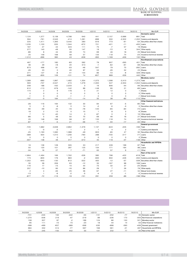**EUROSYSTEM**

| IV-2008             | $I-2009$            | II-2009             | <b>III-2009</b>     | IV-2009             | $I - 2010$          | $II-2010$           | III-2010            | IV-2010        | Mio EUR                      |
|---------------------|---------------------|---------------------|---------------------|---------------------|---------------------|---------------------|---------------------|----------------|------------------------------|
|                     |                     |                     |                     |                     |                     |                     |                     |                | <b>Domestic sector</b>       |
| 1,124               | 1,377               | 5,138               | 4,798               | 640                 | 441                 | 2,157               | $-2,686$            | $-991$         | <b>Total</b>                 |
| 594                 | $-761$              | 2,545               | $-414$              | 1,281               | $-998$              | 550                 | $-2,302$            |                | -1,052 Currency and deposits |
| 225                 | 1,411               | 1,393               | 3,440               | 280                 | 816                 | 773                 | $-61$               | $-54$          | Securities other than shares |
| 1,235               | 1,100               | 635                 | 1,344               | $-672$              | 721                 | $-421$              | $-11$               | $-400$         | Loans                        |
| 167                 | 27                  | 22                  | 223                 | 111                 | 75                  | $-7$                | 57                  |                | 19 Shares                    |
| 277                 | 140                 | $-49$               | 55                  | 147                 | 19                  | $-72$               | $-4$                |                | 344 Other equity             |
| $-86$               | 8                   | 44                  | 49                  | 74                  | 69                  | 46                  | 18                  | 25             | Mutual fund shares           |
| 25                  | 148                 | 168                 | 58                  | 57                  | 133                 | 118                 | 74                  | $-23$          | Insurance technical reserves |
| $-1,312$            | $-696$              | 380                 | 43                  | $-639$              | $-393$              | 1,169               | $-456$              | 150            | Other                        |
|                     |                     |                     |                     |                     |                     |                     |                     |                | Non-financial corporations   |
| 467                 | $-177$              | 180                 | $-83$               | 582                 | 78                  | 907                 | $-265$              | 451            | <b>Total</b>                 |
| 36                  | 29                  | $-18$               | 20                  | 313                 | $-1$                | $-62$               | $-61$               | $-58$          | Securities other than shares |
| 873                 | 498                 | 81                  | $-53$               | $-46$               | 547                 | 79                  | 75                  |                | $-282$ Loans                 |
|                     |                     | $\mathsf{O}\xspace$ | 40                  | 97                  | 53                  |                     | 52                  | 23             | Shares                       |
| $-26$               | 23                  |                     |                     |                     |                     | $-26$               |                     |                |                              |
| 271                 | 127                 | $-8$                | 41                  | 144                 | 86                  | $-72$               | $-6$                |                | 328 Other equity             |
| $-688$              | $-855$              | 126                 | $-131$              | 74                  | $-607$              | 989                 | $-326$              |                | $440$ Other                  |
|                     |                     |                     |                     |                     |                     |                     |                     |                | Monetary sector              |
| 1,389               | $-680$              | 1,997               | 1,482               | 1,354               | $-1,075$            | 1,598               | $-2,410$            | $-1,273$ Total |                              |
| 593                 | $-757$              | 2,547               | $-415$              | 1,279               | $-1,000$            | 547                 | $-2,304$            | $-1,052$       | Currency and deposits        |
| 208                 | 188                 | $-162$              | 2,033               | 3                   | 16                  | 906                 | $-44$               | $-46$          | Securities other than shares |
| 612                 | $-113$              | $-578$              | $-142$              | 88                  | $-148$              | 95                  | 21                  |                | $-66$ Loans                  |
| 174                 | $\overline{c}$      | 9                   | 178                 | $\mathsf{O}\xspace$ | 21                  | 12                  | $\mathsf{O}\xspace$ | $\mathbf{1}$   | Shares                       |
| $\circ$             | $\mathsf 0$         | $\circ$             | $\mathsf{O}\xspace$ | $\circ$             | $\mathsf{O}\xspace$ | $\mathbf 0$         | $\mathsf{O}\xspace$ | 0              | Other equity                 |
| $-1$                | 3                   | $-3$                | $-1$                | $-1$                | $\circ$             | $\circ$             | $\circ$             | $-1$           | Mutual fund shares           |
| $-197$              | $-3$                | 184                 | $-171$              | $-14$               | 35                  | 38                  | $-82$               | $-110$         | Other                        |
|                     |                     |                     |                     |                     |                     |                     |                     |                | Other financial institutions |
| $-28$               | 116                 | 194                 | 132                 | 30                  | 84                  | 67                  | $-5$                | $-90$          | Total                        |
| 5                   | $\circ$             | -9                  | $\circ$             | 14                  | $-2$                | $-5$                | $-3$                | $\mathbf 0$    | Securities other than shares |
| 90                  | $-59$               | 20                  | $-16$               | $-78$               | $-120$              | $-65$               | $-84$               | $-72$          | Loans                        |
| 18                  | $\sqrt{2}$          | 13                  | 5                   | 15                  | $\mathbf{1}$        | $\,$ 8 $\,$         | 5                   | -6             | Shares                       |
| $\overline{7}$      | 12                  | $-40$               | 14                  | 3                   | $-67$               | $\mathbf 0$         | $\overline{c}$      |                |                              |
|                     |                     |                     |                     |                     |                     |                     |                     | 16             | Other equity                 |
| $-86$               | 5                   | 48                  | 50                  | 75                  | 69                  | 46                  | 18                  | 27             | Mutual fund shares           |
| 25                  | 148                 | 168                 | 58                  | 57                  | 133                 | 118                 | 74                  | $-23$          | Insurance technical reserves |
| $-87$               | $\overline{7}$      | $-5$                | 21                  | $-56$               | 71                  | $-34$               | $-17$               |                | $-32$ Other                  |
|                     |                     |                     |                     |                     |                     |                     |                     |                | General government           |
| $-720$              | 1,982               | 2,639               | 2,962               | $-1,379$            | 1,137               | $-643$              | $-205$              | $-166$ Total   |                              |
| $\mathbf{1}$        | $-3$                | $-2$                | $\mathbf{1}$        | $\overline{2}$      | $\mathbf{1}$        | $\overline{4}$      | $\overline{c}$      | $-1$           | Currency and deposits        |
| $-25$               | 1,193               | 1,582               | 1,388               | $-49$               | 803                 | $-65$               | 47                  | 50             | Securities other than shares |
| $-389$              | 654                 | 1,010               | 1,256               | $-760$              | 288                 | $-700$              | $-217$              | $-77$          | Loans                        |
| $\mathsf{O}\xspace$ | $\mathsf{O}\xspace$ | $\mathsf{O}\xspace$ | $\mathsf{O}\xspace$ | $\mathsf{O}\xspace$ | $\mathsf O$         | $\mathsf{O}\xspace$ | $\mathsf O$         | 0              | Shares                       |
| $-307$              | 138                 | 49                  | 317                 | $-572$              | 45                  | 119                 | $-37$               |                | $-138$ Other                 |
|                     |                     |                     |                     |                     |                     |                     |                     |                | <b>Households and NPISHs</b> |
| 16                  | 136                 | 128                 | 305                 | 53                  | 217                 | 228                 | 199                 | 87             | Total                        |
| 50                  | 120                 | 101                 | 297                 | 125                 | 154                 | 171                 | 194                 |                | 98 Loans                     |
| $-34$               | 16                  | 27                  | $\overline{7}$      | $-71$               | 63                  | 57                  | 6                   | $-11$          | Other                        |
|                     |                     |                     |                     |                     |                     |                     |                     |                | Rest of the world            |
| $-1,664$            | $-1,464$            | 166                 | 1.762               | $-326$              | 380                 | 798                 | $-422$              | $-618$ Total   |                              |
| 173                 | $-800$              | 176                 | 883                 | $-2$                | $-563$              | 650                 | $-426$              |                |                              |
|                     |                     |                     |                     |                     |                     |                     |                     |                | -332 Currency and deposits   |
| $-1,352$            | $-643$              | $-130$              | 812                 | $-322$              | 450                 | $-12$               | $-57$               | $-339$         | Securities other than shares |
| 30                  | 39                  | 206                 | 63                  | $-12$               | 35                  | $-167$              | 98                  | 168            | Loans                        |
| 116                 | 17                  | $-15$               | 15                  | 44                  | 75                  | 32                  | 37                  | $-25$          | Shares                       |
| 257                 | $-10$               | 85                  | $-16$               | 86                  | 29                  | $\overline{7}$      | 26                  | 78             | Other equity                 |
| $\overline{c}$      | $\overline{4}$      | $-35$               | 25                  | 36                  | 67                  | 27                  | $-11$               | 34             | Mutual fund shares           |
| $-13$               | $\mathbf{1}$        | $-6$                | $-2$                | $-5$                | $-4$                | $\overline{c}$      | $-1$                | -5             | Insurance technical reserves |
| $-877$              | $-72$               | $-116$              | $-18$               | $-151$              | 291                 | 259                 | $-89$               |                | $-198$ Other                 |

| IV-2008  | $I - 2009$ | $II - 2009$ | $III-2009$ | IV-2009 | $I - 2010$ | $II - 2010$ | $III-2010$ | IV-2010 | Mio EUR                          |
|----------|------------|-------------|------------|---------|------------|-------------|------------|---------|----------------------------------|
| $-731$   | $-245$     | 150         | $-442$     | $-55$   | $-131$     | $-232$      | $-77$      |         | 35   Domestic sector             |
| $-1.270$ | $-506$     | 216         | $-47$      | $-219$  | 89         | $-226$      | 170        |         | -305 Non-financial corporations  |
| 158      | 307        | 87          | $-2$       | 188     | 124        | 86          | 150        |         | 321   Monetary sector            |
| 95       | 111        | $-10$       | 73         | $-23$   | 18         | 44          | 14         |         | -42 Other financial institutions |
| $-398$   | $-489$     | $-657$      | $-389$     | $-568$  | $-530$     | $-698$      | -390       |         | -406 General government          |
| 684      | 332        | 514         | $-77$      | 567     | 168        | 561         | $-21$      |         | 467 Households and NPISHs        |
| 731      | 245        | $-150$      | 442        | 55      | 131        | 232         | 77         |         | -35 Rest of the world            |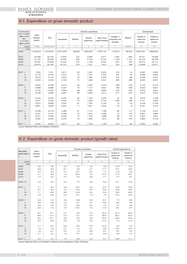## 6.1. Expenditure on gross domestic product

| Current prices,                                                               |                              |               |            |                | Domestic expenditure  |                                  | External trade                             |              |                                     |                                     |
|-------------------------------------------------------------------------------|------------------------------|---------------|------------|----------------|-----------------------|----------------------------------|--------------------------------------------|--------------|-------------------------------------|-------------------------------------|
| till 31.12.2006<br>millions of SIT.<br>after<br>01.01.2007<br>millions of EUR | Gross<br>domestic<br>product | Total         | Households | NPISH's        | General<br>government | Gross fixed<br>capital formation | Changes in<br>inventories and<br>valuables | Balance      | Exports of<br>goods and<br>services | Imports of<br>goods and<br>services |
| Column                                                                        | $1 = 2 + 8$                  | $2=3+4+5+6+7$ | 3          | $\overline{4}$ | 5                     | 6                                | $\overline{7}$                             | $8 = 9 - 10$ | 9                                   | 10 <sup>1</sup>                     |
| Code                                                                          |                              |               |            |                |                       |                                  |                                            |              |                                     |                                     |
| 2006                                                                          | 7,440,916                    | 7,479,440     | 3,871,639  | 58,839         | 1,395,840             | 1,975,143                        | 175,642                                    | $-38,523$    | 4,950,327                           | 4,988,850                           |
| 2007                                                                          | 34.568                       | 35.163        | 17.944     | 274            | 5.990                 | 9.571                            | 1.363                                      | $-595$       | 24,041                              | 24,636                              |
| 2008                                                                          | 37,135                       | 38,259        | 19,297     | 283            | 6,735                 | 10,742                           | 1,188                                      | $-1.124$     | 25,134                              | 26,258                              |
| 2009                                                                          | 35.297                       | 34.838        | 19.425     | 270            | 7.159                 | 8,304                            | $-324$                                     | 460          | 20,572                              | 20,112                              |
| 2010                                                                          | 35,974                       | 35,785        | 20,107     | 276            | 7,247                 | 7,821                            | 333                                        | 189          | 22,866                              | 22,677                              |
|                                                                               |                              |               |            |                |                       |                                  |                                            |              |                                     |                                     |
| 2007                                                                          | 7.825                        | 7.811         | 3.917      | 65             | 1,397                 | 2.052                            | 375                                        | 14           | 5.667                               | 5.653                               |
| Ш                                                                             | 8.778                        | 8.793         | 4.547      | 73             | 1,542                 | 2,444                            | 182                                        | $-16$        | 6.069                               | 6,084                               |
| Ш                                                                             | 9,018                        | 9,116         | 4.670      | 70             | 1,482                 | 2,578                            | 310                                        | $-98$        | 6,209                               | 6,307                               |
| IV                                                                            | 8,930                        | 9,426         | 4,762      | 75             | 1,568                 | 2,521                            | 496                                        | $-496$       | 6,095                               | 6,591                               |
|                                                                               |                              |               |            |                |                       |                                  |                                            |              |                                     |                                     |
| 2008                                                                          | 8.633                        | 8.798         | 4,412      | 64             | 1,555                 | 2,476                            | 289                                        | $-165$       | 6,145                               | 6,310                               |
| Ш                                                                             | 9,689                        | 9.888         | 5.057      | 73             | 1,714                 | 2,857                            | 185                                        | $-198$       | 6,653                               | 6,851                               |
| Ш                                                                             | 9.732                        | 10,058        | 5.048      | 68             | 1,682                 | 2.882                            | 378                                        | $-326$       | 6,525                               | 6,851                               |
| IV                                                                            | 9,226                        | 9,669         | 4,961      | 69             | 1,808                 | 2,514                            | 317                                        | $-444$       | 5,810                               | 6,254                               |
|                                                                               |                              |               |            |                |                       |                                  |                                            |              |                                     |                                     |
| 2009                                                                          | 8,320                        | 8,230         | 4,437      | 62             | 1,704                 | 2,005                            | 22                                         | 90           | 4,876                               | 4,786                               |
| Ш                                                                             | 9,001                        | 8,703         | 4,930      | 70             | 1,858                 | 2,130                            | $-286$                                     | 299          | 5,141                               | 4,842                               |
| Ш                                                                             | 9.075                        | 8.995         | 5.022      | 67             | 1.756                 | 2.136                            | 13                                         | 79           | 5.248                               | 5,169                               |
| IV                                                                            | 8,901                        | 8.909         | 5.037      | 71             | 1,841                 | 2,034                            | $-73$                                      | -8           | 5,307                               | 5,315                               |
|                                                                               |                              |               |            |                |                       |                                  |                                            |              |                                     |                                     |
| 2010                                                                          | 8.239                        | 8.123         | 4.486      | 61             | 1.714                 | 1.766                            | 95                                         | 117          | 5.158                               | 5.041                               |
| Ш                                                                             | 9,291                        | 9.170         | 5.068      | 70             | 1.873                 | 2.086                            | 73                                         | 122          | 5.807                               | 5,685                               |
| Ш                                                                             | 9,351                        | 9,236         | 5.309      | 70             | 1.760                 | 1.999                            | 98                                         | 116          | 5,937                               | 5,821                               |
| IV                                                                            | 9,092                        | 9,256         | 5,245      | 75             | 1,900                 | 1.970                            | 68                                         | $-164$       | 5,965                               | 6,129                               |
| $2011$ $\mid$                                                                 | 8.505                        | 8.530         | 4,677      | 64             | 1.765                 | 1,706                            | 318                                        | $-25$        | 6.060                               | 6.085                               |

Source: Statistical Office of the Republic of Slovenia.

## 6.2. Expenditure on gross domestic product (growth rates)

|                                                 |                              |                |            |                | Domestic expenditure  |                                  |                                     | External trade balance              |
|-------------------------------------------------|------------------------------|----------------|------------|----------------|-----------------------|----------------------------------|-------------------------------------|-------------------------------------|
| Real yearly<br>growth rates in<br>$\frac{0}{0}$ | Gross<br>domestic<br>product | Total          | Households | NPISH's        | General<br>government | Gross fixed<br>capital formation | Exports of<br>goods and<br>services | Imports of<br>goods and<br>services |
| Column                                          | $\overline{1}$               | $\overline{2}$ |            | $\overline{4}$ | $\overline{5}$        | $\overline{6}$                   | $\overline{7}$                      | $\overline{8}$                      |
| Code                                            |                              |                |            |                |                       |                                  |                                     |                                     |
| 2006                                            | 5.8                          | 5.6            | 2.9        | 4.5            | 4.0                   | 9.9                              | 12.5                                | 12.2                                |
| 2007                                            | 6.8                          | 8.6            | 6.7        | 4.6            | 0.7                   | 11.7                             | 13.7                                | 16.3                                |
| 2008                                            | 3.5                          | 3.5            | 2.1        | $-0.7$         | 6.2                   | 7.7                              | 2.9                                 | 2.9                                 |
| 2009                                            | $-7.7$                       | $-8.9$         | 1.4        | $-24.4$        | 3.2                   | $-21.9$                          | $-17.3$                             | $-18.7$                             |
| 2010                                            | 1.2                          | 0.5            | 0.7        | 0.5            | 0.8                   | $-7.1$                           | 7.7                                 | 6.7                                 |
| 2006 IV                                         | 6.3                          | 6.3            | 2.2        | 7.0            | 3.9                   | 13.5                             | 13.1                                | 12.6                                |
| 2007                                            | 7.7                          | 8.2            | 4.6        | 16.3           | 0.3                   | 14.7                             | 15.6                                | 16.3                                |
| $\mathbf{H}$                                    | 6.7                          | 9.5            | 5.4        | 12.9           | 0.2                   | 15.9                             | 13.9                                | 18.3                                |
| III                                             | 7.7                          | 10.9           | 8.8        | 10.0           | 0.5                   | 15.3                             | 15.6                                | 20.5                                |
| IV                                              | 5.3                          | 6.9            | 6.4        | 13.1           | 1.9                   | 7.5                              | 10.2                                | 12.2                                |
| 2008                                            | 5.8                          | 7.6            | 4.8        | $-6.8$         | 6.6                   | 18.1                             | 7.0                                 | 9.6                                 |
| $\mathbf{H}$                                    | 6.0                          | 6.6            | 4.4        | $-4.1$         | 5.7                   | 13.5                             | 9.0                                 | 9.9                                 |
| III                                             | 3.9                          | 3.9            | 1.5        | $-6.6$         | 6.2                   | 7.0                              | 3.7                                 | 3.6                                 |
| IV                                              | $-0.8$                       | $-1.5$         | 2.3        | $-13.2$        | 7.0                   | $-5.3$                           | $-6.2$                              | $-6.7$                              |
| 2009                                            | $-8.2$                       | $-9.1$         | 0.7        | $-5.5$         | 3.4                   | $-22.3$                          | $-21.4$                             | $-22.5$                             |
| $\mathbf{H}$                                    | $-9.6$                       | $-11.4$        | $-1.6$     | $-5.1$         | 4.2                   | $-26.4$                          | $-23.2$                             | $-25.4$                             |
| III                                             | $-9.0$                       | $-10.1$        | 0.9        | $-2.3$         | 3.9                   | $-25.0$                          | $-18.0$                             | $-19.4$                             |
| IV                                              | $-5.5$                       | $-8.3$         | 0.6        | 1.9            | 0.3                   | $-17.4$                          | $-7.0$                              | $-11.0$                             |
| 2010                                            | $-1.1$                       | $-2.0$         | $-0.9$     | $-3.0$         | 0.6                   | $-10.5$                          | 5.6                                 | 4.0                                 |
| Ш                                               | 1.9                          | 1.8            | 0.1        | $-1.4$         | 0.1                   | $-3.8$                           | 10.4                                | 10.4                                |
| III                                             | 1.8                          | $-0.1$         | 2.0        | 1.3            | $-0.8$                | $-8.7$                           | 8.2                                 | 5.2                                 |
| IV                                              | 2.1                          | 2.2            | 1.6        | 4.7            | 3.3                   | $-5.8$                           | 6.6                                 | 7.0                                 |
| 2011                                            | 2.0                          | 2.2            | 1.2        | 3.6            | 2.2                   | $-6.1$                           | 10.6                                | 11.1                                |

II.-98 Monthly Bulletin, June 2011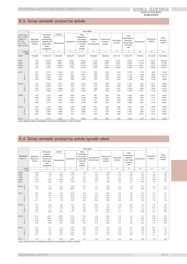## 6.3. Gross domestic product by activity

|                                                                                                   | Value added                             |                                                                                                      |                            |                |                                                                                                 |                                     |                                          |                           |                                                                               |                |                          |                              |
|---------------------------------------------------------------------------------------------------|-----------------------------------------|------------------------------------------------------------------------------------------------------|----------------------------|----------------|-------------------------------------------------------------------------------------------------|-------------------------------------|------------------------------------------|---------------------------|-------------------------------------------------------------------------------|----------------|--------------------------|------------------------------|
| Current prices<br>till 31.12.2006<br>in Milions of<br>SIT, after<br>01.01.2007<br>Millions of EUR | Agriculture,<br>forestry and<br>fishing | Mining and<br>quanying,<br>manufacturing,<br>electricity and<br>water supply,<br>waste<br>management | of which:<br>Manufacturing | Construction   | Trade.<br>transportation<br>and storage,<br>accommodatio<br>n and food<br>service<br>activities | Information<br>and<br>communication | Financial and<br>insurance<br>activities | Real estate<br>activities | Public<br>administration,<br>education,<br>human health<br>and social<br>work | Other services | Net taxes on<br>products | Gross<br>domestic<br>product |
| Column                                                                                            | $\overline{1}$                          | $\overline{2}$                                                                                       | 3                          | $\overline{4}$ | 5                                                                                               | 6                                   | $\overline{7}$                           | 8                         | $\overline{9}$                                                                | 10             | 11                       | 12                           |
| Code                                                                                              |                                         |                                                                                                      |                            |                |                                                                                                 |                                     |                                          |                           |                                                                               |                |                          |                              |
| 2006                                                                                              | 150,254                                 | 1,753,518                                                                                            | 1,487,853                  | 469.047        | 1,302,971                                                                                       | 263.580                             | 329,769                                  | 481.101                   | 1,047,371                                                                     | 726,541        | 915,449                  | 7,439,648                    |
| 2007                                                                                              | 744                                     | 8,070                                                                                                | 6,881                      | 2,451          | 6,222                                                                                           | 1,216                               | 1,460                                    | 2,151                     | 4,597                                                                         | 3,413          | 4,227                    | 34,550                       |
| 2008                                                                                              | 798                                     | 8,265                                                                                                | 6,981                      | 2,762          | 6,852                                                                                           | 1,294                               | 1,539                                    | 2,387                     | 5,064                                                                         | 3,756          | 4,564                    | 37,280                       |
| 2009                                                                                              | 730                                     | 7,123                                                                                                | 5,850                      | 2,469          | 6,343                                                                                           | 1,199                               | 1,581                                    | 2,351                     | 5,365                                                                         | 3,621          | 4,516                    | 35,297                       |
| 2010                                                                                              | 727                                     | 7,601                                                                                                | 6,272                      | 2,152          | 6,512                                                                                           | 1,185                               | 1,639                                    | 2,328                     | 5,485                                                                         | 3,761          | 4,585                    | 35,974                       |
| 2007                                                                                              | 161                                     | 1,917                                                                                                | 1,613                      | 510            | 1,370                                                                                           | 276                                 | 354                                      | 518                       | 1,076                                                                         | 720            | 923                      | 7,825                        |
| $\mathbf{II}$                                                                                     | 205                                     | 2,100                                                                                                | 1.790                      | 622            | 1,581                                                                                           | 283                                 | 378                                      | 523                       | 1,177                                                                         | 826            | 1.085                    | 8,778                        |
| $\mathbf{H}$                                                                                      | 182                                     | 2,062                                                                                                | 1,787                      | 690            | 1,705                                                                                           | 332                                 | 388                                      | 543                       | 1,156                                                                         | 878            | 1,083                    | 9,018                        |
| IV                                                                                                | 196                                     | 1,992                                                                                                | 1,691                      | 629            | 1,567                                                                                           | 324                                 | 341                                      | 567                       | 1,188                                                                         | 990            | 1,136                    | 8,930                        |
| 2008<br>- 1                                                                                       | 182                                     | 2,000                                                                                                | 1,674                      | 638            | 1,550                                                                                           | 300                                 | 399                                      | 573                       | 1,166                                                                         | 825            | 1,001                    | 8,633                        |
| $\mathbf{II}$                                                                                     | 225                                     | 2,226                                                                                                | 1,877                      | 700            | 1,741                                                                                           | 313                                 | 446                                      | 609                       | 1,281                                                                         | 925            | 1,223                    | 9,689                        |
| $\mathbf{III}$                                                                                    | 182                                     | 2,147                                                                                                | 1,858                      | 770            | 1,921                                                                                           | 340                                 | 336                                      | 587                       | 1,278                                                                         | 965            | 1.206                    | 9,732                        |
| IV                                                                                                | 210                                     | 1,892                                                                                                | 1,573                      | 653            | 1,639                                                                                           | 341                                 | 359                                      | 619                       | 1,339                                                                         | 1,041          | 1,134                    | 9,226                        |
| 2009<br>-1                                                                                        | 164                                     | 1,721                                                                                                | 1,395                      | 604            | 1,457                                                                                           | 287                                 | 387                                      | 581                       | 1,287                                                                         | 803            | 1,031                    | 8,320                        |
| $\mathbf{II}$                                                                                     | 199                                     | 1,826                                                                                                | 1,491                      | 643            | 1,626                                                                                           | 296                                 | 391                                      | 574                       | 1,386                                                                         | 890            | 1,171                    | 9,001                        |
| $\mathbf{III}$                                                                                    | 172                                     | 1,803                                                                                                | 1,521                      | 653            | 1.730                                                                                           | 317                                 | 402                                      | 600                       | 1,325                                                                         | 902            | 1,171                    | 9,075                        |
| IV                                                                                                | 195                                     | 1,773                                                                                                | 1.443                      | 569            | 1,530                                                                                           | 299                                 | 402                                      | 597                       | 1,368                                                                         | 1,027          | 1,143                    | 8,901                        |
| $2010$ $\vert$                                                                                    | 134                                     | 1,724                                                                                                | 1,397                      | 523            | 1,439                                                                                           | 277                                 | 440                                      | 566                       | 1,307                                                                         | 826            | 1,004                    | 8,239                        |
| $\mathbf{II}$                                                                                     | 205                                     | 2,030                                                                                                | 1,680                      | 560            | 1,694                                                                                           | 295                                 | 423                                      | 573                       | 1,404                                                                         | 941            | 1,167                    | 9,291                        |
| $\mathbf{III}$                                                                                    | 185                                     | 1,950                                                                                                | 1,646                      | 572            | 1,808                                                                                           | 311                                 | 416                                      | 594                       | 1,361                                                                         | 958            | 1,197                    | 9,351                        |
| IV.                                                                                               | 203                                     | 1,896                                                                                                | 1,550                      | 497            | 1,571                                                                                           | 302                                 | 361                                      | 595                       | 1,414                                                                         | 1,037          | 1,217                    | 9,092                        |
| $2011$                                                                                            | 141                                     | 1,910                                                                                                | 1,562                      | 431            | 1,506                                                                                           | 269                                 | 439                                      | 564                       | 1,348                                                                         | 849            | 1.047                    | 8.505                        |

Source: Statistical Office of the Republic of Slovenia and computations in Bank of Slovenia.

#### 6.4. Gross domestic product by activity (growth rates)

|                                    |                                         |                                                                           |                         |                                                                                                                                                                                                                                           | Value added                                                         |                                  |                                          |                           |                                                                     |                |                          |                              |
|------------------------------------|-----------------------------------------|---------------------------------------------------------------------------|-------------------------|-------------------------------------------------------------------------------------------------------------------------------------------------------------------------------------------------------------------------------------------|---------------------------------------------------------------------|----------------------------------|------------------------------------------|---------------------------|---------------------------------------------------------------------|----------------|--------------------------|------------------------------|
|                                    |                                         | Mining and<br>quanying,                                                   | of which:               |                                                                                                                                                                                                                                           | Trade,<br>transportation                                            |                                  |                                          |                           | Public                                                              |                |                          |                              |
| Real growth<br>rates in %          | Agriculture,<br>forestry and<br>fishing | manufacturing,<br>electricity and<br>water supply,<br>waste<br>management | Manufacturing           | Construction                                                                                                                                                                                                                              | and storage,<br>accommodatio<br>n and food<br>service<br>activities | Information and<br>communication | Financial and<br>insurance<br>activities | Real estate<br>activities | administration,<br>education,<br>human health<br>and social<br>work | Other services | Net taxes on<br>products | Gross<br>domestic<br>product |
| Column                             | $\mathbf{1}$                            | $\overline{2}$                                                            | $\overline{\mathbf{3}}$ | $\overline{4}$                                                                                                                                                                                                                            | $\overline{5}$                                                      | 6                                | $\overline{7}$                           | 8                         | $_{9}$                                                              | 10             | 11                       | 12                           |
| Code                               |                                         |                                                                           |                         |                                                                                                                                                                                                                                           |                                                                     |                                  |                                          |                           |                                                                     |                |                          |                              |
| 2006                               | $-0.8$                                  | 7.3                                                                       | 7.4                     | 14.6                                                                                                                                                                                                                                      | 7.2                                                                 | 9.1                              | 5.6                                      | 2.7                       | 1.8                                                                 | 5.1            | 4.1                      | 5.8                          |
| 2007                               | 3.0                                     | 7.6                                                                       | 8.5                     | 17.6                                                                                                                                                                                                                                      | 7.1                                                                 | 9.0                              | 14.5                                     | 4.4                       | 2.0                                                                 | 3.9            | 5.6                      | 6.8                          |
| 2008                               | $-0.3$                                  | 1.1                                                                       | 0.3                     | 4.8                                                                                                                                                                                                                                       | 3.2                                                                 | 9.8                              | 9.8                                      | 4.7                       | 2.3                                                                 | 3.6            | 6.3                      | 3.7                          |
| 2009                               | $-5.8$                                  | $-15.3$                                                                   | $-16.6$                 | $-15.4$                                                                                                                                                                                                                                   | $-9.7$                                                              | $-5.3$                           | 2.0                                      | $-3.4$                    | 2.3                                                                 | $-5.4$         | $-8.8$                   | $-8.1$                       |
| 2010                               | $-2.3$                                  | 6.6                                                                       | 8.0                     | $-14.3$                                                                                                                                                                                                                                   | 2.5                                                                 | 0.1                              | $-4.2$                                   | 0.2                       | 2.4                                                                 | 3.9            | $-1.2$                   | 1.2                          |
| 2006 III                           | $-0.9$                                  | 7.9                                                                       | 8.2                     | 18.8                                                                                                                                                                                                                                      | 6.0                                                                 | 9.1                              | 12.3                                     | 3.5                       | 1.8                                                                 | 6.4            | 3.1                      | 6.4                          |
| IV                                 | 2.1                                     | 9.4                                                                       | 8.6                     | 26.6                                                                                                                                                                                                                                      | 8.1                                                                 | 2.7                              | $-6.5$                                   | 5.6                       | 1.2                                                                 | 6.6            | 1.1                      | 6.3                          |
| 2007                               | 6.8                                     | 8.9                                                                       | 9.5                     | 27.9                                                                                                                                                                                                                                      | 6.6                                                                 | 2.1                              | 14.9                                     | 5.5                       | 2.2                                                                 | 6.2            | 5.7                      | 7.7                          |
| $\mathbf{H}$                       | $4.2\,$                                 | 8.1                                                                       | 9.1                     | 23.9                                                                                                                                                                                                                                      | 7.6                                                                 | 8.0                              | 10.5                                     | 5.0                       | 2.5                                                                 | 2.6            | 2.0                      | 6.7                          |
| $\ensuremath{\mathsf{III}}\xspace$ | 2.1                                     | 7.6                                                                       | 7.9                     | 15.7                                                                                                                                                                                                                                      | 8.2                                                                 | 13.1                             | 19.5                                     | 5.0                       | 1.6                                                                 | $5.0\,$        | 7.6                      | 7.7                          |
| IV                                 | $-0.7$                                  | 5.8                                                                       | 7.6                     | 6.4                                                                                                                                                                                                                                       | 5.8                                                                 | 13.0                             | 12.8                                     | 2.3                       | 1.9                                                                 | 2.5            | 7.2                      | 5.3                          |
| 2008<br>-1                         | $-1.4$                                  | 3.9                                                                       | 3.6                     | 16.7                                                                                                                                                                                                                                      | 5.8                                                                 | 13.3                             | 3.2                                      | 4.5                       | 3.0                                                                 | 7.0            | 7.0                      | 5.8                          |
| $\rm H$                            | $-2.2$                                  | 6.6                                                                       | 5.5                     | 4.8                                                                                                                                                                                                                                       | 3.4                                                                 | 12.3                             | 5.3                                      | 9.3                       | 2.5                                                                 | 4.7            | 12.0                     | 6.0                          |
| $\ensuremath{\mathsf{III}}\xspace$ | 0.8                                     | 1.7                                                                       | 1.4                     | 3.8                                                                                                                                                                                                                                       | 3.2                                                                 | 6.0                              | 18.4                                     | 2.1                       | 2.1                                                                 | 4.4            | 6.1                      | 3.9                          |
| IV                                 | 1.6                                     | $-8.0$                                                                    | $-9.5$                  | $-4.1$                                                                                                                                                                                                                                    | 0.4                                                                 | 7.7                              | 12.2                                     | 3.1                       | 1.7                                                                 | $-0.8$         | 0.5                      | $-0.8$                       |
| 2009                               | $-11.0$                                 | $-18.0$                                                                   | $-20.0$                 | $-12.7$                                                                                                                                                                                                                                   | $-11.3$                                                             | $-2.8$                           | 19.5                                     | $-1.8$                    | 2.0                                                                 | $-7.3$         | $-8.0$                   | $-8.2$                       |
| $\rm H$                            | $-4.3$                                  | $-20.6$                                                                   | $-22.2$                 | $-13.8$                                                                                                                                                                                                                                   | $-9.7$                                                              | $-3.4$                           | 12.5                                     | $-7.6$                    | 1.6                                                                 | $-4.8$         | $-11.6$                  | $-9.6$                       |
| $\mathbf{III}$                     | $-3.8$                                  | $-15.6$                                                                   | $-16.5$                 | $-18.8$                                                                                                                                                                                                                                   | $-10.0$                                                             | $-3.4$                           | $-12.7$                                  | 0.1                       | 2.2                                                                 | $-7.3$         | $-8.1$                   | $-9.0$                       |
| IV                                 | $-4.8$                                  | $-5.8$                                                                    | $-6.1$                  | $-15.8$                                                                                                                                                                                                                                   | $-7.8$                                                              | $-11.4$                          | $-8.6$                                   | $-4.1$                    | 3.5                                                                 | $-2.6$         | $-7.3$                   | $-5.5$                       |
| 2010                               | $-3.2$                                  | 0.7                                                                       | 1.4                     | $-13.9$                                                                                                                                                                                                                                   | $-0.6$                                                              | $-3.9$                           | $-2.2$                                   | $-1.2$                    | 2.3                                                                 | 2.9            | $-3.2$                   | $-1.1$                       |
| $\mathbf{H}$                       | $-0.8$                                  | 11.3                                                                      | 13.6                    | $-14.0$                                                                                                                                                                                                                                   | 3.3                                                                 | $-1.8$                           | $-9.7$                                   | 0.8                       | 2.1                                                                 | 5.8            | $-3.0$                   | 1.9                          |
| $\mathop{\mathrm{III}}\nolimits$   | $-3.0$                                  | 7.2                                                                       | 8.3                     | $-14.4$                                                                                                                                                                                                                                   | 4.2                                                                 | 1.4                              | $-0.6$                                   | 0.5                       | 2.3                                                                 | 5.7            | $-2.9$                   | 1.8                          |
| IV                                 | $-2.7$                                  | 7.0                                                                       | 8.1                     | $-14.9$                                                                                                                                                                                                                                   | 2.8                                                                 | 4.7                              | $-4.1$                                   | 0.6                       | 2.9                                                                 | 1.4            | 4.1                      | 2.1                          |
| 2011                               | $-1.3$                                  | 9.1<br>and Obelialized Officer of the Depublic of Obecasion and as        | 10.0                    | $-20.0$<br>and all a search of Chancel and Chancel and Chancel and Chancel and Chancel and Chancel and Chancel and Chancel and Chancel and Chancel and Chancel and Chancel and Chancel and Chancel and Chancel and Chancel and Chancel an | 4.4                                                                 | 0.0                              | $-3.4$                                   | 0.2                       | 2.2                                                                 | 2.6            | 1.0                      | 2.0                          |

ical Office of the Republic of Slovenia and computations in Bank of Slo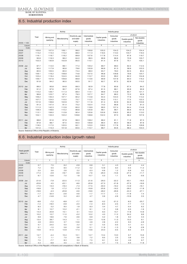## 6.5. Industrial production index

|              |        |              |                         | Activity      |                     | Industry group      |                             |                     |                             |                                    |  |  |
|--------------|--------|--------------|-------------------------|---------------|---------------------|---------------------|-----------------------------|---------------------|-----------------------------|------------------------------------|--|--|
|              |        |              |                         |               | Electricity, gas    | Intermediate        |                             | Consumer            | of which                    |                                    |  |  |
| $2005 = 100$ |        | Toral        | Mining and<br>quarrying | Manufacturing | and water<br>supply | goods<br>industries | Capital goods<br>industries | goods<br>industries | Durable goods<br>industries | Non-durable<br>goods<br>industries |  |  |
|              | Column | $\mathbf{1}$ | $\overline{c}$          | 3             | $\overline{4}$      | 5                   | 6                           | $\overline{7}$      | 8                           | 9                                  |  |  |
|              | Code   |              |                         |               |                     |                     |                             |                     |                             |                                    |  |  |
| 2006         |        | 105.6        | 107.5                   | 106.1         | 99.0                | 106.8               | 105.0                       | 104.3               | 104.2                       | 104.4                              |  |  |
| 2007         |        | 113.2        | 113.4                   | 115.2         | 88.0                | 111.3               | 118.5                       | 113.0               | 103.7                       | 116.0                              |  |  |
| 2008         |        | 116.1        | 119.7                   | 118.2         | 89.9                | 107.6               | 117.8                       | 114.4               | 97.6                        | 119.7                              |  |  |
| 2009         |        | 95.9         | 116.3                   | 96.2          | 84.0                | 99.5                | 86.8                        | 96.6                | 70.9                        | 105.7                              |  |  |
| 2010         |        | 102.3        | 130.9                   | 102.9         | 85.5                | 110.1               | 91.4                        | 97.6                | 75.1                        | 105.1                              |  |  |
|              |        |              |                         |               |                     |                     |                             |                     |                             |                                    |  |  |
| 2009 Jun     |        | 97.7         | 112.0                   | 99.1          | 77.4                | 100.2               | 89.7                        | 99.0                | 62.4                        | 112.5                              |  |  |
|              | Jul    | 95.0         | 117.9                   | 95.6          | 79.6                | 100.9               | 86.9                        | 91.3                | 58.9                        | 103.3                              |  |  |
|              | Aug    | 80.5         | 105.5                   | 80.0          | 74.4                | 89.0                | 65.7                        | 78.0                | 62.5                        | 83.4                               |  |  |
|              | Sep    | 106.1        | 116.2                   | 108.8         | 74.8                | 107.5               | 96.8                        | 109.8               | 79.6                        | 120.7                              |  |  |
|              | Oct    | 103.4        | 119.4                   | 104.5         | 84.9                | 110.7               | 93.0                        | 99.2                | 82.2                        | 104.8                              |  |  |
|              | Nov    | 106.7        | 157.6                   | 106.8         | 89.9                | 113.6               | 89.9                        | 107.9               | 84.0                        | 116.2                              |  |  |
|              | Dec    | 91.6         | 94.2                    | 90.5          | 93.5                | 91.7                | 82.7                        | 97.5                | 62.9                        | 110.2                              |  |  |
|              |        |              |                         |               |                     |                     |                             |                     |                             |                                    |  |  |
| 2010         | Jan    | 86.0         | 95.8                    | 84.8          | 89.3                | 92.9                | 77.8                        | 80.6                | 67.4                        | 84.2                               |  |  |
|              | Feb    | 91.2         | 97.6                    | 90.7          | 87.9                | 97.4                | 81.5                        | 88.1                | 65.8                        | 95.9                               |  |  |
|              | Mar    | 110.2        | 126.7                   | 111.3         | 89.4                | 114.1               | 99.9                        | 110.9               | 80.7                        | 121.7                              |  |  |
|              | Apr    | 96.8         | 123.7                   | 97.4          | 79.3                | 107.7               | 84.7                        | 88.2                | 72.2                        | 92.9                               |  |  |
|              | May    | 106.2        | 135.3                   | 107.7         | 80.2                | 112.8               | 94.4                        | 104.0               | 77.6                        | 113.2                              |  |  |
|              | Jun    | 107.7        | 124.0                   | 110.0         | 75.7                | 112.7               | 93.3                        | 110.1               | 77.5                        | 122.2                              |  |  |
|              | Jul    | 101.6        | 139.8                   | 102.9         | 76.7                | 111.6               | 91.4                        | 92.9                | 64.3                        | 103.6                              |  |  |
|              | Aug    | 91.3         | 147.4                   | 91.4          | 75.2                | 102.4               | 74.0                        | 86.8                | 71.9                        | 91.0                               |  |  |
|              | Sep    | 111.3        | 142.3                   | 112.8         | 85.0                | 118.9               | 99.5                        | 107.4               | 84.4                        | 114.8                              |  |  |
|              | Oct    | 109.3        | 148.6                   | 110.2         | 86.8                | 120.8               | 98.1                        | 98.7                | 85.6                        | 101.6                              |  |  |
|              | Nov    | 112.1        | 156.0                   | 112.8         | 90.4                | 120.6               | 100.6                       | 106.5               | 85.5                        | 113.0                              |  |  |
|              | Dec    | 104.1        | 133.3                   | 102.2         | 109.8               | 108.8               | 102.0                       | 97.0                | 68.2                        | 107.6                              |  |  |
|              |        |              |                         |               |                     |                     |                             |                     |                             |                                    |  |  |
| 2011         | Jan    | 98.6         | 91.6                    | 97.9          | 98.3                | 108.2               | 88.2                        | 91.1                | 71.9                        | 97.3                               |  |  |
|              | Feb    | 97.8         | 98.7                    | 97.5          | 93.0                | 106.8               | 88.4                        | 90.3                | 68.3                        | 97.8                               |  |  |
|              | Mar    | 118.5        | 117.0                   | 120.5         | 92.1                | 123.0               | 108.0                       | 117.8               | 84.4                        | 129.8                              |  |  |
|              | Apr    | 101.0        | 115.3                   | 101.8         | 83.5                | 110.7               | 88.7                        | 94.6                | 68.2                        | 104.0                              |  |  |

Source: Statistical Office of the Republic of Slovenia.

#### 6.6. Industrial production index (growth rates)

|                             |        |              |                         | Activity      |                                         |                                     |                             | Industry group                  |                                         |                                    |
|-----------------------------|--------|--------------|-------------------------|---------------|-----------------------------------------|-------------------------------------|-----------------------------|---------------------------------|-----------------------------------------|------------------------------------|
| Yearly growth<br>rates in % |        | Toral        | Mining and<br>quarrying | Manufacturing | Electricity, gas<br>and water<br>supply | Intermediate<br>goods<br>industries | Capital goods<br>industries | Consumer<br>goods<br>industries | of which<br>Durable goods<br>industries | Non-durable<br>goods<br>industries |
|                             | Column | $\mathbf{1}$ | $\overline{c}$          | 3             | $\overline{4}$                          | 5                                   | 6                           | $\overline{7}$                  | 8                                       | 9                                  |
|                             | Code   |              |                         |               |                                         |                                     |                             |                                 |                                         |                                    |
| 2006                        |        | 5.7          | 7.5                     | 6.2           | $-0.9$                                  | 6.8                                 | 5.1                         | 4.3                             | 4.2                                     | 4.4                                |
| 2007                        |        | 7.2          | 5.5                     | 8.5           | $-11.2$                                 | 4.2                                 | 12.9                        | 8.4                             | $-0.4$                                  | 11.2                               |
| 2008                        |        | 2.5          | 5.6                     | 2.6           | 2.2                                     | $-3.3$                              | $-0.6$                      | 1.2                             | $-5.9$                                  | 3.2                                |
| 2009                        |        | $-17.4$      | $-2.9$                  | $-18.7$       | $-6.6$                                  | $-7.6$                              | $-26.3$                     | $-15.6$                         | $-27.4$                                 | $-11.7$                            |
| 2010                        |        | 6.7          | 12.6                    | 7.0           | 1.8                                     | 10.7                                | 5.3                         | 1.1                             | 6.0                                     | $-0.6$                             |
| 2009 Jun                    |        | $-21.6$      | $-7.9$                  | $-22.5$       | $-11.3$                                 | $-21.6$                             | $-29.3$                     | $-22.2$                         | $-40.1$                                 | $-16.5$                            |
|                             | Jul    | $-20.8$      | 4.5                     | $-22.1$       | $-9.6$                                  | $-20.8$                             | $-27.3$                     | $-21.8$                         | $-37.5$                                 | $-16.6$                            |
|                             | Aug    | $-17.5$      | 13.3                    | $-19.4$       | $-7.3$                                  | $-17.5$                             | $-30.0$                     | $-16.2$                         | $-14.9$                                 | $-16.1$                            |
|                             | Sep    | $-16.8$      | 1.8                     | $-17.2$       | $-11.9$                                 | $-16.8$                             | $-25.6$                     | $-16.2$                         | $-29.2$                                 | $-11.8$                            |
|                             | Oct    | $-19.6$      | $-4.3$                  | $-20.8$       | $-5.6$                                  | $-19.6$                             | $-28.2$                     | $-26.6$                         | $-24.3$                                 | $-27.1$                            |
|                             | Nov    | $-1.7$       | 32.4                    | $-2.6$        | $-4.6$                                  | $-1.7$                              | $-17.7$                     | 1.1                             | $-17.8$                                 | 7.4                                |
|                             | Dec    | 4.7          | $-14.8$                 | 5.2           | $-6.3$                                  | 4.7                                 | 0.6                         | $-2.6$                          | $-10.9$                                 | 0.5                                |
|                             |        |              |                         |               |                                         |                                     |                             |                                 |                                         |                                    |
| 2010 Jan                    |        | $-8.8$       | $-7.2$                  | $-8.8$        | $-7.7$                                  | $-8.8$                              | $-3.2$                      | $-21.2$                         | $-6.0$                                  | $-25.7$                            |
|                             | Feb    | $-1.4$       | $-18.0$                 | $-0.9$        | $-2.0$                                  | $-1.4$                              | $-8.3$                      | $-2.5$                          | $-7.7$                                  | $-1.0$                             |
|                             | Mar    | 8.3          | 0.2                     | 9.0           | 1.9                                     | 8.3                                 | 3.4                         | 4.7                             | $-0.4$                                  | 6.2                                |
|                             | Apr    | 9.1          | 10.7                    | 10.2          | $-2.1$                                  | 9.1                                 | 1.2                         | 0.8                             | 6.5                                     | $-1.6$                             |
|                             | May    | 14.3         | 20.9                    | 15.1          | 3.1                                     | 14.3                                | 8.3                         | 15.7                            | 17.8                                    | 14.9                               |
|                             | Jun    | 10.2         | 10.7                    | 11.0          | $-2.2$                                  | 10.2                                | 4.0                         | 11.2                            | 24.2                                    | 8.6                                |
|                             | Jul    | 6.9          | 18.6                    | 7.6           | $-3.6$                                  | 6.9                                 | 5.2                         | 1.8                             | 9.2                                     | 0.3                                |
|                             | Aug    | 13.4         | 39.7                    | 14.3          | 1.1                                     | 13.4                                | 12.6                        | 11.3                            | 15.0                                    | 9.1                                |
|                             | Sep    | 4.9          | 22.5                    | 3.7           | 13.6                                    | 4.9                                 | 2.8                         | $-2.2$                          | 6.0                                     | $-4.9$                             |
|                             | Oct    | 5.7          | 24.5                    | 5.5           | 2.2                                     | 5.7                                 | 5.5                         | $-0.5$                          | 4.1                                     | $-3.1$                             |
|                             | Nov    | 5.1          | $-1.0$                  | 5.6           | 0.6                                     | 5.1                                 | 11.9                        | $-1.3$                          | 1.8                                     | $-2.8$                             |
|                             | Dec    | 13.6         | 41.5                    | 12.9          | 17.4                                    | 13.6                                | 23.3                        | $-0.5$                          | 8.4                                     | $-2.4$                             |
| 2011                        | Jan    | 14.7         | $-4.4$                  | 15.4          | 10.1                                    | 14.7                                | 13.4                        | 13.0                            | 6.7                                     | 15.6                               |
|                             | Feb    | 7.2          | 1.1                     | 7.5           | 5.8                                     | 7.2                                 | 8.5                         | 2.5                             | 3.8                                     | 2.0                                |
|                             | Mar    | 7.5          | $-7.7$                  | 8.3           | 3.0                                     | 7.5                                 | 8.1                         | 6.2                             | 4.6                                     | 6.7                                |
|                             | Apr    | 4.3          | $-6.8$                  | 4.5           | 5.3                                     | 4.3                                 | 4.7                         | 7.3                             | $-5.5$                                  | 11.9                               |

Source: Statistical Office of the Republic of Slovenia and computations in Bank of Slovenia.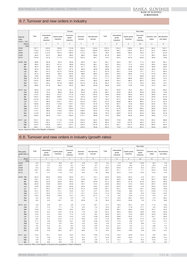# BANKA SLOVENIJE BANK OF SLOVENIA

**EUROSYSTEM**

# 6.7. Turnover and new orders in industry

|                                   |         |              |                                     |                             | Tumover                         |                     |                         |                |                                     |                             | New orders                      |                        |                            |
|-----------------------------------|---------|--------------|-------------------------------------|-----------------------------|---------------------------------|---------------------|-------------------------|----------------|-------------------------------------|-----------------------------|---------------------------------|------------------------|----------------------------|
|                                   |         |              |                                     |                             |                                 |                     |                         |                |                                     |                             |                                 |                        |                            |
| Nominal<br>index,<br>$2005 = 100$ |         | Total        | Intermediate<br>goods<br>industries | Capital goods<br>industries | Consumer<br>goods<br>industries | Domestic<br>tumover | Non-domestic<br>tumover | Total          | Intermediate<br>goods<br>industries | Capital goods<br>industries | Consumer<br>goods<br>industries | Domestic new<br>orders | Non-domestic<br>new orders |
|                                   | Stolpec | $\mathbf{1}$ | $\overline{2}$                      | 3                           | $\overline{4}$                  | 5                   | 6                       | $\overline{7}$ | 8                                   | $_{9}$                      | 10                              | 11                     | 12                         |
|                                   | Koda    |              |                                     |                             |                                 |                     |                         |                |                                     |                             |                                 |                        |                            |
| 2006                              |         | 107.7        | 103.9                               | 109.8                       | 112.6                           | 104.3               | 104.0                   | 102.2          | 104.3                               | 109.8                       | 88.4                            | 94.4                   | 104.7                      |
| 2007                              |         | 118.2        | 112.3                               | 121.5                       | 125.2                           | 122.2               | 106.9                   | 102.9          | 98.7                                | 123.5                       | 87.2                            | 91.2                   | 106.4                      |
| 2008                              |         | 118.3        | 114.0                               | 120.4                       | 129.0                           | 117.2               | 105.7                   | 78.4           | 66.9                                | 99.3                        | 79.0                            | 67.1                   | 81.8                       |
| 2009                              |         | 95.0         | 91.0                                | 96.9                        | 98.5                            | 96.0                | 89.8                    | 61.8           | 48.9                                | 77.7                        | 71.3                            | 49.7                   | 65.5                       |
| 2010                              |         | 104.6        | 91.8                                | 111.3                       | 115.4                           | 102.2               | 93.1                    | 74.4           | 63.4                                | 87.8                        | 82.6                            | 56.9                   | 79.8                       |
|                                   |         |              |                                     |                             |                                 |                     |                         |                |                                     |                             |                                 |                        |                            |
| 2009 Feb                          |         | 89.8         | 82.9                                | 93.3                        | 90.9                            | 95.5                | 84.1                    | 62.1           | 48.4                                | 79.7                        | 71.4                            | 50.4                   | 65.7                       |
|                                   | Mar     | 99.4         | 95.2                                | 101.4                       | 99.8                            | 103.2               | 96.1                    | 59.7           | 46.4                                | 71.5                        | 74.6                            | 49.4                   | 62.8                       |
|                                   | Apr     | 90.4         | 90.5                                | 90.3                        | 93.5                            | 91.7                | 85.7                    | 56.6           | 44.3                                | 75.8                        | 60.8                            | 46.6                   | 59.6                       |
|                                   | May     | 93.3         | 93.2                                | 93.2                        | 97.3                            | 96.5                | 85.9                    | 59.8           | 46.7                                | 83.9                        | 60.5                            | 48.0                   | 63.4                       |
|                                   | Jun     | 98.1         | 91.5                                | 101.5                       | 102.6                           | 100.2               | 91.1                    | 61.9           | 49.7                                | 73.9                        | 74.1                            | 47.7                   | 66.2                       |
|                                   | Jul     | 97.0         | 92.5                                | 99.2                        | 102.8                           | 98.6                | 88.5                    | 58.4           | 46.5                                | 69.6                        | 71.0                            | 51.8                   | 60.4                       |
|                                   | Aug     | 79.6         | 82.8                                | 77.8                        | 89.3                            | 70.4                | 74.7                    | 57.4           | 46.0                                | 77.4                        | 58.8                            | 44.2                   | 61.4                       |
|                                   | Sep     | 107.8        | 98.6                                | 112.5                       | 112.6                           | 107.3               | 102.3                   | 71.7           | 56.2                                | 88.9                        | 85.2                            | 59.4                   | 75.4                       |
|                                   | Oct     | 105.4        | 99.9                                | 108.1                       | 112.8                           | 105.2               | 96.2                    | 69.9           | 55.4                                | 88.2                        | 80.2                            | 53.0                   | 75.1                       |
|                                   | Nov     | 103.1        | 94.2                                | 107.8                       | 108.6                           | 101.6               | 97.8                    | 65.3           | 52.4                                | 77.3                        | 79.2                            | 49.5                   | 70.1                       |
|                                   | Dec     | 89.6         | 91.9                                | 88.4                        | 82.5                            | 96.2                | 93.8                    | 59.8           | 44.8                                | 75.8                        | 73.9                            | 47.2                   | 63.7                       |
|                                   |         |              |                                     |                             |                                 |                     |                         |                |                                     |                             |                                 |                        |                            |
| 2010                              | Jan     | 85.5         | 73.6                                | 91.8                        | 91.1                            | 89.3                | 75.7                    | 65.1           | 55.6                                | 79.4                        | 69.1                            | 52.0                   | 69.2                       |
|                                   | Feb     | 90.8         | 75.4                                | 98.9                        | 95.9                            | 92.9                | 82.9                    | 69.7           | 55.9                                | 85.9                        | 80.8                            | 50.6                   | 75.6                       |
|                                   | Mar     | 112.5        | 95.6                                | 121.5                       | 117.9                           | 116.2               | 103.0                   | 78.6           | 63.8                                | 95.9                        | 90.4                            | 59.9                   | 84.3                       |
|                                   | Apr     | 100.4        | 89.5                                | 106.0                       | 115.4                           | 97.0                | 84.0                    | 75.7           | 64.3                                | 96.0                        | 77.0                            | 55.9                   | 81.8                       |
|                                   | May     | 107.8        | 94.7                                | 114.6                       | 119.2                           | 107.3               | 93.7                    | 78.4           | 67.4                                | 94.8                        | 82.8                            | 61.4                   | 83.6                       |
|                                   | Jun     | 112.1        | 96.9                                | 120.1                       | 123.1                           | 104.2               | 104.7                   | 81.0           | 68.9                                | 96.2                        | 89.4                            | 61.3                   | 87.0                       |
|                                   | Jul     | 106.6        | 93.0                                | 113.8                       | 119.7                           | 104.3               | 91.9                    | 70.8           | 63.7                                | 72.8                        | 83.8                            | 53.0                   | 76.3                       |
|                                   | Aug     | 91.3         | 87.6                                | 93.1                        | 108.1                           | 73.1                | 84.5                    | 67.9           | 58.2                                | 82.3                        | 72.0                            | 52.4                   | 72.6                       |
|                                   | Sep     | 115.4        | 98.5                                | 124.3                       | 129.0                           | 110.2               | 102.6                   | 79.2           | 67.8                                | 83.9                        | 98.0                            | 60.8                   | 84.8                       |
|                                   | Oct     | 112.7        | 99.6                                | 119.6                       | 129.4                           | 108.0               | 95.5                    | 77.8           | 66.4                                | 93.8                        | 83.8                            | 60.2                   | 83.2                       |
|                                   | Nov     | 113.8        | 97.8                                | 122.3                       | 127.5                           | 109.9               | 99.9                    | 76.3           | 69.9                                | 81.8                        | 83.6                            | 58.5                   | 81.8                       |
|                                   | Dec     | 106.5        | 99.6                                | 110.1                       | 108.0                           | 114.1               | 98.8                    | 72.4           | 58.6                                | 90.6                        | 80.9                            | 56.6                   | 77.2                       |
|                                   |         |              |                                     |                             |                                 |                     |                         |                |                                     |                             |                                 |                        |                            |
| 2011                              | Jan     | 102.1        | 84.0                                | 111.6                       | 115.6                           | 103.0               | 84.2                    | 80.6           | 70.9                                | 99.4                        | 79.5                            | 60.4                   | 86.8                       |
|                                   | Feb     | 102.5        | 82.4                                | 113.1                       | 113.9                           | 102.3               | 88.3                    | 85.3           | 74.6                                | 107.8                       | 82.0                            | 64.5                   | 91.7                       |
|                                   | Mar     | 123.4        | 100.8                               | 135.4                       | 134.7                           | 125.2               | 107.9                   | 87.5           | 80.1                                | 102.4                       | 85.8                            | 69.5                   | 93.0                       |
|                                   | Apr     | 108.1        | 91.6                                | 116.9                       | 125.2                           | 100.5               | 92.8                    | 85.3           | 75.6                                | 107.9                       | 80.0                            | 60.8                   | 92.9                       |

Source: Statistical Office of the Republic of Slovenia.

# 6.8. Turnover and new orders in industry (growth rates)

|                                                 |              |                                     |                             | Tumover                         |                     |                         |                |                                     |                             | New orders                      |                        |                            |
|-------------------------------------------------|--------------|-------------------------------------|-----------------------------|---------------------------------|---------------------|-------------------------|----------------|-------------------------------------|-----------------------------|---------------------------------|------------------------|----------------------------|
| Real yearly<br>growth rates in<br>$\frac{9}{6}$ | Total        | Intermediate<br>goods<br>industries | Capital goods<br>industries | Consumer<br>goods<br>industries | Domestic<br>tumover | Non-domestic<br>tumover | Total          | Intermediate<br>goods<br>industries | Capital goods<br>industries | Consumer<br>goods<br>industries | Domestic new<br>orders | Non-domestic<br>new orders |
| Stolpec                                         | $\mathbf{1}$ | $\overline{2}$                      | $\overline{\mathbf{3}}$     | $\overline{4}$                  | $\overline{5}$      | $\overline{6}$          | $\overline{7}$ | 8                                   | $\mathbf{9}$                | 10                              | 11                     | 12                         |
| Koda                                            |              |                                     |                             |                                 |                     |                         |                |                                     |                             |                                 |                        |                            |
| 2006                                            | 5.2          | 2.2                                 | 6.8                         | 8.1                             | 2.9                 | 3.5                     | 0.4            | 0.3                                 | 9.3                         | $-10.8$                         | $-6.4$                 | 2.5                        |
| 2007                                            | 6.7          | 3.7                                 | 8.2                         | 5.7                             | 12.7                | 3.7                     | $-3.1$         | $-13.0$                             | 8.0                         | 4.2                             | $-8.4$                 | $-1.6$                     |
| 2008                                            | $-2.3$       | $-4.1$                              | $-1.6$                      | 0.5                             | $-8.8$              | $-0.7$                  | $-23.5$        | $-33.5$                             | $-21.9$                     | $-5.4$                          | $-27.2$                | $-22.5$                    |
| 2009                                            | $-16.7$      | $-18.5$                             | $-15.9$                     | $-20.0$                         | $-14.5$             | $-14.0$                 | $-16.1$        | $-21.1$                             | $-17.1$                     | $-7.7$                          | $-22.4$                | $-14.6$                    |
| 2010                                            | 8.1          | 0.1                                 | 11.9                        | 13.1                            | 8.0                 | 1.8                     | 16.6           | 23.3                                | 14.3                        | 10.5                            | 12.5                   | 17.5                       |
| 2009 Feb                                        | $-23.4$      | $-23.0$                             | $-23.8$                     | $-30.5$                         | $-21.1$             | $-15.1$                 | $-24.5$        | $-34.9$                             | $-25.5$                     | $-4.3$                          | $-27.1$                | $-23.9$                    |
| Mar                                             | $-16.7$      | $-14.7$                             | $-17.6$                     | $-23.2$                         | $-15.6$             | $-8.7$                  | $-29.1$        | $-35.0$                             | $-39.0$                     | $-4.8$                          | $-32.7$                | $-28.2$                    |
| Apr                                             | $-29.0$      | $-27.6$                             | $-29.6$                     | $-33.0$                         | $-29.1$             | $-22.9$                 | $-31.2$        | $-36.0$                             | $-31.8$                     | $-21.6$                         | $-42.2$                | $-28.0$                    |
| May                                             | $-20.6$      | $-19.8$                             | $-20.9$                     | $-24.8$                         | $-19.7$             | $-15.2$                 | $-22.6$        | $-30.2$                             | $-15.5$                     | $-19.5$                         | $-29.7$                | $-20.9$                    |
| Jun                                             | $-19.6$      | $-23.0$                             | $-18.0$                     | $-22.6$                         | $-16.0$             | $-18.3$                 | $-19.7$        | $-23.2$                             | $-28.0$                     | $-3.3$                          | $-33.2$                | $-16.3$                    |
| Jul                                             | $-21.1$      | $-23.4$                             | $-20.1$                     | $-21.9$                         | $-21.2$             | $-19.9$                 | $-20.1$        | $-23.1$                             | $-18.4$                     | $-19.1$                         | $-24.8$                | $-18.9$                    |
| Aug                                             | $-15.1$      | $-16.7$                             | $-14.1$                     | $-15.4$                         | $-14.1$             | $-14.7$                 | $-12.2$        | $-13.8$                             | $-8.9$                      | $-13.7$                         | $-15.6$                | $-11.5$                    |
| Sep                                             | $-14.7$      | $-18.2$                             | $-13.2$                     | $-17.7$                         | $-12.1$             | $-12.5$                 | $-11.2$        | $-18.4$                             | $-8.2$                      | $-5.5$                          | $-14.5$                | $-10.5$                    |
| Oct                                             | $-16.3$      | $-16.9$                             | $-16.0$                     | $-14.1$                         | $-12.7$             | $-21.7$                 | $-1.5$         | $-4.5$                              | 12.6                        | $-11.4$                         | $-5.5$                 | $-0.7$                     |
| Nov                                             | 2.0          | $-9.3$                              | 7.9                         | 0.0                             | 7.3                 | 1.2                     | 21.7           | 13.5                                | 28.1                        | 24.3                            | 3.3                    | 26.4                       |
| Dec                                             | 9.2          | $-2.0$                              | 16.1                        | 3.2                             | 33.9                | 1.6                     | 18.4           | 22.5                                | 25.6                        | 7.6                             | 17.5                   | 18.6                       |
|                                                 |              |                                     |                             |                                 |                     |                         |                |                                     |                             |                                 |                        |                            |
| 2010<br>Jan                                     | 2.0          | $-4.9$                              | 5.2                         | 4.6                             | 11.5                | $-8.7$                  | 13.1           | 16.3                                | 22.1                        | $-0.4$                          | 11.2                   | 13.5                       |
| Feb                                             | 2.7          | $-7.4$                              | 7.1                         | 7.5                             | 0.2                 | $-1.4$                  | 14.2           | 18.1                                | 11.9                        | 11.7                            | 4.0                    | 16.3                       |
| Mar                                             | 13.9         | 1.4                                 | 19.8                        | 18.2                            | 16.2                | 7.1                     | 30.5           | 36.7                                | 39.2                        | 15.8                            | 22.7                   | 32.3                       |
| Apr                                             | 10.0         | $-0.2$                              | 14.9                        | 21.6                            | 7.6                 | $-3.6$                  | 30.4           | 39.4                                | 29.0                        | 18.8                            | 19.0                   | 32.8                       |
| May                                             | 13.3         | 0.7                                 | 19.4                        | 17.5                            | 11.6                | 9.0                     | 25.6           | 34.3                                | 13.5                        | 29.6                            | 24.6                   | 25.9                       |
| Jun                                             | 11.5         | 4.4                                 | 14.5                        | 14.4                            | 4.0                 | 13.8                    | 25.9           | 29.6                                | 30.2                        | 17.1                            | 23.1                   | 26.5                       |
| Jul                                             | 8.2          | $-0.1$                              | 12.2                        | 11.3                            | 10.6                | 2.0                     | 17.5           | 26.0                                | 6.8                         | 17.4                            | 2.0                    | 21.3                       |
| Aug                                             | 11.7         | 3.9                                 | 15.9                        | 15.1                            | 3.8                 | 12.8                    | 12.5           | 17.0                                | 6.6                         | 13.7                            | 14.3                   | 12.1                       |
| Sep                                             | 3.2          | $-2.0$                              | 5.5                         | 9.0                             | 2.0                 | $-3.0$                  | 5.5            | 14.0                                | $-7.0$                      | 8.8                             | $-1.2$                 | 7.1                        |
| Oct                                             | 3.5          | $-2.3$                              | 6.1                         | 9.3                             | 2.0                 | $-3.6$                  | 6.4            | 12.7                                | 5.5                         | $-1.1$                          | 9.8                    | 5.7                        |
| Nov                                             | 4.8          | 0.8                                 | 6.5                         | 8.6                             | 7.8                 | $-2.6$                  | 8.4            | 20.9                                | 4.0                         | $-2.3$                          | 11.0                   | 7.9                        |
| <b>Dec</b>                                      | 13.8         | 5.4                                 | 18.0                        | 22.1                            | 18.8                | 1.4                     | 14.3           | 19.5                                | 19.0                        | 3.6                             | 13.8                   | 14.2                       |
| 2011<br>Jan                                     | 14.3         | 10.1                                | 15.9                        | 16.3                            | 14.4                | 10.9                    | 17.9           | 15.0                                | 23.6                        | 15.3                            | 9.5                    | 19.7                       |
| Feb                                             | 7.8          | 5.9                                 | 8.7                         | 8.5                             | 9.4                 | 5.7                     | 15.4           | 19.5                                | 23.3                        | 1.1                             | 20.8                   | 14.4                       |
| Mar                                             | 4.9          | 1.6                                 | 6.3                         | 5.2                             | 6.6                 | 2.8                     | 5.1            | 14.1                                | 4.7                         | $-6.2$                          | 10.2                   | 4.0                        |
| Apr                                             | 3.6          | $-0.9$                              | 5.6                         | 1.0                             | 1.9                 | 9.8                     | 7.4            | 7.1                                 | 9.8                         | 4.9                             | 3.5                    | 8.2                        |

Source: Statistical Office of the Republic of Slovenia and computations in Bank of Slovenia.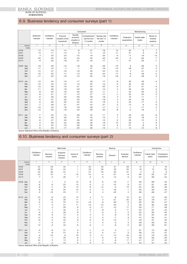# 6.9. Business tendency and consumer surveys (part 1)

|      |        |                        |                         |                                            | Consumers                                       |                                            |                                       |                         |                            | Manufacturing           |                                   |
|------|--------|------------------------|-------------------------|--------------------------------------------|-------------------------------------------------|--------------------------------------------|---------------------------------------|-------------------------|----------------------------|-------------------------|-----------------------------------|
|      |        | Sentiment<br>indicator | Confidence<br>indicator | Financial<br>situation of the<br>household | General<br>economic<br>situation in<br>Slovenia | Unemployment<br>over the next<br>12 months | Savings over<br>the next 12<br>months | Confidence<br>indicator | Production<br>expectations | Overall order-<br>books | Stocks of<br>finished<br>products |
|      | Column | $\mathbf{1}$           | $\overline{2}$          | 3                                          | $\overline{4}$                                  | 5                                          | 6                                     | $\overline{7}$          | 8                          | 9                       | 10                                |
|      | Code   |                        |                         |                                            |                                                 |                                            |                                       |                         |                            |                         |                                   |
| 2006 |        | 12                     | $-14$                   | $-14$                                      | $-6$                                            | 21                                         | $-16$                                 | 10                      | 32                         | 6                       | $\overline{7}$                    |
| 2007 |        | 13                     | $-11$                   | $-14$                                      | $-4$                                            | 11                                         | $-15$                                 | 11                      | 31                         | 9                       | 6                                 |
| 2008 |        | 3                      | $-20$                   | $-24$                                      | $-15$                                           | 19                                         | $-23$                                 | $-5$                    | 17                         | $-19$                   | 13                                |
| 2009 |        | $-23$                  | $-30$                   | $-20$                                      | $-24$                                           | 55                                         | $-20$                                 | $-23$                   | $-2$                       | $-62$                   | $\overline{7}$                    |
| 2010 |        | -9                     | $-25$                   | $-18$                                      | $-21$                                           | 43                                         | $-17$                                 | $-1$                    | 21                         | $-25$                   | $-1$                              |
|      |        |                        |                         |                                            |                                                 |                                            |                                       |                         |                            |                         |                                   |
| 2009 | Aug    | $-18$                  | $-26$                   | $-13$                                      | $-18$                                           | 46                                         | $-26$                                 | $-19$                   | 8                          | $-59$                   | 5                                 |
|      | Sep    | $-11$                  | $-16$                   | $-7$                                       | $-1$                                            | 37                                         | $-19$                                 | $-10$                   | 29                         | $-57$                   | 3                                 |
|      | Oct    | $-12$                  | $-27$                   | $-19$                                      | $-19$                                           | 48                                         | $-24$                                 | $-14$                   | $\overline{c}$             | $-41$                   | $\overline{4}$                    |
|      | Nov    | $-16$                  | $-23$                   | $-17$                                      | $-12$                                           | 40                                         | $-24$                                 | $-17$                   | $-6$                       | $-49$                   | $-4$                              |
|      | Dec    | $-17$                  | $-25$                   | $-18$                                      | $-13$                                           | 50                                         | $-18$                                 | $-18$                   | $-5$                       | $-48$                   | $\Omega$                          |
|      |        |                        |                         |                                            |                                                 |                                            |                                       |                         |                            |                         |                                   |
| 2010 | Jan    | $-10$                  | $-24$                   | $-15$                                      | $-17$                                           | 48                                         | $-17$                                 | $-6$                    | 26                         | $-49$                   | $-4$                              |
|      | Feb    | $-10$                  | $-23$                   | $-15$                                      | $-15$                                           | 50                                         | $-14$                                 | $-5$                    | 35                         | $-50$                   | 1                                 |
|      | Mar    | $-15$                  | $-28$                   | $-16$                                      | $-21$                                           | 54                                         | $-20$                                 | $-3$                    | 27                         | $-41$                   | $-4$                              |
|      | Apr    | $-11$                  | $-26$                   | $-18$                                      | $-23$                                           | 46                                         | $-15$                                 | $\overline{c}$          | 28                         | $-23$                   | $-2$                              |
|      | May    | -8                     | $-23$                   | $-19$                                      | $-20$                                           | 40                                         | $-11$                                 | $\mathbf{1}$            | 34                         | $-30$                   | $\mathbf 0$                       |
|      | Jun    | $-6$                   | $-21$                   | $-17$                                      | $-15$                                           | 37                                         | $-17$                                 | $-1$                    | 20                         | $-22$                   | $\mathbf 0$                       |
|      | Jul    | $-6$                   | $-26$                   | $-20$                                      | $-26$                                           | 38                                         | $-19$                                 | $\overline{c}$          | 16                         | $-11$                   | $-1$                              |
|      | Aug    | $-6$                   | $-27$                   | $-22$                                      | $-25$                                           | 44                                         | $-18$                                 | $\overline{c}$          | 25                         | $-19$                   | 1                                 |
|      | Sep    | $-5$                   | $-26$                   | $-20$                                      | $-24$                                           | 44                                         | $-16$                                 | 5                       | 32                         | $-17$                   | $\mathbf 0$                       |
|      | Oct    | $-7$                   | $-28$                   | $-21$                                      | $-27$                                           | 43                                         | $-21$                                 | $\overline{4}$          | 15                         | $-5$                    | -3                                |
|      | Nov    | $-10$                  | $-23$                   | $-18$                                      | $-19$                                           | 38                                         | $-17$                                 | $-7$                    | $-1$                       | $-17$                   | $\overline{c}$                    |
|      | Dec    | $-12$                  | $-25$                   | $-18$                                      | $-22$                                           | 39                                         | $-20$                                 | $-8$                    | $-3$                       | $-19$                   | 1                                 |
|      |        |                        |                         |                                            |                                                 |                                            |                                       |                         |                            |                         |                                   |
| 2011 | Jan    | $-7$                   | $-25$                   | $-15$                                      | $-28$                                           | 45                                         | $-11$                                 | $\overline{4}$          | 28                         | $-22$                   | $-6$                              |
|      | Feb    | $-6$                   | $-28$                   | $-25$                                      | $-27$                                           | 45                                         | $-13$                                 | $\overline{7}$          | 40                         | $-18$                   | $\mathbf 0$                       |
|      | Mar    | $-6$                   | $-27$                   | $-25$                                      | $-29$                                           | 46                                         | $-10$                                 | 6                       | 36                         | $-10$                   | 9                                 |
|      | Apr    | -3                     | $-29$                   | $-22$                                      | $-28$                                           | 46                                         | $-19$                                 | 10                      | 33                         | $\overline{c}$          | 6                                 |
|      | May    | $-2$                   | $-24$                   | $-19$                                      | $-28$                                           | 38                                         | $-13$                                 | 6                       | 27                         | $-8$                    | 3                                 |
|      | Jun    | $-5$                   | $-23$                   | $-17$                                      | $-25$                                           | 36                                         | $-13$                                 | $-1$                    | 15                         | $-10$                   | 8                                 |

Source: Statistical Office of the Republic of Slovenia.

# 6.10. Business tendency and consumer surveys (part 2)

|             |                         |                              | Retail trade                      |                     |                         |                              | Services       |                     |                         |                         | Construction               |
|-------------|-------------------------|------------------------------|-----------------------------------|---------------------|-------------------------|------------------------------|----------------|---------------------|-------------------------|-------------------------|----------------------------|
|             | Confidence<br>indicator | <b>Business</b><br>situation | Expected<br>business<br>situation | Volume of<br>stocks | Confidence<br>indicator | <b>Business</b><br>situation | Demand         | Expected<br>demand  | Confidence<br>indicator | Overall order-<br>books | Employment<br>expectations |
| Column      | $\overline{1}$          | $\overline{2}$               | $\overline{\mathbf{3}}$           | $\overline{4}$      | $\overline{5}$          | 6                            | $\overline{7}$ | 8                   | $\mathsf g$             | 10                      | 11                         |
| Code        |                         |                              |                                   |                     |                         |                              |                |                     |                         |                         |                            |
| 2006        | 23                      | 29                           | 35                                | $\mathbf{1}$        | 30                      | 35                           | 27             | 28                  | 12                      | $\overline{4}$          | 19                         |
| 2007        | 28                      | 35                           | 34                                | $\mathbf{1}$        | 29                      | 36                           | 26             | 25                  | 19                      | 15                      | 22                         |
| 2008        | 22                      | 28                           | 24                                | $\mathbf{1}$        | 27                      | 33                           | 20             | 27                  | $\overline{c}$          | $-5$                    | 9                          |
| 2009        | $-12$                   | $-10$                        | $\overline{4}$                    | 15                  | $-14$                   | $-4$                         | $-27$          | -9                  | $-50$                   | $-62$                   | $-37$                      |
| 2010        | $\overline{7}$          | $-2$                         | 28                                | $\overline{7}$      | $-3$                    | $-3$                         | $-12$          | 6                   | $-57$                   | $-69$                   | $-44$                      |
|             |                         |                              |                                   |                     |                         |                              |                |                     |                         |                         |                            |
| 2009 Aug    | $-3$                    | $\mathbf{1}$                 | $\overline{c}$                    | 12                  | -9                      | $-5$                         | $-16$          | $-7$                | $-56$                   | $-68$                   | $-45$                      |
| Sep         | $-6$                    | $-5$                         | 23                                | 13                  | $-2$                    | 3                            | $-15$          | 6                   | $-51$                   | $-61$                   | $-40$                      |
| Oct         | -8                      | $-7$                         | 18                                | 12                  | 6                       | 14                           | $-5$           | 10                  | $-54$                   | $-60$                   | $-48$                      |
| Nov         | -8                      | $-6$                         | 20                                | 13                  | $-4$                    | 4                            | $-18$          | $\mathbf{1}$        | $-50$                   | $-56$                   | $-44$                      |
| Dec         | $-5$                    | $-16$                        | 23                                | 11                  | $-4$                    | $\overline{4}$               | $-20$          | 3                   | $-58$                   | $-68$                   | $-47$                      |
|             |                         |                              |                                   |                     |                         |                              |                |                     |                         |                         |                            |
| 2010 Jan    | $-10$                   | $-6$                         | 23                                | 12                  | $\overline{4}$          | 11                           | -9             | 10                  | $-61$                   | $-75$                   | $-48$                      |
| Feb         | $-5$                    | $-14$                        | 28                                | 11                  | $\overline{1}$          | $\overline{4}$               | $-21$          | 20                  | $-62$                   | $-78$                   | $-47$                      |
| Mar         | $-5$                    | $-3$                         | 23                                | 10                  | $-16$                   | $-6$                         | $-36$          | $-6$                | $-65$                   | $-84$                   | $-47$                      |
| Apr         | $\overline{7}$          | 3                            | 27                                | 11                  | $-13$                   | $-10$                        | $-30$          | $\mathsf{O}\xspace$ | $-59$                   | $-80$                   | $-39$                      |
| May         | $\overline{7}$          | $\overline{c}$               | 29                                | 9                   | $-3$                    | $-11$                        | $-10$          | 11                  | $-55$                   | $-71$                   | $-39$                      |
| Jun         | 17                      | $\mathbf{1}$                 | 30                                | $\mathbf 0$         | $\circ$                 | $-6$                         | $-4$           | 11                  | $-54$                   | $-67$                   | $-42$                      |
| Jul         | 8                       | $\overline{4}$               | 26                                | 9                   | $\mathbf{1}$            | $-3$                         | $\sqrt{2}$     | 5                   | $-52$                   | $-65$                   | $-40$                      |
| Aug         | 19                      | 8                            | 13                                | $\overline{4}$      | $\circ$                 | $\mathsf O$                  | -8             | 8                   | $-54$                   | $-64$                   | $-43$                      |
| Sep         | 12                      | $-3$                         | 35                                | 3                   | $\mathbf 0$             | $-2$                         | $-7$           | 9                   | $-47$                   | $-64$                   | $-31$                      |
| Oct         | 14                      | $-4$                         | 34                                | 6                   | $-3$                    | $-3$                         | $-13$          | $\overline{7}$      | $-49$                   | $-57$                   | $-40$                      |
| Nov         | $\overline{7}$          | $-4$                         | 37                                | $\overline{7}$      | $-1$                    | $-4$                         | $-2$           | 3                   | $-56$                   | $-58$                   | $-54$                      |
| Dec         | 12                      | $-2$                         | 34                                | 6                   | $-3$                    | $-1$                         | $-6$           | $-2$                | $-65$                   | $-69$                   | $-61$                      |
|             |                         |                              |                                   |                     |                         |                              |                |                     |                         |                         |                            |
| 2011<br>Jan | $-5$                    | -8                           | 27                                | 8                   | $-1$                    | $-3$                         | $\mathsf{O}$   | $-1$                | $-61$                   | $-74$                   | $-48$                      |
| Feb         | 11                      | -8                           | 27                                | 6                   | -3                      | $-4$                         | $-11$          | 5                   | $-56$                   | $-75$                   | $-37$                      |
| Mar         | $-4$                    | $-10$                        | 8                                 | 16                  | $\circ$                 | $-11$                        | $-12$          | 24                  | $-54$                   | $-76$                   | $-32$                      |
| Apr         | 12                      | $\mathbf{1}$                 | 30                                | 8                   | $\mathbf{1}$            | $-5$                         | $-6$           | 13                  | $-46$                   | $-63$                   | $-29$                      |
| May         | 20                      | $\circ$                      | 13                                | 6                   | $\overline{4}$          | $\overline{c}$               | $-6$           | 17                  | $-41$                   | $-57$                   | $-25$                      |
| Jun         | 13                      | $-4$                         | 33                                | 8                   | 6                       | $\circ$                      | 10             | $\mathsf g$         | $-40$                   | $-57$                   | $-23$                      |

Source: Statistical Office of the Republic of Slovenia.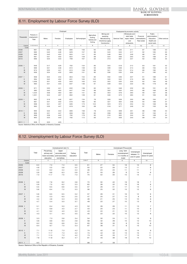# BANKA SLOVENIJE BANK OF SLOVENIA

**EUROSYSTEM**

# 6.11. Employment by Labour Force Survey (ILO)

|                                           |                                     |                | Employed |                |                |                                                     |                                                                                  |                | Employment by economic activity                                         |                                             |                                                                       |                |
|-------------------------------------------|-------------------------------------|----------------|----------|----------------|----------------|-----------------------------------------------------|----------------------------------------------------------------------------------|----------------|-------------------------------------------------------------------------|---------------------------------------------|-----------------------------------------------------------------------|----------------|
| Thousands                                 | Persons in<br>employment -<br>Total | Males          | Females  | Employees      | Self-employed  | Agriculture,<br>hunting,<br>forestry and<br>fishing | Mining and<br>quanying;<br>Manufacturing;<br>Electricity supply;<br>Construction | Services Total | Wholesale and<br>retail trade,<br>repair; Hotels<br>and<br>restaurants; | Financial<br>intermediation;<br>Real estate | Public<br>administration;<br>Education;<br>Health and<br>social work; | Other services |
| Column                                    | $1 - 2 + 3 - 4 + 5$                 | $\overline{2}$ | 3        | $\overline{4}$ | $\overline{5}$ | 6                                                   | $\overline{7}$                                                                   | 8              | 9                                                                       | 10                                          | 11                                                                    | 12             |
| Code                                      |                                     |                |          |                |                |                                                     |                                                                                  |                |                                                                         |                                             |                                                                       |                |
| 2006                                      | 961                                 | 524            | 438      | 806            | 156            | 92                                                  | 340                                                                              | 530            | 211                                                                     | 87                                          | 189                                                                   | 43             |
| 2007                                      | 985                                 | 540            | 446      | 829            | 157            | 96                                                  | 343                                                                              | 545            | 217                                                                     | 92                                          | 185                                                                   | 50             |
| 2008                                      | 996                                 | 543            | 453      | 855            | 141            | 85                                                  | 348                                                                              | 562            | 249                                                                     | 88                                          | 187                                                                   | 38             |
| 2009                                      | 981                                 | 531            | 450      | 822            | 159            | 89                                                  | 324                                                                              | 568            | 250                                                                     | 93                                          | 188                                                                   | 37             |
| 2010                                      | 966                                 | 523            | 443      | 799            | 167            | 83                                                  | 313                                                                              | 567            | 247                                                                     | 92                                          | 192                                                                   | 35             |
| 2006                                      | 946                                 | 517            | 429      | 792            | 154            | 85                                                  | 343                                                                              | 518            | 212                                                                     | 83                                          | 181                                                                   | 42             |
| $\mathbf{H}$                              | 969                                 | 521            | 448      | 810            | 159            | 93                                                  | 339                                                                              | 538            | 214                                                                     | 86                                          | 194                                                                   | $4\,4$         |
| $\mathop{\mathsf{III}}\nolimits$          | 974                                 | 533            | 441      | 815            | 159            | 98                                                  | 341                                                                              | 534            | 214                                                                     |                                             | 190                                                                   | 44             |
| IV                                        | 956                                 | 524            | 432      | 806            | 151            | 90                                                  | 336                                                                              |                |                                                                         | 86<br>91                                    | 190                                                                   | 42             |
|                                           |                                     |                |          |                |                |                                                     |                                                                                  | 530            | 206                                                                     |                                             |                                                                       |                |
|                                           |                                     |                |          |                |                |                                                     |                                                                                  |                |                                                                         |                                             |                                                                       |                |
| 2007                                      | 958                                 | 524            | 434      | 804            | 154            | 90                                                  | 332                                                                              | 536            | 207                                                                     | 91                                          | 186                                                                   | 51             |
| $\mathbf{H}$                              | 994                                 | 542            | 452      | 831            | 163            | 102                                                 | 340                                                                              | 552            | 215                                                                     | 88                                          | 194                                                                   | 54             |
| $\ensuremath{\mathsf{III}}\xspace$        | 1,006                               | 551            | 455      | 843            | 163            | 103                                                 | 353                                                                              | 550            | 225                                                                     | 92                                          | 184                                                                   | 49             |
| IV                                        | 983                                 | 541            | 443      | 837            | 146            | 91                                                  | 349                                                                              | 544            | 222                                                                     | 95                                          | 178                                                                   | 48             |
|                                           |                                     |                |          |                |                |                                                     |                                                                                  |                |                                                                         |                                             |                                                                       |                |
| 2008                                      | 971                                 | 530            | 441      | 832            | 138            | 82                                                  | 341                                                                              | 548            | 232                                                                     | 85                                          | 191                                                                   | 40             |
| $\mathbf{H}$                              | 990                                 | 540            | 450      | 847            | 144            | 88                                                  | 350                                                                              | 550            | 240                                                                     | 88                                          | 186                                                                   | 36             |
| $\ensuremath{\mathsf{III}}\xspace$        | 1,023                               | 558            | 464      | 881            | 141            | 90                                                  | 353                                                                              | 578            | 263                                                                     | 90                                          | 187                                                                   | 38             |
| IV                                        | 1,001                               | 544            | 457      | 862            | 139            | 81                                                  | 346                                                                              | 573            | 260                                                                     | 91                                          | 185                                                                   | 36             |
|                                           |                                     |                |          |                |                |                                                     |                                                                                  |                |                                                                         |                                             |                                                                       |                |
| 2009                                      | 962                                 | 516            | 446      | 827            | 134            | 76                                                  | 326                                                                              | 559            | 250                                                                     | 88                                          | 184                                                                   | 37             |
| $\mathbf{H}$                              | 981                                 | 531            | 450      | 816            | 165            | 90                                                  | 327                                                                              | 564            | 248                                                                     | 94                                          | 186                                                                   | 37             |
| $\begin{array}{c} \text{III} \end{array}$ | 998                                 | 541            | 457      | 826            | 173            | 102                                                 | 323                                                                              | 574            | 254                                                                     | 94                                          | 188                                                                   | 38             |
| IV                                        | 982                                 | 535            | 447      | 819            | 163            | 89                                                  | 318                                                                              | 577            | 249                                                                     | 97                                          | 193                                                                   | 38             |
|                                           |                                     |                |          |                |                |                                                     |                                                                                  |                |                                                                         |                                             |                                                                       |                |
| 2010                                      | 965                                 | 522            | 442      | 806            | 158            | 78                                                  | 318                                                                              | 569            | 251                                                                     | 88                                          | 196                                                                   | 34             |
| $\mathbf{H}$                              | 968                                 | 521            | 447      | 808            | 160            | 80                                                  | 308                                                                              | 580            | 250                                                                     | 97                                          | 192                                                                   | 41             |
| $\begin{array}{c} \text{III} \end{array}$ | 968                                 | 528            | 440      | 792            | 176            | 90                                                  | 316                                                                              | 562            | 244                                                                     | 94                                          | 189                                                                   | 34             |
| IV                                        | 963                                 | 523            | 440      | 792            | 172            | 85                                                  | 311                                                                              | 556            | 243                                                                     | 89                                          | 191                                                                   | 33             |
|                                           |                                     |                |          |                |                |                                                     |                                                                                  |                |                                                                         |                                             |                                                                       |                |
| 2011                                      | 928                                 | 503            | 425      | $\cdots$       | $\cdots$       | $\ldots$                                            | $\ldots$                                                                         | $\ldots$ .     | $\cdots$                                                                | $\cdots$                                    | $\cdots$                                                              | $\cdots$       |

Source: Statistical Office of the Republic of Slovenia, Eurostat.

# 6.12. Unemployment by Labour Force Survey (ILO)

|        |                                    |              |                                                             | Unemployment rate (%)                                    |                       |         |       |                | Unemployed (Thousands)                                |                                          |                              |
|--------|------------------------------------|--------------|-------------------------------------------------------------|----------------------------------------------------------|-----------------------|---------|-------|----------------|-------------------------------------------------------|------------------------------------------|------------------------------|
|        |                                    | Total        | Pre-primary,<br>primary and<br>lower secondary<br>education | Upper<br>secondary and<br>post-secondary<br>non-tertiary | Tertiary<br>education | Total   | Males | Females        | Long - term<br>unemployment<br>(12 months or<br>more) | Unemployed<br>between 15<br>and 24 years | Unemployed<br>above 50 years |
|        | Column                             | $\mathbf{1}$ | $\overline{2}$                                              | $\overline{3}$                                           | $\overline{4}$        | $5=6+7$ | 6     | $\overline{7}$ | 8                                                     | 9                                        | 10                           |
|        | Code                               |              |                                                             |                                                          |                       |         |       |                |                                                       |                                          |                              |
| 2006   |                                    | 6.0          | 7.0                                                         | 7.3                                                      | 3.5                   | 61      | 27    | 34             | 18                                                    | 15                                       | 8                            |
| 2007   |                                    | 4.8          | 5.5                                                         | 5.8                                                      | 3.2                   | 50      | 22    | 28             | 13                                                    | 11                                       | 8                            |
| 2008   |                                    | 4.4          | 6.2                                                         | 4.4                                                      | 4.4                   | 46      | 23    | 23             | 11                                                    | 11                                       | $\overline{7}$               |
| 2009   |                                    | 5.9          | 8.8                                                         | 6.3                                                      | 5.9                   | 61      | 33    | 28             | $\mathbf{9}$                                          | 14                                       | 9                            |
| 2010   |                                    | 7.3          | 11.7                                                        | 7.5                                                      | 7.3                   | 75      | 42    | 33             | 15                                                    | 14                                       | 11                           |
| 2006   |                                    | 6.9          | 7.6                                                         | 9.2                                                      | 3.8                   | 70      | 30    | 40             | 19                                                    | 18                                       | $\overline{7}$               |
|        | $\mathbf{II}$                      | 5.9          | 7.5                                                         | 6.2                                                      | 3.3                   | 60      | 28    | 32             | 19                                                    | 16                                       | 8                            |
|        | $\ensuremath{\mathsf{III}}\xspace$ | 5.5          | 6.5                                                         | 6.6                                                      | 3.5                   | 57      | 26    | 31             | 17                                                    | 13                                       | $\overline{7}$               |
|        | IV                                 | 5.6          | 6.4                                                         | 7.2                                                      | 3.3                   | 56      | 25    | 32             | 15                                                    | 12                                       | 9                            |
| 2007   |                                    | 5.6          | 6.5                                                         | 6.5                                                      | 3.2                   | 57      | 26    | 31             | 16                                                    | 12                                       | 9                            |
|        | $\,$ II                            | 4.5          | 5.3                                                         | 6.5                                                      | 2.5                   | 47      | 20    | 27             | 13                                                    | 8                                        | 8                            |
|        | $\ensuremath{\mathsf{III}}\xspace$ | 4.4          | 4.6                                                         | 5.3                                                      | 3.5                   | 46      | 21    | 25             | 13                                                    | 10                                       | 8                            |
|        | IV                                 | 4.7          | 5.4                                                         | $5.0$                                                    | 3.7                   | 49      | 22    | 27             | 10                                                    | 13                                       | 8                            |
| 2008   |                                    | 5.1          | 6.4                                                         | 5.0                                                      | 4.3                   | 52      | 26    | 26             | 11                                                    | 13                                       | $\overline{7}$               |
|        | II                                 | 4.1          | 6.9                                                         | 4.0                                                      | 2.7                   | 43      | 20    | 23             | 11                                                    | 10                                       | 8                            |
|        | $\ensuremath{\mathsf{III}}\xspace$ | 4.1          | 6.2                                                         | 4.0                                                      | 3.0                   | 43      | 22    | 21             | 10                                                    | 12                                       | $\overline{7}$               |
|        | IV                                 | 4.3          | 5.1                                                         | 4.4                                                      | 3.5                   | 45      | 22    | 22             | 10                                                    | 12                                       | 8                            |
| 2009 1 |                                    | 5.3          | 7.3                                                         | 5.6                                                      | 3.4                   | 54      | 30    | 24             | 11                                                    | 13                                       | 9                            |
|        | $\mathbf{II}$                      | 5.6          | 8.6                                                         | $6.0\,$                                                  | 2.8                   | 58      | 32    | 26             | 10                                                    | 12                                       | 10                           |
|        | $\ensuremath{\mathsf{III}}\xspace$ | 6.2          | 9.5                                                         | 6.6                                                      | 3.4                   | 65      | 36    | 30             | 9                                                     | 15                                       | 8                            |
|        | IV.                                | 6.4          | 9.7                                                         | 7.0                                                      | 3.3                   | 67      | 36    | 31             | 8                                                     | 15                                       | 10                           |
| 2010   |                                    | 7.1          | 11.8                                                        | 7.3                                                      | 4.2                   | 74      | 42    | 32             | 10                                                    | 14                                       | 9                            |
|        | II                                 | 7.1          | 11.7                                                        | 7.3                                                      | 4.2                   | 74      | 42    | 32             | 13                                                    | 15                                       | 11                           |
|        | III                                | 7.1          | 11.5                                                        | 7.2                                                      | 4.2                   | 73      | 40    | 33             | 17                                                    | 13                                       |                              |
|        | IV                                 | 7.8          | 11.8                                                        | 8.2                                                      | 4.7                   | 81      | 45    | 36             | 18                                                    | 14                                       | 11<br>12                     |
|        |                                    |              |                                                             |                                                          |                       |         |       |                |                                                       |                                          |                              |
| 2011   |                                    | 8.5          | $\cdots$                                                    | $\cdots$                                                 | $\cdots$              | 86      | 47    | 39             | $\ldots$                                              | $\cdots$                                 |                              |

Source: Statistical Office of the Republic of Slovenia, Eurostat.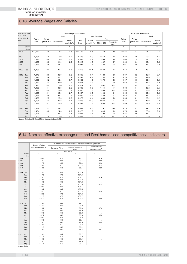BANKA SLOVENIJE BANK OF SLOVENIA

**EUROSYSTEM**

# 6.13. Average Wages and Salaries

|               | Until 31.12.2006 |              |                |              |                       | Gross Wages and Salaries |                       |                |                   |         |             | Net Wages and Salaries |                       |
|---------------|------------------|--------------|----------------|--------------|-----------------------|--------------------------|-----------------------|----------------|-------------------|---------|-------------|------------------------|-----------------------|
| in SIT from   |                  |              |                | Real         |                       |                          |                       | Manufacturing  |                   |         |             | Real                   |                       |
| 01.01.2007 in |                  | Tolars       | Annual         |              |                       |                          |                       | Real           |                   | Tolars  | Annual      |                        |                       |
| <b>EUR</b>    |                  | Euro         | growth in %    | $2000 = 100$ | Annual<br>arowth in % | Tolars<br>Euro           | Annual<br>growth in % | $2000 = 100$   | An.growth<br>in % | Euro    | growth in % | $2000 = 100$           | Annual<br>growth in % |
|               | Column           | $\mathbf{1}$ | $\overline{2}$ | 3            | 4                     | 5                        | 6                     | $\overline{7}$ | 8                 | 9       | 10          | 11                     | 12                    |
|               | Code             |              |                |              |                       |                          |                       |                |                   |         |             |                        |                       |
| 2006          |                  | 290,542      | 4.8            | 113.3        | 2.3                   | 252,109                  | 5.5                   | 116.8          | 3.0               | 185,287 | 5.1         | 114.7                  | 2.6                   |
|               |                  |              |                |              |                       |                          |                       |                |                   |         |             |                        |                       |
| 2007          |                  | 1,284        | 5.9            | 115.9        | 2.2                   | 1.778                    | 5.9                   | 134.6          | 2.2               | 834     | 7.9         | 119.5                  | 4.1                   |
| 2008          |                  | 1.391        | 8.4            | 118.8        | 2.6                   | 1.946                    | 9.9                   | 139.6          | 4.0               | 900     | 7.9         | 122.1                  | 2.1                   |
| 2009          |                  | 1.439        | 3.5            | 121.9        | 2.6                   | 2.019                    | 4.6                   | 143.7          | 3.7               | 930     | 3.4         | 125.1                  | 2.5                   |
| 2010          |                  | 1.495        | 3.9            | 124.3        | 2.0                   | 2,096                    | 3.6                   | 146.4          | 1.8               | 967     | 3.9         | 127.7                  | 2.0                   |
|               |                  |              |                |              |                       |                          |                       |                |                   |         |             |                        |                       |
| 2009 Dec      |                  | 1.488        | 2.1            | 125.4        | 0.3                   | 2,356                    | 12.1                  | 166.9          | 10.1              | 957     | 1.9         | 128.1                  | 0.1                   |
|               |                  |              |                |              |                       |                          |                       |                |                   |         |             |                        |                       |
| 2010          | Jan              | 1,448        | 2.3            | 123.0        | 0.8                   | 1,990                    | 3.4                   | 142.0          | 2.0               | 937     | 2.2         | 126.3                  | 0.7                   |
|               | Feb              | 1,431        | 3.6            | 121.1        | 2.2                   | 1,899                    | 6.6                   | 135.0          | 5.2               | 930     | 3.4         | 124.9                  | 2.1                   |
|               | Mar              | 1,499        | 5.2            | 125.5        | 3.7                   | 1,955                    | 4.3                   | 137.5          | 2.8               | 967     | 4.9         | 128.6                  | 3.4                   |
|               | Apr              | 1,483        | 4.2            | 122.9        | 1.9                   | 1,977                    | 3.3                   | 137.7          | 0.9               | 960     | 4.2         | 126.3                  | 1.9                   |
|               | May              | 1,475        | 4.2            | 121.8        | 2.1                   | 1,921                    | 0.8                   | 133.2          | $-1.2$            |         | 4.2         | 125.4                  | 2.1                   |
|               | Jun              | 1,492        | 4.4            | 122.8        | 2.5                   | 2,093                    | 3.0                   | 144.7          | 1.1               | 966     | 4.4         | 126.2                  | 2.5                   |
|               | Jul              | 1,481        | 4.0            | 122.8        | 1.9                   | 1,960                    | 1.6                   | 136.6          | $-0.5$            | 960     | 4.1         | 126.4                  | 2.0                   |
|               | Aug              | 1,487        | 5.1            | 122.9        | 2.7                   | 2,027                    | 6.5                   | 140.8          | 4.1               | 965     | 5.0         | 126.6                  | 2.6                   |
|               | Sep              | 1,486        | 3.6            | 123.4        | 1.6                   | 1,989                    | 2.7                   | 138.8          | 0.7               | 964     | 3.7         | 127.1                  | 1.7                   |
|               | Oct              | 1,488        | 2.7            | 123.6        | 0.8                   | 1,978                    | $-3.4$                | 138.0          | $-5.2$            | 964     | 3.1         | 127.2                  | 1.2                   |
|               | Nov              | 1,634        | 4.1            | 135.3        | 2.7                   | 2,966                    | 13.0                  | 206.3          | 11.4              | 1,041   | 4.2         | 136.9                  | 2.8                   |
|               | Dec              | 1,534        | 3.1            | 126.9        | 1.2                   | 2,393                    | 1.6                   | 166.4          | $-0.3$            | 989     | 3.3         | 129.9                  | 1.4                   |
|               |                  |              |                |              |                       |                          |                       |                |                   |         |             |                        |                       |
| 2011          | Jan              | 1,496        | 3.3            | 124.8        | 1.5                   | 1,987                    | $-0.2$                | 139.3          | $-2.0$            | 972     | 3.7         | 128.7                  | 1.9                   |
|               | Feb              | 1,494        | 4.3            | 124.6        | 2.9                   | 1,922                    | 1.2                   | 134.8          | $-0.2$            | 970     | 4.3         | 128.5                  | 2.9                   |
|               | Mar              | 1,524        | 1.7            | 125.1        | $-0.3$                | 2,028                    | 3.7                   | 139.9          | 1.8               | 987     | 2.0         | 128.7                  | 0.1                   |
|               | Apr              | 1,505        | 1.4            | 122.6        | $-0.3$                | 2.009                    | 1.6                   | 137.5          | $-0.1$            | 976     | 1.7         | 126.3                  | 0.0                   |

source: Statistical Office of RS and computations in BS.

# 6.14. Nominal effective exchange rate and Real harmonised competitiveness indicators

|             |        | Nominal effective     |                        | Real harmonised competitiveness indicators for Slovenia; deflators |                              |
|-------------|--------|-----------------------|------------------------|--------------------------------------------------------------------|------------------------------|
|             |        | exchange rate of euro |                        | Industrial producers                                               | Unit labour costs            |
|             |        |                       | <b>Consumer Prices</b> | prices                                                             | (total economy) <sup>1</sup> |
|             |        |                       |                        | 1999Q1=100                                                         |                              |
|             | Column | $\overline{1}$        | $\overline{2}$         | 3                                                                  | $\sqrt{4}$                   |
|             | Code   |                       |                        |                                                                    |                              |
| 2006        |        | 109.4                 | 101.7                  | 96.2                                                               | 97.8                         |
| 2007        |        | 113.0                 | 103.5                  | 97.7                                                               | 98.8                         |
| 2008        |        | 117.9                 | 105.9                  | 98.4                                                               | 101.3                        |
| 2009        |        | 120.6                 | 107.1                  | 101.4                                                              | 107.5                        |
| 2010        |        | 112.3                 | 105.6                  | 98.4                                                               | 106.0                        |
|             |        |                       |                        |                                                                    |                              |
| 2009        | Jan    | 118.7                 | 106.4                  | 102.0                                                              | $\ddotsc$                    |
|             | Feb    | 117.8                 | 107.0                  | 101.9                                                              |                              |
|             | Mar    | 120.5                 | 107.6                  | 102.7                                                              | 107.6                        |
|             | Apr    | 119.1                 | 106.8                  | 102.3                                                              |                              |
|             | May    | 119.6                 | 106.8                  | 101.2                                                              | $\ddotsc$                    |
|             | Jun    | 120.8                 | 107.1                  | 101.3                                                              | 107.5                        |
|             | Jul    | 120.6                 | 106.8                  | 101.1                                                              | $\cdots$                     |
|             | Aug    | 120.7                 | 106.7                  | 100.5                                                              | $\ddotsc$                    |
|             | Sep    | 122.0                 | 107.1                  | 101.2                                                              | 107.0                        |
|             | Oct    | 123.0                 | 107.6                  | 101.6                                                              | $\ddotsc$                    |
|             | Nov    | 122.9                 | 107.9                  | 100.7                                                              | $\ddotsc$                    |
|             | Dec    | 121.7                 | 107.5                  | 100.5                                                              | 107.8                        |
|             |        |                       |                        |                                                                    |                              |
| 2010        | Jan    | 119.2                 | 106.9                  | 99.7                                                               | $\ddotsc$                    |
|             | Feb    | 116.3                 | 106.4                  | 99.3                                                               | $\cdots$                     |
|             | Mar    | 115.2                 | 106.1                  | 98.9                                                               | 107.2                        |
|             | Apr    | 113.5                 | 106.2                  | 98.0                                                               | $\cdots$                     |
|             | May    | 109.9                 | 105.5                  | 98.2                                                               | $\ddotsc$                    |
|             | Jun    | 107.7                 | 105.0                  | 98.0                                                               | 105.9                        |
|             | Jul    | 109.9                 | 105.4                  | 98.3                                                               | $\ddotsc$                    |
|             | Aug    | 109.5                 | 105.3                  | 98.1                                                               | $\ddotsc$                    |
|             | Sep    | 110.0                 | 105.0                  | 98.0                                                               | 105.9                        |
|             | Oct    | 113.8                 | 105.7                  | 98.8                                                               | $\sim$                       |
|             | Nov    | 112.5                 | 105.3                  | 98.2                                                               |                              |
|             | Dec    | 110.1                 | 105.0                  | 97.2                                                               | 105.1                        |
|             |        |                       |                        |                                                                    |                              |
| 2011        | Jan    | 110.1                 | 104.7                  | 96.7                                                               | $\ddotsc$                    |
|             | Feb    | 111.4                 | 104.5                  | 97.0                                                               |                              |
|             | Mar    | 113.2                 | 105.0                  | 97.0                                                               | $\ddotsc$                    |
|             | Apr    | 115.0                 | 105.2                  | 97.0                                                               | $\cdots$                     |
|             | May    | 114.1                 | 104.9                  | 96.7                                                               |                              |
| Source: ECB |        |                       |                        |                                                                    |                              |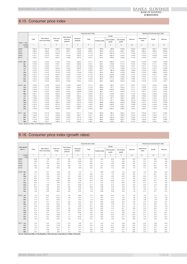# 6.15. Consumer price index

|              | Consumer price index<br>Harmonised consumer price index |                                                         |                     |                      |                      |       |                |                       |                      |          |                     |       |          |
|--------------|---------------------------------------------------------|---------------------------------------------------------|---------------------|----------------------|----------------------|-------|----------------|-----------------------|----------------------|----------|---------------------|-------|----------|
|              |                                                         |                                                         |                     |                      |                      |       |                |                       |                      |          |                     |       |          |
|              |                                                         |                                                         |                     | Total without        |                      |       |                | Goods                 |                      |          |                     |       |          |
| $2005 = 100$ | Total                                                   | Total without<br>fuels and energy                       | Fuels and<br>energy | seasonal<br>products | Seasonal<br>products | Total | Durable goods  | Semi-durable<br>goods | Non-durable<br>goods | Services | Harmonised<br>index | Goods | Services |
| Column       | $\mathbf{1}$                                            | $\overline{2}$                                          | $\overline{3}$      | $\overline{4}$       | $\overline{5}$       | 6     | $\overline{7}$ | 8                     | 9                    | 10       | 11                  | 12    | 13       |
| Code         |                                                         |                                                         |                     |                      |                      |       |                |                       |                      |          |                     |       |          |
| 2006         | 102.5                                                   | 101.6                                                   | 108.2               | 102.4                | 104.5                | 102.0 | 96.8           | 99.6                  | 103.9                | 103.5    | 102.6               | 102.1 | 103.5    |
| 2007         | 106.2                                                   | 105.4                                                   | 111.6               | 105.7                | 118.9                | 105.3 | 95.8           | 101.8                 | 108.7                | 108.1    | 106.4               | 105.3 | 108.6    |
| 2008         | 112.2                                                   | 110.6                                                   | 123.4               | 111.7                | 124.9                | 111.5 | 95.4           | 106.3                 | 117.4                | 113.5    | 112.3               | 111.3 | 114.3    |
| 2009         | 113.1                                                   | 112.3                                                   | 119.1               | 112.8                | 123.2                | 111.6 | 93.1           | 106.3                 | 118.4                | 116.5    | 113.2               | 110.8 | 118.0    |
| 2010         | 115.2                                                   | 112.7                                                   | 134.7               | 114.8                | 127.5                | 114.1 | 87.4           | 105.0                 | 124.9                | 117.6    | 115.6               | 113.7 | 119.3    |
|              |                                                         |                                                         |                     |                      |                      |       |                |                       |                      |          |                     |       |          |
| Mar<br>2009  | 112.8                                                   | 112.5                                                   | 115.2               | 112.3                | 129.4                | 111.7 | 94.7           | 109.2                 | 117.2                | 115.3    | 112.8               | 110.6 | 116.9    |
| Apr          | 113.0                                                   | 112.5                                                   | 116.1               | 112.4                | 129.6                | 112.1 | 94.7           | 110.8                 | 117.4                | 115.0    | 113.0               | 111.1 | 116.8    |
| May          | 113.7                                                   | 113.2                                                   | 117.1               | 113.1                | 131.8                | 112.8 | 93.8           | 112.6                 | 118.4                | 115.7    | 113.7               | 111.9 | 117.3    |
| Jun          | 114.3                                                   | 113.5                                                   | 120.4               | 114.0                | 122.9                | 112.9 | 93.7           | 111.6                 | 118.9                | 117.4    | 114.3               | 112.2 | 118.6    |
| Jul          | 113.2                                                   | 112.2                                                   | 121.0               | 112.9                | 121.1                | 110.5 | 92.7           | 98.4                  | 118.9                | 119.4    | 113.4               | 110.1 | 120.0    |
| Aug          | 113.3                                                   | 112.2                                                   | 121.6               | 113.2                | 115.8                | 110.3 | 93.2           | 98.2                  | 118.5                | 120.0    | 113.5               | 109.9 | 120.5    |
| Sep          | 113.1                                                   | 111.9                                                   | 122.0               | 113.0                | 115.2                | 111.2 | 92.3           | 103.6                 | 118.8                | 117.2    | 113.4               | 110.7 | 118.6    |
| Oct          | 113.2                                                   | 112.2                                                   | 120.7               | 113.2                | 114.4                | 111.8 | 92.0           | 109.5                 | 118.3                | 116.3    | 113.5               | 111.2 | 118.1    |
| Nov          | 114.2                                                   | 112.9                                                   | 124.5               | 114.1                | 117.0                | 113.3 | 90.7           | 111.2                 | 120.5                | 116.2    | 114.4               | 112.5 | 118.0    |
| Dec          | 113.7                                                   | 112.3                                                   | 124.3               | 113.6                | 116.5                | 112.5 | 89.7           | 108.9                 | 120.3                | 116.2    | 113.9               | 111.8 | 118.1    |
|              |                                                         |                                                         |                     |                      |                      |       |                |                       |                      |          |                     |       |          |
| 2010<br>Jan  | 112.8                                                   | 110.9                                                   | 127.8               | 112.6                | 120.0                | 111.1 | 89.2           | 96.4                  | 121.7                | 116.7    | 113.2               | 110.6 | 118.5    |
| Feb          | 113.3                                                   | 111.3                                                   | 129.0               | 112.9                | 124.3                | 111.6 | 89.0           | 97.1                  | 122.4                | 117.1    | 113.6               | 111.0 | 118.8    |
| Mar          | 114.5                                                   | 112.4                                                   | 130.8               | 114.1                | 123.6                | 113.3 | 88.6           | 105.8                 | 122.8                | 117.1    | 114.8               | 112.6 | 119.0    |
| Apr          | 115.6                                                   | 113.3                                                   | 133.5               | 115.3                | 126.8                | 114.8 | 88.1           | 110.1                 | 124.4                | 117.3    | 116.1               | 114.4 | 119.3    |
| May          | 116.1                                                   | 113.6                                                   | 135.2               | 115.6                | 131.1                | 115.2 | 87.3           | 110.6                 | 125.1                | 117.9    | 116.5               | 114.8 | 119.8    |
| Jun          | 116.4                                                   | 114.0                                                   | 135.6               | 116.0                | 130.2                | 115.3 | 87.5           | 110.0                 | 125.3                | 119.0    | 116.8               | 114.9 | 120.5    |
| Jul          | 115.6                                                   | 112.8                                                   | 137.2               | 115.0                | 133.7                | 113.4 | 87.0           | 97.1                  | 126.1                | 120.5    | 116.1               | 113.4 | 121.5    |
| Aug          | 115.9                                                   | 113.2                                                   | 137.1               | 115.4                | 130.2                | 113.5 | 87.3           | 97.1                  | 126.2                | 121.3    | 116.2               | 113.3 | 122.0    |
| Sep          | 115.3                                                   | 112.6                                                   | 136.4               | 114.9                | 127.6                | 114.6 | 86.6           | 105.8                 | 125.8                | 116.8    | 115.7               | 114.3 | 118.5    |
| Oct          | 115.4                                                   | 112.6                                                   | 137.4               | 115.1                | 123.1                | 115.2 | 86.6           | 109.2                 | 125.7                | 115.8    | 115.9               | 114.8 | 118.0    |
| Nov          | 115.7                                                   | 113.0                                                   | 137.4               | 115.3                | 128.9                | 115.7 | 86.0           | 111.6                 | 126.2                | 115.7    | 116.2               | 115.3 | 117.9    |
| Dec          | 115.8                                                   | 112.8                                                   | 139.6               | 115.4                | 130.1                | 115.6 | 85.7           | 109.4                 | 126.8                | 116.2    | 116.4               | 115.4 | 118.2    |
|              |                                                         |                                                         |                     |                      |                      |       |                |                       |                      |          |                     |       |          |
| 2011<br>Jan  | 114.9                                                   | 111.3                                                   | 143.0               | 115.2                | 121.1                | 114.5 | 85.3           | 96.7                  | 128.7                | 115.7    | 115.9               | 114.7 | 118.0    |
| Feb          | 114.9                                                   | 111.2                                                   | 143.9               | 115.2                | 120.7                | 115.1 | 86.0           | 97.0                  | 129.5                | 114.2    | 115.9               | 115.2 | 117.1    |
| Mar          | 116.7                                                   | 113.1                                                   | 144.8               | 116.5                | 127.5                | 116.7 | 86.0           | 105.3                 | 129.7                | 116.5    | 117.5               | 116.8 | 118.7    |
| Apr          | 117.6                                                   | 114.0                                                   | 146.3               | 117.2                | 131.4                | 118.0 | 86.2           | 108.8                 | 130.7                | 116.6    | 118.4               | 118.1 | 118.8    |
| May          | 118.6                                                   | 115.1                                                   | 146.5               | 117.5                | 139.0                | 119.2 | 86.2           | 110.5                 | 132.1                | 117.2    | 119.4               | 119.3 | 119.4    |
|              |                                                         | Source: Statistical Office of the Republic of Slovenia. |                     |                      |                      |       |                |                       |                      |          |                     |       |          |

# 6.16. Consumer price index (growth rates)

|               | Consumer price index<br>Harmonised consumer price index |                                   |                     |                      |                      |        |                |                       |                      |          |                     |        |          |
|---------------|---------------------------------------------------------|-----------------------------------|---------------------|----------------------|----------------------|--------|----------------|-----------------------|----------------------|----------|---------------------|--------|----------|
|               |                                                         |                                   |                     |                      |                      |        |                |                       |                      |          |                     |        |          |
| Yearly growth |                                                         |                                   |                     | Total without        |                      |        |                | Goods                 |                      |          |                     |        |          |
| rate in %     | Total                                                   | Total without<br>fuels and energy | Fuels and<br>energy | seasonal<br>products | Seasonal<br>products | Total  | Durable goods  | Semi-durable<br>goods | Non-durable<br>goods | Services | Harmonised<br>index | Goods  | Services |
| Column        | $\overline{1}$                                          | $\overline{2}$                    | $\overline{3}$      | $\overline{4}$       | $\overline{5}$       | 6      | $\overline{7}$ | 8                     | 9                    | 10       | 11                  | 12     | 13       |
| Code          |                                                         |                                   |                     |                      |                      |        |                |                       |                      |          |                     |        |          |
| 2006          | 2.5                                                     | 1.6                               | 8.2                 | 2.4                  | 4.5                  | 2.0    | $-3.2$         | $-0.4$                | 3.9                  | 3.5      | $2.5\,$             | 2.0    | 3.5      |
| 2007          | 3.6                                                     | 3.7                               | 3.1                 | 3.2                  | 13.8                 | 3.2    | $-1.1$         | 2.2                   | 4.6                  | 4.5      | 3.7                 | 3.2    | 4.9      |
| 2008          | 5.7                                                     | 5.0                               | 10.6                | 5.7                  | 5.0                  | 6.0    | $-0.4$         | 4.5                   | 8.0                  | 5.0      | 5.5                 | 5.7    | 5.3      |
| 2009          | 0.9                                                     | 1.6                               | $-3.5$              | 0.9                  | $-1.4$               | 0.0    | $-2.4$         | 0.0                   | 0.8                  | 2.6      | 0.9                 | $-0.4$ | 3.2      |
| 2010          | 1.8                                                     | 0.3                               | 13.2                | 1.8                  | 3.5                  | 2.2    | $-6.1$         | $-1.2$                | 5.5                  | 1.0      | 2.1                 | 2.6    | 1.2      |
|               |                                                         |                                   |                     |                      |                      |        |                |                       |                      |          |                     |        |          |
| 2009<br>Mar   | 1.8                                                     | 2.7                               | $-4.6$              | 1.6                  | 7.0                  | 1.1    | $-0.8$         | 2.8                   | 1.2                  | 3.3      | 1.6                 | 0.3    | 4.0      |
| Apr           | 1.1                                                     | 2.0                               | $-4.6$              | 1.0                  | 4.0                  | 0.5    | $-1.3$         | 1.0                   | 0.9                  | 2.5      | 1.1                 | $-0.1$ | 3.4      |
| May           | 0.7                                                     | 2.0                               | $-7.8$              | 0.7                  | $-0.2$               | $-0.3$ | $-2.2$         | 2.0                   | $-0.3$               | 2.8      | 0.5                 | $-1.0$ | 3.5      |
| Jun           | 0.3                                                     | 2.0                               | $-9.9$              | 0.5                  | $-4.3$               | $-1.0$ | $-2.2$         | 1.3                   | $-1.2$               | 3.2      | 0.2                 | $-1.7$ | 3.8      |
| Jul           | $-0.6$                                                  | 1.1                               | $-10.9$             | $-0.3$               | $-7.6$               | $-2.2$ | $-3.0$         | $-0.8$                | $-2.1$               | 2.9      | $-0.6$              | $-2.7$ | 3.3      |
| Aug           | 0.0                                                     | 1.1                               | $-6.6$              | 0.2                  | $-5.2$               | $-1.1$ | $-2.4$         | $-1.3$                | $-0.6$               | 2.5      | 0.1                 | $-1.4$ | 3.0      |
| Sep           | $-0.1$                                                  | 0.6                               | $-4.4$              | 0.1                  | $-5.6$               | $-1.1$ | $-3.2$         | $-2.7$                | 0.0                  | 2.0      | 0.0                 | $-1.3$ | 2.6      |
| Oct           | 0.0                                                     | 0.5                               | $-3.0$              | 0.2                  | $-5.9$               | $-0.9$ | $-3.6$         | $-1.6$                | 0.0                  | 2.0      | 0.2                 | $-1.1$ | 2.6      |
| Nov           | 1.6                                                     | 0.8                               | 8.0                 | 1.8                  | $-4.5$               | 1.5    | $-3.8$         | $-2.0$                | 3.9                  | 1.9      | 1.8                 | 1.5    | 2.4      |
| Dec           | 1.8                                                     | 0.3                               | 14.6                | 2.0                  | $-4.3$               | 1.9    | $-5.8$         | $-2.8$                | 5.3                  | 1.6      | 2.1                 | 2.1    | 2.1      |
|               |                                                         |                                   |                     |                      |                      |        |                |                       |                      |          |                     |        |          |
| 2010<br>Jan   | 1.5                                                     | $-0.2$                            | 14.7                | 1.9                  | $-9.6$               | 1.2    | $-6.0$         | $-4.4$                | 4.7                  | 1.9      | 1.8                 | 1.7    | 2.1      |
| Feb           | 1.3                                                     | $-0.1$                            | 12.2                | 1.6                  | $-5.4$               | $1.1$  | $-6.5$         | $-4.1$                | 4.6                  | 1.8      | 1.6                 | 1.4    | 1.9      |
| Mar           | 1.4                                                     | $-0.1$                            | 13.6                | 1.7                  | $-4.5$               | 1.4    | $-6.4$         | $-3.1$                | 4.8                  | 1.6      | 1.8                 | 1.8    | 1.8      |
| Apr           | 2.3                                                     | 0.7                               | 15.1                | 2.5                  | $-2.2$               | 2.5    | $-6.9$         | $-0.6$                | 6.0                  | 2.0      | 2.7                 | 3.0    | 2.1      |
| May           | 2.1                                                     | 0.3                               | 15.5                | 2.2                  | $-0.5$               | 2.1    | $-6.9$         | $-1.8$                | 5.7                  | 1.9      | 2.4                 | 2.6    | 2.1      |
| Jun           | 1.9                                                     | 0.4                               | 12.6                | 1.7                  | 5.9                  | 2.1    | $-6.6$         | $-1.4$                | 5.4                  | 1.4      | 2.1                 | 2.4    | 1.6      |
| Jul           | 2.1                                                     | 0.6                               | 13.5                | 1.8                  | 10.4                 | 2.6    | $-6.2$         | $-1.3$                | 6.1                  | 0.9      | 2.3                 | 3.0    | 1.3      |
| Aug           | 2.3                                                     | 0.9                               | 12.7                | 2.0                  | 12.5                 | 2.9    | $-6.3$         | $-1.1$                | 6.5                  | 1.1      | 2.4                 | 3.1    | 1.3      |
| Sep           | 2.0                                                     | 0.7                               | 11.8                | 1.7                  | 10.8                 | 3.0    | $-6.2$         | 2.1                   | 5.9                  | $-0.3$   | 2.1                 | 3.2    | $-0.1$   |
| Oct           | 1.9                                                     | 0.3                               | 13.8                | 1.7                  | 7.6                  | 3.0    | $-5.9$         | $-0.3$                | 6.3                  | $-0.4$   | 2.1                 | 3.2    | $-0.1$   |
| Nov           | 1.4                                                     | 0.1                               | 10.4                | 1.1                  | 10.2                 | 2.2    | $-5.2$         | 0.3                   | 4.7                  | $-0.4$   | 1.6                 | 2.5    | $-0.1$   |
| Dec           | 1.9                                                     | 0.5                               | 12.3                | 1.6                  | 11.6                 | 2.7    | $-4.5$         | 0.5                   | 5.4                  | 0.0      | 2.2                 | 3.3    | 0.2      |
|               |                                                         |                                   |                     |                      |                      |        |                |                       |                      |          |                     |        |          |
| 2011<br>Jan   | 1.8                                                     | 0.4                               | 11.9                | 2.3                  | 0.9                  | 3.1    | $-4.3$         | 0.4                   | 5.8                  | $-0.9$   | 2.3                 | 3.8    | $-0.4$   |
| Feb           | 1.4                                                     | 0.0                               | 11.6                | 2.0                  | $-2.9$               | 3.2    | $-3.4$         | $-0.1$                | 5.8                  | $-2.5$   | 2.0                 | 3.8    | $-1.4$   |
| Mar           | 1.9                                                     | 0.7                               | 10.7                | 2.1                  | 3.1                  | 3.1    | $-2.9$         | $-0.5$                | 5.6                  | $-0.5$   | 2.4                 | 3.7    | $-0.2$   |
| Apr           | 1.7                                                     | 0.6                               | 9.5                 | 1.7                  | 3.7                  | 2.8    | $-2.2$         | $-1.2$                | 5.1                  | $-0.6$   | 2.0                 | 3.2    | $-0.4$   |
| May           | 2.2                                                     | 1.3                               | 8.3                 | 1.7                  | 6.0                  | 3.4    | $-1.3$         | $-0.1$                | 5.5                  | $-0.6$   | 2.4                 | 3.8    | $-0.3$   |

**Source: Statistical Office of the Republic of Slovenia and computations in Bank of Slovenia.**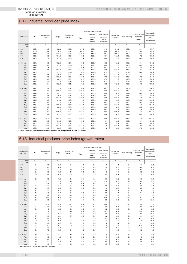# 6.17. Industrial producer price index

| Water supply,<br>Electricity, gas<br>Non-durable<br>Durable<br>Intermediate<br>Capital goods<br>Mining and<br>sewerage and<br>$2005 = 100$<br>Total<br>and steam<br>Energy<br>Manufacturing<br>consumer<br>consumer<br>goods<br>industries<br>quarrying<br>waste<br>Total<br>supply<br>goods<br>goods<br>management<br>industries<br>industries<br>$\overline{2}$<br>$\overline{\mathbf{3}}$<br>$\mathbf{1}$<br>5<br>$\overline{4}$<br>Column<br>6<br>$\overline{7}$<br>8<br>9<br>10<br>11<br>Code<br>2006<br>102.4<br>103.9<br>102.8<br>100.2<br>101.6<br>101.3<br>101.4<br>102.4<br>104.1<br>97.7<br>103.1<br>2007<br>110.9<br>114.0<br>101.1<br>103.8<br>106.1<br>106.9<br>123.7<br>89.8<br>108.0<br>104.8<br>110.7<br>122.7<br>104.7<br>109.7<br>92.9<br>2008<br>114.0<br>116.8<br>110.7<br>116.2<br>109.0<br>112.5<br>136.0<br>108.1<br>147.2<br>96.4<br>2009<br>113.6<br>113.0<br>131.0<br>103.0<br>110.2<br>123.4<br>112.4<br>110.2<br>2010<br>115.9<br>117.2<br>131.5<br>102.6<br>128.2<br>108.6<br>112.9<br>112.6<br>145.3<br>104.6<br>111.4<br>2009 Mar<br>114.0<br>113.3<br>132.0<br>104.4<br>110.2<br>120.7<br>108.5<br>112.8<br>110.6<br>149.4<br>94.6<br>113.9<br>131.8<br>102.8<br>122.2<br>108.2<br>112.8<br>110.6<br>149.0<br>94.6<br>114.0<br>110.2<br>Apr<br>113.2<br>131.7<br>102.7<br>122.6<br>108.2<br>112.9<br>109.6<br>148.9<br>94.6<br>111.8<br>110.3<br>May<br>113.5<br>102.7<br>108.8<br>112.9<br>110.1<br>148.4<br>94.4<br>112.1<br>131.4<br>111.1<br>124.8<br>Jun<br>112.3<br>102.6<br>124.8<br>107.7<br>112.3<br>109.8<br>148.4<br>94.4<br>Jul<br>113.3<br>131.2<br>110.2<br>113.1<br>112.8<br>130.2<br>102.7<br>109.7<br>125.1<br>107.2<br>111.5<br>109.9<br>147.1<br>94.4<br>Aug<br>113.4<br>113.3<br>130.3<br>102.3<br>110.0<br>125.0<br>107.6<br>111.5<br>110.2<br>147.2<br>94.4<br>Sep<br>130.2<br>102.1<br>125.8<br>111.5<br>110.4<br>94.6<br>Oct<br>113.6<br>113.6<br>110.3<br>107.8<br>147.0<br>112.4<br>132.6<br>101.9<br>125.2<br>107.7<br>112.0<br>109.8<br>146.5<br>106.0<br>Nov<br>113.5<br>110.2<br>113.5<br>112.4<br>132.3<br>101.8<br>125.2<br>108.0<br>112.0<br>109.8<br>146.0<br>106.0<br>Dec<br>110.5<br>2010 Jan<br>113.7<br>112.6<br>133.2<br>101.7<br>110.8<br>126.3<br>108.2<br>112.1<br>110.0<br>147.1<br>106.0<br>132.6<br>108.2<br>Feb<br>114.1<br>113.3<br>102.2<br>110.8<br>126.1<br>113.6<br>110.4<br>146.7<br>104.1<br>132.7<br>108.2<br>146.9<br>104.5<br>Mar<br>114.6<br>114.5<br>102.1<br>110.8<br>126.3<br>113.1<br>111.0<br>130.4<br>101.8<br>126.6<br>108.1<br>111.4<br>144.0<br>104.5<br>114.8<br>115.6<br>110.7<br>113.1<br>Apr<br>117.8<br>131.8<br>103.5<br>126.6<br>108.2<br>113.0<br>112.8<br>145.8<br>104.5<br>May<br>116.2<br>110.9<br>145.3<br>116.5<br>118.0<br>131.4<br>103.5<br>129.4<br>108.6<br>113.0<br>113.2<br>104.5<br>111.6<br>Jun<br>102.7<br>116.3<br>118.2<br>131.2<br>111.3<br>129.7<br>108.2<br>112.8<br>113.1<br>145.0<br>104.6<br>Jul<br>118.2<br>129.5<br>108.7<br>112.6<br>113.2<br>104.6<br>116.4<br>130.8<br>102.9<br>111.7<br>144.5<br>Aug<br>130.6<br>102.9<br>129.3<br>108.9<br>104.6<br>116.6<br>118.6<br>111.8<br>113.1<br>113.5<br>144.2<br>Sep<br>131.2<br>102.8<br>129.0<br>109.3<br>112.9<br>113.9<br>144.9<br>104.6<br>Oct<br>117.1<br>119.3<br>112.1<br>119.6<br>130.8<br>102.7<br>129.6<br>109.0<br>112.7<br>114.0<br>144.5<br>104.6<br>117.1<br>111.9<br>Nov<br>117.4<br>120.2<br>131.1<br>102.2<br>112.2<br>129.8<br>109.2<br>113.0<br>114.3<br>144.8<br>104.6<br>Dec<br>145.1<br>104.6<br>2011<br>118.2<br>121.6<br>131.1<br>102.7<br>112.6<br>129.8<br>109.8<br>112.2<br>115.2<br>Jan<br>112.6<br>116.3<br>149.1<br>119.5<br>123.5<br>134.3<br>103.0<br>113.0<br>130.3<br>110.1<br>104.6<br>Feb<br>124.4<br>148.2<br>104.6<br>Mar<br>120.1<br>133.6<br>102.9<br>113.6<br>131.7<br>110.6<br>113.4<br>116.9<br>120.5<br>113.4<br>149.1<br>104.6<br>124.8<br>134.2<br>103.2<br>114.2<br>132.1<br>111.2<br>117.4<br>Apr |     |       |       |       |       |       | Consumer goods industries |       |       |       |       |       |
|-------------------------------------------------------------------------------------------------------------------------------------------------------------------------------------------------------------------------------------------------------------------------------------------------------------------------------------------------------------------------------------------------------------------------------------------------------------------------------------------------------------------------------------------------------------------------------------------------------------------------------------------------------------------------------------------------------------------------------------------------------------------------------------------------------------------------------------------------------------------------------------------------------------------------------------------------------------------------------------------------------------------------------------------------------------------------------------------------------------------------------------------------------------------------------------------------------------------------------------------------------------------------------------------------------------------------------------------------------------------------------------------------------------------------------------------------------------------------------------------------------------------------------------------------------------------------------------------------------------------------------------------------------------------------------------------------------------------------------------------------------------------------------------------------------------------------------------------------------------------------------------------------------------------------------------------------------------------------------------------------------------------------------------------------------------------------------------------------------------------------------------------------------------------------------------------------------------------------------------------------------------------------------------------------------------------------------------------------------------------------------------------------------------------------------------------------------------------------------------------------------------------------------------------------------------------------------------------------------------------------------------------------------------------------------------------------------------------------------------------------------------------------------------------------------------------------------------------------------------------------------------------------------------------------------------------------------------------------------------------------------------------------------------------------------------------------------------------------------------------------------------------------------------------------------------------------------------------------------------------------------------------------------------------------------------------------------------------------------------------------------------------------------------------------------------------------------------------------------------------------------------------------------------------------------------------------------------------------------------------------------------------------------------------------------------------------------------------------------------------------------------------------------------------------------------------------------------------------------------------------------------------------------------------------------------|-----|-------|-------|-------|-------|-------|---------------------------|-------|-------|-------|-------|-------|
|                                                                                                                                                                                                                                                                                                                                                                                                                                                                                                                                                                                                                                                                                                                                                                                                                                                                                                                                                                                                                                                                                                                                                                                                                                                                                                                                                                                                                                                                                                                                                                                                                                                                                                                                                                                                                                                                                                                                                                                                                                                                                                                                                                                                                                                                                                                                                                                                                                                                                                                                                                                                                                                                                                                                                                                                                                                                                                                                                                                                                                                                                                                                                                                                                                                                                                                                                                                                                                                                                                                                                                                                                                                                                                                                                                                                                                                                                                                                     |     |       |       |       |       |       |                           |       |       |       |       |       |
|                                                                                                                                                                                                                                                                                                                                                                                                                                                                                                                                                                                                                                                                                                                                                                                                                                                                                                                                                                                                                                                                                                                                                                                                                                                                                                                                                                                                                                                                                                                                                                                                                                                                                                                                                                                                                                                                                                                                                                                                                                                                                                                                                                                                                                                                                                                                                                                                                                                                                                                                                                                                                                                                                                                                                                                                                                                                                                                                                                                                                                                                                                                                                                                                                                                                                                                                                                                                                                                                                                                                                                                                                                                                                                                                                                                                                                                                                                                                     |     |       |       |       |       |       |                           |       |       |       |       |       |
|                                                                                                                                                                                                                                                                                                                                                                                                                                                                                                                                                                                                                                                                                                                                                                                                                                                                                                                                                                                                                                                                                                                                                                                                                                                                                                                                                                                                                                                                                                                                                                                                                                                                                                                                                                                                                                                                                                                                                                                                                                                                                                                                                                                                                                                                                                                                                                                                                                                                                                                                                                                                                                                                                                                                                                                                                                                                                                                                                                                                                                                                                                                                                                                                                                                                                                                                                                                                                                                                                                                                                                                                                                                                                                                                                                                                                                                                                                                                     |     |       |       |       |       |       |                           |       |       |       |       |       |
|                                                                                                                                                                                                                                                                                                                                                                                                                                                                                                                                                                                                                                                                                                                                                                                                                                                                                                                                                                                                                                                                                                                                                                                                                                                                                                                                                                                                                                                                                                                                                                                                                                                                                                                                                                                                                                                                                                                                                                                                                                                                                                                                                                                                                                                                                                                                                                                                                                                                                                                                                                                                                                                                                                                                                                                                                                                                                                                                                                                                                                                                                                                                                                                                                                                                                                                                                                                                                                                                                                                                                                                                                                                                                                                                                                                                                                                                                                                                     |     |       |       |       |       |       |                           |       |       |       |       |       |
|                                                                                                                                                                                                                                                                                                                                                                                                                                                                                                                                                                                                                                                                                                                                                                                                                                                                                                                                                                                                                                                                                                                                                                                                                                                                                                                                                                                                                                                                                                                                                                                                                                                                                                                                                                                                                                                                                                                                                                                                                                                                                                                                                                                                                                                                                                                                                                                                                                                                                                                                                                                                                                                                                                                                                                                                                                                                                                                                                                                                                                                                                                                                                                                                                                                                                                                                                                                                                                                                                                                                                                                                                                                                                                                                                                                                                                                                                                                                     |     |       |       |       |       |       |                           |       |       |       |       |       |
|                                                                                                                                                                                                                                                                                                                                                                                                                                                                                                                                                                                                                                                                                                                                                                                                                                                                                                                                                                                                                                                                                                                                                                                                                                                                                                                                                                                                                                                                                                                                                                                                                                                                                                                                                                                                                                                                                                                                                                                                                                                                                                                                                                                                                                                                                                                                                                                                                                                                                                                                                                                                                                                                                                                                                                                                                                                                                                                                                                                                                                                                                                                                                                                                                                                                                                                                                                                                                                                                                                                                                                                                                                                                                                                                                                                                                                                                                                                                     |     |       |       |       |       |       |                           |       |       |       |       |       |
|                                                                                                                                                                                                                                                                                                                                                                                                                                                                                                                                                                                                                                                                                                                                                                                                                                                                                                                                                                                                                                                                                                                                                                                                                                                                                                                                                                                                                                                                                                                                                                                                                                                                                                                                                                                                                                                                                                                                                                                                                                                                                                                                                                                                                                                                                                                                                                                                                                                                                                                                                                                                                                                                                                                                                                                                                                                                                                                                                                                                                                                                                                                                                                                                                                                                                                                                                                                                                                                                                                                                                                                                                                                                                                                                                                                                                                                                                                                                     |     |       |       |       |       |       |                           |       |       |       |       |       |
|                                                                                                                                                                                                                                                                                                                                                                                                                                                                                                                                                                                                                                                                                                                                                                                                                                                                                                                                                                                                                                                                                                                                                                                                                                                                                                                                                                                                                                                                                                                                                                                                                                                                                                                                                                                                                                                                                                                                                                                                                                                                                                                                                                                                                                                                                                                                                                                                                                                                                                                                                                                                                                                                                                                                                                                                                                                                                                                                                                                                                                                                                                                                                                                                                                                                                                                                                                                                                                                                                                                                                                                                                                                                                                                                                                                                                                                                                                                                     |     |       |       |       |       |       |                           |       |       |       |       |       |
|                                                                                                                                                                                                                                                                                                                                                                                                                                                                                                                                                                                                                                                                                                                                                                                                                                                                                                                                                                                                                                                                                                                                                                                                                                                                                                                                                                                                                                                                                                                                                                                                                                                                                                                                                                                                                                                                                                                                                                                                                                                                                                                                                                                                                                                                                                                                                                                                                                                                                                                                                                                                                                                                                                                                                                                                                                                                                                                                                                                                                                                                                                                                                                                                                                                                                                                                                                                                                                                                                                                                                                                                                                                                                                                                                                                                                                                                                                                                     |     |       |       |       |       |       |                           |       |       |       |       |       |
|                                                                                                                                                                                                                                                                                                                                                                                                                                                                                                                                                                                                                                                                                                                                                                                                                                                                                                                                                                                                                                                                                                                                                                                                                                                                                                                                                                                                                                                                                                                                                                                                                                                                                                                                                                                                                                                                                                                                                                                                                                                                                                                                                                                                                                                                                                                                                                                                                                                                                                                                                                                                                                                                                                                                                                                                                                                                                                                                                                                                                                                                                                                                                                                                                                                                                                                                                                                                                                                                                                                                                                                                                                                                                                                                                                                                                                                                                                                                     |     |       |       |       |       |       |                           |       |       |       |       |       |
|                                                                                                                                                                                                                                                                                                                                                                                                                                                                                                                                                                                                                                                                                                                                                                                                                                                                                                                                                                                                                                                                                                                                                                                                                                                                                                                                                                                                                                                                                                                                                                                                                                                                                                                                                                                                                                                                                                                                                                                                                                                                                                                                                                                                                                                                                                                                                                                                                                                                                                                                                                                                                                                                                                                                                                                                                                                                                                                                                                                                                                                                                                                                                                                                                                                                                                                                                                                                                                                                                                                                                                                                                                                                                                                                                                                                                                                                                                                                     |     |       |       |       |       |       |                           |       |       |       |       |       |
|                                                                                                                                                                                                                                                                                                                                                                                                                                                                                                                                                                                                                                                                                                                                                                                                                                                                                                                                                                                                                                                                                                                                                                                                                                                                                                                                                                                                                                                                                                                                                                                                                                                                                                                                                                                                                                                                                                                                                                                                                                                                                                                                                                                                                                                                                                                                                                                                                                                                                                                                                                                                                                                                                                                                                                                                                                                                                                                                                                                                                                                                                                                                                                                                                                                                                                                                                                                                                                                                                                                                                                                                                                                                                                                                                                                                                                                                                                                                     |     |       |       |       |       |       |                           |       |       |       |       |       |
|                                                                                                                                                                                                                                                                                                                                                                                                                                                                                                                                                                                                                                                                                                                                                                                                                                                                                                                                                                                                                                                                                                                                                                                                                                                                                                                                                                                                                                                                                                                                                                                                                                                                                                                                                                                                                                                                                                                                                                                                                                                                                                                                                                                                                                                                                                                                                                                                                                                                                                                                                                                                                                                                                                                                                                                                                                                                                                                                                                                                                                                                                                                                                                                                                                                                                                                                                                                                                                                                                                                                                                                                                                                                                                                                                                                                                                                                                                                                     |     |       |       |       |       |       |                           |       |       |       |       |       |
|                                                                                                                                                                                                                                                                                                                                                                                                                                                                                                                                                                                                                                                                                                                                                                                                                                                                                                                                                                                                                                                                                                                                                                                                                                                                                                                                                                                                                                                                                                                                                                                                                                                                                                                                                                                                                                                                                                                                                                                                                                                                                                                                                                                                                                                                                                                                                                                                                                                                                                                                                                                                                                                                                                                                                                                                                                                                                                                                                                                                                                                                                                                                                                                                                                                                                                                                                                                                                                                                                                                                                                                                                                                                                                                                                                                                                                                                                                                                     |     |       |       |       |       |       |                           |       |       |       |       |       |
|                                                                                                                                                                                                                                                                                                                                                                                                                                                                                                                                                                                                                                                                                                                                                                                                                                                                                                                                                                                                                                                                                                                                                                                                                                                                                                                                                                                                                                                                                                                                                                                                                                                                                                                                                                                                                                                                                                                                                                                                                                                                                                                                                                                                                                                                                                                                                                                                                                                                                                                                                                                                                                                                                                                                                                                                                                                                                                                                                                                                                                                                                                                                                                                                                                                                                                                                                                                                                                                                                                                                                                                                                                                                                                                                                                                                                                                                                                                                     |     |       |       |       |       |       |                           |       |       |       |       |       |
|                                                                                                                                                                                                                                                                                                                                                                                                                                                                                                                                                                                                                                                                                                                                                                                                                                                                                                                                                                                                                                                                                                                                                                                                                                                                                                                                                                                                                                                                                                                                                                                                                                                                                                                                                                                                                                                                                                                                                                                                                                                                                                                                                                                                                                                                                                                                                                                                                                                                                                                                                                                                                                                                                                                                                                                                                                                                                                                                                                                                                                                                                                                                                                                                                                                                                                                                                                                                                                                                                                                                                                                                                                                                                                                                                                                                                                                                                                                                     |     |       |       |       |       |       |                           |       |       |       |       |       |
|                                                                                                                                                                                                                                                                                                                                                                                                                                                                                                                                                                                                                                                                                                                                                                                                                                                                                                                                                                                                                                                                                                                                                                                                                                                                                                                                                                                                                                                                                                                                                                                                                                                                                                                                                                                                                                                                                                                                                                                                                                                                                                                                                                                                                                                                                                                                                                                                                                                                                                                                                                                                                                                                                                                                                                                                                                                                                                                                                                                                                                                                                                                                                                                                                                                                                                                                                                                                                                                                                                                                                                                                                                                                                                                                                                                                                                                                                                                                     |     |       |       |       |       |       |                           |       |       |       |       |       |
|                                                                                                                                                                                                                                                                                                                                                                                                                                                                                                                                                                                                                                                                                                                                                                                                                                                                                                                                                                                                                                                                                                                                                                                                                                                                                                                                                                                                                                                                                                                                                                                                                                                                                                                                                                                                                                                                                                                                                                                                                                                                                                                                                                                                                                                                                                                                                                                                                                                                                                                                                                                                                                                                                                                                                                                                                                                                                                                                                                                                                                                                                                                                                                                                                                                                                                                                                                                                                                                                                                                                                                                                                                                                                                                                                                                                                                                                                                                                     |     |       |       |       |       |       |                           |       |       |       |       |       |
|                                                                                                                                                                                                                                                                                                                                                                                                                                                                                                                                                                                                                                                                                                                                                                                                                                                                                                                                                                                                                                                                                                                                                                                                                                                                                                                                                                                                                                                                                                                                                                                                                                                                                                                                                                                                                                                                                                                                                                                                                                                                                                                                                                                                                                                                                                                                                                                                                                                                                                                                                                                                                                                                                                                                                                                                                                                                                                                                                                                                                                                                                                                                                                                                                                                                                                                                                                                                                                                                                                                                                                                                                                                                                                                                                                                                                                                                                                                                     |     |       |       |       |       |       |                           |       |       |       |       |       |
|                                                                                                                                                                                                                                                                                                                                                                                                                                                                                                                                                                                                                                                                                                                                                                                                                                                                                                                                                                                                                                                                                                                                                                                                                                                                                                                                                                                                                                                                                                                                                                                                                                                                                                                                                                                                                                                                                                                                                                                                                                                                                                                                                                                                                                                                                                                                                                                                                                                                                                                                                                                                                                                                                                                                                                                                                                                                                                                                                                                                                                                                                                                                                                                                                                                                                                                                                                                                                                                                                                                                                                                                                                                                                                                                                                                                                                                                                                                                     |     |       |       |       |       |       |                           |       |       |       |       |       |
|                                                                                                                                                                                                                                                                                                                                                                                                                                                                                                                                                                                                                                                                                                                                                                                                                                                                                                                                                                                                                                                                                                                                                                                                                                                                                                                                                                                                                                                                                                                                                                                                                                                                                                                                                                                                                                                                                                                                                                                                                                                                                                                                                                                                                                                                                                                                                                                                                                                                                                                                                                                                                                                                                                                                                                                                                                                                                                                                                                                                                                                                                                                                                                                                                                                                                                                                                                                                                                                                                                                                                                                                                                                                                                                                                                                                                                                                                                                                     |     |       |       |       |       |       |                           |       |       |       |       |       |
|                                                                                                                                                                                                                                                                                                                                                                                                                                                                                                                                                                                                                                                                                                                                                                                                                                                                                                                                                                                                                                                                                                                                                                                                                                                                                                                                                                                                                                                                                                                                                                                                                                                                                                                                                                                                                                                                                                                                                                                                                                                                                                                                                                                                                                                                                                                                                                                                                                                                                                                                                                                                                                                                                                                                                                                                                                                                                                                                                                                                                                                                                                                                                                                                                                                                                                                                                                                                                                                                                                                                                                                                                                                                                                                                                                                                                                                                                                                                     |     |       |       |       |       |       |                           |       |       |       |       |       |
|                                                                                                                                                                                                                                                                                                                                                                                                                                                                                                                                                                                                                                                                                                                                                                                                                                                                                                                                                                                                                                                                                                                                                                                                                                                                                                                                                                                                                                                                                                                                                                                                                                                                                                                                                                                                                                                                                                                                                                                                                                                                                                                                                                                                                                                                                                                                                                                                                                                                                                                                                                                                                                                                                                                                                                                                                                                                                                                                                                                                                                                                                                                                                                                                                                                                                                                                                                                                                                                                                                                                                                                                                                                                                                                                                                                                                                                                                                                                     |     |       |       |       |       |       |                           |       |       |       |       |       |
|                                                                                                                                                                                                                                                                                                                                                                                                                                                                                                                                                                                                                                                                                                                                                                                                                                                                                                                                                                                                                                                                                                                                                                                                                                                                                                                                                                                                                                                                                                                                                                                                                                                                                                                                                                                                                                                                                                                                                                                                                                                                                                                                                                                                                                                                                                                                                                                                                                                                                                                                                                                                                                                                                                                                                                                                                                                                                                                                                                                                                                                                                                                                                                                                                                                                                                                                                                                                                                                                                                                                                                                                                                                                                                                                                                                                                                                                                                                                     |     |       |       |       |       |       |                           |       |       |       |       |       |
|                                                                                                                                                                                                                                                                                                                                                                                                                                                                                                                                                                                                                                                                                                                                                                                                                                                                                                                                                                                                                                                                                                                                                                                                                                                                                                                                                                                                                                                                                                                                                                                                                                                                                                                                                                                                                                                                                                                                                                                                                                                                                                                                                                                                                                                                                                                                                                                                                                                                                                                                                                                                                                                                                                                                                                                                                                                                                                                                                                                                                                                                                                                                                                                                                                                                                                                                                                                                                                                                                                                                                                                                                                                                                                                                                                                                                                                                                                                                     |     |       |       |       |       |       |                           |       |       |       |       |       |
|                                                                                                                                                                                                                                                                                                                                                                                                                                                                                                                                                                                                                                                                                                                                                                                                                                                                                                                                                                                                                                                                                                                                                                                                                                                                                                                                                                                                                                                                                                                                                                                                                                                                                                                                                                                                                                                                                                                                                                                                                                                                                                                                                                                                                                                                                                                                                                                                                                                                                                                                                                                                                                                                                                                                                                                                                                                                                                                                                                                                                                                                                                                                                                                                                                                                                                                                                                                                                                                                                                                                                                                                                                                                                                                                                                                                                                                                                                                                     |     |       |       |       |       |       |                           |       |       |       |       |       |
|                                                                                                                                                                                                                                                                                                                                                                                                                                                                                                                                                                                                                                                                                                                                                                                                                                                                                                                                                                                                                                                                                                                                                                                                                                                                                                                                                                                                                                                                                                                                                                                                                                                                                                                                                                                                                                                                                                                                                                                                                                                                                                                                                                                                                                                                                                                                                                                                                                                                                                                                                                                                                                                                                                                                                                                                                                                                                                                                                                                                                                                                                                                                                                                                                                                                                                                                                                                                                                                                                                                                                                                                                                                                                                                                                                                                                                                                                                                                     |     |       |       |       |       |       |                           |       |       |       |       |       |
|                                                                                                                                                                                                                                                                                                                                                                                                                                                                                                                                                                                                                                                                                                                                                                                                                                                                                                                                                                                                                                                                                                                                                                                                                                                                                                                                                                                                                                                                                                                                                                                                                                                                                                                                                                                                                                                                                                                                                                                                                                                                                                                                                                                                                                                                                                                                                                                                                                                                                                                                                                                                                                                                                                                                                                                                                                                                                                                                                                                                                                                                                                                                                                                                                                                                                                                                                                                                                                                                                                                                                                                                                                                                                                                                                                                                                                                                                                                                     |     |       |       |       |       |       |                           |       |       |       |       |       |
|                                                                                                                                                                                                                                                                                                                                                                                                                                                                                                                                                                                                                                                                                                                                                                                                                                                                                                                                                                                                                                                                                                                                                                                                                                                                                                                                                                                                                                                                                                                                                                                                                                                                                                                                                                                                                                                                                                                                                                                                                                                                                                                                                                                                                                                                                                                                                                                                                                                                                                                                                                                                                                                                                                                                                                                                                                                                                                                                                                                                                                                                                                                                                                                                                                                                                                                                                                                                                                                                                                                                                                                                                                                                                                                                                                                                                                                                                                                                     |     |       |       |       |       |       |                           |       |       |       |       |       |
|                                                                                                                                                                                                                                                                                                                                                                                                                                                                                                                                                                                                                                                                                                                                                                                                                                                                                                                                                                                                                                                                                                                                                                                                                                                                                                                                                                                                                                                                                                                                                                                                                                                                                                                                                                                                                                                                                                                                                                                                                                                                                                                                                                                                                                                                                                                                                                                                                                                                                                                                                                                                                                                                                                                                                                                                                                                                                                                                                                                                                                                                                                                                                                                                                                                                                                                                                                                                                                                                                                                                                                                                                                                                                                                                                                                                                                                                                                                                     |     |       |       |       |       |       |                           |       |       |       |       |       |
|                                                                                                                                                                                                                                                                                                                                                                                                                                                                                                                                                                                                                                                                                                                                                                                                                                                                                                                                                                                                                                                                                                                                                                                                                                                                                                                                                                                                                                                                                                                                                                                                                                                                                                                                                                                                                                                                                                                                                                                                                                                                                                                                                                                                                                                                                                                                                                                                                                                                                                                                                                                                                                                                                                                                                                                                                                                                                                                                                                                                                                                                                                                                                                                                                                                                                                                                                                                                                                                                                                                                                                                                                                                                                                                                                                                                                                                                                                                                     |     |       |       |       |       |       |                           |       |       |       |       |       |
|                                                                                                                                                                                                                                                                                                                                                                                                                                                                                                                                                                                                                                                                                                                                                                                                                                                                                                                                                                                                                                                                                                                                                                                                                                                                                                                                                                                                                                                                                                                                                                                                                                                                                                                                                                                                                                                                                                                                                                                                                                                                                                                                                                                                                                                                                                                                                                                                                                                                                                                                                                                                                                                                                                                                                                                                                                                                                                                                                                                                                                                                                                                                                                                                                                                                                                                                                                                                                                                                                                                                                                                                                                                                                                                                                                                                                                                                                                                                     |     |       |       |       |       |       |                           |       |       |       |       |       |
|                                                                                                                                                                                                                                                                                                                                                                                                                                                                                                                                                                                                                                                                                                                                                                                                                                                                                                                                                                                                                                                                                                                                                                                                                                                                                                                                                                                                                                                                                                                                                                                                                                                                                                                                                                                                                                                                                                                                                                                                                                                                                                                                                                                                                                                                                                                                                                                                                                                                                                                                                                                                                                                                                                                                                                                                                                                                                                                                                                                                                                                                                                                                                                                                                                                                                                                                                                                                                                                                                                                                                                                                                                                                                                                                                                                                                                                                                                                                     |     |       |       |       |       |       |                           |       |       |       |       |       |
|                                                                                                                                                                                                                                                                                                                                                                                                                                                                                                                                                                                                                                                                                                                                                                                                                                                                                                                                                                                                                                                                                                                                                                                                                                                                                                                                                                                                                                                                                                                                                                                                                                                                                                                                                                                                                                                                                                                                                                                                                                                                                                                                                                                                                                                                                                                                                                                                                                                                                                                                                                                                                                                                                                                                                                                                                                                                                                                                                                                                                                                                                                                                                                                                                                                                                                                                                                                                                                                                                                                                                                                                                                                                                                                                                                                                                                                                                                                                     |     |       |       |       |       |       |                           |       |       |       |       |       |
|                                                                                                                                                                                                                                                                                                                                                                                                                                                                                                                                                                                                                                                                                                                                                                                                                                                                                                                                                                                                                                                                                                                                                                                                                                                                                                                                                                                                                                                                                                                                                                                                                                                                                                                                                                                                                                                                                                                                                                                                                                                                                                                                                                                                                                                                                                                                                                                                                                                                                                                                                                                                                                                                                                                                                                                                                                                                                                                                                                                                                                                                                                                                                                                                                                                                                                                                                                                                                                                                                                                                                                                                                                                                                                                                                                                                                                                                                                                                     |     |       |       |       |       |       |                           |       |       |       |       |       |
|                                                                                                                                                                                                                                                                                                                                                                                                                                                                                                                                                                                                                                                                                                                                                                                                                                                                                                                                                                                                                                                                                                                                                                                                                                                                                                                                                                                                                                                                                                                                                                                                                                                                                                                                                                                                                                                                                                                                                                                                                                                                                                                                                                                                                                                                                                                                                                                                                                                                                                                                                                                                                                                                                                                                                                                                                                                                                                                                                                                                                                                                                                                                                                                                                                                                                                                                                                                                                                                                                                                                                                                                                                                                                                                                                                                                                                                                                                                                     |     |       |       |       |       |       |                           |       |       |       |       |       |
|                                                                                                                                                                                                                                                                                                                                                                                                                                                                                                                                                                                                                                                                                                                                                                                                                                                                                                                                                                                                                                                                                                                                                                                                                                                                                                                                                                                                                                                                                                                                                                                                                                                                                                                                                                                                                                                                                                                                                                                                                                                                                                                                                                                                                                                                                                                                                                                                                                                                                                                                                                                                                                                                                                                                                                                                                                                                                                                                                                                                                                                                                                                                                                                                                                                                                                                                                                                                                                                                                                                                                                                                                                                                                                                                                                                                                                                                                                                                     | May | 120.3 | 124.6 | 133.2 | 103.0 | 114.2 | 132.6                     | 111.2 | 113.3 | 117.2 | 147.8 | 104.6 |

**Source: Statistical Office of the Republic of Slovenia and computations in Bank of Slovenia.**

# 6.18. Industrial producer price index (growth rates)

|          |                             |              |                       |                         |                             |        | Consumer goods industries                  |                                                |                         |                |                                         |                                                      |
|----------|-----------------------------|--------------|-----------------------|-------------------------|-----------------------------|--------|--------------------------------------------|------------------------------------------------|-------------------------|----------------|-----------------------------------------|------------------------------------------------------|
|          | Yearly growth<br>rates in % | Total        | Intermediate<br>goods | Energy                  | Capital goods<br>industries | Total  | Durable<br>consumer<br>goods<br>industries | Non-durable<br>consumer<br>goods<br>industries | Mining and<br>quarrying | Manufacturing  | Electricity, gas<br>and steam<br>supply | Water supply,<br>sewerage and<br>waste<br>management |
|          | Column                      | $\mathbf{1}$ | $\overline{2}$        | $\overline{\mathbf{3}}$ | $\overline{4}$              | 5      | 6                                          | $\overline{7}$                                 | 8                       | $\overline{9}$ | 10                                      | 11                                                   |
|          | Code                        |              |                       |                         |                             |        |                                            |                                                |                         |                |                                         |                                                      |
| 2006     |                             | 2.4          | 3.9                   | 2.8                     | 0.2                         | 1.6    | 3.1                                        | 1.3                                            | 1.4                     | 2.4            | 4.1                                     | $-2.3$                                               |
| 2007     |                             | 5.5          | 6.8                   | 10.9                    | 0.9                         | 3.2    | 7.4                                        | 2.4                                            | 4.6                     | 4.4            | 18.8                                    | $-8.1$                                               |
| 2008     |                             | 5.6          | 5.3                   | 7.6                     | 3.6                         | 5.6    | 4.9                                        | 5.7                                            | 2.7                     | 5.2            | 10.0                                    | 3.4                                                  |
| 2009     |                             | $-0.4$       | $-3.2$                | 6.8                     | $-1.7$                      | $-0.4$ | 6.2                                        | $-1.5$                                         | 3.1                     | $-2.0$         | 8.2                                     | 3.8                                                  |
| 2010     |                             | 2.0          | 3.7                   | 0.3                     | $-0.4$                      | 1.0    | 3.9                                        | 0.5                                            | 0.4                     | 2.1            | $-1.3$                                  | 8.5                                                  |
|          |                             |              |                       |                         |                             |        |                                            |                                                |                         |                |                                         |                                                      |
| 2009 Mar |                             | 0.8          | $-2.0$                | 7.9                     | 1.6                         | 0.1    | 4.4                                        | $-0.7$                                         | 3.8                     | $-0.7$         | 9.7                                     | 3.4                                                  |
|          | Apr                         | 0.2          | $-2.5$                | 7.8                     | $-1.0$                      | $-0.2$ | 5.3                                        | $-1.2$                                         | 3.8                     | $-1.4$         | 9.8                                     | 2.1                                                  |
|          | May                         | $-0.7$       | $-4.5$                | 7.3                     | $-0.9$                      | $-0.3$ | 5.6                                        | $-1.3$                                         | 3.9                     | $-2.5$         | 9.1                                     | 2.1                                                  |
|          | Jun                         | $-0.7$       | $-4.4$                | 7.1                     | $-2.2$                      | 0.4    | 7.1                                        | $-0.8$                                         | 3.9                     | $-2.4$         | 9.1                                     | 1.3                                                  |
|          | Jul                         | $-1.3$       | $-5.0$                | 6.8                     | $-3.2$                      | $-0.5$ | 7.0                                        | $-1.8$                                         | 3.2                     | $-3.1$         | 8.9                                     | 1.0                                                  |
|          | Aug                         | $-1.7$       | $-4.9$                | 5.7                     | $-3.4$                      | $-1.0$ | 7.2                                        | $-2.5$                                         | 2.6                     | $-3.3$         | 7.5                                     | 1.0                                                  |
|          | Sep                         | $-1.6$       | $-4.5$                | 5.4                     | $-4.5$                      | $-0.9$ | 7.2                                        | $-2.3$                                         | 1.4                     | $-3.2$         | 7.4                                     | 1.0                                                  |
|          | Oct                         | $-1.4$       | $-3.7$                | 5.1                     | $-4.4$                      | $-1.2$ | 7.9                                        | $-2.8$                                         | 1.0                     | $-2.9$         | 7.1                                     | 1.2                                                  |
|          | Nov                         | $-1.1$       | $-3.4$                | 6.6                     | $-4.4$                      | $-1.3$ | 7.4                                        | $-2.8$                                         | 1.3                     | $-2.8$         | 6.1                                     | 13.3                                                 |
|          | <b>Dec</b>                  | $-0.7$       | $-2.6$                | 6.1                     | $-3.4$                      | $-1.1$ | 7.4                                        | $-2.6$                                         | 0.0                     | $-2.2$         | 6.1                                     | 12.1                                                 |
|          |                             |              |                       |                         |                             |        |                                            |                                                |                         |                |                                         |                                                      |
| 2010 Jan |                             | $-0.1$       | $-1.5$                | 4.3                     | $-3.1$                      | 0.4    | 6.4                                        | $-0.6$                                         | $-1.7$                  | $-1.1$         | 3.9                                     | 12.1                                                 |
|          | Feb                         | 0.1          | $-0.5$                | 1.4                     | $-2.2$                      | 0.6    | 4.4                                        | $-0.1$                                         | 0.7                     | $-0.3$         | $-0.5$                                  | 10.0                                                 |
|          | Mar                         | 0.5          | 1.0                   | 0.5                     | $-2.2$                      | 0.5    | 4.7                                        | $-0.2$                                         | 0.3                     | 0.3            | $-1.6$                                  | 10.5                                                 |
|          | Apr                         | 0.7          | 1.5                   | $-1.1$                  | $-1.0$                      | 0.5    | 3.6                                        | $-0.1$                                         | 0.3                     | 0.7            | $-3.4$                                  | 10.5                                                 |
|          | May                         | 2.6          | 5.4                   | 0.1                     | 0.8                         | 0.5    | 3.2                                        | 0.0                                            | 0.1                     | 2.9            | $-2.1$                                  | 10.5                                                 |
|          | Jun                         | 2.7          | 5.3                   | 0.1                     | 0.7                         | 0.5    | 3.7                                        | $-0.2$                                         | 0.1                     | 2.9            | $-2.1$                                  | 10.7                                                 |
|          | Jul                         | 2.7          | 5.2                   | 0.0                     | 0.1                         | 1.0    | 3.9                                        | 0.5                                            | 0.5                     | 2.9            | $-2.3$                                  | 10.8                                                 |
|          | Aug                         | 2.9          | 4.8                   | 0.4                     | 0.2                         | 1.8    | 3.6                                        | 1.4                                            | 1.0                     | 3.1            | $-1.8$                                  | 10.8                                                 |
|          | Sep                         | 2.8          | 4.6                   | 0.2                     | 0.5                         | 1.6    | 3.5                                        | 1.2                                            | 1.4                     | 2.9            | $-2.1$                                  | 10.8                                                 |
|          | Oct                         | 3.1          | 5.0                   | 0.7                     | 0.6                         | 1.6    | 2.5                                        | 1.4                                            | 1.3                     | 3.1            | $-1.4$                                  | 10.6                                                 |
|          | Nov                         | 3.2          | 6.4                   | $-1.4$                  | 0.7                         | 1.6    | 3.6                                        | 1.2                                            | 0.6                     | 3.8            | $-1.4$                                  | $-1.3$                                               |
|          | Dec                         | 3.5          | 7.0                   | $-0.9$                  | 0.4                         | 1.5    | 3.7                                        | 1.1                                            | 0.9                     | 4.0            | $-0.8$                                  | $-1.3$                                               |
|          |                             |              |                       |                         |                             |        |                                            |                                                |                         |                |                                         |                                                      |
| 2010 Jan |                             | 4.0          | 8.0                   | $-1.5$                  | 1.0                         | 1.7    | 2.8                                        | 1.5                                            | 0.1                     | 4.7            | $-1.3$                                  | $-1.3$                                               |
|          | Feb                         | 4.8          | 8.9                   | 1.3                     | 0.8                         | 2.0    | 3.4                                        | 1.7                                            | $-0.9$                  | 5.3            | 1.6                                     | 0.5                                                  |
|          | Mar                         | 4.8          | 8.7                   | 0.7                     | 0.8                         | 2.5    | 4.3                                        | 2.2                                            | 0.3                     | 5.3            | 0.9                                     | 0.1                                                  |
|          | Apr                         | 5.0          | 8.0                   | 2.9                     | 1.3                         | 3.2    | 4.4                                        | 2.9                                            | 0.2                     | 5.3            | 3.5                                     | 0.1                                                  |
|          | May                         | 3.6          | 5.7                   | 1.1                     | $-0.5$                      | 3.1    | 4.8                                        | 2.7                                            | 0.2                     | 3.9            | 1.4                                     | 0.1                                                  |

Source: Statistical Office of the Republic of Slovenia.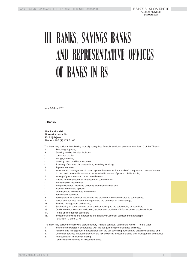# III. BANKS, SAVINGS BANKS AND REPRESENTATIVE OFFICES OF BANKS IN RS

as at 30 June 2011

# **I. Banks**

**Abanka Vipa d.d. Slovenska cesta 58 1517 Ljubljana Phone: +386 (1) 471 81 00**

The bank may perform the following mutually recognized financial services, pursuant to Article 10 of the ZBan-1:

- 1. Receiving deposits<br>2. Granting credits that
- 2. Granting credits that also includes:
- consumer credits,
- mortgage credits.
- factoring, with or without recourse,
- financing of commercial transactions, including forfeiting,
- 4. Payment services;
- 5. Issuance and management of other payment instruments (i.e. travellers' cheques and bankers' drafts) in the part in which this service is not included in service of point 4. of this Article;
- 6. Issuing of guarantees and other commitments,
- 7. Trading for own account or for account of customers in:
- money market instruments,
- foreign exchange, including currency exchange transactions,
- financial futures and options,
- exchange and interest-rate instruments,
- transferable securities.
- 8. Participations in securities issues and the provision of services related to such issues,
- 9. Advice and services related to mergers and the purchase of undertakings,
- 11. Portfolio management and advice,
- 12. Safekeeping of securities and other services relating to the safekeeping of securities,<br>13. Credit reference services: collection, analysis and provision of information on creditw
- Credit reference services: collection, analysis and provision of information on creditworthiness,
- 14. Rental of safe deposit boxes and

15. Investment services and operations and ancillary investment services from paragraph (1) of Article 10 of the ZTFI.

The bank may perform the following supplementary financial services, pursuant to Article 11 of the ZBan-1:

- 1. Insurance brokerage in accordance with the act governing the insurance business,
- 3. Pension fund management in accordance with the act governing pension and disability insurance and
- 4. Custodian services in accordance with the law governing investment funds and management companies
- 6. Representation in financial leasing,
- administrative services for investment funds.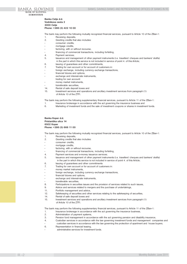## **Banka Celje d.d. Vodnikova cesta 2 3000 Celje Phone: +386 (3) 422 10 00**

The bank may perform the following mutually recognized financial services, pursuant to Article 10 of the ZBan-1: 1. Receiving deposits,

- 2. Granting credits that also includes:
- consumer credits,
- mortgage credits,
- factoring, with or without recourse,
- financing of commercial transactions, including forfeiting
- 4. Payment services;
- 5. Issuance and management of other payment instruments (i.e. travellers' cheques and bankers' drafts) in the part in which this service is not included in service of point 4. of this Article;
- 6. Issuing of guarantees and other commitments,
- 7. Trading for own account or for account of customers in:
- foreign exchange, including currency exchange transactions,
- financial futures and options.
- exchange and interest-rate instruments,
- trading for own account:
- money market instruments
- transferable securities.
- 14. Rental of safe deposit boxes and
- 15. Investment services and operations and ancillary investment services from paragraph (1) of Article 10 of the ZTFI.

The bank may perform the following supplementary financial services, pursuant to Article 11 of the ZBan-1:

- 1. Insurance brokerage in accordance with the act governing the insurance business and
- 6. Marketing of investment funds and the sale of investment coupons or shares in investment funds.

## **Banka Koper d.d. Pristaniška ulica 14 6502 Koper Phone: +386 (5) 666 11 00**

The bank may perform the following mutually recognized financial services, pursuant to Article 10 of the ZBan-1: 1. Receiving deposits,

- 2. Granting credits that also includes:
- consumer credits,
- mortgage credits.
- factoring, with or without recourse,
- financing of commercial transactions, including forfeiting,
- 4. Payment services and e-money issuance services;
- 5. Issuance and management of other payment instruments (i.e. travellers' cheques and bankers' drafts) in the part in which this service is not included in service of point 4. of this Article;
- 6. Issuing of guarantees and other commitments
- 7. Trading for own account or for account of customers in:
- money market instruments.
- foreign exchange, including currency exchange transactions,
- financial futures and options.
- exchange and interest-rate instruments,
- transferable securities
- 8. Participations in securities issues and the provision of services related to such issues,
- 9. Advice and services related to mergers and the purchase of undertakings,
- 11. Portfolio management and advice,
- 12. Safekeeping of securities and other services relating to the safekeeping of securities,
- 14. Rental of safe deposit boxes and
- 15. Investment services and operations and ancillary investment services from paragraph (1) of Article 10 of the ZTFI.

The bank may perform the following supplementary financial services, pursuant to Article 11 of the ZBan-1:

- 1. Insurance brokerage in accordance with the act governing the insurance business,
- 2. Administration of payment systems,
- 3. Pension fund management in accordance with the act governing pension and disability insurance,
- 4. Custodian services in accordance with the law governing investment funds and management companies and
	- custodian services in accordance with the law governing the protection of apartment and house buyers;
- 6. Representation in financial leasing,
- administrative services for investment funds.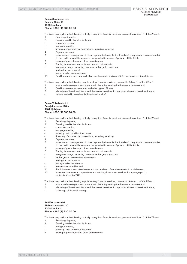

**Banka Sparkasse d.d. Cesta v Kleče 15 1000 Ljubljana Phone: +386 (1) 583 66 66**

The bank may perform the following mutually recognized financial services, pursuant to Article 10 of the ZBan-1: 1. Receiving deposits,

- 2. Granting credits that also includes:
- consumer credits,
- mortgage credits,
- financing of commercial transactions, including forfeiting,
- 4. Payment services;
- 5. Issuance and management of other payment instruments (i.e. travellers' cheques and bankers' drafts) in the part in which this service is not included in service of point 4. of this Article;
- 6. Issuing of guarantees and other commitments,
- 7. Trading for own account or for account of customers in:
- foreign exchange, including currency exchange transactions,
- trading for own account: money market instruments and
- 
- 13. Credit reference services: collection, analysis and provision of information on creditworthiness.

The bank may perform the following supplementary financial services, pursuant to Article 11 of the ZBan-1: 1. Insurance brokerage in accordance with the act governing the insurance business and

- 5. Credit brokerage for consumer and other types of loans;
- 6. Marketing of investment funds and the sale of investment coupons or shares in investment funds,
- advice related to investments (investment advice).

## **Banka Volksbank d.d. Dunajska cesta 128 a 1101 Ljubljana Phone: +386 (1) 530 74 00**

The bank may perform the following mutually recognized financial services, pursuant to Article 10 of the ZBan-1: 1. Receiving deposits,

- 2. Granting credits that also includes:
- 
- consumer credits,
- mortgage credits.
- factoring, with or without recourse,
- financing of commercial transactions, including forfeiting,
- Payment services;
- 5. Issuance and management of other payment instruments (i.e. travellers' cheques and bankers' drafts) in the part in which this service is not included in service of point 4. of this Article;
- 6. Issuing of guarantees and other commitments,
- 7. Trading for own account or for account of customers in:
- foreign exchange, including currency exchange transactions.
- exchange and interest-rate instruments,
- trading for own account:
- money market instruments,
- transferable securities and
- 8. Participations in securities issues and the provision of services related to such issues,
- 15. Investment services and operations and ancillary investment services from paragraph (1) of Article 10 of the ZTFI.

The bank may perform the following supplementary financial services, pursuant to Article 11 of the ZBan-1: 1. Insurance brokerage in accordance with the act governing the insurance business and

- 6. Marketing of investment funds and the sale of investment coupons or shares in investment funds,
- brokerage of financial leasing.

## **BAWAG banka d.d. Bleiweisova cesta 30 1000 Ljubljana Phone: +386 (1) 230 07 06**

The bank may perform the following mutually recognized financial services, pursuant to Article 10 of the ZBan-1:

- 1. Receiving deposits,
- 2. Granting credits that also includes:
- mortgage credits.
- factoring, with or without recourse,<br>6. Saling of quarantees and other co
- 6. Issuing of guarantees and other commitments,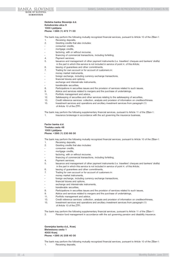**Deželna banka Slovenije d.d. Kolodvorska ulica 9 1000 Ljubljana Phone: +386 (1) 472 71 00**

The bank may perform the following mutually recognized financial services, pursuant to Article 10 of the ZBan-1:

- 1. Receiving deposits,
- 2. Granting credits that also includes:
- consumer credits.
- mortgage credits,
- factoring, with or without recourse.
- financing of commercial transactions, including forfeiting,
- 4. Payment services;
- 5. Issuance and management of other payment instruments (i.e. travellers' cheques and bankers' drafts) in the part in which this service is not included in service of point 4. of this Article;<br>6. Issuing of quarantees and other commitments.
- Issuing of guarantees and other commitments.
- 7. Trading for own account or for account of customers in:
- money market instruments.
- foreign exchange, including currency exchange transactions,
- financial futures and options.
- exchange and interest-rate instruments
- transferable securities,<br>8. Participations in securities
- Participations in securities issues and the provision of services related to such issues.
- 9. Advice and services related to mergers and the purchase of undertakings,
- 11. Portfolio management and advice,
- 12. Safekeeping of securities and other services relating to the safekeeping of securities,
- 13. Credit reference services: collection, analysis and provision of information on creditworthiness.
- 15. Investment services and operations and ancillary investment services from paragraph (1) of Article 10 of the ZTFI.

The bank may perform the following supplementary financial services, pursuant to Article 11 of the ZBan-1: 1. Insurance brokerage in accordance with the act governing the insurance business,

**Factor banka d.d. Tivolska cesta 48 1000 Ljubljana Phone: +386 (1) 230 66 00**

The bank may perform the following mutually recognized financial services, pursuant to Article 10 of the ZBan-1:

- 1. Receiving deposits<br>2. Granting credits that 2. Granting credits that also includes:
- consumer credits,
- mortgage credits.
- factoring, with or without recourse
- financing of commercial transactions, including forfeiting,
- 4. Payment services;
- 5. Issuance and management of other payment instruments (i.e. travellers' cheques and bankers' drafts) in the part in which this service is not included in service of point 4. of this Article;
- 6. Issuing of guarantees and other commitments,
- 7. Trading for own account or for account of customers in:
- money market instruments,
- foreign exchange, including currency exchange transactions,
- financial futures and options
- exchange and interest-rate instruments,
- transferable securities,
- 8. Participations in securities issues and the provision of services related to such issues,
- 9. Advice and services related to mergers and the purchase of undertakings,
- 11 Portfolio management and advice
- 13. Credit reference services: collection, analysis and provision of information on creditworthiness,
- 15. Investment services and operations and ancillary investment services from paragraph (1) of Article 10 of the ZTFI.

The bank may perform the following supplementary financial services, pursuant to Article 11 of the ZBan-1: 3. Pension fund management in accordance with the act governing pension and disability insurance.

**Gorenjska banka d.d., Kranj Bleiweisova cesta 1 4000 Kranj Phone: +386 (4) 208 40 00**

The bank may perform the following mutually recognized financial services, pursuant to Article 10 of the ZBan-1: 1. Receiving deposits,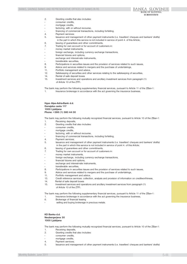

- 2. Granting credits that also includes:
- consumer credits,
- mortgage credits.
- factoring, with or without recourse,
- financing of commercial transactions, including forfeiting,
- 4. Payment services;
- 5. Issuance and management of other payment instruments (i.e. travellers' cheques and bankers' drafts) in the part in which this service is not included in service of point 4. of this Article;
- 6. Issuing of guarantees and other commitments,
- 7. Trading for own account or for account of customers in:
- money market instruments,
- foreign exchange, including currency exchange transactions,
- financial futures and options,
- exchange and interest-rate instruments,
- transferable securities.
- 8. Participations in securities issues and the provision of services related to such issues,
- 9. Advice and services related to mergers and the purchase of undertakings,
- 11. Portfolio management and advice,
- 12. Safekeeping of securities and other services relating to the safekeeping of securities,
- 14. Rental of safe deposit boxes
- 15. Investment services and operations and ancillary investment services from paragraph (1) of Article 10 of the ZTFI.

The bank may perform the following supplementary financial services, pursuant to Article 11 of the ZBan-1: 1. Insurance brokerage in accordance with the act governing the insurance business,

## **Hypo Alpe-Adria-Bank d.d. Dunajska cesta 117 1000 Ljubljana Phone: +386 (1) 580 44 00**

The bank may perform the following mutually recognized financial services, pursuant to Article 10 of the ZBan-1:

- 1. Receiving deposits,
- 2. Granting credits that also includes:
- consumer credits, mortgage credits.
- factoring, with or without recourse,
- financing of commercial transactions, including forfeiting,
- Payment services;
- 5. Issuance and management of other payment instruments (i.e. travellers' cheques and bankers' drafts) in the part in which this service is not included in service of point 4. of this Article;
- 6. Issuing of guarantees and other commitments,
- 7. Trading for own account or for account of customers in:
- money market instruments
- foreign exchange, including currency exchange transactions,
- financial futures and options
- exchange and interest-rate instruments,
- transferable securities,
- 8. Participations in securities issues and the provision of services related to such issues,
- 9. Advice and services related to mergers and the purchase of undertakings,
- 11. Portfolio management and advice,
- 13. Credit reference services: collection, analysis and provision of information on creditworthiness,
- 14. Rental of safe deposit boxes
- 15. Investment services and operations and ancillary investment services from paragraph (1) of Article 10 of the ZTFI.

The bank may perform the following supplementary financial services, pursuant to Article 11 of the ZBan-1:

- 1. Insurance brokerage in accordance with the act governing the insurance business,
- 6. Brokerage of financial leasing
- selling and buying brokerage in precious metals.

## **KD Banka d.d. Neubergerjeva 30 1000 Ljubljana**

The bank may perform the following mutually recognized financial services, pursuant to Article 10 of the ZBan-1: 1. Receiving deposits,

- 2. Granting credits that also includes:
- consumer credits,
- mortgage credits,
- 4. Payment services;
- 5. Issuance and management of other payment instruments (i.e. travellers' cheques and bankers' drafts)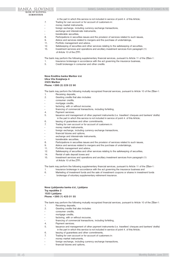- in the part in which this service is not included in service of point 4. of this Article;
- 7. Trading for own account or for account of customers in:
- money market instruments.
- foreign exchange, including currency exchange transactions,
- exchange and interest-rate instruments.
- transferable securities.
- 8. Participations in securities issues and the provision of services related to such issues,
- 9. Advice and services related to mergers and the purchase of undertakings,
- 11. Portfolio management and advice,
- 12. Safekeeping of securities and other services relating to the safekeeping of securities,
- 15. Investment services and operations and ancillary investment services from paragraph (1) of Article 10 of the ZTFI.

The bank may perform the following supplementary financial services, pursuant to Article 11 of the ZBan-1:

- 1. Insurance brokerage in accordance with the act governing the insurance business,
- 5. Credit brokerage in consumer and other credits.

**Nova Kreditna banka Maribor d.d. Ulica Vita Kraigherja 4 2505 Maribor Phone: +386 (2) 229 22 90**

The bank may perform the following mutually recognized financial services, pursuant to Article 10 of the ZBan-1:

- 1. Receiving deposits,
- 2. Granting credits that also includes:
- consumer credits,
- mortgage credits,
- factoring, with or without recourse,
- financing of commercial transactions, including forfeiting,
- 4. Payment services;
- 5. Issuance and management of other payment instruments (i.e. travellers' cheques and bankers' drafts) in the part in which this service is not included in service of point 4. of this Article;<br>6. Issuing of guarantees and other commitments,
- 6. Issuing of guarantees and other commitments,
- 7. Trading for own account or for account of customers in:
- money market instruments,
- foreign exchange, including currency exchange transactions,
- financial futures and options,
- exchange and interest-rate instruments,
- transferable securities
- 8. Participations in securities issues and the provision of services related to such issues,
- 9. Advice and services related to mergers and the purchase of undertakings,
- 11. Portfolio management and advice,
- 12. Safekeeping of securities and other services relating to the safekeeping of securities,
- 14. Rental of safe deposit boxes and
- 15. Investment services and operations and ancillary investment services from paragraph (1) of Article 10 of the ZTFI.

The bank may perform the following supplementary financial services, pursuant to Article 11 of the ZBan-1:

- 1. Insurance brokerage in accordance with the act governing the insurance business and
- 6. Marketing of investment funds and the sale of investment coupons or shares in investment funds - brokerage of voluntary supplementary retirement insurance.

**Nova Ljubljanska banka d.d., Ljubljana Trg republike 2 1520 Ljubljana Phone: +386 (1) 425 01 55**

The bank may perform the following mutually recognized financial services, pursuant to Article 10 of the ZBan-1:

- 1. Receiving deposits,
- 2. Granting credits that also includes:
- consumer credits,
- mortgage credits,
- factoring, with or without recourse,
- financing of commercial transactions, including forfeiting,
- 4. Payment services;
- 5. Issuance and management of other payment instruments (i.e. travellers' cheques and bankers' drafts) in the part in which this service is not included in service of point 4. of this Article;
- 6. Issuing of guarantees and other commitments,
- 7. Trading for own account or for account of customers in:
- money market instruments,
- foreign exchange, including currency exchange transactions,
- financial futures and options,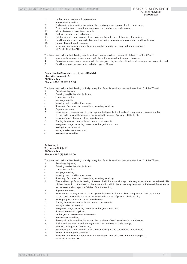

exchange and interest-rate instruments,

- transferable securities,
- 8. Participations in securities issues and the provision of services related to such issues,
- 9. Advice and services related to mergers and the purchase of undertakings,
- 10. Money broking on inter bank markets,
- 11. Portfolio management and advice,
- 12. Safekeeping of securities and other services relating to the safekeeping of securities,
- 13. Credit reference services: collection, analysis and provision of information on creditworthiness,
- 14. Rental of safe deposit boxes and
- 15. Investment services and operations and ancillary investment services from paragraph (1) of Article 10 of the ZTFI.

The bank may perform the following supplementary financial services, pursuant to Article 11 of the ZBan-1:

- 1. Insurance brokerage in accordance with the act governing the insurance business,
- 4. Custodian services in accordance with the law governing investment funds and management companies and
- 5. Credit brokerage for consumer and other types of loans.

**Poštna banka Slovenije, d.d. - b. sk. NKBM d.d. Ulica Vita Kraigherja 5 2000 Maribor Phone: +386 (2) 228 82 00**

The bank may perform the following mutually recognized financial services, pursuant to Article 10 of the ZBan-1:

- 1. Receiving deposits,
- 2. Granting credits that also includes:
- consumer credits.
- mortgage credits,
- factoring, with or without recourse,
- financing of commercial transactions, including forfeiting,
- 4. Payment services;
- 5. Issuance and management of other payment instruments (i.e. travellers' cheques and bankers' drafts) in the part in which this service is not included in service of point 4. of this Article;
- 6. Issuing of guarantees and other commitments,
- 7. Trading for own account or for account of customers in:
- foreign exchange, including currency exchange transactions.
- trading for own account:
- money market instruments and
- transferable securities.

**Probanka, d.d. Trg Leona Štuklja 12 2000 Maribor Phone: +386 (2) 252 05 00**

The bank may perform the following mutually recognized financial services, pursuant to Article 10 of the ZBan-1: 1. Receiving deposits,

- 2. Granting credits that also includes:
- consumer credits.
- mortgage credits,
- factoring, with or without recourse,
- financing of commercial transactions, including forfeiting,
- 3. Financial leasing: financial leasing of assets of which the duration approximately equals the expected useful life of the asset which is the object of the lease and for which the lessee acquires most of the benefit from the use of the asset and accepts the full risk of the transaction,
- 4. Payment services;
- 5. Issuance and management of other payment instruments (i.e. travellers' cheques and bankers' drafts) in the part in which this service is not included in service of point 4. of this Article;
- 6. Issuing of guarantees and other commitments,
- 7. Trading for own account or for account of customers in:
- money market instruments,
- foreign exchange, including currency exchange transactions,
- financial futures and options.
- exchange and interest-rate instruments,
- transferable securities.
- 8. Participations in securities issues and the provision of services related to such issues,
- 9. Advice and services related to mergers and the purchase of undertakings,
- 11 Portfolio management and advice
- 12. Safekeeping of securities and other services relating to the safekeeping of securities,
- 14. Rental of safe deposit boxes and
- 15. Investment services and operations and ancillary investment services from paragraph (1) of Article 10 of the ZTFI.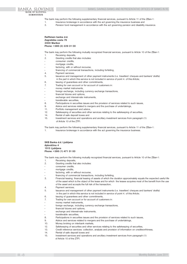The bank may perform the following supplementary financial services, pursuant to Article 11 of the ZBan-1:

- 1. Insurance brokerage in accordance with the act governing the insurance business and
- 3. Pension fund management in accordance with the act governing pension and disability insurance.

**Raiffeisen banka d.d. Zagrebška cesta 76 2000 Maribor Phone: +386 (2) 229 31 00**

The bank may perform the following mutually recognized financial services, pursuant to Article 10 of the ZBan-1:

- 1. Receiving deposits, 2. Granting credits that also includes:
- consumer credits,
- mortgage credits,
- factoring, with or without recourse,
- financing of commercial transactions, including forfeiting,
- 4. Payment services;
- 5. Issuance and management of other payment instruments (i.e. travellers' cheques and bankers' drafts) in the part in which this service is not included in service of point 4. of this Article;
- 6. Issuing of guarantees and other commitments,
- 7. Trading for own account or for account of customers in:
- money market instruments
- foreign exchange, including currency exchange transactions,
- financial futures and options.
- exchange and interest-rate instruments.
- transferable securities.
- 8. Participations in securities issues and the provision of services related to such issues,
- 9. Advice and services related to mergers and the purchase of undertakings,
- 11 Portfolio management and advice
- 12. Safekeeping of securities and other services relating to the safekeeping of securities,
- 14. Rental of safe deposit boxes and
- 15. Investment services and operations and ancillary investment services from paragraph (1) of Article 10 of the ZTFI.

The bank may perform the following supplementary financial services, pursuant to Article 11 of the ZBan-1: 1. Insurance brokerage in accordance with the act governing the insurance business.

## **SKB Banka d.d. Ljubljana Ajdovščina 4 1513 Ljubljana Phone: +386 (1) 471 51 00**

The bank may perform the following mutually recognized financial services, pursuant to Article 10 of the ZBan-1:

- 1. Receiving deposits,
- 2. Granting credits that also includes:
- consumer credits,
- mortgage credits.
- factoring, with or without recourse,
- financing of commercial transactions, including forfeiting,
- 3. Financial leasing: financial leasing of assets of which the duration approximately equals the expected useful life of the asset which is the object of the lease and for which the lessee acquires most of the benefit from the use of the asset and accepts the full risk of the transaction,
- 4. Payment services;
- 5. Issuance and management of other payment instruments (i.e. travellers' cheques and bankers' drafts) in the part in which this service is not included in service of point 4. of this Article;
- 6. Issuing of guarantees and other commitments,
- 7. Trading for own account or for account of customers in:
- money market instruments.
- foreign exchange, including currency exchange transactions,
- financial futures and options,
- exchange and interest-rate instruments
- transferable securities,<br>8. Participations in securit
- Participations in securities issues and the provision of services related to such issues.
- 9. Advice and services related to mergers and the purchase of undertakings,
- 10. Money broking on interbank markets,
- 12. Safekeeping of securities and other services relating to the safekeeping of securities,
- 13. Credit reference services: collection, analysis and provision of information on creditworthiness,
- 14. Rental of safe deposit boxes and
- 15. Investment services and operations and ancillary investment services from paragraph (1) of Article 10 of the ZTFI.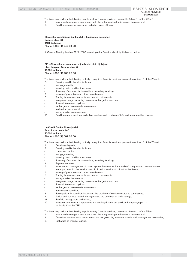The bank may perform the following supplementary financial services, pursuant to Article 11 of the ZBan-1:

1. Insurance brokerage in accordance with the act governing the insurance business and

5. Credit brokerage for consumer and other types of loans.

**Slovenska investicijska banka, d.d. – liquidation procedure Čopova ulica 38 1101 Ljubljana Phone: +386 (1) 242 03 00**

At General Meeting held on 29.12.2003 was adopted a Decision about liquidation procedure.

**SID - Slovenska izvozna in razvojna banka, d.d., Ljubljana Ulica Josipine Turnograjske 6 1000 Ljubljana Phone: +386 (1) 200 75 00**

The bank may perform the following mutually recognized financial services, pursuant to Article 10 of the ZBan-1: 2. Granting credits that also includes:

- mortgage credits,
- factoring, with or without recourse,
- financing of commercial transactions, including forfeiting,
- 6. Issuing of guarantees and other commitments,
- 7. Trading for own account or for account of customers in:
- foreign exchange, including currency exchange transactions,
- financial futures and options,
- exchange and interest-rate instruments,
- trading for own account:
- money market instruments and
- 13. Credit reference services: collection, analysis and provision of information on creditworthiness.

**UniCredit Banka Slovenija d.d. Šmartinska cesta 140 1000 Ljubljana Phone: +386 (1) 587 66 00**

The bank may perform the following mutually recognized financial services, pursuant to Article 10 of the ZBan-1:

- 1. Receiving deposits,
- 2. Granting credits that also includes:
- consumer credits.
- mortgage credits.
- factoring, with or without recourse,
- financing of commercial transactions, including forfeiting,
- 4. Payment services;
- 5. Issuance and management of other payment instruments (i.e. travellers' cheques and bankers' drafts) in the part in which this service is not included in service of point 4. of this Article;
- 6. Issuing of guarantees and other commitments,
- 7. Trading for own account or for account of customers in:
- money market instruments,
- foreign exchange, including currency exchange transactions,
- financial futures and options,
- exchange and interest-rate instruments,
- transferable securities,
- 8. Participations in securities issues and the provision of services related to such issues,
- 9. Advice and services related to mergers and the purchase of undertakings,
- 11. Portfolio management and advice,
- 15. Investment services and operations and ancillary investment services from paragraph (1) of Article 10 of the ZTFI.

The bank may perform the following supplementary financial services, pursuant to Article 11 of the ZBan-1:

- 1. Insurance brokerage in accordance with the act governing the insurance business and
- 4. Custodian services in accordance with the law governing investment funds and management companies;
- 6. Brokerage of financial leasing.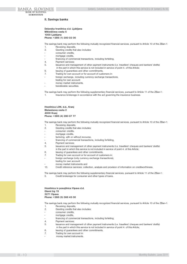# **II. Savings banks**

## **Delavska hranilnica d.d. Ljubljana Miklošičeva cesta 5 1000 Ljubljana Phone: +386 (1) 300 02 00**

The savings bank may perform the following mutually recognized financial services, pursuant to Article 10 of the ZBan-1:

- 1. Receiving deposits,
- 2. Granting credits that also includes:
- consumer credits. - mortgage credits.
- financing of commercial transactions, including forfeiting,
- 4. Payment services;
- 5. Issuance and management of other payment instruments (i.e. travellers' cheques and bankers' drafts) in the part in which this service is not included in service of point 4. of this Article;
- 6. Issuing of guarantees and other commitments,
- 7. Trading for own account or for account of customers in:
- foreign exchange, including currency exchange transactions, trading for own account:
- money market instruments,
- transferable securities.

The savings bank may perform the following supplementary financial services, pursuant to Article 11 of the ZBan-1:

1. Insurance brokerage in accordance with the act governing the insurance business.

**Hranilnica LON, d.d., Kranj Bleiweisova cesta 2 4000 Kranj Phone: +386 (4) 280 07 77**

The savings bank may perform the following mutually recognized financial services, pursuant to Article 10 of the ZBan-1: 1. Receiving deposits,

- 2. Granting credits that also includes:
- consumer credits,
- mortgage credits,
- factoring, with or without recourse,
- financing of commercial transactions, including forfeiting,
- 4. Payment services;
- 5. Issuance and management of other payment instruments (i.e. travellers' cheques and bankers' drafts)
- in the part in which this service is not included in service of point 4. of this Article;<br>6. Issuing of guarantees and other commitments, 6. Issuing of guarantees and other commitments,
- 7. Trading for own account or for account of customers in:
- foreign exchange (only currency exchange transactions),
- trading for own account:
- money market instruments and
- 13. Credit reference services: collection, analysis and provision of information on creditworthiness.

The savings bank may perform the following supplementary financial services, pursuant to Article 11 of the ZBan-1: 5. Credit brokerage for consumer and other types of loans.

**Hranilnica in posojilnica Vipava d.d. Glavni trg 15 5271 Vipava Phone: +386 (5) 366 45 00**

The savings bank may perform the following mutually recognized financial services, pursuant to Article 10 of the ZBan-1: 1. Receiving deposits,

- 2. Granting credits that also includes:
- consumer credits,
- mortgage credits,
- financing of commercial transactions, including forfeiting,
- 4. Payment services;
- 5. Issuance and management of other payment instruments (i.e. travellers' cheques and bankers' drafts) in the part in which this service is not included in service of point 4. of this Article;
- 6. Issuing of guarantees and other commitments,
- 7. Trading for own account in:
- money market instruments.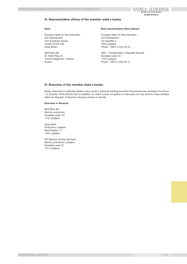BANKA SLOVENIJE BANK OF SLOVENIA **EUROSYSTEM**

# **III. Representative offices of the member state's banks:**

European Bank for Reconstruction European Bank for Reconstruction and Development<br>
One Exchange Square<br>
One Exchange Square<br>  $\frac{1}{2}$  and Development<br>  $\frac{1}{2}$  and Development One Exchange Square London EC2A 2JN 1000 Ljubljana<br>Great Britain 1000 Hybrid Phone: +386 (

A-9020 Klagenfurt/ Celovec 1102 Ljubljana Austria **Phone: +386 (1) 589 09 10** 

## **Bank Bank representative office address**

Phone: +386 (1) 426 36 00

BKS Bank AG BKS – Predstavništvo v Republiki Sloveniji Dunajska cesta 161

# **IV. Branches of the member state's banks:**

Banks, authorized in a Member State to carry out all or particular banking and other financial services, itemized in the Annex I of Directive 2006/48/ES (List of activities, for which mutual recognition is enforced) and may perform these activities within the Republic of Slovenia, through a branch or directly.

## **Branches in Slovenia:**

BKS Bank AG Bančna podružnica Dunajska cesta 161 1102 Ljubljana

Zveza Bank Podružnica Ljubljana Bravničarjeva 13 1000 Ljubljana

RCI Banque Societe Anonyme Bančna podružnica Ljubljana Dunajska cesta 22 1511 Ljubljana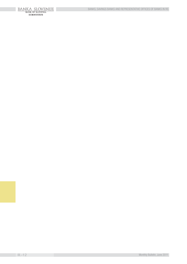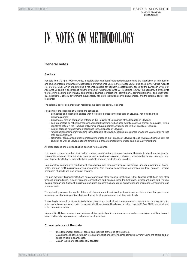# IV. NOTES ON METHODOLOGY

# **General notes**

## **Sectors**

For data from 30 April 1999 onwards, a sectorization has been implemented according to the Regulation on Introduction and Implementation of Standard Classification of Institutional Sectors (hereinafter SKIS), published in the Official Gazette No. 56/98. SKIS, which implemented a national standard for economic sectorization, based on the European System of Accounts 95 and is in accordance with the System of National Accounts 93. According to SKIS, the economy is divided into the following sectors: non-financial corporations, financial corporations (central bank, commercial banks, and other financial institutions), general government, households, non-profit institutions serving households, and the external sector (nonresidents).

The external sector comprises non-residents; the domestic sector, residents.

Residents of the Republic of Slovenia are defined as:

- companies and other legal entities with a registered office in the Republic of Slovenia, not including their branches abroad;
- branches of foreign companies entered in the Register of Companies of the Republic of Slovenia;
- sole proprietors or natural persons independently performing business activities as their primary occupation, with a registered office in the Republic of Slovenia or having permanent residence in the Republic of Slovenia;
- natural persons with permanent residence in the Republic of Slovenia;
- natural persons temporarily residing in the Republic of Slovenia, holding a residential or working visa valid for no less than six months; and
- diplomatic, consular and other representative offices of the Republic of Slovenia abroad which are financed from the Budget, as well as Slovene citizens employed at these representative offices and their family members.

All other persons and entities shall be deemed non-residents.

The domestic sector is broken down to the monetary sector and non-monetary sectors. The monetary sector consists of the Bank of Slovenia and other monetary financial institutions (banks, savings banks and money market funds). Domestic monetary financial institutions, owned by both residents and non-residents, are included.

Non-monetary sectors are: non-financial corporations, non-monetary financial institutions, general government, households, and non-profit institutions serving households. Non-financial corporations (enterprises) are legal persons – market producers of goods and non-financial services.

The non-monetary financial institutions sector comprises other financial institutions. Other financial institutions are: other financial intermediaries, except insurance corporations and pension funds (mutual funds, investment funds and financial leasing companies), financial auxiliaries (securities brokers/dealers, stock exchanges) and insurance corporations and pension funds.

The general government consists of the central government (administrative departments of state and central government agencies), local government (local administration, local agencies) and social security funds.

"Households" refers to resident individuals as consumers, resident individuals as sole proprietorships, and partnerships being market producers and having no independent legal status. The data of the latter, prior to 30 April 1999, were included in the enterprises sector.

Non-profit institutions serving households are clubs, political parties, trade unions, churches or religious societies, humanitarian and charity organizations, and professional societies.

# **Characteristics of the data**

- The data present stocks of assets and liabilities at the end of the period.
- Data on stocks denominated in foreign currencies are converted into domestic currency using the official end-ofperiod middle exchange rate.
	- Data in tables are not seasonally adjusted.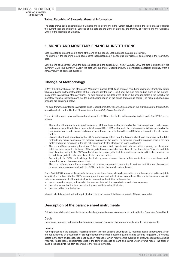# **Table: Republic of Slovenia: General Information**

The table shows basic general data on Slovenia and its economy. In the "Latest actual" column, the latest available data for the current year are published. Sources of the data are the Bank of Slovenia, the Ministry of Finance and the Statistical Office of the Republic of Slovenia.

# **1. MONEY AND MONETARY FINANCIAL INSTITUTIONS**

Data in all tables present stocks items at the end of the period. Last published data are preliminary. The change in the reporting could cause some inconsistencies in conceptual definitions of some items in the year 2005 data.

Until the end of December 2006 the data is published in the currency SIT, from 1 January 2007 the data is published in the currency EUR. The currency EUR in the data until the end of December 2006 is considered as foreign currency, from 1 January 2007 as domestic currency.

# **Change of Methodology**

In May 2006 the tables of the Money and Monetary Financial Institutions chapter, have been changed. Structurally similar tables are based on the methodology of the European Central Bank (ECB) or of the euro area and no more on the methodology of the International Monetary Fund. The data source for the data of the MFI's in the changed tables is the report of the monetary financial institutions and not the bookkeeping report of the banks and savings banks. The main methodological changes are explained below.

The data from the new tables is available since December 2004, while the time series of the old tables up to March 2006 are still available on the Bank of Slovenia internet page (*http://www.bsi.si/en/*).

The main differences between the methodology of the ECB and the tables in the monthly bulletin up to April 2006 are as follows:

- The sector of the monetary financial institutions, MFI, contains banks, savings banks, savings and loans undertakings and money market funds, but it does not include old LB in KBM banks, while the banking sector without savings banks, savings and loans undertakings and money market funds but with the old LB and KBM is presented in the old bulletin tables.
- Balance sheet total according to the ECB's methodology differs from the balance sheet total according to the IMF's methodology mainly because of the different treatment of the loans. The loans are recorded on gross basis in the new tables and net of provisions in the old set. Consequently the stock of the loans is different.
- There is a difference among the stock of the items loans and deposits and debt securities among the claims and liabilities, because of the inclusion of the negotiable/non-negotiable securities into the items loans/deposits and debt securities. According to the ECB's methodology, the non-negotiable debt securities are included into the loans/deposits and the negotiable debt securities into the debt securities.
- According to the ECB's methodology, the deals by procuration and internal affairs are included on a net basis, while before they were shown on a gross basis.
- There are differences in the composition of monetary aggregates according to national definition and harmonized monetary aggregates according to the ECB's definition that are described below.

Since April 2006 the data of the specific balance sheet items (loans, deposits, securities other than shares and issued debt securities) are in line with the ECB's request recorded according to their nominal values. The nominal value of a specific instrument is an amount of the principal, which is owed by the debtor to the creditor:

- loans: unpaid principal, not included the accrued interest, the commissions and other expenses,
- deposits: amount of the time deposits, the accrued interest not included,
- debt securities: nominal value.

Interest, which is subscribed to the principal and thus increases it, is the component of the nominal value.

# **Description of the balance sheet instruments**

Below is a short description of the balance sheet aggregate items or instruments, as defined by the European Central bank:

## **Cash**

Holdings of domestic and foreign banknotes and coins in circulation that are commonly used to make payments.

## **Loans**

For the purposes of the statistical reporting scheme, this item consists of funds lent by reporting agents to borrowers, which are not evidenced by documents or are represented by a single document (even if it has become negotiable). It includes assets in the form of deposits, bad debt loans, in respect of which repayment is overdue or otherwise identified as being impaired, traded loans, subordinated debt in the form of deposits or loans and claims under reverse repos. The stock of loans is included into the item according to the "gross" principle.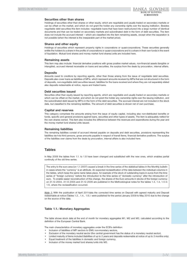## BANKA SLOVENIJE BANK OF SLOVENIA **EUROSYSTEM**

## **Securities other than shares**

Holdings of securities other than shares or other equity, which are negotiable and usually traded on secondary markets or can be offset on the market, and which do not grant the holder any ownership rights over the issuing institution. Besides negotiable debt securities this item includes: negotiable loans that have been restructured into a large number of identical documents and that can be traded on secondary markets and subordinated debt in the form of debt securities. The item does not include the accrued interest – which are classified into the item remaining assets, except when the separation is not possible (when the interest is the inseparable part of the market price).

## **Shares and other equity**

Holdings of securities which represent property rights in corporations or quasi-corporations. These securities generally entitle the holders to a share in the profits of corporations or quasi-corporations and to a share in their own funds in the event of liquidation. Mutual fund shares and money market fund shares/units are included here.

## **Remaining assets**

This item may also include: financial derivative positions with gross positive market values, non-financial assets (tangible or intangible), accrued interest receivable on loans and securities, the surplus from the deals by procuration, internal affairs.

## **Deposits**

Amounts owed to creditors by reporting agents, other than those arising from the issue of negotiable debt securities. Deposits also cover loans as liabilities of MFIs, which represent amounts received by MFIs that are not structured in the form of deposits, non-negotiable debt securities issued, liabilities for the loans received and where they are not separately stated also deposits redeemable at notice, repos and traded loans.

## **Debt securities issued**

Securities other than equity issued by reporting agents, which are negotiable and usually traded on secondary markets or which can be offset on the market, and which do not grant the holder any ownership rights over the issuing institution, and the subordinated debt issued by MFI's in the form of the debt securities. The accrued interest are not included in the stock data, but classified to the remaining liabilities. The amount of debt securities is shown net of own purchase.

#### **Capital and reserves**

This category comprises the amounts arising from the issue of equity capital, including also non-distributed benefits or funds, specific and general provisions against loans, securities and other types of assets. The item is adequately netted for the own shares owned. This item also includes the difference between the revenues and expenditures during the year and the money market fund shares/units issued.

## **Remaining liabilities**

The remaining liabilities consist of accrued interest payable on deposits and debt securities, provisions representing the liabilities vis-ŕ-vis third persons, gross amounts payable in respect of transit items, financial derivative positions. The surplus of the liabilities over claims from the deals by procuration, internal affairs is also included here.

# **Tables**

In May 2006 the tables from 1.1. to 1.8 have been changed and substituted with the new ones, which enables partial continuity of the old time series.

The entry to the euro area (on 1,1.2007) caused a break in the time series of the statistical tables in the Monthly bulletin in cases where the "currency" is an attribute. An expected reclassification of the data between the individual columns in the tables, which keep the same name takes place, for example of the stock of outstanding loans in euros from the time series of "foreign currency" before the introduction to the time series of "domestic currency" after the introduction of euro. To enable easier reconstruction of this change, the shares of the Euro amounts in stocks of the foreign currency on 31.12.2004, 31.12.2005 and 31.12.2006 are published in the Methodological notes for the tables 1.3, 1.4, 1.5 in 1.6, where the reclassification occurred.

*Note 1:* With the publication of April 2011data the corrected time series on Deposit with agreed maturity and Deposit redeemable at notice (Tables 1.2., 1.4., 1.6.) were published for the period January 2009 to May 2010 due to the change on the source of the data.

## **Table 1.1.: Monetary Aggregates**

The table shows stock data at the end of month for monetary aggregates M1, M2 and M3, calculated according to the definition of the European Central Bank.

The main characteristics of monetary aggregates under the ECB's definition:

- Inclusion of liabilities of MFI sectors to EMU non-monetary sectors,
- Exclusion of the monetary neutral sector (the central government has the status of a monetary neutral sector),
- Limited maturity of items included (liabilities of up to 2 years and deposits redeemable at notice of up to 3 months only),
- Equal treatment of the liabilities in domestic and foreign currency,
- Inclusion of the money market fund shares/units into M3.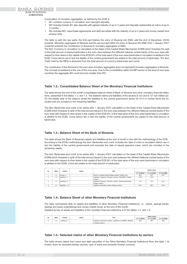Composition of monetary aggregates, as defined by the ECB is:

- M1 contains currency in circulation and overnight deposits,
- M2 includes beside M1 also deposits with agreed maturity of up to 2 years and deposits redeemable at notice of up to 3 months,
- M3 includes M2, repurchase agreements and debt securities with the maturity of up to 2 years and money market fund shares/units.

The table is split into two parts: the first part (before the entry of Slovenia into EMU until the end of December 2006) presents Monetary aggregates of Slovenia and the second part (after the entry of Slovenia into EMU from 1 January 2007 onwards) presents the contribution of Slovenia to monetary aggregates of EMU.

The item 'Currency in circulation' is calculated on the basis of the Capital Share Mechanism (CSM) which foresees the split of the total amount of issued banknotes in the euro area between the different national central banks of the euro area with respect to their share in the capital of the ECB (8% of the total value of the euro area banknotes in circulation is allotted to the ECB). Coins (which are in fact the liability of the central government) are added to the total amount of banknotes. The item 'Cash' held by the MFIs is deducted from the total amount of currency (banknotes and coins).

The contribution of the Slovenia to the euro area monetary aggregates does not represent monetary aggregates of Slovenia. The concept of residency is the one of the euro area. Due to the consolidation within the MFI sector on the level of euro area countries the aggregate M3 could become smaller than M2.

# **Table 1.2.: Consolidated Balance Sheet of the Monetary Financial Institutions**

The table shows the end of the month consolidated balance sheet of Bank of Slovenia and other monetary financial institutions, presented in the tables 1.3. and 1.4. The bilateral claims and liabilities of the sectors S.122 and S.121 are netted out. On the liability side of the balance sheet the liabilities to the central government sector (S.1311) in certain items are excluded and are included in the remaining liabilities.

The item 'Banknotes and coins' is for series after 1 January 2007 calculated on the basis of the Capital Share Mechanism (CSM) which foresees to split of the total amount issued in the euro area between the different National central banks of the euro area with respect to their share in the capital of the ECB (8% of the total value of the euro area banknotes in circulation is allotted to the ECB). Coins (which are in fact the liability of the central government) are added to the total amount of banknotes.

# **Table 1.3.: Balance Sheet of the Bank of Slovenia**

The table shows the Bank of Slovenia's assets and liabilities at the end of month in line with the methodology of the ECB. According to the ECB's methodology the item 'Banknotes and coins' includes the data of coins in circulation (which are in fact the liability of the central government) and excludes the data of issued payment notes, which are included in the remaining assets.

The item 'Banknotes and coins' is for series after 1 January 2007 calculated on the basis of the Capital Share Mechanism (CSM) which foresees to split of the total amount issued in the euro area between the different National central banks of the euro area with respect to their share in the capital of the ECB (8% of the total value of the euro area banknotes in circulation is allotted to the ECB). Coins are added to the total amount of banknotes.

| no. | table | column         | sector | title                                                            | share of euro |            |            |
|-----|-------|----------------|--------|------------------------------------------------------------------|---------------|------------|------------|
|     |       |                |        |                                                                  | 31.12.2004    | 31.12.2005 | 31.12.2006 |
|     | 1.3   | assets/3       |        | Claims on foreign sectors (foreign assets)/ Foreign cash         | 58%           | 48%        | 54%        |
|     | 1.3   | liabilities/4  |        | Liabilities / Deposits / Domestic sectors / Other MFIs / Foreign | 100%          | 100%       |            |
|     |       |                |        | currency                                                         |               |            |            |
| з   | 1.3.  | liabilities/8  |        | Liabilities / Deposits / Domestic sectors / General government/  | 74%           | 72%        | 82%        |
|     |       |                |        | Foreign currency                                                 |               |            |            |
|     | 1.3   | liabilities/15 |        | Liabilties/ Securities issued/ Foreion currency                  | 92%           | 89%        | 100%       |

# **Table 1.4.: Balance Sheet of other Monetary Financial Institutions**

The table summarizes data on assets and liabilities of other Monetary Financial Institutions, i.e. banks, savings banks, savings and loans undertakings and money market funds, at the end of the month.

| Detailed survey of assets and liabilities of the monetary financial institutions is in the tables 1.5. and 1.6. |  |
|-----------------------------------------------------------------------------------------------------------------|--|
|-----------------------------------------------------------------------------------------------------------------|--|

|     | table |              |        | title                                                              | share of euro |            |            |
|-----|-------|--------------|--------|--------------------------------------------------------------------|---------------|------------|------------|
| no. |       | column       | sector |                                                                    | 31.12.2004    | 31.12.2005 | 31.12.2006 |
|     | 1.4.  | liabilities/ |        | Liabilities to domestic sectors/ Liabilities to non-MFIs/ Deposits | 88%           | 88%        | 90%        |
|     |       |              |        | I in foreign currency                                              |               |            |            |

# **Table 1.5.: Selected claims of other Monetary Financial Institutions by sectors**

The table shows claims from loans and debt securities of the Other Monetary Financial Institutions (from the table 1.4) broken down by domestic/foreign sectors, type of loans and domestic/foreign currency.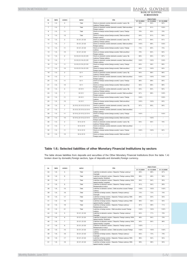# BANKA SLOVENIJE BANK OF SLOVENIA

# **EUROSYSTEM**

|                |       |                |                        |                                                                                       | share of euro |            |            |
|----------------|-------|----------------|------------------------|---------------------------------------------------------------------------------------|---------------|------------|------------|
| no.            | table | column         | sector                 | title                                                                                 | 31.12.2004    | 31.12.2005 | 31.12.2006 |
| 6              | 1.5.  | $\mathfrak{p}$ | Total                  | Claims on domestic sectors (domestic assets)/ Loans/ By<br>currency/ Foreign currency | 95%           | 94%        | 92%        |
| $\overline{7}$ | 1.5.  | $\overline{7}$ | Total                  | Claims on domestic sectors (domestic assets)/ Debt securities/<br>Foreign currency    | 98%           | 91%        | 100%       |
| $\mathbf{a}$   | 1.5.  | 11             | Total                  | Claims on foreign sectors (foreign assets)/ Loans/ Foreign<br>currency                | 76%           | 82%        | 79%        |
| $\overline{9}$ | 1.5.  | 13             | Total                  | Claims on foreign sectors (foreign assets)/ Debt securities/<br>Foreign currency      | 84%           | 91%        | 93%        |
| 10             | 1.5.  | $\overline{c}$ | S.121, S.122           | Claims on domestic sectors (domestic assets)/ Loans/ By<br>currency/ Foreign currency | 87%           | 94%        | 91%        |
| 11             | 1.5.  | $\overline{7}$ | S.121, S.122           | Claims on domestic sectors (domestic assets)/ Debt securities/<br>Foreign currency    | 100%          | 89%        | 100%       |
| 12             | 1.5.  | 11             | S.121, S.122           | Claims on foreign sectors (foreign assets)/ Loans/ Foreign<br>currency                | 74%           | 80%        | 75%        |
| 13             | 1.5.  | 13             | S.121, S.122           | Claims on foreign sectors (foreign assets)/ Debt securities/<br>Foreign currency      | 76%           | 82%        | 94%        |
| 14             | 1.5.  | $\overline{c}$ | S.123, S.124, S.125    | Claims on domestic sectors (domestic assets)/ Loans/ By<br>currency/ Foreign currency | 96%           | 95%        | 97%        |
| 15             | 1.5.  | $\overline{7}$ | S.123, S.124, S.125    | Claims on domestic sectors (domestic assets)/ Debt securities/<br>Foreign currency    | 100%          | 100%       | 100%       |
| 16             | 1.5.  | 11             | S.123, S.124, S.125    | Claims on foreign sectors (foreign assets)/ Loans/ Foreign<br>currency                | 63%           | 58%        | 69%        |
| 17             | 1.5.  | 13             | S.123, S.124, S.125    | Claims on foreign sectors (foreign assets)/ Debt securities/<br>Foreign currency      | 82%           | 100%       | 93%        |
| 18             | 1.5.  | $\overline{c}$ | S.11                   | Claims on domestic sectors (domestic assets)/ Loans/ By<br>currency/ Foreign currency | 95%           | 96%        | 96%        |
| 19             | 1.5.  | $\overline{7}$ | S.11                   | Claims on domestic sectors (domestic assets)/ Debt securities/<br>Foreign currency    | 100%          | 100%       | 100%       |
| 20             | 1.5.  | 11             | S.11                   | Claims on foreign sectors (foreign assets)/ Loans/ Foreign<br>currency                | 86%           | 89%        | 90%        |
| 21             | 1.5.  | 13             | S.11                   | Claims on foreign sectors (foreign assets)/ Debt securities/<br>Foreign currency      | 92%           | 89%        | 96%        |
| 22             | 1.5.  | $\overline{c}$ | S.1311                 | Claims on domestic sectors (domestic assets)/ Loans/ By<br>currency/ Foreign currency | 94%           | 94%        | 92%        |
| 23             | 1.5.  | $\overline{7}$ | S.1311                 | Claims on domestic sectors (domestic assets)/ Debt securities/<br>Foreign currency    | 97%           | 99%        | 100%       |
| 24             | 1.5.  | 11             | S.1311                 | Claims on foreign sectors (foreign assets)/ Loans/ Foreign<br>currency                | 100%          |            | 100%       |
| 25             | 1.5.  | 13             | S.1311                 | Claims on foreign sectors (foreign assets)/ Debt securities/<br>Foreign currency      | 100%          | 100%       | 93%        |
| 26             | 1.5.  | $\overline{c}$ | S.1312, S.1313, S.1314 | Claims on domestic sectors (domestic assets)/ Loans/ By<br>currency/ Foreign currency | 97%           | 90%        | 90%        |
| 27             | 1.5.  | $\overline{7}$ | S.1312, S.1313, S.1314 | Claims on domestic sectors (domestic assets)/ Debt securities/<br>Foreign currency    |               | ÷.         |            |
| 28             | 1.5.  | 11             | S.1312, S.1313, S.1314 | Claims on foreign sectors (foreign assets)/ Loans/ Foreign<br>currency                | 100%          | ä,         | 100%       |
| 29             | 1.5.  | 13             | S.1312, S.1313, S.1314 | Claims on foreign sectors (foreign assets)/ Debt securities/<br>Foreign currency      |               | 100%       |            |
| 30             | 1.5.  | $\overline{c}$ | S.14, S.15             | Claims on domestic sectors (domestic assets)/ Loans/ By<br>currency/ Foreign currency | 94%           | 85%        | 78%        |
| 31             | 1.5.  | $\overline{7}$ | S.14, S.15             | Claims on domestic sectors (domestic assets)/ Debt securities/<br>Foreign currency    |               | ٠          |            |
| 32             | 1.5.  | 11             | S.14, S.15             | Claims on foreign sectors (foreign assets)/ Loans/ Foreign<br>currency                | 100%          | 100%       | 92%        |
| 33             | 1.5.  | 13             | S.14, S.15             | Claims on foreign sectors (foreign assets)/ Debt securities/<br>Foreign currency      |               |            |            |

# **Table 1.6.: Selected liabilities of other Monetary Financial Institutions by sectors**

The table shows liabilities from deposits and securities of the Other Monetary Financial Institutions (from the table 1.4) broken down by domestic/foreign sectors, type of deposits and domestic/foreign currency.

|     | table | column         | sector       | title                                                                                             | share of euro |            |            |
|-----|-------|----------------|--------------|---------------------------------------------------------------------------------------------------|---------------|------------|------------|
| no. |       |                |              |                                                                                                   | 31.12.2004    | 31.12.2005 | 31.12.2006 |
| 34  | 1.6.  | 5              | Total        | Liabilities to domestic sectors / Deposits/ Foreign currency/<br>Ovemiaht                         | 85%           | 86%        | 87%        |
| 35  | 1.6.  | 6              | Total        | Liabilities to domestic sectors / Deposits/ Foreign currency/ With<br>agreed maturity/ Short-term | 88%           | 89%        | 90%        |
| 36  | 1.6.  | $\overline{7}$ | Total        | Liabilities to domestic sectors / Deposits/ Foreign currency/ With<br>agreed maturity/ Long-term  | 94%           | 94%        | 95%        |
| 37  | 1.6.  | 8              | Total        | Liabilities to domestic sectors / Deposits/ Foreign currency/<br>Redeeemable at notice            | 91%           | 94%        | 88%        |
| 38  | 1.6.  | 10             | Total        | Liabilities to domestic sectors / Debt securities issued/ Foreign<br>currency                     | 100%          | 100%       | 100%       |
| 39  | 1.6.  | 16             | Total        | Liabilities to foreign sectors / Deposits/ Foreign currency/<br>Ovemight                          | 73%           | 73%        | 78%        |
| 40  | 1.6.  | 17             | Total        | Liabilities to foreign sectors / Deposits/ Foreign currency/ With<br>agreed maturity/ Short-term  | 89%           | 93%        | 93%        |
| 41  | 1.6.  | 18             | Total        | Liabilities to foreign sectors / Deposits/ Foreign currency/ With<br>agreed maturity/ Long-term   | 96%           | 95%        | 93%        |
| 42  | 1.6.  | 19             | Total        | Liabilities to foreign sectors / Deposits/ Foreign currency/<br>Redeeemable at notice             | 97%           | 99%        | 71%        |
| 43  | 1.6.  | 21             | Total        | Liabilities to foreign sectors / Debt securities issued/ Foreign<br>currency                      | 100%          | 100%       | 100%       |
| 44  | 1.6.  | 5              | S.121, S.122 | Liabilities to domestic sectors / Deposits/ Foreign currency/<br>Ovemight                         | 62%           | 77%        | 78%        |
| 45  | 1.6.  | 6              | S.121, S.122 | Liabilities to domestic sectors / Deposits/ Foreign currency/ With<br>agreed maturity/ Short-term | 86%           | 94%        | 79%        |
| 46  | 1.6.  | $\overline{7}$ | S.121, S.122 | Liabilities to domestic sectors / Deposits/ Foreign currency/ With<br>agreed maturity/ Long-term  | 93%           | 95%        | 96%        |
| 47  | 1.6.  | 8              | S.121.S.122  | Liabilities to domestic sectors / Deposits / Foreign currency/<br>Redeeemable at notice           | 100%          | ٠          | ٠          |
| 48  | 1.6.  | 10             | S.121, S.122 | Liabilities to domestic sectors / Debt securities issued/ Foreign<br>currency                     | 100%          | 100%       | 100%       |
| 49  | 1.6.  | 16             | S.121, S.122 | Liabilities to foreign sectors / Deposits/ Foreign currency/<br>Ovemight                          | 65%           | 73%        | 79%        |
| 50  | 1.6.  | 17             | S.121, S.122 | Liabilities to foreign sectors / Deposits/ Foreign currency/ With<br>agreed maturity/ Short-term  | 96%           | 94%        | 94%        |
| 51  | 1.6.  | 18             | S.121. S.122 | Liabilities to foreign sectors / Deposits/ Foreign currency/ With<br>agreed maturity/ Long-term   | 98%           | 96%        | 93%        |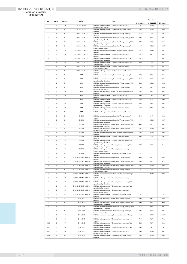#### BANK OF SLOVENIA **EUROSYSTEM**

| no. | table | column         | sector                 | title                                                                                             | share of euro            |            |                          |
|-----|-------|----------------|------------------------|---------------------------------------------------------------------------------------------------|--------------------------|------------|--------------------------|
|     |       |                |                        |                                                                                                   | 31.12.2004               | 31.12.2005 | 31.12.2006               |
| 52  | 1.6.  | 19             | S.121, S.122           | Liabilities to foreign sectors / Deposits/ Foreign currency/<br>Redeeemable at notice             |                          | 100%       |                          |
| 53  | 1.6.  | 21             | S.121, S.122           | Liabilities to foreign sectors / Debt securities issued/ Foreign<br>currency                      | 100%                     | 100%       | 100%                     |
| 54  | 1.6.  | $\mathbf 5$    | S.123, S.124, S.125    | Liabilities to domestic sectors / Deposits / Foreign currency/<br>Ovemiaht                        | 91%                      | 74%        | 72%                      |
| 55  | 1.6.  | 6              | S.123, S.124, S.125    | Liabilities to domestic sectors / Deposits/ Foreign currency/ With                                | 82%                      | 93%        | 93%                      |
| 56  | 1.6.  | $\overline{7}$ | S.123, S.124, S.125    | agreed maturity/ Short-term<br>Liabilities to domestic sectors / Deposits/ Foreign currency/ With | 97%                      | 98%        | 99%                      |
| 57  | 1.6.  | 8              | S.123, S.124, S.125    | agreed maturity/ Long-term<br>Liabilities to domestic sectors / Deposits/ Foreign currency/       | 100%                     | 100%       | 100%                     |
| 58  | 1.6.  | 10             | S.123, S.124, S.125    | Redeeemable at notice<br>Liabilities to domestic sectors / Debt securities issued/ Foreign        | 100%                     | 100%       | 100%                     |
| 59  | 1.6.  | 16             | S.123, S.124, S.125    | currency<br>Liabilities to foreign sectors / Deposits/ Foreign currency/                          | 100%                     | 20%        | 99%                      |
| 60  | 1.6.  | 17             | S.123, S.124, S.125    | Overnight<br>Liabilities to foreign sectors / Deposits/ Foreign currency/ With                    | 100%                     |            | 100%                     |
| 61  | 1.6.  | 18             | S.123, S.124, S.125    | agreed maturity/ Short-term<br>Liabilities to foreign sectors / Deposits/ Foreign currency/ With  | 24%                      | 0%         | 0%                       |
| 62  | 1.6.  | 19             | S.123, S.124, S.125    | agreed maturity/ Long-term<br>Liabilities to foreign sectors / Deposits/ Foreign currency/        | ÷,                       | 0%         | 0%                       |
|     |       | 21             |                        | Redeeemable at notice                                                                             | ×,                       | $\bar{a}$  | 100%                     |
| 63  | 1.6.  |                | S.123, S.124, S.125    | Liabilities to foreign sectors / Debt securities issued/ Foreign<br>currency                      |                          |            |                          |
| 64  | 1.6.  | 5              | S.11                   | Liabilities to domestic sectors / Deposits/ Foreign currency/<br>Ovemight                         | 84%                      | 85%        | 84%                      |
| 65  | 1.6.  | 6              | S.11                   | Liabilities to domestic sectors / Deposits/ Foreign currency/ With<br>agreed maturity/ Short-term | 81%                      | 85%        | 89%                      |
| 66  | 1.6.  | $\overline{7}$ | S.11                   | Liabilities to domestic sectors / Deposits/ Foreign currency/ With<br>agreed maturity/ Long-term  | 99%                      | 100%       | 99%                      |
| 67  | 1.6.  | 8              | S.11                   | Liabilities to domestic sectors / Deposits/ Foreign currency/<br>Redeeemable at notice            | 74%                      | 98%        | 69%                      |
| 68  | 1.6.  | 10             | S.11                   | Liabilities to domestic sectors / Debt securities issued/ Foreign                                 | 100%                     | 99%        | 100%                     |
| 69  | 1.6.  | 16             | S.11                   | currency<br>Liabilities to foreign sectors / Deposits/ Foreign currency/                          | 85%                      | 78%        | 79%                      |
| 70  | 1.6.  | 17             | S.11                   | Ovemight<br>Liabilities to foreign sectors / Deposits/ Foreign currency/ With                     | 70%                      | 53%        | 89%                      |
| 71  | 1.6.  | 18             | S.11                   | agreed maturity/ Short-term<br>Liabilities to foreign sectors / Deposits/ Foreign currency/ With  | 86%                      | 20%        | 82%                      |
| 72  | 1.6.  | 19             | S.11                   | agreed maturity/ Long-term<br>Liabilities to foreign sectors / Deposits/ Foreign currency/        | 100%                     | 99%        | 80%                      |
| 73  | 1.6.  | 21             | S.11                   | Redeeemable at notice<br>Liabilities to foreign sectors / Debt securities issued/ Foreign         | $\overline{\phantom{a}}$ | ×,         | ä,                       |
|     |       |                |                        | currency                                                                                          |                          |            |                          |
| 74  | 1.6.  | 5              | S.1311                 | Liabilities to domestic sectors / Deposits/ Foreign currency/<br>Ovemight                         | 91%                      | 91%        | 96%                      |
| 75  | 1.6.  | 6              | S.1311                 | Liabilities to domestic sectors / Deposits/ Foreign currency/ With<br>agreed maturity/ Short-term | 100%                     | 100%       | 100%                     |
| 76  | 1.6.  | $\overline{7}$ | S.1311                 | Liabilities to domestic sectors / Deposits/ Foreign currency/ With<br>agreed maturity/ Long-term  | 49%                      | 55%        | 100%                     |
| 77  | 1.6.  | 8              | S.1311                 | Liabilities to domestic sectors / Deposits/ Foreign currency/<br>Redeeemable at notice            | 100%                     | 100%       | 100%                     |
| 78  | 1.6.  | 10             | S.1311                 | Liabilities to domestic sectors / Debt securities issued/ Foreign<br>currency                     | 100%                     | 100%       | 100%                     |
| 79  | 1.6.  | 16             | S.1311                 | Liabilities to foreign sectors / Deposits/ Foreign currency/                                      | 52%                      | 33%        | 69%                      |
| 80  | 1.6.  | 17             | S.1311                 | Ovemight<br>Liabilities to foreign sectors / Deposits/ Foreign currency/ With                     |                          |            |                          |
| 81  | 1.6.  | 18             | S.1311                 | agreed maturity/ Short-term<br>Liabilities to foreign sectors / Deposits/ Foreign currency/ With  | 53%                      | 51%        | 61%                      |
| 82  | 1.6.  | 19             | S.1311                 | agreed maturity/ Long-term<br>Liabilities to foreign sectors / Deposits/ Foreign currency/        | ÷,                       | ÷          | ÷,                       |
| 83  | 1.6.  | 21             | S.1311                 | Redeeemable at notice<br>Liabilities to foreign sectors / Debt securities issued/ Foreign         | 100%                     |            |                          |
| 84  | 1.6.  | 5              | S.1312, S.1313, S.1314 | currency<br>Liabilities to domestic sectors / Deposits/ Foreign currency/                         | 48%                      | 69%        | 98%                      |
| 85  | 1.6.  | 6              | S.1312, S.1313, S.1314 | Overnight<br>Liabilities to domestic sectors / Deposits/ Foreign currency/ With                   | 59%                      | 35%        | 37%                      |
|     |       |                |                        | agreed maturity/ Short-term                                                                       |                          |            |                          |
| 86  | 1.6.  | $\overline{7}$ | S.1312, S.1313, S.1314 | Liabilities to domestic sectors / Deposits/ Foreign currency/ With<br>agreed maturity/ Long-term  | 100%                     | 100%       | 100%                     |
| 87  | 1.6.  | 8              | S.1312, S.1313, S.1314 | Liabilities to domestic sectors / Deposits / Foreign currency/<br>Redeeemable at notice           | ÷,                       | $0\%$      | $\overline{\phantom{a}}$ |
| 88  | 1.6.  | 10             | S.1312, S.1313, S.1314 | Liabilities to domestic sectors / Debt securities issued/ Foreign<br>currency                     | ä,                       | 100%       | 100%                     |
| 89  | 1.6.  | 16             | S.1312, S.1313, S.1314 | Liabilities to foreign sectors / Deposits/ Foreign currency/<br>Overnight                         |                          | ÷,         |                          |
| 90  | 1.6.  | 17             | S.1312, S.1313, S.1314 | Liabilities to foreign sectors / Deposits/ Foreign currency/ With<br>agreed maturity/ Short-term  | $\bar{a}$                | $\bar{a}$  | ÷.                       |
| 91  | 1.6.  | 18             | S.1312, S.1313, S.1314 | Liabilities to foreign sectors / Deposits/ Foreign currency/ With                                 | ÷,                       |            |                          |
| 92  | 1.6.  | 19             | S.1312, S.1313, S.1314 | agreed maturity/ Long-term<br>Liabilities to foreign sectors / Deposits/ Foreign currency/        | ÷,                       | ٠          | ٠                        |
| 93  | 1.6.  | 21             | S.1312, S.1313, S.1314 | Redeeemable at notice<br>Liabilities to foreign sectors / Debt securities issued/ Foreign         | ä,                       | ä,         | ä,                       |
| 94  | 1.6.  | 5              | S.14, S.15             | currency<br>Liabilities to domestic sectors / Deposits/ Foreign currency/                         | 86%                      | 86%        | 88%                      |
| 95  | 1.6.  | 6              | S.14, S.15             | Ovemight<br>Liabilities to domestic sectors / Deposits/ Foreign currency/ With                    | 89%                      | 89%        | 90%                      |
| 96  | 1.6.  | $\overline{7}$ | S.14, S.15             | agreed maturity/ Short-term<br>Liabilities to domestic sectors / Deposits/ Foreign currency/ With | 91%                      | 90%        | 90%                      |
| 97  | 1.6.  | 8              | S.14, S.15             | agreed maturity/ Long-term<br>Liabilities to domestic sectors / Deposits/ Foreign currency/       | 93%                      | 93%        | 93%                      |
|     |       |                |                        | Redeeemable at notice                                                                             |                          |            |                          |
| 98  | 1.6.  | 10             | S.14, S.15             | Liabilities to domestic sectors / Debt securities issued/ Foreign<br>currency                     | 100%                     | 100%       | 100%                     |
| 99  | 1.6.  | 16             | S.14, S.15             | Liabilities to foreign sectors / Deposits/ Foreign currency/<br>Ovemight                          | 71%                      | 72%        | 78%                      |
| 100 | 1.6.  | 17             | S.14, S.15             | Liabilities to foreign sectors / Deposits/ Foreign currency/ With<br>agreed maturity/ Short-term  | 63%                      | 78%        | 82%                      |
| 101 | 1.6.  | 18             | S.14, S.15             | Liabilities to foreign sectors / Deposits/ Foreign currency/ With<br>agreed maturity/ Long-term   | 84%                      | 76%        | 76%                      |
| 102 | 1.6.  | 19             | S.14, S.15             | Liabilities to foreign sectors / Deposits/ Foreign currency/<br>Redeeemable at notice             | 94%                      | 100%       | 100%                     |
| 103 | 1.6.  | 21             | S.14, S.15             | Liabilities to foreign sectors / Debt securities issued/ Foreign                                  | 100%                     | 100%       | 100%                     |
|     |       |                |                        | currency                                                                                          |                          |            |                          |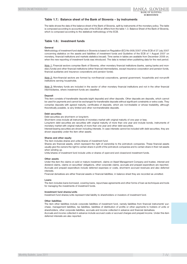# **Table 1.7.: Balance sheet of the Bank of Slovenia – by instruments**

The table shows the data of the balance sheet of the Bank of Slovenia, split by instruments of the monetary policy. The table is composed according to accounting rules of the ECB an differs from the table 1.3. Balance Sheet of the Bank of Slovenia, which is composed according to the statistical methodology of the ECB.

## **Table 1.8.: Investment funds**

#### **General**

Methodology of investment fund statistics in Slovenia is based on Regulation (EC) No 958/2007 of the ECB of 27 July 2007 concerning statistics on the assets and liabilities of investment funds and Guideline of the ECB of 1 August 2007 on monetary, financial institutions and markets statistics (recast). Time series in tables are available from December 2008 on, when the new reporting of investment funds was introduced. The data is revised when publishing data for the next period.

*Note 1:* Financial sectors comprise Bank of Slovenia, other monetary financial institutions (banks, saving banks and monetary funds) and other financial institutions (other financial intermediaries, except insurance corporation and pension funds, financial auxiliaries and insurance corporations and pension funds).

*Note 2:* Non-financial sectors are formed by non-financial corporations, general government, households and non-profit institutions serving households.

*Note 3:* Monetary funds are included in the sector of other monetary financial institutions and not in the other financial intermediaries, where investment funds are classified.

#### **Deposit**

This item consists of transferable deposits (sight deposits) and other deposits. Other deposits are deposits, which cannot be used for payments and cannot be exchanged for transferable deposits without significant constraints or extra costs. They comprise deposits with agreed maturity, certificates of deposits, which are non-tradable or whose tradability, although theoretically possible, is very limited and other non-transferable deposits.

#### **Debt securities**

Debt securities are short-term or long-term.

Short-term ones include all instruments of monetary market with original maturity of one year or less.

Long-term debt securities are securities with original maturity of more than one year and include bonds, instruments of monetary market with original maturity of more than one year and other debt securities.

Interest-bearing securities are shown including interests. In case interests cannot be included with debt securities, they are shown separately under the item other assets.

#### **Shares and other equity**

The item includes shares and units/shares of investment fund.

Shares are financial assets, which represent the right of ownership to the joint-stock companies. These financial assets usually give the owners the right to certain share in profit of the joint-stock companies and to certain share in their net assets when winding up.

Units/shares of investment fund include units or shares of open-end and closed-end investment funds.

#### **Other assets**

Under this item the claims on sold or mature investment, claims on Asset Management Company and trustee, interest and dividend claims, claims on securities' obligations, other corporate claims, accruals and prepaid expenditure are reported. Accruals and prepaid expenditure include deferred expenses or costs, short-term accrued revenues and also deferred interests.

Financial derivatives are either financial assets or financial liabilities; in balance sheet they are recorded as unnetted.

#### **Loans**

The item includes loans borrowed, covering loans, repurchase agreements and other forms of loan as techniques and tools for managing the investments of investment funds.

#### **Investment fund shares/units**

Investment fund shares/units represent total liability to shareholders or investors of investment fund.

#### **Other liabilities**

The item other liabilities include corporate liabilities of investment fund, namely liabilities from financial instruments' purchase, management liabilities, tax liabilities, liabilities of distribution of profits or other payments to holders of units or shareholders, other corporate liabilities, accruals and income collected in advance and financial derivatives. Accruals and income collected in advance include accrued costs or accrued charges and prepaid income. Under this item

deferred interests are also reported.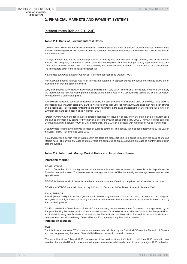# **2. FINANCIAL MARKETS AND PAYMENT SYSTEMS**

# **Interest rates (tables 2.1–2.4)**

## **Table 2.1: Bank of Slovenia Interest Rates**

*Lombard loan*: Within the framework of a standing Lombard facility, the Bank of Slovenia provides one-day Lombard loans to banks and savings banks with securities used as collateral. The pledged securities should amount to 110% of the amount of the Lombard loan.

The *repo interest rate* for the temporary purchase of treasury bills and tolar and foreign currency bills of the Bank of Slovenia with obligatory repurchase in seven days was the weighted arithmetic average of daily repo interest rates until March 2004 (effective interest rate). The new seven-day repo was introduced in March 2004; it is offered on a closed basis. The interest rate given is the latest valid interest rate.

*Interest rate on banks' obligatory reserves*: 1 percent per year since October 1991.

*The overnight-deposit interest rate* is an interest rate applying to deposits placed by banks and savings banks on an overnight term with the Bank of Slovenia.

*Long-term deposit* at the Bank of Slovenia was established in July 2004. The variable interest rate is defined once every two months for the next two-month period. It refers to the interest rate for 60-day tolar bills valid at the time of quotation, increased by 0.2 percentage points.

*Tolar bills* are registered securities subscribed by banks and savings banks with a maturity of 60 or 270 days. Sixty-day bills are offered on a permanent basis; 270-day bills were sold by auction until February 2004, and since then have been offered on a closed basis. Interest rates for tolar bills are given nominally; in the case of auctions they are effective rates. Offers of 270-tolar bills have been frozen since November 2004.

*Foreign currency bills* are transferable registered securities not issued in series. They are offered on a permanent basis and can be purchased by banks (or by other legal persons through banks until 3 May 2000). They are sold for euros (or German marks until February 1999, or U.S. dollars until June 2006) at a discount with maturities of two to four months.

*A penalty rate* is generally employed in cases of overdue payments. The penalty rate has been determined by the Law on the Legal Penalty Rate since 28 June 2003.

*Interest rates* for a certain type of instrument in the table are those last valid in a period (except in the case of effective interest rates). The annual averages of interest rates are computed as simple arithmetic averages of monthly data, if such data are available.

## **Table 2.2: Interbank Money Market Rates and Indexation Clause**

## **Interbank market**

## SIONIA/SITIBOR

Until 31 December 2006, the figures are annual nominal interest rates for unsecured Slovenian tolar deposits on the Slovenian interbank market. The interest rate for overnight deposits (SIONIA) is the weighted average interest rate for overnight deposits.

SITIBOR is the rate at which Slovenian interbank term deposits are offered by one prime bank to another prime bank.

SIONIA and SITIBOR were valid from 14 July 2003 to 31 December 2006. Break of series in January 2007.

## EONIA/EURIBOR

Eonia® (Euro OverNight Index Average) is the effective overnight reference rate for the euro. It is computed as a weighted average of all overnight unsecured lending transactions undertaken in the interbank market, initiated within the euro area by the contributing banks.

The Euro Interbank Offered Rate – "Euribor®" – is the money market reference rate for the euro. It is sponsored by the European Banking Federation, which represents the interests of 4,500 banks in 24 Member States of the European Union and Iceland, Norway and Switzerland, as well as the Financial Markets Association. Euribor® is the rate at which euro interbank term deposits are being offered within the EMU zone by one prime bank to another **Indexation clauses**

## **TOM**

The tolar indexation clause (TOM) is an annual interest rate calculated by the Statistical Office of the Republic of Slovenia and used for preserving the value of financial liabilities and assets in domestic currency.

TOM (monthly): since 5 August 1995, the average of the previous 3 months' inflation. (Until June 1995, indexation was based on the so-called R, which was equal to the previous month's inflation rate; from 1 June to 4 August 1995, indexation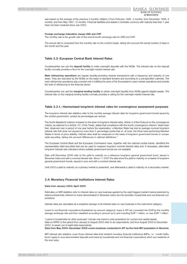was based on the average of the previous 3 months' inflation.) From February 1996, 4 months; from December 1996, 6 months; and from May 1997, 12 months. Financial liabilities and assets in domestic currency with maturity less than 1 year have not been revalued since July 2002.

#### **Foreign exchange indexation clause USD and CHF**

The monthly rate is the growth rate of the end-of-month exchange rate for USD and CHF.

The annual rate is computed from the monthly rate on the conform basis, taking into account the actual number of days in the month and the year.

## **Table 2.3: European Central Bank Interest Rates**

Counterparties can use the **deposit facility** to make overnight deposits with the NCBs. The interest rate on the deposit facility normally provides a floor for the overnight market interest rate.

**Main refinancing operations** are regular liquidity-providing reverse transactions with a frequency and maturity of one week. They are executed by the NCBs on the basis of standard tenders and according to a pre-specified calendar. The main refinancing operations play a pivotal role in fulfilling the aims of the Eurosystem's open market operations and provide the bulk of refinancing to the financial sector.

Counterparties can use the **marginal lending facility** to obtain overnight liquidity from NCBs against eligible assets. The interest rate on the marginal lending facility normally provides a ceiling for the overnight market interest rate.

## **Table 2.3.1.: Harmonised long-term interest rates for convergence assessment purposes**

The long-term interest rate statistics refer to the monthly average interest rates for long-term government bonds issued by the central government, quoted as percentages per annum.

The fourth Maastricht criterion is based on the level of long-term interest rates. Article 4 of the Protocol on the convergence criteria, as referred to in Article 121 of the Treaty, states that compliance with the fourth convergence criterion "shall mean that, observed over a period of one year before the examination, a Member State has had an average nominal long-term interest rate that does not exceed by more than 2 percentage points that of, at most, the three best performing Member States in terms of price stability. Interest rates shall be measured on the basis of long-term government bonds or comparable securities, taking into account differences in national definitions."

The European Central Bank and the European Commission have, together with the national central banks, identified the representative debt securities that can be used to measure long-term nominal interest rates and, if necessary, alternative long-term interest rate indicators where suitable government bonds are not available

Data until December 2006 refer to the yield to maturity on a reference long-term general government bond, issued in Slovenian tolars and with a nominal interest rate. Since 1.1.2007 the data show the yield to maturity on a basket of long-term general government bonds, issued in euro and with a nominal interest rate.

Until 2003 a yield to maturity on a primary market is presented, and afterwards a yield to maturity on a secondary market.

# **2.4: Monetary Financial Institutions Interest Rates**

### **Data from January 2003–April 2005**

Estimates on MIR statistics refer to interest rates on new business applied by the eight biggest resident banks (selected by balance-sheet-total criterion) to loans denominated in Slovenian tolars vis-ŕ-vis domestic households and non-financial corporations.

Interest rates are calculated as a weighted average of all interest rates on new business in the instrument category.

Loans to non-financial corporations (breakdown by amount category): loans in SIT are converted into EUR by the monthly average exchange rate and then classified according to amount up to and including EUR 1 million, or over EUR 1 million.

"Loans to households for other purposes" include only loans to sole proprietors for current and capital assets. Data on APRC in the period from January to August 2003 refer to six respondents, and from August 2003 to December 2003, to seven out of eight total respondents. **Data from May 2005–December 2006 covers business conducted in SIT by the total MFI population in Slovenia.**

MFI interest rate statistics cover those interest rates that resident monetary financial institutions (MFIs, i.e. "credit institutions") apply to euro-denominated deposits and loans by households and non-financial corporations which are residents of the euro area.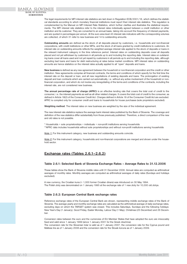The legal requirements for MFI interest rate statistics are laid down in Regulation ECB/2001/18, which defines the statistical standards according to which monetary financial institutions must report their interest rate statistics. This regulation is complemented by the Manual on MFI Interest Rate Statistics, which further clarifies and illustrates the statistical requirements. The MFI interest rate statistics refer to the interest rates individually agreed between a credit institution or other institution and its customer. They are converted to an annual basis, taking into account the frequency of interest payments, and are quoted in percentages per annum. At the euro area level 45 interest rate indicators with the corresponding volumes are collected, of which 31 refer to new business and 14 to outstanding amounts.

**Outstanding amounts** are defined as the stock of all deposits placed by customers, i.e. households and non-financial corporations, with credit institutions or other MFIs, and the stock of all loans granted by credit institutions to customers. An interest rate on outstanding amounts reflects the weighted average interest rate applied to the stock of deposits or loans in the relevant instrument category in the time reference period. Interest rates on outstanding deposits cover all deposits placed and not yet withdrawn by customers in all periods up to and including the reporting date. Interest rates on outstanding loans cover all loans used and not yet repaid by customers in all periods up to and including the reporting date, although excluding bad loans and loans for debt restructuring at rates below market conditions. MFI interest rates on outstanding amounts are hence statistics on the interest rates actually applied to all "open" deposits and loans.

**New business** is defined as any new agreement between the household or non-financial corporation and the credit or other institution. New agreements comprise all financial contracts, the terms and conditions of which specify for the first time the interest rate on the deposit or loan, and all new negotiations of existing deposits and loans. The prolongation of existing deposit and loan contracts which are carried out automatically, i.e. without any active involvement of the household or nonfinancial corporation, and which do not involve any renegotiating of the terms and conditions of the contracts, including the interest rate, are not considered new business.

**The annual percentage rate of charge (APRC)** is an effective lending rate that covers the total cost of credit to the consumer, i.e. the interest payments as well as all other related charges. It covers the total cost of credit to the consumer, as defined in Article 18(2) of the Consumer Credit Act. Charges defined in Article 18 of the Consumer Credit Act are excluded. APRC is compiled only for consumer credit and loans to households for house purchases (sole proprietors excluded).

**Weighting method**: The interest rates on new business are weighted by the size of the individual agreement.

The new interest rate statistics replace the average bank interest rates published by the Bank of Slovenia. The coverage and definition of the new statistics differ substantially from those previously published. Therefore, a direct comparison of the new and old rates is not possible.

\* Households = sole proprietorships + individuals + non-profit institutions serving households

\*\*APRC data includes households without sole proprietorships and without non-profit institutions serving households

**Note 1:** For this instrument category, new business and outstanding amounts coincide.

*Note 2:* For this instrument category, households and non-financial corporations are merged and shown under the household sector.

# **Exchange rates (Tables 2.6.1–2.6.2)**

## **Table 2.6.1: Selected Bank of Slovenia Exchange Rates – Average Rates to 31.12.2006**

These tables show the Bank of Slovenia middle rates until 31 December 2006. Annual rates are computed as arithmetical averages of monthly rates. Monthly averages are computed as arithmetical averages of daily rates (Sundays and holidays excluded).

A new currency, the Croatian kuna (= 1,000 former Croatian dinars) was introduced on 30 May 1994. The Polish złoty was denominated on 1 January 1995 at the exchange rate of 1 new złoty for 10,000 old złotys.

# **Table 2.6.2: European Central Bank exchange rates**

Reference exchange rates of the European Central Bank are shown, representing middle exchange rates of the Bank of Slovenia. The average yearly and monthly exchange rates are calculated as the arithmetical average of daily exchange rates, excluding days on which the TARGET system was closed. This includes Saturdays, Sundays and the following holidays: New Year's Day (1 January), Good Friday, Easter Monday, Labour Day (1 May), Christmas (25 December) and 26 December.

Conversion rates between the euro and the currencies of EU Member States that have adopted the euro are irrevocably fixed and valid since 1 January 1999 (since 1 January 2001 for the Greek drachma).

The conversion rate for the Slovenian tolar is valid as of 1 January 2007, the conversion rate for the Cyprus pound and Maltese lira as of 1 January 2008 and the conversion rate for the Slovak koruna as of 1 January 2009.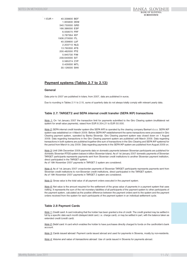- 
- 1 EUR = 40.339900 BEF 1.955830 DEM 340.750000 GRD 166.386000 ESP 6.559570 FRF 0.787564 IEP 1936.270000 ITL 40.339900 LUF 2.203710 NLG 13.760300 ATS 200.482000 PTE 5.945730 FIM 239.640000 SIT 0.585274 CYP 0.429300 MTL 30.126000 SKK

## BANKA SLOVENIJE **BANK OF SLOVENIA EUROSYSTEM**

# **Payment systems (Tables 2.7 to 2.13)**

## **General**

Data prior to 2007 are published in tolars; from 2007, data are published in euros.

Due to rounding in Tables 2.11 to 2.15, sums of quarterly data do not always totally comply with relevant yearly data.

# **Table 2.7: TARGET2 and SEPA internal credit transfer (SEPA IKP) transactions**

*Note 1:* On 1st January 2007 the transaction limit for payments submitted to the Giro Clearing system (multilateral net system for small value payments), raised from EUR 8.354,21 to EUR 50.000.

*Note 2:* SEPA internal credit transfer system (the SEPA IKP) is operated by the clearing company Bankart d.o.o. SEPA IKP system was established on 4 March 2009. Before SEPA IKP establishement the same transactions were processed in Giro Clearing payment system, operated by Banka Slovenije. Giro Clearing payment system was closed down on 1 August 2009. Data regarding transactions in the Giro Clearing payment system are published until March 2009. Data regarding transactions in both systems are published together (the sum of transactions in the Giro Clearing and SEPA IKP systems) for the period from March to July 2009. Data regarding payments in the SEPA IKP system are published from August 2009 on.

*Note 3:* Until 29th December 2006 payments data on domestic payments between Slovenian participants are published for domestic Slovenian RTGS system (values in billion Slovenian tolars). As of 1st January 2007 domestic payments of Slovenian TARGET participants represents payments sent from Slovenian credit institutions to another Slovenian payment institution, direct participated in the TARGET system.

As of 19th November 2007 payments in TARGET 2 system are considered.

*Note 4:* As of 1st January 2007 cross-border payments of Slovenian TARGET participants represents payments sent from Slovenian credit institutions to non-Slovenian credit institutions, direct participated in the TARGET system. As of 19th November 2007 payments in TARGET 2 system are considered.

*Note 5:* Gross value is the total value of all payment orders executed in the payment system.

*Note 6:* Net value is the amount required for the settlement of the gross value of payments in a payment system that uses netting. It represents the sum of the net monetary liabilities of all participants of the payment system to other participants of the payment system, calculated as the positive difference between the payment orders sent to the system and the payment orders received from the system for each participants of the payment system in an individual settlement cycle.

# **Table 2.8 Payment Cards**

*Note 1: Credit card*: A card indicating that the holder has been granted a line of credit. The credit granted may be settled in full by a specific date each month (delayed debit card, i.e. charge card), or may be settled in part, with the balance taken as extended credit (credit card).

*Note 2: Debit card*: A card which enables the holder to have purchases directly charged to funds on the cardholder's bank account.

*Note 3: Cards issued abroad*: Payment cards issued abroad and used for payments in Slovenia, mostly by non-residents.

*Note 4: Volume and value of transactions abroad*: Use of cards issued in Slovenia for payments abroad.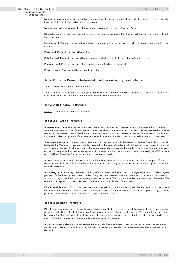## BANKA SLOVENIJE BANK OF SLOVENIA

# **EUROSYSTEM**

**Number of payment cards** *in circulation*: Number of valid payment cards held by residents and non-residents issued in Slovenia. Data refer to the end of each quarter/year.

**Number and value of payments refer** to the use of payment cards in each quarter/year.

**Domestic card**: Payment card issued by banks and enterprises resident in Slovenia without licence agreements with foreign issuers.

**Licence card**: Payment card issued by banks and enterprises resident in Slovenia under licence agreements with foreign issuers.

**Bank card**: Payment card issued by banks.

**Retailer card**: Payment card issued by non-banking institutions, mostly for use at specific retail outlets.

Personal card: Payment card issued to a natural person (family cards included).

**Business card**: Payment card issued to a legal entity.

## **Table 2.9 Other Payment Instruments and Innovative Payment Schemes**

*Note 1*: Data refer to the end of each quarter.

*Note 2*: Prior to 2007 the data refer to payment transactions and money withdrawals at manual POS and EFT POS terminals in Slovenia. From 2007 on, the data on money withdrawals are not included.

## **Table 2.10 Electronic Banking**

*Note 1*: Only debt transactions are included.

## **Table 2.11 Credit Transfers**

**A paper-based order** is a payment instrument related to a credit or debit transfer, in which the payer submits an order on a paper-based form. In case of credit transfer it means any instruction by an account holder to his payment service provider requesting the transfer of funds from his account to another account (also between accounts of the same account holder). Includes submissions by telefax if they require manual intervention in order to be transformed into electronic payments.

**Special payment order** is a special form of paper-based payment order, which is issued by a payee (beneficiary) to be paid by the debtor. The special payment order is presented by the payer at the bank, which then debits his transaction account and transfers the amount to the account of the payee, potentially via several other credit institutions as intermediaries and/ or one or more payment and settlement systems. A contemporary form can assure automated processing with ICR technology (Intelligent Character Recognition) or classic manual processing.

**A non-paper-based credit transfer** is any credit transfer which the payer submits without the use of paper forms i.e. electronically. Includes submissions by telefax or other means if they are transformed into electronic payments without manual intervention.

**A standing order** is a non-paper-based credit transfer and means an instruction from a payer to his bank to make a regular payment of a fixed amount to a named creditor. The payer authorises his bank (the bank at which he maintains a transaction account) to pay a specified amount regularly to another account. The payment must be repeated at least five times. The execution of payments occurs under exact conditions on a particular day of the month.

**Direct credit** is special form of payment instrument related to a credit transfer, initiated by the payer, which enables a cashless fund transfer from payer to payee. Direct credit is used for the execution of small value payments, e.g., salaries, pensions, dividends and similar payments, to a large number of creditors.

# **Table 2.12 Debit Transfers**

**Direct debit** is an authorised debit on the payer's bank account initiated by the payee. It is a payment instrument consisting of automatic debiting of the debtor's account for goods and services delivered by the creditor. The debtor (payer) authorises his bank to transfer funds from his bank account to the creditor's account and the creditor to submit a payment order to the creditor's bank to be paid. A typical example is an electricity bill payment.

**A special money order** is a standardised paper-based debit instrument used to remit money to the named payee. A special money order is issued by a bank, allowing the individual named on the order form to receive a specified amount of cash on demand.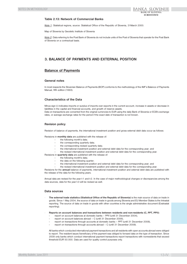# **Table 2.13: Network of Commercial Banks**

*Note 1*: Statistical regions, source: Statistical Office of the Republic of Slovenia, 31March 2000.

Map of Slovenia by Geodetic Institute of Slovenia

*Note 2*: Data referring to the Post Bank of Slovenia do not include units of the Post of Slovenia that operate for the Post Bank of Slovenia on a contractual basis.

# **3. BALANCE OF PAYMENTS AND EXTERNAL POSITION**

# **Balance of Payments**

## **General notes**

In most respects the Slovenian Balance of Payments (BOP) conforms to the methodology of the IMF's Balance of Payments Manual, fifth edition (1993).

# **Characteristics of the Data**

Minus sign (-) indicates imports or surplus of imports over exports in the current account, increase in assets or decrease in liabilities in the capital and financial accounts, and growth of reserve assets. Data on transactions are converted from the original currencies to EUR using the daily Bank of Slovenia or ECB's exchange rates, or average exchange rates for the period if the exact date of transaction is not known.

# **Revision policy**

Revision of balance of payments, the international investment position and gross external debt data occur as follows:

Revisions in **monthly data** are published with the release of:

- the following month's data;
- the corresponding quarterly data;
- the corresponding revised quarterly data;
- the international investment position and external debt data for the corresponding year; and
- the revised international investment position and external debt data for the corresponding year.

Revisions in **quarterly data** are published with the release of:

- the following month's data;
- the data on the following quarter;
- the international investment position and external debt data for the corresponding year; and
- the revised international investment position and external debt data for the corresponding year.

Revisions for the **annual** balance of payments, international investment position and external debt data are published with the release of the data for the following years.

Annual data are revised for the year t-1 and t-2. In the case of major methodological changes or discrepancies among the data sources, data for the year t-3 will be revised as well.

# **Data sources**

- · **The external trade statistics (Statistical Office of the Republic of Slovenia)** is the main source of data on trade in goods. Since 1 May 2004, the source of data on trade in goods among Slovenia and EU Member States is the Intrastat reporting. The source of data on trade in goods with other countries is the single administrative document (Exstrastat reporting).
- · **Reports on account balances and transactions between residents and non-residents (C, PPT, PPV):**
	- report on account balances at domestic banks PPV (until 31 December 2004),
	- report on account balances abroad C (until 31 December 2006),
	- report on transactions through accounts at domestic banks PPT (until 31 December 2008),
	- report on transactions through accounts abroad C (until 31 December 2008).

All banks which conducted international payment transactions and all residents with open accounts abroad were obliged to report. The resident issuer/beneficiary of the payment was obliged to forward data on the type of transaction. Since 2009 only banks which conduct international payment transactions report transactions with nonresidents that exceed threshold EUR 50.000. Data are used for quality control purposes only.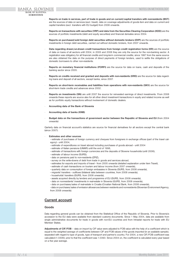- · **Reports on trade in services, part of trade in goods and on current/capital transfers with nonresidents (BST)** are the sources of data on services (excl. travel), data on coverage adjustments of goods item and data on current and capital transfers (excl. transfers with EU budget) from 2008 onwards.
- **Reports on transactions with securities (VRP) and data from the Securities Clearing Corporation (KDD)** are the sources of portfolio investments (debt and equity securities) and financial derivates since 2004.
- · **Reports on purchased/sold foreign debt securities without domestic brokers (DVP)** are the sources of portfolio investments in foreign debt securities, carried out without domestic brokers, from 2007 onwards.
- Data regarding drawn/un-drawn credit transactions from foreign credit registration forms (KR) are the source of data on loans of all sectors until 2004; in 2005 and 2006 they are only the source for the non-banking sector. A registration was obligatory for all financial credits and long-term commercial credits; since 1997 from the same source are also obtained the data on the purpose of direct payments of foreign lenders, used to settle the obligations of domestic borrowers to other non-residents.
- · **Reports on monetary financial institutions (PORFI)** are the source for data on loans, cash and deposits of the banking sector since 2005.
- · **Reports on credits received and granted and deposits with non-residents (KRD)** are the source for data regarding loans and deposit of all sectors, except banks, since 2007.
- · **Reports on short-term receivables and liabilities from operations with non-residents (SKV)** are the source for short-term trade credits and advances since 2002.
- · **Reports on investments (SN)** are until 2007 the source for reinvested earnings of direct investments. From 2008 onwards these reports are source also for all other direct investment transactions in equity and related income as well as for portfolio equity transactions without involvement of domestic dealers.
- · **Accounting data of the Bank of Slovenia**
- · **Accounting data of banks (KNB)**
- · **Budget data on the transactions of government sector between the Republic of Slovenia and EU** (from 2004 onwards)

Qarterly data on financial account's statistics are source for financial derivatives for all sectors except the central bank (since 2007).

- **Estimates and other sources** 
	- estimate of purchases of foreign currency and cheques from foreigners in exchange offices (part of the travel category) - until 2004,
	- estimate of expenditures on travel abroad including purchases of goods abroad until 2004
	- estimate of Italian pensions (UMAR) until the end of 1998,
	- estimate of transactions with foreign currencies and the deposits of Slovene households (until 2006),
	- estimate of labour income (SURS),
	- data on pensions paid to non-residents (ZPIZ),
	- survey on the write-downs of debt from trade in goods and services abroad,
	- estimates for exports and imports of travel from 2005 onwards (detailed explanation under item Travel),
	- estimate of cash transactions on tourism and labour income (from 2007 onwards),
	- quarterly data on consumption of foreign embassies in Slovenia (SURS, from 2008 onwards),
	- migrants' transfers outflows (bilateral data between countries, from 2008 onwards),
	- households' transfers (SURS, from 2008 onwards),
	- assets acquired directly by tenders and programms of EU (SURS, from 2008 onwards),
	- data on nonresidents' investments in real-estate in Slovenia (GURS, from 2008 onwards),
	- data on purchases/sales of real-estate in Croatia (Croatian National Bank, from 2008 onwards),

- data on purchases/sales of emission allowances between residents and nonresidents (Slovenian Environment Agency, from 2008 onwards).

# **Current account**

# **Goods**

Data regarding general goods can be obtained from the Statistical Office of the Republic of Slovenia. Prior to Slovenia's accession to the EU data were available from standard customs documents. Since 1 May 2004, data are available from single administrative documents for trade in goods with non-EU countries and from Intrastat reports for trade with EU Member States.

**Adjustments of CIF/FOB** – data on import by CIF value were adjusted to FOB value with the help of a coefficient which is equal to the weighted average of coefficients between CIF and FOB values of the goods imported (in an available sample), separated with regard to type of goods, type of transport and partner's country. For 2004, a new CIF/FOB coefficient was calculated (1.0306); prior to that the coefficient was 1.0393. Since 2004 on, the coefficient is calculated every year based on a five year average.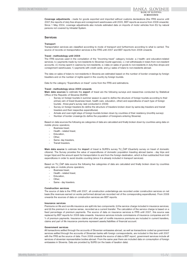## BANKA SLOVENIJE BANK OF SLOVENIA **EUROSYSTEM**

**Coverage adjustments** - made for goods exported and imported without customs declarations (the ITRS source until 2007,the reports of duty free shops and consignment warehouses until 2005, BST reports as source from 2008 onwards). Since 1 May 2004, coverage adjustments also include estimated data on imports of motor vehicles from EU by natural persons not covered by Intrastat System.

## **Services**

#### **Transport**

Transportation services are classified according to mode of transport and furthermore according to what is carried. The source of records on transportation services is the ITRS until 2007 and BST reports from 2008 onwards.

## **Travel - methodology until 2004**

The ITRS sources used in the compilation of the "Incoming travel" category include: a.) health- and education-related services; b.) payments made by non-residents to Slovenian tourist agencies; c.) net withdrawals in tolars from non-resident accounts; d.) money spent in casinos by non-residents; e.) data on sales of goods to non-residents in duty-free shops and consignment warehouses; f.) payments with credit cards; and g.) sales of tolars to non-residents abroad.

The data on sales of tolars to non-residents in Slovenia are estimated based on the number of border crossings by foreign travellers and on the number of nights spent in the country by foreign tourists.

Data for the category "Expenditure on travel" come from the ITRS and estimations.

### **Travel - methodology since 2005 onwards**

**Main data sources** to estimate the **export** of travel are the following surveys and researches conducted by Statistical Office of the Republic of Slovenia (SURS):

- Survey on foreign tourists in summer season is used to define the structure of foreign tourists according to their primary aim of travel (business travel, health care, education, other) and expenditures of each type of foreign tourists ; three-year's survey -last conducted in 2009)
- Survey on foreign travelers (to define the structure of travelers broken down by same-day travelers and transit travelers and their respective expenditures).
- Arrivals and over-night stays of foreign tourists broken down by countries of their residency (monthly survey).
- Number of border crossings (to define the population of foreigners entering Slovenia).

Based on data sources the following six categories of data are calculated and finally broken down by countries using data on mobile phone operators;

- Business travel,
- Health related travel,
- Education,
- Other.
- Same- day travelers,
- Transit travelers.

**Main data source** to estimate the **import** of travel is SURS's survey TU\_ČAP (Quarterly survey on travel of domestic citizens). The Survey provides the value of expenditures of domestic population traveling abroad (same - day trips and longer trips) and the amount spent for transportation to and from the foreign destination, which is then subtracted from total expenditures in order to avoid double counting (since it is already included in transport services).

Based on TU\_ČAP data source the following five categories of data are calculated and finally broken down by countries using data on mobile phone operators;

- Business travel
- Health related travel,
- Education.
- Other,
- Same day travelers.

#### **Construction services**

The source of data is the ITRS until 2007, all construction undertakings are recorded under construction services on net basis (the revenues earned on works performed abroad are recorded net of the corresponding expenditures). From 2008 onwards the sources of data on construction services are BST reports.

### **Insurance services**

Premiums on life and non-life insurance are split into two components: (i) the service charge included in insurance services; and (ii) the premium in a narrow sense, recorded as a current transfer. The calculation of the service charge is based on a fixed percentage of premium payments. The source of data on insurance services is ITRS until 2007, this source was replaced by BST reports for 2008 data onwards. Insurance services include commissions of insurance companies and 45 % of premium payments. Insurance claims and other part of nonlife insurance premiums are included in current transfers, claims and part of life insurance premiums represent assets/liabilities of financial account.

#### **Government services**

All transactions settled through the accounts of Slovenian embassies abroad, as well as transactions coded as government services settled through the accounts of Slovenian banks with foreign correspondents, are included in this item until 2007 with the ITRS as the source of data. From 2008 onwards the source of data is BST report, government services include all services of slovenian representative bodies abroad. From the same year there are included data on consumption of foreign embassies in Slovenia. Data are provided by SURS (on the basis of taxation data).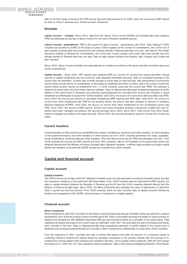Also for all other types of services the ITRS source has been discontinued as of 2008, when the new source (BST report) for data on trade in services (excl. travel) has been introduced.

# **Income**

**Labour income** – **receipts**. Since 2002, data from the Labour Force Survey (SURS) and Eurostat data have replaced ITRS and estimates as sources of labour income for the work of Slovene residents abroad.

**Labour income - expenditures.** ITRS is the source for labour income - expenditures until 2004. Data relating to 2005 onwards are provided by SURS on the basis of Labour Office register for the number of nonresidents, who at the end of each quarter possess valid work permits and who actually worked in Slovenia less than one year and data by The Health Insurance Institute of Slovenia for nonresidents, who at the end of each quarter don't need valid work permits and who actually worked in Slovenia less than one year. Data on daily migrant workers from Austria, Italy, Hungary and Croatia are also included.

Since 2002, labour income (receipts and expenditures) is included according to the gross principle (including taxes and social contributions).

**Capital income** – Since 2004, VRP reports have replaced ITRS as a source for income from equity securities. Annual reports on capital investments are the source for data regarding reinvested earnings. Data on reinvested earnings in the current year are estimated - (a three year monthly average of actual data on total earnings, less extraordinary incomes [the source being annual reports on investments], is decreased by dividends and other incomes, paid in the current month (the source being monthly reports on investments from 1.1.2008 onwards, previously the source was ITRS). The estimate is replaced by actual data only when these data are available. Data on disproportionally large exceptional payments of profits relative to the recent level of dividends and earnings (superdividends) are excluded from income and included in direct investment as withdrawals of equity (from 2008 onwards). Until 2003, the source of income from debt securities was ITRS; since 2004 the sources are reports on securities transactions (VRP reports) and KDD data. Until 2004, the source on income from other investments was ITRS for the banking sector; the source was later changed to reports on monetary financial institutions (PORFI). Until 2006, the source on income from other investments for the non-banking sector was ITRS; since 2007, the source is KDD reports. Income from loans (including long-tern commercial credits) and cash reserves have been managed according to the accrual principle since 2002; since 2007, total income from other investments is managed according to the same principle. Since 2004, the accrual principle is used for income from bonds and notes.

# **Current transfers**

Current transfers of other sectors are subdivided into workers' remittances, insurance and other transfers. Current transfers of the government sector and other transfers of other sectors are from 2002 onwards subdivided into taxes, subsidies, social contributions, social benefits and other transfers. The main data sources are the ITRS and estimates until 2007, from 2008 onwards the sources are BST reports and from 2004 onwards, data on EU transfers of the government sector are obtained directly from the Ministry of Finance (budget data). Migrants' transfers - outflows (data provided by foreign central banks) and transfers of households (SURS survey) are included from 2008 onwards.

# **Capital and financial account**

## **Capital account**

## **Capital transfers**

The ITRS is the source of data until 2007. Migrants' transfers cover not only payments recorded by domestic banks, but also the changes in residency of accounts held with these banks. From 2008 onwards data are obtained from BST reports, but data on capital transfers between the Republic of Slovenia and the EU are from 2004 onwards obtained directly from the Ministry of Finance (budget data). Since 2002, the Bank of Slovenia also estimates the value of write-downs of debt from trade in goods and services abroad. From 2008 onwards, there are also included data on assets acquired directly by tenders and programms of EU (SURS, Annual survey on investment in tangible assets).

# **Financial account**

## **Direct investment**

Direct investment is until 2007 recorded on the basis of reported payments through domestic banks and data from customs declarations, from 2008 the source is direct monthly report SN. Data on reinvested earnings are based on yearly surveys on balance and transactions with affiliated enterprises (SN) and are included monthly as one-twelfth of the yearly figure. Data regarding reinvested earnings for the current year are estimated. Until 1997, the purchase and sale of all shares and equity were included in this item. Data on disproportionally large exceptional payments of profits relative to the recent level of dividends and earnings (superdividends) are included in direct investment as withdrawals of equity (from 2008 onwards).

From the beginning of 1997, purchase and sale of shares that assure more than 50 percent of a company's equity (a controlling interest of shares) and shares issued by domestic companies on the primary markets with the purpose of increasing the nominal capital of the company are included in this item, due to capital control measures. With the new Foreign Exchange Act in 1999, the 10% rule is applied to direct investment. Data of Surveying and Mapping Authority of the Repub-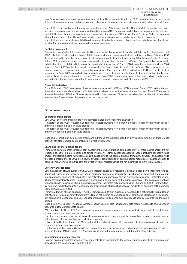#### BANKA SLOVENIJE BANK OF SLOVENIA **EUROSYSTEM**

lic of Slovenia on nonresidents' investments in real-estate in Slovenia are included from 2008 onwards. From the same year data on Slovenian residents' purchases/sales of real-estate in Croatia are included (data source is Croatian National Bank).

Since 2001, there is a break in the data series in the category "Direct Investments - Other Capital". Since that time, loans and long-term commercial credits between affiliated companies (10% or more of capital share) are included in this category. Until 2000, these types of transactions were included in the category "Other Investments". Since 2002, the category "Direct Investments - Other Capital" also includes short-term commercial credits between affiliated companies. Since 2005 other capital claims / liabilities does not include banking sector's claims/liabilities with direct investment relationship (these data are included in item other investment/loans.

### **Portfolio investment**

Transactions are divided into assets and liabilities, with further breakdown into equity and debt portfolio investment. Until 1997 only data on sales and purchases of debt securities through banks were included in this item. Since February 1997 the equity securities with the exception of direct investment are included in this item too. With the new Foreign Exchange Act in 1999, portfolio investment transactions include all transactions below the 10% rule. Equity portfolio investment to individual sectors is subdivided into mutual funds and other investment. VRP and KDD data are the main sources from 2004 onwards. Since 2007 on this item includes also assets of debt portfolio instruments held by Bank of Slovenia, which are no longer considered as international reserves, but as claims to EMU member states and claims in EUR currency to all other nonresidents. From 2007 onwards data on transactions in assets of foreign debt instruments that occur without involvement of domestic dealers are collected on a report DVP, and from 2008 onwards assets and liabilities in portfolio equity investments deriving from transactions without involvement of domestic dealers are collected on report SN.

#### **Financial derivatives**

From 2004 until 2006 these types of transactions are included in VRP and KDD sources. Since 2007 qarterly data on financial account's statistics are source for financial derivatives for all sectors except the central bank. From 2009 onwards financial derivatives of Bank of Slovenia are included in other investment/financial derivatives item or international monetary reserves item (depending on the residency of the counterpart).

## **Other investments**

#### **Short-term trade credits**

Until 2002, short-term trade credits were estimated based on the following calculation:

- {[export of goods FOB + coverage adjustments - (export payments + free export of goods + direct investments in goods + drawings of granted long-term trade credits)]

- {[import of goods FOB + coverage adjustments - (import payments + free import of goods + direct investments in goods + drawings of received long-term trade credits)]

Since 2002, short-term commercial credits and advances are included based on SKV reports. Short-term trade credits between affiliated companies are included in direct investments.

#### **Loans and long-term trade credits**

From 2001 onwards, inter-company debt transactions between affiliated enterprises (10% or more capital share) are not recorded as loans, but are recorded as direct investment – other capital transactions. Loans (including long-term trade credits) and related income have been calculated according to the accrual principle from 2002 onwards, and according to the cash principle prior to 2002.From 2005 onwards claims/liabilities of banking sector regardless of capital affiliation to nonresidents are included in this item (the direct investment relationships are not distinguished in the data source).

#### **Currency and deposits**

Until the adoption of Euro currency (1.1.2007) the foreign currency of residents is estimated based on the following formula: deposited currency and cheques on foreign currency accounts of individuals - withdrawals of cash and cheques from foreign currency accounts of individuals + the estimated net purchase of foreign currency by residents + estimated expenditures for tourist travel abroad + estimated expenditures of tourist travel to the former Yugoslavia + the estimated purchase of goods abroad - estimated labour expenditures abroad - estimated Italian pensions (until the end of 1998) + net withdrawals from non-resident accounts in local currency + the change of deposit balances of residents on accounts at BIS Member State banks (before 2002).

From the adoption of Euro currency (1.1.2007) onwards item foreign currency of households is estimated by using data on net inflows of foreign currency from tourism, data on net income on compensation of employees (decreased by consumption abroad/in the economy) and BIS (Bank for International Settlements) data on deposits held by residents with the banks abroad.

Since 2002, the category "Accounts Abroad of Other Sectors" also includes BIS data regarding deposits of residents on accounts at BIS Member State banks.

With adoption of EUR in 2007 as a national currency Slovenia became a member of EMU which affects the following changes in currency and deposits item;

- the item currency and deposits/ claims includes also estimated counterpart of the transactions in cash in current account of the balance of payments (tourism and labour income),

- claims of the Bank of Slovenia to EMU member states and all claims in EUR currency to all other states are included in the item currency and deposits/ claims.

 - net position of the Bank of Slovenia to the Eurosystem (net result of incoming and outgoing payments conducted in EUR currency through TARGET and STEP2 system) is included in the item currency and deposits/ other liabilities.

#### **International monetary reserves**

Reserve assets and related income have been calculated according to the accrual principle from 2002 onwards, and according to the cash principle prior to 2002.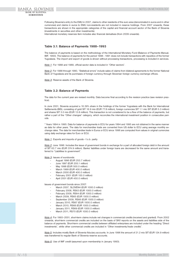Following Slovenia's entry to the EMU in 2007, claims to other residents of the euro area (denominated in euros and in other currencies) and claims in euros to EMU non-residents are not included in reserve holdings. From 2007 onwards, these transactions are shown in the appropriate categories of the capital and financial account sector of the Bank of Slovenia (investments in securities and other investments).

International monetary reserves item includes also financial derivatives (from 2009 onwards).

# **Table 3.1: Balance of Payments 1988–1993**

The balance of payments is based on the methodology of the International Monetary Fund (Balance of Payments Manual, IMF, 1993). The balance of payments for the period 1998 - 1991 does not include transactions with republics of the former Yugoslavia. The import and export of goods is shown without processing transactions, processing is included in services.

*Note 1*: For 1988 and 1989, official sector data is included in "Other sectors".

*Note 2*: For 1988 through 1990, "Statistical errors" include sales of claims from bilateral agreements to the former National Bank of Yugoslavia and its purchases of foreign currency through Slovenian foreign currency exchange offices.

*Note 3*: Reserve assets of the Bank of Slovenia.

## **Table 3.2: Balance of Payments**

The data for the current year are revised monthly. Data become final according to the revision practice (see revision practice).

In June 2001, Slovenia acquired a 16.39% share in the holdings of the former Yugoslavia with the Bank for International Settlements (BIS), consisting of gold SIT 16.9 mio (EUR 77.8 million), foreign currencies SIT 1.1 mio SIT (EUR 5.3 million) and shares SIT 3.0 mio (EUR 13.8 million). This transaction is not considered to be a flow of the balance of payments, but rather a part of the "Other changes" category, which reconciles the international investment position in consecutive periods.

\* Years 1994 in 1995: Data for balance of payments in ECU for years 1994 and 1995 are not obtained in the same manner as data for other years. The data for merchandise trade are converted from US dollar to ECU using average monthly exchange rates. The data for merchandise trade in Euros or ECU since 1996 are computed from values in original currencies using daily exchange rates for Euro or ECU.

*Note 1*: Exports and imports of goods - f.o.b. parity

*Note 2*: June 1996: Includes the issue of government bonds in exchange for a part of allocated foreign debt in the amount of SIT 63.7 mio (EUR 374.9 million). Banks' liabilities under foreign loans are decreased for the same amount and transferred to "Liabilities to government".

*Note 3*: Issues of eurobonds:

- August 1996 (EUR 253.7 million)
- June 1997 (EUR 205.1 million)
- May 1998 (EUR 500.0 million)
- March 1999 (EUR 400.0 million)
- March 2000 (EUR 400.0 million)
- February 2001 (EUR 100.0 million)
- April 2001 (EUR 450.0 million)

Issues of government bonds since 2007:

- March 2007, SLOVEN4 (EUR 1000.0 million)
- February 2008, RS63 (EUR 1000.0 million)
- February 2009, RS64 (EUR 1000.0 million)
- March 2009, RS65 (EUR 1500.0 million)
- September 2009, RS66 (EUR 1500.0 million)
- January 2010, RS67 (EUR 1500.0 million)
- March 2010, RS68 (EUR 1000.0 million)
- January 2011, RS69 (EUR 1000.0 million)
- March 2011, RS70 (EUR 1000.0 million)

*Note 4*: For 1993–2001, short-term claims include net changes in commercial credits (received and granted). From 2002 onwards, short-term commercial credits are included on the basis of SKV reports on the assets and liabilities side of the balance of payments. Short-term commercial credits between affiliated enterprises are included under the heading "Direct investments", while other commercial credits are included in "Other investments/trade credits".

*Note 5*: Includes mostly Bank of Slovenia fiduciary accounts. In June 1996 the amount of 21.2 mio SIT (EUR 124.9 million) was transferred to regular Bank of Slovenia reserve accounts.

*Note 6*: Use of IMF credit (assumed upon membership in January 1993).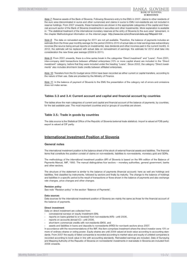#### BANKA SLOVENIJE BANK OF SLOVENIA **EUROSYSTEM**

*Note 7*: Reserve assets of the Bank of Slovenia. Following Slovenia's entry to the EMU in 2007, claims to other residents of the euro area (denominated in euros and other currencies) and claims in euros to EMU non-residents are not included in reserve holdings. From 2007 onwards, these transactions are shown in the appropriate categories of the capital and financial account sector of the Bank of Slovenia (investments in securities and other investments). More explanation is available in: "The statistical treatment of the international monetary reserves at the entry of Slovenia to the euro area" (slovenian), in the chapter Methodological information on the internet page: *http://www.bsi.si/en/financial-data.asp?MapaId=64* .

*Note 8*: The data on reinvested earnings for 2011 are not yet available. Therefore, the balance of payments includes an estimate (from the three year monthly average for the period 2008 to 2010 of actual data on total earnings less extraordinary incomes [the source being annual reports on investments], less dividends and other incomes paid in the current month). In 2012, the estimate will be replaced with actual data on reinvestment of earnings; the estimate for 2012 shall take into consideration the new three year average (2009 to 2011).

*Note 9*: From 2001 onwards, there is a time series break in the categories "Direct investment" and "Loans". From 2001, inter-company debt transactions between affiliated enterprises (10% or more capital share) are included in the "Direct investment" category; before that they were included under the heading "Loans". Since 2002, the category "Direct investments" also includes short-term trade credits between affiliated enterprises.

*Note 10*: Transfers from the EU budget since 2004 have been recorded as either current or capital transfers, according to the nature of their use. Data are provided by the Ministry of Finance.

*Note 11*: In the balance of payment of Slovenia to the EMU the presentation of the category net of errors and omissions does not make sense.

## **Tables 3.3 and 3.4: Current account and capital and financial account by countries**

The tables show the main categories of current and capital and financial account of the balance of payments, by countries, for the last available year. The most important countries and/or groups of countries are shown.

## **Table 3.5.: Trade in goods by countries**

The data source is the Statistical Office of the Republic of Slovenia (external trade statistics). Import is valued at FOB parity; export is valued at CIF parity.

# **International Investment Position of Slovenia**

#### **General notes**

The international investment position is the balance sheet of the stock of external financial assets and liabilities. The financial items that constitute the position consist of claims on non-residents, liabilities to non-residents, monetary gold and SDRs.

The methodology of the international investment position (IIP) of Slovenia is based on the fifth edition of the Balance of Payments Manual, IMF, 1993. The manual distinguishes four sectors – monetary authorities, general government, banks and other sectors.

The structure of the statement is similar to the balance of payments (financial account): here as well are holdings and liabilities, first classified by instruments, followed by sectors and finally by maturity. The change to the balance of holdings and liabilities in a specific period is the result of transactions or flows shown in the balance of payments and also exchange rate changes, price changes and other changes.

#### **Revision policy**

See note "Revision policy" in the section "Balance of Payments".

#### **Data sources**

Data sources for the international investment position of Slovenia are mainly the same as those for the financial account of the balance of payments.

#### **Direct investment**

Data on direct investment are collected from:

- concessional surveys on equity investment (SN),
- reports on loans granted to or received from non-residents (KR) until 2006,
- reports on accounts abroad (C) until 2006,
- short-term commercial credits with non-residents (SKV), and
- assets and liabilities in loans and deposits to nonresidents (KRD) for non-bank sectors since 2007.

In accordance with the recommendations of the IMF, this item comprises investment where the direct investor owns 10% or more of ordinary shares or voting power. Equity shares are until 2006 valued at book value according to accounting standards. From 2007 the equity of listed companies is recorded according to market value and equity of unlisted companies is recorded according to book value in line with accounting standards. Reinvested earnings are included. Data of Surveying and Mapping Authority of the Republic of Slovenia on nonresidents' investments in real-estate in Slovenia are included from 2008 onwards.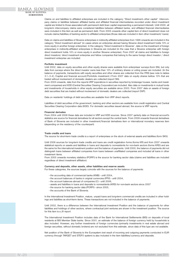## **EUROSYSTEM**

Claims on and liabilities to affiliated enterprises are included in the category "Direct investment–other capital". Intercompany claims or liabilities between affiliated banks and affiliated financial intermediaries recorded under direct investment capital are limited to those associated with permanent debt (loan capital respresenting a permanent interest). Until 2000, all long-term intercompany claims were considered liabilities between affiliated banks, and affiliated financial intermediaries were included in this item as well as permanent debt. From 2005 onwards other capital item of direct investment does not include claims/liabilities of banking sector to affiliated enterprises (those data are included in item other investment/ loans).

Data on claims and liabilities of Slovene enterprises in indirectly-affiliated enterprises from 1996 onwards are included in the category "Direct investment abroad" (in cases where an enterprise abroad having Slovene direct investment holds 10% or more equity in another foreign enterprise). In the category "Direct investment in Slovenia", data on the investment of foreign enterprises in indirectly-affiliated enterprises in Slovenia are included (in the case that a Slovene enterprise with foreign direct investment holds 10% or more equity in another Slovene enterprise). From 2007 all claims and liabilities to foreign direct investors/ direct investment enterprise and fellow companies that belong to the same foreign direct investor / direct investment enterprise are included.

#### **Portfolio investment**

Until 2002, data on equity securities and other equity shares were available from enterprises' surveys (form SN), but only data from surveys where the direct investor owns less than 10% of ordinary shares or voting power are included. (In the balance of payments, transactions with equity securities and other shares are collected from the ITRS [see note to tables 3.1–3.4] /Capital and financial account/Portofolio investment.) From 2007 data on equity shares bellow 10% that are traded without involvement of domestic dealers are collected (report SN).

From 2003 onwards, data from the reports VRP (operations in securities reported by brokerage houses, banks and investment companies) and KDD (Central Securities Clearing Corporation) are included. Also data on investments in mutual funds and investments of households in other equity securities are available since 2003. From 2007 data on assets of foreign debt secuirities that are traded without involvement of domestic dealers are collected (report DVP).

Data on residents' holdings of debt securities are available from VRP direct reports.

Liabilities of debt securities of the government, banking and other sectors are available from credit registration and Central Securities Clearing Corporation data (KDD). For domestic securities issued abroad, the source is VRP reports.

#### **Financial derivates**

From 2004 until 2006 these data are included in VRP and KDD sources. Since 2007 qarterly data on financial account's statistics are source for financial derivatives for all sectors except the central bank. From 2009 onwards financial derivatives of Bank of Slovenia are included in other investment/financial derivatives item or international monetary reserves item (depending on the residency of the counterpart).

#### **Trade credits and loans**

The source for short-term trade credits is a report of enterprises on the stock of external assets and liabilities (form SKV).

Until 2006 sources for long-term trade credits and loans are credit registration forms (forms KR) and from 2007 onwards statistical reports on assets and liabilities in loans and deposits to nonresidents for non-bank sectors (forms KRD) and are the same for the international investment position and the balance of payments. Until 2000, the balance of payments did not distinguish loans between affiliated companies from loans between unaffiliated companies and included all loans in other investment items.

From 2005 onwards monetary statistics (PORFI) is the source for banking sector data (claims and liabilities are included regardless of direct investment affiliation).

#### **Currency and deposits, other assets, other liabilities and reserve assets**

For these categories, the sources largely coincide with the sources for the balance of payments:

- the accounting data of commercial banks (KNB) until 2004,
- the account balances of banks in original currencies (PPV) until 2004,
- the account balances abroad of companies (C) until 2006,
- assets and liabilities in loans and deposits to nonresidents (KRD) for non-bank sectors since 2007
- the source for banking sector data (PORFI) since 2005,
- the accounts of the Bank of Slovenia.

In the International Investment Position, mature, unpaid loans and long-term commercial credits are included in other holdings and liabilities as short-term items. These transactions are not included in the balance of payments.

Until 2002, there is a difference between the International Investment Position and the balance of payments for other liabilities and holdings of other sectors, where contractual joint ventures are shown in the investment position. The source for this item is a JV report.

The International Investment Position includes data of the Bank for International Settlements (BIS) on deposits of local residents at BIS Member State banks. Since 2001, an estimate of the balance of foreign currency held by households is also included. However, any further investments of foreign currencies (primarily investments in real estate abroad and foreign securities, without domestic brokers) are not excluded from this estimate, since data of this type are not available.

Net position of the Bank of Slovenia to the Eurosystem (net result of incoming and outgoing payments conducted in EUR currency through TARGET and STEP2 system) is also included in the item liabilities/currency and deposits.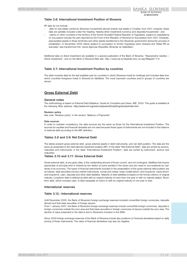# **Table 3.6: International Investment Position of Slovenia**

IIP data do not include:

- data on real estate owned by Slovenian households abroad (mainly real estate in Croatia); from 2001 onwards, these data are partially included under the heading "Assets/other investment/currency and deposits/households"; and
- claims on other countries in the territory of the former Socialist Federal Republic of Yugoslavia, subject to negotiations on succession (except the part reported by the Fund of the Republic of Slovenia for Succession from 2001 onwards), expropriated assets in these territories and other assets transferred to the Slovenian government during the process of privatization. In December 2006 claims subject to succession to former Yugoslavia were revalued and 'Sklad RS za sukcesijo' was transformed into 'Javna Agencija Republike Slovenije za nasledstvo'.

Additional data on direct investment are available in a special publication of the Bank of Slovenia: "Neposredne naložbe – Direct Investment", and on the Bank of Slovenia Web site: http://www.bsi.si/iskalniki/ecb\_en.asp?MapaId=714.

## **Table 3.7: International Investment Position by countries**

The table includes data for the last available year by countries in which Slovenes invest (in holdings) and includes data from which countries foreigners invest in Slovenia (in liabilities). The most important countries and/or groups of countries are shown.

# **Gross External Debt**

#### **General notes**

The methodology is based on External Debt Statistics: Guide for Compilers and Users, IMF, 2003. The guide is available at the following Web address: *http://www.imf.org/external/pubs/ft/eds/Eng/Guide/index.htm*.

#### **Revision policy**

See note "Revision policy" in the section "Balance of Payments".

#### **Data sources**

In order to maintain consistency, the data sources are the same as those for the International Investment Position. The sources for equities and financial derivates are not used because these types of instruments are not included in the balance of external debt according to the IMF definition.

## **Tables 3.8 and 3.9: Net External Debt**

The tables present gross external debt, gross external assets in debt instruments, and net debt position. The data are the same as presented in the international investment position (IIP). In the table "Net External Debt", data are sorted by sectors, maturities and instruments; in the table "International Investment Position", data are sorted by instrument, sectors and maturities.

#### **Tables 3.10 and 3.11: Gross External Debt**

Gross external debt, at any given data, is the outstanding amount of those current, and not contingent, liabilities that require payment(s) of principal and/or interest by the debtor at some point(s) in the future and are owed to non-residents by residents of an economy. The types of financial instruments included in the presentation of the gross external debt position are as follows: debt securities (money market instruments, bonds and notes), trade credits (short- and long-term), loans (shortand long-term), cash, deposits and other debt liabilities. Maturity of debt liabilities is based on the formal criterion of original maturity. Long-term debt is defined as debt with an original maturity of more than one year or with no maturity stated. Shortterm debt, which includes cash, is debt repayable at notice or with an original maturity of one year or less.

#### **International reserves**

## **Table 3.12.: International reserves**

Until December 2006, the Bank of Slovenia's foreign exchange reserves included convertible foreign currencies, deposits abroad and first-class securities of foreign issuers.

From 1 January 2007, the Bank of Slovenia's foreign exchange reserves include convertible foreign currencies, deposits in foreign currencies outside the euro area and first-class securities in foreign currencies of issuers outside the euro area. The decline of value presented in the data is due to Slovenia's inclusion in the EMU.

Since 2009 foreign exchange reserves of the Bank of Slovenia include also positions on financial derivatives based on daily pricing of these instruments. The value of financial derivatives may also be negative.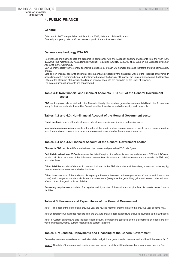**EUROSYSTEM**

# **4. PUBLIC FINANCE**

#### **General**

Data prior to 2007 are published in tolars; from 2007, data are published in euros. Quarterly and yearly data on Gross domestic product are not yet reconciled.

#### **General - methodology ESA 95**

Non-financial and financial data are prepared in compliance with the European System of Accounts from the year 1995 (ESA 95). This methodology was adopted by Council Regulation (EC) No. 2223/96 of 25 June on the European System of Accounts in the Community.

ESA 95 methodology is the central economic methodology of each EU member state and therefore ensures comparability of data.

Data on non-financial accounts of general government are prepared by the Statistical Office of the Republic of Slovenia. In accordance with a memorandum of understanding between the Ministry of Finance, the Bank of Slovenia and the Statistical Office of the Republic of Slovenia, the data on financial accounts are compiled by the Bank of Slovenia. The data on financial accounts are consolidated.

## **Table 4.1: Non-financial and Financial Accounts (ESA 95) of the General Government sector**

**EDP debt** is gross debt as defined in the Maastricht treaty. It comprises general government liabilities in the form of currency (coins), deposits, debt securities (securities other than shares and other equity) and loans only.

# **Tables 4.2 and 4.3: Non-financial Account of the General Government sector**

Fiscal burden is a sum of the direct taxes, indirect taxes, social contributions and capital taxes.

**Intermediate consumption** consists of the value of the goods and services consumed as inputs by a process of production. The goods and services may be either transformed or used up by the production process.

# **Tables 4.4 and 4.5: Financial Account of the General Government sector**

**Change in EDP** debt is a difference between the current and preceding EDP debt figure.

**Deficit-debt adjustment (DDA)** is a sum of the deficit/surplus of non-financial account and change in EDP debt. DDA can be also calculated as a sum of the difference between financial assets and liabilities (which are not included in EDP debt) and other flows.

**Other liabilities** consist of data, which are not included in the EDP debt: financial derivatives, shares and other equity, insurance technical reserves and other liabilities.

**Other flows** are sum of the statistical discrepancy (difference between deficit/surplus of non-financial and financial account) and changes of the debt which are not transactions (foreign exchange holding gains and losses, other valuation effects, other changes in volume of debt).

**Borrowing requirement** consists of a negative deficit/surplus of financial account plus financial assets minus financial liabilities.

## **Table 4.6: Revenues and Expenditures of the General Government**

*Note 1:* The data of the current and previous year are revised monthly until the data on the previous year become final.

*Note 2:* Total revenue excludes receipts from the EU, and likewise, total expenditure excludes payments to the EU budget.

*Note 3:* Current expenditure also includes social security contributions (besides of the expenditures on goods and services, interest payments, current reserves and current transfers).

#### **Tables 4.7: Lending, Repayments and Financing of the General Government**

General government operations (consolidated state budget, local governments, pension fund and health insurance fund).

*Note 1:* The data of the current and previous year are revised monthly until the data on the previous year become final.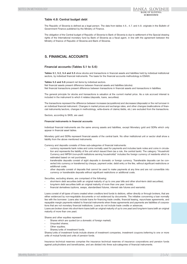#### BANKA SLOVENIJE BANK OF SLOVENIA **EUROSYSTEM**

## **Table 4.8: Central budget debt**

The Republic of Slovenia is defined as a legal person. The data from tables 4.6., 4.7. and 4.8. originate in the Bulletin of Government Finance published by the Ministry of Finance.

The obligation of the Central budget of Republic of Slovenia to Bank of Slovenia is due to settlement of the Special drawing rights of the International monetary fund by Bank of Slovenia as a fiscal agent, in line with the agreement between the Ministry of finance of Republic of Slovenia and Bank of Slovenia.

# **5. FINANCIAL ACCOUNTS**

#### **Financial accounts (Tables 5.1 to 5.6)**

**Tables 5.1, 5.2, 5.4 and 5.5** show stocks and transactions in financial assets and liabilities held by individual institutional sectors, by individual financial instruments. The basis for the financial accounts methodology is ESA95.

#### **Tables 5.3 and 5.6** present net items by individual sectors.

Net financial assets present difference between financial assets and liabilities (stocks). Net financial transactions present difference between transactions in financial assets and transactions in liabilities.

The general principle for stocks and transactions is valuation at the current market price. As a rule accrued interest is included in the instrument to which it relates (deposits, loans, securities).

The transactions represent the difference between increases (acquisitions) and decreases (disposals) or the net turnover in an individual financial instrument. Changes in market prices and exchange rates, and other changes (reallocations of financial instruments/sectors, changes in methodology, write-downs of claims/debts, etc.) are excluded from the transactions.

Sectors, according to SKIS, are used.

#### **Financial instruments in financial accounts**

Individual financial instruments are the same among assets and liabilities, except Monetary gold and SDRs which only appear in financial asset tables.

Monetary gold and SDRs represent financial assets of the central bank. No other institutional unit or sector shall show a liability from the above mentioned instruments.

Currency and deposits consists of three sub-categories of financial instruments:

- currency represents bank notes and coins normally used for payments and includes bank notes and coins in circulation and represents the liability of the unit which issued them (as a rule, the central bank). The category "Household Currency and NIPSH (non-profit institutions serving households)" includes the foreign currency of residents which is estimated based on net purchases.
- transferable deposits consist of sight deposits in domestic or foreign currency. Transferable deposits can be converted into currency or transferred by cheque, payment order, debit entry or the like, without significant restrictions or additional costs.
- other deposits consist of deposits that cannot be used to make payments at any time and are not convertible into currency or transferable deposits without significant restrictions or additional costs.

Securities, excluding shares, are comprised of the following:

- short-term debt securities (with an original maturity of up to one year bills and other short-term debt securities);
- long-term debt securities (with an original maturity of more than one year: bonds);
- financial derivatives (options, swaps, standardised futures, interest rate futures and warrants).

Loans consist of all types of loans created when creditors lend funds to debtors, either directly or through brokers, that are either evidenced by non-negotiable documents or not evidenced by documents. The initiative concerning a loan normally lies with the borrower. Loans also include loans for financing trade credits, financial leasing, repurchase agreements, and repayable margin payments related to financial instruments when these agreements and payments are liabilities of corporations that are not monetary financial institutions. Loans do not include trade credits or advances.

Loans are broken down into short-term loans (with an original maturity of up to one year) and long-term loans (with an original maturity of more than one year).

Shares and other equities represent:

- Shares which are quoted (on a domestic of foreign market);
- Unquoted shares;
- Other equities:
- Shares/units of investment funds.

Shares/units of investment funds include shares of investment companies, investment coupons (referring to one or more units of mutual funds) and units of pension funds.

Insurance technical reserves comprise the insurance technical reserves of insurance corporations and pension funds against policyholders and beneficiaries, and are divided into three sub-categories of financial instruments.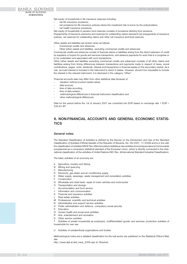**EUROSYSTEM**

Net equity of households in life insurance reserves including:

- net life insurance provisions;
- net provisions for life insurance policies where the investment risk is borne by the policyholders;

net health insurance provisions. Net equity of households in pension fund reserves consists of provisions deriving from pensions. Prepayments of insurance premiums and reserves for outstanding claims represent net prepayments of insurance policies, net reserves for outstanding claims and other net insurance technical reserves.

Other assets and liabilities are broken down as follows:

- Commercial credits and advances;
- Other (other assets and liabilities, excluding commercial credits and advances).

Commercial credits and advances consist of financial claims or liabilities arising from the direct extension of credit by suppliers or buyers for goods and services transactions, and advance payments for work that is in progress or to be undertaken and associated with such transactions.

Other (other assets and liabilities excluding commercial credits and advances) consists of all other claims and liabilities arising from timing differences between transactions and payments made in respect of taxes, social contributions, wages, rents, dividends, interest and transactions in financial assets on the secondary market. As a rule, accrued interest is included in the instrument to which it relates. However, should it be impossible to include the interest in the relevant instrument, it is disclosed in the category "Other".

Financial accounts data may differ from other statistical data because of:

- valuation method (current market value),
- data sources,
- time of data recording,
- time of data revision,
- methodological differences in financial instrument classification and
- other methodological differences.

Data for the period before the 1st of January 2007 are converted into EUR based on exchange rate 1 EUR = 239,64 SIT.

# **6. NON-FINANCIAL ACCOUNTS AND GENERAL ECONOMIC STATIS-TICS**

#### **General notes**

The Standard Classification of Activities is defined by the Decree on the Introduction and Use of the Standard Classification of Activities (Official Gazette of the Republic of Slovenia, No. 69/2007, 17/2008) and is in line with the classification of activities NACE Rev.2(Nomenclature statistique des activités économiques dans la Communanté européenne) as a compulsory statistical standard of the European Union, which is directly connected to the international classification of the activities of United Nations ISIC Rev. 4(International Standard Industrial Classification).

The basic activities of an economy are:

- A Agriculture, forestry and fishing
- B Mining and quarrying
- C Manufacturing
- D Electricity, gas steam and air conditioning supply
- E Water supply, sewerage, waste management and remediation activities
- F Construction
- G Wholesale and retail trade; repair of motor vehicles and motorcycles
- H Transportation and storage
- I Accommodation and food service
- J Information and communication
- K Financial and insurance activities
- L Real estate activities
- M Professional, scientific and technical activities
- N Administrative and support service activities
- O Public administration and defence, compulsory social security
- P Education
- Q Human health and social work activities
- R Arts, entertainment and recreation
- S Other service activities

T Activities of private households as employers, undifferentiated goods- and services- production activities of households for own use

U Activities of extraterritorial organizations and bodies

Methodological notes and a detailed classification for the real sector are published on the Statistical Office's Web site:

http://www.stat.si/skd\_nace\_2008.asp (in Slovene).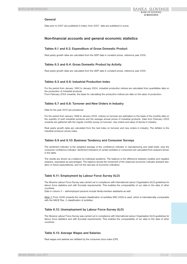# **General**

Data prior to 2007 are published in tolars; from 2007, data are published in euros.

# **Non-financial accounts and general economic statistics**

#### **Tables 6.1 and 6.2: Expenditure of Gross Domestic Product**

Real yearly growth rates are calculated from the GDP data in constant prices, reference year 2005.

### **Tables 6.3 and 6.4: Gross Domestic Product by Activity**

Real yearly growth rates are calculated from the GDP data in constant prices, reference year 2005.

#### **Tables 6.5 and 6.6: Industrial Production Index**

For the period from January 1992 to January 2004, industrial production indices are calculated from quantitative data on the production of industrial products. From February 2004 onwards, the basis for calculating the production indices are data on the value of production.

# **Tables 6.7 and 6.8: Turnover and New Orders in Industry**

Data for the year 2010 are provisional.

For the period from January 1998 to January 2003, indices on turnover are estimated on the basis of the monthly data on the quantity of sold industrial products and the average annual prices of industrial products. Data from February 2003 onwards are gathered with the regular monthly survey on turnover, new orders and value of stocks in industry.

Real yearly growth rates are calculated from the real index on turnover and new orders in industry. The deflator is the industrial producer prices index.

#### **Tables 6.9 and 6.10: Business Tendency and Consumer Surveys**

The sentiment indicator is the weighted average of the confidence indicator in manufacturing and retail trade, plus the consumer confidence indicator. Sentiment indicators of certain activities or consumers are calculated from answers shown in the table.

The results are shown as a balance by individual questions. The balance is the difference between positive and negative answers, expressed as percentages. The balance shows the movement of the observed economic indicator (present situation or future expectations), and not the real size of economic indicators.

#### **Table 6.11: Employment by Labour Force Survey (ILO)**

The Slovene Labour Force Survey was carried out in compliance with International Labour Organisation (ILO) guidelines for labour force statistics and with Eurostat requirements. This enables the comparability of our data to the data of other countries.

Data in column 5 – self-employed persons include family-member assistants as well.

*Note 1:* From 2008 onwards the revised classification of activities SKD 2008 is used, which is internationally comparable with the NACE Rev. 2 classification of activities.

## **Table 6.12: Unemployment by Labour Force Survey (ILO)**

The Slovene Labour Force Survey was carried out in compliance with International Labour Organisation (ILO) guidelines for labour force statistics and with Eurostat requirements. This enables the comparability of our data to the data of other countries.

#### **Table 6.13: Average Wages and Salaries**

Real wages and salaries are deflated by the consumer price index (CPI).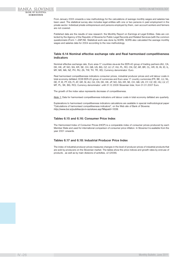From January 2005 onwards a new methodology for the calculations of average monthly wages and salaries has been used. The statistical survey also includes legal entities with one or two persons in paid employment in the private sector. Individual private entrepreneurs and persons employed by them, own account workers and farmers are not covered.

Published data are the results of new research: the Monthly Report on Earnings at Legal Entities. Data are collected by the Agency of the Republic of Slovenia for Public Legal Records and Related Services (with the common questionnaire (Form 1–ZAP/M). Statistical work was done by SORS. SORS also calculated the average monthly wages and salaries data for 2004 according to the new methodology.

# **Table 6.14 Nominal effective exchange rate and Real harmonised competitiveness indicators**

Nominal effective exchange rate, Euro area-17 countries vis-a-vis the EER-40 group of trading partners (AU, CA, DK, HK, JP, NO, SG, KR, SE, CH, GB, US, BG, CZ, LV, LT, HU, PL, RO, CN, DZ, AR, BR, CL, HR, IS, IN, ID, IL, MY, MX, MA, NZ, PH, RU, ZA, TW, TH, TR, VE); Currency denominator: Euro.

Real harmonised competitiveness indicators consumer prices, industrial producer prices and unit labour costs in total economy deflated; ECB EER-20 group of currencies and Euro area 17 country currencies (FR, BE, LU, NL, DE, IT, IE, PT, ES, FI, AT, GR, SI, AU, CA, CN, DK, HK, JP, NO, SG, KR, SE, CH, GB, US, CY, CZ, EE, HU, LV, LT, MT, PL, SK, BG, RO); Currency denominator: until 31.12.2006 Slovenian tolar, from 01.01.2007 Euro.

The growth of the index value represents decrease of competitiveness.

*Note 1:* Data for harmonised competitiveness indicators unit labour costs in total economy deflated are quarterly.

Explanations to harmonised competitiveness indicators calculations are available in special methodological paper "Calculations of harmonised competitiveness indicators", on the Web site of Bank of Slovenia: *http://www.bsi.si/publikacije-in-raziskave.asp?MapaId=1039.*

#### **Tables 6.15 and 6.16: Consumer Price Index**

The Harmonized Index of Consumer Prices (HICP) is a comparable index of consumer prices produced by each Member State and used for international comparison of consumer price inflation. In Slovenia it is available from the year 2001 onwards.

## **Tables 6.17 and 6.18: Industrial Producer Price Index**

The index of industrial producer prices measures changes in the level of producer prices of industrial products that are sold by producers on the Slovenian market. The tables show the price indices and growth rates by end-use of products , as well as by main divisions of activities, v2 (2008).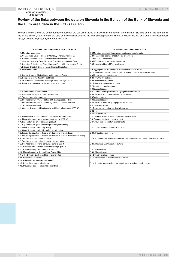BANKA SLOVENIJE

BANK OF SLOVENIA **EUROSYSTEM**

# **Review of the links between the data on Slovenia in the Bulletin of the Bank of Slovenia and the Euro area data in the ECB's Bulletin**

The table below shows the correspondence between the statistical tables on Slovenia in the Bulletin of the Bank of Slovenia and on the Euro area in the ECB's Bulletin, i.e. where are the data on Slovenia included into the Euro area aggregates. The ECB's Bulletin is available on the internet address: *http://www.ecb.int/pub/mb/html/index.en.html*.

| Tabels in Monthly Bulletin of the Bank of Slovenia                                 | Tabels in Monthly Bulletin of the ECB                                                       |  |  |  |
|------------------------------------------------------------------------------------|---------------------------------------------------------------------------------------------|--|--|--|
| 1.1. Monetary aggregates                                                           | 2.3 Monetary statistics (Monetary aggregates and counterparts)                              |  |  |  |
| 1.2. Consolidated Balance Sheet of Monetary Financial Institutions                 | 2.2 Consolidated balance sheet of euro area MFI s                                           |  |  |  |
| 1.4. Balance Sheet of Other Monetary Financial Institutions or                     | 2.4 MFI loans, breakdown                                                                    |  |  |  |
| 1.5. Selected Assets of Other Monetary Financial Institutions by Sector            | 2.6 MFI holdings of securities, breakdown                                                   |  |  |  |
| 1.6. Selected Obligations of Other Monetary Financial Institutions by Sector or    | 2.5 Deposits held with MFIs, breakdown                                                      |  |  |  |
| 1.4. Balance Sheet of Other Monetary Financial Institutions                        |                                                                                             |  |  |  |
| 1.8. Investment funds                                                              | 2.9. Aggregated balance sheet of euro area investment funds                                 |  |  |  |
|                                                                                    | 2.10. Securities held by investment funds broken down by issuer of securities               |  |  |  |
| 2.2. Interbank Money Market Rates and Indexation Clause                            | 4.6 Money market interest rates                                                             |  |  |  |
| 2.3. European Central Bank Interest Rates                                          | 1.2 Key ECB interest rates                                                                  |  |  |  |
| 2.6.2a. European Central Bank exchange rates - Average Rates                       | 8.2 Bilateral exchange rates                                                                |  |  |  |
| 3.2. Balance of payments, capital and financial account                            | 7.1 Balance of payments - summary                                                           |  |  |  |
|                                                                                    | 7.2 Current and capital account                                                             |  |  |  |
|                                                                                    | 7.3 Financial account                                                                       |  |  |  |
| 3.3. Current Account by countries                                                  | 7.2.3 Current and capital account - geographical breakdown                                  |  |  |  |
| 3.4. Capital and Financial Account by countries                                    | 7.3.8 Financial account - geographical breakdown                                            |  |  |  |
| 3.5. Trade in goods by countries                                                   | 7.5 Trade in goods                                                                          |  |  |  |
| 3.6. International Investment Position of Slovenia; assets, liabilities            | 7.3 Financial account                                                                       |  |  |  |
| 3.7. International Investment Position by countries; assets, liabilities           | 7.3.8 Financial account - geographical breakdown                                            |  |  |  |
| 3.12. International reserves                                                       | 7.3.7. Reserve assets                                                                       |  |  |  |
| 4.1. General Government Non-financial and Financial Accounts (ESA 95)              | 6.1 Revenue, expenditure and deficit/surplus                                                |  |  |  |
|                                                                                    | 6.2 Debt                                                                                    |  |  |  |
|                                                                                    | 6.3 Change in debt                                                                          |  |  |  |
| 4.2. Non-financial account general government sector (ESA 95)                      | 6.4. Quarterly revenue, expenditure and deficit/surplus                                     |  |  |  |
| 4.4. Financial account general government sector (ESA 95)                          | 6.5. Quarterly debt and change in debt                                                      |  |  |  |
| 6.1. Expenditure on gross domestic product                                         | 5.2.1. GDP and expenditure components                                                       |  |  |  |
| 6.2. Expenditure on gross domestic product (growth rates)                          |                                                                                             |  |  |  |
| 6.3. Gross domestic product by activity                                            | 5.2.2. Value added by economic activity                                                     |  |  |  |
| 6.4. Gross domestic product by activity (growth rates)                             |                                                                                             |  |  |  |
| 6.5. Industrial production index and productivity index in industry                | 5.2.3. Industrial production                                                                |  |  |  |
| 6.6. Industrial production index and productivity index in industry (growth rates) |                                                                                             |  |  |  |
| 6.7. Tumover and new orders in industry                                            | 5.2.4. Industrial new orders and turnover, retail sales and new passenger car registrations |  |  |  |
| 6.8. Tumover and new orders in industry (growth rates)                             |                                                                                             |  |  |  |
| 6.9. Business tendency and consumer surveys (part 1)                               | 5.2.5. Business and Consumer Surveys                                                        |  |  |  |
| 6.10. Business tendency and consumer surveys (part 2)                              |                                                                                             |  |  |  |
| 6.11. Employment by Labour Force Survey (ILO)                                      | 5.3.1. Employment                                                                           |  |  |  |
| 6.12. Unemployment by Labour Force Survey (ILO)                                    | 5.3.2. Unemployment                                                                         |  |  |  |
| 6.14. The Effective Exchange Rate - Nominal, Real                                  | 8.1 Effective exchange rates                                                                |  |  |  |
| 6.15. Consumer price index                                                         | 5.1.1. Harmonised Index of Consumer Prices                                                  |  |  |  |
| 6.16. Consumer price index (growth rates)                                          |                                                                                             |  |  |  |
| 6.17. Industrial producer price index                                              | 5.1.2. Industry, construction, residential property and commodity prices                    |  |  |  |
| 6.18. Industrial producer price index (growth rates)                               |                                                                                             |  |  |  |